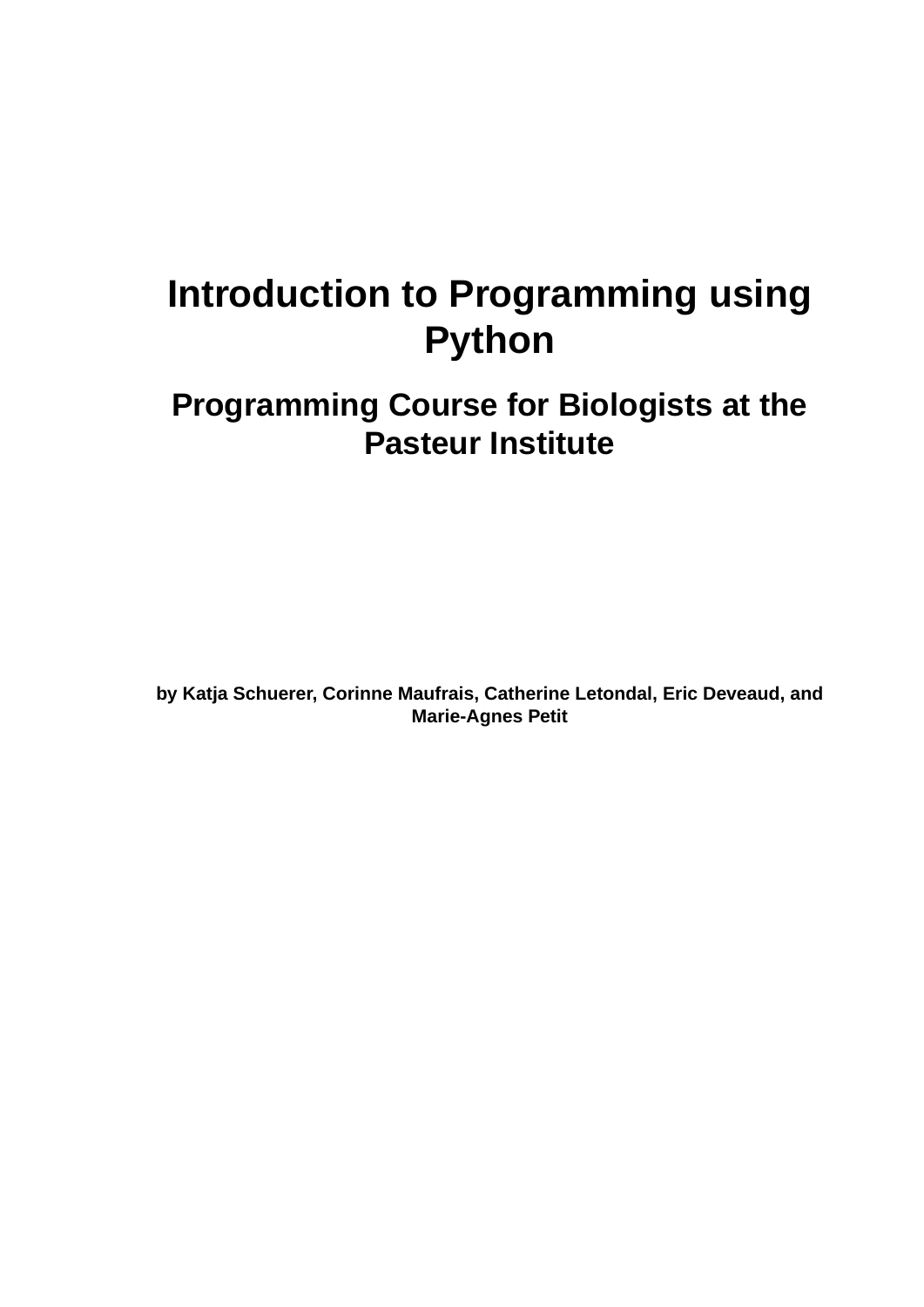# <span id="page-0-0"></span>**Introduction to Programming using Python**

# **Programming Course for Biologists at the Pasteur Institute**

**by Katja Schuerer, Corinne Maufrais, Catherine Letondal, Eric Deveaud, and Marie-Agnes Petit**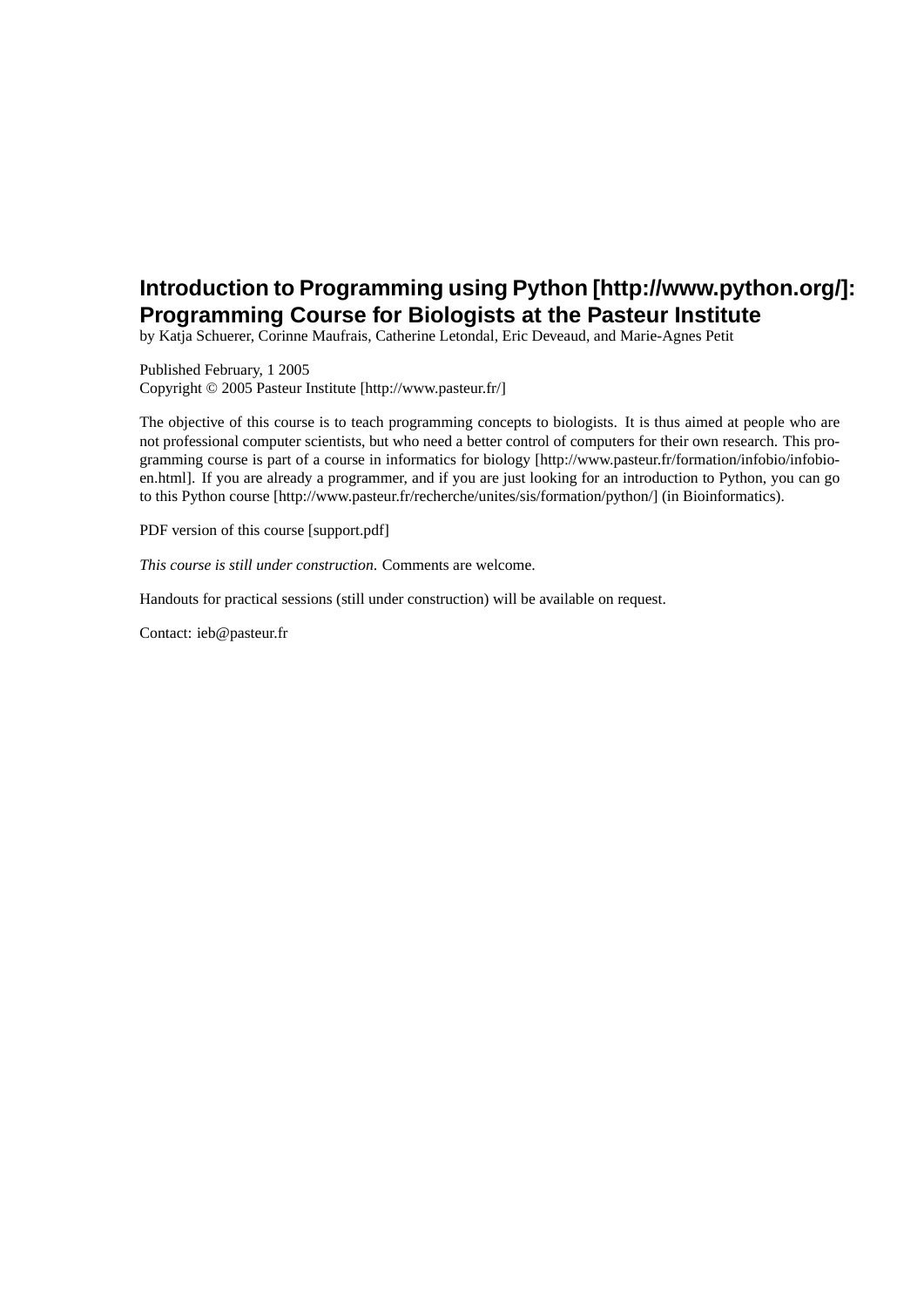#### **Introduction to Programming using [Python](http://www.python.org/) [http://www.python.org/]: Programming Course for Biologists at the Pasteur Institute**

by Katja Schuerer, Corinne Maufrais, Catherine Letondal, Eric Deveaud, and Marie-Agnes Petit

Published February, 1 2005 Copyright © 2005 [Pasteur Institute](http://www.pasteur.fr/) [http://www.pasteur.fr/]

The objective of this course is to teach programming concepts to biologists. It is thus aimed at people who are not professional computer scientists, but who need a better control of computers for their own research. This programming course is part of a [course in informatics for biology](http://www.pasteur.fr/formation/infobio/infobio-en.html) [http://www.pasteur.fr/formation/infobio/infobioen.html]. If you are already a programmer, and if you are just looking for an introduction to Python, you can go to this [Python course](http://www.pasteur.fr/recherche/unites/sis/formation/python/) [http://www.pasteur.fr/recherche/unites/sis/formation/python/] (in Bioinformatics).

[PDF version of this course](#page-0-0) [support.pdf]

*This course is still under construction*. Comments are welcome.

Handouts for practical sessions (still under construction) will be available on request.

Contact: ieb@pasteur.fr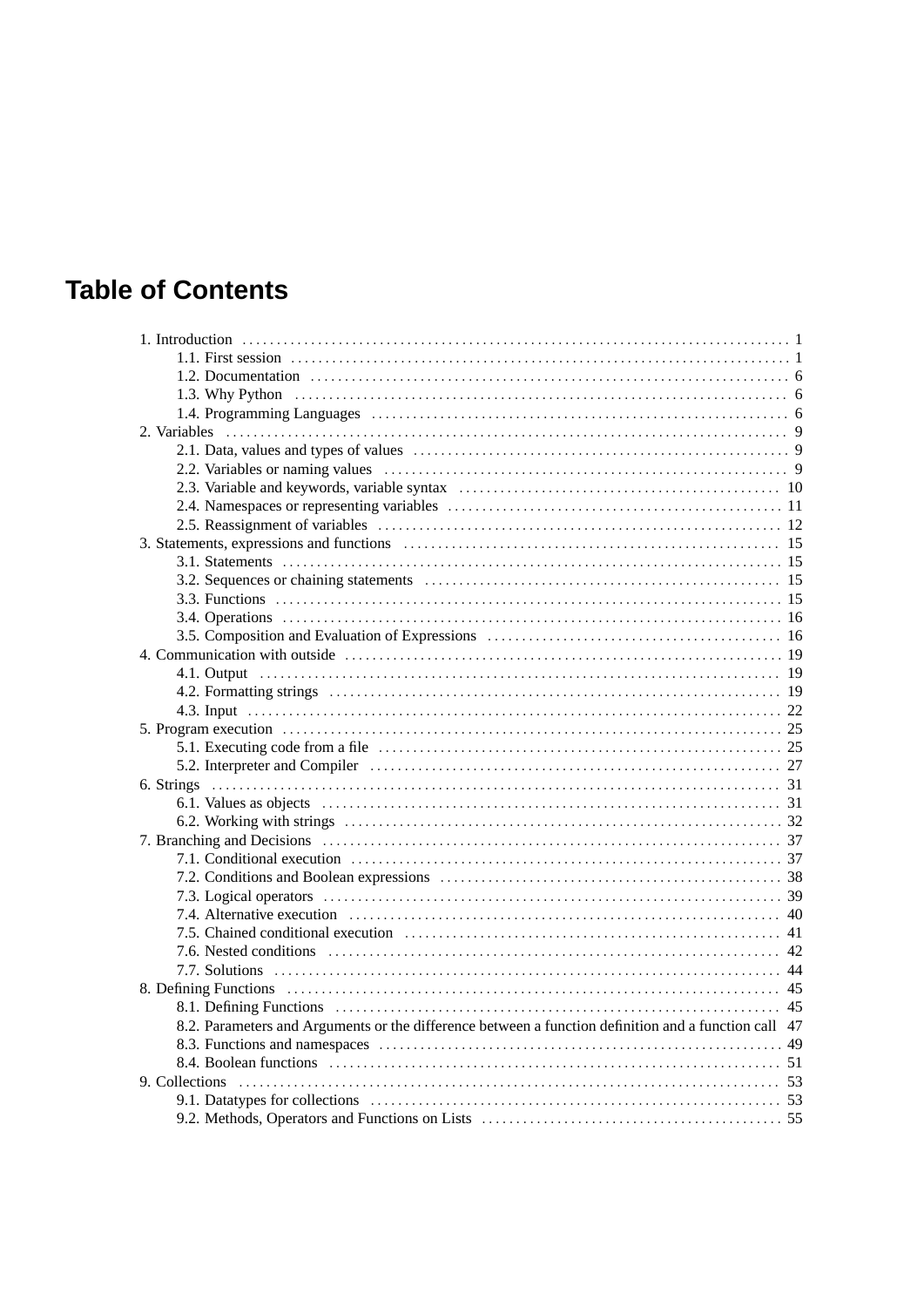# **Table of Contents**

| 8.2. Parameters and Arguments or the difference between a function definition and a function call 47 |  |
|------------------------------------------------------------------------------------------------------|--|
|                                                                                                      |  |
|                                                                                                      |  |
|                                                                                                      |  |
|                                                                                                      |  |
|                                                                                                      |  |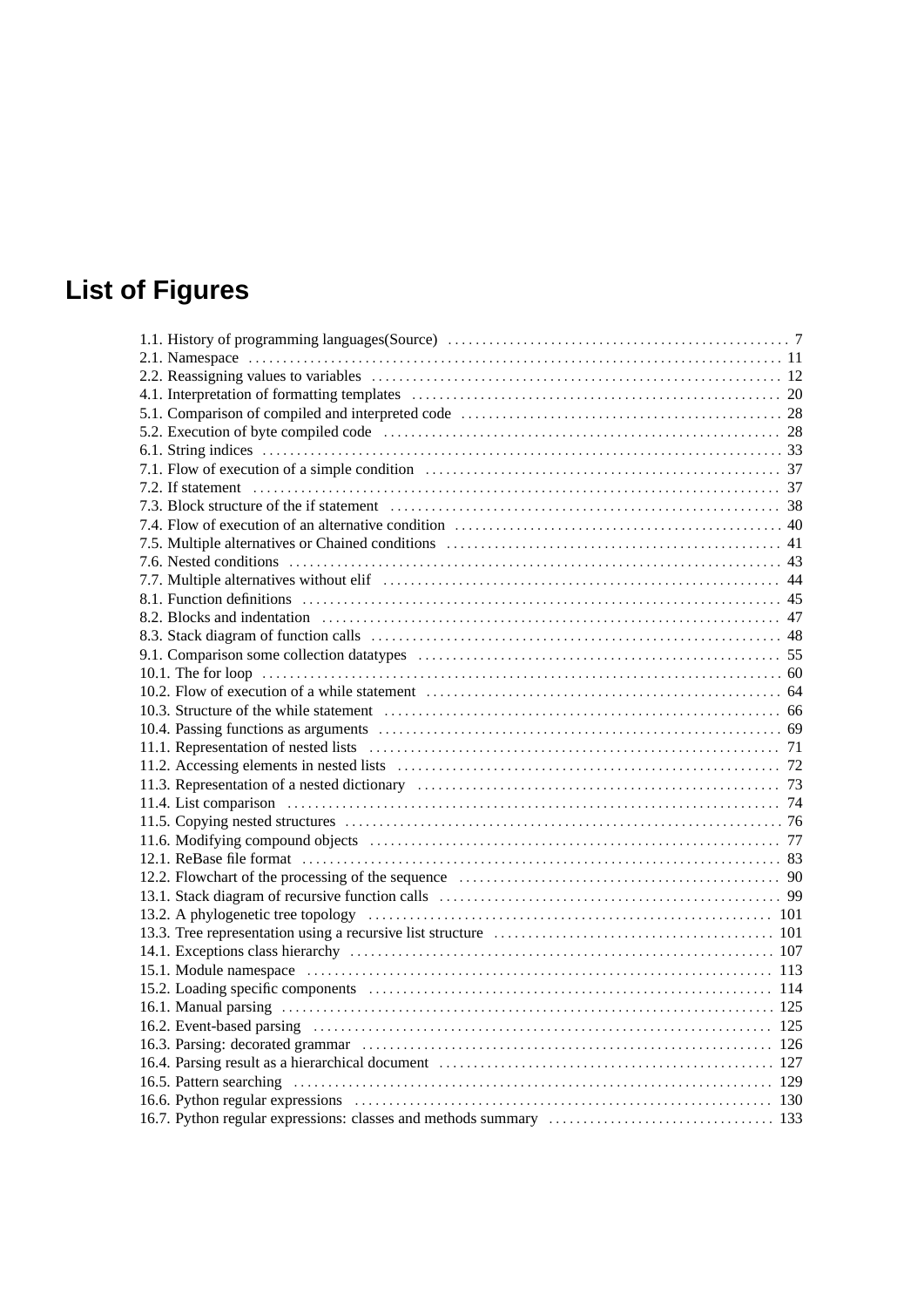# **List of Figures**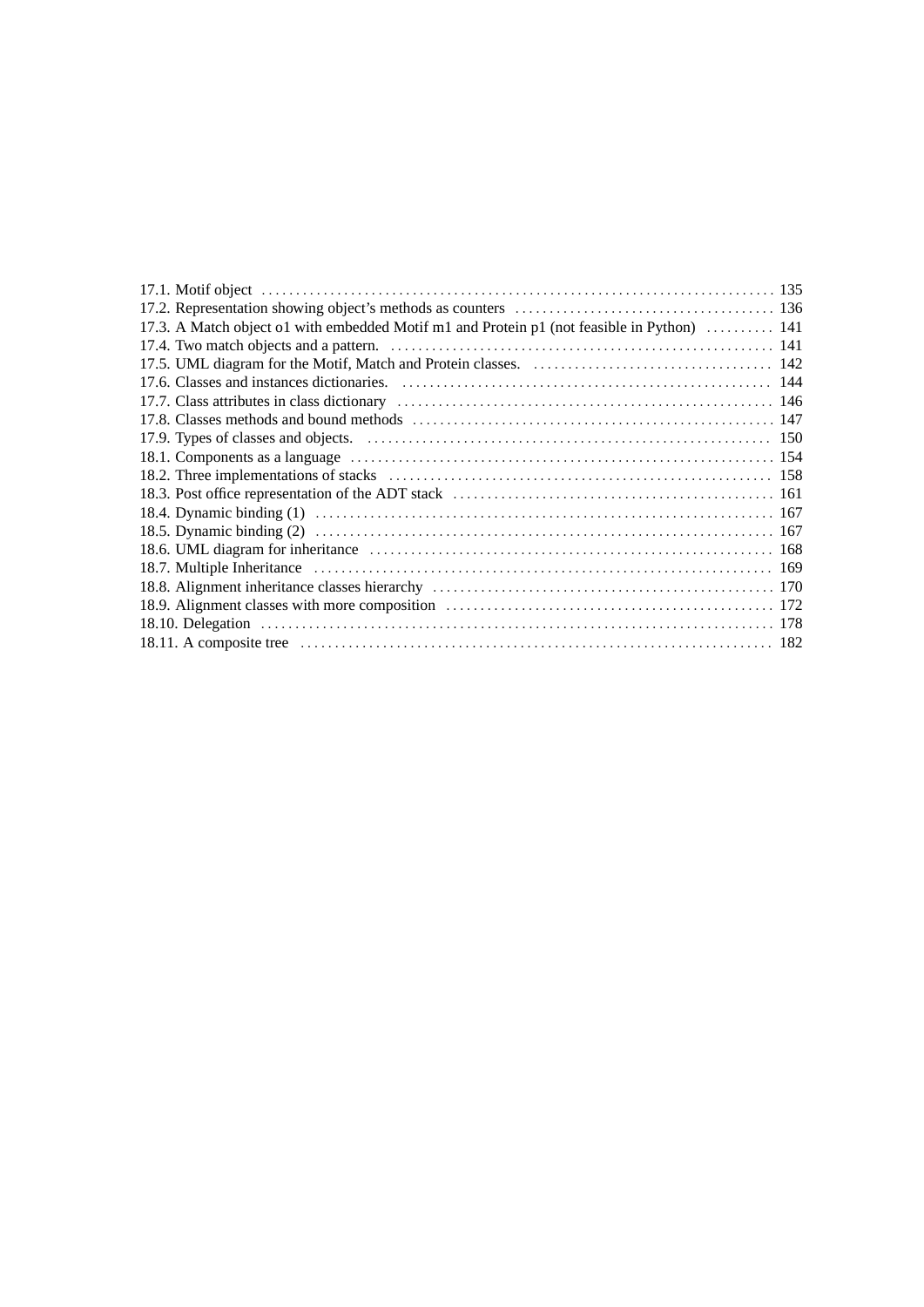| 17.3. A Match object o1 with embedded Motif m1 and Protein p1 (not feasible in Python)  141 |  |
|---------------------------------------------------------------------------------------------|--|
|                                                                                             |  |
|                                                                                             |  |
|                                                                                             |  |
|                                                                                             |  |
|                                                                                             |  |
|                                                                                             |  |
|                                                                                             |  |
|                                                                                             |  |
|                                                                                             |  |
|                                                                                             |  |
|                                                                                             |  |
|                                                                                             |  |
|                                                                                             |  |
|                                                                                             |  |
|                                                                                             |  |
|                                                                                             |  |
|                                                                                             |  |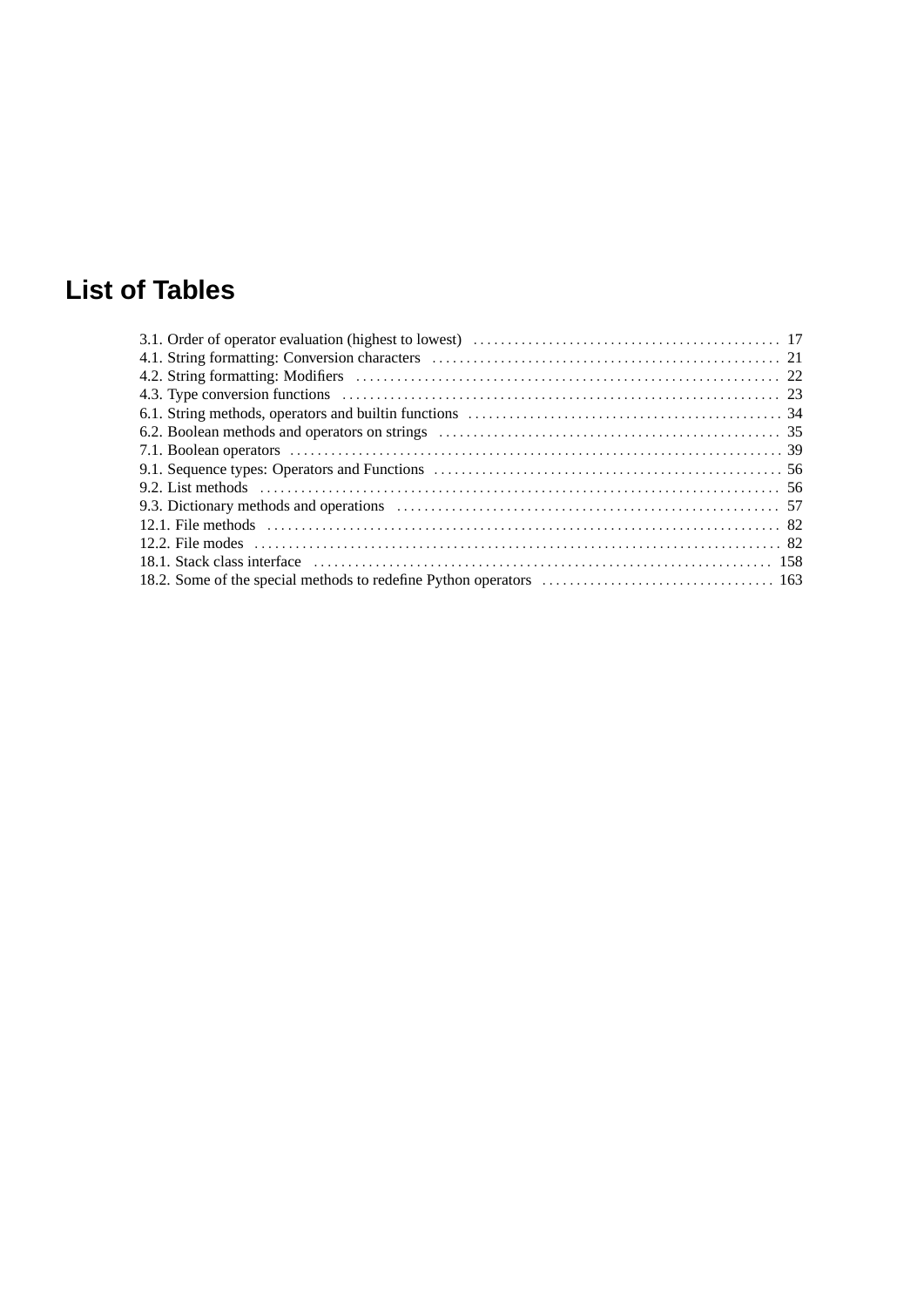# **List of Tables**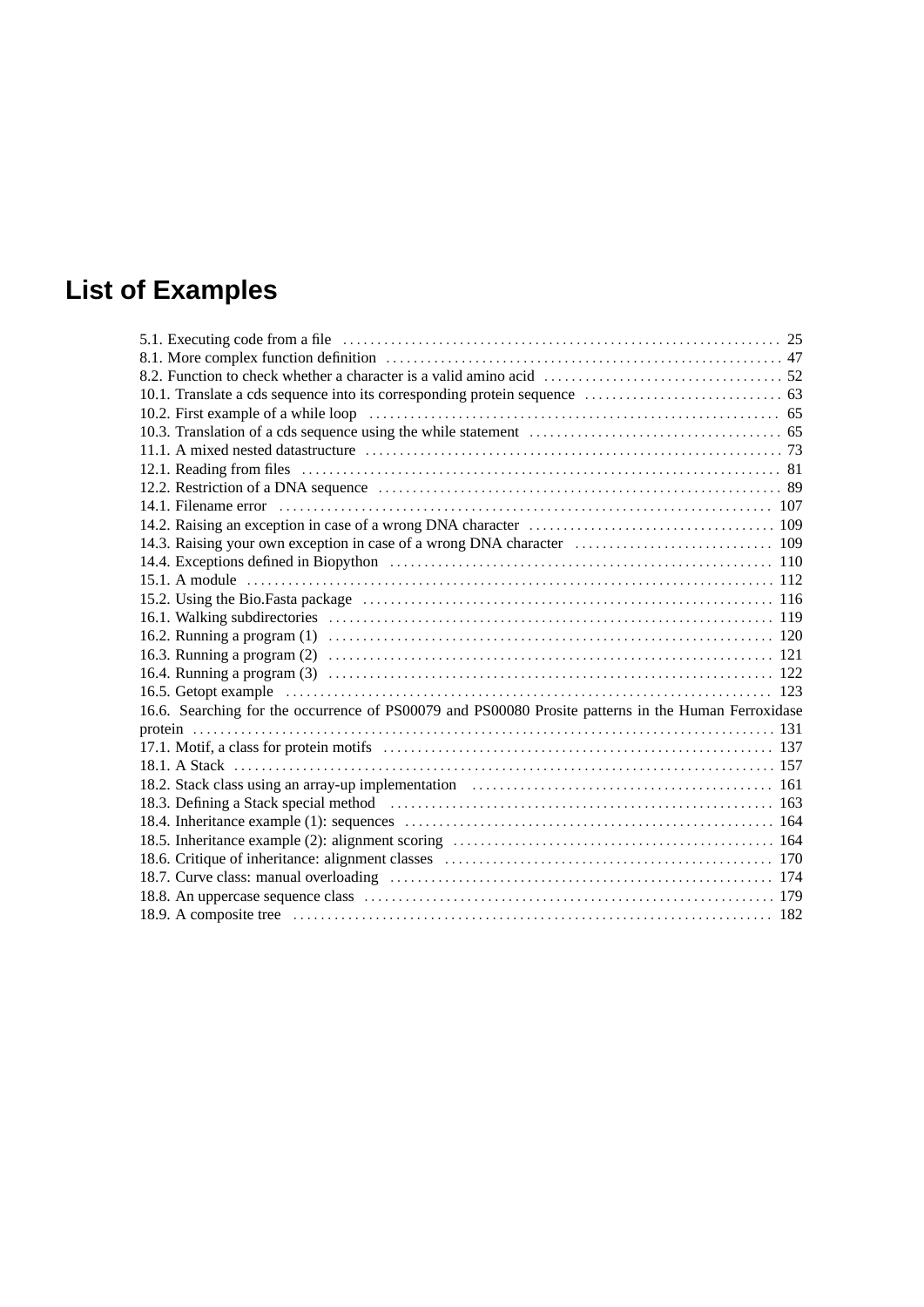# **List of Examples**

| 16.6. Searching for the occurrence of PS00079 and PS00080 Prosite patterns in the Human Ferroxidase |  |
|-----------------------------------------------------------------------------------------------------|--|
|                                                                                                     |  |
|                                                                                                     |  |
|                                                                                                     |  |
|                                                                                                     |  |
|                                                                                                     |  |
|                                                                                                     |  |
|                                                                                                     |  |
|                                                                                                     |  |
|                                                                                                     |  |
|                                                                                                     |  |
|                                                                                                     |  |
|                                                                                                     |  |
|                                                                                                     |  |
|                                                                                                     |  |
|                                                                                                     |  |
|                                                                                                     |  |
|                                                                                                     |  |
|                                                                                                     |  |
|                                                                                                     |  |
|                                                                                                     |  |
|                                                                                                     |  |
|                                                                                                     |  |
|                                                                                                     |  |
|                                                                                                     |  |
|                                                                                                     |  |
|                                                                                                     |  |
|                                                                                                     |  |
|                                                                                                     |  |
|                                                                                                     |  |
|                                                                                                     |  |
|                                                                                                     |  |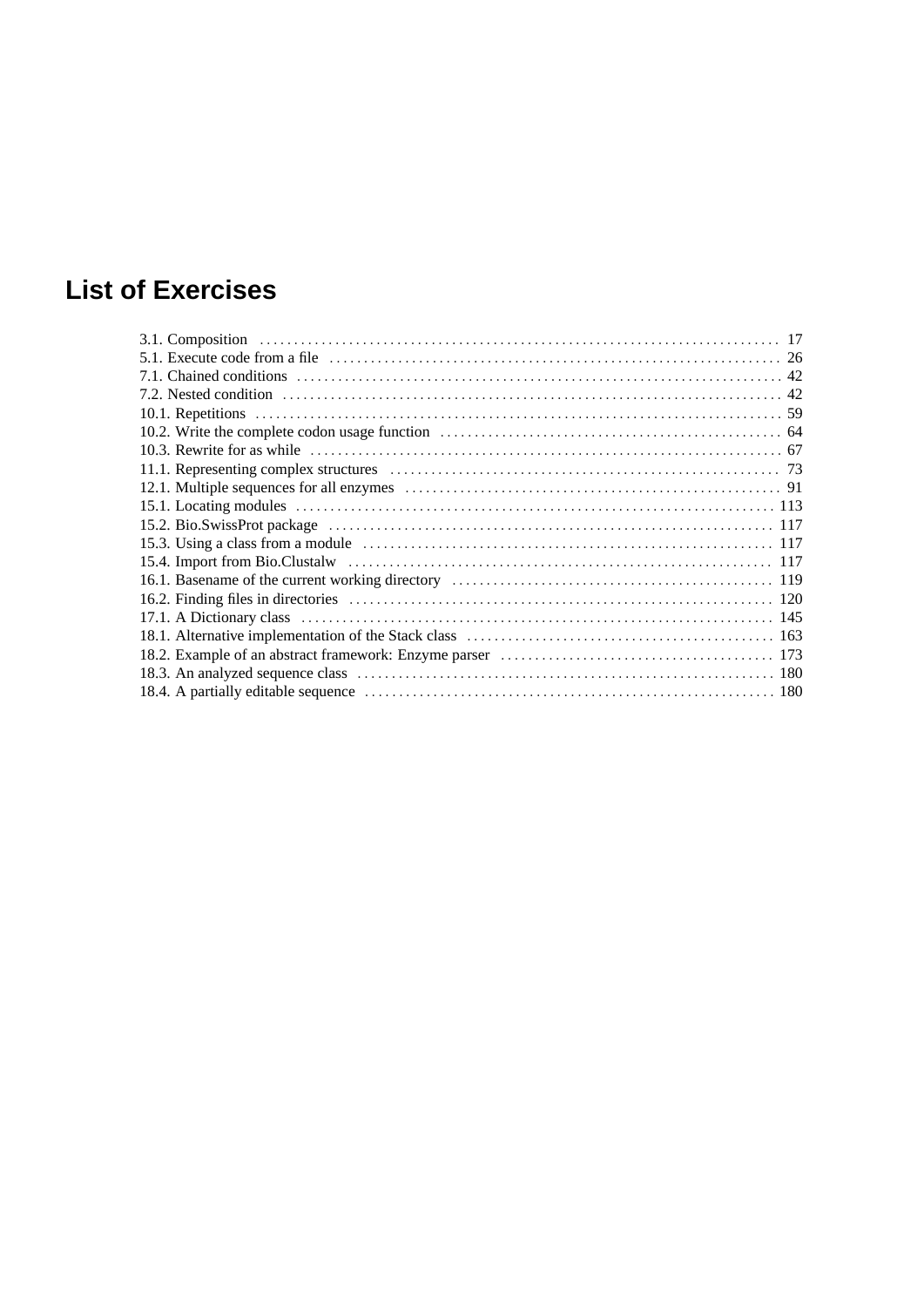# **List of Exercises**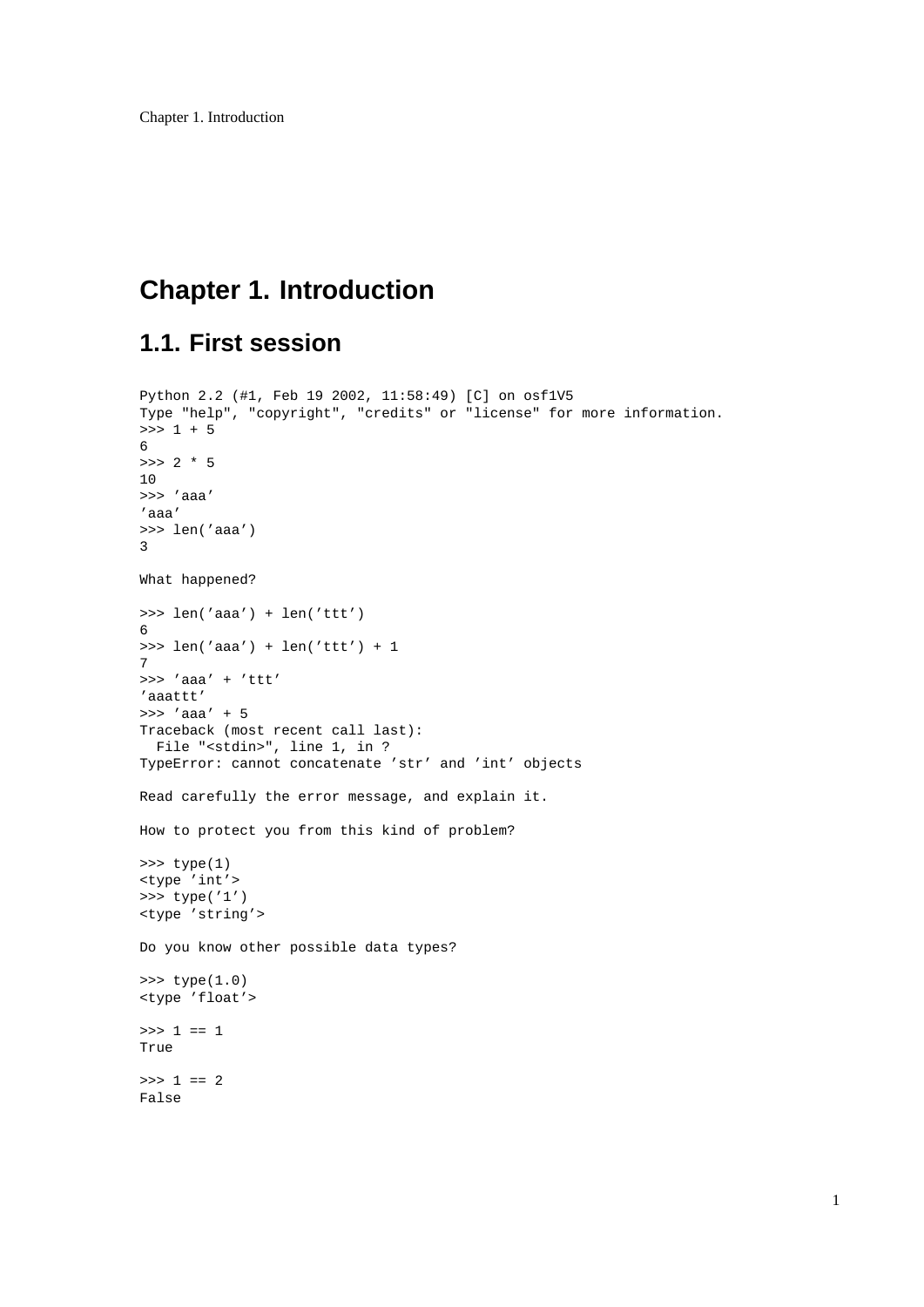## <span id="page-14-0"></span>**Chapter 1. Introduction**

### <span id="page-14-1"></span>**1.1. First session**

```
Python 2.2 (#1, Feb 19 2002, 11:58:49) [C] on osf1V5
Type "help", "copyright", "credits" or "license" for more information.
>>> 1 + 5
6
>> 2 * 510
>>> 'aaa'
'aaa'
>>> len('aaa')
3
What happened?
>>> len('aaa') + len('ttt')
6
>>> len('aaa') + len('ttt') + 1
7
>>> 'aaa' + 'ttt'
'aaattt'
>>> 'aaa' + 5
Traceback (most recent call last):
 File "<stdin>", line 1, in ?
TypeError: cannot concatenate 'str' and 'int' objects
Read carefully the error message, and explain it.
How to protect you from this kind of problem?
>>> type(1)
<type 'int'>
>>> type('1')
<type 'string'>
Do you know other possible data types?
>>> type(1.0)
<type 'float'>
>>> 1 == 1
True
\gg > 1 == 2
False
```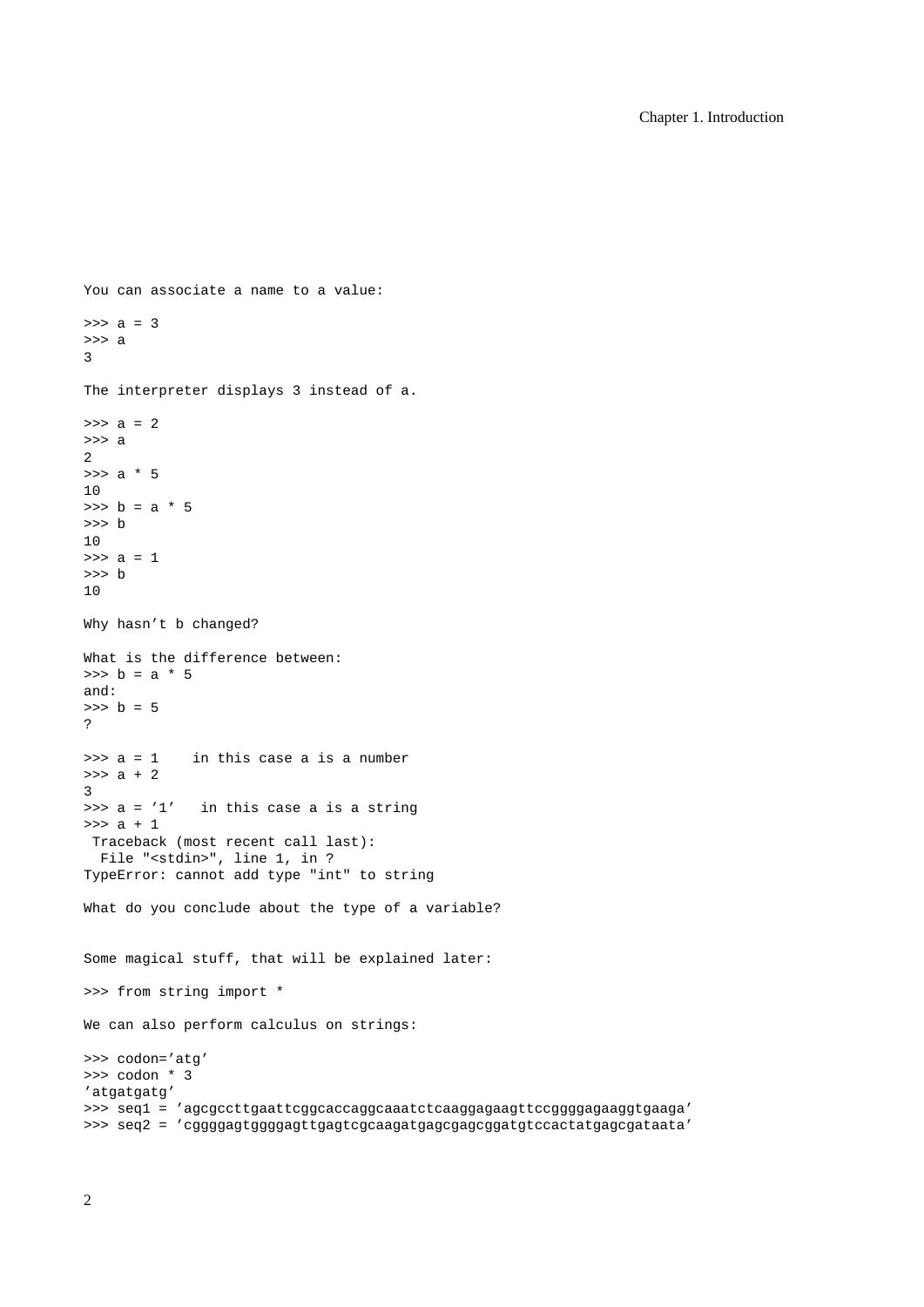```
You can associate a name to a value:
>>> a = 3
>>> a
3
The interpreter displays 3 instead of a.
\Rightarrow a = 2
>>> a
2
>>> a * 5
10
\gg b = a * 5
>>> b
10
\Rightarrow > a = 1
>>> b
10
Why hasn't b changed?
What is the difference between:
\Rightarrow b = a * 5
and:
\Rightarrow \frac{1}{2} b = 5
?
>>> a = 1 in this case a is a number
>> a + 2
3
>>> a = '1' in this case a is a string
\gg a + 1
Traceback (most recent call last):
 File "<stdin>", line 1, in ?
TypeError: cannot add type "int" to string
What do you conclude about the type of a variable?
Some magical stuff, that will be explained later:
>>> from string import *
We can also perform calculus on strings:
>>> codon='atg'
>>> codon * 3
'atgatgatg'
>>> seq1 = 'agcgccttgaattcggcaccaggcaaatctcaaggagaagttccggggagaaggtgaaga'
>>> seq2 = 'cggggagtggggagttgagtcgcaagatgagcgagcggatgtccactatgagcgataata'
```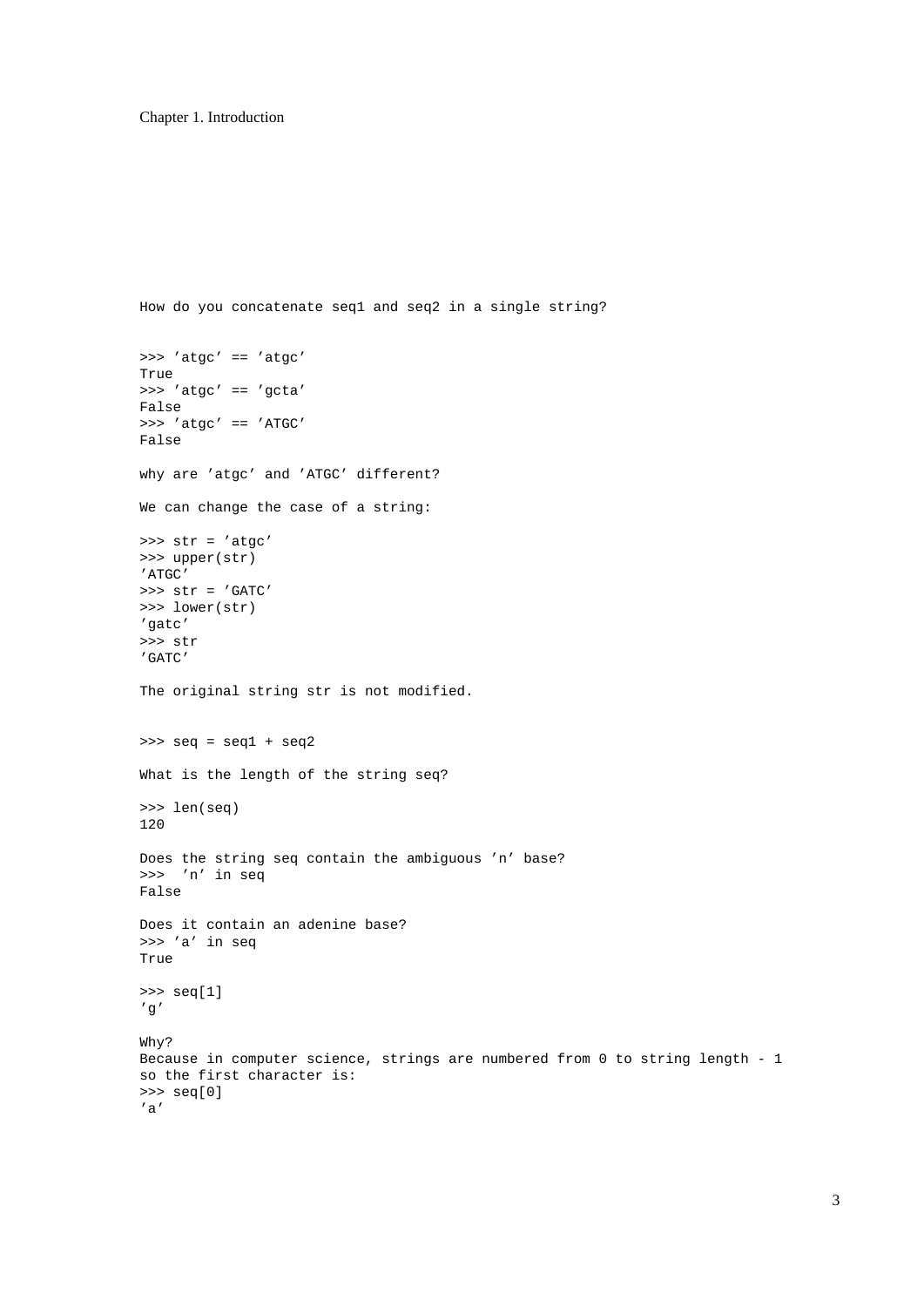#### Chapter 1. Introduction

```
How do you concatenate seq1 and seq2 in a single string?
>>> 'atgc' == 'atgc'
True
>>> 'atgc' == 'gcta'
False
>>> 'atgc' == 'ATGC'
False
why are 'atgc' and 'ATGC' different?
We can change the case of a string:
>>> str = 'atgc'
>>> upper(str)
'ATGC'
>>> str = 'GATC'
>>> lower(str)
'gatc'
>>> str
'GATC'
The original string str is not modified.
>>> seq = seq1 + seq2
What is the length of the string seq?
>>> len(seq)
120
Does the string seq contain the ambiguous 'n' base?
>>> 'n' in seq
False
Does it contain an adenine base?
>>> 'a' in seq
True
>>> seq[1]
'g'
Why?
Because in computer science, strings are numbered from 0 to string length - 1
so the first character is:
>>> seq[0]
'a'
```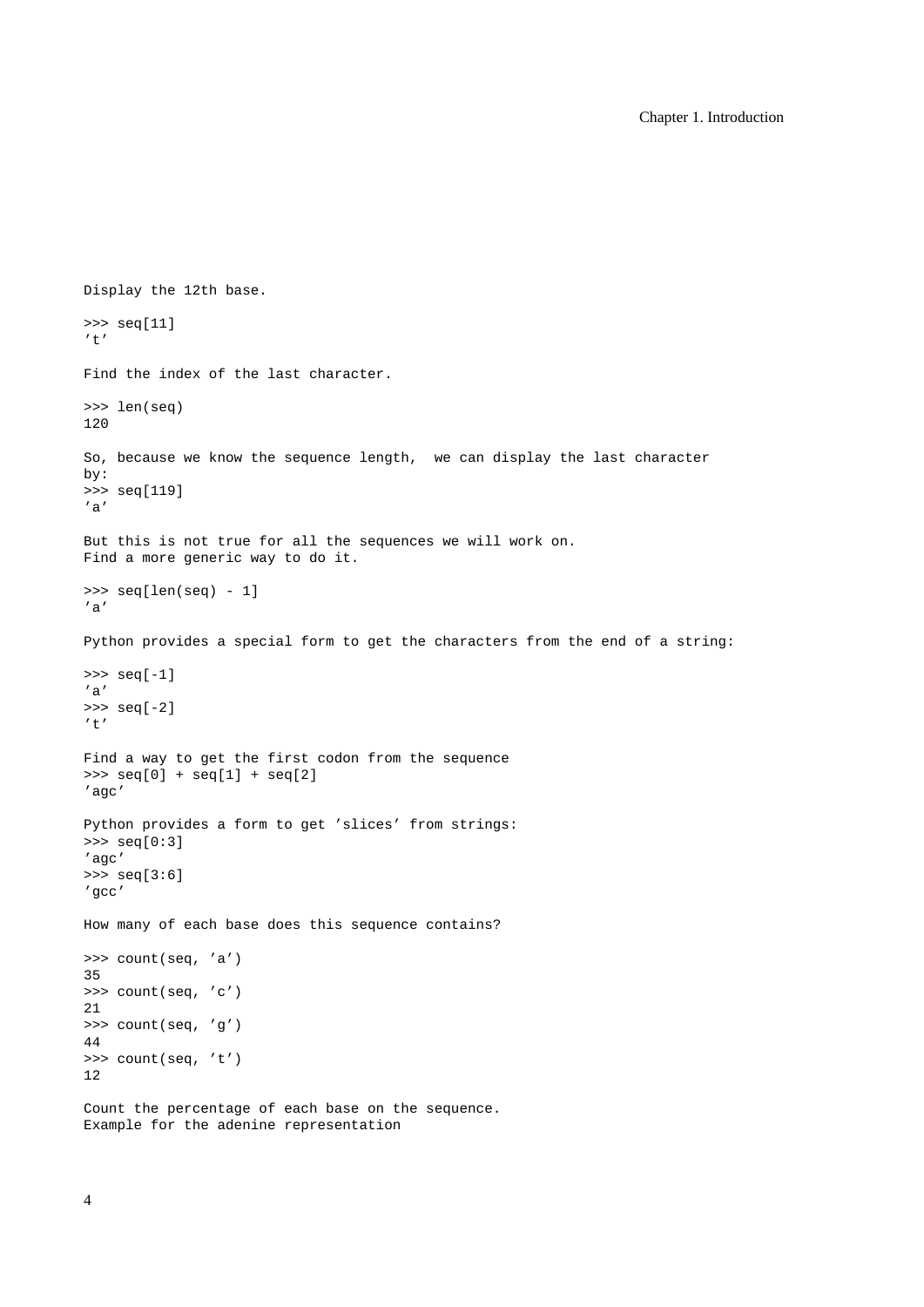```
Display the 12th base.
>>> seq[11]
't'
Find the index of the last character.
>>> len(seq)
120
So, because we know the sequence length, we can display the last character
by:
>>> seq[119]
'a'
But this is not true for all the sequences we will work on.
Find a more generic way to do it.
>>> seq[len(seq) - 1]
'a'
Python provides a special form to get the characters from the end of a string:
>>> seq[-1]
'a'
>>> seq[-2]
't'
Find a way to get the first codon from the sequence
>>> seq[0] + seq[1] + seq[2]
'agc'
Python provides a form to get 'slices' from strings:
>>> seq[0:3]
'agc'
>>> seq[3:6]
'gcc'
How many of each base does this sequence contains?
>>> count(seq, 'a')
35
>>> count(seq, 'c')
21
>>> count(seq, 'g')
44
>>> count(seq, 't')
12
Count the percentage of each base on the sequence.
Example for the adenine representation
```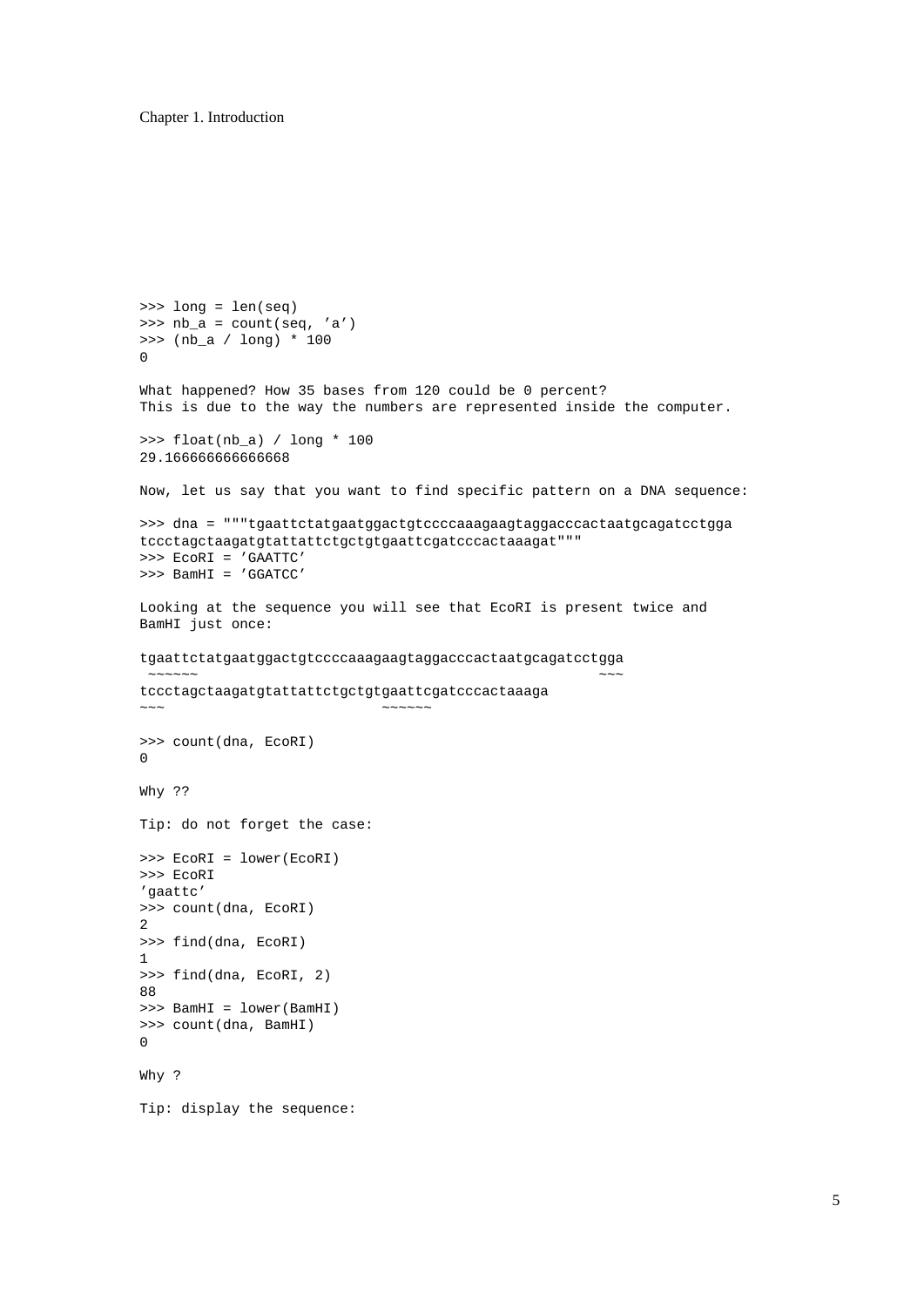```
>>> long = len(seq)
>>> nb_a = count(seq, 'a')
>>> (nb_a / long) * 100
\OmegaWhat happened? How 35 bases from 120 could be 0 percent?
This is due to the way the numbers are represented inside the computer.
>>> float(nb_a) / long * 100
29.166666666666668
Now, let us say that you want to find specific pattern on a DNA sequence:
>>> dna = """tgaattctatgaatggactgtccccaaagaagtaggacccactaatgcagatcctgga
tccctagctaagatgtattattctgctgtgaattcgatcccactaaagat"""
>>> EcoRI = 'GAATTC'
>>> BamHI = 'GGATCC'
Looking at the sequence you will see that EcoRI is present twice and
BamHI just once:
tgaattctatgaatggactgtccccaaagaagtaggacccactaatgcagatcctgga
 ~~~~~~ ~~~
tccctagctaagatgtattattctgctgtgaattcgatcccactaaaga
~\sim~ ~\sim~ ~\sim~ ~\sim~ ~\sim~ ~\sim ~\sim ~\sim ~\sim ~\sim ~\sim ~\sim ~\sim ~\sim ~\sim ~\sim ~\sim ~\sim ~\sim ~\sim ~\sim ~\sim ~\sim ~\sim ~\sim ~\sim ~\sim ~\sim ~\sim ~\sim ~\sim ~\sim ~\sim ~\sim ~\sim ~\sim 
>>> count(dna, EcoRI)
0
Why ??
Tip: do not forget the case:
>>> EcoRI = lower(EcoRI)
>>> EcoRI
'gaattc'
>>> count(dna, EcoRI)
2
>>> find(dna, EcoRI)
1
>>> find(dna, EcoRI, 2)
88
>>> BamHI = lower(BamHI)
>>> count(dna, BamHI)
0
Why ?
```
Tip: display the sequence: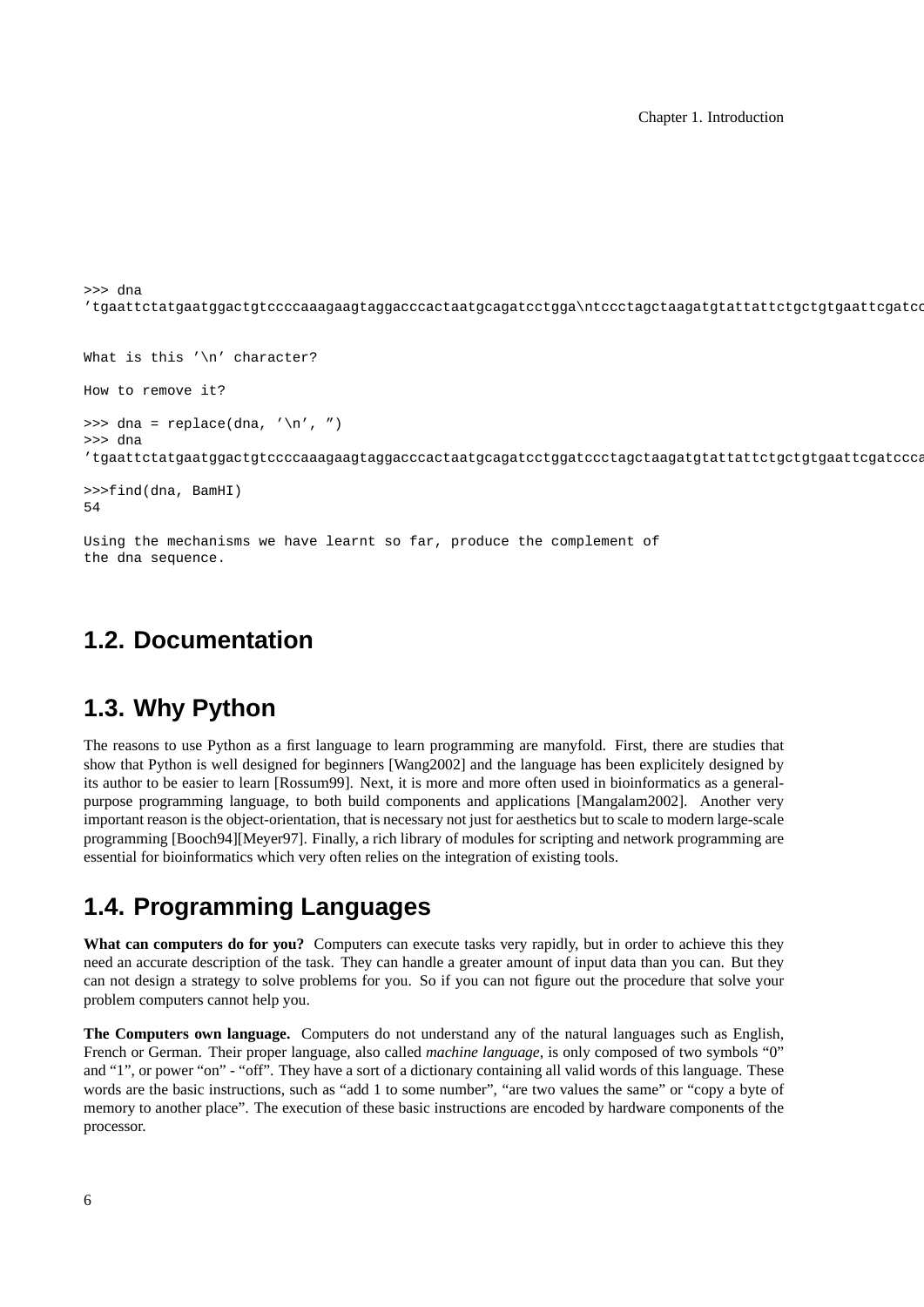Chapter 1. Introduction

```
'tgaattctatgaatggactgtccccaaagaagtaggacccactaatgcagatcctgga\ntccctagctaagatgtattattctgctgtgaattcgatcccactaaagat'
What is this '\n' character?
How to remove it?
```

```
>>> dna = replace(dna, '\n', ")
>>> dna
'tgaattctatgaatggactgtccccaaagaagtaggacccactaatgcagatcctggatccctagctaagatgtattattctgctgtgaattcgatcccactaaagat'
```

```
>>>find(dna, BamHI)
54
```
>>> dna

Using the mechanisms we have learnt so far, produce the complement of the dna sequence.

#### <span id="page-19-0"></span>**1.2. Documentation**

#### <span id="page-19-1"></span>**1.3. Why Python**

The reasons to use Python as a first language to learn programming are manyfold. First, there are studies that show that Python is well designed for beginners [Wang2002] and the language has been explicitely designed by its author to be easier to learn [Rossum99]. Next, it is more and more often used in bioinformatics as a generalpurpose programming language, to both build components and applications [Mangalam2002]. Another very important reason is the object-orientation, that is necessary not just for aesthetics but to scale to modern large-scale programming [Booch94][Meyer97]. Finally, a rich library of modules for scripting and network programming are essential for bioinformatics which very often relies on the integration of existing tools.

### <span id="page-19-2"></span>**1.4. Programming Languages**

**What can computers do for you?** Computers can execute tasks very rapidly, but in order to achieve this they need an accurate description of the task. They can handle a greater amount of input data than you can. But they can not design a strategy to solve problems for you. So if you can not figure out the procedure that solve your problem computers cannot help you.

**The Computers own language.** Computers do not understand any of the natural languages such as English, French or German. Their proper language, also called *machine language*, is only composed of two symbols "0" and "1", or power "on" - "off". They have a sort of a dictionary containing all valid words of this language. These words are the basic instructions, such as "add 1 to some number", "are two values the same" or "copy a byte of memory to another place". The execution of these basic instructions are encoded by hardware components of the processor.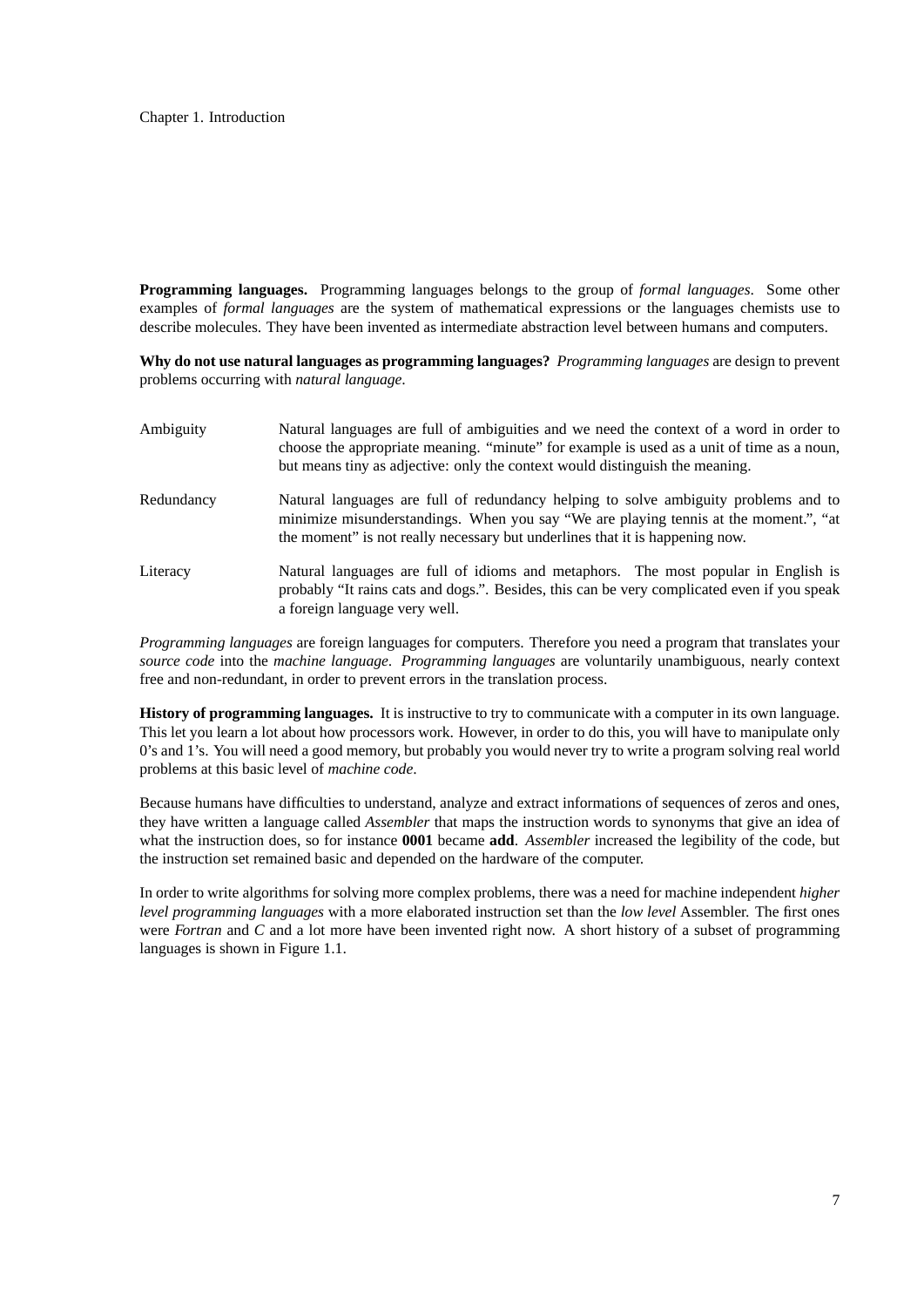**Programming languages.** Programming languages belongs to the group of *formal languages*. Some other examples of *formal languages* are the system of mathematical expressions or the languages chemists use to describe molecules. They have been invented as intermediate abstraction level between humans and computers.

**Why do not use natural languages as programming languages?** *Programming languages* are design to prevent problems occurring with *natural language*.

| Ambiguity  | Natural languages are full of ambiguities and we need the context of a word in order to<br>choose the appropriate meaning. "minute" for example is used as a unit of time as a noun,<br>but means tiny as adjective: only the context would distinguish the meaning. |  |  |  |
|------------|----------------------------------------------------------------------------------------------------------------------------------------------------------------------------------------------------------------------------------------------------------------------|--|--|--|
| Redundancy | Natural languages are full of redundancy helping to solve ambiguity problems and to<br>minimize misunderstandings. When you say "We are playing tennis at the moment.", "at<br>the moment" is not really necessary but underlines that it is happening now.          |  |  |  |
| Literacy   | Natural languages are full of idioms and metaphors. The most popular in English is<br>probably "It rains cats and dogs.". Besides, this can be very complicated even if you speak<br>a foreign language very well.                                                   |  |  |  |

*Programming languages* are foreign languages for computers. Therefore you need a program that translates your *source code* into the *machine language*. *Programming languages* are voluntarily unambiguous, nearly context free and non-redundant, in order to prevent errors in the translation process.

**History of programming languages.** It is instructive to try to communicate with a computer in its own language. This let you learn a lot about how processors work. However, in order to do this, you will have to manipulate only 0's and 1's. You will need a good memory, but probably you would never try to write a program solving real world problems at this basic level of *machine code*.

Because humans have difficulties to understand, analyze and extract informations of sequences of zeros and ones, they have written a language called *Assembler* that maps the instruction words to synonyms that give an idea of what the instruction does, so for instance **0001** became **add**. *Assembler* increased the legibility of the code, but the instruction set remained basic and depended on the hardware of the computer.

<span id="page-20-0"></span>In order to write algorithms for solving more complex problems, there was a need for machine independent *higher level programming languages* with a more elaborated instruction set than the *low level* Assembler. The first ones were *Fortran* and *C* and a lot more have been invented right now. A short history of a subset of programming languages is shown in [Figure 1.1.](#page-20-0)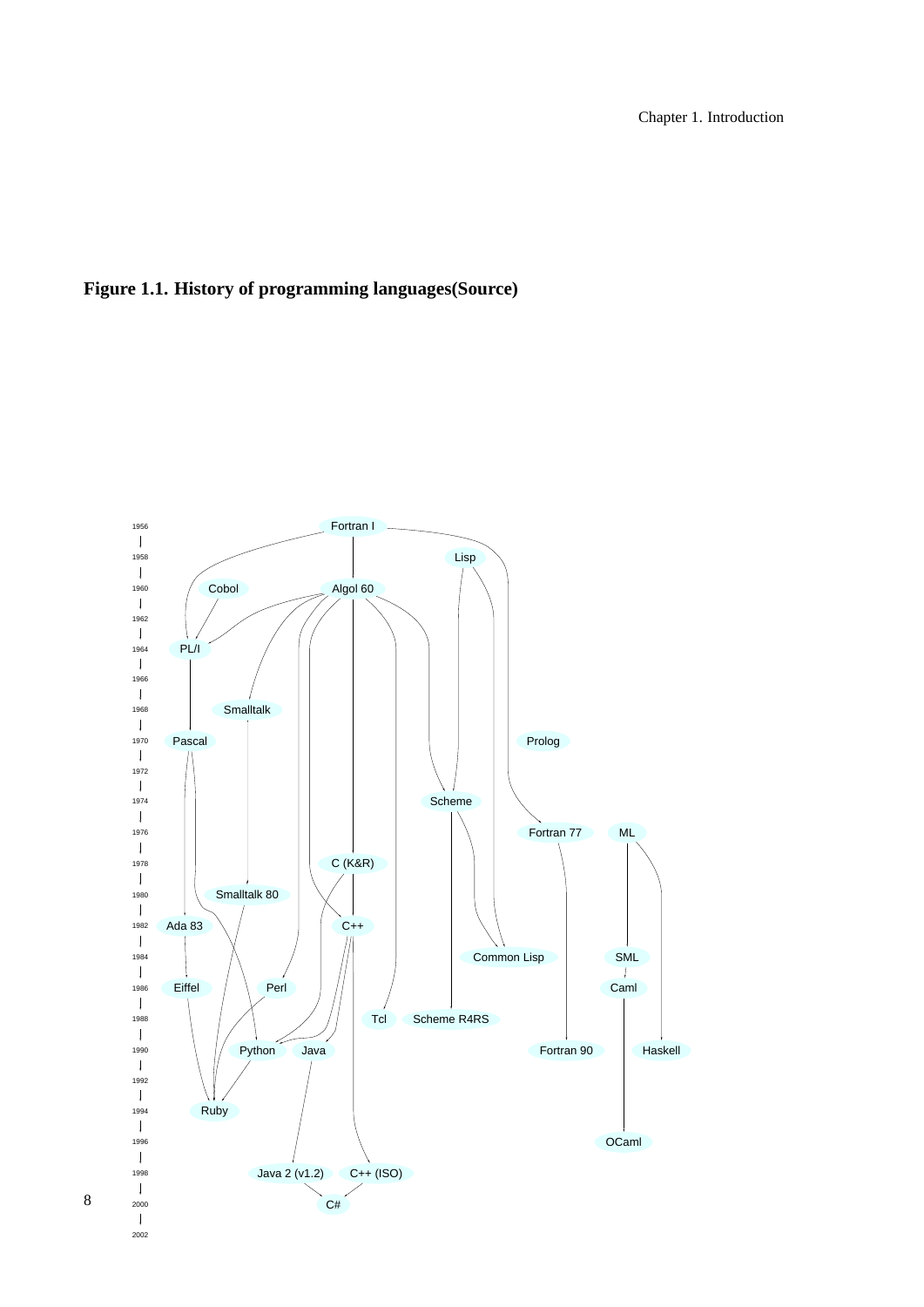#### **Figure 1.1. History of programming languages(Source)**

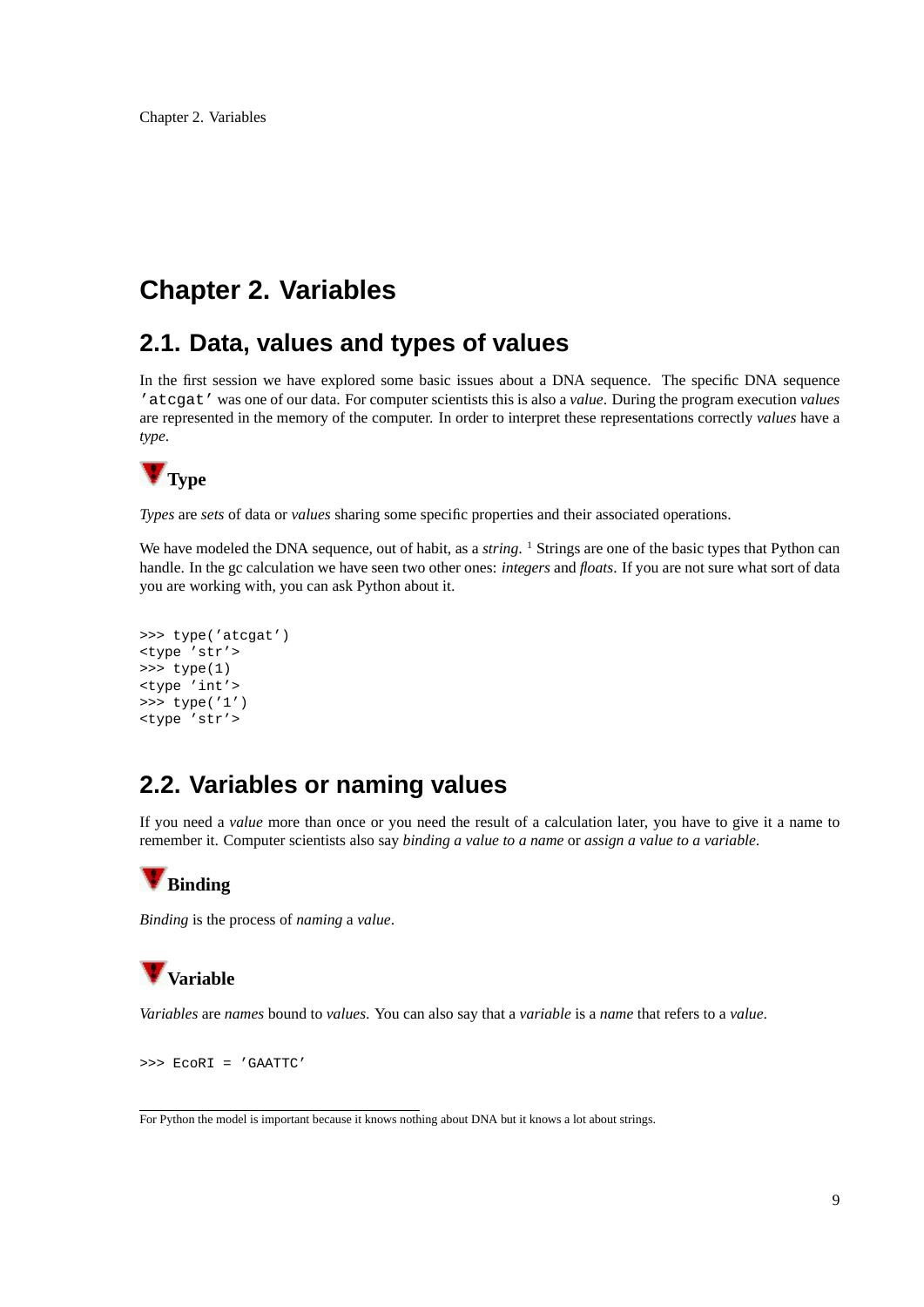## <span id="page-22-0"></span>**Chapter 2. Variables**

#### <span id="page-22-1"></span>**2.1. Data, values and types of values**

In the first session we have explored some basic issues about a DNA sequence. The specific DNA sequence 'atcgat' was one of our data. For computer scientists this is also a *value*. During the program execution *values* are represented in the memory of the computer. In order to interpret these representations correctly *values* have a *type*.



*Types* are *sets* of data or *values* sharing some specific properties and their associated operations.

We have modeled the DNA sequence, out of habit, as a *string*. <sup>1</sup> Strings are one of the basic types that Python can handle. In the gc calculation we have seen two other ones: *integers* and *floats*. If you are not sure what sort of data you are working with, you can ask Python about it.

```
>>> type('atcgat')
<type 'str'>
>>> type(1)
<type 'int'>
>>> type('1')
<type 'str'>
```
#### <span id="page-22-2"></span>**2.2. Variables or naming values**

If you need a *value* more than once or you need the result of a calculation later, you have to give it a name to remember it. Computer scientists also say *binding a value to a name* or *assign a value to a variable*.

#### **Binding**

*Binding* is the process of *naming* a *value*.

#### **Variable**

*Variables* are *names* bound to *values*. You can also say that a *variable* is a *name* that refers to a *value*.

```
>>> EcoRI = 'GAATTC'
```
For Python the model is important because it knows nothing about DNA but it knows a lot about strings.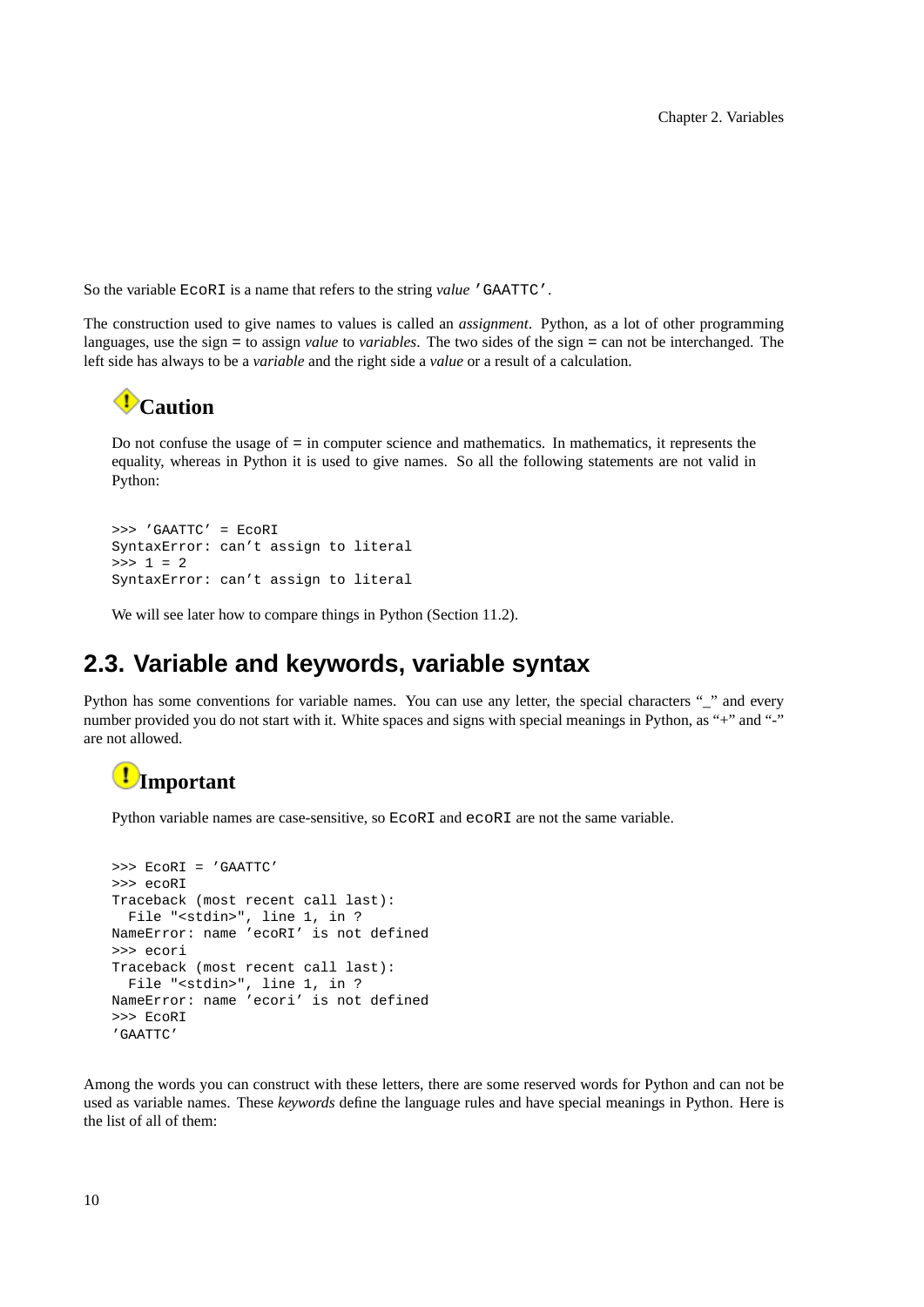So the variable EcoRI is a name that refers to the string *value* 'GAATTC'.

The construction used to give names to values is called an *assignment*. Python, as a lot of other programming languages, use the sign = to assign *value* to *variables*. The two sides of the sign = can not be interchanged. The left side has always to be a *variable* and the right side a *value* or a result of a calculation.

# **Caution**

Do not confuse the usage of = in computer science and mathematics. In mathematics, it represents the equality, whereas in Python it is used to give names. So all the following statements are not valid in Python:

```
>>> 'GAATTC' = EcoRI
SyntaxError: can't assign to literal
>> 1 = 2SyntaxError: can't assign to literal
```
<span id="page-23-0"></span>We will see later how to compare things in Python [\(Section 11.2\)](#page-86-0).

#### **2.3. Variable and keywords, variable syntax**

Python has some conventions for variable names. You can use any letter, the special characters "\_" and every number provided you do not start with it. White spaces and signs with special meanings in Python, as "+" and "-" are not allowed.

#### a **Important**

Python variable names are case-sensitive, so EcoRI and ecoRI are not the same variable.

```
>>> EcoRI = 'GAATTC'
>>> ecoRI
Traceback (most recent call last):
 File "<stdin>", line 1, in ?
NameError: name 'ecoRI' is not defined
>>> ecori
Traceback (most recent call last):
  File "<stdin>", line 1, in ?
NameError: name 'ecori' is not defined
>>> EcoRI
'GAATTC'
```
Among the words you can construct with these letters, there are some reserved words for Python and can not be used as variable names. These *keywords* define the language rules and have special meanings in Python. Here is the list of all of them: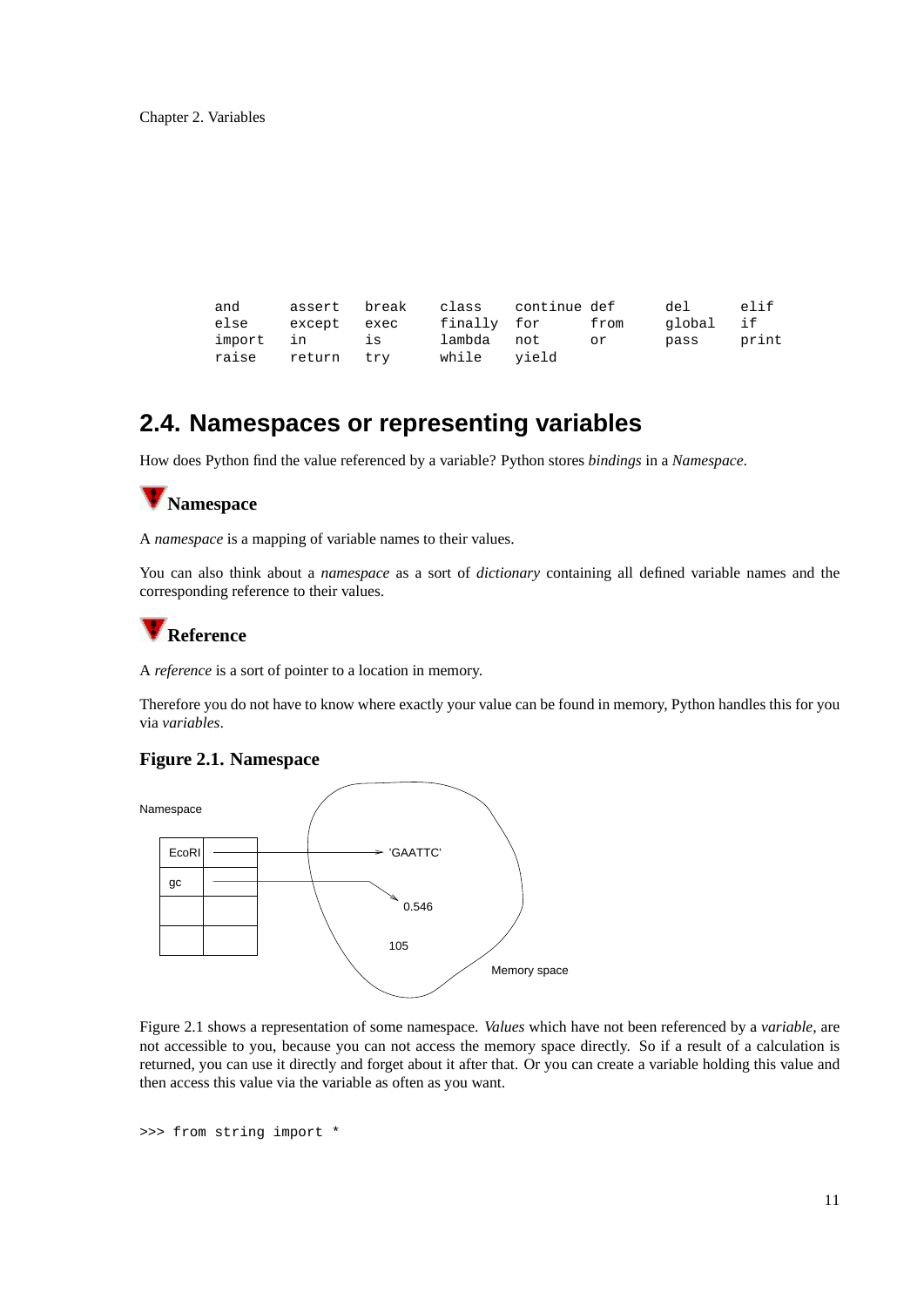| and |                  |             | assert break class continue-def   |    | del        | elif |
|-----|------------------|-------------|-----------------------------------|----|------------|------|
|     |                  |             | else except exec finally for from |    | qlobal if  |      |
|     | import in is     | lambda not  |                                   | or | pass print |      |
|     | raise return try | while vield |                                   |    |            |      |

#### <span id="page-24-0"></span>**2.4. Namespaces or representing variables**

How does Python find the value referenced by a variable? Python stores *bindings* in a *Namespace*.

#### **Namespace**

A *namespace* is a mapping of variable names to their values.

You can also think about a *namespace* as a sort of *dictionary* containing all defined variable names and the corresponding reference to their values.

#### **Reference**

A *reference* is a sort of pointer to a location in memory.

Therefore you do not have to know where exactly your value can be found in memory, Python handles this for you via *variables*.

#### <span id="page-24-1"></span>**Figure 2.1. Namespace**



[Figure 2.1](#page-24-1) shows a representation of some namespace. *Values* which have not been referenced by a *variable*, are not accessible to you, because you can not access the memory space directly. So if a result of a calculation is returned, you can use it directly and forget about it after that. Or you can create a variable holding this value and then access this value via the variable as often as you want.

```
>>> from string import *
```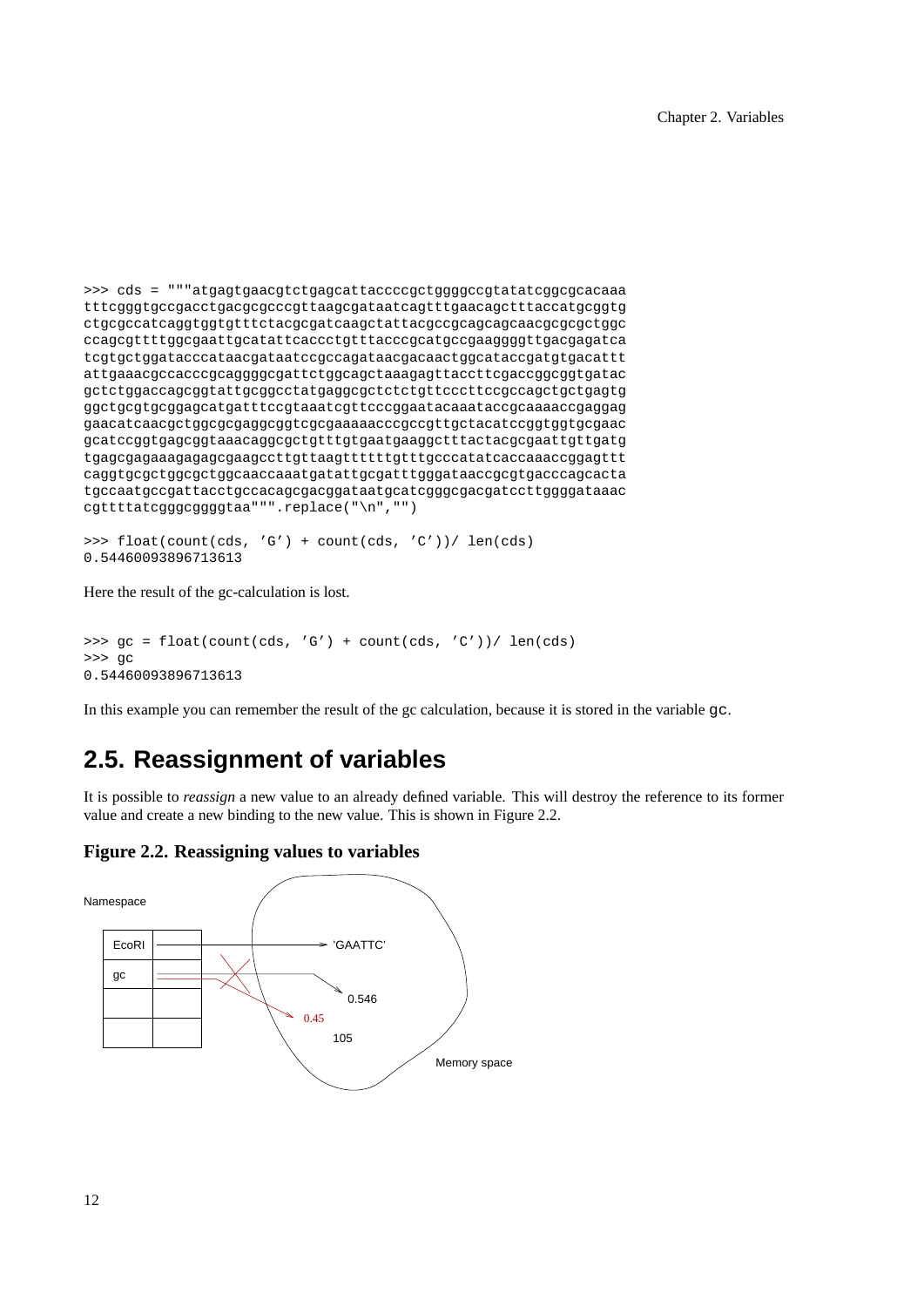```
>>> cds = """atgagtgaacgtctgagcattaccccgctggggccgtatatcggcgcacaaa
tttcgggtgccgacctgacgcgcccgttaagcgataatcagtttgaacagctttaccatgcggtg
ctgcgccatcaggtggtgtttctacgcgatcaagctattacgccgcagcagcaacgcgcgctggc
ccagcgttttggcgaattgcatattcaccctgtttacccgcatgccgaaggggttgacgagatca
tcgtgctggatacccataacgataatccgccagataacgacaactggcataccgatgtgacattt
attgaaacgccacccgcaggggcgattctggcagctaaagagttaccttcgaccggcggtgatac
gctctggaccagcggtattgcggcctatgaggcgctctctgttcccttccgccagctgctgagtg
ggctgcgtgcggagcatgatttccgtaaatcgttcccggaatacaaataccgcaaaaccgaggag
gaacatcaacgctggcgcgaggcggtcgcgaaaaacccgccgttgctacatccggtggtgcgaac
gcatccggtgagcggtaaacaggcgctgtttgtgaatgaaggctttactacgcgaattgttgatg
tgagcgagaaagagagcgaagccttgttaagttttttgtttgcccatatcaccaaaccggagttt
caggtgcgctggcgctggcaaccaaatgatattgcgatttgggataaccgcgtgacccagcacta
tgccaatgccgattacctgccacagcgacggataatgcatcgggcgacgatccttggggataaac
cgttttatcgggcggggtaa""".replace("\n","")
```

```
>>> float(count(cds, 'G') + count(cds, 'C'))/ len(cds)
0.54460093896713613
```
Here the result of the gc-calculation is lost.

```
>>> gc = float(count(cds, 'G') + count(cds, 'C'))/len(cds)>>> gc
0.54460093896713613
```
<span id="page-25-0"></span>In this example you can remember the result of the gc calculation, because it is stored in the variable gc.

### **2.5. Reassignment of variables**

It is possible to *reassign* a new value to an already defined variable. This will destroy the reference to its former value and create a new binding to the new value. This is shown in [Figure 2.2.](#page-25-1)

<span id="page-25-1"></span>

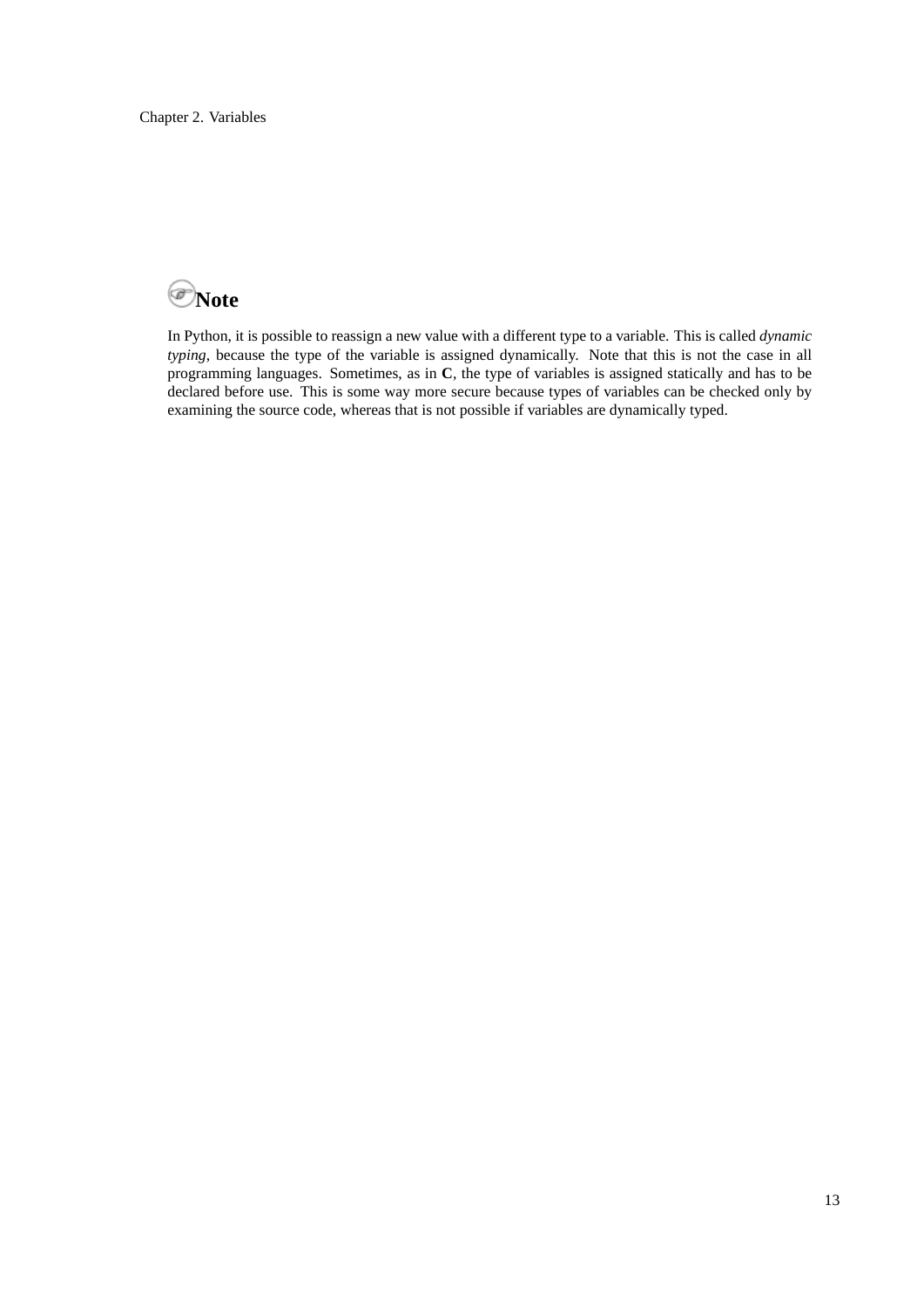

In Python, it is possible to reassign a new value with a different type to a variable. This is called *dynamic typing*, because the type of the variable is assigned dynamically. Note that this is not the case in all programming languages. Sometimes, as in **C**, the type of variables is assigned statically and has to be declared before use. This is some way more secure because types of variables can be checked only by examining the source code, whereas that is not possible if variables are dynamically typed.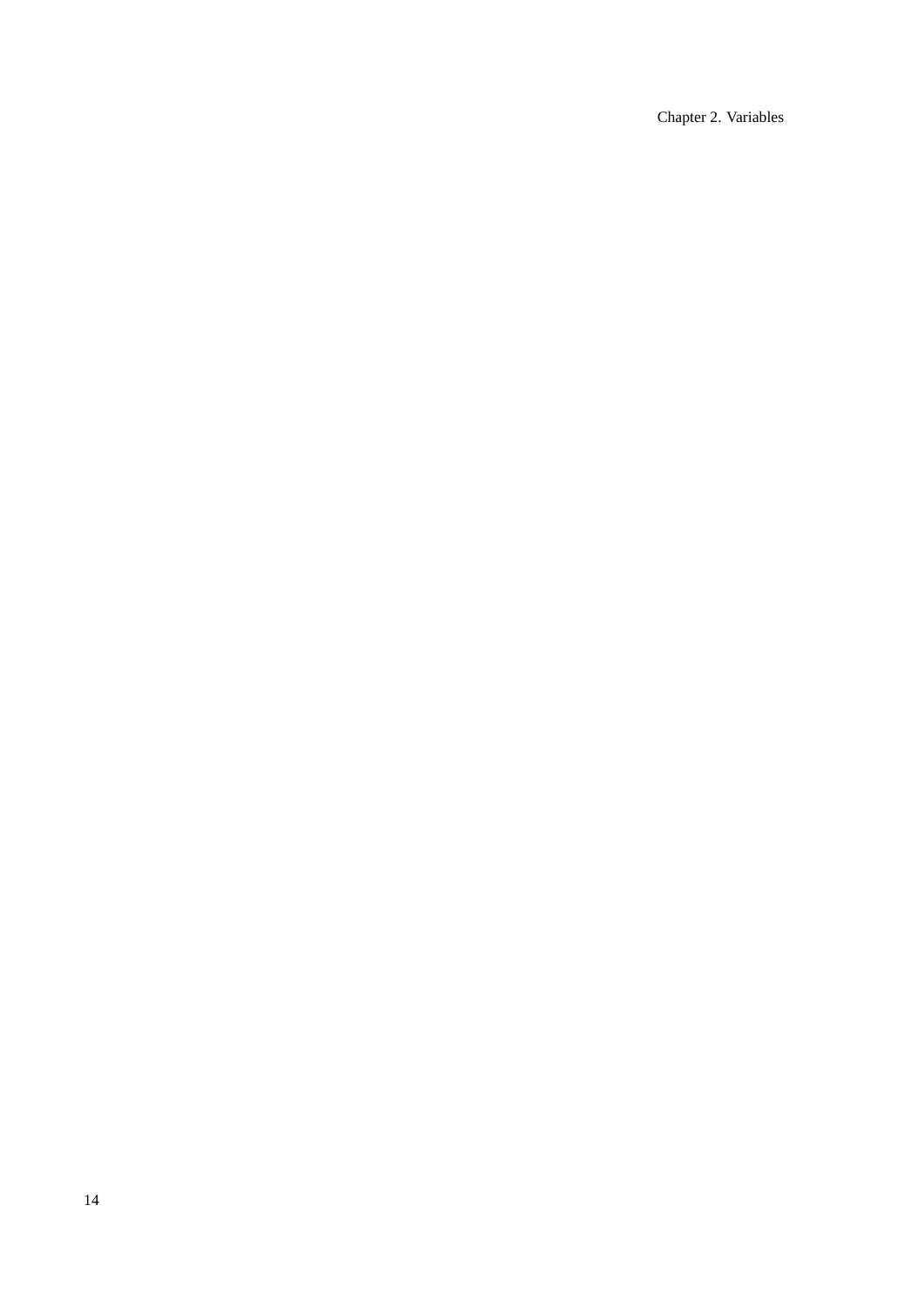Chapter 2. Variables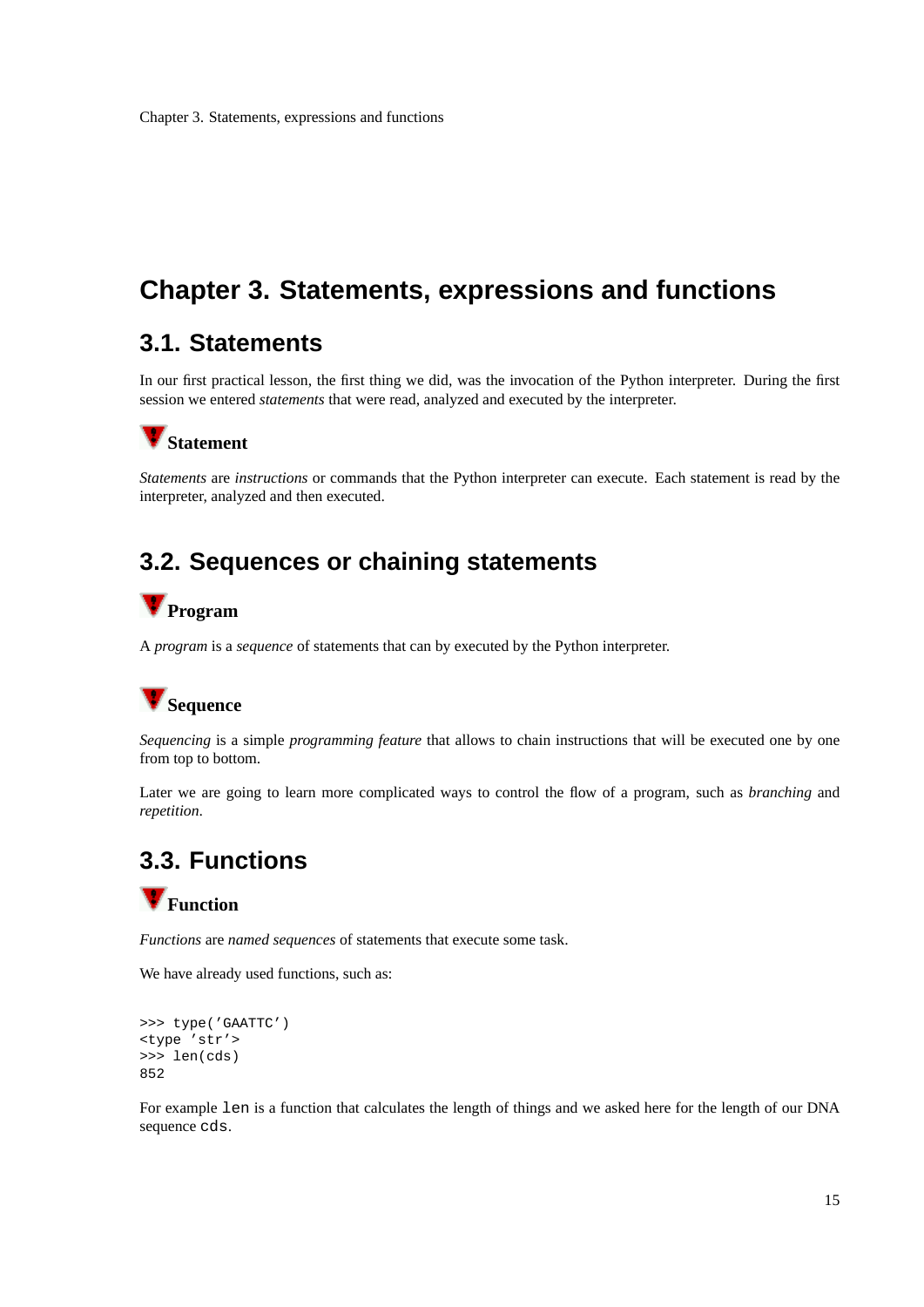## <span id="page-28-1"></span><span id="page-28-0"></span>**Chapter 3. Statements, expressions and functions**

#### **3.1. Statements**

In our first practical lesson, the first thing we did, was the invocation of the Python interpreter. During the first session we entered *statements* that were read, analyzed and executed by the interpreter.

## **Statement**

*Statements* are *instructions* or commands that the Python interpreter can execute. Each statement is read by the interpreter, analyzed and then executed.

#### <span id="page-28-2"></span>**3.2. Sequences or chaining statements**

#### **Program**

A *program* is a *sequence* of statements that can by executed by the Python interpreter.

## **Sequence**

*Sequencing* is a simple *programming feature* that allows to chain instructions that will be executed one by one from top to bottom.

Later we are going to learn more complicated ways to control the flow of a program, such as *branching* and *repetition*.

#### <span id="page-28-3"></span>**3.3. Functions**



*Functions* are *named sequences* of statements that execute some task.

We have already used functions, such as:

```
>>> type('GAATTC')
<type 'str'>
>>> len(cds)
852
```
For example len is a function that calculates the length of things and we asked here for the length of our DNA sequence cds.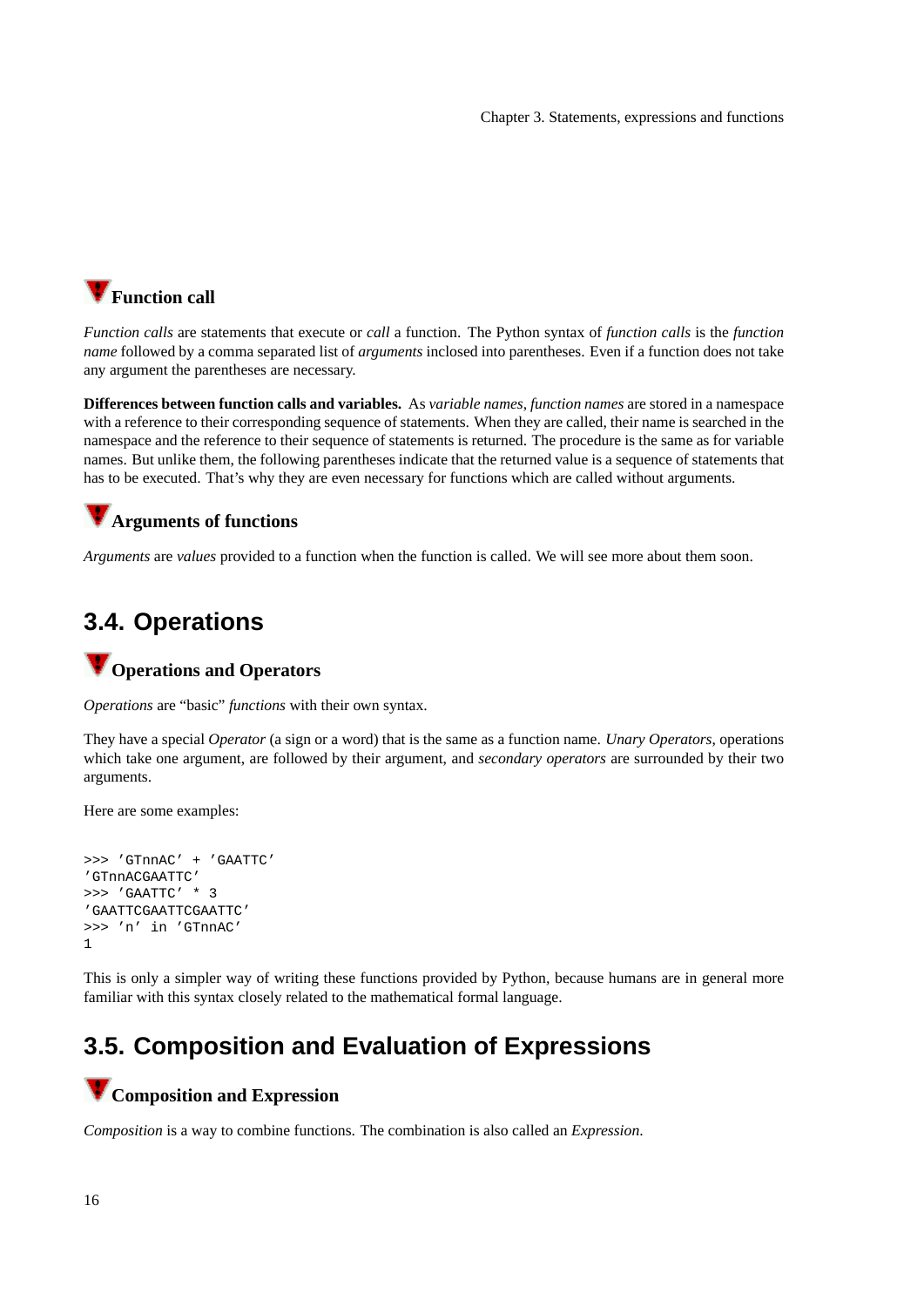

*Function calls* are statements that execute or *call* a function. The Python syntax of *function calls* is the *function name* followed by a comma separated list of *arguments* inclosed into parentheses. Even if a function does not take any argument the parentheses are necessary.

**Differences between function calls and variables.** As *variable names*, *function names* are stored in a namespace with a reference to their corresponding sequence of statements. When they are called, their name is searched in the namespace and the reference to their sequence of statements is returned. The procedure is the same as for variable names. But unlike them, the following parentheses indicate that the returned value is a sequence of statements that has to be executed. That's why they are even necessary for functions which are called without arguments.

#### **Arguments of functions**

*Arguments* are *values* provided to a function when the function is called. We will see more about them soon.

#### <span id="page-29-0"></span>**3.4. Operations**

# **Operations and Operators**

*Operations* are "basic" *functions* with their own syntax.

They have a special *Operator* (a sign or a word) that is the same as a function name. *Unary Operators*, operations which take one argument, are followed by their argument, and *secondary operators* are surrounded by their two arguments.

Here are some examples:

```
>>> 'GTnnAC' + 'GAATTC'
'GTnnACGAATTC'
>>> 'GAATTC' * 3
'GAATTCGAATTCGAATTC'
>>> 'n' in 'GTnnAC'
1
```
This is only a simpler way of writing these functions provided by Python, because humans are in general more familiar with this syntax closely related to the mathematical formal language.

#### <span id="page-29-1"></span>**3.5. Composition and Evaluation of Expressions**

#### **Composition and Expression**

*Composition* is a way to combine functions. The combination is also called an *Expression*.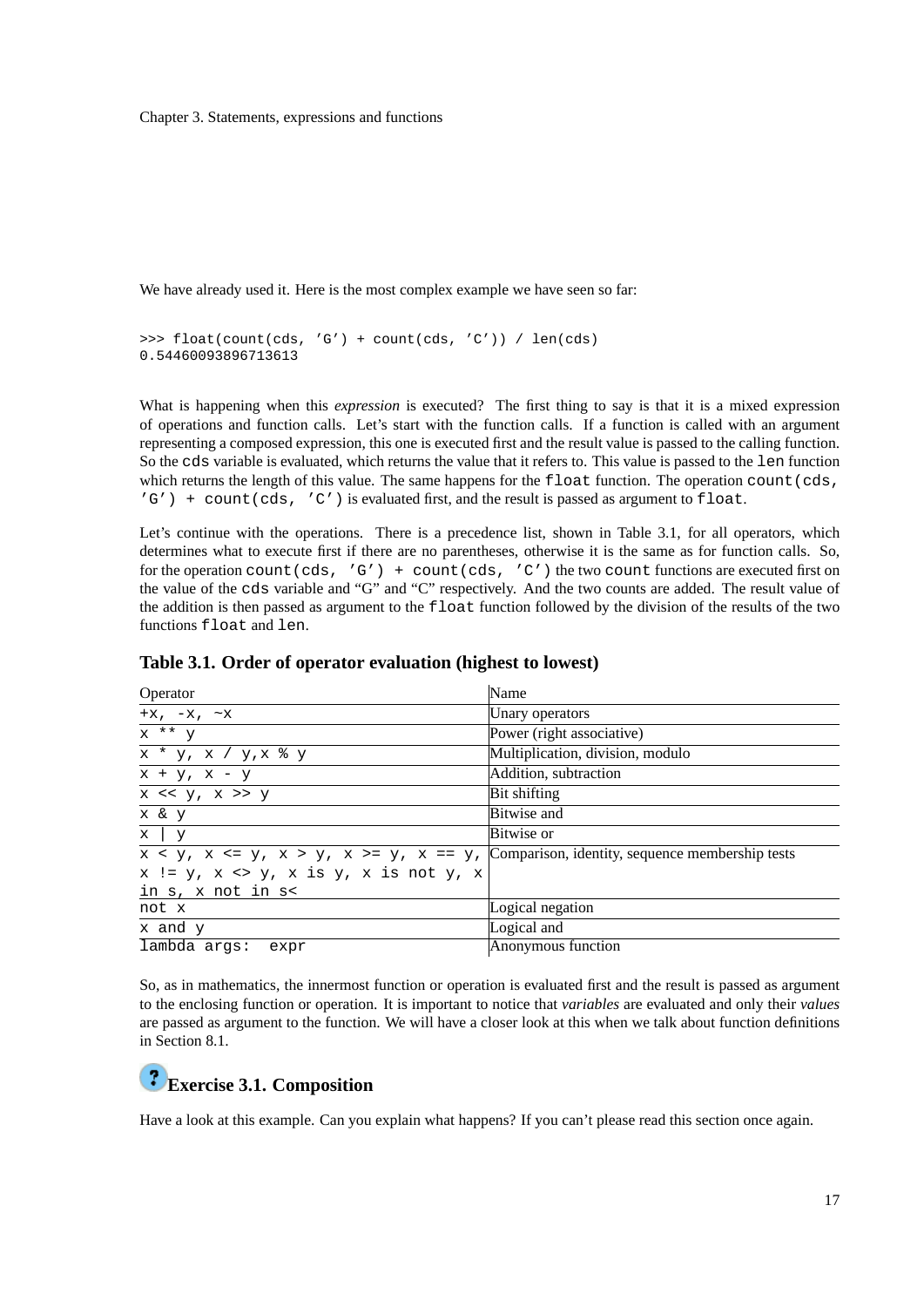Chapter 3. Statements, expressions and functions

We have already used it. Here is the most complex example we have seen so far:

```
>>> float(count(cds, 'G') + count(cds, 'C')) / len(cds)
0.54460093896713613
```
What is happening when this *expression* is executed? The first thing to say is that it is a mixed expression of operations and function calls. Let's start with the function calls. If a function is called with an argument representing a composed expression, this one is executed first and the result value is passed to the calling function. So the cds variable is evaluated, which returns the value that it refers to. This value is passed to the len function which returns the length of this value. The same happens for the  $f$ loat function. The operation count (cds,  $'G'$ ) + count (cds,  $'C'$ ) is evaluated first, and the result is passed as argument to float.

Let's continue with the operations. There is a precedence list, shown in [Table 3.1,](#page-30-0) for all operators, which determines what to execute first if there are no parentheses, otherwise it is the same as for function calls. So, for the operation count (cds,  $'G'$ ) + count (cds,  $'C'$ ) the two count functions are executed first on the value of the cds variable and "G" and "C" respectively. And the two counts are added. The result value of the addition is then passed as argument to the float function followed by the division of the results of the two functions float and len.

| Operator                                                                                                 | Name                             |
|----------------------------------------------------------------------------------------------------------|----------------------------------|
| $+X$ , $-X$ , $\sim$ X                                                                                   | Unary operators                  |
| $x * * y$                                                                                                | Power (right associative)        |
| $x * y$ , $x / y$ , $x * y$                                                                              | Multiplication, division, modulo |
| $x + y$ , $x - y$                                                                                        | Addition, subtraction            |
| $x \ll y$ , $x \gg y$                                                                                    | Bit shifting                     |
| x & y                                                                                                    | Bitwise and                      |
| $x \mid y$                                                                                               | Bitwise or                       |
| $x \le y$ , $x \le y$ , $x > y$ , $x \ge y$ , $x == y$ , Comparison, identity, sequence membership tests |                                  |
| $x := y$ , $x \Leftrightarrow y$ , $x$ is $y$ , $x$ is not $y$ , $x$                                     |                                  |
| in s, x not in s<                                                                                        |                                  |
| not x                                                                                                    | Logical negation                 |
| x and y                                                                                                  | Logical and                      |
| lambda args:<br>expr                                                                                     | Anonymous function               |

#### <span id="page-30-0"></span>**Table 3.1. Order of operator evaluation (highest to lowest)**

So, as in mathematics, the innermost function or operation is evaluated first and the result is passed as argument to the enclosing function or operation. It is important to notice that *variables* are evaluated and only their *values* are passed as argument to the function. We will have a closer look at this when we talk about function definitions in [Section 8.1.](#page-58-1)

# <span id="page-30-1"></span>**Exercise 3.1. Composition**

Have a look at this example. Can you explain what happens? If you can't please read this section once again.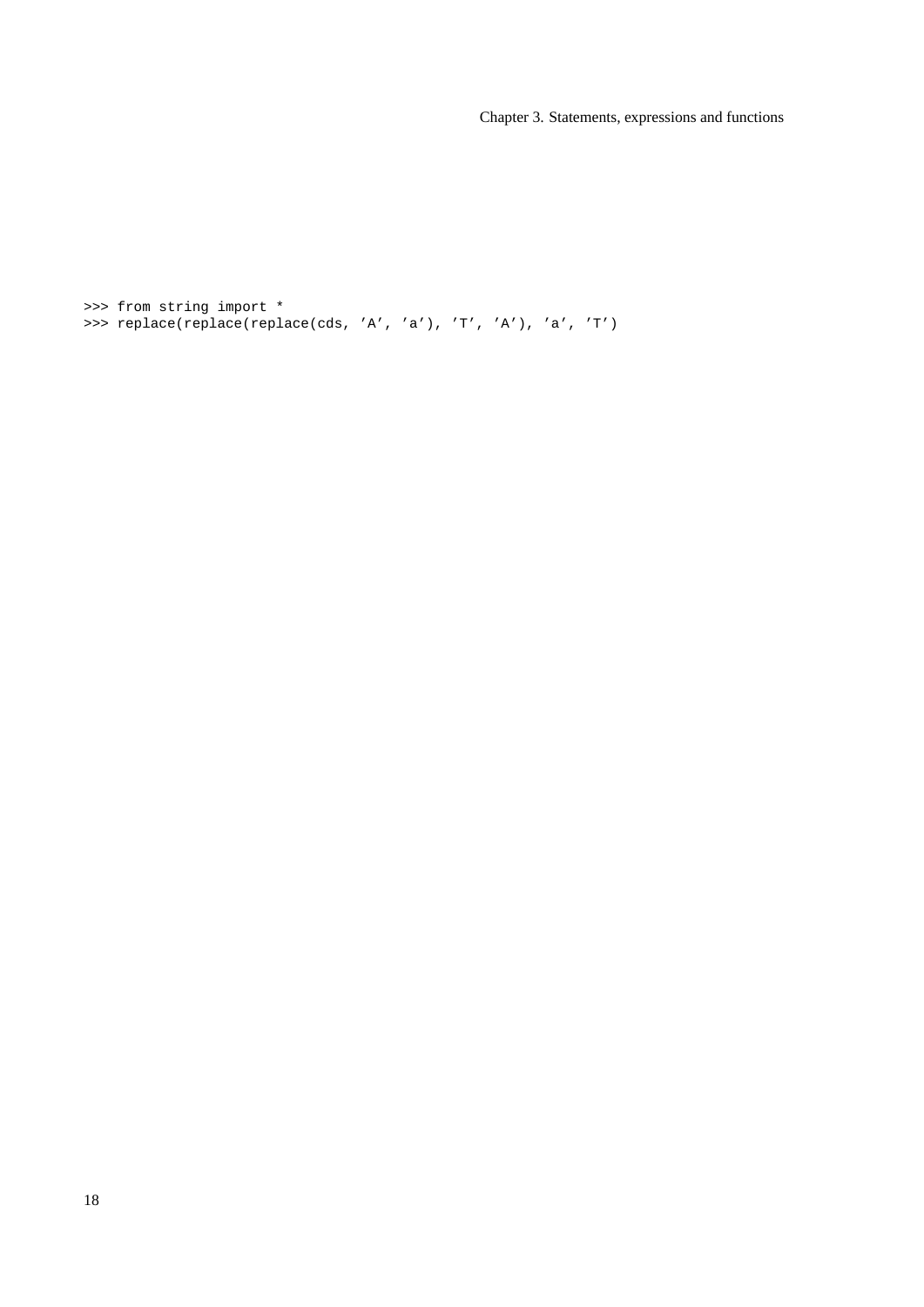Chapter 3. Statements, expressions and functions

```
>>> from string import *
>>> replace(replace(replace(cds, 'A', 'a'), 'T', 'A'), 'a', 'T')
```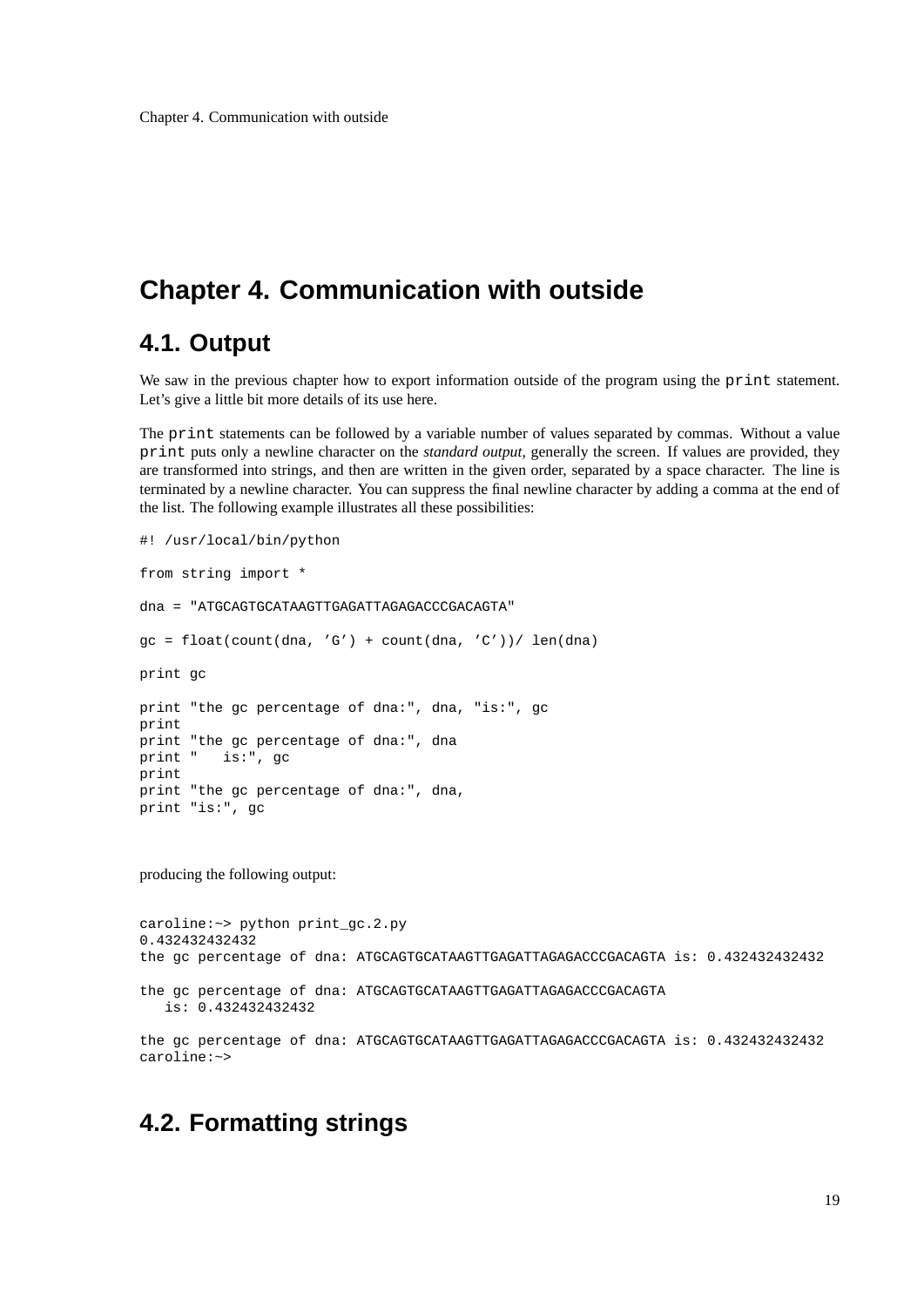### <span id="page-32-1"></span><span id="page-32-0"></span>**Chapter 4. Communication with outside**

#### **4.1. Output**

We saw in the previous chapter how to export information outside of the program using the print statement. Let's give a little bit more details of its use here.

The print statements can be followed by a variable number of values separated by commas. Without a value print puts only a newline character on the *standard output*, generally the screen. If values are provided, they are transformed into strings, and then are written in the given order, separated by a space character. The line is terminated by a newline character. You can suppress the final newline character by adding a comma at the end of the list. The following example illustrates all these possibilities:

```
#! /usr/local/bin/python
from string import *
dna = "ATGCAGTGCATAAGTTGAGATTAGAGACCCGACAGTA"
qc = float(count(dna, 'G') + count(dna, 'C'))/len(dna)print gc
print "the gc percentage of dna:", dna, "is:", gc
print
print "the gc percentage of dna:", dna
print " is:", gc
print
print "the gc percentage of dna:", dna,
print "is:", gc
```
producing the following output:

<span id="page-32-2"></span>caroline:~>

```
caroline:~> python print_gc.2.py
0.432432432432
the gc percentage of dna: ATGCAGTGCATAAGTTGAGATTAGAGACCCGACAGTA is: 0.432432432432
the gc percentage of dna: ATGCAGTGCATAAGTTGAGATTAGAGACCCGACAGTA
  is: 0.432432432432
the gc percentage of dna: ATGCAGTGCATAAGTTGAGATTAGAGACCCGACAGTA is: 0.432432432432
```
#### **4.2. Formatting strings**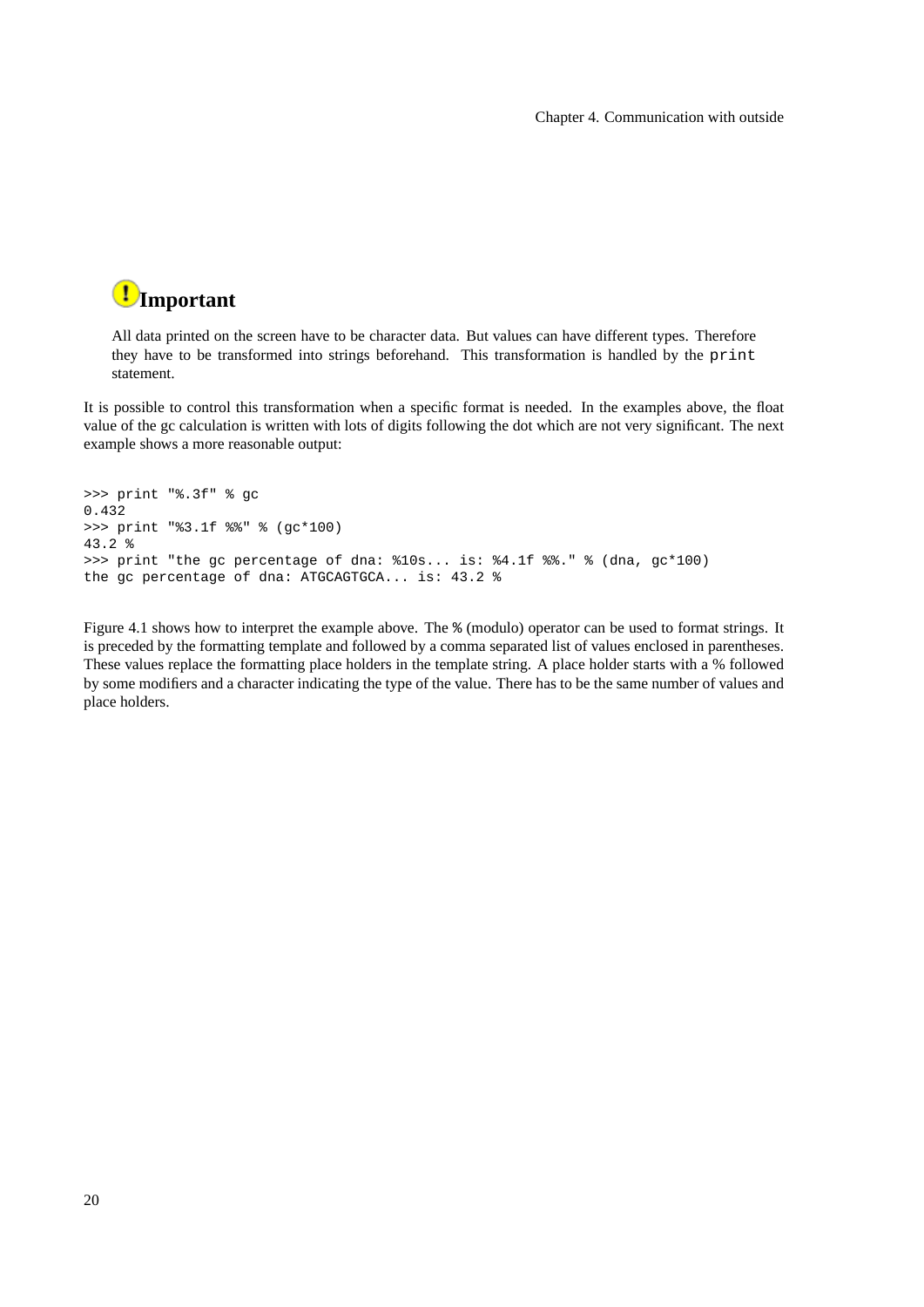# **Important**

All data printed on the screen have to be character data. But values can have different types. Therefore they have to be transformed into strings beforehand. This transformation is handled by the print statement.

It is possible to control this transformation when a specific format is needed. In the examples above, the float value of the gc calculation is written with lots of digits following the dot which are not very significant. The next example shows a more reasonable output:

```
>>> print "%.3f" % gc
0.432
>>> print "%3.1f %%" % (gc*100)
43.2 %
>>> print "the gc percentage of dna: %10s... is: %4.1f %%." % (dna, gc*100)
the gc percentage of dna: ATGCAGTGCA... is: 43.2 %
```
[Figure 4.1](#page-34-0) shows how to interpret the example above. The % (modulo) operator can be used to format strings. It is preceded by the formatting template and followed by a comma separated list of values enclosed in parentheses. These values replace the formatting place holders in the template string. A place holder starts with a % followed by some modifiers and a character indicating the type of the value. There has to be the same number of values and place holders.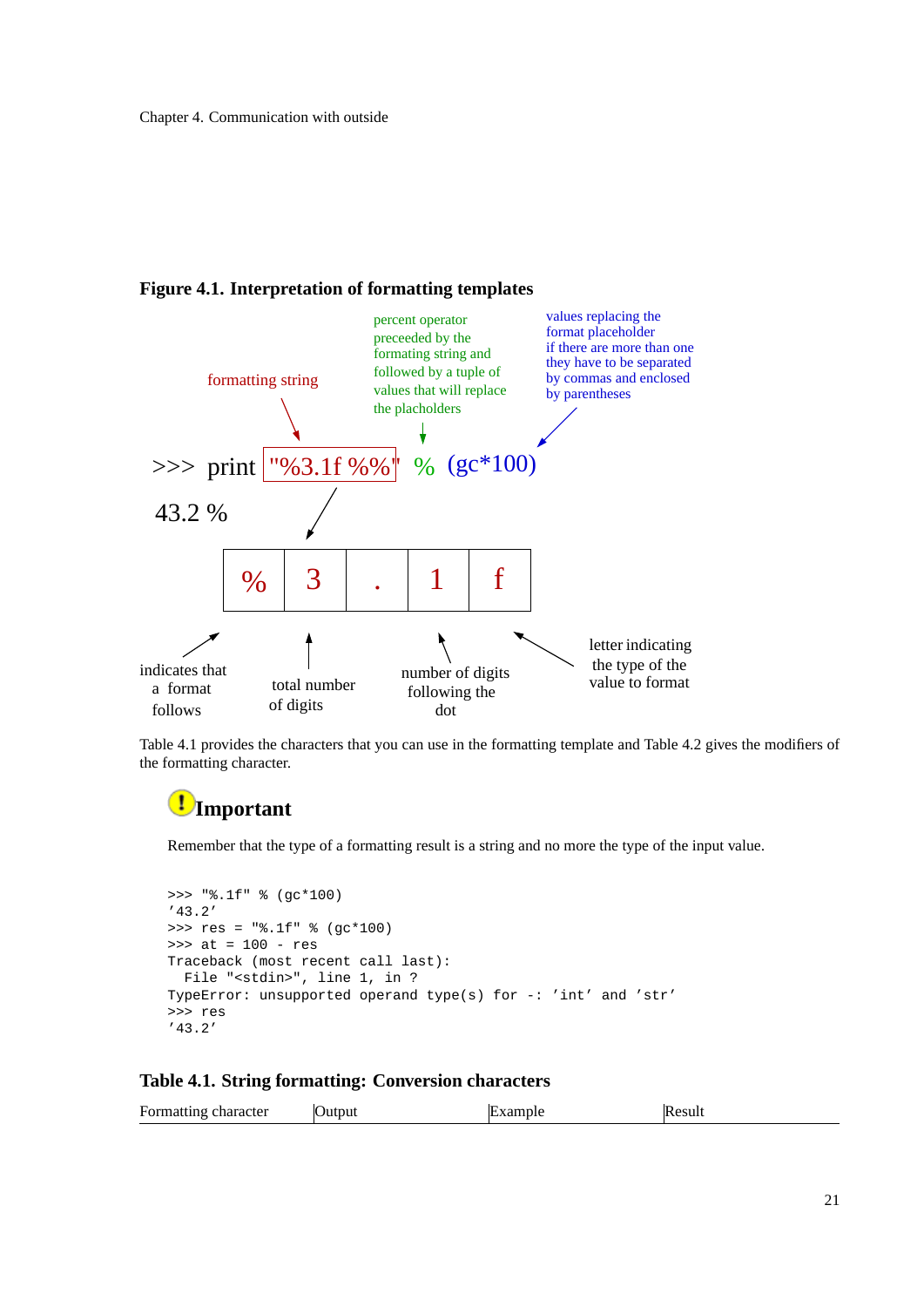<span id="page-34-0"></span>**Figure 4.1. Interpretation of formatting templates**



[Table 4.1](#page-34-1) provides the characters that you can use in the formatting template and [Table 4.2](#page-35-1) gives the modifiers of the formatting character.

### **Important**

Remember that the type of a formatting result is a string and no more the type of the input value.

```
>>> "%.1f" % (gc*100)
'43.2'
>>> res = "%.1f" % (gc*100)
>>> at = 100 - res
Traceback (most recent call last):
 File "<stdin>", line 1, in ?
TypeError: unsupported operand type(s) for -: 'int' and 'str'
>>> res
'43.2'
```
#### <span id="page-34-1"></span>**Table 4.1. String formatting: Conversion characters**

| Formatting character | Juipui | ıк |
|----------------------|--------|----|
|                      |        |    |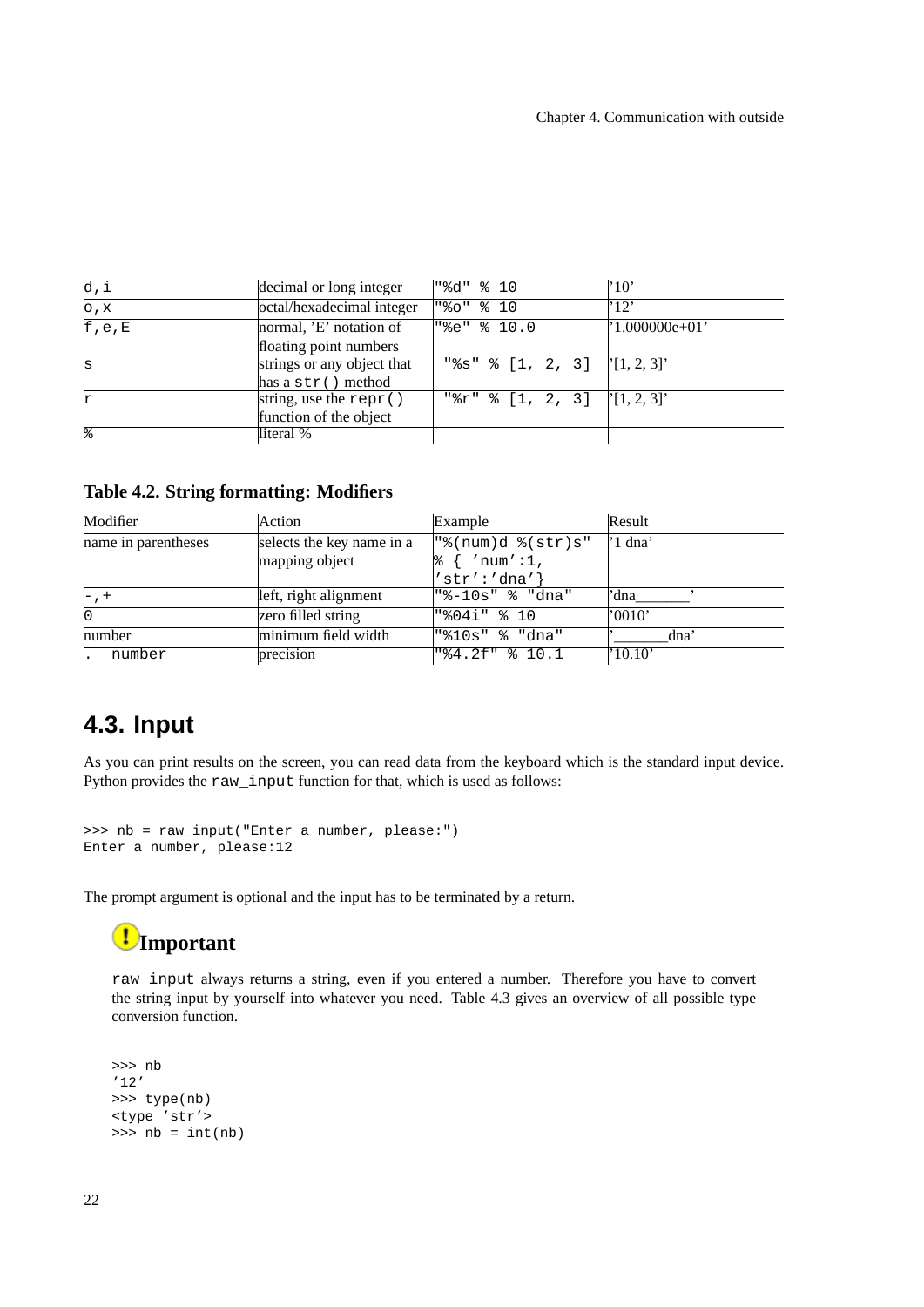| d,i                   | decimal or long integer    | $"$ %d" % 10                                          | $^{\prime}10^{\prime}$ |
|-----------------------|----------------------------|-------------------------------------------------------|------------------------|
| $\circ$ , x           | octal/hexadecimal integer  | $ \degree$ 80" $ $ 10                                 | 12'                    |
| f, e, E               | normal, 'E' notation of    | $"$ %e" $% 10.0"$                                     | '1.000000e+01'         |
|                       | floating point numbers     |                                                       |                        |
| S                     | strings or any object that | " $\frac{2}{5}$ " $\frac{2}{5}$ [1, 2, 3] $ 1, 2, 3 $ |                        |
|                       | has $a str() method$       |                                                       |                        |
| r                     | string, use the repr $()$  |                                                       |                        |
|                       | function of the object     |                                                       |                        |
| $\overline{\epsilon}$ | literal %                  |                                                       |                        |

<span id="page-35-1"></span>**Table 4.2. String formatting: Modifiers**

| Modifier            | Action                    | Example                 | Result                    |
|---------------------|---------------------------|-------------------------|---------------------------|
| name in parentheses | selects the key name in a | $ "\$ (num)d $*(str)s"$ | '1 dna'                   |
|                     | mapping object            | $\{$ 'num':1,           |                           |
|                     |                           | $\vert$ 'str':'dna'}    |                           |
| $-$ , +             | left, right alignment     | "%-10s" % "dna"         | 'dna                      |
| $\mathbf 0$         | zero filled string        | $"804i"$ % 10           | '0010'                    |
| number              | minimum field width       | "%10s" % "dna"          | dna'                      |
| number              | precision                 | $\frac{84.2f}{8}$ 10.1  | $^{\prime}10.10^{\prime}$ |

### <span id="page-35-0"></span>**4.3. Input**

As you can print results on the screen, you can read data from the keyboard which is the standard input device. Python provides the raw\_input function for that, which is used as follows:

```
>>> nb = raw_input("Enter a number, please:")
Enter a number, please:12
```
The prompt argument is optional and the input has to be terminated by a return.

# **Important**

raw\_input always returns a string, even if you entered a number. Therefore you have to convert the string input by yourself into whatever you need. [Table 4.3](#page-36-0) gives an overview of all possible type conversion function.

```
>>> nb
'12'
>>> type(nb)
<type 'str'>
\Rightarrow \Rightarrow nb = int(nb)
```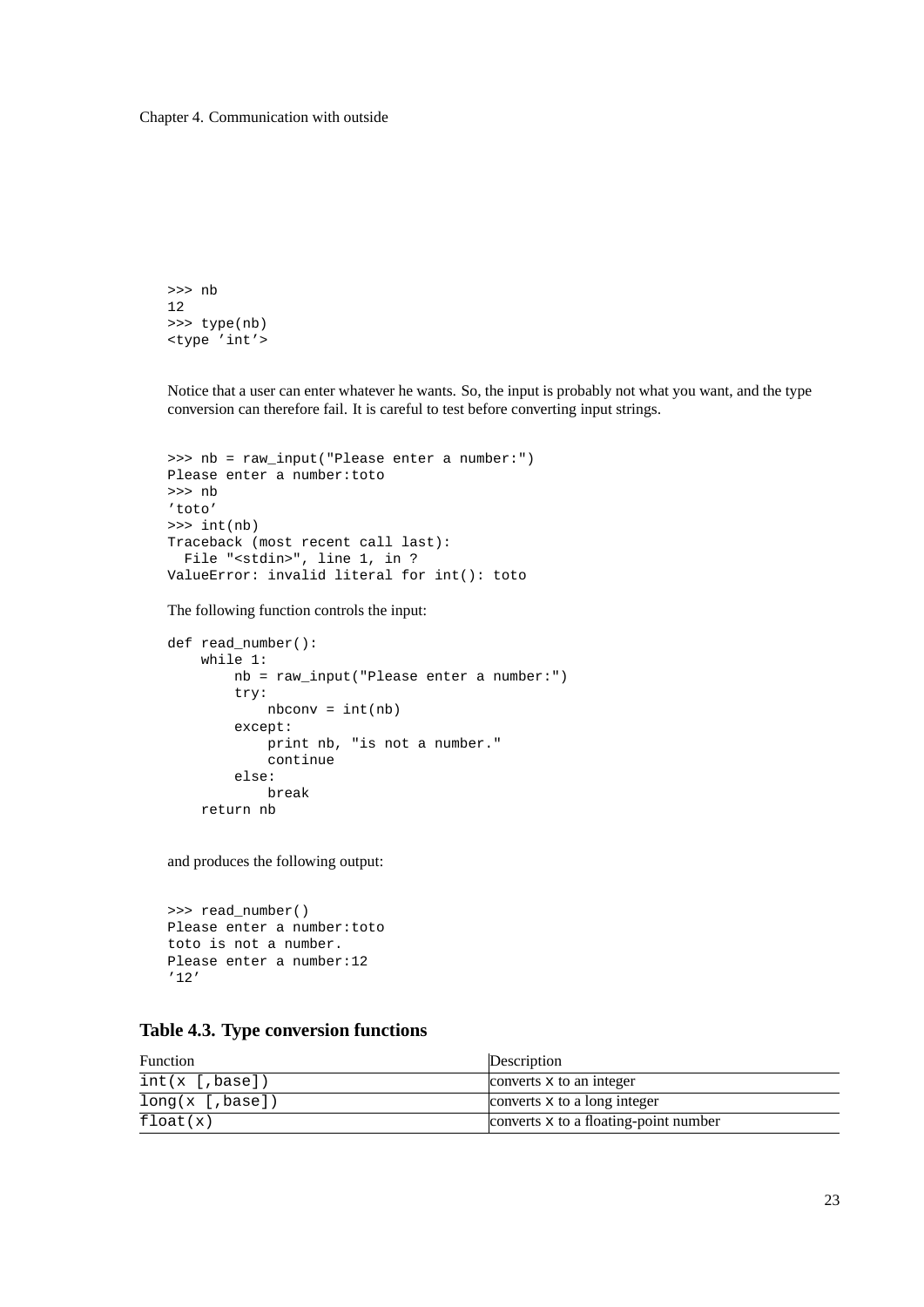#### Chapter 4. Communication with outside

```
>>> nb
12
>>> type(nb)
<type 'int'>
```
Notice that a user can enter whatever he wants. So, the input is probably not what you want, and the type conversion can therefore fail. It is careful to test before converting input strings.

```
>>> nb = raw_input("Please enter a number:")
Please enter a number:toto
>>> nb
'toto'
>>> int(nb)
Traceback (most recent call last):
 File "<stdin>", line 1, in ?
ValueError: invalid literal for int(): toto
```
The following function controls the input:

```
def read_number():
    while 1:
       nb = raw_input("Please enter a number:")
        try:
           nbconv = int(nb)except:
           print nb, "is not a number."
           continue
        else:
           break
    return nb
```
and produces the following output:

>>> read\_number() Please enter a number:toto toto is not a number. Please enter a number:12 '12'

#### **Table 4.3. Type conversion functions**

| Function                 | Description                           |
|--------------------------|---------------------------------------|
| $int(x [,\text{base}])$  | converts x to an integer              |
| $long(x [,\text{base}])$ | converts x to a long integer          |
| float(x)                 | converts x to a floating-point number |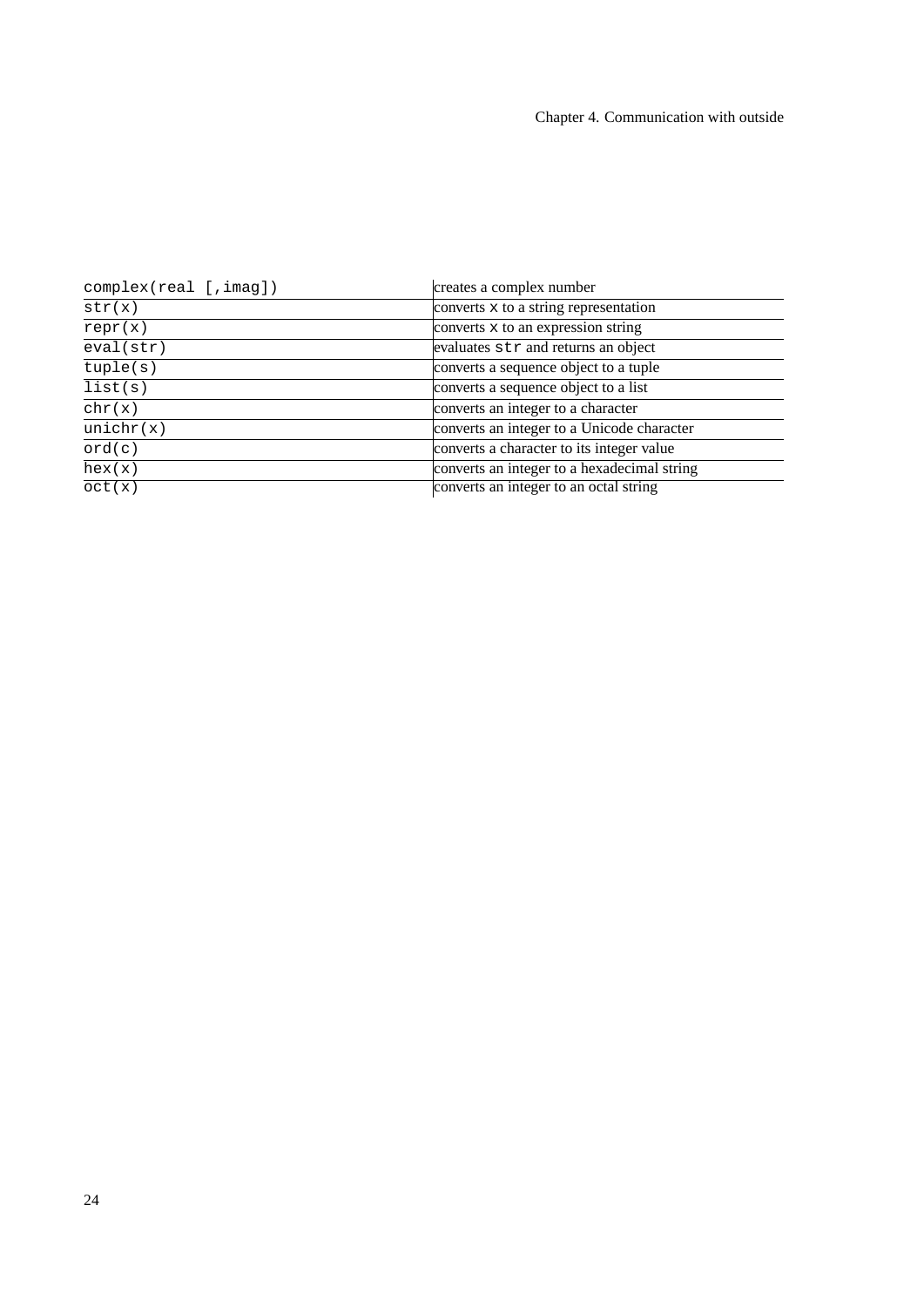| $complex(\text{real}$ [, $imag$ ]) | creates a complex number                    |
|------------------------------------|---------------------------------------------|
| str(x)                             | converts x to a string representation       |
| repr(x)                            | converts x to an expression string          |
| eval(str)                          | evaluates str and returns an object         |
| tuple(s)                           | converts a sequence object to a tuple       |
| list(s)                            | converts a sequence object to a list        |
| chr(x)                             | converts an integer to a character          |
| $\overline{\text{uniform}(x)}$     | converts an integer to a Unicode character  |
| ord(c)                             | converts a character to its integer value   |
| $\overline{\text{hex}(x)}$         | converts an integer to a hexadecimal string |
| oct(x)                             | converts an integer to an octal string      |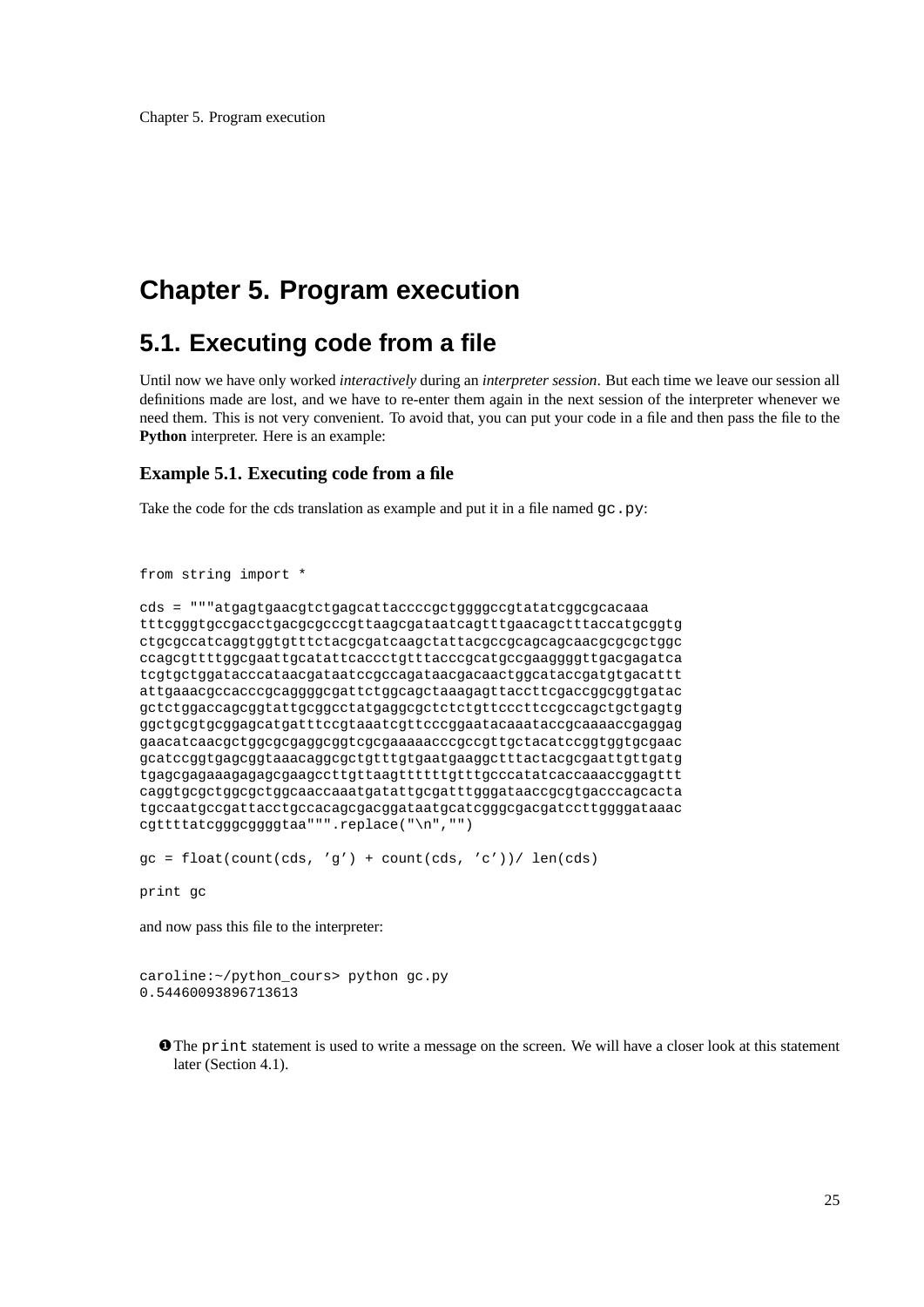## **Chapter 5. Program execution**

## **5.1. Executing code from a file**

Until now we have only worked *interactively* during an *interpreter session*. But each time we leave our session all definitions made are lost, and we have to re-enter them again in the next session of the interpreter whenever we need them. This is not very convenient. To avoid that, you can put your code in a file and then pass the file to the **Python** interpreter. Here is an example:

#### **Example 5.1. Executing code from a file**

Take the code for the cds translation as example and put it in a file named  $gc.py$ :

```
from string import *
```

```
cds = """atgagtgaacgtctgagcattaccccgctggggccgtatatcggcgcacaaa
tttcgggtgccgacctgacgcgcccgttaagcgataatcagtttgaacagctttaccatgcggtg
ctgcgccatcaggtggtgtttctacgcgatcaagctattacgccgcagcagcaacgcgcgctggc
ccagcgttttggcgaattgcatattcaccctgtttacccgcatgccgaaggggttgacgagatca
tcgtgctggatacccataacgataatccgccagataacgacaactggcataccgatgtgacattt
attgaaacgccacccgcaggggcgattctggcagctaaagagttaccttcgaccggcggtgatac
gctctggaccagcggtattgcggcctatgaggcgctctctgttcccttccgccagctgctgagtg
ggctgcgtgcggagcatgatttccgtaaatcgttcccggaatacaaataccgcaaaaccgaggag
gaacatcaacgctggcgcgaggcggtcgcgaaaaacccgccgttgctacatccggtggtgcgaac
gcatccggtgagcggtaaacaggcgctgtttgtgaatgaaggctttactacgcgaattgttgatg
tgagcgagaaagagagcgaagccttgttaagttttttgtttgcccatatcaccaaaccggagttt
caggtgcgctggcgctggcaaccaaatgatattgcgatttgggataaccgcgtgacccagcacta
tgccaatgccgattacctgccacagcgacggataatgcatcgggcgacgatccttggggataaac
cgttttatcgggcggggtaa""".replace("\n","")
```

```
qc = float(count(cds, 'q') + count(cds, 'c'))/len(cds)
```
print gc

and now pass this file to the interpreter:

```
caroline:~/python_cours> python gc.py
0.54460093896713613
```
❶ The print statement is used to write a message on the screen. We will have a closer look at this statement later [\(Section 4.1\)](#page-32-0).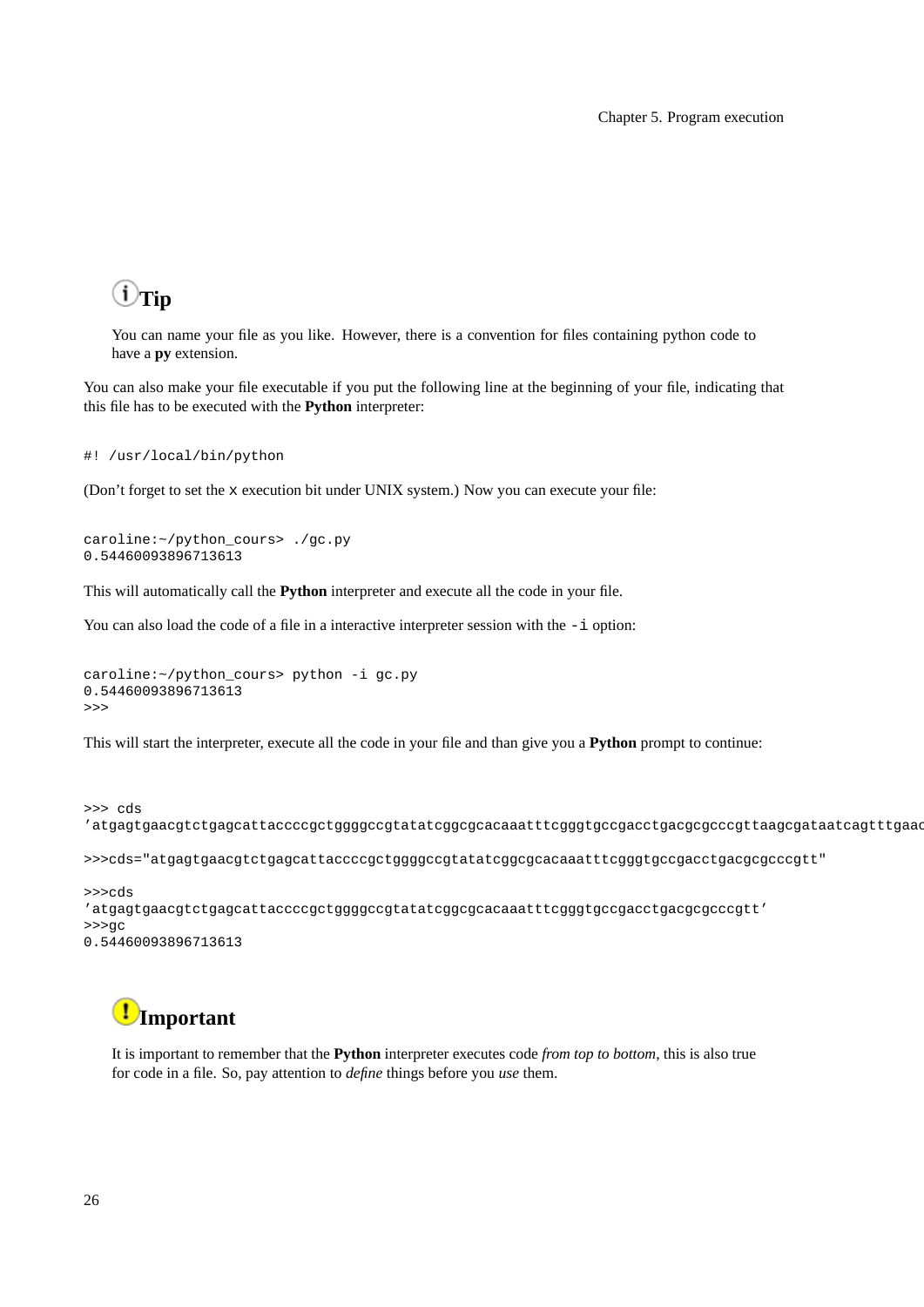Chapter 5. Program execution

# **Tip**

You can name your file as you like. However, there is a convention for files containing python code to have a **py** extension.

You can also make your file executable if you put the following line at the beginning of your file, indicating that this file has to be executed with the **Python** interpreter:

#! /usr/local/bin/python

(Don't forget to set the x execution bit under UNIX system.) Now you can execute your file:

```
caroline:~/python_cours> ./gc.py
0.54460093896713613
```
This will automatically call the **Python** interpreter and execute all the code in your file.

You can also load the code of a file in a interactive interpreter session with the  $-i$  option:

```
caroline:~/python_cours> python -i gc.py
0.54460093896713613
\rightarrow
```
This will start the interpreter, execute all the code in your file and than give you a **Python** prompt to continue:

```
>>> cds
atgagtgaacgtetgagcattacceegctggggccgtatatcggcgcacaaatttcgggtgccgacctgacgcgcccgttaagcgataatcagtttgaa
>>>cds="atgagtgaacgtctgagcattaccccgctggggccgtatatcggcgcacaaatttcgggtgccgacctgacgcgcccgtt"
>>>cds
'atgagtgaacgtctgagcattaccccgctggggccgtatatcggcgcacaaatttcgggtgccgacctgacgcgcccgtt'
>>>gc
0.54460093896713613
```
#### a **Important**

It is important to remember that the **Python** interpreter executes code *from top to bottom*, this is also true for code in a file. So, pay attention to *define* things before you *use* them.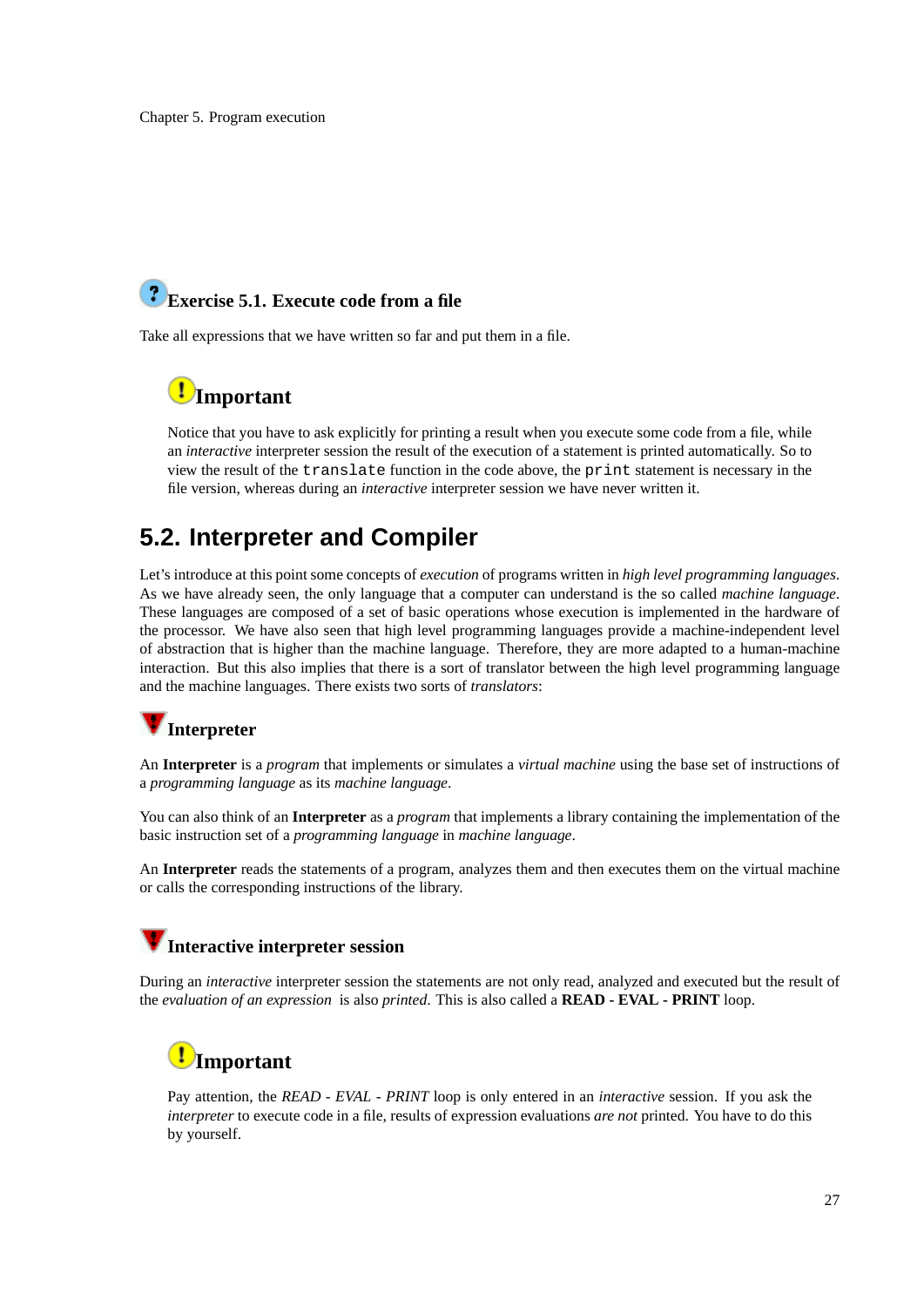# **Exercise 5.1. Execute code from a file**

Take all expressions that we have written so far and put them in a file.

# **Important**

Notice that you have to ask explicitly for printing a result when you execute some code from a file, while an *interactive* interpreter session the result of the execution of a statement is printed automatically. So to view the result of the translate function in the code above, the print statement is necessary in the file version, whereas during an *interactive* interpreter session we have never written it.

# **5.2. Interpreter and Compiler**

Let's introduce at this point some concepts of *execution* of programs written in *high level programming languages*. As we have already seen, the only language that a computer can understand is the so called *machine language*. These languages are composed of a set of basic operations whose execution is implemented in the hardware of the processor. We have also seen that high level programming languages provide a machine-independent level of abstraction that is higher than the machine language. Therefore, they are more adapted to a human-machine interaction. But this also implies that there is a sort of translator between the high level programming language and the machine languages. There exists two sorts of *translators*:

# **Interpreter**

An **Interpreter** is a *program* that implements or simulates a *virtual machine* using the base set of instructions of a *programming language* as its *machine language*.

You can also think of an **Interpreter** as a *program* that implements a library containing the implementation of the basic instruction set of a *programming language* in *machine language*.

An **Interpreter** reads the statements of a program, analyzes them and then executes them on the virtual machine or calls the corresponding instructions of the library.

# **Interactive interpreter session**

During an *interactive* interpreter session the statements are not only read, analyzed and executed but the result of the *evaluation of an expression* is also *printed*. This is also called a **READ - EVAL - PRINT** loop.

# **Important**

Pay attention, the *READ - EVAL - PRINT* loop is only entered in an *interactive* session. If you ask the *interpreter* to execute code in a file, results of expression evaluations *are not* printed. You have to do this by yourself.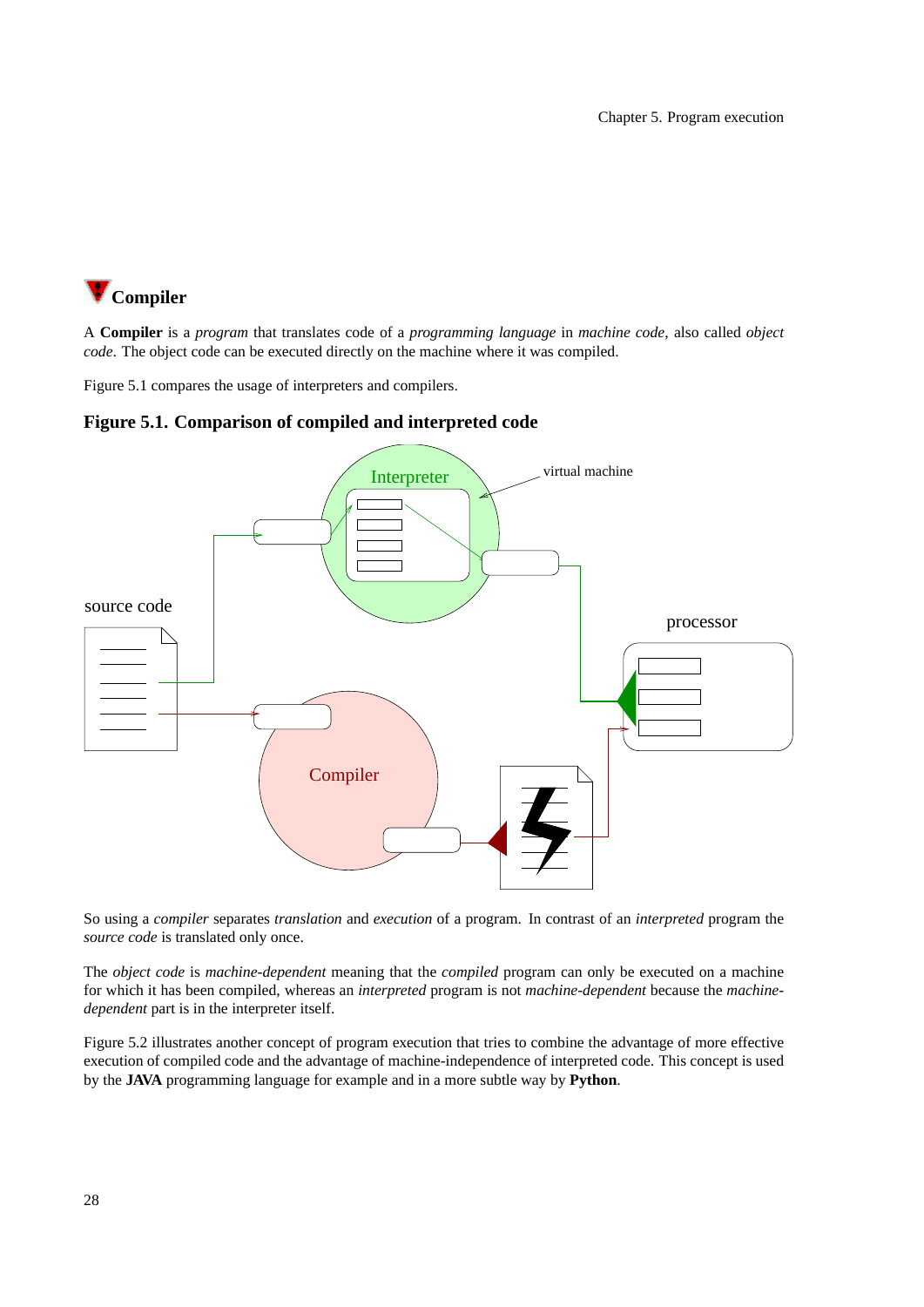

A **Compiler** is a *program* that translates code of a *programming language* in *machine code*, also called *object code*. The object code can be executed directly on the machine where it was compiled.

<span id="page-41-0"></span>[Figure 5.1](#page-41-0) compares the usage of interpreters and compilers.

### **Figure 5.1. Comparison of compiled and interpreted code**



So using a *compiler* separates *translation* and *execution* of a program. In contrast of an *interpreted* program the *source code* is translated only once.

The *object code* is *machine-dependent* meaning that the *compiled* program can only be executed on a machine for which it has been compiled, whereas an *interpreted* program is not *machine-dependent* because the *machinedependent* part is in the interpreter itself.

[Figure 5.2](#page-42-0) illustrates another concept of program execution that tries to combine the advantage of more effective execution of compiled code and the advantage of machine-independence of interpreted code. This concept is used by the **JAVA** programming language for example and in a more subtle way by **Python**.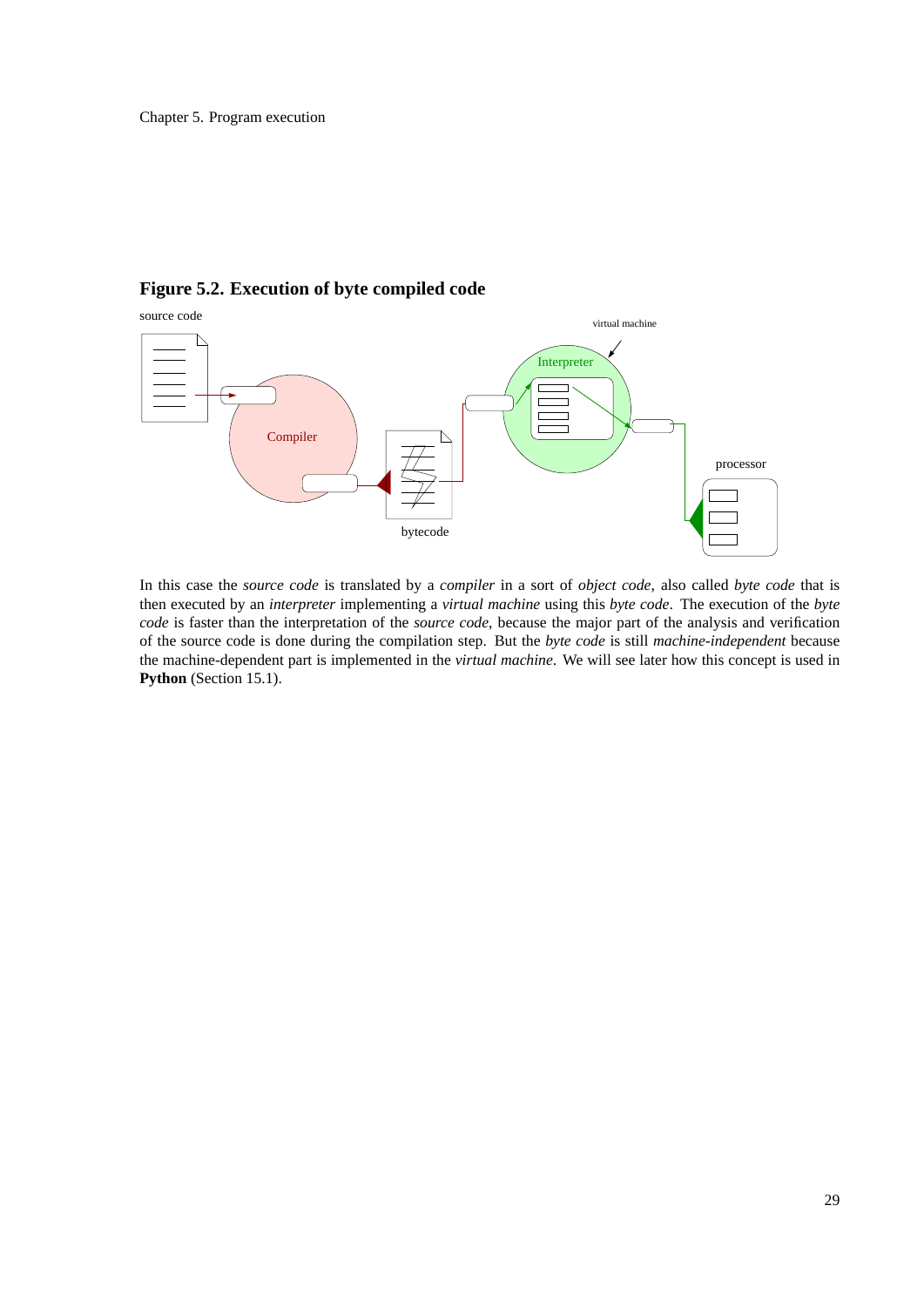

<span id="page-42-0"></span>**Figure 5.2. Execution of byte compiled code**

In this case the *source code* is translated by a *compiler* in a sort of *object code*, also called *byte code* that is then executed by an *interpreter* implementing a *virtual machine* using this *byte code*. The execution of the *byte code* is faster than the interpretation of the *source code*, because the major part of the analysis and verification of the source code is done during the compilation step. But the *byte code* is still *machine-independent* because the machine-dependent part is implemented in the *virtual machine*. We will see later how this concept is used in **Python** [\(Section 15.1\)](#page-124-0).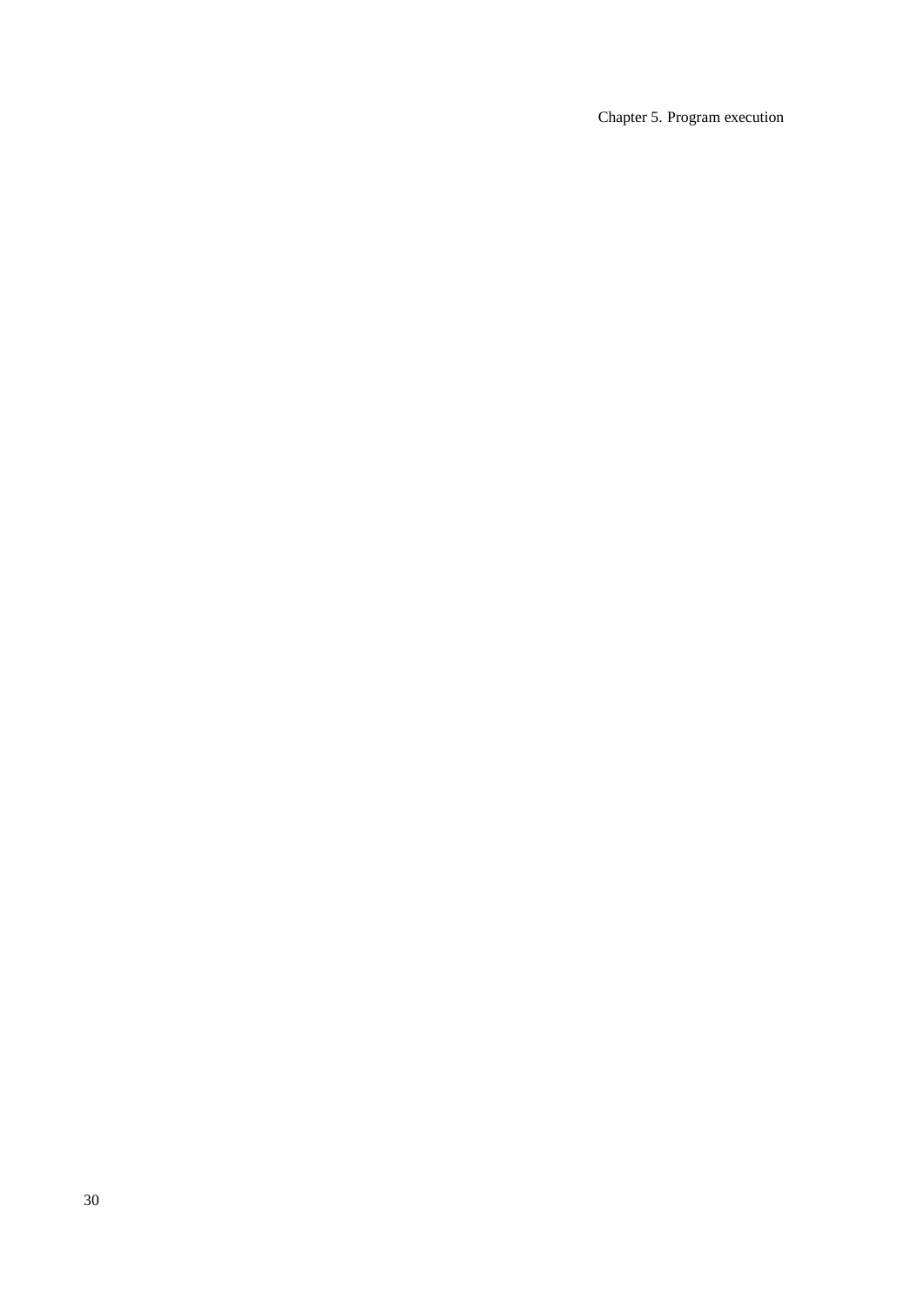Chapter 5. Program execution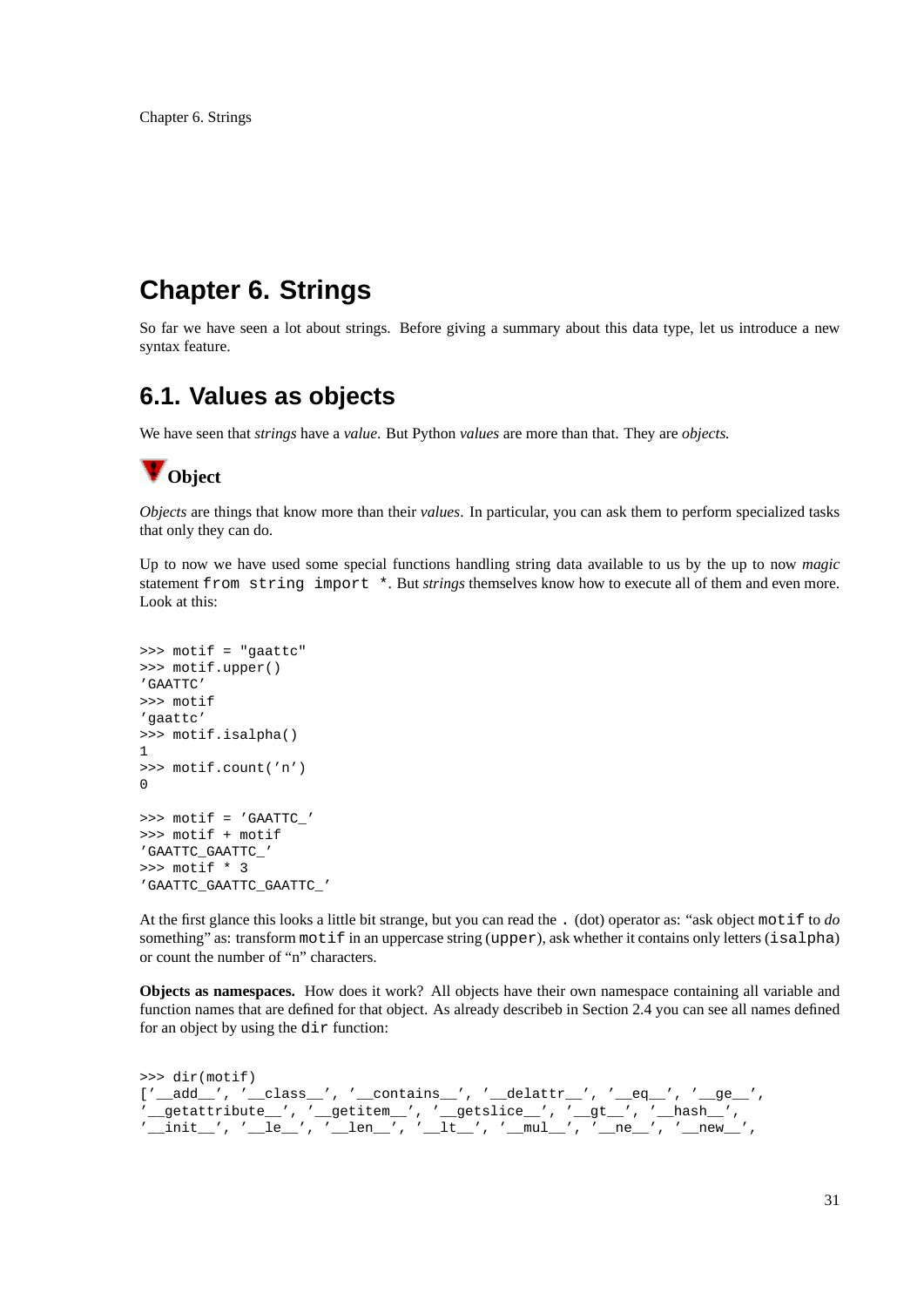# **Chapter 6. Strings**

So far we have seen a lot about strings. Before giving a summary about this data type, let us introduce a new syntax feature.

### **6.1. Values as objects**

We have seen that *strings* have a *value*. But Python *values* are more than that. They are *objects.*



*Objects* are things that know more than their *values*. In particular, you can ask them to perform specialized tasks that only they can do.

Up to now we have used some special functions handling string data available to us by the up to now *magic* statement from string import \*. But *strings* themselves know how to execute all of them and even more. Look at this:

```
>>> motif = "gaattc"
>>> motif.upper()
'GAATTC'
>>> motif
'gaattc'
>>> motif.isalpha()
1
>>> motif.count('n')
\cap>>> motif = 'GAATTC_'
>>> motif + motif
'GAATTC_GAATTC_'
>>> motif * 3
'GAATTC_GAATTC_GAATTC_'
```
At the first glance this looks a little bit strange, but you can read the . (dot) operator as: "ask object motif to *do* something" as: transform motif in an uppercase string (upper), ask whether it contains only letters (isalpha) or count the number of "n" characters.

**Objects as namespaces.** How does it work? All objects have their own namespace containing all variable and function names that are defined for that object. As already describeb in [Section 2.4](#page-24-0) you can see all names defined for an object by using the dir function:

>>> dir(motif)  $[ ' \_add \_ ', ' \_class \_ ', ' \_const]$  ,  $' \_c$  =  $'$ ,  $' \_c$  =  $'$ ,  $' \_del$  =  $'$ ,  $' \_eq$  =  $'$ ,  $' \_geq$  =  $'$ , '\_\_getattribute\_\_', '\_\_getitem\_\_', '\_\_getslice\_\_', '\_\_gt\_\_', '\_\_hash\_\_', '\_\_init\_\_', '\_\_le\_\_', '\_\_len\_\_', '\_\_lt\_\_', '\_\_mul\_\_', '\_\_ne\_\_', '\_\_new\_\_',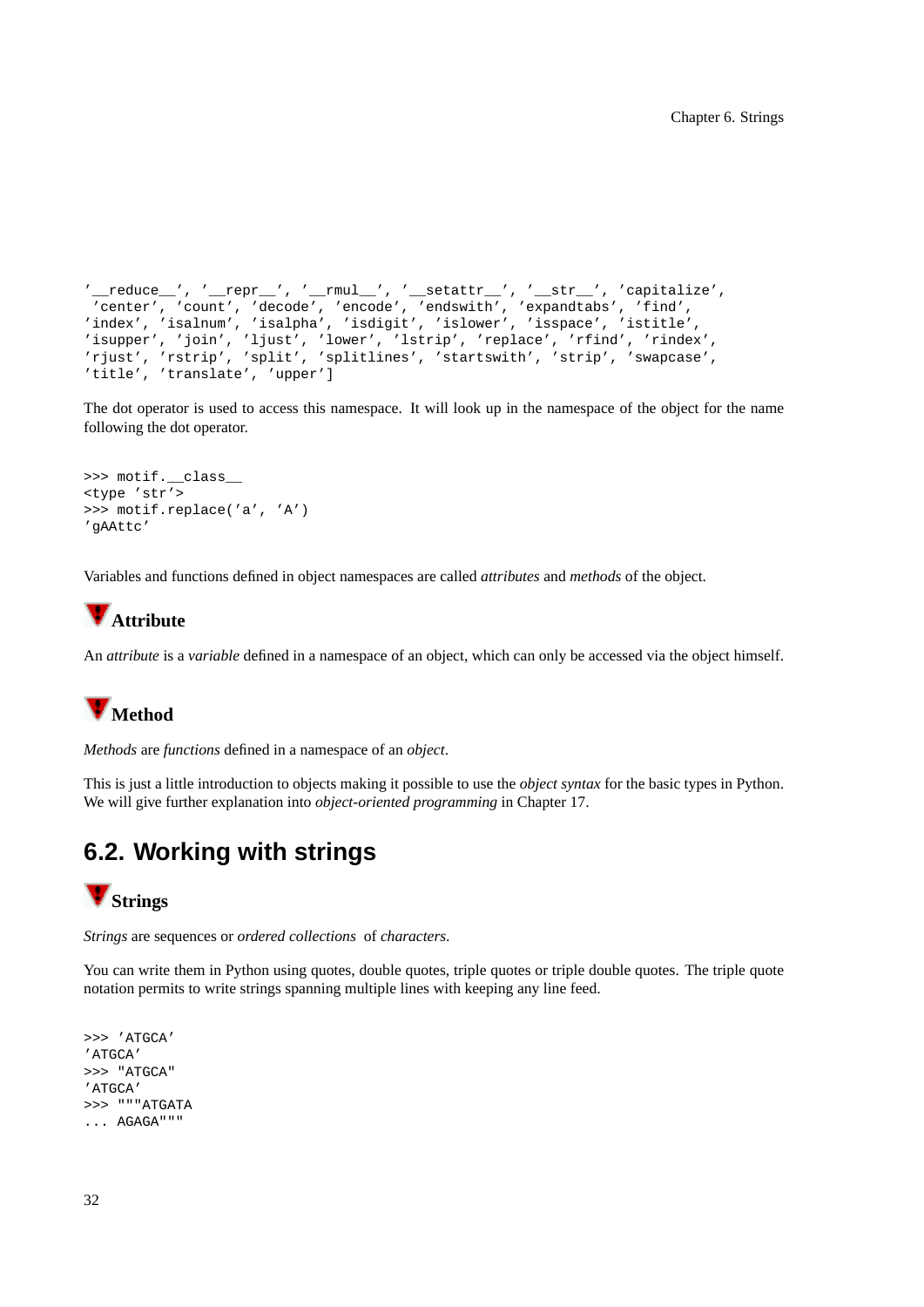```
'\_\_reduce\_\_',\ '\_repr\_\',\ '\_rmml\_\',\ '\_setattr\_\',\ '\_str\_\',\ 'capitalize','center', 'count', 'decode', 'encode', 'endswith', 'expandtabs', 'find',
'index', 'isalnum', 'isalpha', 'isdigit', 'islower', 'isspace', 'istitle',
'isupper', 'join', 'ljust', 'lower', 'lstrip', 'replace', 'rfind', 'rindex',
'rjust', 'rstrip', 'split', 'splitlines', 'startswith', 'strip', 'swapcase',
'title', 'translate', 'upper']
```
The dot operator is used to access this namespace. It will look up in the namespace of the object for the name following the dot operator.

```
>>> motif.__class__
<type 'str'>
>>> motif.replace('a', 'A')
'gAAttc'
```
Variables and functions defined in object namespaces are called *attributes* and *methods* of the object.

### **Attribute**

An *attribute* is a *variable* defined in a namespace of an object, which can only be accessed via the object himself.

# **W** Method

*Methods* are *functions* defined in a namespace of an *object*.

This is just a little introduction to objects making it possible to use the *object syntax* for the basic types in Python. We will give further explanation into *object-oriented programming* in [Chapter 17.](#page-148-0)

### **6.2. Working with strings**

# **Strings**

*Strings* are sequences or *ordered collections* of *characters*.

You can write them in Python using quotes, double quotes, triple quotes or triple double quotes. The triple quote notation permits to write strings spanning multiple lines with keeping any line feed.

```
>>> 'ATGCA'
'ATGCA'
>>> "ATGCA"
'ATGCA'
>>> """ATGATA
... AGAGA"""
```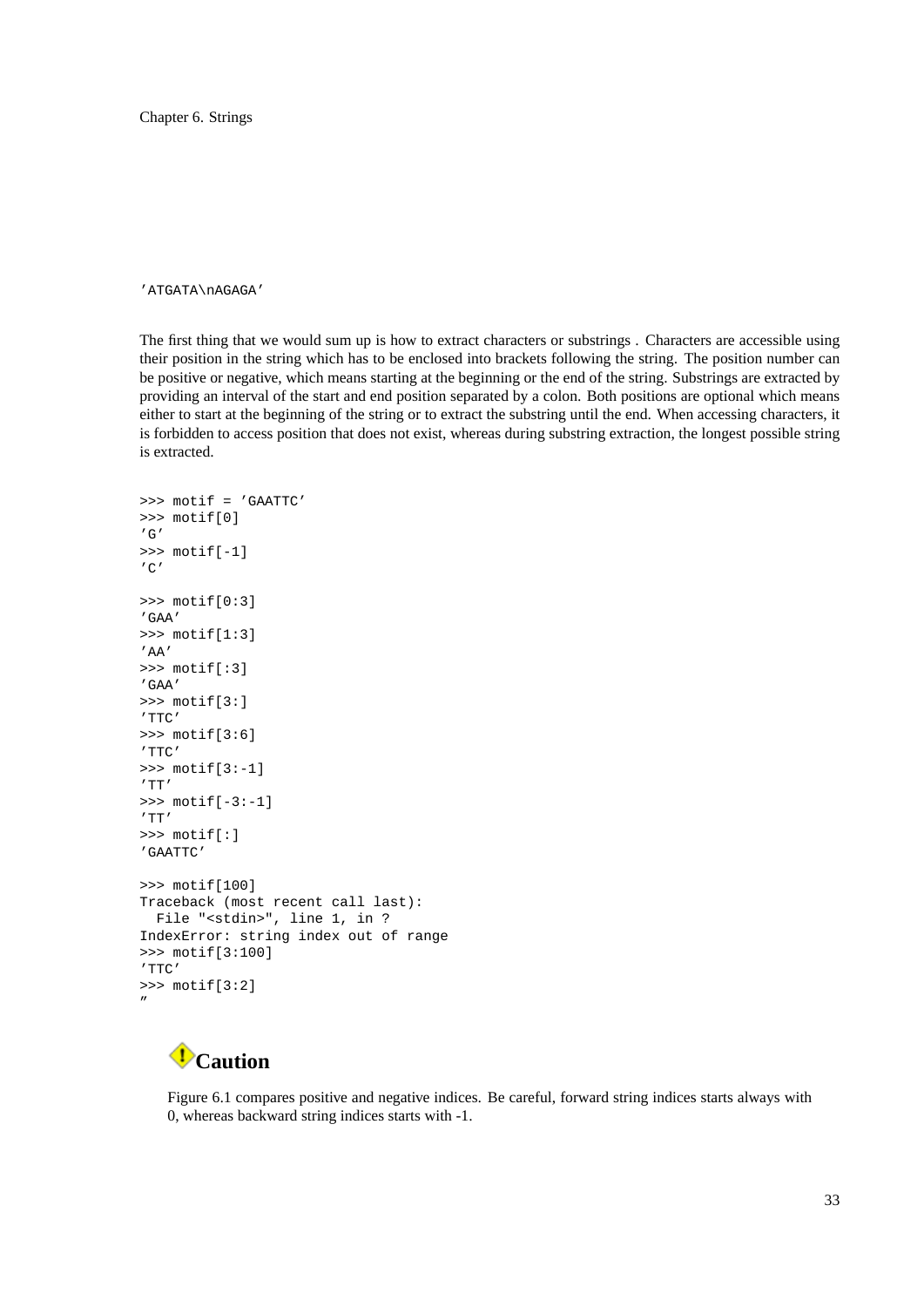Chapter 6. Strings

'ATGATA\nAGAGA'

The first thing that we would sum up is how to extract characters or substrings . Characters are accessible using their position in the string which has to be enclosed into brackets following the string. The position number can be positive or negative, which means starting at the beginning or the end of the string. Substrings are extracted by providing an interval of the start and end position separated by a colon. Both positions are optional which means either to start at the beginning of the string or to extract the substring until the end. When accessing characters, it is forbidden to access position that does not exist, whereas during substring extraction, the longest possible string is extracted.

```
>>> motif = 'GAATTC'
>>> motif[0]
' G'>>> motif[-1]
' C'>>> motif[0:3]
'GAA'
>>> motif[1:3]
'AA'
>>> motif[:3]
'GAA'
>>> motif[3:]
'TTC'
>>> motif[3:6]
'TTC'
>>> motif[3:-1]
'TT'
>>> motif[-3:-1]
' TT''
>>> motif[:]
'GAATTC'
>>> motif[100]
Traceback (most recent call last):
 File "<stdin>", line 1, in ?
IndexError: string index out of range
>>> motif[3:100]
'TTC'
>>> motif[3:2]
"
```
# **Caution**

[Figure 6.1](#page-47-0) compares positive and negative indices. Be careful, forward string indices starts always with 0, whereas backward string indices starts with -1.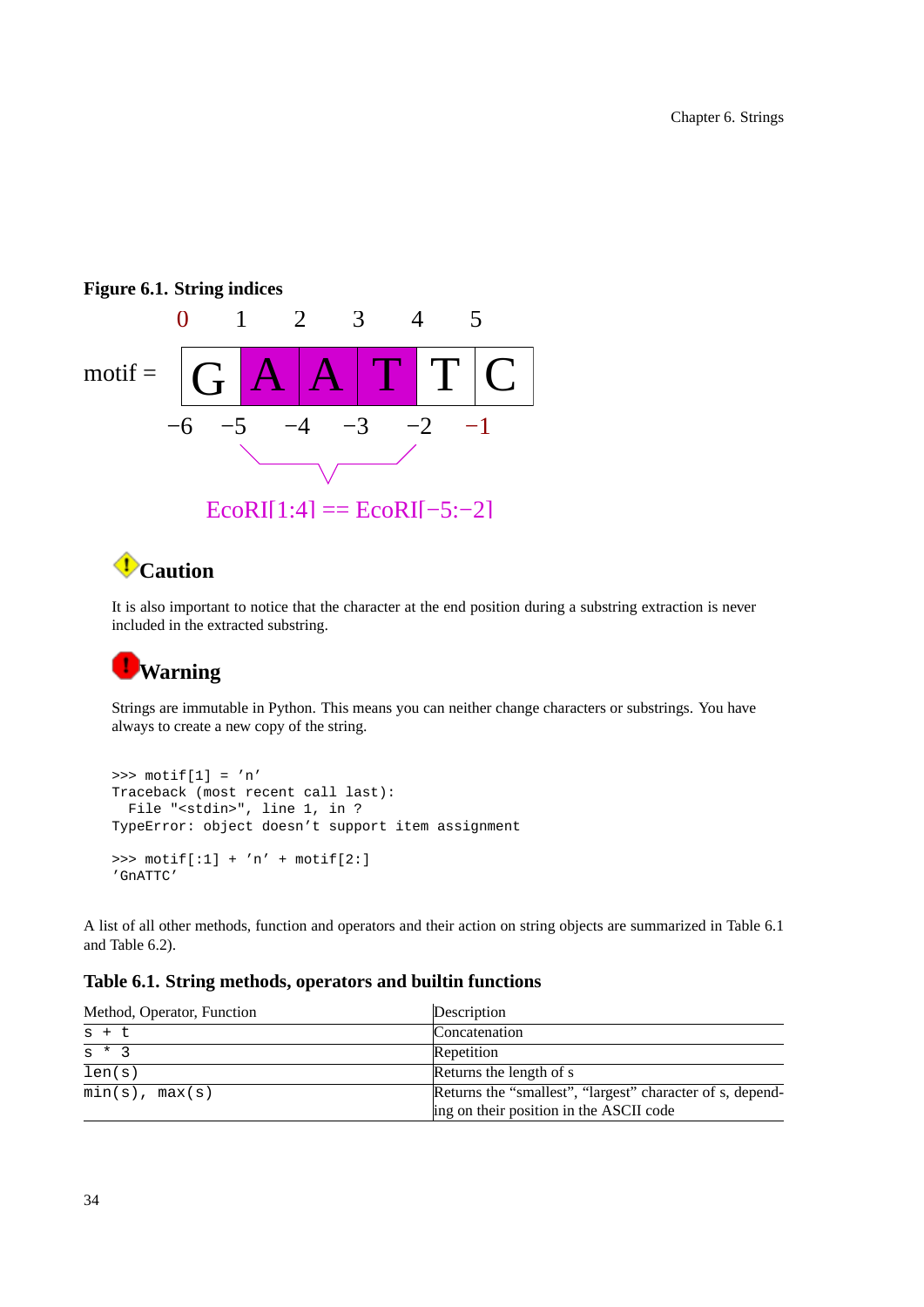

### <span id="page-47-0"></span>**Figure 6.1. String indices**

# **Caution**

It is also important to notice that the character at the end position during a substring extraction is never included in the extracted substring.

# **Warning**

Strings are immutable in Python. This means you can neither change characters or substrings. You have always to create a new copy of the string.

```
>>> motif[1] = 'n'
Traceback (most recent call last):
  File "<stdin>", line 1, in ?
TypeError: object doesn't support item assignment
>>> motif[:1] + 'n' + motif[2:]
'GnATTC'
```
A list of all other methods, function and operators and their action on string objects are summarized in [Table 6.1](#page-47-1) and [Table 6.2\)](#page-48-0).

### <span id="page-47-1"></span>**Table 6.1. String methods, operators and builtin functions**

| Method, Operator, Function | Description                                               |
|----------------------------|-----------------------------------------------------------|
| $s + t$                    | Concatenation                                             |
| $s * 3$                    | Repetition                                                |
| len(s)                     | Returns the length of s                                   |
| $min(s)$ , $max(s)$        | Returns the "smallest", "largest" character of s, depend- |
|                            | ing on their position in the ASCII code                   |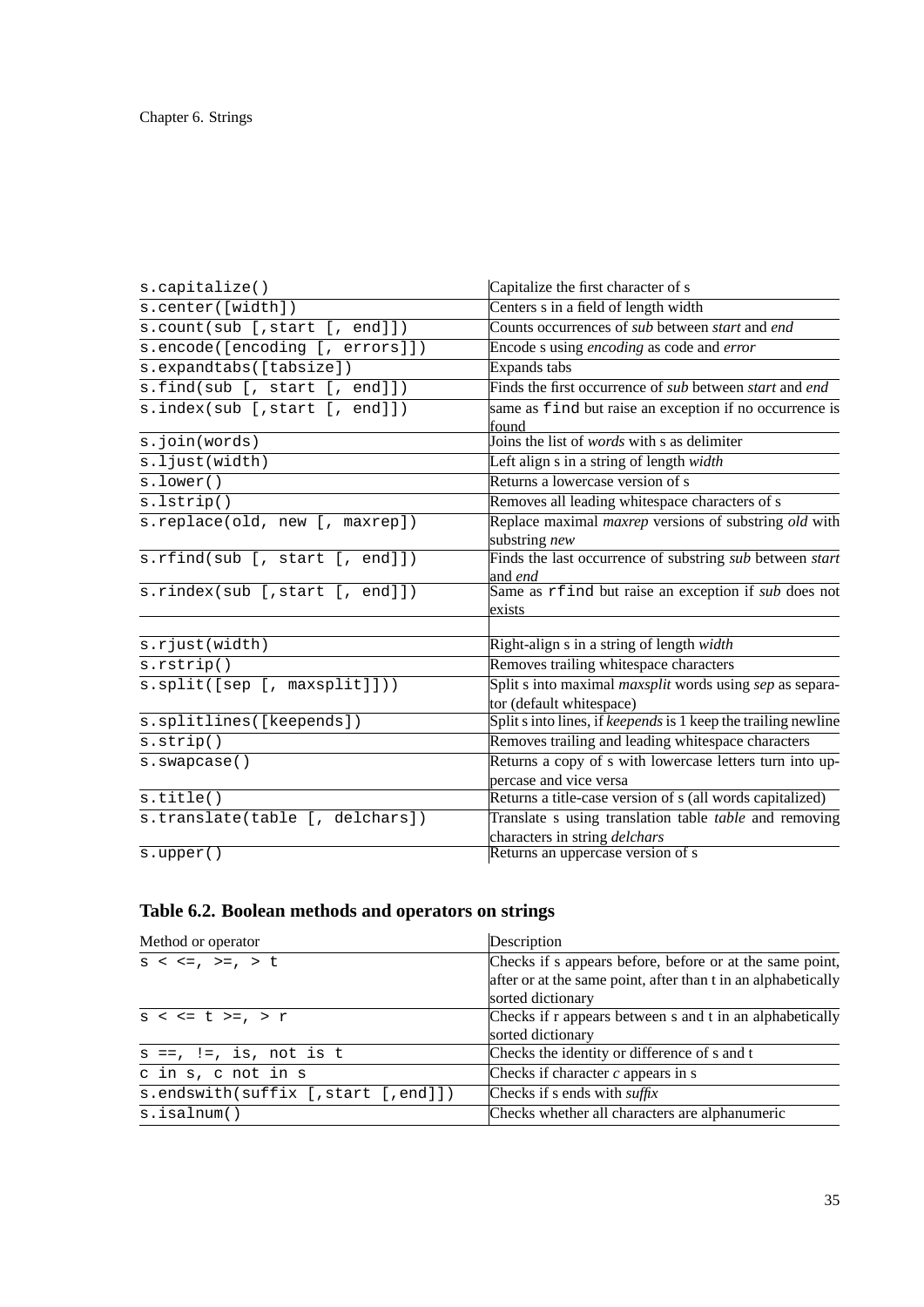| s.capitalize()                  | Capitalize the first character of s                                                         |
|---------------------------------|---------------------------------------------------------------------------------------------|
| s.center([width])               | Centers s in a field of length width                                                        |
| s.count(sub [, start [, end]])  | Counts occurrences of <i>sub</i> between <i>start</i> and <i>end</i>                        |
| s.encode([encoding [, errors]]) | Encode s using encoding as code and error                                                   |
| s.expandtabs([tabsize])         | Expands tabs                                                                                |
| s.find(sub[, start[, end]])     | Finds the first occurrence of <i>sub</i> between <i>start</i> and <i>end</i>                |
| s.index(sub[, start[, end]]     | same as find but raise an exception if no occurrence is<br>found                            |
| s.join(words)                   | Joins the list of <i>words</i> with s as delimiter                                          |
| s.ljust(width)                  | Left align s in a string of length width                                                    |
| s.lower()                       | Returns a lowercase version of s                                                            |
| s.lstrip()                      | Removes all leading whitespace characters of s                                              |
| s.replace(old, new [, maxrep])  | Replace maximal <i>maxrep</i> versions of substring old with<br>substring new               |
| s.rfind(sub[, start[, end]]     | Finds the last occurrence of substring sub between start<br>and end                         |
| s.rindex(sub [, start [, end]]) | Same as rfind but raise an exception if sub does not<br>exists                              |
| s.rjust(width)                  | Right-align s in a string of length width                                                   |
| s.rstrip()                      | Removes trailing whitespace characters                                                      |
| s.split([sep [, maxsplit]]))    | Split s into maximal <i>maxsplit</i> words using sep as separa-<br>tor (default whitespace) |
| s.splitlines([keepends])        | Split s into lines, if keepends is 1 keep the trailing newline                              |
| s.strip()                       | Removes trailing and leading whitespace characters                                          |
| s.swapcase()                    | Returns a copy of s with lowercase letters turn into up-<br>percase and vice versa          |
| s.title()                       | Returns a title-case version of s (all words capitalized)                                   |
| s.translate(table [, delchars]) | Translate s using translation table table and removing<br>characters in string delchars     |
| s.upper()                       | Returns an uppercase version of s                                                           |

### <span id="page-48-0"></span>**Table 6.2. Boolean methods and operators on strings**

| Description                                                   |
|---------------------------------------------------------------|
| Checks if s appears before, before or at the same point,      |
| after or at the same point, after than t in an alphabetically |
| sorted dictionary                                             |
| Checks if r appears between s and t in an alphabetically      |
| sorted dictionary                                             |
| Checks the identity or difference of s and t                  |
| Checks if character $c$ appears in s                          |
| Checks if s ends with <i>suffix</i>                           |
| Checks whether all characters are alphanumeric                |
|                                                               |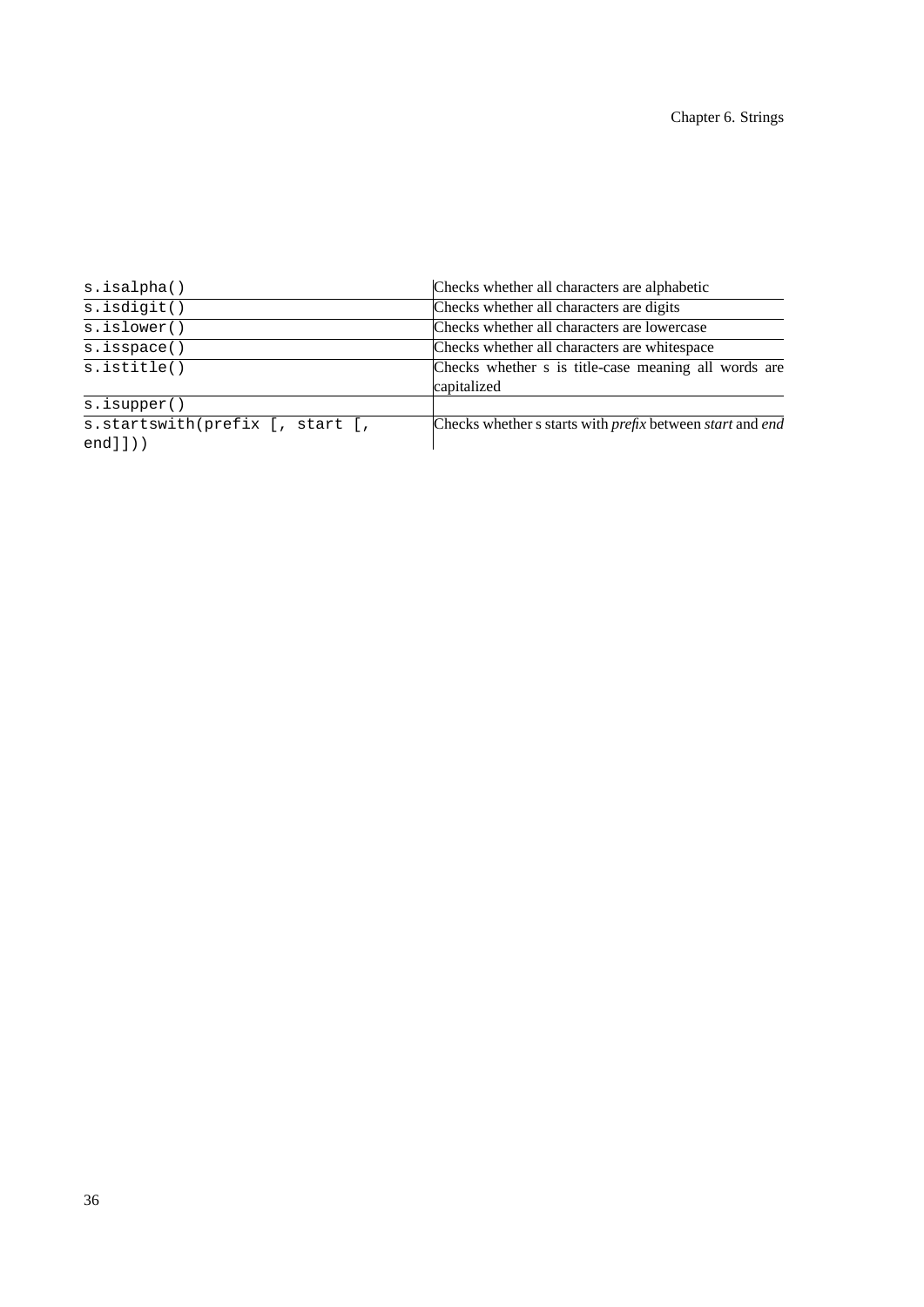| s.isalpha()                                  | Checks whether all characters are alphabetic                                   |
|----------------------------------------------|--------------------------------------------------------------------------------|
| s.isdigit()                                  | Checks whether all characters are digits                                       |
| s.islower()                                  | Checks whether all characters are lowercase                                    |
| s.isspace()                                  | Checks whether all characters are whitespace                                   |
| $s.$ istitle $()$                            | Checks whether s is title-case meaning all words are<br>capitalized            |
| s.isupper()                                  |                                                                                |
| s.startswith(prefix [, start [,<br>$end]]$ ) | Checks whether s starts with <i>prefix</i> between <i>start</i> and <i>end</i> |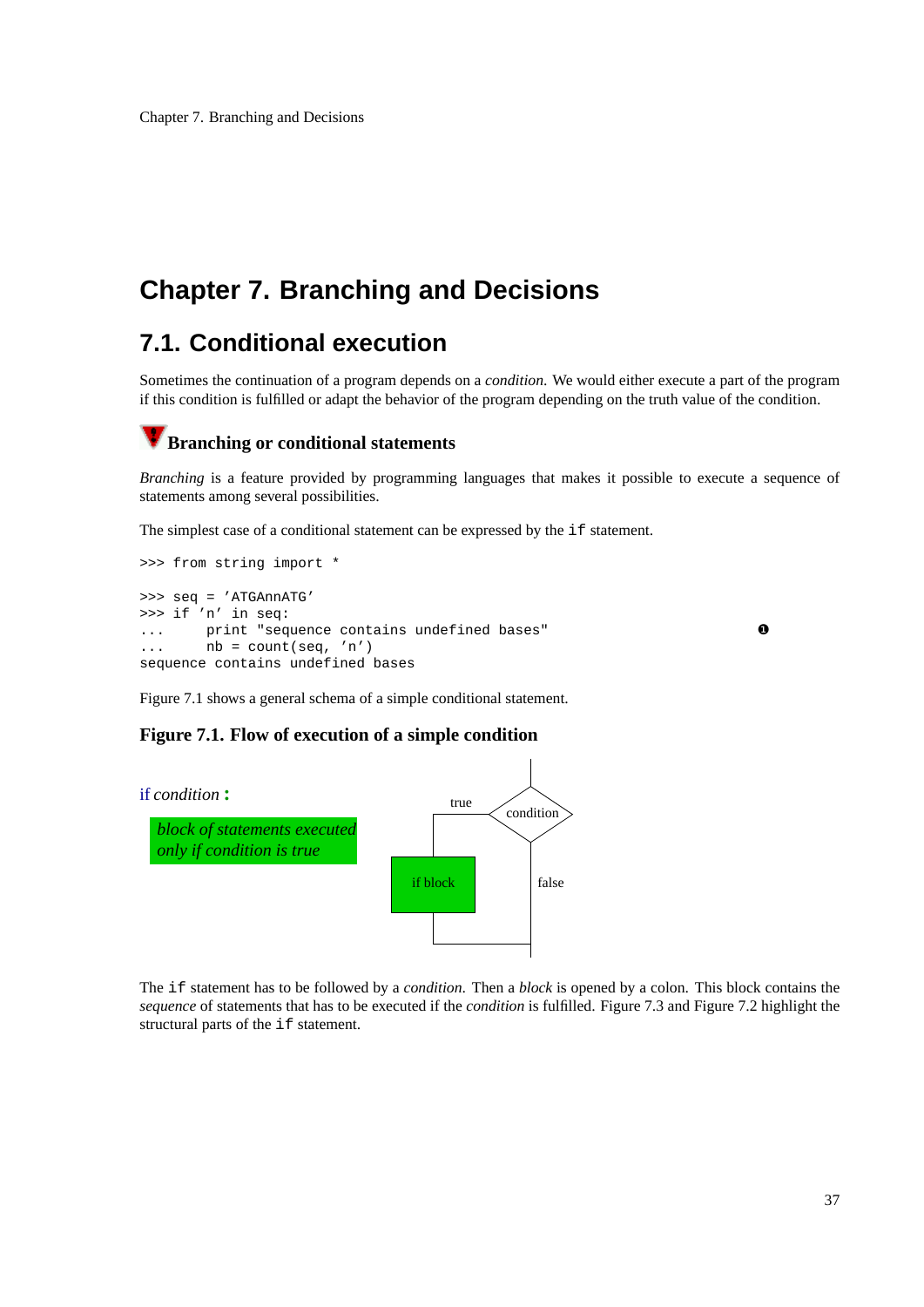# **Chapter 7. Branching and Decisions**

## **7.1. Conditional execution**

Sometimes the continuation of a program depends on a *condition*. We would either execute a part of the program if this condition is fulfilled or adapt the behavior of the program depending on the truth value of the condition.

# **Branching or conditional statements**

*Branching* is a feature provided by programming languages that makes it possible to execute a sequence of statements among several possibilities.

The simplest case of a conditional statement can be expressed by the if statement.

```
>>> from string import *
>>> seq = 'ATGAnnATG'
>>> if 'n' in seq:
... print "sequence contains undefined bases"  0
\ldots nb = count(seq, 'n')
sequence contains undefined bases
```
<span id="page-50-0"></span>[Figure 7.1](#page-50-0) shows a general schema of a simple conditional statement.

#### **Figure 7.1. Flow of execution of a simple condition**



The if statement has to be followed by a *condition*. Then a *block* is opened by a colon. This block contains the *sequence* of statements that has to be executed if the *condition* is fulfilled. [Figure 7.3](#page-51-0) and [Figure 7.2](#page-51-1) highlight the structural parts of the if statement.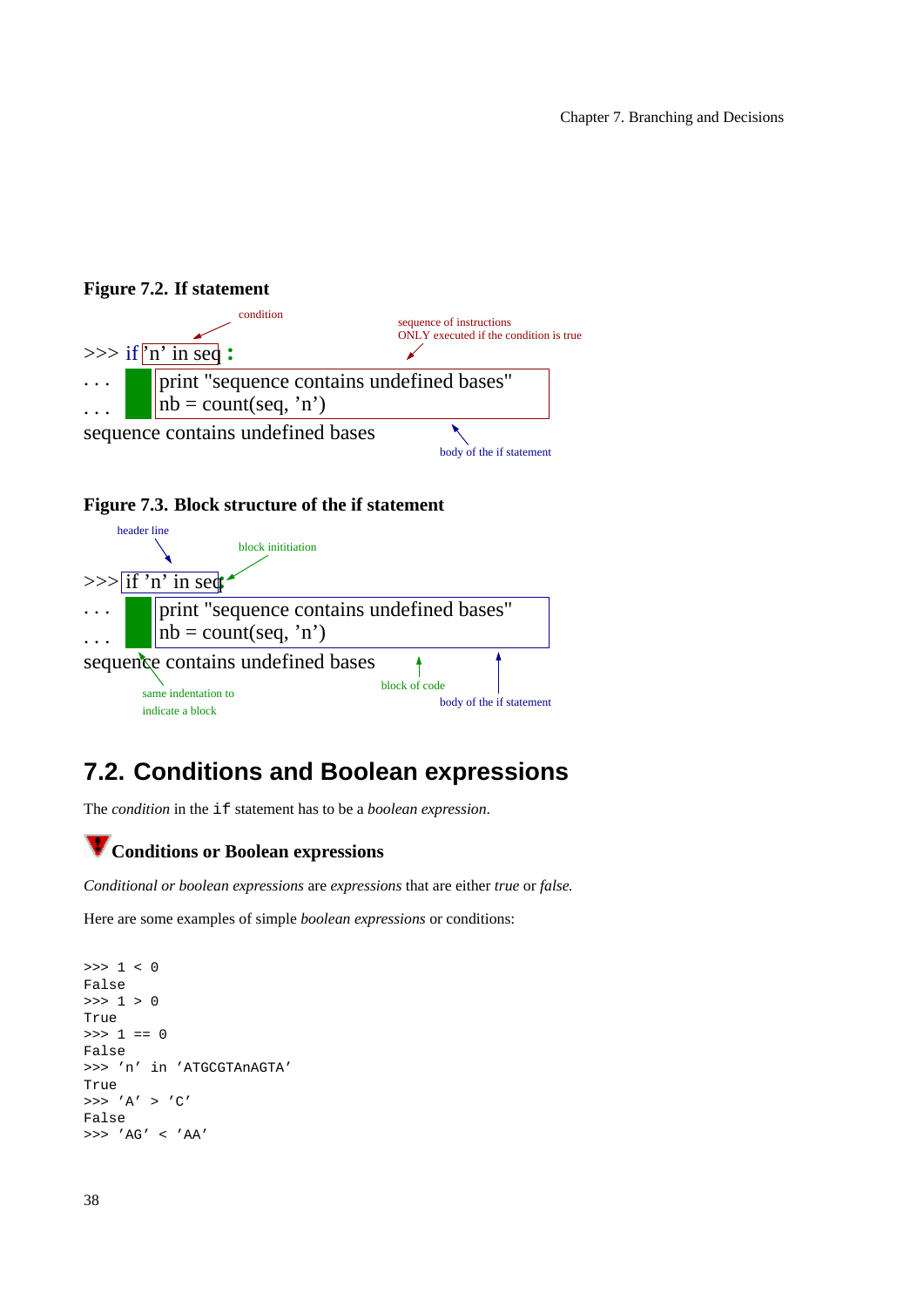#### <span id="page-51-1"></span>**Figure 7.2. If statement**



<span id="page-51-0"></span>**Figure 7.3. Block structure of the if statement**



## **7.2. Conditions and Boolean expressions**

The *condition* in the if statement has to be a *boolean expression*.

### **Conditions or Boolean expressions**

*Conditional or boolean expressions* are *expressions* that are either *true* or *false.*

Here are some examples of simple *boolean expressions* or conditions:

```
\gg > 1 < 0
False
>>> 1 > 0
True
\Rightarrow > 1 == 0
False
>>> 'n' in 'ATGCGTAnAGTA'
True
>>> 'A' > 'C'
False
>>> 'AG' < 'AA'
```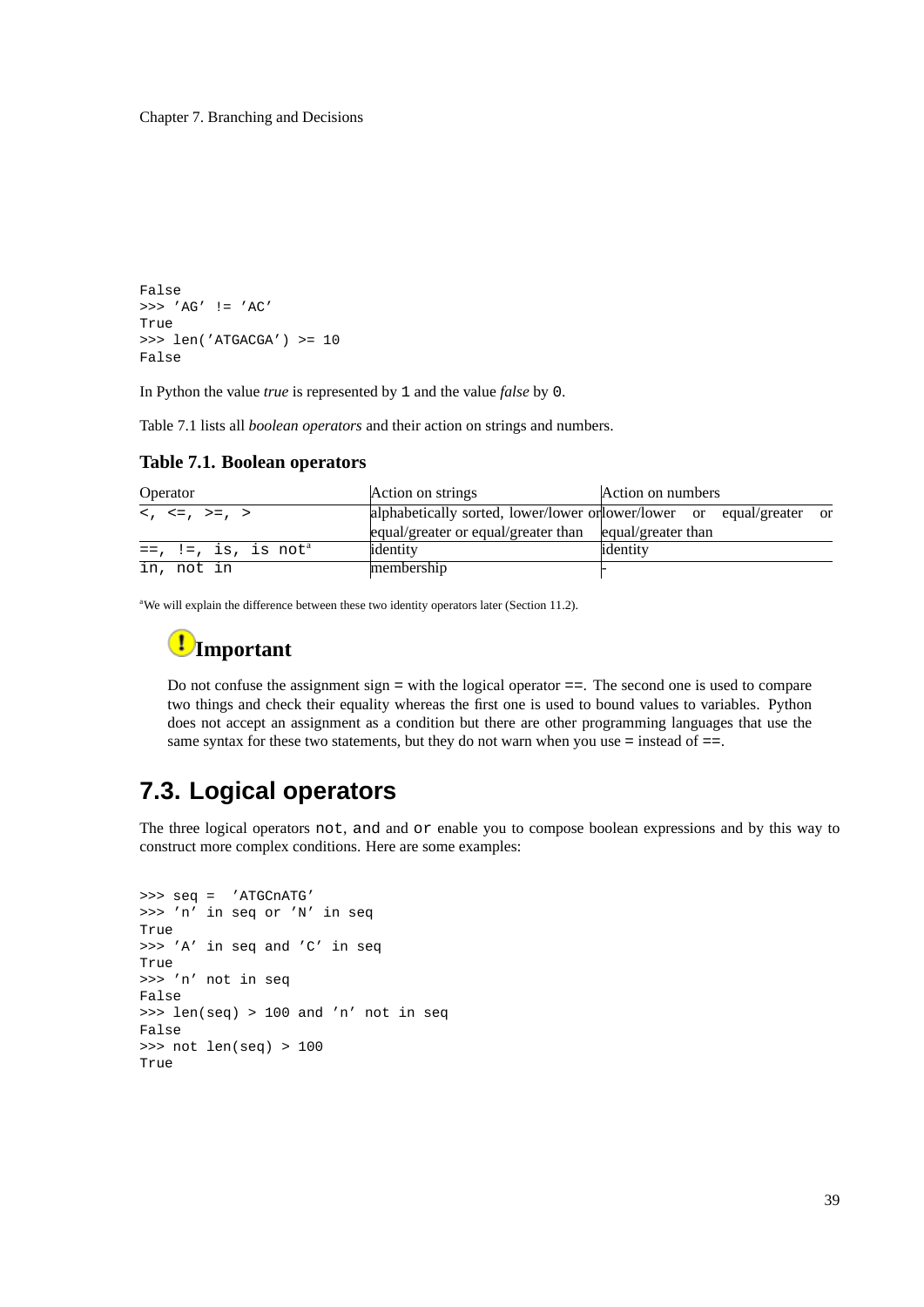```
False
>>> 'AG' != 'AC'
True
>>> len('ATGACGA') >= 10
False
```
In Python the value *true* is represented by 1 and the value *false* by 0.

<span id="page-52-0"></span>[Table 7.1](#page-52-0) lists all *boolean operators* and their action on strings and numbers.

| Operator                                    | Action on strings                   | Action on numbers                                                     |
|---------------------------------------------|-------------------------------------|-----------------------------------------------------------------------|
| $\langle , \langle = , \rangle = , \rangle$ |                                     | alphabetically sorted, lower/lower or lower/lower or equal/greater or |
|                                             | equal/greater or equal/greater than | equal/greater than                                                    |
| $==$ , !=, is, is not <sup>a</sup>          | identity                            | identity                                                              |
| in, not in                                  | membership                          |                                                                       |

#### **Table 7.1. Boolean operators**

<sup>a</sup>We will explain the difference between these two identity operators later [\(Section 11.2\)](#page-86-0).

# **Important**

Do not confuse the assignment sign = with the logical operator ==. The second one is used to compare two things and check their equality whereas the first one is used to bound values to variables. Python does not accept an assignment as a condition but there are other programming languages that use the same syntax for these two statements, but they do not warn when you use  $=$  instead of  $=$ .

## **7.3. Logical operators**

The three logical operators not, and and or enable you to compose boolean expressions and by this way to construct more complex conditions. Here are some examples:

```
>>> seq = 'ATGCnATG'
>>> 'n' in seq or 'N' in seq
True
>>> 'A' in seq and 'C' in seq
True
>>> 'n' not in seq
False
>>> len(seq) > 100 and 'n' not in seq
False
>>> not len(seq) > 100
True
```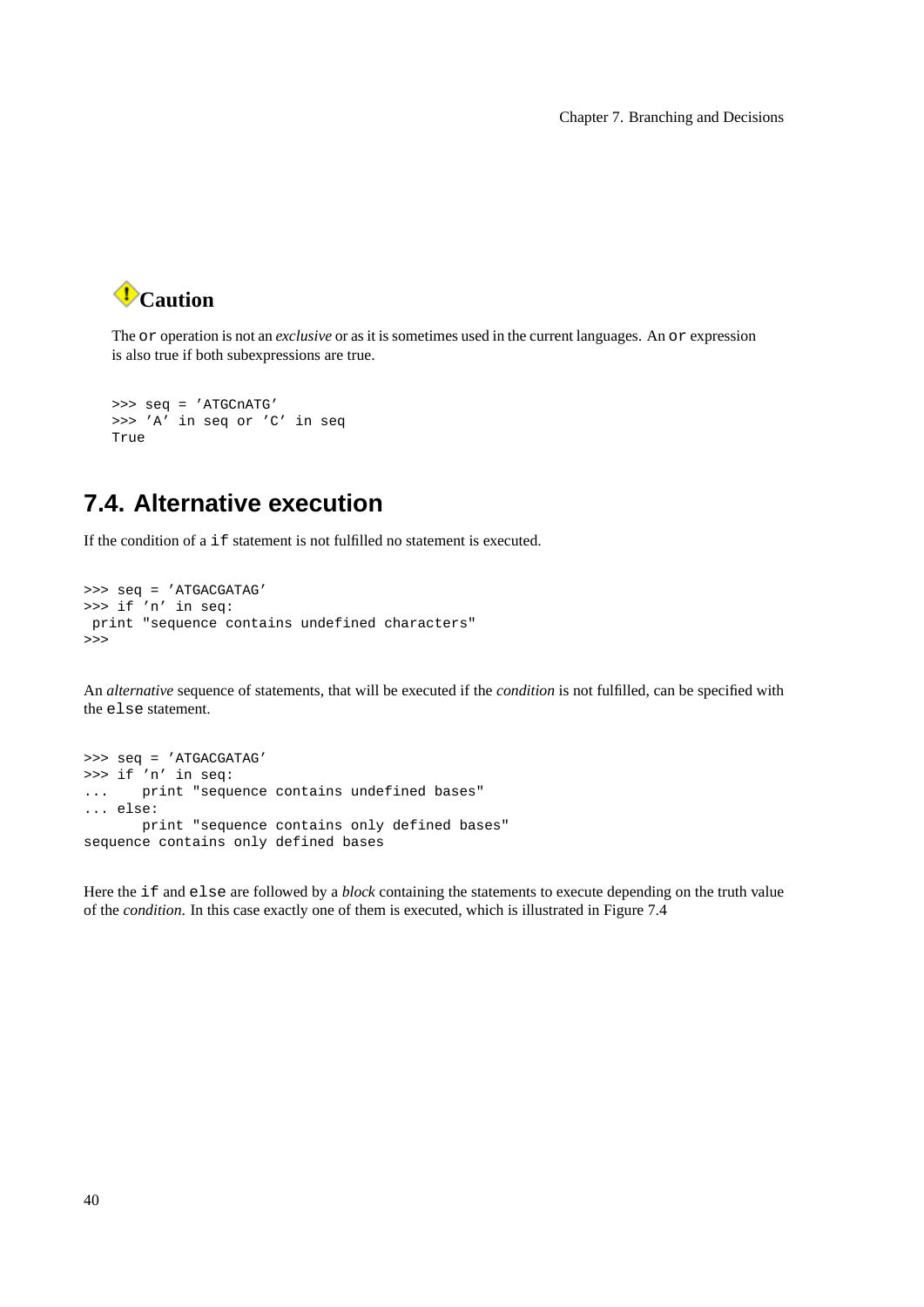Chapter 7. Branching and Decisions



The or operation is not an *exclusive* or as it is sometimes used in the current languages. An or expression is also true if both subexpressions are true.

```
>>> seq = 'ATGCnATG'
>>> 'A' in seq or 'C' in seq
True
```
## **7.4. Alternative execution**

If the condition of a if statement is not fulfilled no statement is executed.

```
>>> seq = 'ATGACGATAG'
>>> if 'n' in seq:
print "sequence contains undefined characters"
>>>
```
An *alternative* sequence of statements, that will be executed if the *condition* is not fulfilled, can be specified with the else statement.

```
>>> seq = 'ATGACGATAG'
>>> if 'n' in seq:
... print "sequence contains undefined bases"
... else:
      print "sequence contains only defined bases"
sequence contains only defined bases
```
Here the if and else are followed by a *block* containing the statements to execute depending on the truth value of the *condition*. In this case exactly one of them is executed, which is illustrated in [Figure 7.4](#page-54-0)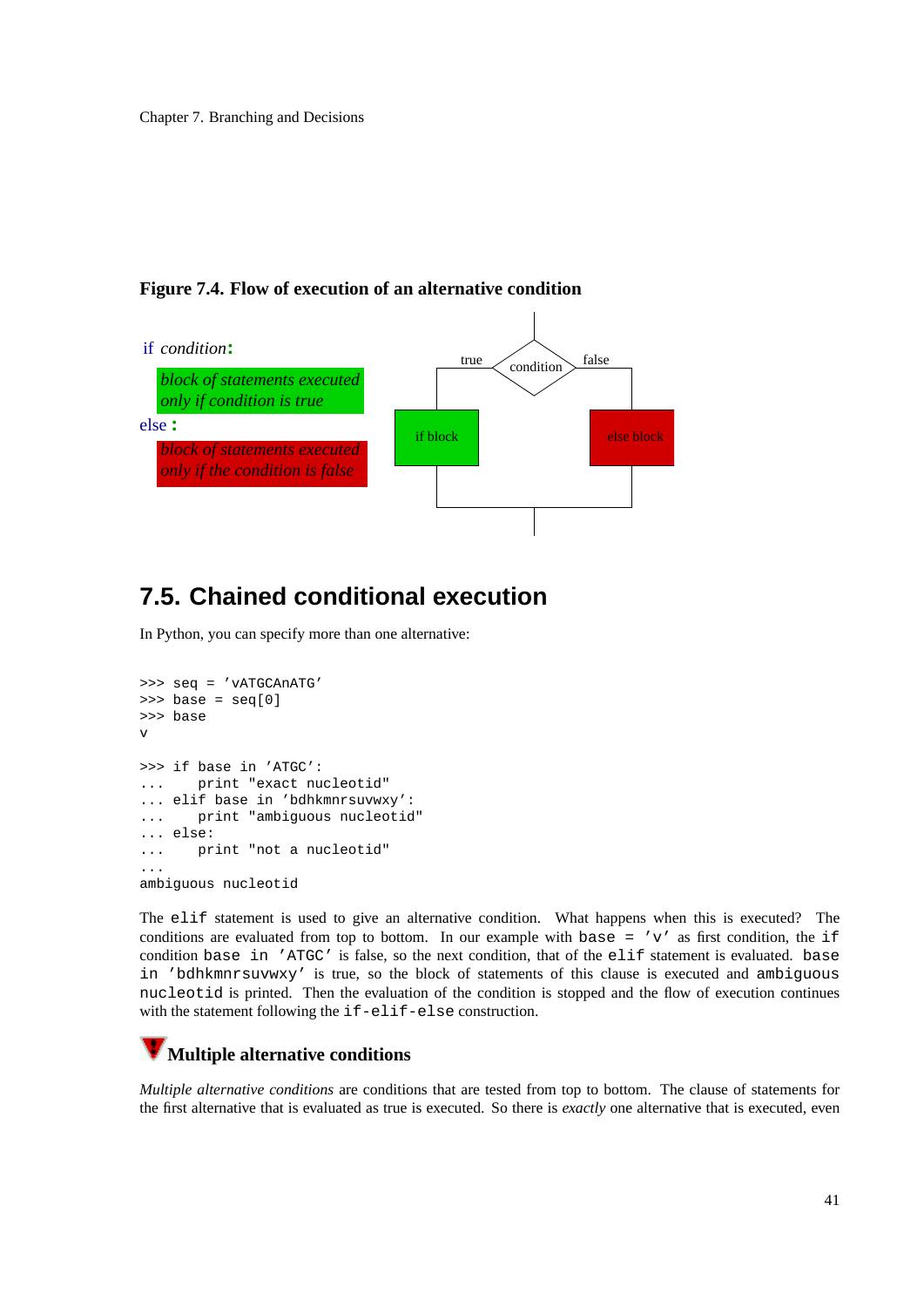Chapter 7. Branching and Decisions

### <span id="page-54-0"></span>**Figure 7.4. Flow of execution of an alternative condition**



## **7.5. Chained conditional execution**

In Python, you can specify more than one alternative:

```
>>> seq = 'vATGCAnATG'
\Rightarrow base = seq[0]
>>> base
\overline{v}>>> if base in 'ATGC':
... print "exact nucleotid"
... elif base in 'bdhkmnrsuvwxy':
... print "ambiguous nucleotid"
... else:
... print "not a nucleotid"
ambiguous nucleotid
```
The elif statement is used to give an alternative condition. What happens when this is executed? The conditions are evaluated from top to bottom. In our example with base  $=$  'v' as first condition, the if condition base in 'ATGC' is false, so the next condition, that of the elif statement is evaluated. base in 'bdhkmnrsuvwxy' is true, so the block of statements of this clause is executed and ambiguous nucleotid is printed. Then the evaluation of the condition is stopped and the flow of execution continues with the statement following the if-elif-else construction.

# **Multiple alternative conditions**

*Multiple alternative conditions* are conditions that are tested from top to bottom. The clause of statements for the first alternative that is evaluated as true is executed. So there is *exactly* one alternative that is executed, even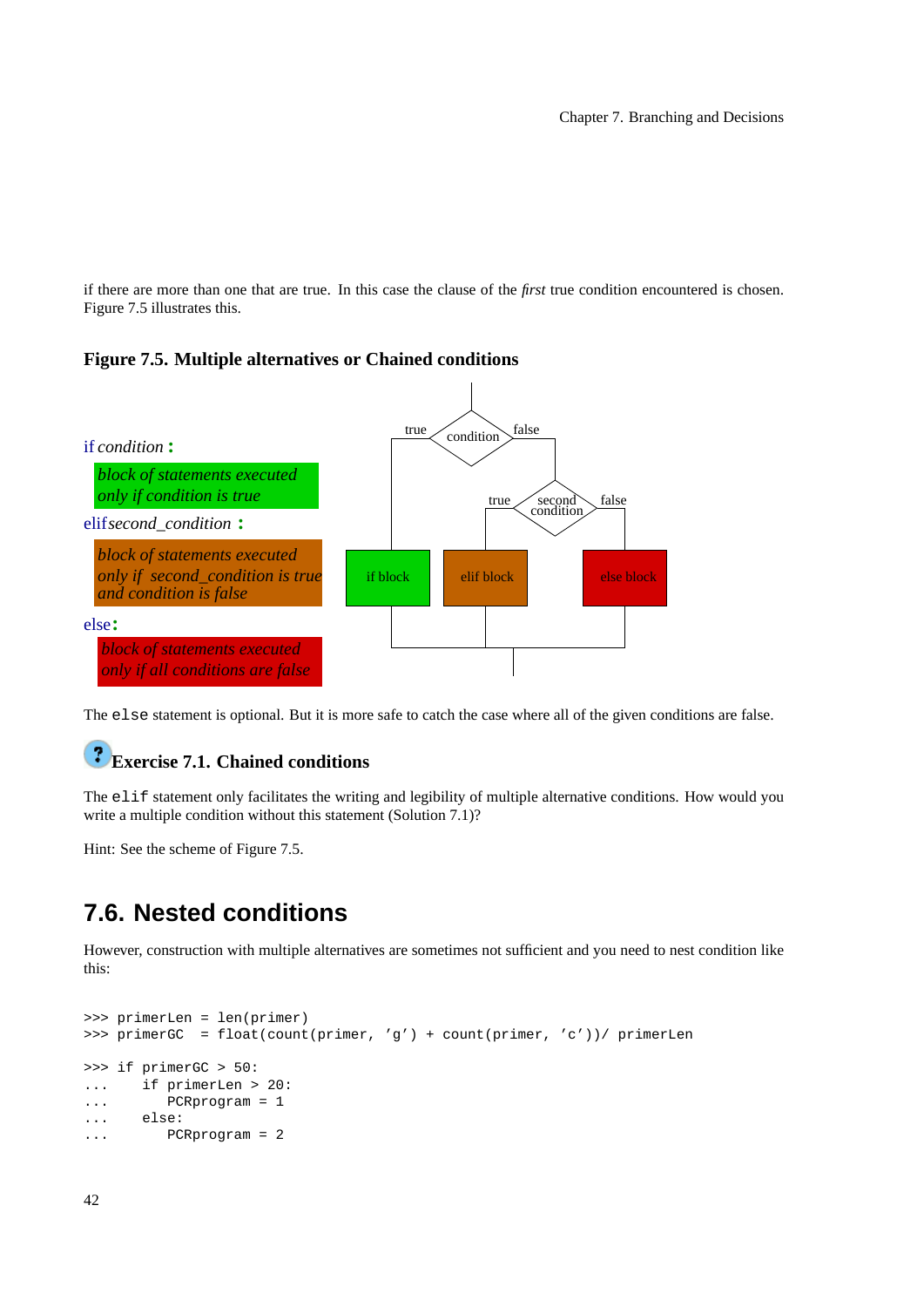if there are more than one that are true. In this case the clause of the *first* true condition encountered is chosen. [Figure 7.5](#page-55-0) illustrates this.

<span id="page-55-0"></span>



<span id="page-55-1"></span>The else statement is optional. But it is more safe to catch the case where all of the given conditions are false.

# **Exercise 7.1. Chained conditions**

The elif statement only facilitates the writing and legibility of multiple alternative conditions. How would you write a multiple condition without this statement [\(Solution 7.1\)](#page-57-0)?

Hint: See the scheme of [Figure 7.5.](#page-55-0)

## **7.6. Nested conditions**

However, construction with multiple alternatives are sometimes not sufficient and you need to nest condition like this:

```
>>> primerLen = len(primer)
>>> primerGC = float(count(primer, 'g') + count(primer, 'c'))/ primerLen
>>> if primerGC > 50:
... if primerLen > 20:
... PCRprogram = 1
... else:
... PCRprogram = 2
```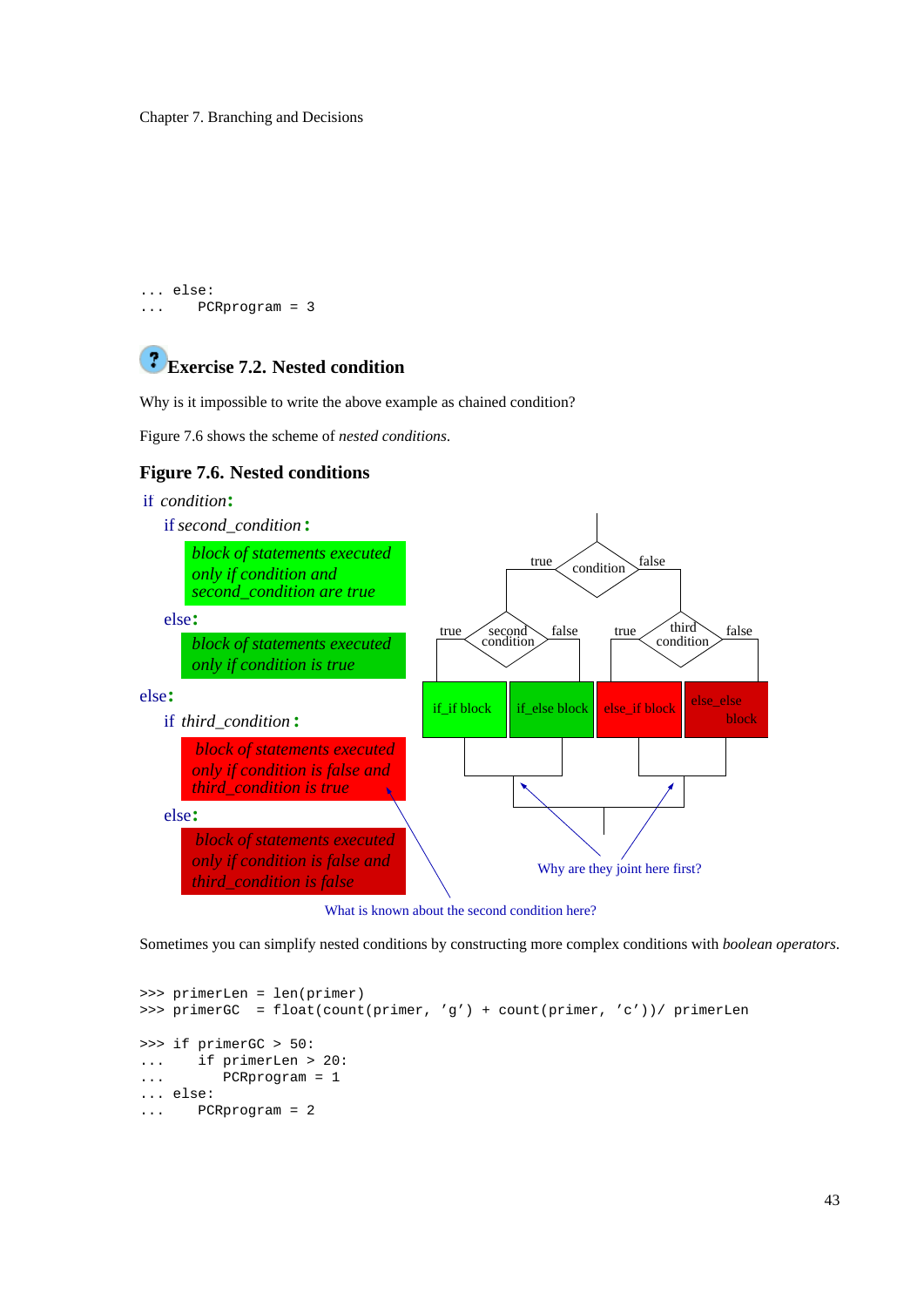```
... else:
... PCRprogram = 3
```
# **Exercise 7.2. Nested condition**

Why is it impossible to write the above example as chained condition?

<span id="page-56-0"></span>[Figure 7.6](#page-56-0) shows the scheme of *nested conditions*.

### **Figure 7.6. Nested conditions**



What is known about the second condition here?

Sometimes you can simplify nested conditions by constructing more complex conditions with *boolean operators*.

```
>>> primerLen = len(primer)
>>> primerGC = float(count(primer, 'g') + count(primer, 'c'))/ primerLen
>>> if primerGC > 50:
... if primerLen > 20:
... PCRprogram = 1
... else:
... PCRprogram = 2
```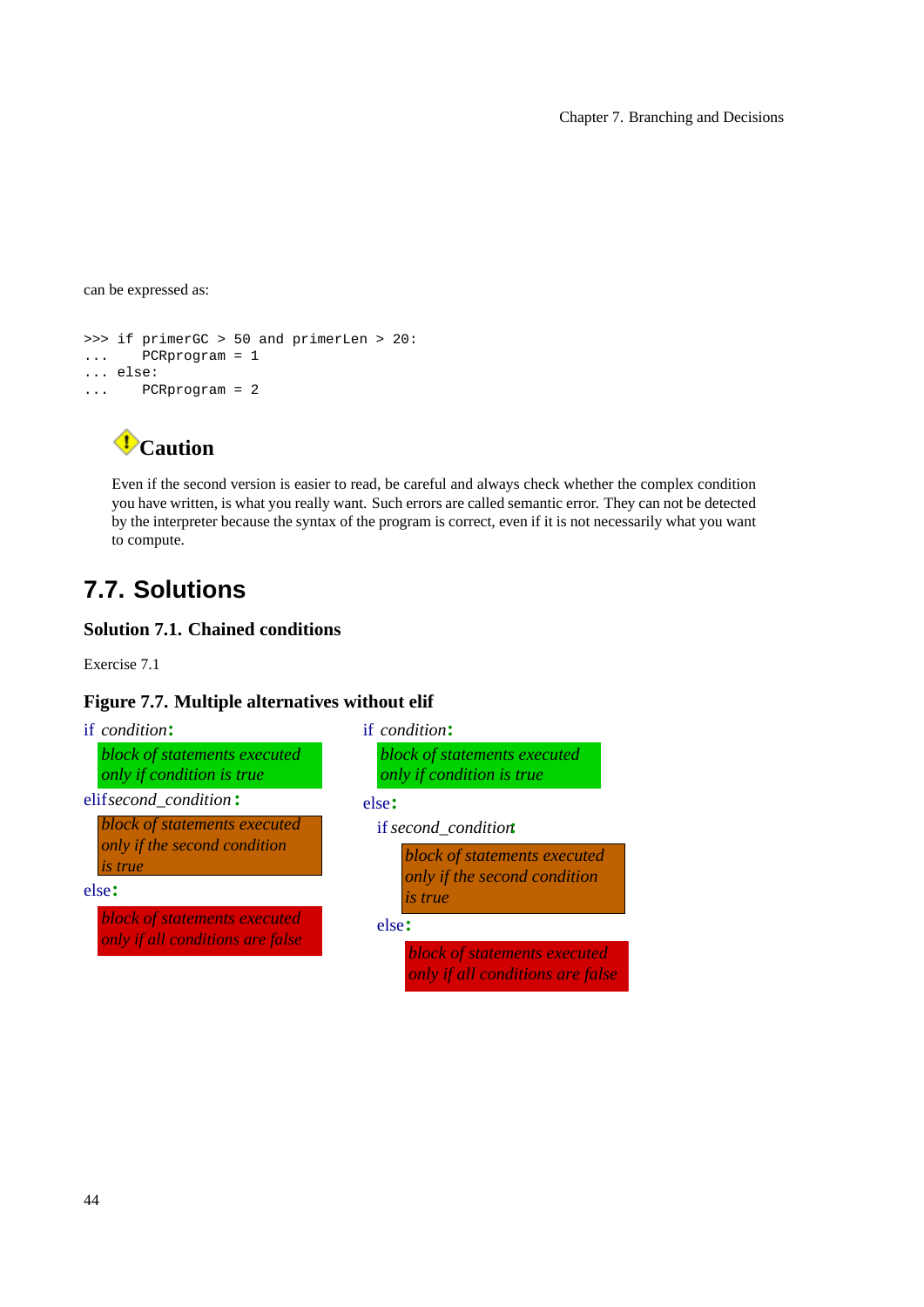can be expressed as:

```
>>> if primerGC > 50 and primerLen > 20:
... PCRprogram = 1
... else:
... PCRprogram = 2
```
#### ◁ **Caution**

Even if the second version is easier to read, be careful and always check whether the complex condition you have written, is what you really want. Such errors are called semantic error. They can not be detected by the interpreter because the syntax of the program is correct, even if it is not necessarily what you want to compute.

# **7.7. Solutions**

### <span id="page-57-0"></span>**Solution 7.1. Chained conditions**

[Exercise 7.1](#page-55-1)

### **Figure 7.7. Multiple alternatives without elif**

```
if condition:
  block of statements executed
  only if condition is true
  block of statements executed
elifsecond_condition :
  block of statements executed
else:
  only if the second condition
  is true
   only if all conditions are false
                                         if condition:
                                            block of statements executed
                                            only if condition is true
                                         else:
                                           ifsecond_condition:
                                                block of statements executed
                                                only if all conditions are false
                                           else:
                                               block of statements executed
                                               only if the second condition
                                                is true
```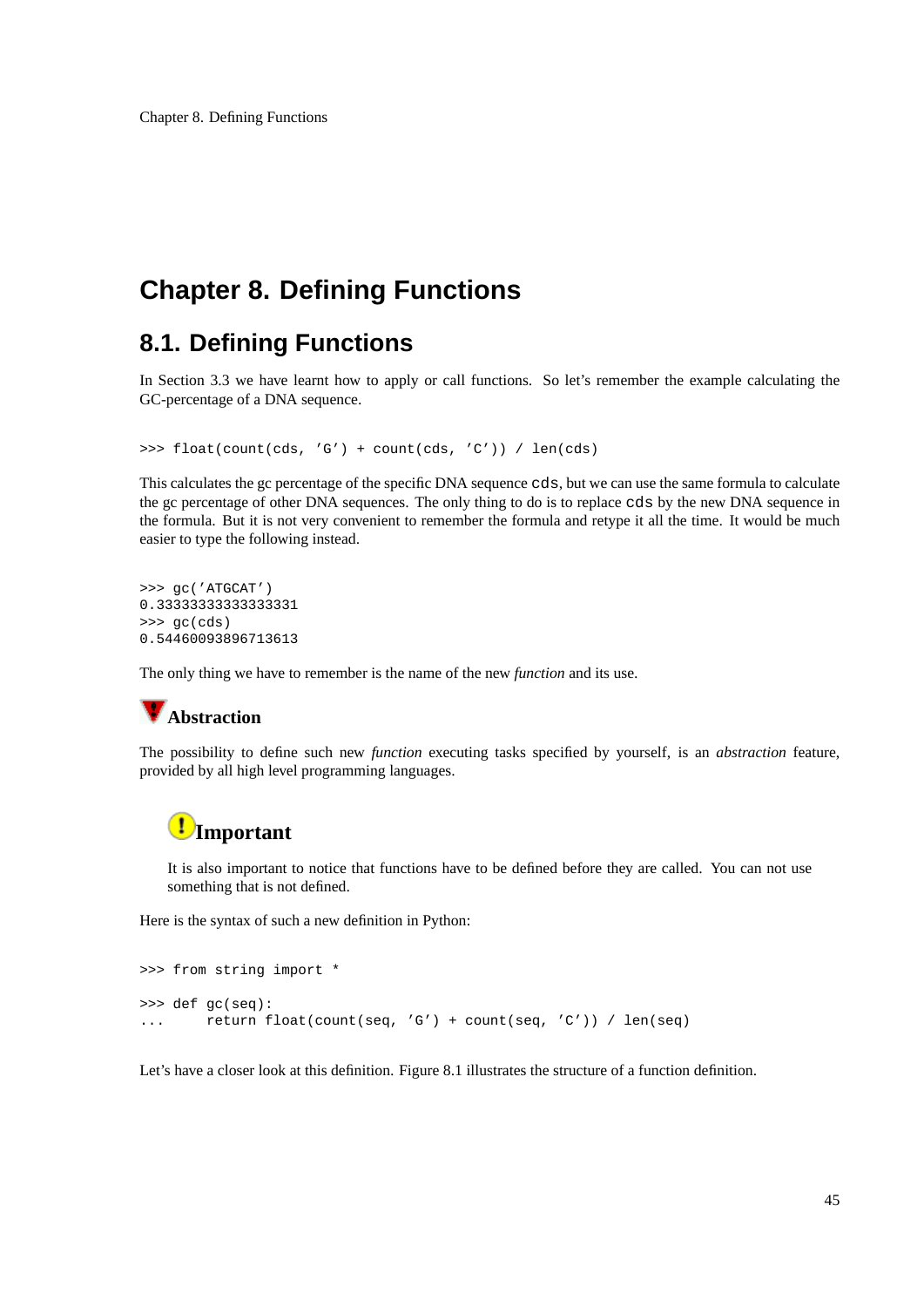# **Chapter 8. Defining Functions**

## **8.1. Defining Functions**

In [Section 3.3](#page-28-0) we have learnt how to apply or call functions. So let's remember the example calculating the GC-percentage of a DNA sequence.

>>> float(count(cds, 'G') + count(cds, 'C')) / len(cds)

This calculates the gc percentage of the specific DNA sequence cds, but we can use the same formula to calculate the gc percentage of other DNA sequences. The only thing to do is to replace cds by the new DNA sequence in the formula. But it is not very convenient to remember the formula and retype it all the time. It would be much easier to type the following instead.

```
>>> gc('ATGCAT')
0.33333333333333331
>>> gc(cds)
0.54460093896713613
```
The only thing we have to remember is the name of the new *function* and its use.

### **Abstraction**

The possibility to define such new *function* executing tasks specified by yourself, is an *abstraction* feature, provided by all high level programming languages.

# **Important**

It is also important to notice that functions have to be defined before they are called. You can not use something that is not defined.

Here is the syntax of such a new definition in Python:

```
>>> from string import *
>>> def gc(seq):
... return float(count(seq, 'G') + count(seq, 'C')) / len(seq)
```
Let's have a closer look at this definition. [Figure 8.1](#page-59-0) illustrates the structure of a function definition.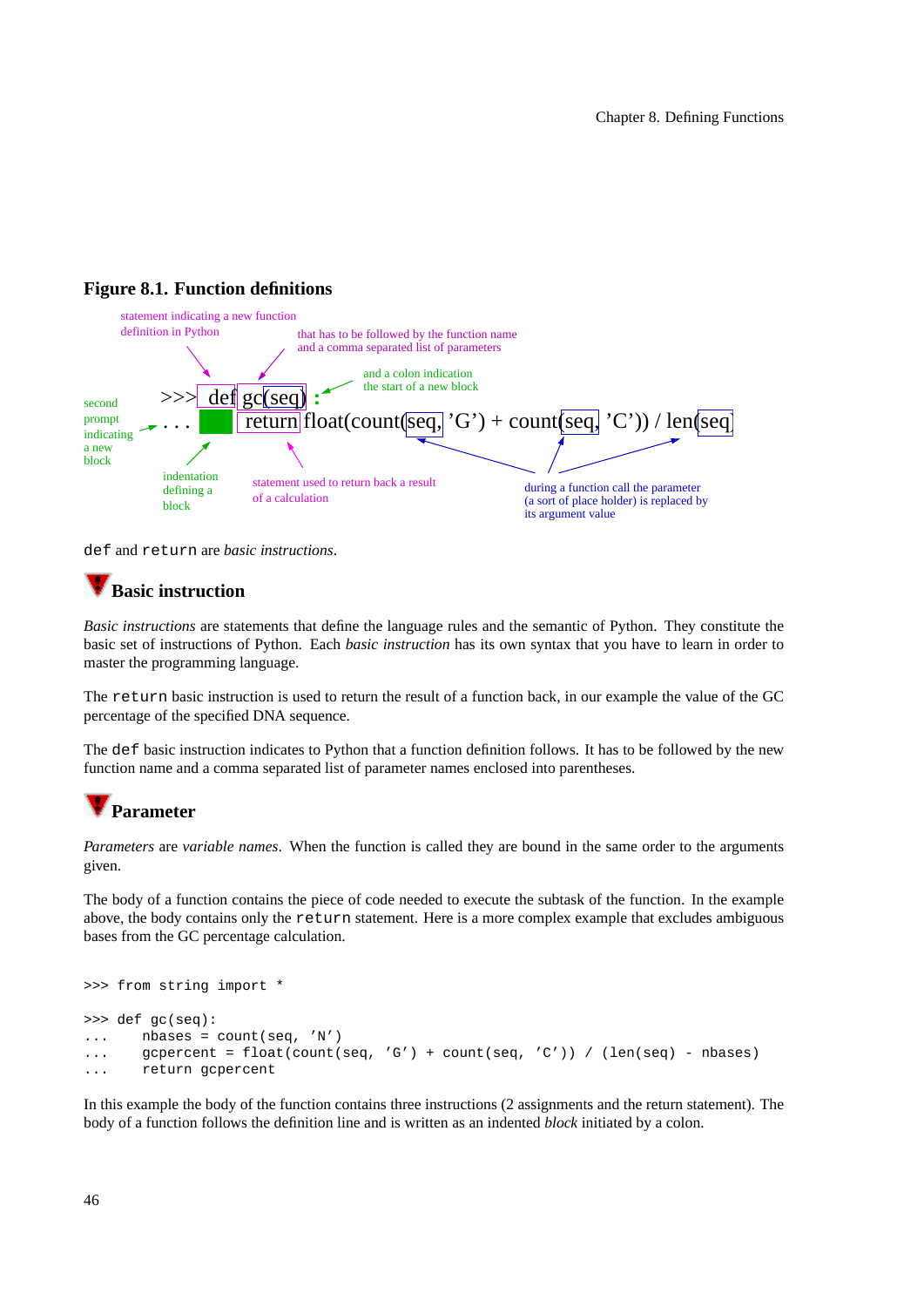#### <span id="page-59-0"></span>**Figure 8.1. Function definitions**



def and return are *basic instructions*.

### **Basic instruction**

*Basic instructions* are statements that define the language rules and the semantic of Python. They constitute the basic set of instructions of Python. Each *basic instruction* has its own syntax that you have to learn in order to master the programming language.

The return basic instruction is used to return the result of a function back, in our example the value of the GC percentage of the specified DNA sequence.

The def basic instruction indicates to Python that a function definition follows. It has to be followed by the new function name and a comma separated list of parameter names enclosed into parentheses.

## **Parameter**

*Parameters* are *variable names*. When the function is called they are bound in the same order to the arguments given.

The body of a function contains the piece of code needed to execute the subtask of the function. In the example above, the body contains only the return statement. Here is a more complex example that excludes ambiguous bases from the GC percentage calculation.

```
>>> from string import *
>>> def gc(seq):
... nbases = count(seq, 'N')
... gcpercent = float(count(seq, 'G') + count(seq, 'C')) / (len(seq) - nbases)
... return gcpercent
```
In this example the body of the function contains three instructions (2 assignments and the return statement). The body of a function follows the definition line and is written as an indented *block* initiated by a colon.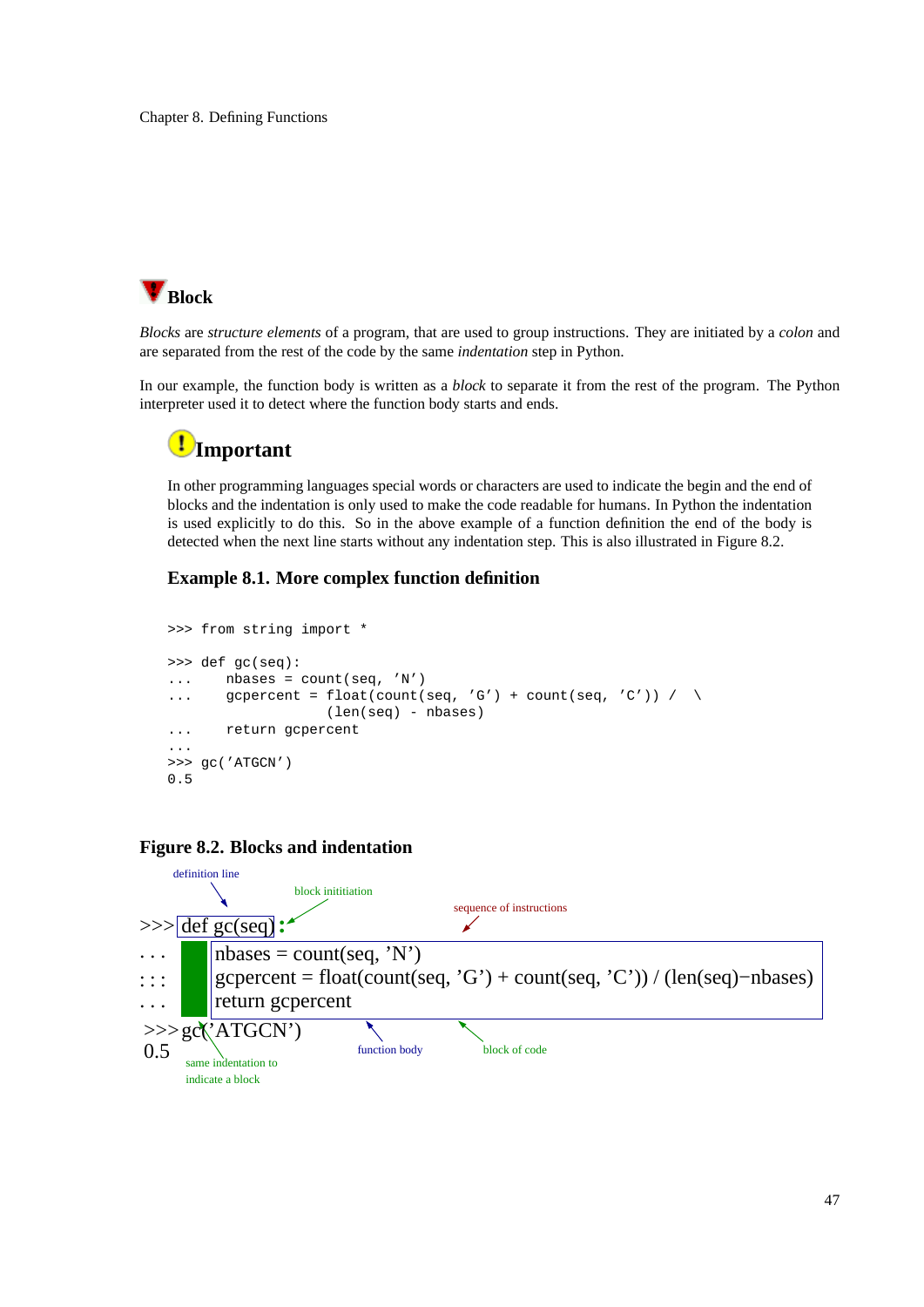

*Blocks* are *structure elements* of a program, that are used to group instructions. They are initiated by a *colon* and are separated from the rest of the code by the same *indentation* step in Python.

In our example, the function body is written as a *block* to separate it from the rest of the program. The Python interpreter used it to detect where the function body starts and ends.

# **Important**

In other programming languages special words or characters are used to indicate the begin and the end of blocks and the indentation is only used to make the code readable for humans. In Python the indentation is used explicitly to do this. So in the above example of a function definition the end of the body is detected when the next line starts without any indentation step. This is also illustrated in [Figure 8.2.](#page-60-0)

#### <span id="page-60-1"></span>**Example 8.1. More complex function definition**

```
>>> from string import *
>>> def gc(seq):
... nbases = count(seq, 'N')
... gcpercent = float(count(seq, 'G') + count(seq, 'C')) / \
                  (len(seq) - nbases)
... return gcpercent
...
>>> gc('ATGCN')
0.5
```
<span id="page-60-0"></span>

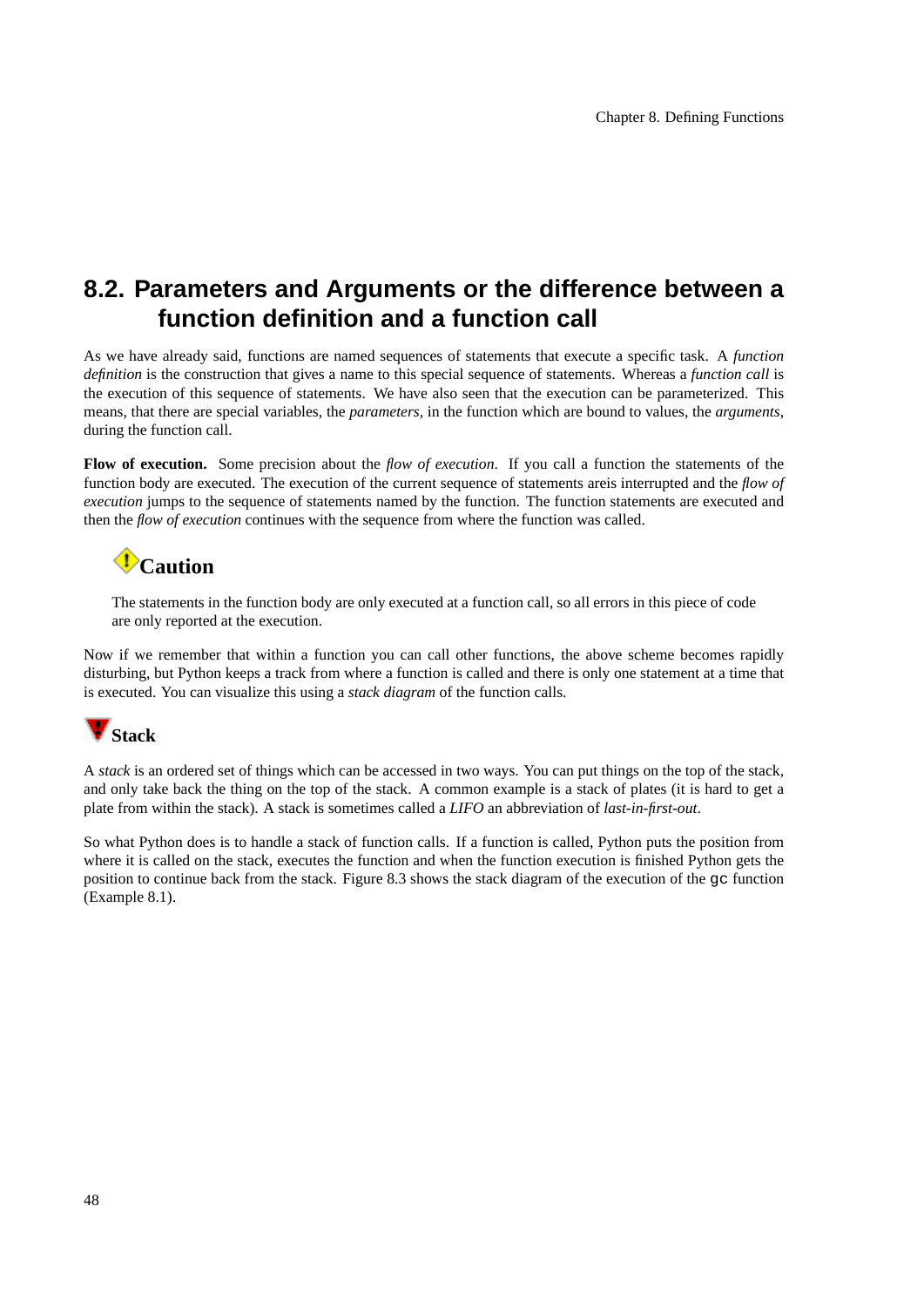## **8.2. Parameters and Arguments or the difference between a function definition and a function call**

As we have already said, functions are named sequences of statements that execute a specific task. A *function definition* is the construction that gives a name to this special sequence of statements. Whereas a *function call* is the execution of this sequence of statements. We have also seen that the execution can be parameterized. This means, that there are special variables, the *parameters*, in the function which are bound to values, the *arguments*, during the function call.

**Flow of execution.** Some precision about the *flow of execution*. If you call a function the statements of the function body are executed. The execution of the current sequence of statements areis interrupted and the *flow of execution* jumps to the sequence of statements named by the function. The function statements are executed and then the *flow of execution* continues with the sequence from where the function was called.

# **Caution**

The statements in the function body are only executed at a function call, so all errors in this piece of code are only reported at the execution.

Now if we remember that within a function you can call other functions, the above scheme becomes rapidly disturbing, but Python keeps a track from where a function is called and there is only one statement at a time that is executed. You can visualize this using a *stack diagram* of the function calls.



A *stack* is an ordered set of things which can be accessed in two ways. You can put things on the top of the stack, and only take back the thing on the top of the stack. A common example is a stack of plates (it is hard to get a plate from within the stack). A stack is sometimes called a *LIFO* an abbreviation of *last-in-first-out*.

So what Python does is to handle a stack of function calls. If a function is called, Python puts the position from where it is called on the stack, executes the function and when the function execution is finished Python gets the position to continue back from the stack. [Figure 8.3](#page-62-0) shows the stack diagram of the execution of the gc function [\(Example 8.1\)](#page-60-1).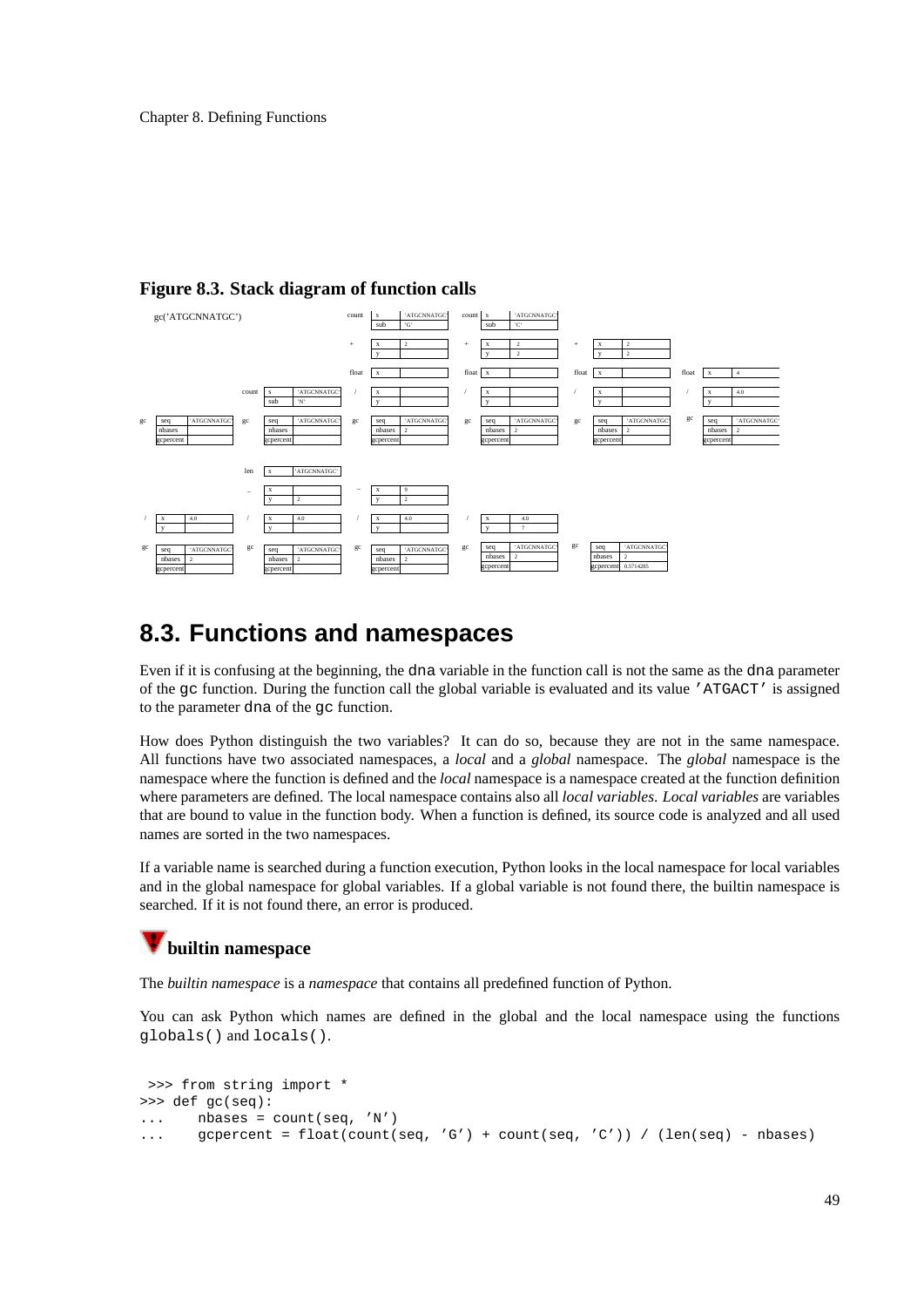

<span id="page-62-0"></span>**Figure 8.3. Stack diagram of function calls**

## **8.3. Functions and namespaces**

Even if it is confusing at the beginning, the dna variable in the function call is not the same as the dna parameter of the gc function. During the function call the global variable is evaluated and its value 'ATGACT' is assigned to the parameter dna of the gc function.

How does Python distinguish the two variables? It can do so, because they are not in the same namespace. All functions have two associated namespaces, a *local* and a *global* namespace. The *global* namespace is the namespace where the function is defined and the *local* namespace is a namespace created at the function definition where parameters are defined. The local namespace contains also all *local variables*. *Local variables* are variables that are bound to value in the function body. When a function is defined, its source code is analyzed and all used names are sorted in the two namespaces.

If a variable name is searched during a function execution, Python looks in the local namespace for local variables and in the global namespace for global variables. If a global variable is not found there, the builtin namespace is searched. If it is not found there, an error is produced.

### **builtin namespace**

The *builtin namespace* is a *namespace* that contains all predefined function of Python.

You can ask Python which names are defined in the global and the local namespace using the functions globals() and locals().

```
>>> from string import *
>>> def gc(seq):
... nbases = count(seq, 'N')
... gcpercent = float(count(seq, 'G') + count(seq, 'C')) / (len(seq) - nbases)
```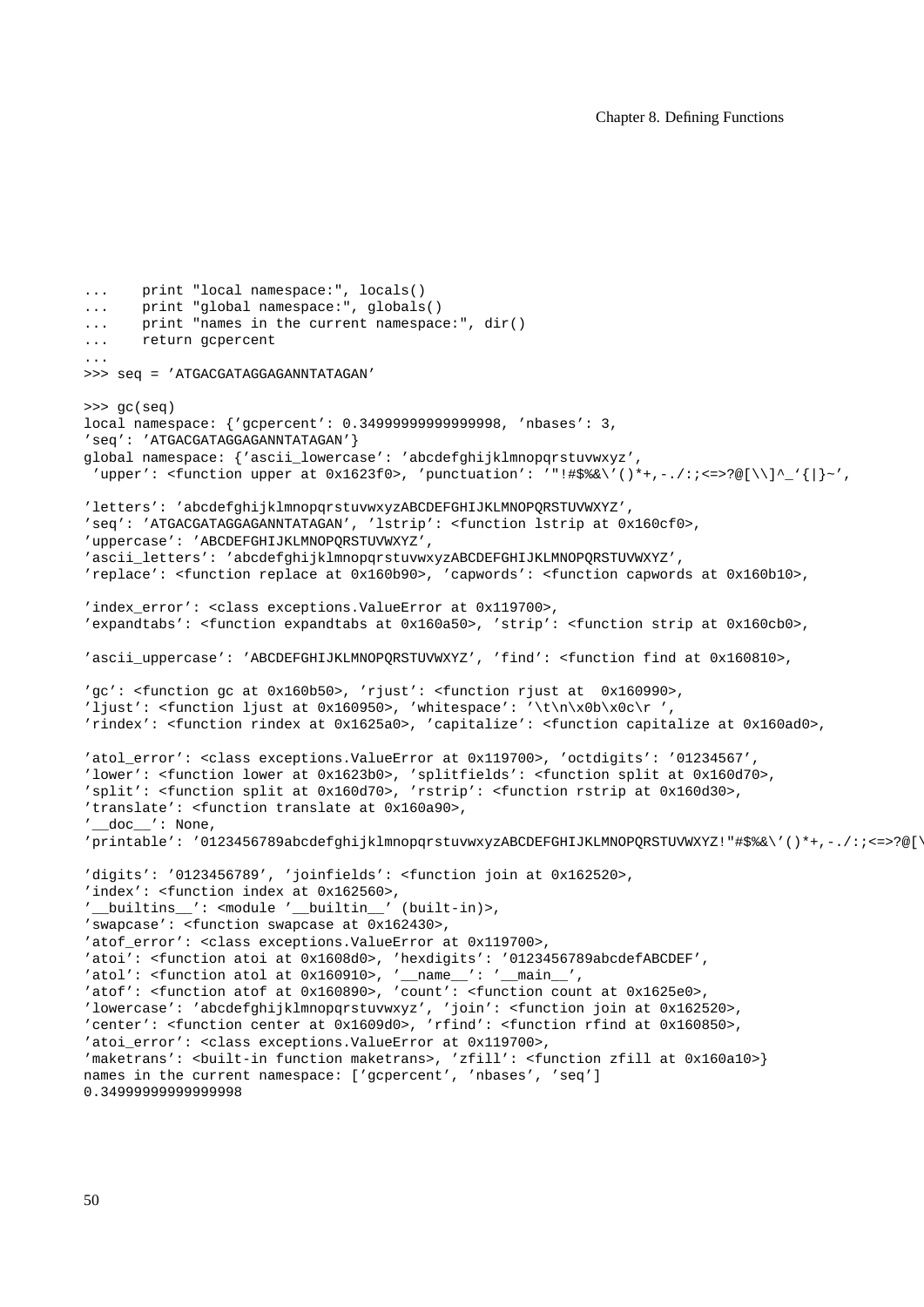```
... print "local namespace:", locals()
... print "global namespace:", globals()
... print "names in the current namespace:", dir()
... return gcpercent
...
>>> seq = 'ATGACGATAGGAGANNTATAGAN'
>>> gc(seq)
local namespace: {'gcpercent': 0.34999999999999998, 'nbases': 3,
'seq': 'ATGACGATAGGAGANNTATAGAN'}
global namespace: {'ascii_lowercase': 'abcdefghijklmnopqrstuvwxyz',
 'upper': <function upper at 0x1623f0, 'punctuation': '"!#$%\'()*+,-./:;<=>?@[\\]^_'{|}~',
'letters': 'abcdefghijklmnopqrstuvwxyzABCDEFGHIJKLMNOPQRSTUVWXYZ',
'seq': 'ATGACGATAGGAGANNTATAGAN', 'lstrip': <function lstrip at 0x160cf0>,
'uppercase': 'ABCDEFGHIJKLMNOPQRSTUVWXYZ',
'ascii_letters': 'abcdefghijklmnopqrstuvwxyzABCDEFGHIJKLMNOPQRSTUVWXYZ',
'replace': <function replace at 0x160b90>, 'capwords': <function capwords at 0x160b10>,
'index_error': <class exceptions.ValueError at 0x119700>,
'expandtabs': <function expandtabs at 0x160a50>, 'strip': <function strip at 0x160cb0>,
'ascii_uppercase': 'ABCDEFGHIJKLMNOPQRSTUVWXYZ', 'find': <function find at 0x160810>,
'gc': <function gc at 0x160b50>, 'rjust': <function rjust at 0x160990>,
'ljust': <function ljust at 0x160950>, 'whitespace': '\t\n\x0b\x0c\r ',
'rindex': <function rindex at 0x1625a0>, 'capitalize': <function capitalize at 0x160ad0>,
'atol_error': <class exceptions.ValueError at 0x119700>, 'octdigits': '01234567',
'lower': <function lower at 0x1623b0>, 'splitfields': <function split at 0x160d70>,
'split': <function split at 0x160d70>, 'rstrip': <function rstrip at 0x160d30>,
'translate': <function translate at 0x160a90>,
 doc_': None,
'printable': '0123456789abcdefghijklmnopqrstuvwxyzABCDEFGHIJKLMNOPQRSTUVWXYZ!"#$%\'()*+,-./:;<=>?@[\
'digits': '0123456789', 'joinfields': <function join at 0x162520>,
'index': <function index at 0x162560>,
'__builtins__': <module '__builtin__' (built-in)>,
'swapcase': <function swapcase at 0x162430>,
'atof_error': <class exceptions.ValueError at 0x119700>,
'atoi': <function atoi at 0x1608d0>, 'hexdigits': '0123456789abcdefABCDEF',
'atol': <function atol at 0x160910, '_name_': '_main_',
'atof': <function atof at 0x160890>, 'count': <function count at 0x1625e0>,
'lowercase': 'abcdefghijklmnopqrstuvwxyz', 'join': <function join at 0x162520>,
'center': <function center at 0x1609d0>, 'rfind': <function rfind at 0x160850>,
'atoi_error': <class exceptions.ValueError at 0x119700>,
'maketrans': <br/> <br/> <br/>the function maketrans>, 'zfill': <function zfill at 0x160a10>}
names in the current namespace: ['gcpercent', 'nbases', 'seq']
0.34999999999999998
```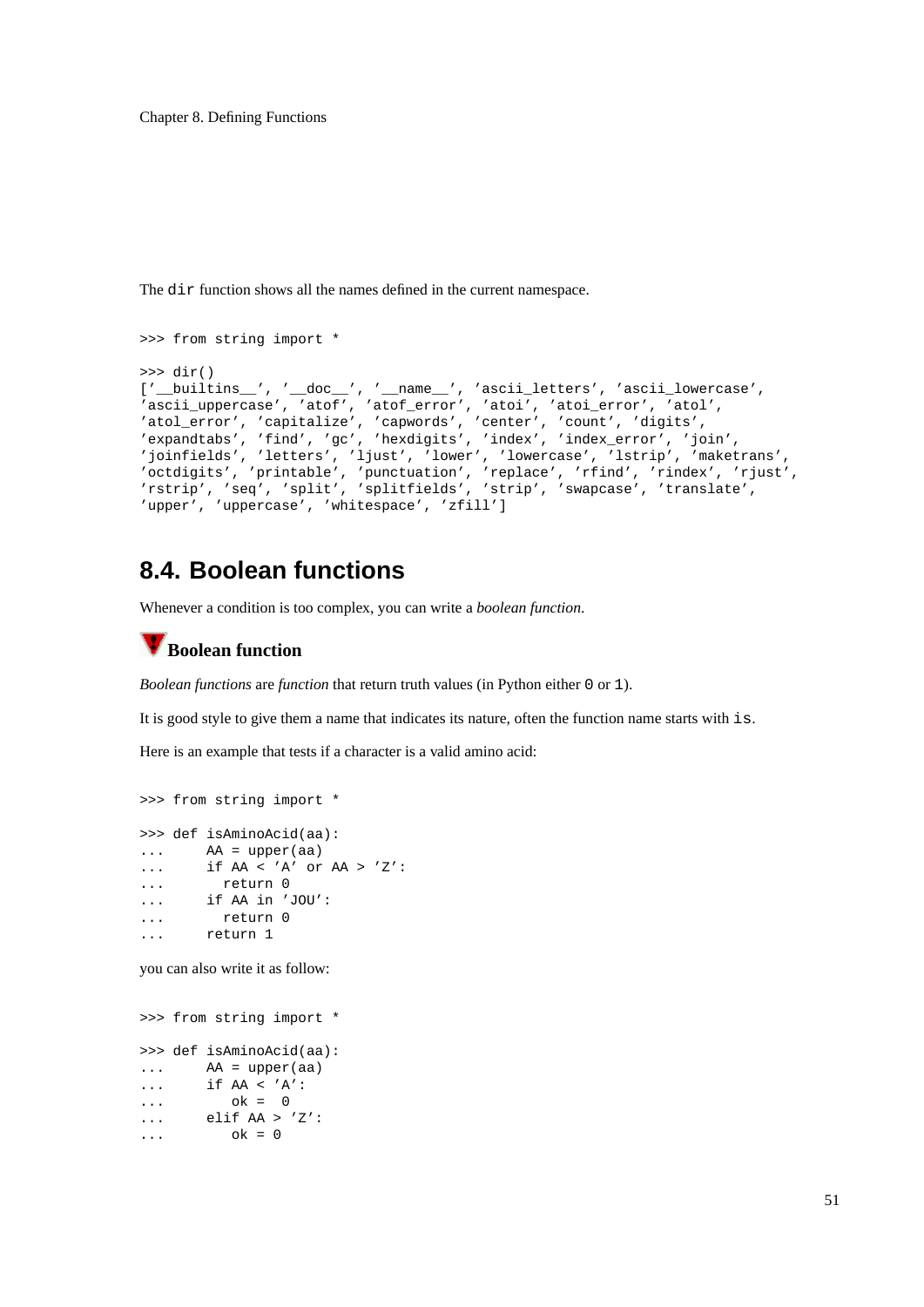Chapter 8. Defining Functions

The dir function shows all the names defined in the current namespace.

```
>>> from string import *
>>> dir()
['__builtins__', '__doc__', '__name__', 'ascii_letters', 'ascii_lowercase',
'ascii_uppercase', 'atof', 'atof_error', 'atoi', 'atoi_error', 'atol',
'atol_error', 'capitalize', 'capwords', 'center', 'count', 'digits',
'expandtabs', 'find', 'gc', 'hexdigits', 'index', 'index_error', 'join',
'joinfields', 'letters', 'ljust', 'lower', 'lowercase', 'lstrip', 'maketrans',
'octdigits', 'printable', 'punctuation', 'replace', 'rfind', 'rindex', 'rjust',
'rstrip', 'seq', 'split', 'splitfields', 'strip', 'swapcase', 'translate',
'upper', 'uppercase', 'whitespace', 'zfill']
```
## **8.4. Boolean functions**

Whenever a condition is too complex, you can write a *boolean function*.

## **Boolean function**

*Boolean functions* are *function* that return truth values (in Python either 0 or 1).

It is good style to give them a name that indicates its nature, often the function name starts with is.

Here is an example that tests if a character is a valid amino acid:

```
>>> from string import *
>>> def isAminoAcid(aa):
... AA = upper(aa)
... if AA < 'A' or AA > 'Z':
... return 0
... if AA in 'JOU':
... return 0
... return 1
```
you can also write it as follow:

```
>>> from string import *
>>> def isAminoAcid(aa):
... AA = upper(aa)
... if AA < 'A':
\cdots ok = 0
... elif AA > 'Z':
\cdots ok = 0
```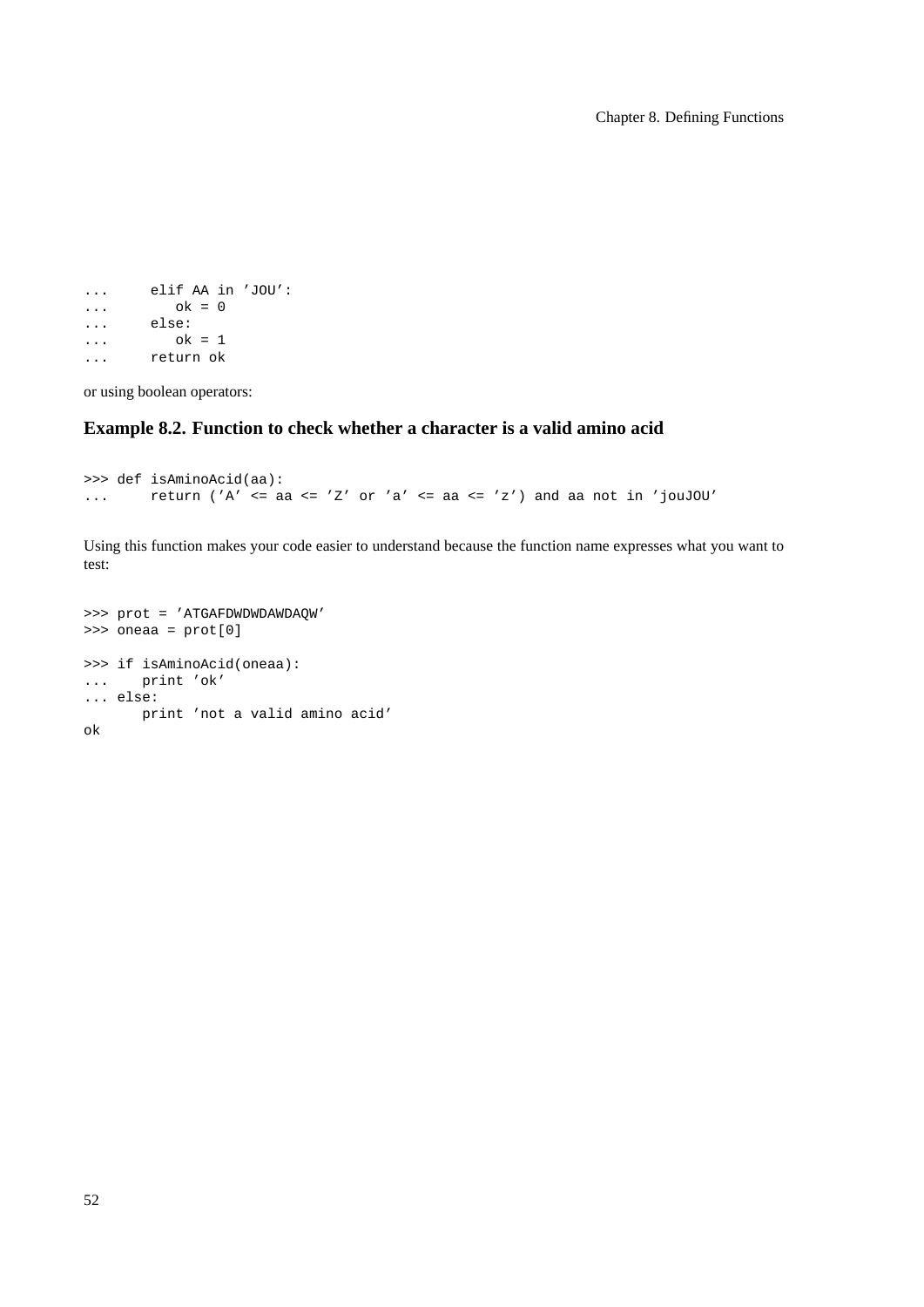```
... elif AA in 'JOU':
\cdots ok = 0
... else:
\cdots ok = 1
... return ok
```
or using boolean operators:

### **Example 8.2. Function to check whether a character is a valid amino acid**

```
>>> def isAminoAcid(aa):
... return ('A' <= aa <= 'Z' or 'a' <= aa <= 'z') and aa not in 'jouJOU'
```
Using this function makes your code easier to understand because the function name expresses what you want to test:

```
>>> prot = 'ATGAFDWDWDAWDAQW'
>>> oneaa = prot[0]
>>> if isAminoAcid(oneaa):
... print 'ok'
... else:
     print 'not a valid amino acid'
ok
```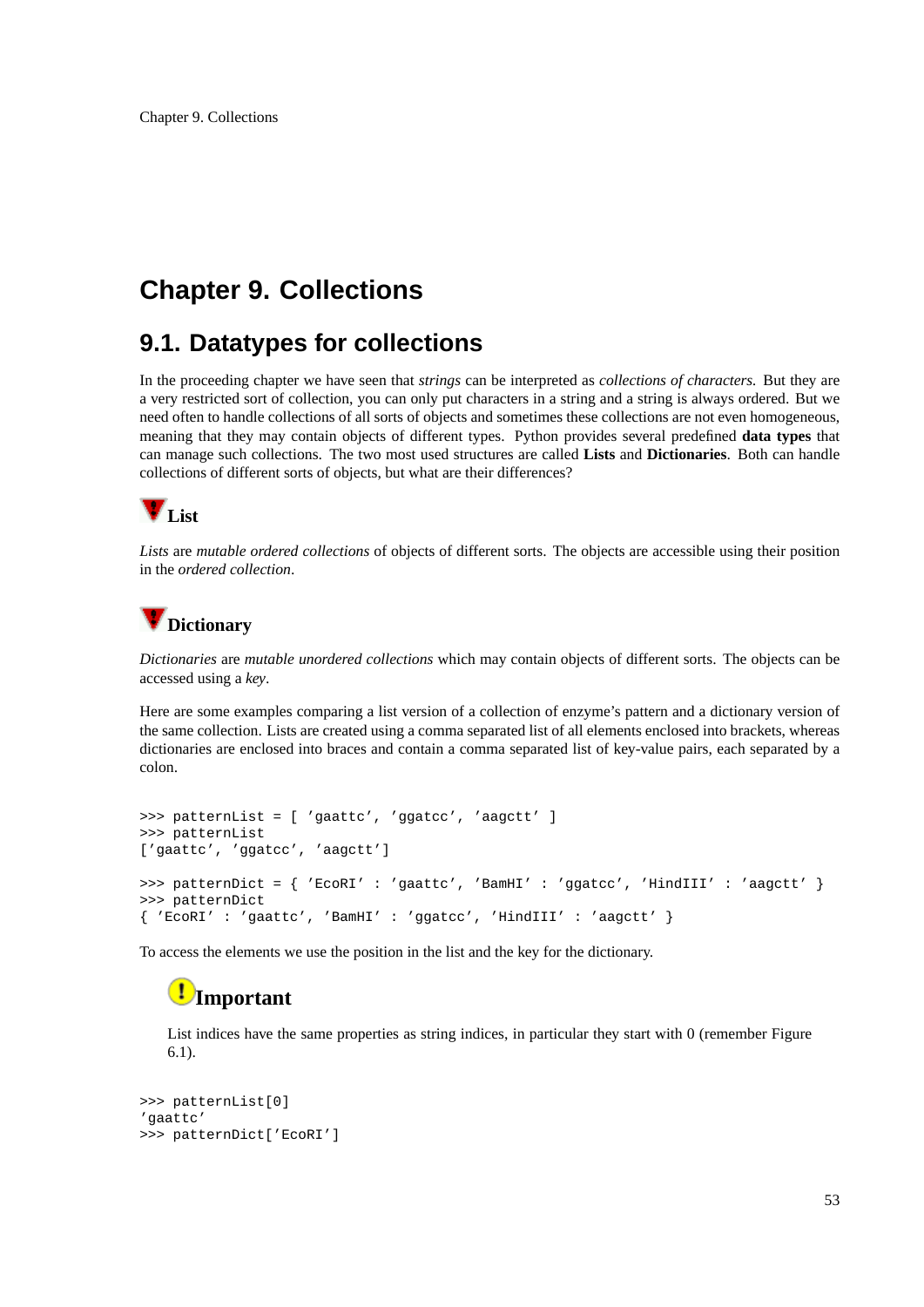# **Chapter 9. Collections**

## **9.1. Datatypes for collections**

In the proceeding chapter we have seen that *strings* can be interpreted as *collections of characters.* But they are a very restricted sort of collection, you can only put characters in a string and a string is always ordered. But we need often to handle collections of all sorts of objects and sometimes these collections are not even homogeneous, meaning that they may contain objects of different types. Python provides several predefined **data types** that can manage such collections. The two most used structures are called **Lists** and **Dictionaries**. Both can handle collections of different sorts of objects, but what are their differences?

## **List**

*Lists* are *mutable ordered collections* of objects of different sorts. The objects are accessible using their position in the *ordered collection*.

# **Dictionary**

*Dictionaries* are *mutable unordered collections* which may contain objects of different sorts. The objects can be accessed using a *key*.

Here are some examples comparing a list version of a collection of enzyme's pattern and a dictionary version of the same collection. Lists are created using a comma separated list of all elements enclosed into brackets, whereas dictionaries are enclosed into braces and contain a comma separated list of key-value pairs, each separated by a colon.

```
>>> patternList = [ 'gaattc', 'ggatcc', 'aagctt' ]
>>> patternList
['gaattc', 'ggatcc', 'aaqctt']
>>> patternDict = { 'EcoRI' : 'gaattc', 'BamHI' : 'ggatcc', 'HindIII' : 'aagctt' }
>>> patternDict
{ 'EcoRI' : 'gaattc', 'BamHI' : 'ggatcc', 'HindIII' : 'aagctt' }
```
To access the elements we use the position in the list and the key for the dictionary.

# **Important**

List indices have the same properties as string indices, in particular they start with 0 (remember [Figure](#page-47-0) [6.1\)](#page-47-0).

```
>>> patternList[0]
'gaattc'
>>> patternDict['EcoRI']
```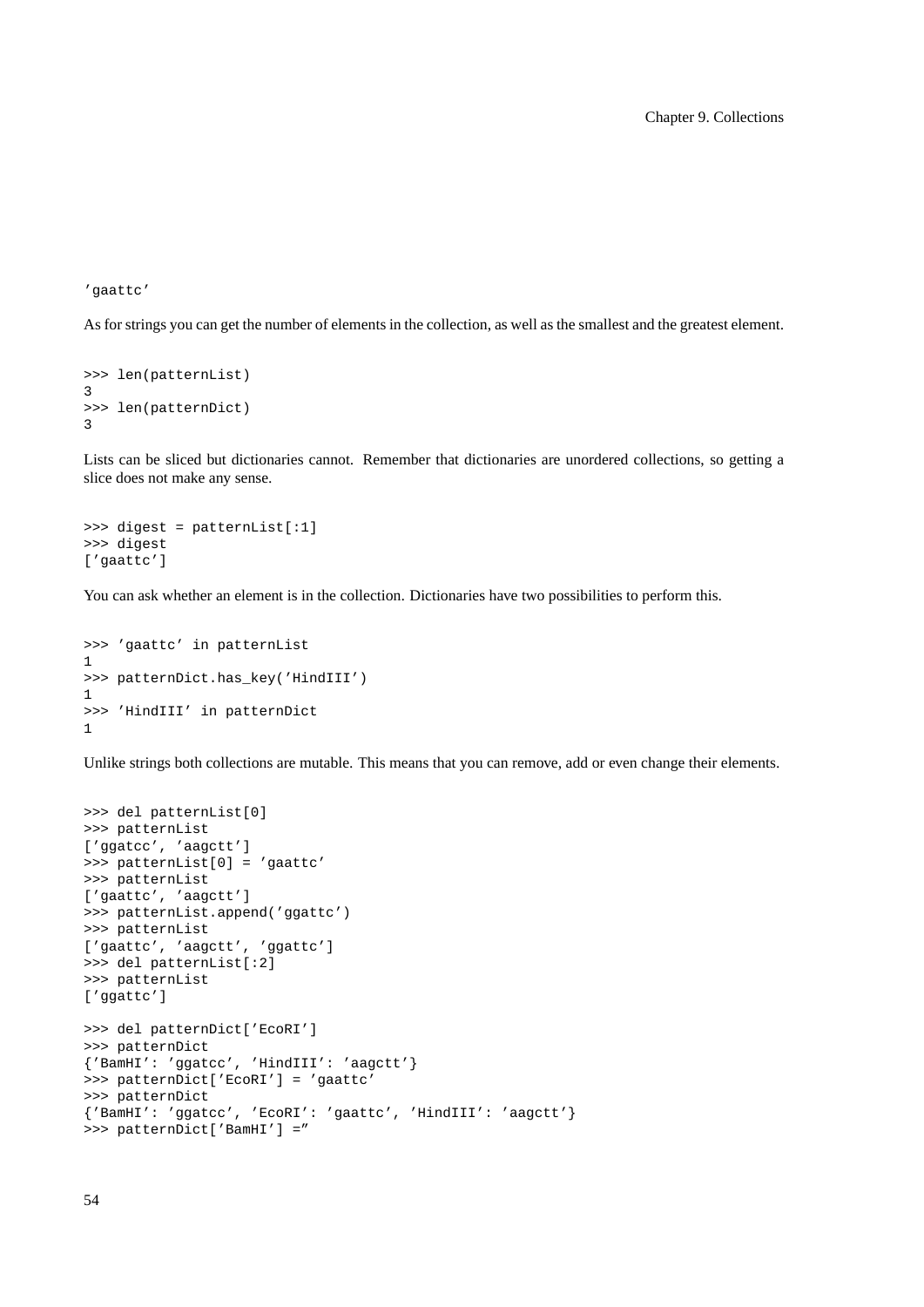'gaattc'

As for strings you can get the number of elements in the collection, as well as the smallest and the greatest element.

```
>>> len(patternList)
3
>>> len(patternDict)
3
```
Lists can be sliced but dictionaries cannot. Remember that dictionaries are unordered collections, so getting a slice does not make any sense.

```
>>> digest = patternList[:1]
>>> digest
['gaattc']
```
You can ask whether an element is in the collection. Dictionaries have two possibilities to perform this.

```
>>> 'gaattc' in patternList
1
>>> patternDict.has_key('HindIII')
1
>>> 'HindIII' in patternDict
1
```
Unlike strings both collections are mutable. This means that you can remove, add or even change their elements.

```
>>> del patternList[0]
>>> patternList
['ggatcc', 'aagctt']
>>> patternList[0] = 'gaattc'
>>> patternList
['gaattc', 'aagctt']
>>> patternList.append('ggattc')
>>> patternList
['gaattc', 'aagctt', 'ggattc']
>>> del patternList[:2]
>>> patternList
['ggattc']
>>> del patternDict['EcoRI']
>>> patternDict
{'BamHI': 'ggatcc', 'HindIII': 'aagctt'}
>>> patternDict['EcoRI'] = 'gaattc'
>>> patternDict
{'BamHI': 'ggatcc', 'EcoRI': 'gaattc', 'HindIII': 'aagctt'}
>>> patternDict['BamHI'] ="
```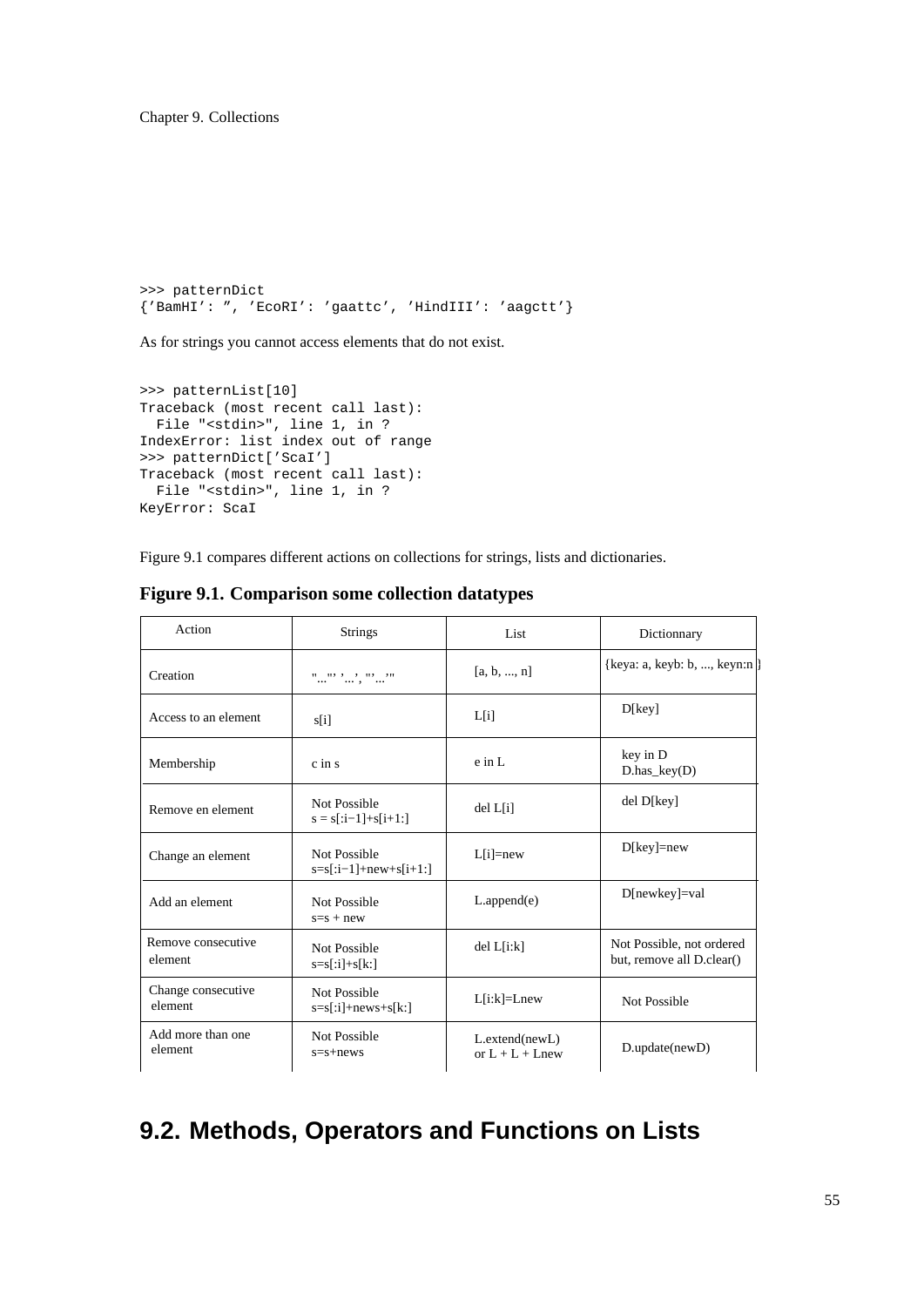$\overline{1}$ 

```
>>> patternDict
{'BamHI': ", 'EcoRI': 'gaattc', 'HindIII': 'aagctt'}
```
As for strings you cannot access elements that do not exist.

```
>>> patternList[10]
Traceback (most recent call last):
 File "<stdin>", line 1, in ?
IndexError: list index out of range
>>> patternDict['ScaI']
Traceback (most recent call last):
 File "<stdin>", line 1, in ?
KeyError: ScaI
```
<span id="page-68-0"></span>[Figure 9.1](#page-68-0) compares different actions on collections for strings, lists and dictionaries.

| Action                        | <b>Strings</b>                           | List                                       | Dictionnary                                            |
|-------------------------------|------------------------------------------|--------------------------------------------|--------------------------------------------------------|
| Creation                      |                                          | [a, b, , n]                                | $\{keya: a, keyb: b, , keyn:n\}$                       |
| Access to an element          | s[i]                                     | L[i]                                       | D[key]                                                 |
| Membership                    | $\frac{1}{2}$ in s                       | $e$ in L                                   | key in D<br>$D.$ has_key $(D)$                         |
| Remove en element             | Not Possible<br>$s = s[i-1]+s[i+1!]$     | $del$ L[i]                                 | del D[key]                                             |
| Change an element             | Not Possible<br>$s=s[i-1]+new+s[i+1]$    | $L[i] = new$                               | $D$ [key]=new                                          |
| Add an element                | Not Possible<br>$s=s + new$              | L.append(e)                                | $D[newkey] = val$                                      |
| Remove consecutive<br>element | Not Possible<br>$s=s[:i]+s[k:]$          | $del$ L[i: $k$ ]                           | Not Possible, not ordered<br>but, remove all D.clear() |
| Change consecutive<br>element | Not Possible<br>$s=s[:i] + news + s[k:]$ | $L[i:k]=Lnew$                              | Not Possible                                           |
| Add more than one<br>element  | Not Possible<br>$s = s + news$           | $L.$ extend $(newL)$<br>or $L + L + L$ new | D.update(newD)                                         |

**Figure 9.1. Comparison some collection datatypes**

## **9.2. Methods, Operators and Functions on Lists**

 $\overline{a}$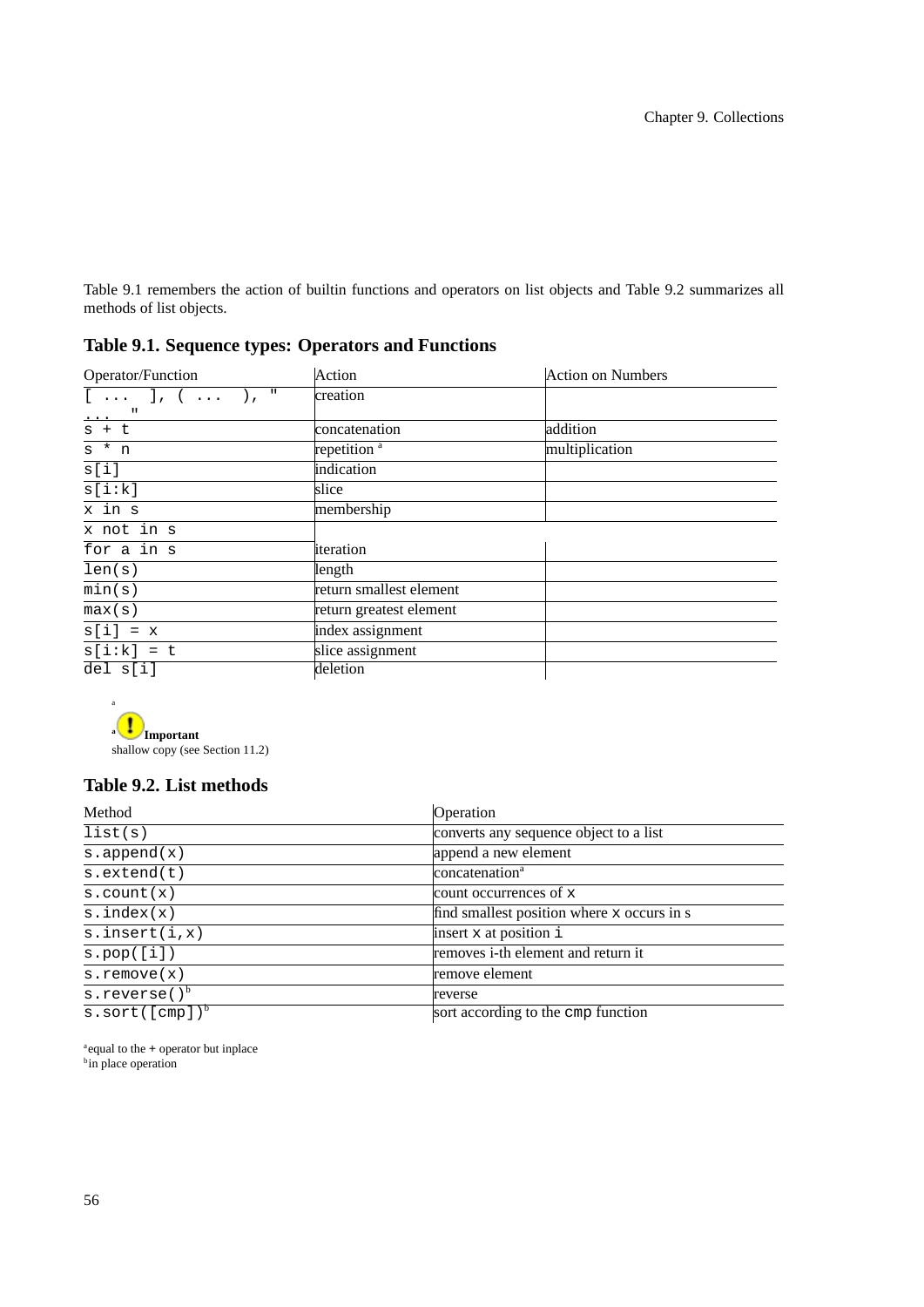[Table 9.1](#page-69-0) remembers the action of builtin functions and operators on list objects and [Table 9.2](#page-69-1) summarizes all methods of list objects.

| Operator/Function                      | Action                  | <b>Action on Numbers</b> |
|----------------------------------------|-------------------------|--------------------------|
| $\overline{[\ldots]}$ , $(\ldots)$ , " | creation                |                          |
| ш                                      |                         |                          |
| $rac{}{s + t}$                         | concatenation           | addition                 |
| $s * n$                                | repetition <sup>a</sup> | multiplication           |
| s[i]                                   | indication              |                          |
| s[i:k]                                 | slice                   |                          |
| $\overline{x \text{ in } s}$           | membership              |                          |
| x not in s                             |                         |                          |
| for a in s                             | iteration               |                          |
| len(s)                                 | length                  |                          |
| min(s)                                 | return smallest element |                          |
| max(s)                                 | return greatest element |                          |
| $s[i] = x$                             | index assignment        |                          |
| $s[i:k] = t$                           | slice assignment        |                          |
| $del$ s[i]                             | deletion                |                          |

### <span id="page-69-0"></span>**Table 9.1. Sequence types: Operators and Functions**



### <span id="page-69-1"></span>**Table 9.2. List methods**

| Method            | Operation                                  |
|-------------------|--------------------------------------------|
| list(s)           | converts any sequence object to a list     |
| s.append(x)       | append a new element                       |
| s. extend(t)      | concatenation <sup>a</sup>                 |
| s.count(x)        | count occurrences of x                     |
| s.index(x)        | find smallest position where x occurs in s |
| s.insert(i, x)    | insert x at position i                     |
| s.pop([i])        | removes <i>i</i> -th element and return it |
| $s$ . $remove(x)$ | remove element                             |
| $s.reverse()^b$   | reverse                                    |
| $s.sort([cmp])^b$ | sort according to the cmp function         |

a equal to the + operator but inplace <sup>b</sup>in place operation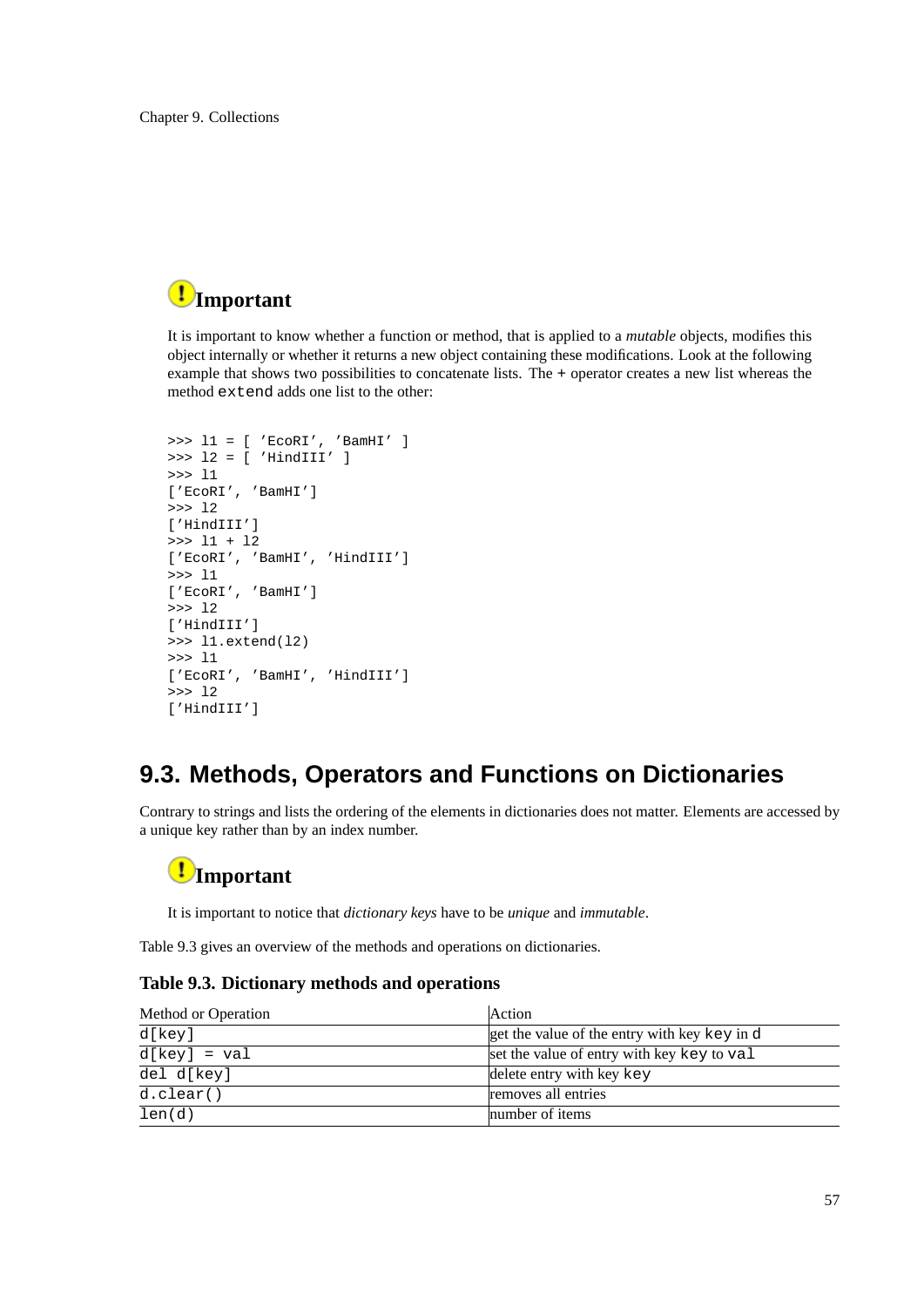# **Important**

It is important to know whether a function or method, that is applied to a *mutable* objects, modifies this object internally or whether it returns a new object containing these modifications. Look at the following example that shows two possibilities to concatenate lists. The + operator creates a new list whereas the method extend adds one list to the other:

```
>>> l1 = [ 'EcoRI', 'BamHI' ]
>>> l2 = [ 'HindIII' ]
>>> l1
['EcoRI', 'BamHI']
>>> l2
['HindIII']
>>> l1 + l2
['EcoRI', 'BamHI', 'HindIII']
>>> l1
['EcoRI', 'BamHI']
>>> l2
['HindIII']
>>> l1.extend(l2)
>>> l1
['EcoRI', 'BamHI', 'HindIII']
>>> l2
['HindIII']
```
## **9.3. Methods, Operators and Functions on Dictionaries**

Contrary to strings and lists the ordering of the elements in dictionaries does not matter. Elements are accessed by a unique key rather than by an index number.

# **Important**

It is important to notice that *dictionary keys* have to be *unique* and *immutable*.

<span id="page-70-0"></span>[Table 9.3](#page-70-0) gives an overview of the methods and operations on dictionaries.

#### **Table 9.3. Dictionary methods and operations**

| Method or Operation | Action                                       |
|---------------------|----------------------------------------------|
| d[key]              | get the value of the entry with key key in d |
| $d[key] = val$      | set the value of entry with key key to val   |
| del d[key]          | delete entry with key key                    |
| d. clear()          | removes all entries                          |
| len(d)              | number of items                              |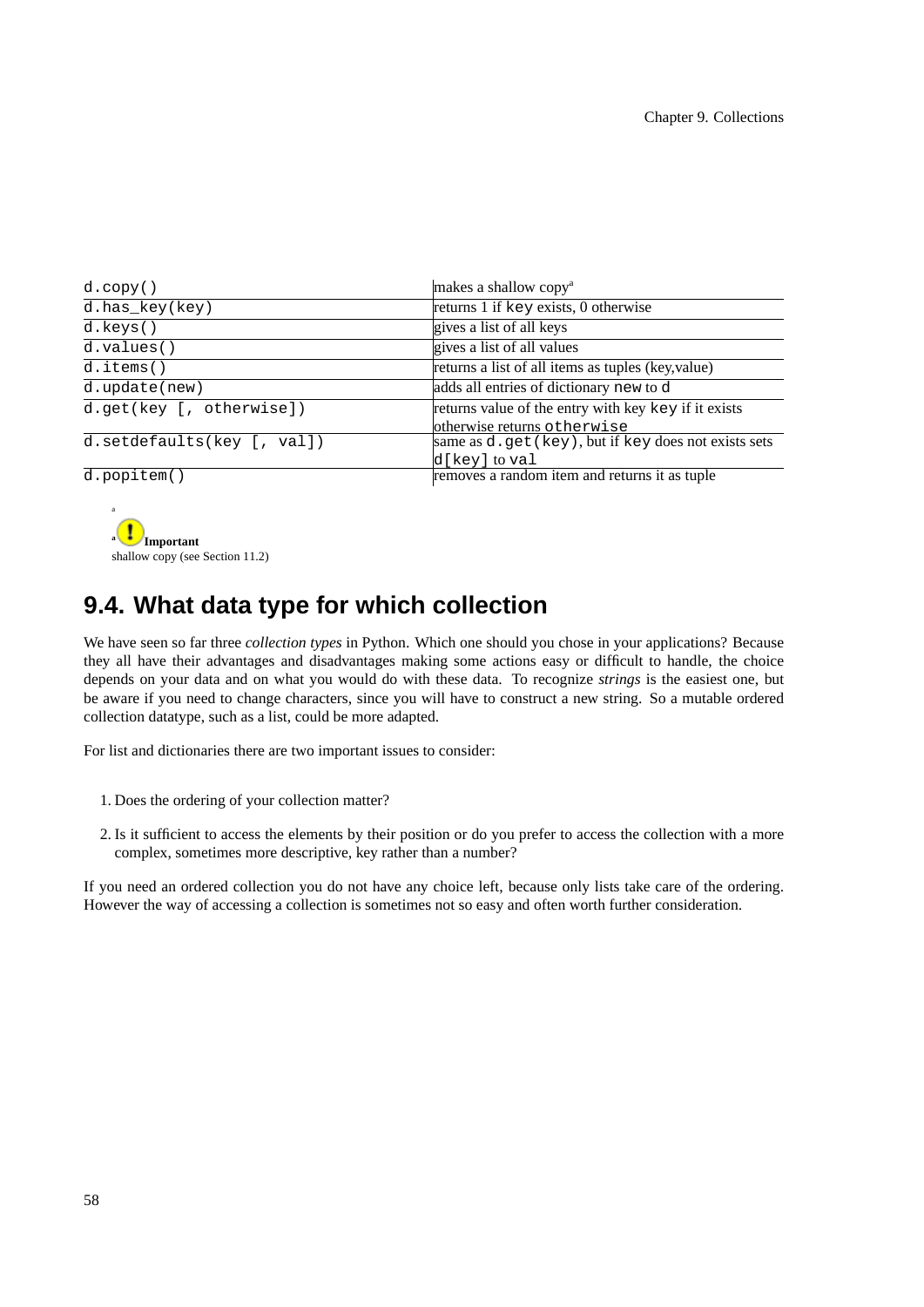| d.copy()                   | makes a shallow copy <sup>a</sup>                    |
|----------------------------|------------------------------------------------------|
| $d.$ has_key(key)          | returns 1 if key exists, 0 otherwise                 |
| $d.\text{keys}()$          | gives a list of all keys                             |
| d.values()                 | gives a list of all values                           |
| d.items()                  | returns a list of all items as tuples (key, value)   |
| d.update(new)              | adds all entries of dictionary new to d              |
| d.get(key [, otherwise])   | returns value of the entry with key key if it exists |
|                            | otherwise returns otherwise                          |
| d.setdefaults(key [, val]) | same as d.get (key), but if key does not exists sets |
|                            | $d$ [key] to val                                     |
| d.popitem()                | removes a random item and returns it as tuple        |



a

## **9.4. What data type for which collection**

We have seen so far three *collection types* in Python. Which one should you chose in your applications? Because they all have their advantages and disadvantages making some actions easy or difficult to handle, the choice depends on your data and on what you would do with these data. To recognize *strings* is the easiest one, but be aware if you need to change characters, since you will have to construct a new string. So a mutable ordered collection datatype, such as a list, could be more adapted.

For list and dictionaries there are two important issues to consider:

- 1. Does the ordering of your collection matter?
- 2. Is it sufficient to access the elements by their position or do you prefer to access the collection with a more complex, sometimes more descriptive, key rather than a number?

If you need an ordered collection you do not have any choice left, because only lists take care of the ordering. However the way of accessing a collection is sometimes not so easy and often worth further consideration.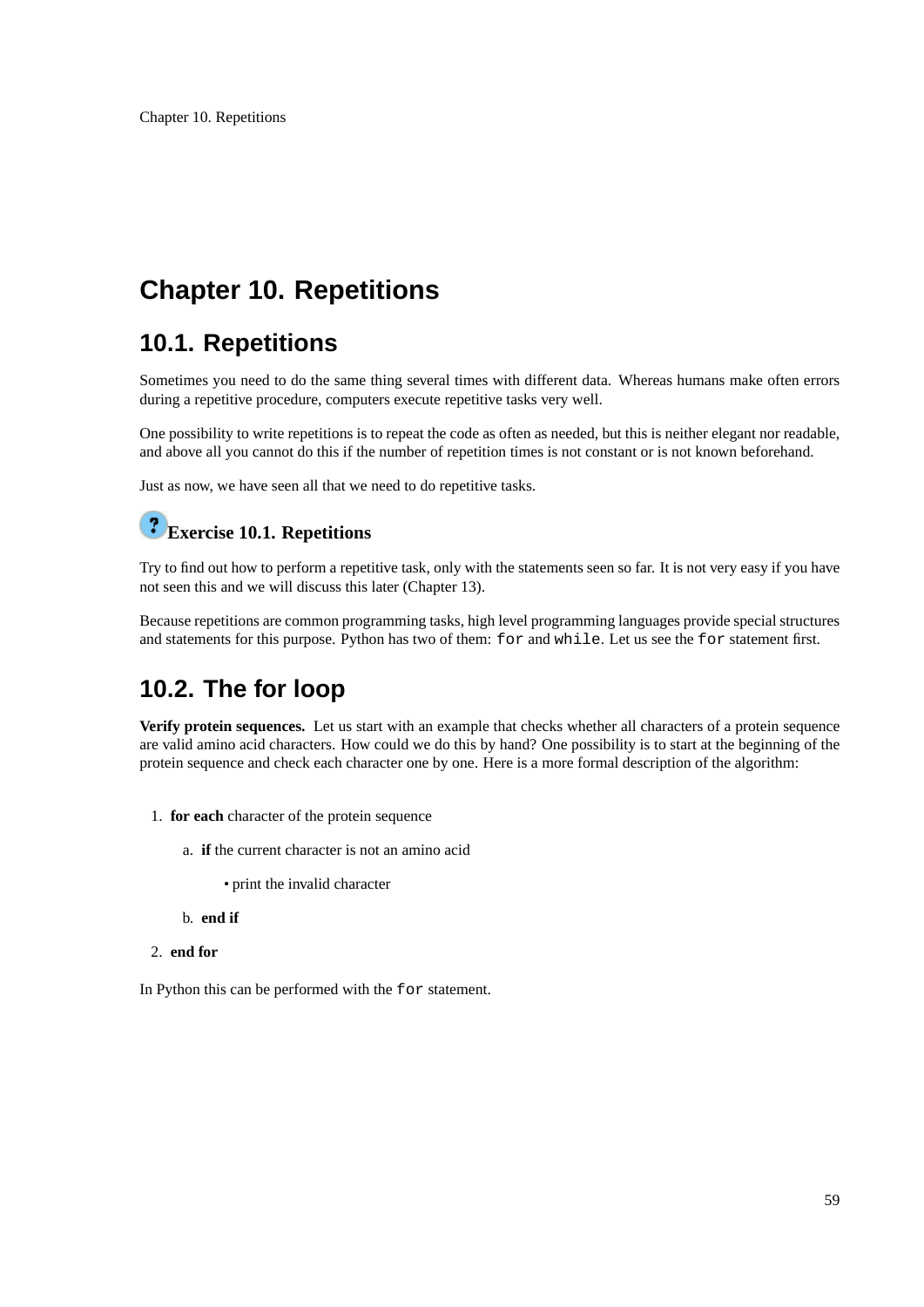# **Chapter 10. Repetitions**

### **10.1. Repetitions**

Sometimes you need to do the same thing several times with different data. Whereas humans make often errors during a repetitive procedure, computers execute repetitive tasks very well.

One possibility to write repetitions is to repeat the code as often as needed, but this is neither elegant nor readable, and above all you cannot do this if the number of repetition times is not constant or is not known beforehand.

Just as now, we have seen all that we need to do repetitive tasks.

# **Exercise 10.1. Repetitions**

Try to find out how to perform a repetitive task, only with the statements seen so far. It is not very easy if you have not seen this and we will discuss this later [\(Chapter 13\)](#page-110-0).

Because repetitions are common programming tasks, high level programming languages provide special structures and statements for this purpose. Python has two of them: for and while. Let us see the for statement first.

# **10.2. The for loop**

**Verify protein sequences.** Let us start with an example that checks whether all characters of a protein sequence are valid amino acid characters. How could we do this by hand? One possibility is to start at the beginning of the protein sequence and check each character one by one. Here is a more formal description of the algorithm:

- 1. **for each** character of the protein sequence
	- a. **if** the current character is not an amino acid
		- print the invalid character
	- b. **end if**
- 2. **end for**

In Python this can be performed with the for statement.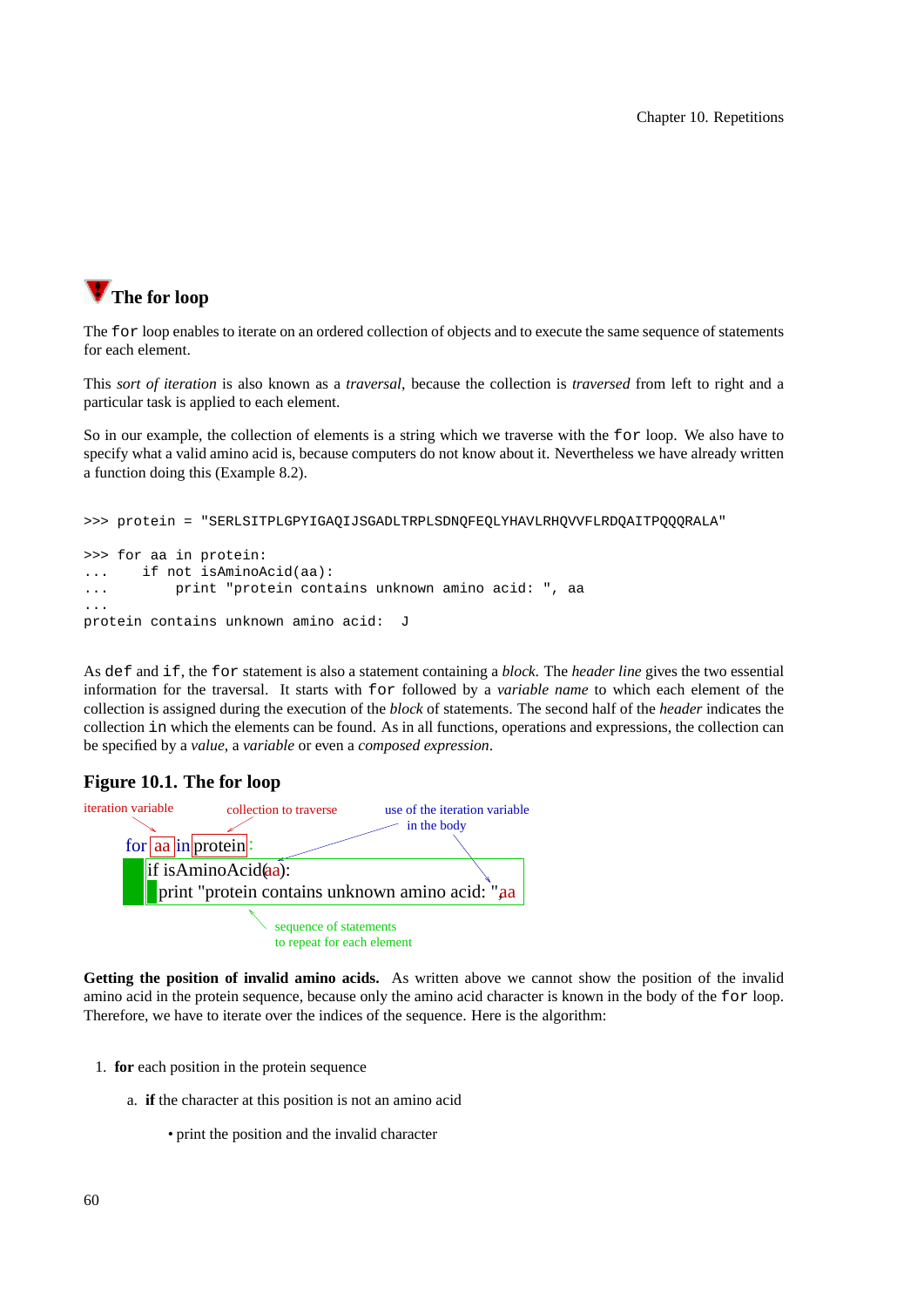

The for loop enables to iterate on an ordered collection of objects and to execute the same sequence of statements for each element.

This *sort of iteration* is also known as a *traversal*, because the collection is *traversed* from left to right and a particular task is applied to each element.

So in our example, the collection of elements is a string which we traverse with the for loop. We also have to specify what a valid amino acid is, because computers do not know about it. Nevertheless we have already written a function doing this [\(Example 8.2\)](#page-65-0).

```
>>> protein = "SERLSITPLGPYIGAQIJSGADLTRPLSDNQFEQLYHAVLRHQVVFLRDQAITPQQQRALA"
>>> for aa in protein:
... if not isAminoAcid(aa):
... print "protein contains unknown amino acid: ", aa
...
protein contains unknown amino acid: J
```
As def and if, the for statement is also a statement containing a *block*. The *header line* gives the two essential information for the traversal. It starts with for followed by a *variable name* to which each element of the collection is assigned during the execution of the *block* of statements. The second half of the *header* indicates the collection in which the elements can be found. As in all functions, operations and expressions, the collection can be specified by a *value*, a *variable* or even a *composed expression*.

### **Figure 10.1. The for loop**



**Getting the position of invalid amino acids.** As written above we cannot show the position of the invalid amino acid in the protein sequence, because only the amino acid character is known in the body of the for loop. Therefore, we have to iterate over the indices of the sequence. Here is the algorithm:

- 1. **for** each position in the protein sequence
	- a. **if** the character at this position is not an amino acid
		- print the position and the invalid character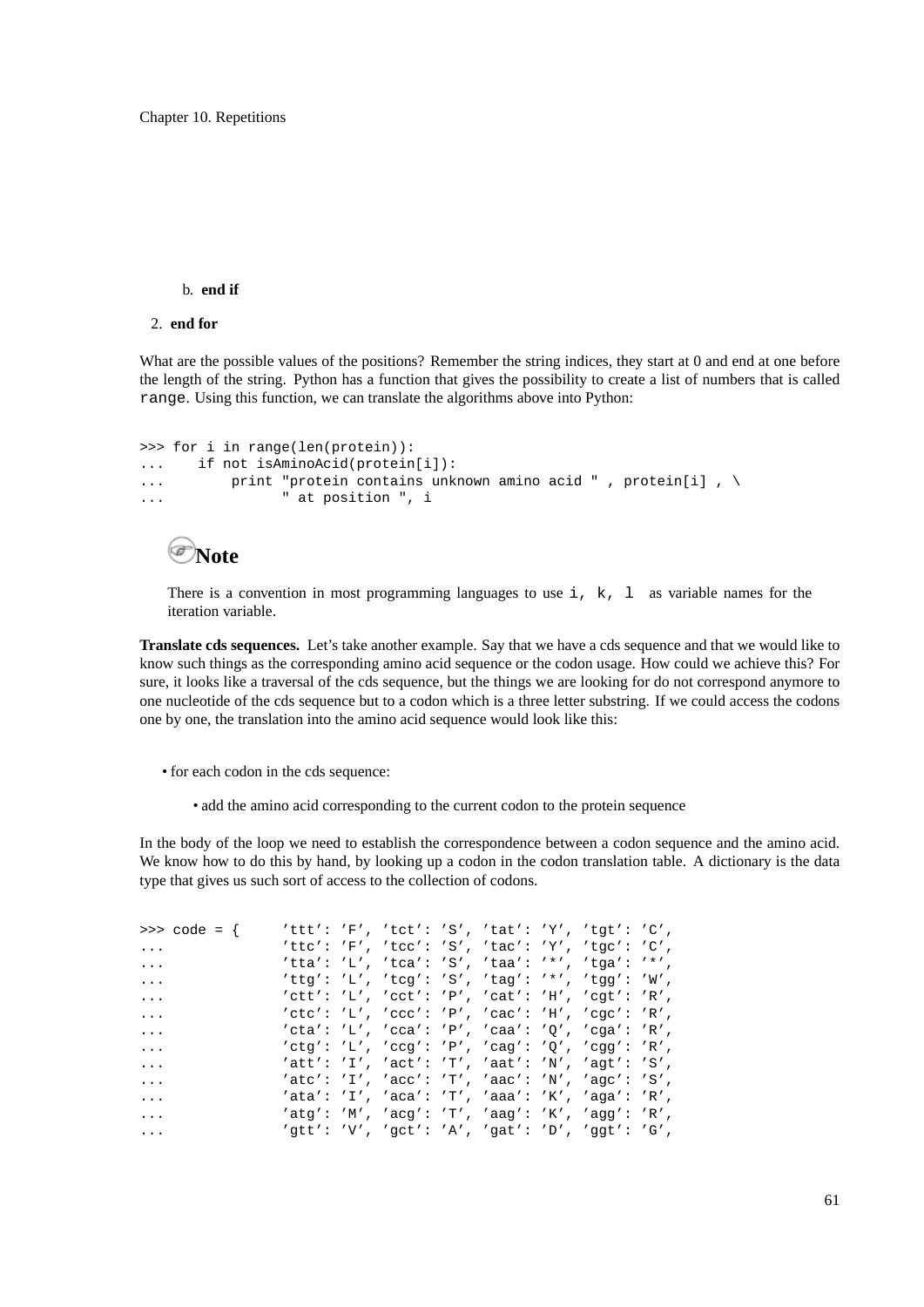Chapter 10. Repetitions

#### b. **end if**

2. **end for**

What are the possible values of the positions? Remember the string indices, they start at 0 and end at one before the length of the string. Python has a function that gives the possibility to create a list of numbers that is called range. Using this function, we can translate the algorithms above into Python:

```
>>> for i in range(len(protein)):
... if not isAminoAcid(protein[i]):
... print "protein contains unknown amino acid ", protein[i], \
... " at position ", i
```
### **Note**

There is a convention in most programming languages to use  $i, k, 1$  as variable names for the iteration variable.

**Translate cds sequences.** Let's take another example. Say that we have a cds sequence and that we would like to know such things as the corresponding amino acid sequence or the codon usage. How could we achieve this? For sure, it looks like a traversal of the cds sequence, but the things we are looking for do not correspond anymore to one nucleotide of the cds sequence but to a codon which is a three letter substring. If we could access the codons one by one, the translation into the amino acid sequence would look like this:

• for each codon in the cds sequence:

• add the amino acid corresponding to the current codon to the protein sequence

In the body of the loop we need to establish the correspondence between a codon sequence and the amino acid. We know how to do this by hand, by looking up a codon in the codon translation table. A dictionary is the data type that gives us such sort of access to the collection of codons.

|           |  | 'ttt': 'F', 'tct': 'S', 'tat': 'Y', 'tgt': 'C',    |  |  |  |
|-----------|--|----------------------------------------------------|--|--|--|
| $\cdots$  |  | 'ttc': 'F', 'tcc': 'S', 'tac': 'Y', 'tgc': 'C',    |  |  |  |
| $\cdots$  |  | $'$ tta': 'L', 'tca': 'S', 'taa': '*', 'tqa': '*', |  |  |  |
| $\ddotsc$ |  | 'ttg': 'L', 'tcg': 'S', 'tag': '*', 'tgg': 'W',    |  |  |  |
| $\ddots$  |  | 'ctt': 'L', 'cct': 'P', 'cat': 'H', 'cqt': 'R',    |  |  |  |
| $\ddots$  |  | $'etc': 'L', 'ccc': 'P', 'cac': 'H', 'cqc': 'R',$  |  |  |  |
| $\ddots$  |  | $'$ cta': 'L', 'cca': 'P', 'caa': 'O', 'cqa': 'R', |  |  |  |
| $\ddots$  |  | 'ctg': 'L', 'ccg': 'P', 'cag': 'Q', 'cgg': 'R',    |  |  |  |
| $\ddots$  |  | 'att': 'I', 'act': 'T', 'aat': 'N', 'aqt': 'S',    |  |  |  |
| $\ddots$  |  | $'$ atc': 'I', 'acc': 'T', 'aac': 'N', 'agc': 'S', |  |  |  |
| $\ddots$  |  | $'ata'$ : 'I', 'aca': 'T', 'aaa': 'K', 'aga': 'R', |  |  |  |
| $\cdot$   |  | $'$ atg': 'M', 'acg': 'T', 'aag': 'K', 'agg': 'R', |  |  |  |
| $\cdots$  |  | 'gtt': 'V', 'gct': 'A', 'gat': 'D', 'ggt': 'G',    |  |  |  |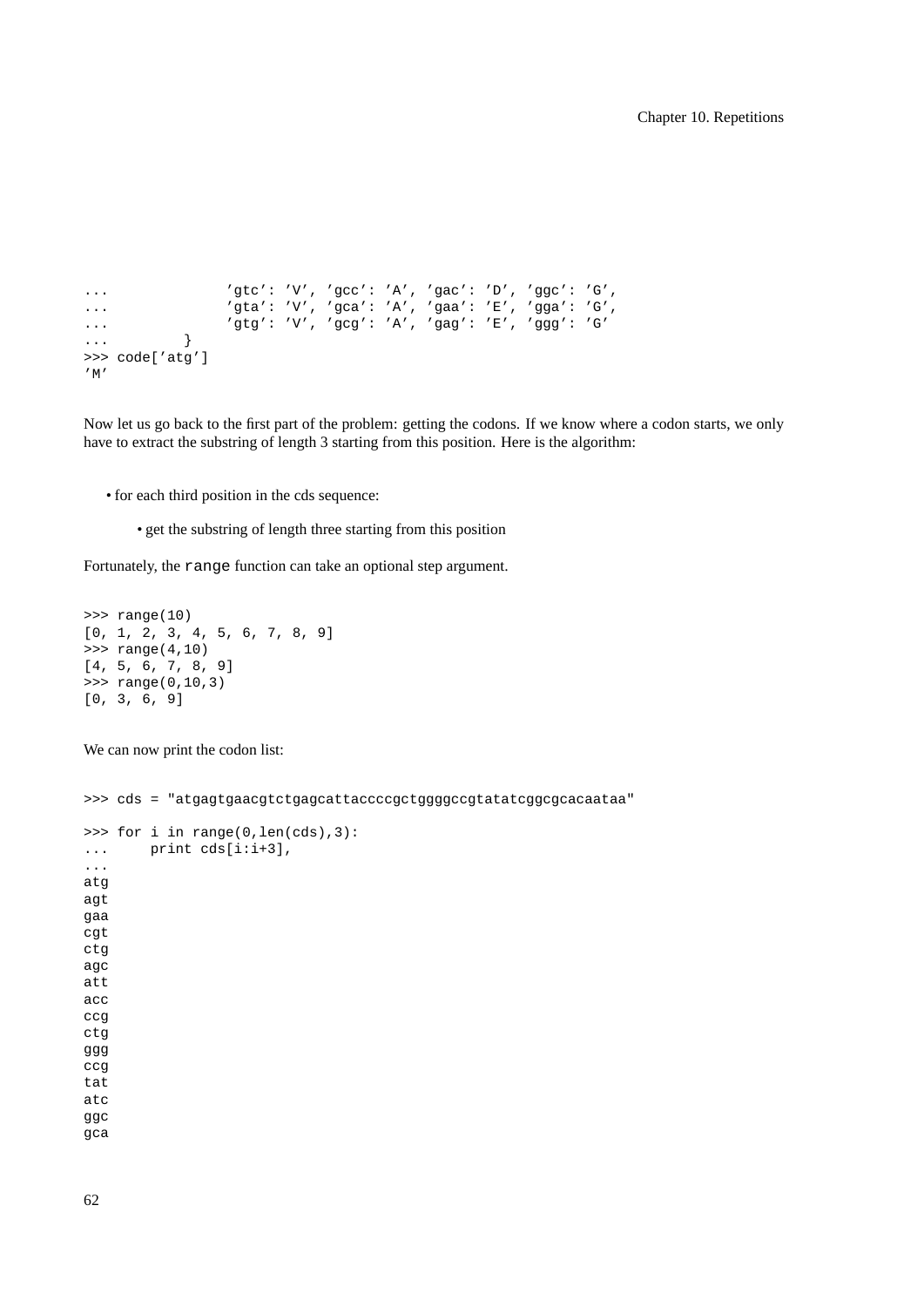```
... 'gtc': 'V', 'gcc': 'A', 'gac': 'D', 'ggc': 'G',
... 'gta': 'V', 'gca': 'A', 'gaa': 'E', 'gga': 'G',
... 'gtg': 'V', 'gcg': 'A', 'gag': 'E', 'ggg': 'G'
... }
>>> code['atg']
^{\prime} M ^{\prime}
```
Now let us go back to the first part of the problem: getting the codons. If we know where a codon starts, we only have to extract the substring of length 3 starting from this position. Here is the algorithm:

- for each third position in the cds sequence:
	- get the substring of length three starting from this position

Fortunately, the range function can take an optional step argument.

```
>>> range(10)
[0, 1, 2, 3, 4, 5, 6, 7, 8, 9]
>>> range(4,10)
[4, 5, 6, 7, 8, 9]
>>> range(0,10,3)
[0, 3, 6, 9]
```
#### We can now print the codon list:

```
>>> cds = "atgagtgaacgtctgagcattaccccgctggggccgtatatcggcgcacaataa"
>>> for i in range(0,len(cds),3):
... print cds[i:i+3],
...
atg
agt
gaa
cgt
ctg
agc
att
acc
ccg
ctg
ggg
ccg
tat
atc
ggc
gca
```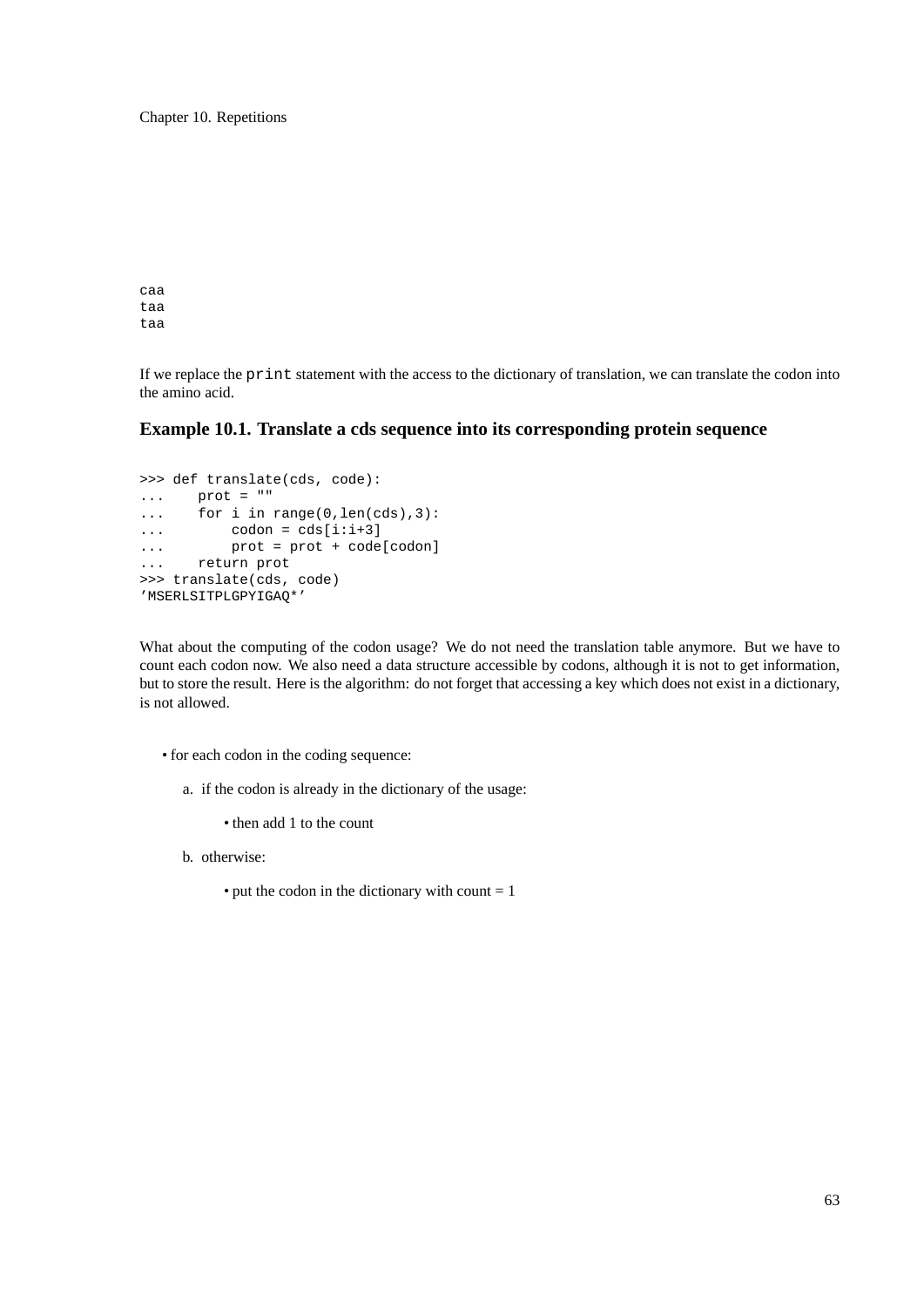#### Chapter 10. Repetitions

caa taa taa

If we replace the print statement with the access to the dictionary of translation, we can translate the codon into the amino acid.

### <span id="page-76-0"></span>**Example 10.1. Translate a cds sequence into its corresponding protein sequence**

```
>>> def translate(cds, code):
... prot = ""
... for i in range(0,len(cds),3):
\ldots codon = cds[i:i+3]
... prot = prot + code[codon]
... return prot
>>> translate(cds, code)
'MSERLSITPLGPYIGAQ*'
```
What about the computing of the codon usage? We do not need the translation table anymore. But we have to count each codon now. We also need a data structure accessible by codons, although it is not to get information, but to store the result. Here is the algorithm: do not forget that accessing a key which does not exist in a dictionary, is not allowed.

- for each codon in the coding sequence:
	- a. if the codon is already in the dictionary of the usage:
		- then add 1 to the count

b. otherwise:

• put the codon in the dictionary with count  $= 1$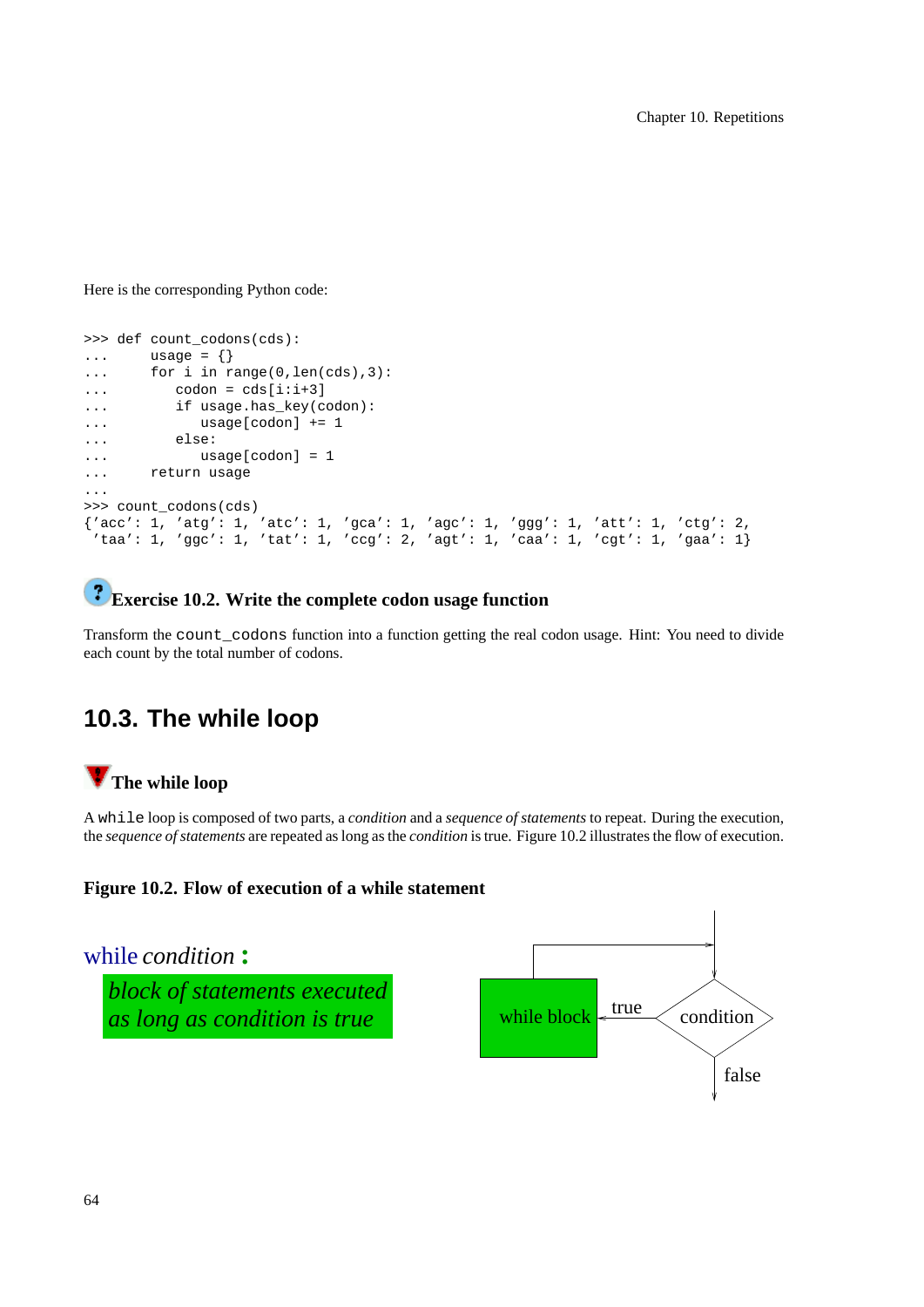Here is the corresponding Python code:

```
>>> def count_codons(cds):
\ldots usage = \{\}... for i in range(0,len(cds),3):
\ldots codon = cds[i:i+3]
... if usage.has_key(codon):
... usage[codon] += 1
... else:
... usage[codon] = 1
... return usage
...
>>> count_codons(cds)
{'acc': 1, 'atg': 1, 'atc': 1, 'gca': 1, 'agc': 1, 'ggg': 1, 'att': 1, 'ctg': 2,
 'taa': 1, 'ggc': 1, 'tat': 1, 'ccg': 2, 'agt': 1, 'caa': 1, 'cgt': 1, 'gaa': 1}
```
# **Exercise 10.2. Write the complete codon usage function**

Transform the count\_codons function into a function getting the real codon usage. Hint: You need to divide each count by the total number of codons.

### <span id="page-77-1"></span>**10.3. The while loop**

# **The while loop**

A while loop is composed of two parts, a *condition* and a *sequence of statements* to repeat. During the execution, the *sequence of statements* are repeated as long as the *condition* is true. [Figure 10.2](#page-77-0) illustrates the flow of execution.

<span id="page-77-0"></span>

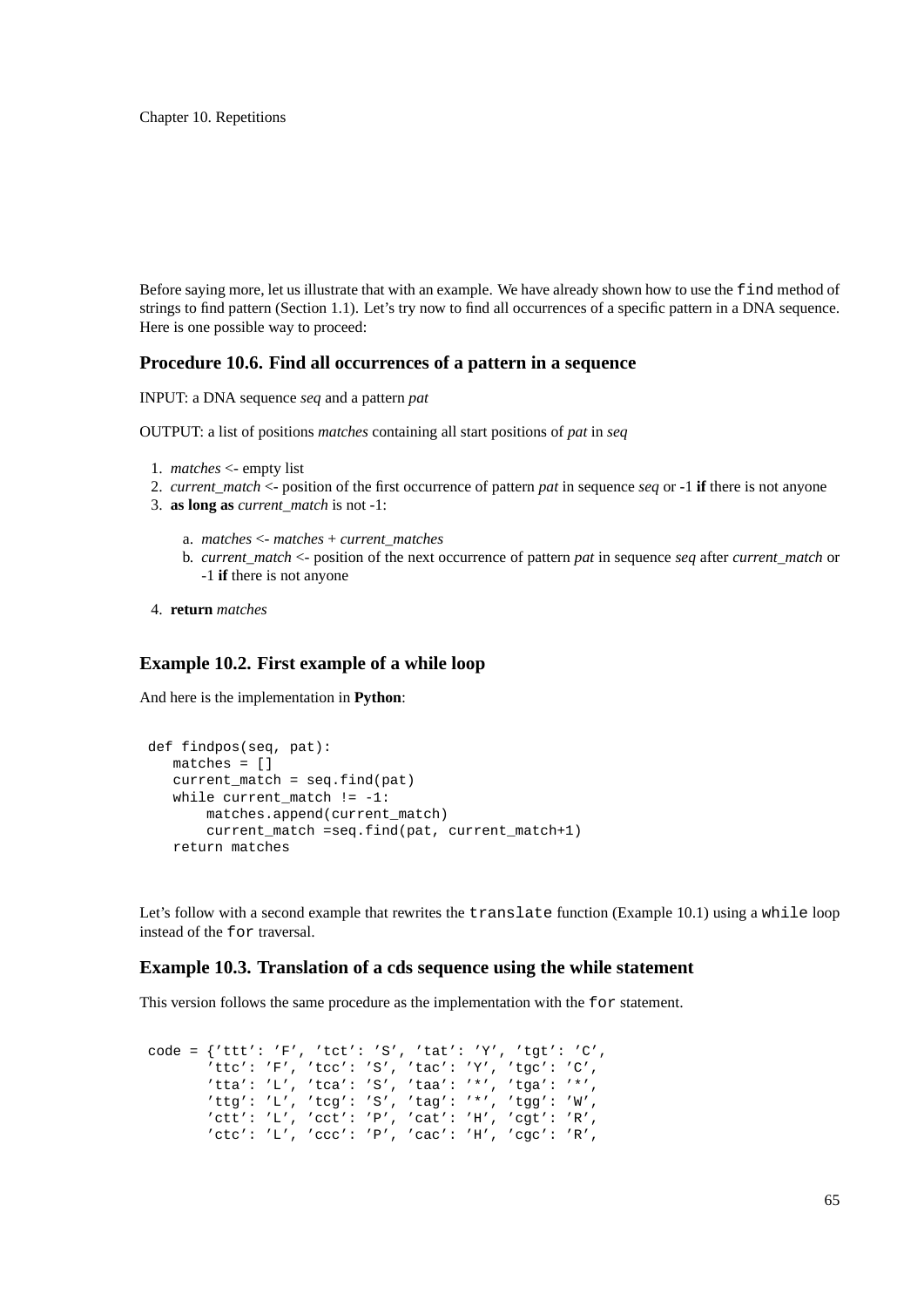Before saying more, let us illustrate that with an example. We have already shown how to use the find method of strings to find pattern [\(Section 1.1\)](#page-14-0). Let's try now to find all occurrences of a specific pattern in a DNA sequence. Here is one possible way to proceed:

#### **Procedure 10.6. Find all occurrences of a pattern in a sequence**

INPUT: a DNA sequence *seq* and a pattern *pat*

OUTPUT: a list of positions *matches* containing all start positions of *pat* in *seq*

- 1. *matches* <- empty list
- 2. *current\_match* <- position of the first occurrence of pattern *pat* in sequence *seq* or -1 **if** there is not anyone
- 3. **as long as** *current\_match* is not -1:
	- a. *matches* <- *matches* + *current\_matches*
	- b. *current\_match* <- position of the next occurrence of pattern *pat* in sequence *seq* after *current\_match* or -1 **if** there is not anyone
- 4. **return** *matches*

#### <span id="page-78-1"></span>**Example 10.2. First example of a while loop**

And here is the implementation in **Python**:

```
def findpos(seq, pat):
  matches = []
  current_match = seq.find(pat)
  while current match != -1:
      matches.append(current_match)
      current_match =seq.find(pat, current_match+1)
  return matches
```
Let's follow with a second example that rewrites the translate function [\(Example 10.1\)](#page-76-0) using a while loop instead of the for traversal.

### <span id="page-78-0"></span>**Example 10.3. Translation of a cds sequence using the while statement**

This version follows the same procedure as the implementation with the for statement.

```
code = {'ttt': 'F', 'tct': 'S', 'tat': 'Y', 'tgt': 'C',
       'ttc': 'F', 'tcc': 'S', 'tac': 'Y', 'tgc': 'C',
       'tta': 'L', 'tca': 'S', 'taa': '*', 'tga': '*',
       'ttg': 'L', 'tcg': 'S', 'tag': '*', 'tgg': 'W',
       'ctt': 'L', 'cct': 'P', 'cat': 'H', 'cgt': 'R',
       'ctc': 'L', 'ccc': 'P', 'cac': 'H', 'cgc': 'R',
```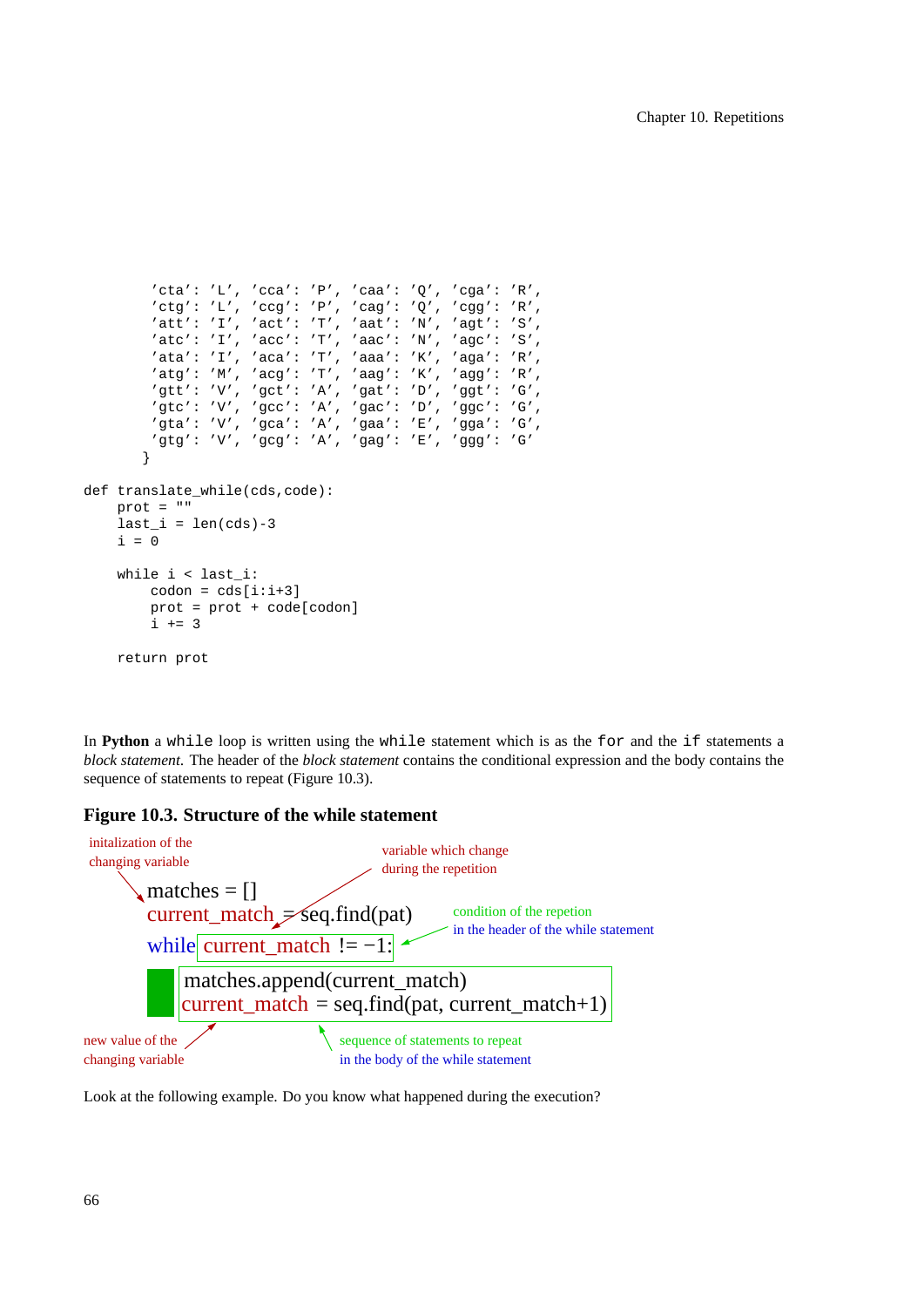```
'cta': 'L', 'cca': 'P', 'caa': 'Q', 'cga': 'R',
        'ctg': 'L', 'ccg': 'P', 'cag': 'Q', 'cgg': 'R',
        'att': 'I', 'act': 'T', 'aat': 'N', 'agt': 'S',
        'atc': 'I', 'acc': 'T', 'aac': 'N', 'agc': 'S',
        'ata': 'I', 'aca': 'T', 'aaa': 'K', 'aga': 'R',
        'atg': 'M', 'acg': 'T', 'aag': 'K', 'agg': 'R',
        'gtt': 'V', 'gct': 'A', 'gat': 'D', 'ggt': 'G',
        'gtc': 'V', 'gcc': 'A', 'gac': 'D', 'ggc': 'G',
        'gta': 'V', 'gca': 'A', 'gaa': 'E', 'gga': 'G',
        'gtg': 'V', 'gcg': 'A', 'gag': 'E', 'ggg': 'G'
       }
def translate_while(cds,code):
   prot = ""
    last_i = len(cds) - 3i = 0while i < last_i:
        codon = cds[i:i+3]prot = prot + code[codon]
        i + = 3return prot
```
In **Python** a while loop is written using the while statement which is as the for and the if statements a *block statement*. The header of the *block statement* contains the conditional expression and the body contains the sequence of statements to repeat [\(Figure 10.3\)](#page-79-0).

### <span id="page-79-0"></span>**Figure 10.3. Structure of the while statement**



Look at the following example. Do you know what happened during the execution?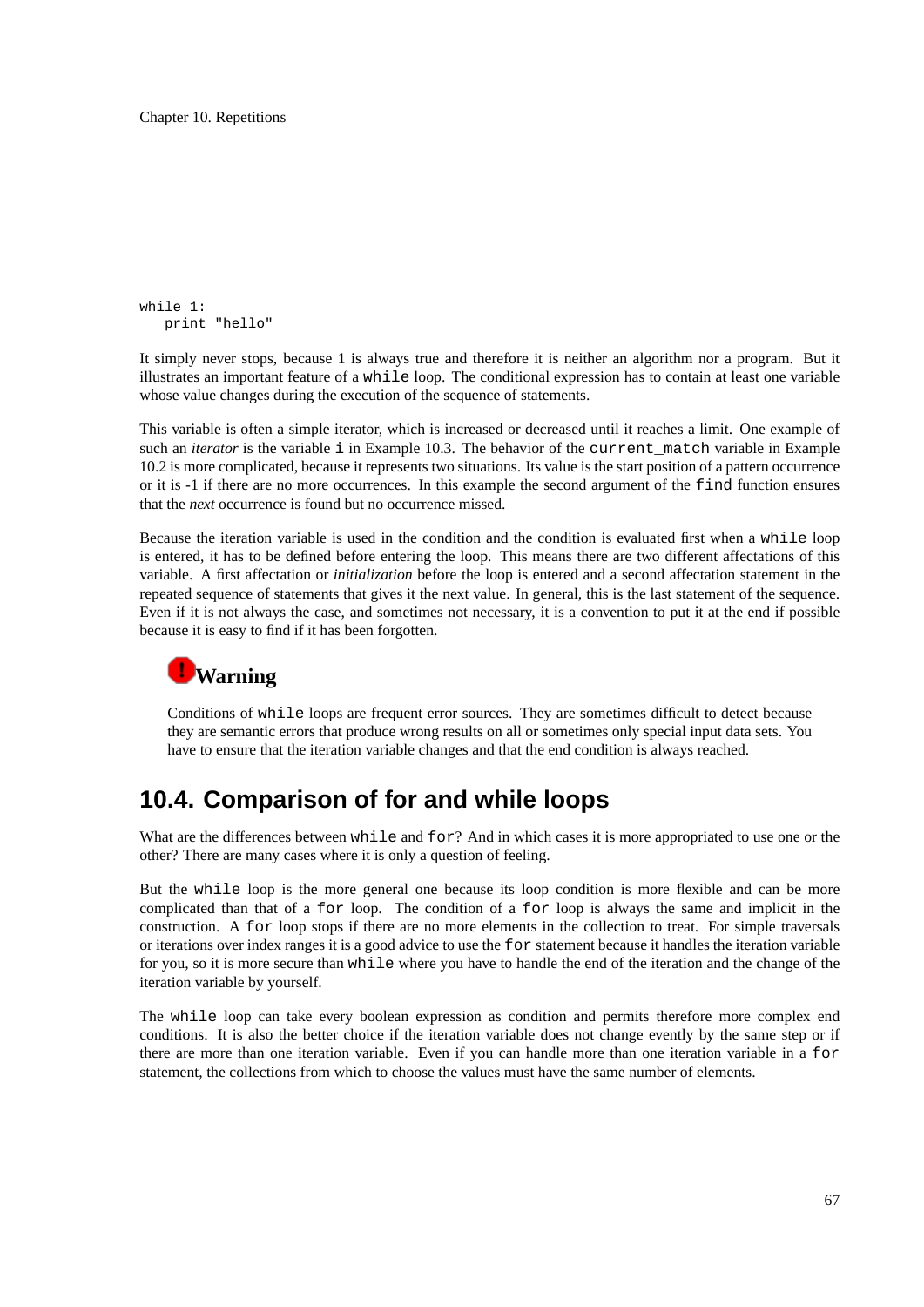```
while 1:
  print "hello"
```
It simply never stops, because 1 is always true and therefore it is neither an algorithm nor a program. But it illustrates an important feature of a while loop. The conditional expression has to contain at least one variable whose value changes during the execution of the sequence of statements.

This variable is often a simple iterator, which is increased or decreased until it reaches a limit. One example of such an *iterator* is the variable i in [Example 10.3.](#page-78-0) The behavior of the current match variable in [Example](#page-78-1) [10.2](#page-78-1) is more complicated, because it represents two situations. Its value is the start position of a pattern occurrence or it is -1 if there are no more occurrences. In this example the second argument of the find function ensures that the *next* occurrence is found but no occurrence missed.

Because the iteration variable is used in the condition and the condition is evaluated first when a while loop is entered, it has to be defined before entering the loop. This means there are two different affectations of this variable. A first affectation or *initialization* before the loop is entered and a second affectation statement in the repeated sequence of statements that gives it the next value. In general, this is the last statement of the sequence. Even if it is not always the case, and sometimes not necessary, it is a convention to put it at the end if possible because it is easy to find if it has been forgotten.

# **Warning**

Conditions of while loops are frequent error sources. They are sometimes difficult to detect because they are semantic errors that produce wrong results on all or sometimes only special input data sets. You have to ensure that the iteration variable changes and that the end condition is always reached.

# **10.4. Comparison of for and while loops**

What are the differences between while and  $for?$  And in which cases it is more appropriated to use one or the other? There are many cases where it is only a question of feeling.

But the while loop is the more general one because its loop condition is more flexible and can be more complicated than that of a for loop. The condition of a for loop is always the same and implicit in the construction. A for loop stops if there are no more elements in the collection to treat. For simple traversals or iterations over index ranges it is a good advice to use the for statement because it handles the iteration variable for you, so it is more secure than while where you have to handle the end of the iteration and the change of the iteration variable by yourself.

The while loop can take every boolean expression as condition and permits therefore more complex end conditions. It is also the better choice if the iteration variable does not change evently by the same step or if there are more than one iteration variable. Even if you can handle more than one iteration variable in a for statement, the collections from which to choose the values must have the same number of elements.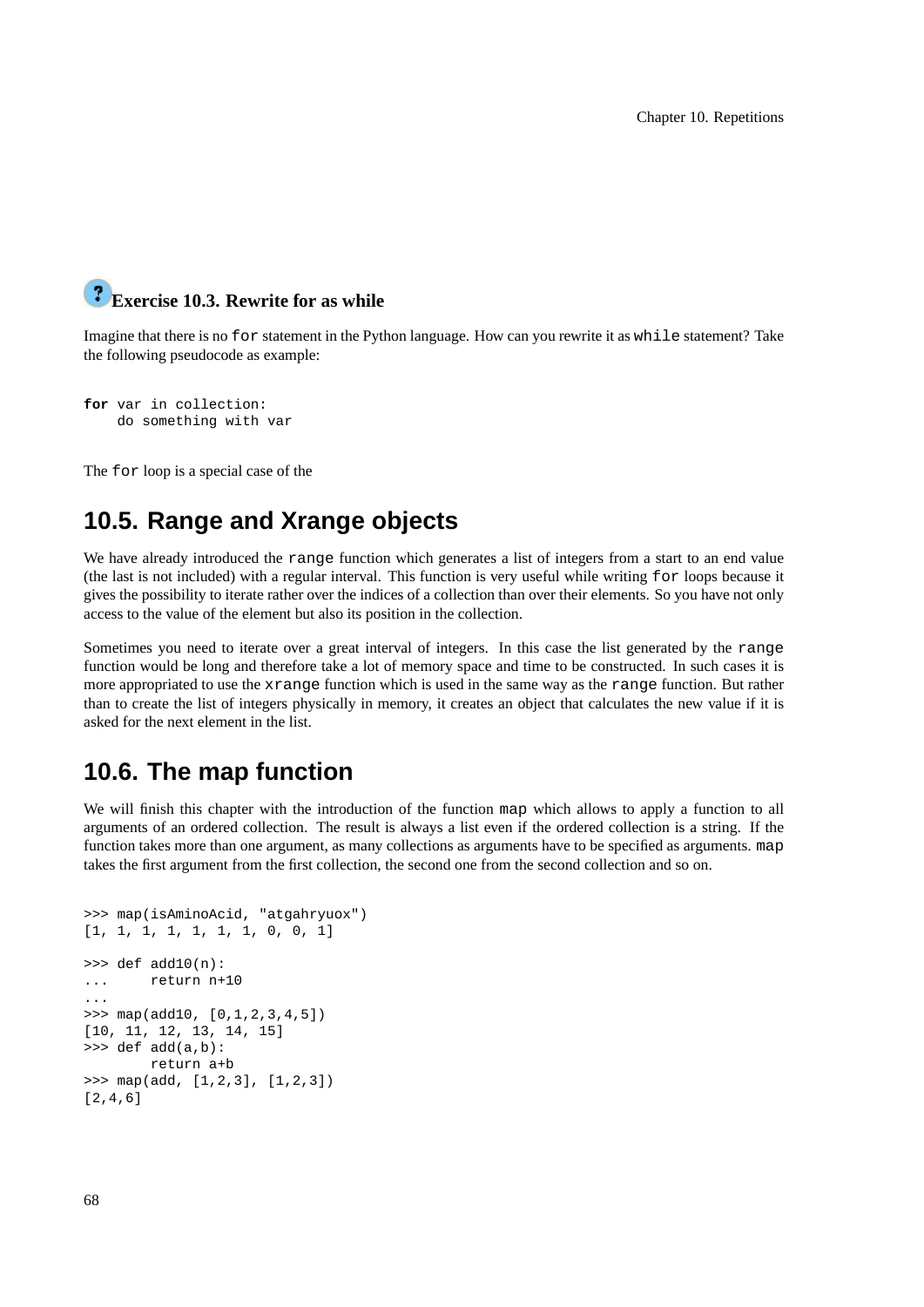<span id="page-81-0"></span>

Imagine that there is no for statement in the Python language. How can you rewrite it as while statement? Take the following pseudocode as example:

```
for var in collection:
    do something with var
```
<span id="page-81-1"></span>The for loop is a special case of the

### **10.5. Range and Xrange objects**

We have already introduced the range function which generates a list of integers from a start to an end value (the last is not included) with a regular interval. This function is very useful while writing for loops because it gives the possibility to iterate rather over the indices of a collection than over their elements. So you have not only access to the value of the element but also its position in the collection.

Sometimes you need to iterate over a great interval of integers. In this case the list generated by the range function would be long and therefore take a lot of memory space and time to be constructed. In such cases it is more appropriated to use the xrange function which is used in the same way as the range function. But rather than to create the list of integers physically in memory, it creates an object that calculates the new value if it is asked for the next element in the list.

### **10.6. The map function**

We will finish this chapter with the introduction of the function map which allows to apply a function to all arguments of an ordered collection. The result is always a list even if the ordered collection is a string. If the function takes more than one argument, as many collections as arguments have to be specified as arguments. map takes the first argument from the first collection, the second one from the second collection and so on.

```
>>> map(isAminoAcid, "atgahryuox")
[1, 1, 1, 1, 1, 1, 1, 0, 0, 1]
\Rightarrow def add10(n):
... return n+10
>>> map(add10, [0,1,2,3,4,5])
[10, 11, 12, 13, 14, 15]
>>> def add(a,b):
        return a+b
>>> map(add, [1,2,3], [1,2,3])
[2,4,6]
```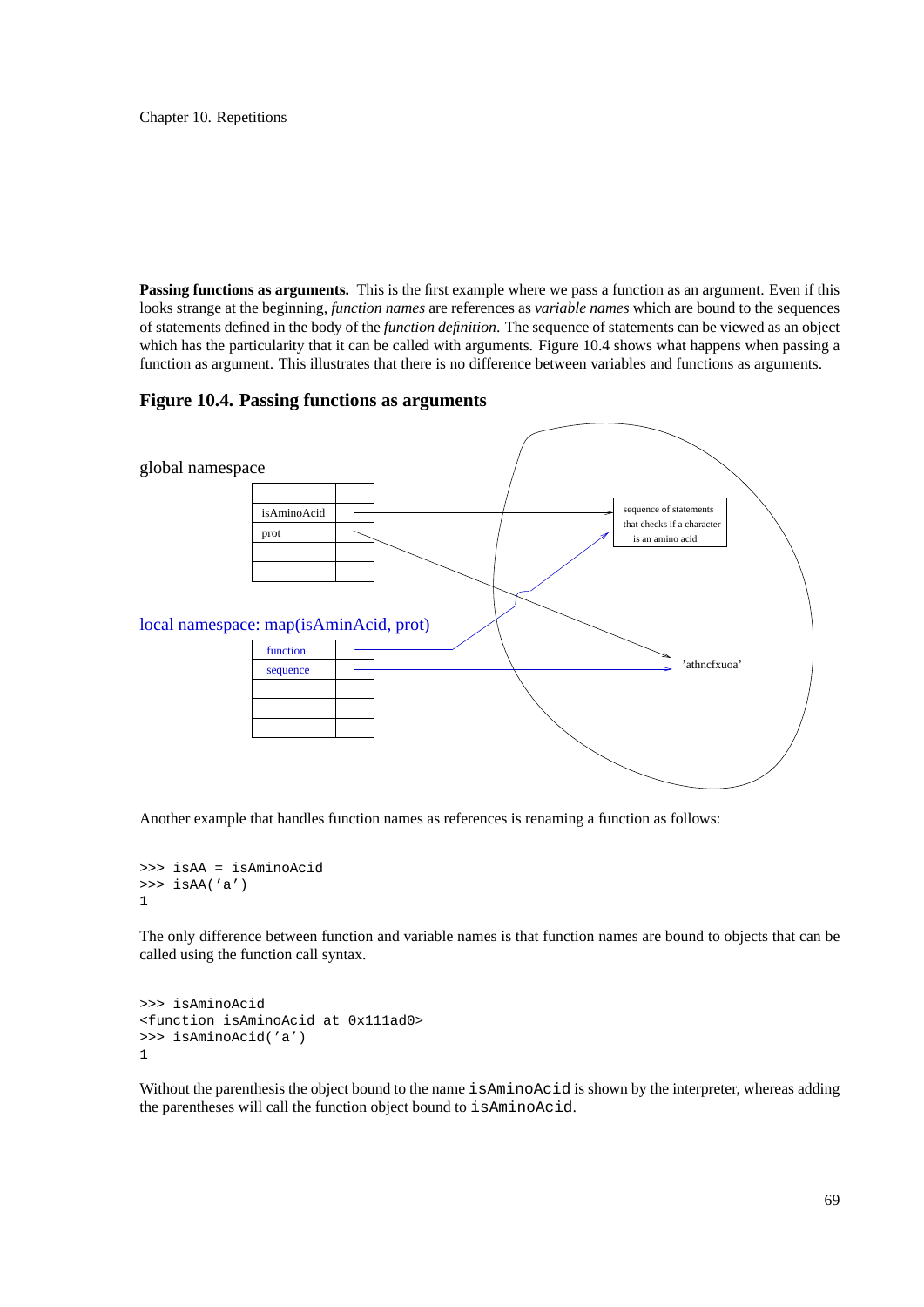**Passing functions as arguments.** This is the first example where we pass a function as an argument. Even if this looks strange at the beginning, *function names* are references as *variable names* which are bound to the sequences of statements defined in the body of the *function definition*. The sequence of statements can be viewed as an object which has the particularity that it can be called with arguments. [Figure 10.4](#page-82-0) shows what happens when passing a function as argument. This illustrates that there is no difference between variables and functions as arguments.

### <span id="page-82-0"></span>**Figure 10.4. Passing functions as arguments**



Another example that handles function names as references is renaming a function as follows:

```
>>> isAA = isAminoAcid
>>> isAA('a')
1
```
The only difference between function and variable names is that function names are bound to objects that can be called using the function call syntax.

```
>>> isAminoAcid
<function isAminoAcid at 0x111ad0>
>>> isAminoAcid('a')
1
```
Without the parenthesis the object bound to the name isAminoAcid is shown by the interpreter, whereas adding the parentheses will call the function object bound to isAminoAcid.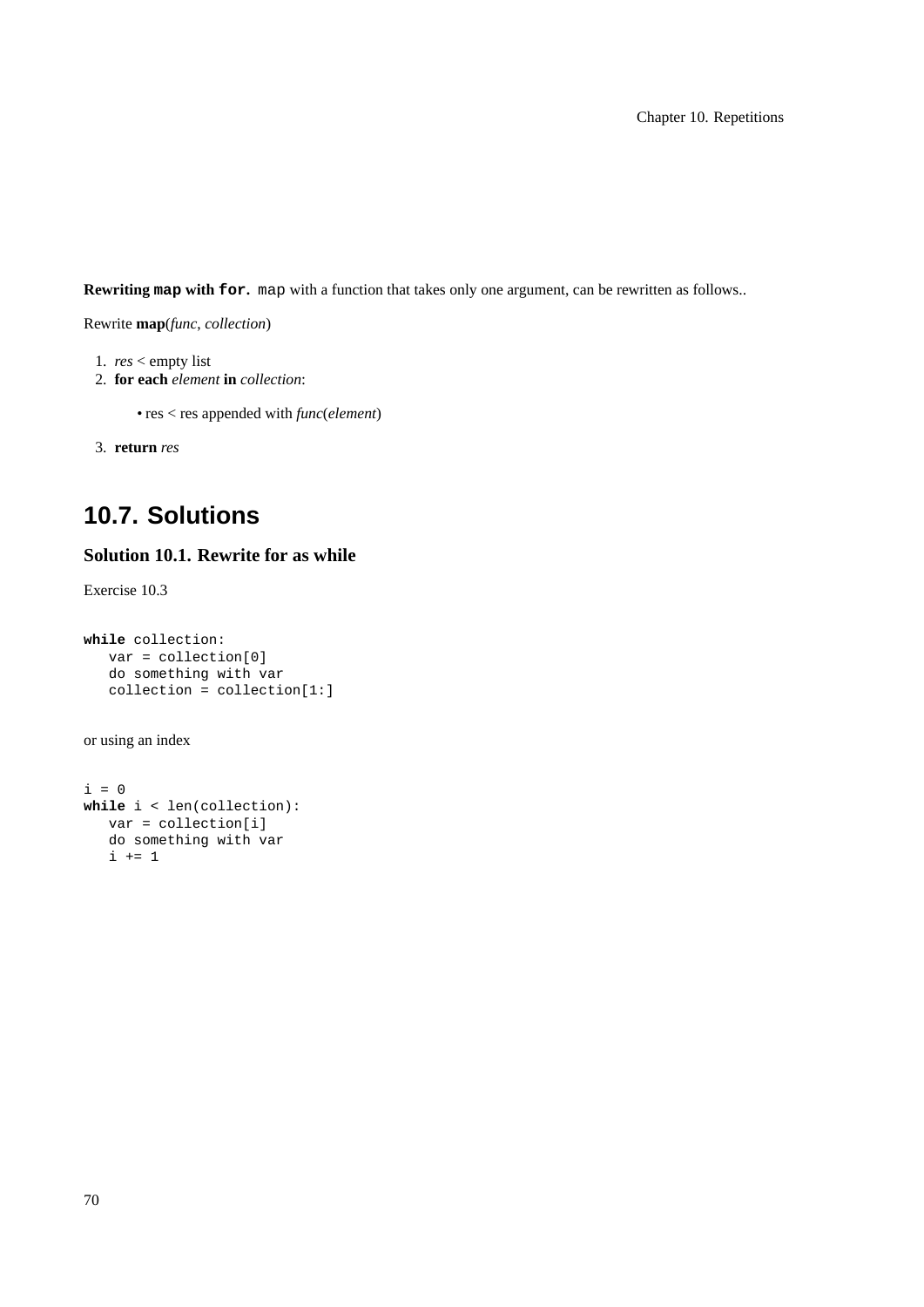**Rewriting map with for.** map with a function that takes only one argument, can be rewritten as follows..

Rewrite **map**(*func*, *collection*)

- 1. *res* < empty list
- 2. **for each** *element* **in** *collection*:

• res < res appended with *func*(*element*)

3. **return** *res*

# **10.7. Solutions**

### **Solution 10.1. Rewrite for as while**

[Exercise 10.3](#page-81-0)

```
while collection:
  var = collection[0]
  do something with var
  collection = collection[1:]
```
or using an index

```
i = 0while i < len(collection):
  var = collection[i]
  do something with var
  i += 1
```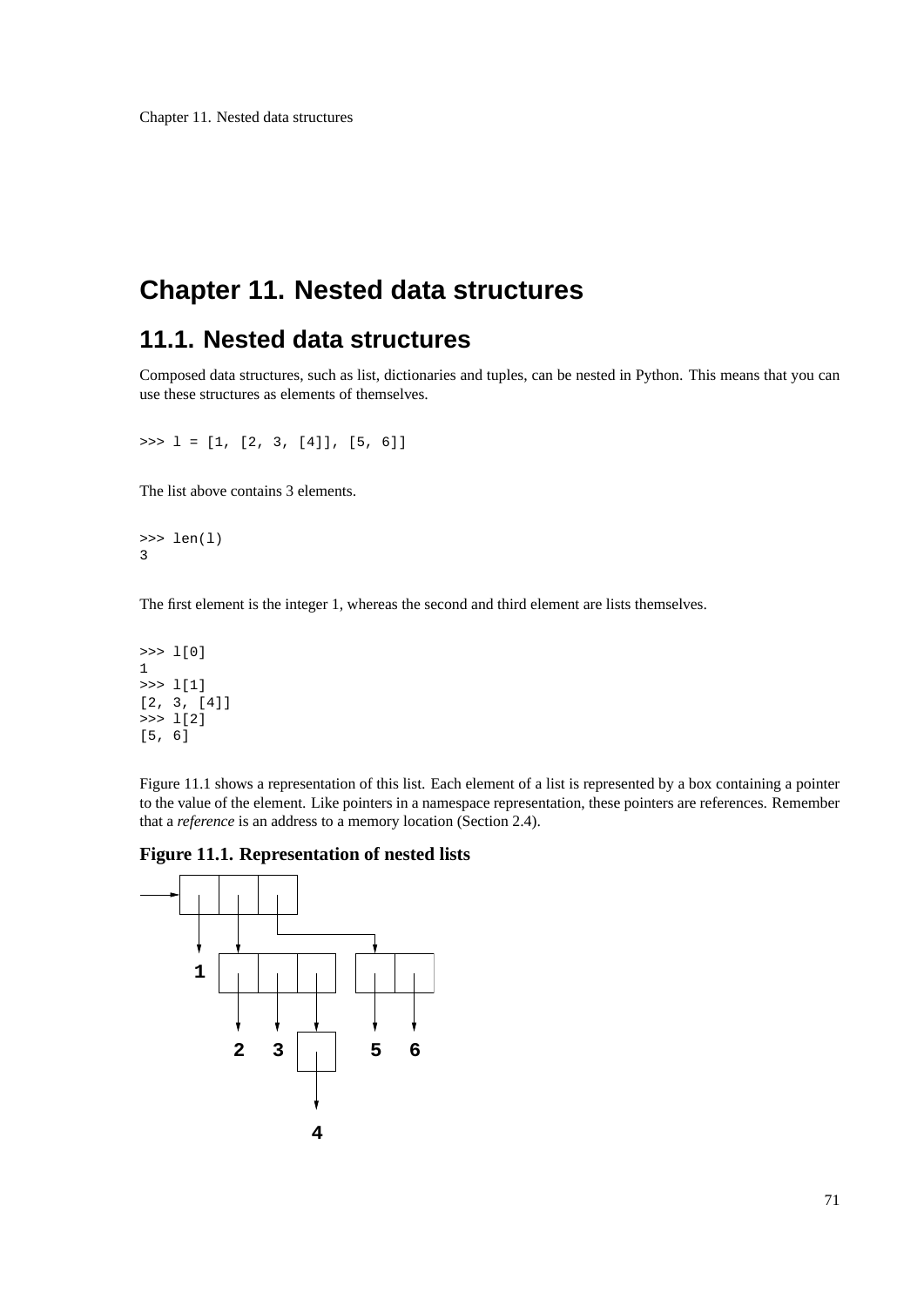# **Chapter 11. Nested data structures**

### **11.1. Nested data structures**

Composed data structures, such as list, dictionaries and tuples, can be nested in Python. This means that you can use these structures as elements of themselves.

 $\Rightarrow$  1 = [1, [2, 3, [4]], [5, 6]]

The list above contains 3 elements.

>>> len(l) 3

The first element is the integer 1, whereas the second and third element are lists themselves.

```
>>> l[0]
1
>>> l[1]
[2, 3, [4]]
>>> l[2]
[5, 6]
```
[Figure 11.1](#page-84-0) shows a representation of this list. Each element of a list is represented by a box containing a pointer to the value of the element. Like pointers in a namespace representation, these pointers are references. Remember that a *reference* is an address to a memory location [\(Section 2.4\)](#page-24-0).

### <span id="page-84-0"></span>**Figure 11.1. Representation of nested lists**

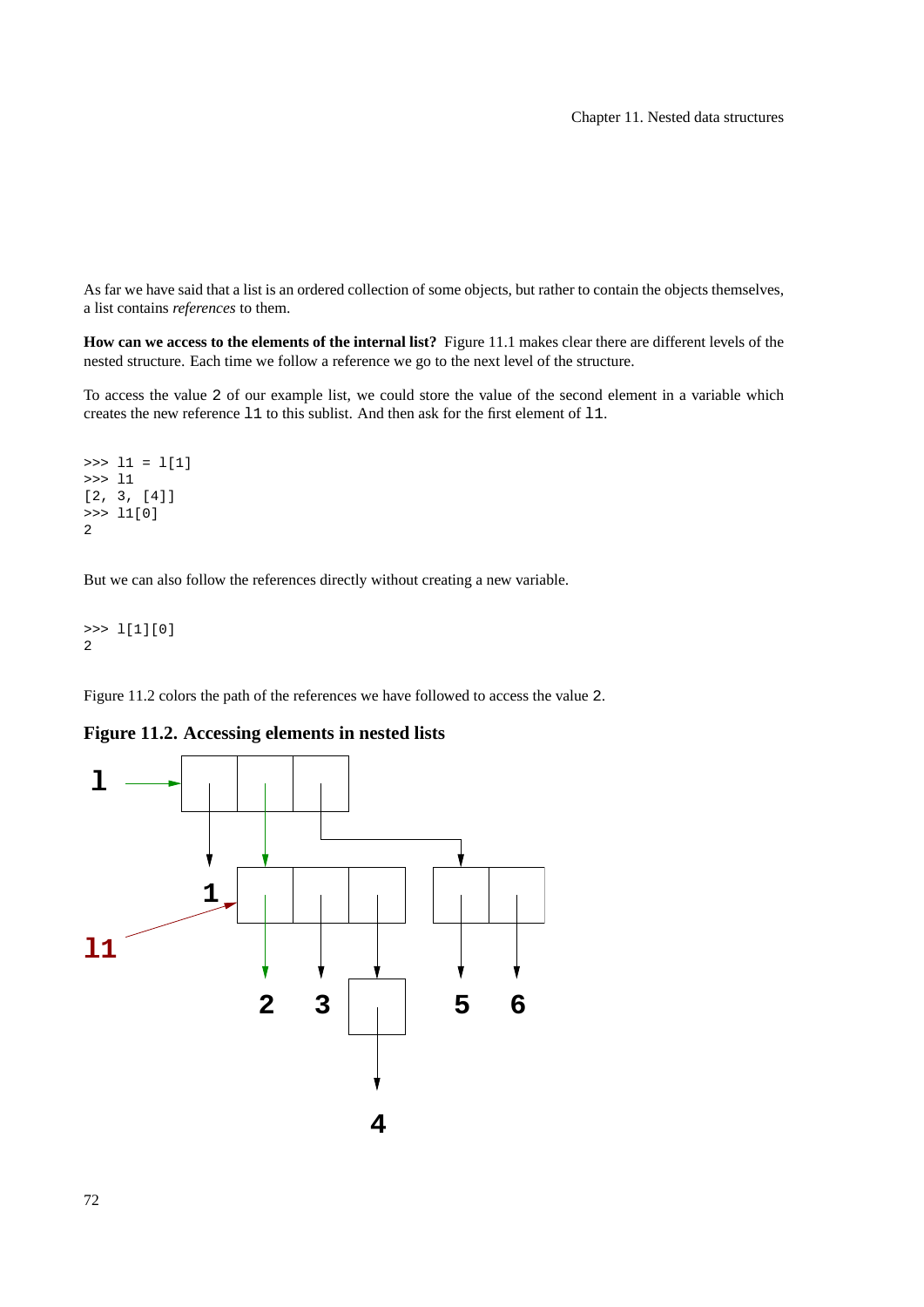As far we have said that a list is an ordered collection of some objects, but rather to contain the objects themselves, a list contains *references* to them.

**How can we access to the elements of the internal list?** [Figure 11.1](#page-84-0) makes clear there are different levels of the nested structure. Each time we follow a reference we go to the next level of the structure.

To access the value 2 of our example list, we could store the value of the second element in a variable which creates the new reference l1 to this sublist. And then ask for the first element of l1.

```
>>> l1 = l[1]
>>> l1
[2, 3, [4]]
>>> l1[0]
2
```
But we can also follow the references directly without creating a new variable.

```
>>> l[1][0]
2
```
<span id="page-85-0"></span>[Figure 11.2](#page-85-0) colors the path of the references we have followed to access the value 2.

**Figure 11.2. Accessing elements in nested lists**

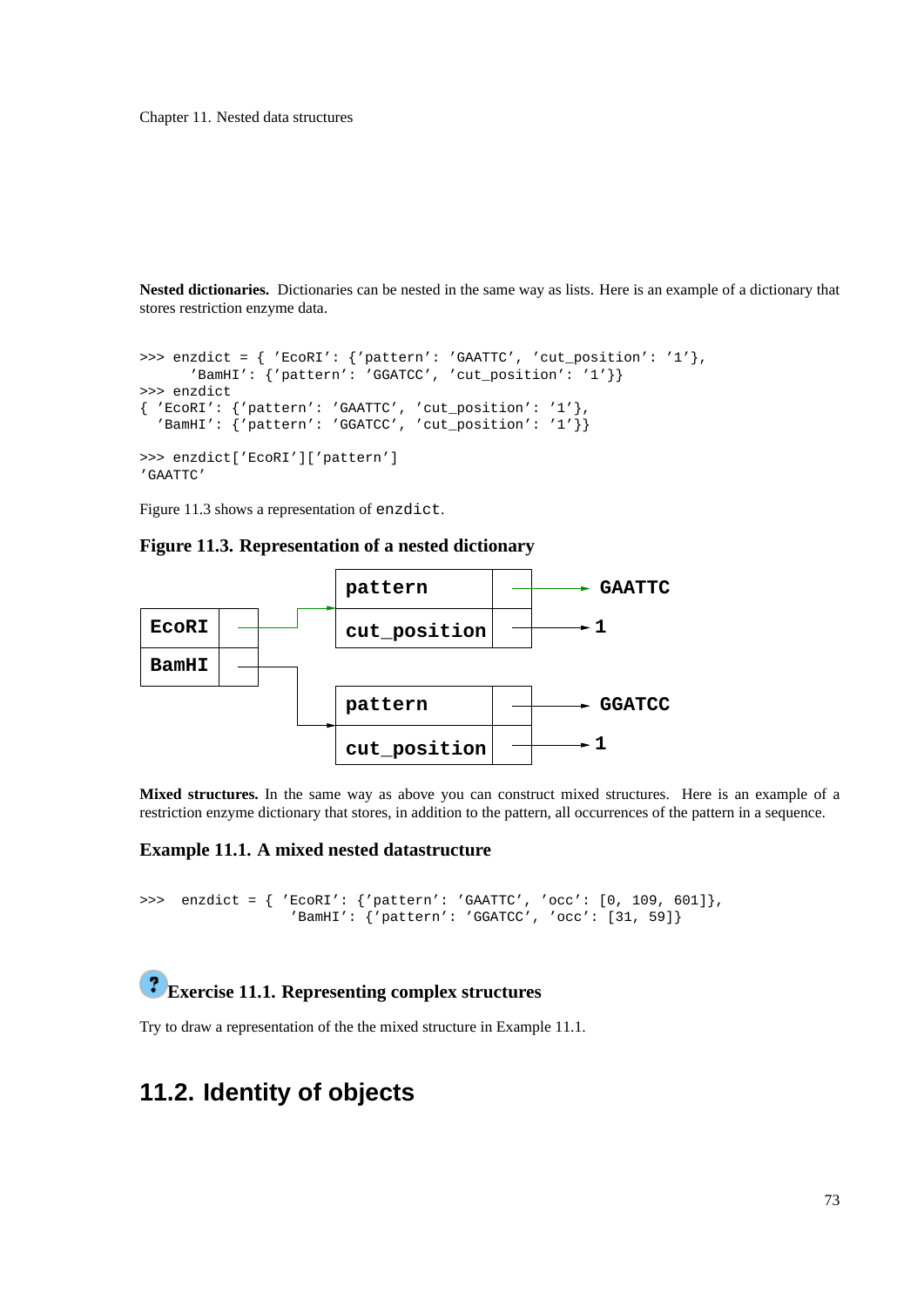Chapter 11. Nested data structures

**Nested dictionaries.** Dictionaries can be nested in the same way as lists. Here is an example of a dictionary that stores restriction enzyme data.

```
>>> enzdict = { 'EcoRI': {'pattern': 'GAATTC', 'cut_position': '1'},
      'BamHI': {'pattern': 'GGATCC', 'cut_position': '1'}}
>>> enzdict
{ 'EcoRI': {'pattern': 'GAATTC', 'cut_position': '1'},
  'BamHI': {'pattern': 'GGATCC', 'cut_position': '1'}}
>>> enzdict['EcoRI']['pattern']
'GAATTC'
```
<span id="page-86-0"></span>[Figure 11.3](#page-86-0) shows a representation of enzdict.

#### **Figure 11.3. Representation of a nested dictionary**



**Mixed structures.** In the same way as above you can construct mixed structures. Here is an example of a restriction enzyme dictionary that stores, in addition to the pattern, all occurrences of the pattern in a sequence.

#### <span id="page-86-1"></span>**Example 11.1. A mixed nested datastructure**

```
>>> enzdict = { 'EcoRI': {'pattern': 'GAATTC', 'occ': [0, 109, 601]},
                  'BamHI': {'pattern': 'GGATCC', 'occ': [31, 59]}
```
# **Exercise 11.1. Representing complex structures**

Try to draw a representation of the the mixed structure in [Example 11.1.](#page-86-1)

### <span id="page-86-2"></span>**11.2. Identity of objects**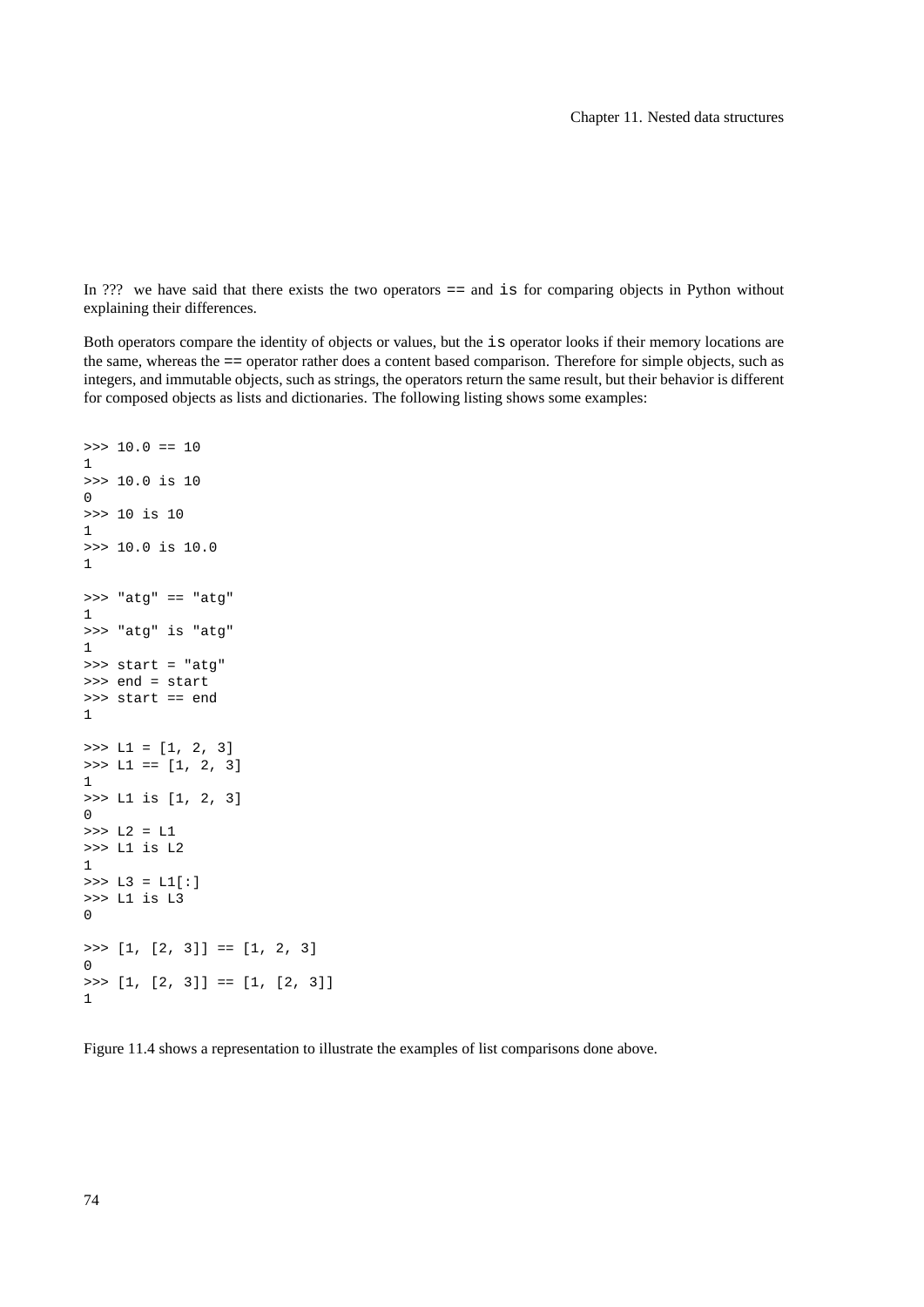In ??? we have said that there exists the two operators == and is for comparing objects in Python without explaining their differences.

Both operators compare the identity of objects or values, but the is operator looks if their memory locations are the same, whereas the == operator rather does a content based comparison. Therefore for simple objects, such as integers, and immutable objects, such as strings, the operators return the same result, but their behavior is different for composed objects as lists and dictionaries. The following listing shows some examples:

```
\Rightarrow >> 10.0 == 10
1
>>> 10.0 is 10
0
>>> 10 is 10
1
>>> 10.0 is 10.0
1
>>> "atg" == "atg"
1
>>> "atg" is "atg"
1
>>> start = "atg"
>>> end = start
>>> start == end
1
>>> L1 = [1, 2, 3]
>>> L1 == [1, 2, 3]
1
>>> L1 is [1, 2, 3]
\Omega>>> L2 = L1
>>> L1 is L2
1
>>> L3 = L1[:]
>>> L1 is L3
\cap>>> [1, [2, 3]] == [1, 2, 3]
\Omega>>> [1, [2, 3]] == [1, [2, 3]]
1
```
[Figure 11.4](#page-88-0) shows a representation to illustrate the examples of list comparisons done above.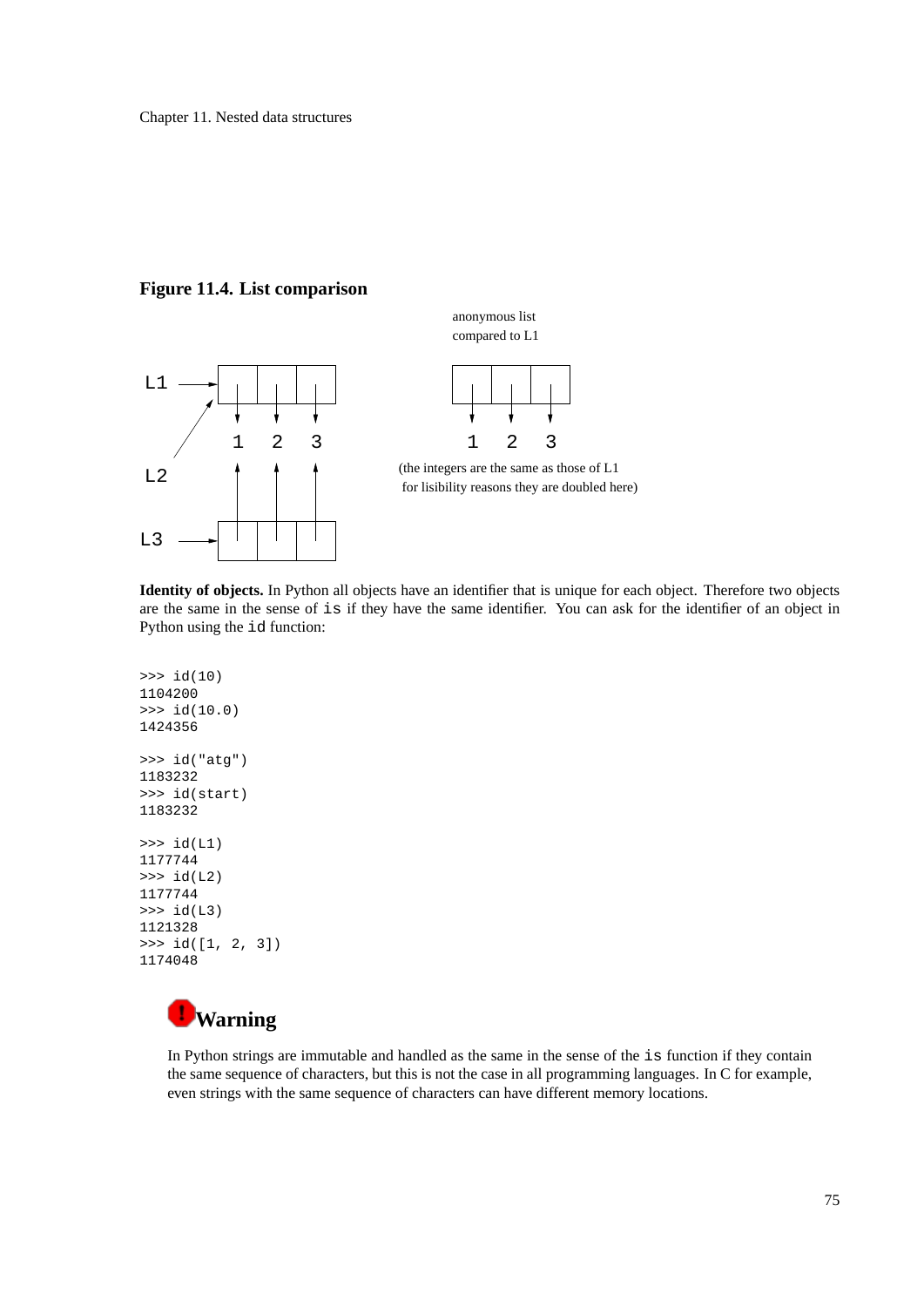### <span id="page-88-0"></span>**Figure 11.4. List comparison**



anonymous list compared to L1



(the integers are the same as those of L1 for lisibility reasons they are doubled here)

**Identity of objects.** In Python all objects have an identifier that is unique for each object. Therefore two objects are the same in the sense of is if they have the same identifier. You can ask for the identifier of an object in Python using the id function:

```
>>> id(10)
1104200
>>> id(10.0)
1424356
>>> id("atg")
1183232
>>> id(start)
1183232
>>> id(L1)
1177744
>>> id(L2)
1177744
>>> id(L3)
1121328
>>> id([1, 2, 3])
1174048
```


In Python strings are immutable and handled as the same in the sense of the is function if they contain the same sequence of characters, but this is not the case in all programming languages. In C for example, even strings with the same sequence of characters can have different memory locations.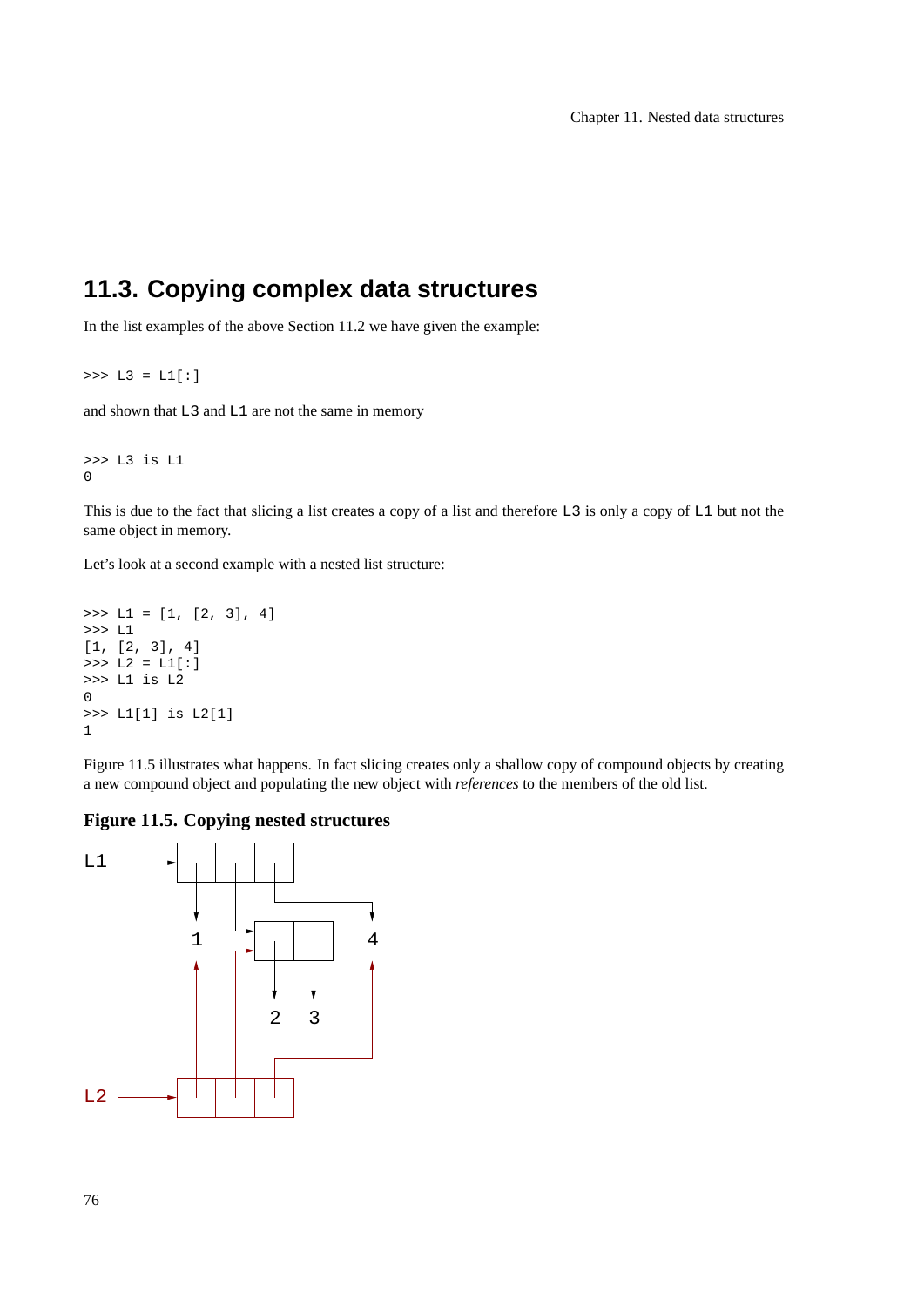## **11.3. Copying complex data structures**

In the list examples of the above [Section 11.2](#page-86-2) we have given the example:

```
>>> L3 = L1[:]
```
and shown that L3 and L1 are not the same in memory

```
>>> L3 is L1
\overline{0}
```
This is due to the fact that slicing a list creates a copy of a list and therefore L3 is only a copy of L1 but not the same object in memory.

Let's look at a second example with a nested list structure:

```
>>> L1 = [1, [2, 3], 4]
>>> L1
[1, [2, 3], 4]
>>> L2 = L1[:]
>>> L1 is L2
0
>>> L1[1] is L2[1]
1
```
[Figure 11.5](#page-89-0) illustrates what happens. In fact slicing creates only a shallow copy of compound objects by creating a new compound object and populating the new object with *references* to the members of the old list.

### <span id="page-89-0"></span>**Figure 11.5. Copying nested structures**

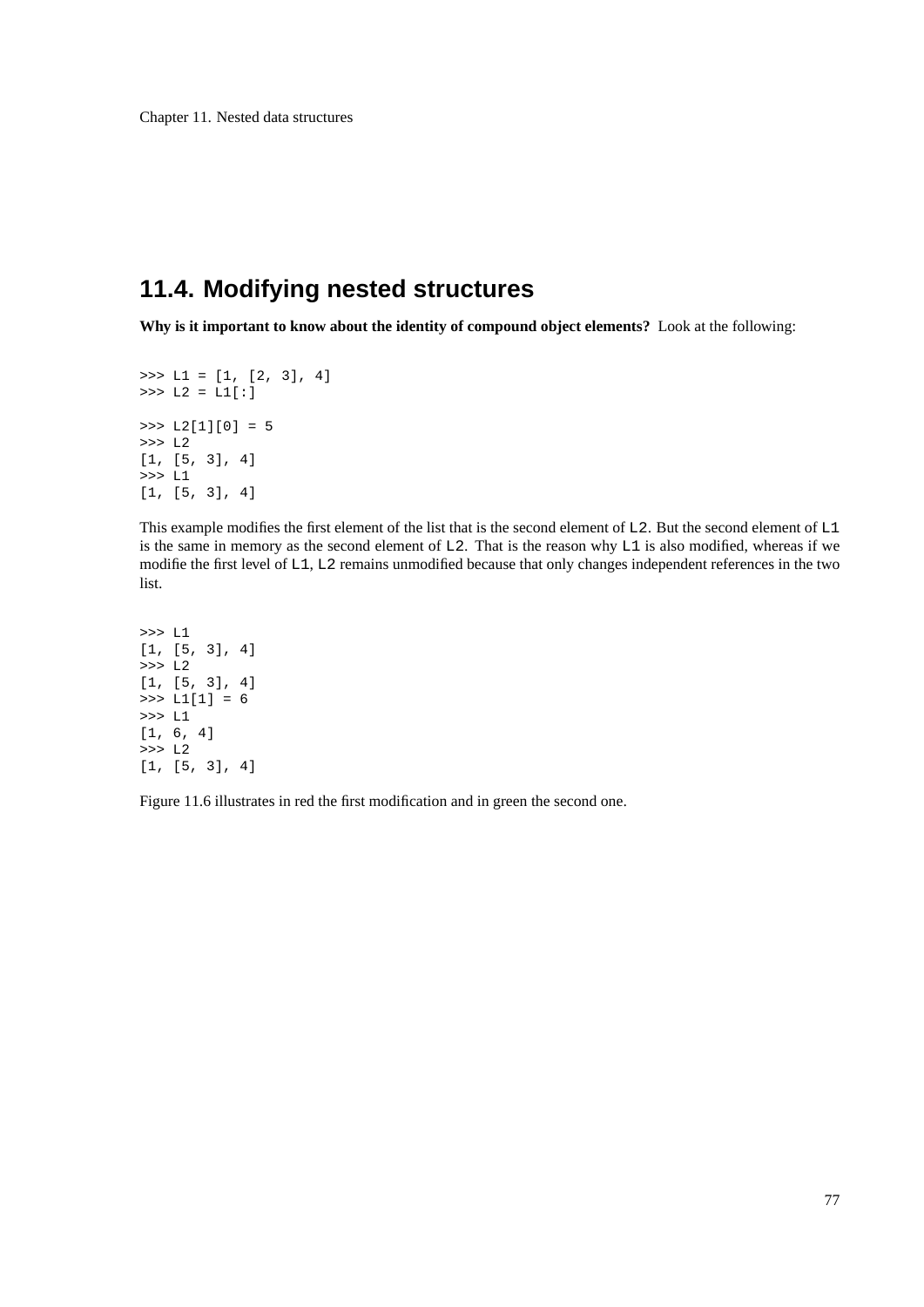Chapter 11. Nested data structures

## **11.4. Modifying nested structures**

**Why is it important to know about the identity of compound object elements?** Look at the following:

```
>>> L1 = [1, [2, 3], 4]
>>> L2 = L1[:]
>>> L2[1][0] = 5
>>> L2
[1, [5, 3], 4]
>>> L1
[1, [5, 3], 4]
```
This example modifies the first element of the list that is the second element of L2. But the second element of L1 is the same in memory as the second element of L2. That is the reason why L1 is also modified, whereas if we modifie the first level of L1, L2 remains unmodified because that only changes independent references in the two list.

```
>>> L1
[1, [5, 3], 4]
>>> L2
[1, [5, 3], 4]
>>> L1[1] = 6
>>> L1
[1, 6, 4]
>>> L2
[1, [5, 3], 4]
```
[Figure 11.6](#page-91-0) illustrates in red the first modification and in green the second one.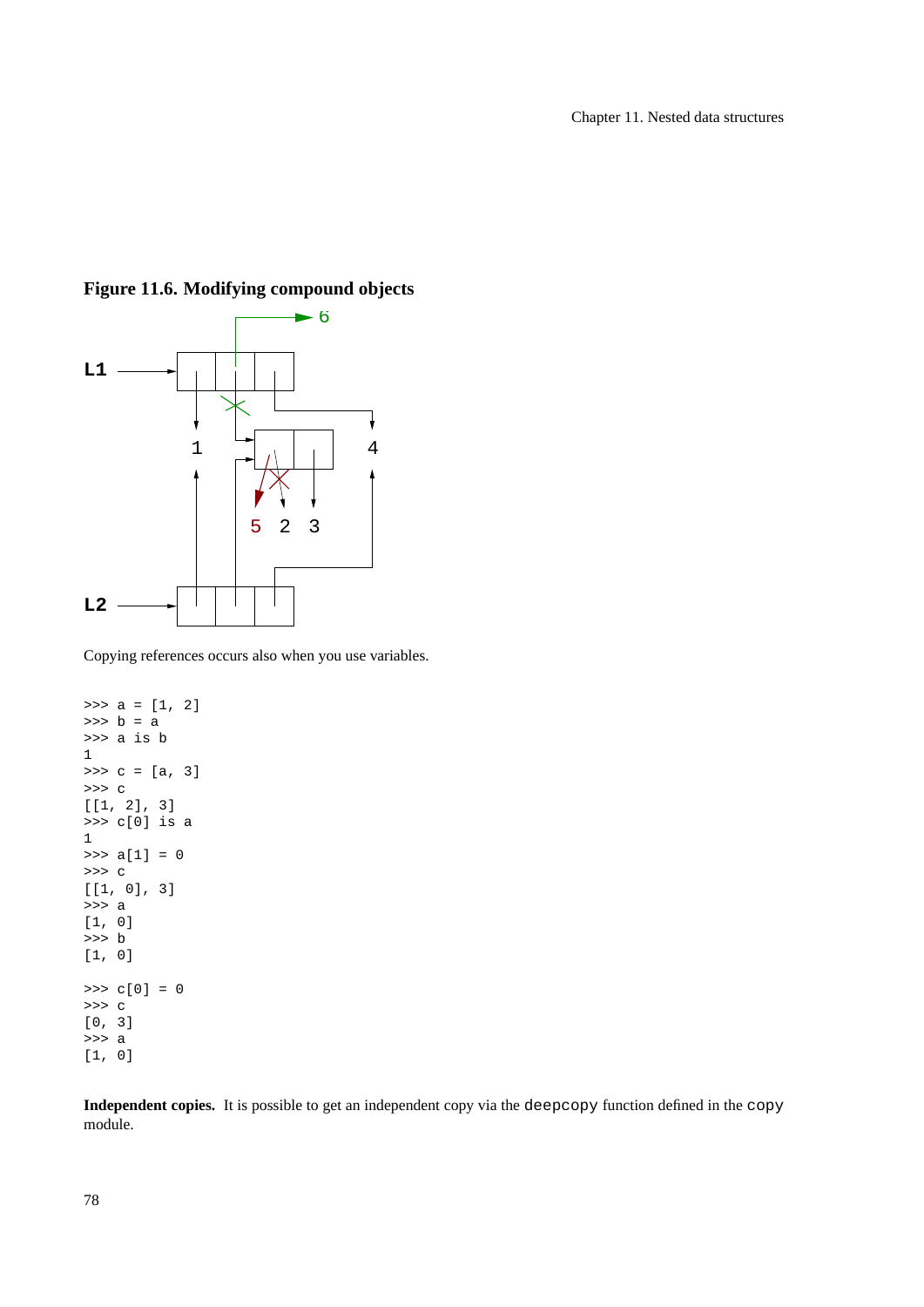

### <span id="page-91-0"></span>**Figure 11.6. Modifying compound objects**

Copying references occurs also when you use variables.

```
>>> a = [1, 2]\Rightarrow b = a
>>> a is b
1
\Rightarrow c = [a, 3]
>>> c
[[1, 2], 3]
>>> c[0] is a
1
>>> a[1] = 0
>>> c
[[1, 0], 3]
>>> a
[1, 0]
>>> b
[1, 0]
>>> c[0] = 0
>>> c
[0, 3]
>>> a
[1, 0]
```
**Independent copies.** It is possible to get an independent copy via the deepcopy function defined in the copy module.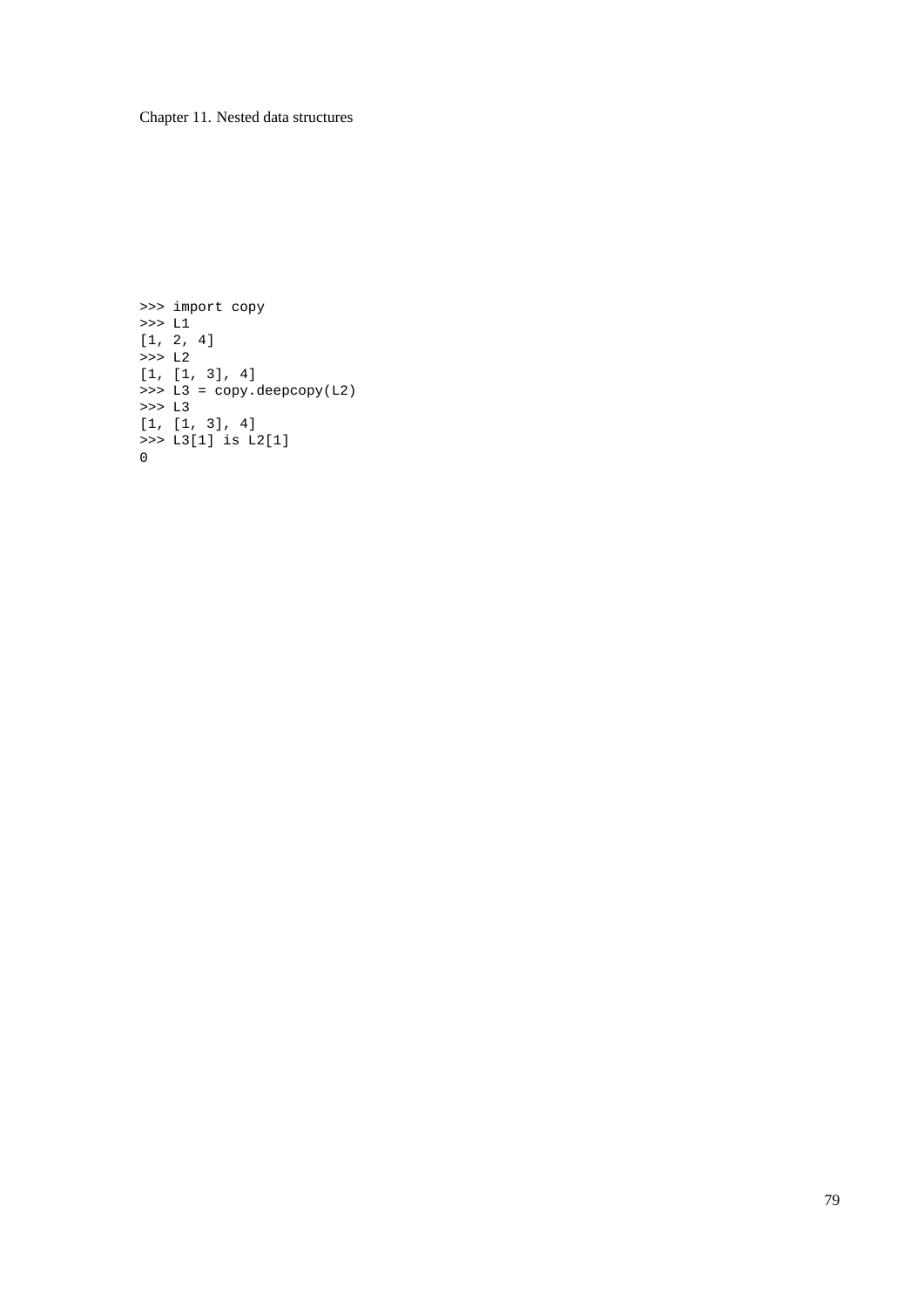### Chapter 11. Nested data structures

```
>>> import copy
>>> L1
[1, 2, 4]
>>> L2
[1, [1, 3], 4]
>>> L3 = copy.deepcopy(L2)
>>> L3
[1, [1, 3], 4]
>>> L3[1] is L2[1]
0
```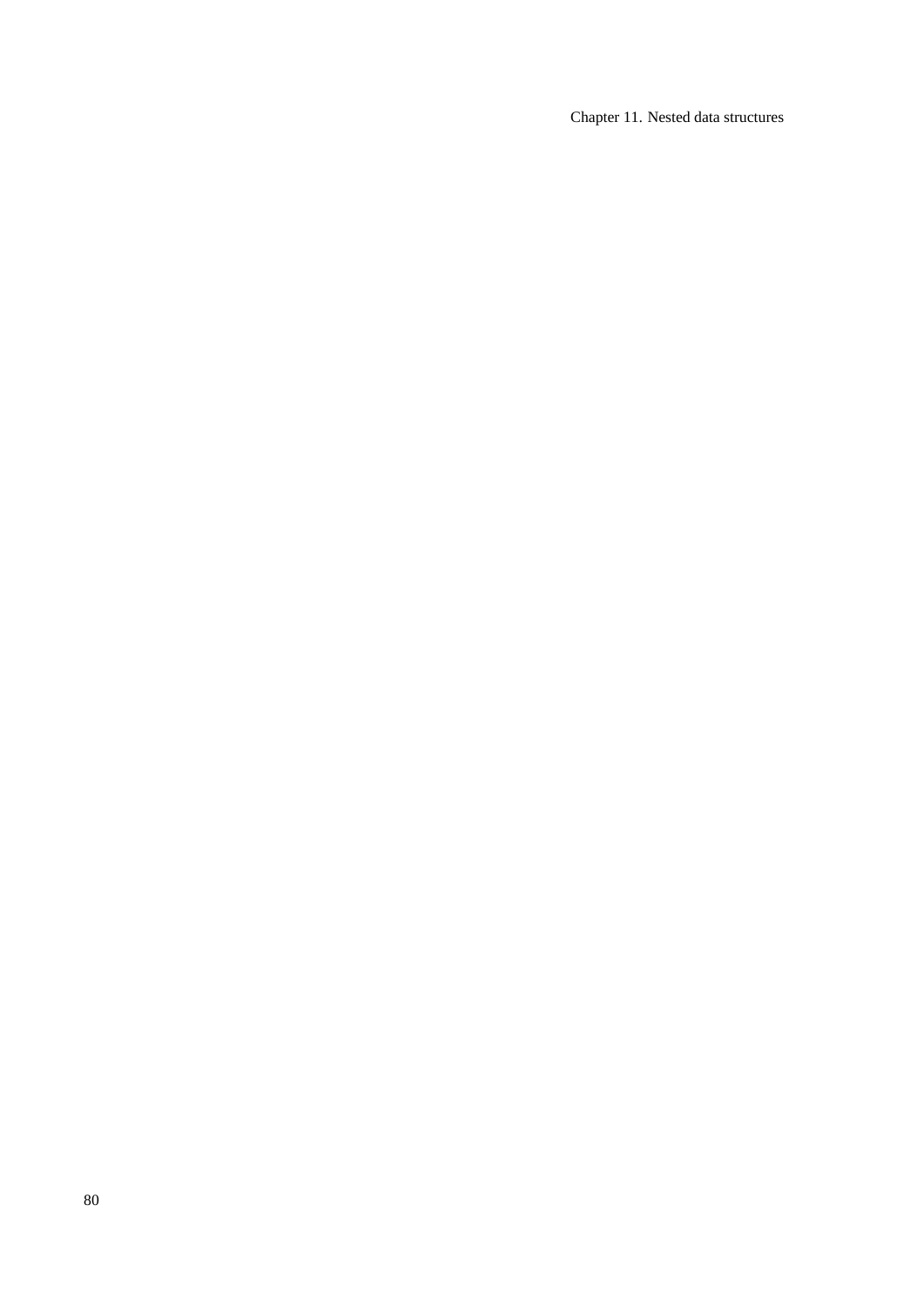Chapter 11. Nested data structures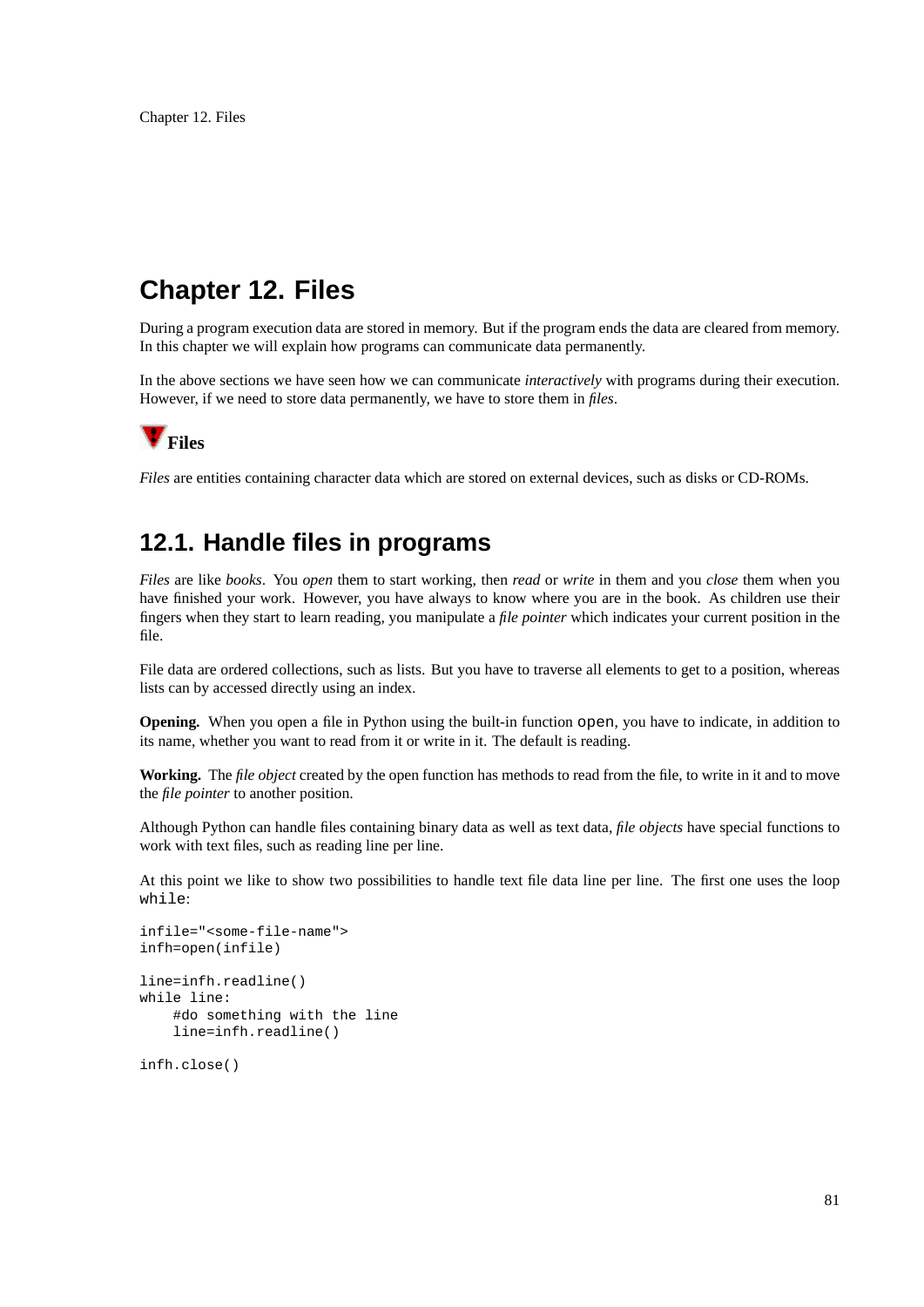# **Chapter 12. Files**

During a program execution data are stored in memory. But if the program ends the data are cleared from memory. In this chapter we will explain how programs can communicate data permanently.

In the above sections we have seen how we can communicate *interactively* with programs during their execution. However, if we need to store data permanently, we have to store them in *files*.



*Files* are entities containing character data which are stored on external devices, such as disks or CD-ROMs.

## **12.1. Handle files in programs**

*Files* are like *books*. You *open* them to start working, then *read* or *write* in them and you *close* them when you have finished your work. However, you have always to know where you are in the book. As children use their fingers when they start to learn reading, you manipulate a *file pointer* which indicates your current position in the file.

File data are ordered collections, such as lists. But you have to traverse all elements to get to a position, whereas lists can by accessed directly using an index.

**Opening.** When you open a file in Python using the built-in function open, you have to indicate, in addition to its name, whether you want to read from it or write in it. The default is reading.

**Working.** The *file object* created by the open function has methods to read from the file, to write in it and to move the *file pointer* to another position.

Although Python can handle files containing binary data as well as text data, *file objects* have special functions to work with text files, such as reading line per line.

At this point we like to show two possibilities to handle text file data line per line. The first one uses the loop while:

```
infile="<some-file-name">
infh=open(infile)
line=infh.readline()
while line:
    #do something with the line
    line=infh.readline()
```
infh.close()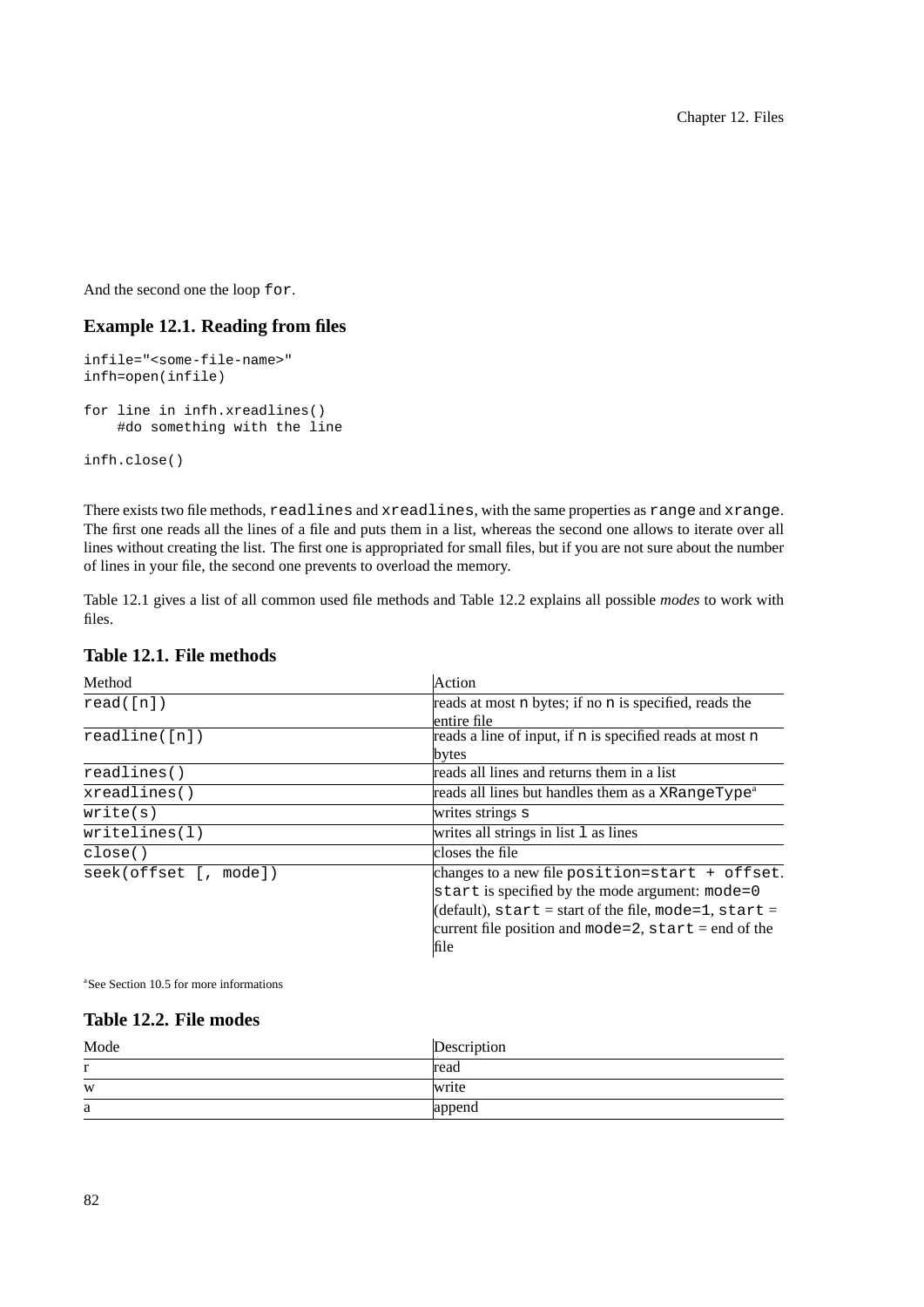<span id="page-95-2"></span>And the second one the loop for.

### **Example 12.1. Reading from files**

```
infile="<some-file-name>"
infh=open(infile)
for line in infh.xreadlines()
    #do something with the line
infh.close()
```
There exists two file methods, readlines and xreadlines, with the same properties as range and xrange. The first one reads all the lines of a file and puts them in a list, whereas the second one allows to iterate over all lines without creating the list. The first one is appropriated for small files, but if you are not sure about the number of lines in your file, the second one prevents to overload the memory.

[Table 12.1](#page-95-0) gives a list of all common used file methods and [Table 12.2](#page-95-1) explains all possible *modes* to work with files.

| Method                | Action                                                        |
|-----------------------|---------------------------------------------------------------|
| read([n])             | reads at most n bytes; if no n is specified, reads the        |
|                       | entire file                                                   |
| readline([n])         | reads a line of input, if n is specified reads at most n      |
|                       | bytes                                                         |
| readlines()           | reads all lines and returns them in a list                    |
| xreadlines()          | reads all lines but handles them as a XRangeType <sup>a</sup> |
| write(s)              | writes strings s                                              |
| writelines(1)         | writes all strings in list 1 as lines                         |
| close()               | closes the file                                               |
| seek(offset [, mode]) | changes to a new file position=start + offset.                |
|                       | start is specified by the mode argument: $mode = 0$           |
|                       | (default), start = start of the file, mode=1, start =         |
|                       | current file position and mode=2, $start = end$ of the        |
|                       | file                                                          |

### <span id="page-95-0"></span>**Table 12.1. File methods**

<span id="page-95-1"></span><sup>a</sup>See [Section 10.5](#page-81-1) for more informations

#### **Table 12.2. File modes**

| Mode | Description |
|------|-------------|
|      | read        |
| W    | write       |
| a    | append      |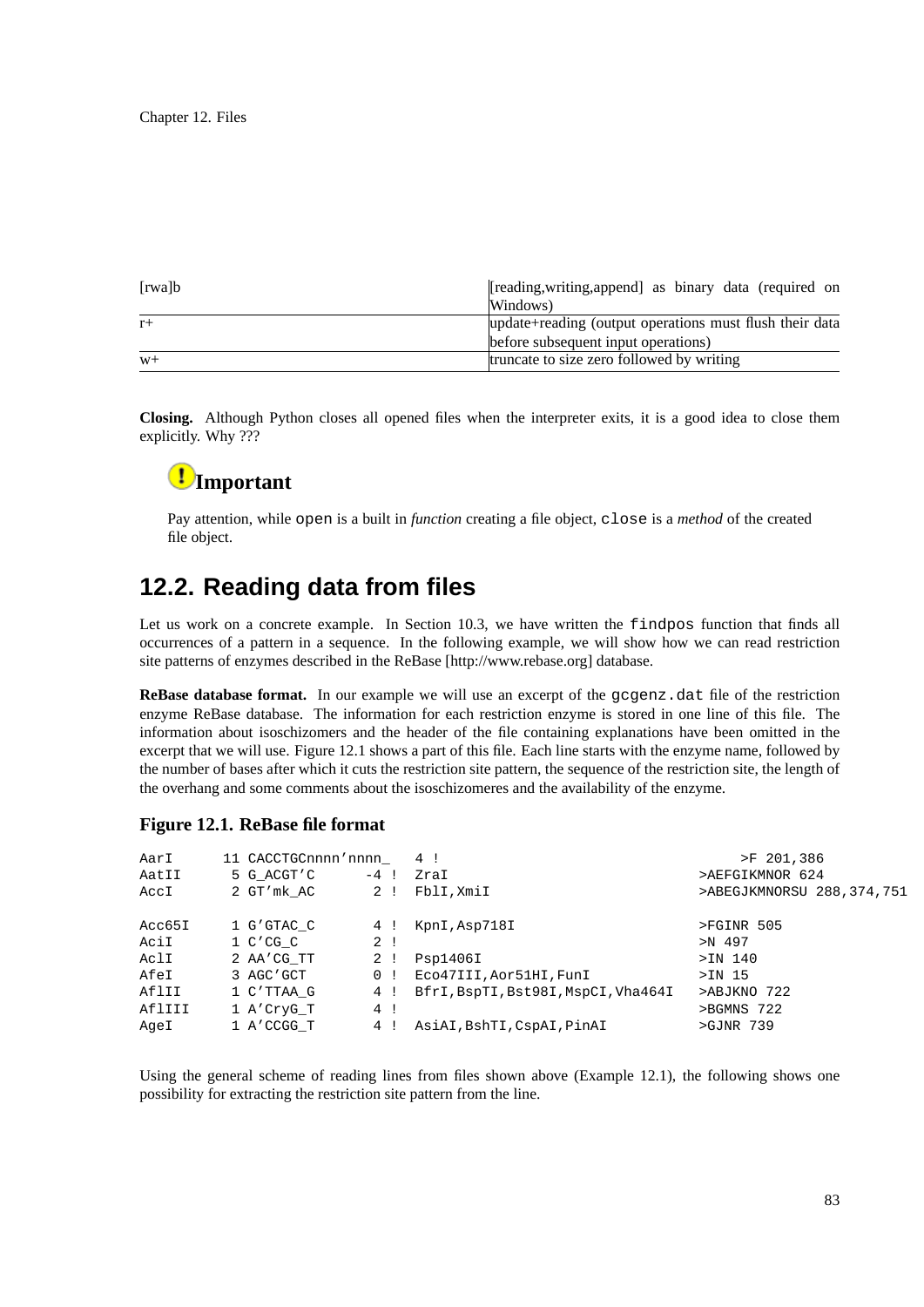| [rwa]b | [reading, writing, append] as binary data (required on  |  |  |
|--------|---------------------------------------------------------|--|--|
|        | Windows)                                                |  |  |
| $r+$   | update+reading (output operations must flush their data |  |  |
|        | before subsequent input operations)                     |  |  |
| $W+$   | truncate to size zero followed by writing               |  |  |

**Closing.** Although Python closes all opened files when the interpreter exits, it is a good idea to close them explicitly. Why ???

# **Important**

Pay attention, while open is a built in *function* creating a file object, close is a *method* of the created file object.

### **12.2. Reading data from files**

Let us work on a concrete example. In [Section 10.3,](#page-77-1) we have written the findpos function that finds all occurrences of a pattern in a sequence. In the following example, we will show how we can read restriction site patterns of enzymes described in the [ReBase](http://www.rebase.org) [http://www.rebase.org] database.

**ReBase database format.** In our example we will use an excerpt of the gcgenz.dat file of the restriction enzyme ReBase database. The information for each restriction enzyme is stored in one line of this file. The information about isoschizomers and the header of the file containing explanations have been omitted in the excerpt that we will use. [Figure 12.1](#page-96-0) shows a part of this file. Each line starts with the enzyme name, followed by the number of bases after which it cuts the restriction site pattern, the sequence of the restriction site, the length of the overhang and some comments about the isoschizomeres and the availability of the enzyme.

### <span id="page-96-0"></span>**Figure 12.1. ReBase file format**

| AarI<br>AatII<br>AccI                                     | 11 CACCTGCnnnn'nnnn<br>5 G ACGT'C<br>2 GT'mk AC                                             | $-4$ !<br>2!                                                              | 4!<br>ZraI<br>FblI,XmiI                                                                                                   | $>$ F 201,386<br>>AEFGIKMNOR 624<br>>ABEGJKMNORSU 288,374,751                              |
|-----------------------------------------------------------|---------------------------------------------------------------------------------------------|---------------------------------------------------------------------------|---------------------------------------------------------------------------------------------------------------------------|--------------------------------------------------------------------------------------------|
| Acc65I<br>AciI<br>AclI<br>AfeI<br>Aflıı<br>AflIII<br>AgeI | 1 G'GTAC C<br>1 C'CG C<br>2 AA'CG TT<br>3 AGC'GCT<br>1 C'TTAA G<br>1 A'CryG T<br>1 A'CCGG T | 4!<br>2 <sub>1</sub><br>2 <sub>1</sub><br>0 <sub>1</sub><br>4!<br>4!<br>4 | KpnI, Asp718I<br>Psp1406I<br>ECO47III, Aor51HI, FunI<br>BfrI, BspTI, Bst98I, MspCI, Vha464I<br>AsiAI, BshTI, CspAI, PinAI | >FGINR 505<br>$>$ N 497<br>$>IN$ 140<br>$>IN$ 15<br>>ABJKNO 722<br>>BGMNS 722<br>>GJNR 739 |

Using the general scheme of reading lines from files shown above [\(Example 12.1\)](#page-95-2), the following shows one possibility for extracting the restriction site pattern from the line.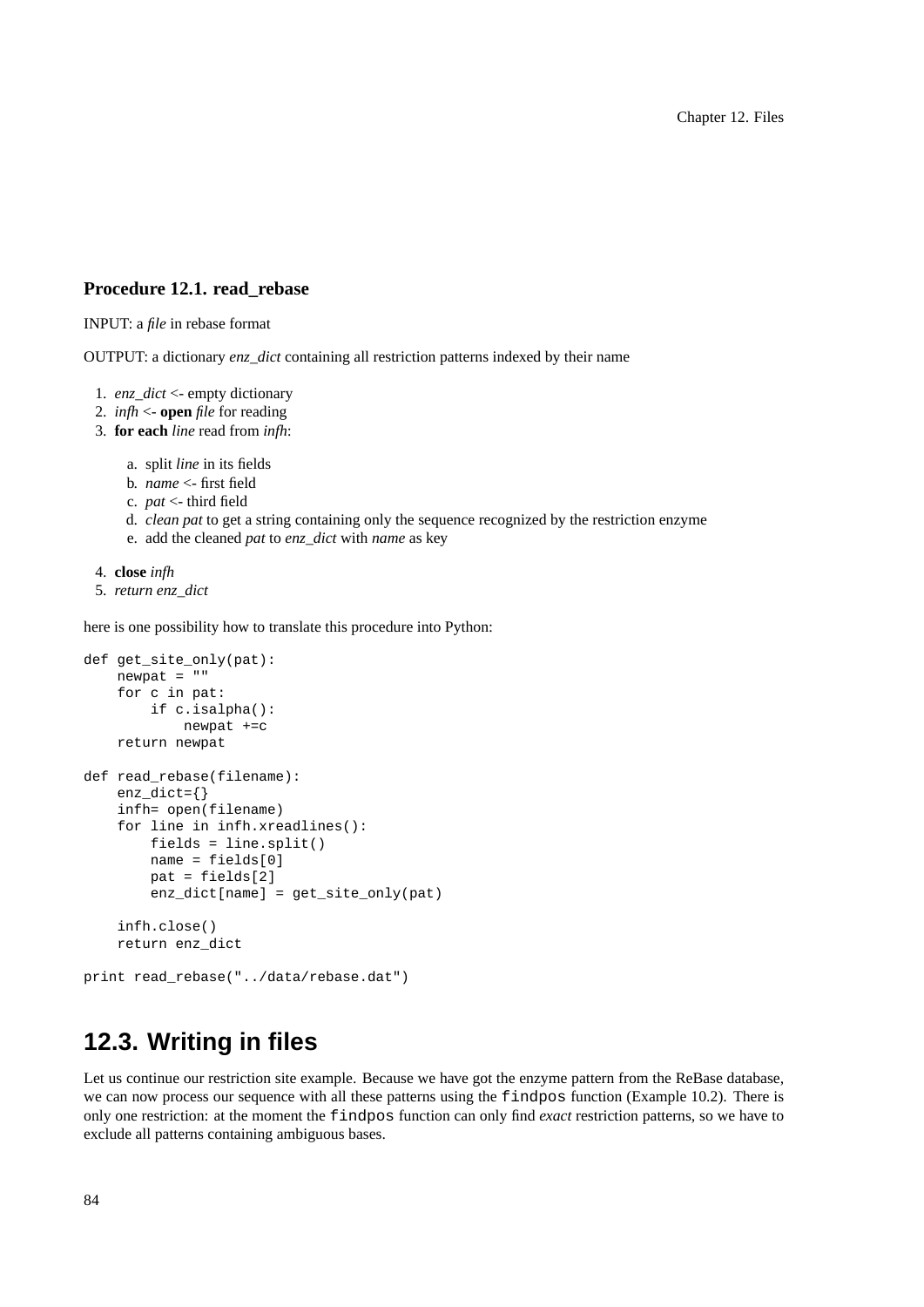### **Procedure 12.1. read\_rebase**

INPUT: a *file* in rebase format

OUTPUT: a dictionary *enz\_dict* containing all restriction patterns indexed by their name

- 1. *enz\_dict* <- empty dictionary
- 2. *infh* <- **open** *file* for reading
- 3. **for each** *line* read from *infh*:
	- a. split *line* in its fields
	- b. *name* <- first field
	- c. *pat* <- third field
	- d. *clean pat* to get a string containing only the sequence recognized by the restriction enzyme
	- e. add the cleaned *pat* to *enz\_dict* with *name* as key

4. **close** *infh*

5. *return enz\_dict*

here is one possibility how to translate this procedure into Python:

```
def get_site_only(pat):
   newpat = ""
    for c in pat:
        if c.isalpha():
           newpat +=c
    return newpat
def read_rebase(filename):
    enz_dict={}
    infh= open(filename)
    for line in infh.xreadlines():
       fields = line.split()
       name = fields[0]pat = fields[2]enz_dict[name] = get_site_only(pat)
    infh.close()
    return enz_dict
print read_rebase("../data/rebase.dat")
```
### **12.3. Writing in files**

Let us continue our restriction site example. Because we have got the enzyme pattern from the ReBase database, we can now process our sequence with all these patterns using the findpos function [\(Example 10.2\)](#page-78-1). There is only one restriction: at the moment the findpos function can only find *exact* restriction patterns, so we have to exclude all patterns containing ambiguous bases.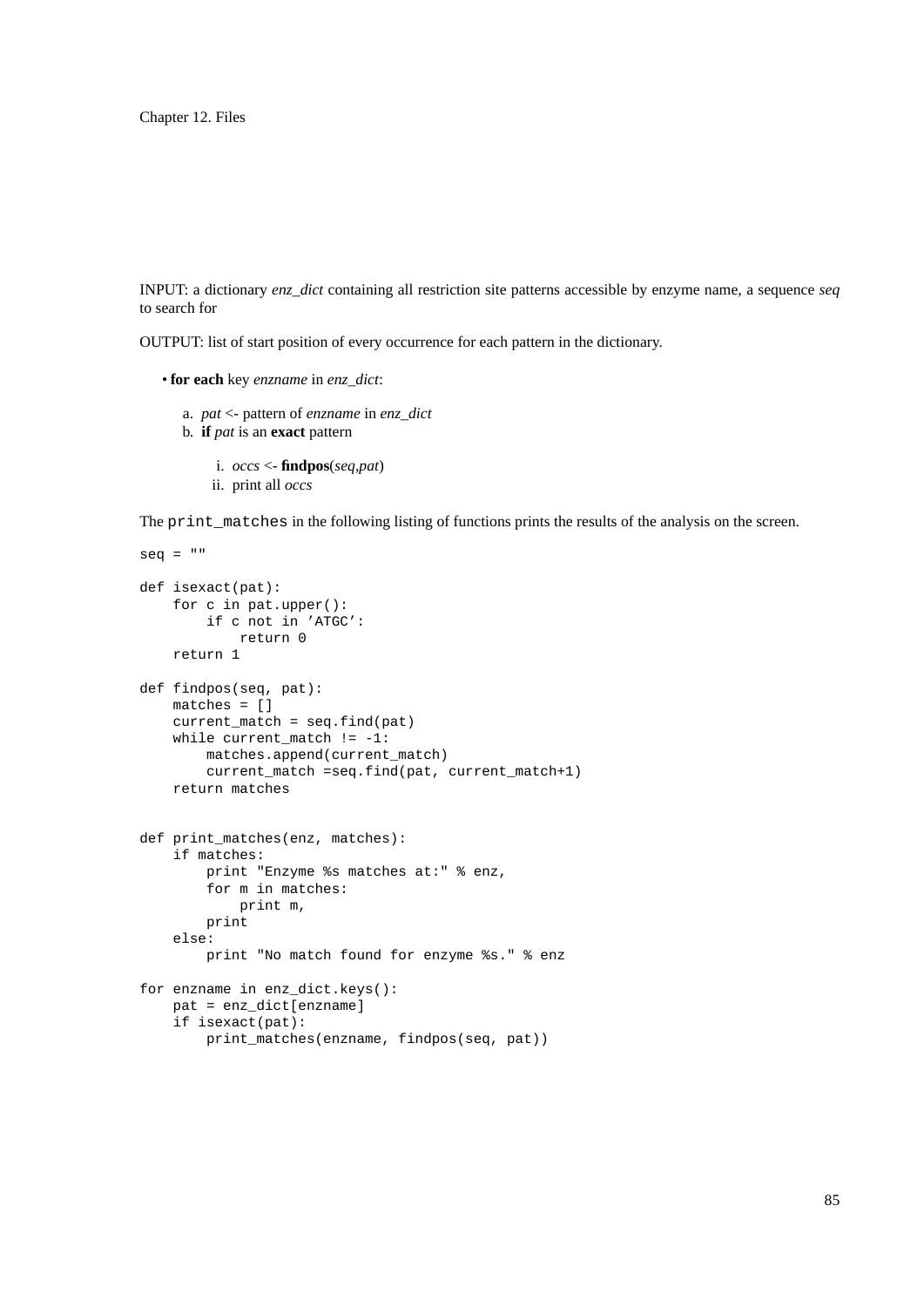INPUT: a dictionary *enz\_dict* containing all restriction site patterns accessible by enzyme name, a sequence *seq* to search for

OUTPUT: list of start position of every occurrence for each pattern in the dictionary.

• **for each** key *enzname* in *enz\_dict*:

a. *pat* <- pattern of *enzname* in *enz\_dict* b. **if** *pat* is an **exact** pattern

> i. *occs* <- **findpos**(*seq*,*pat*) ii. print all *occs*

The print\_matches in the following listing of functions prints the results of the analysis on the screen.

```
seq = ""def isexact(pat):
   for c in pat.upper():
       if c not in 'ATGC':
           return 0
   return 1
def findpos(seq, pat):
   matches = []
   current_match = seq.find(pat)
   while current_match != -1:
       matches.append(current_match)
       current_match =seq.find(pat, current_match+1)
   return matches
def print_matches(enz, matches):
   if matches:
       print "Enzyme %s matches at:" % enz,
       for m in matches:
           print m,
       print
   else:
       print "No match found for enzyme %s." % enz
for enzname in enz_dict.keys():
   pat = enz_dict[enzname]
   if isexact(pat):
       print_matches(enzname, findpos(seq, pat))
```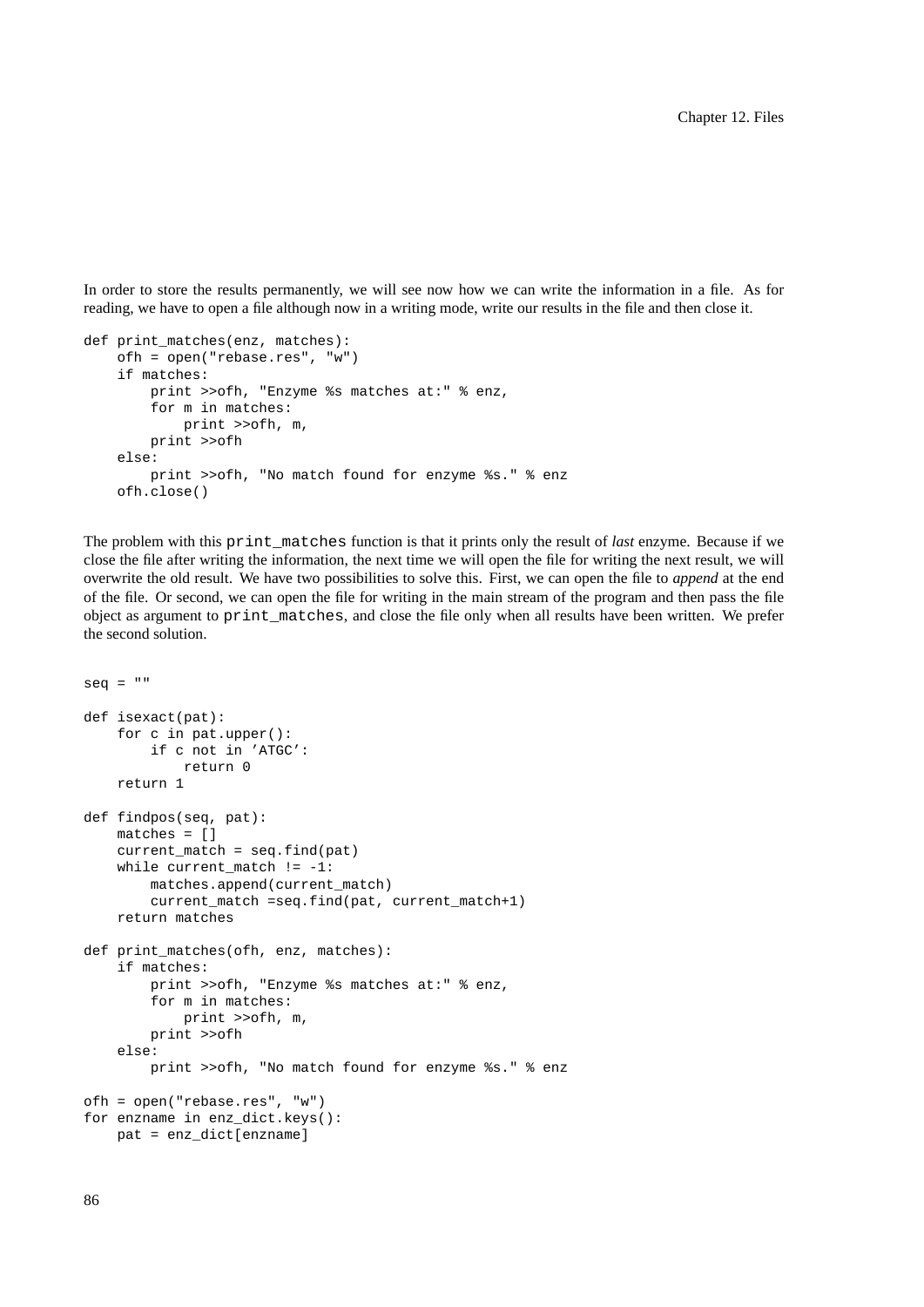In order to store the results permanently, we will see now how we can write the information in a file. As for reading, we have to open a file although now in a writing mode, write our results in the file and then close it.

```
def print_matches(enz, matches):
    ofh = open("rebase.res", "w")
    if matches:
        print >>ofh, "Enzyme %s matches at:" % enz,
        for m in matches:
            print >>ofh, m,
        print >>ofh
    else:
       print >>ofh, "No match found for enzyme %s." % enz
    ofh.close()
```
The problem with this print\_matches function is that it prints only the result of *last* enzyme. Because if we close the file after writing the information, the next time we will open the file for writing the next result, we will overwrite the old result. We have two possibilities to solve this. First, we can open the file to *append* at the end of the file. Or second, we can open the file for writing in the main stream of the program and then pass the file object as argument to print\_matches, and close the file only when all results have been written. We prefer the second solution.

```
seq = "def isexact(pat):
    for c in pat.upper():
       if c not in 'ATGC':
            return 0
   return 1
def findpos(seq, pat):
   matches = []
    current_match = seq.find(pat)
   while current_match != -1:
       matches.append(current_match)
       current_match =seq.find(pat, current_match+1)
    return matches
def print_matches(ofh, enz, matches):
    if matches:
        print >>ofh, "Enzyme %s matches at:" % enz,
        for m in matches:
           print >>ofh, m,
       print >>ofh
    else:
       print >>ofh, "No match found for enzyme %s." % enz
ofh = open("rebase.res", "w")
for enzname in enz_dict.keys():
   pat = enz_dict[enzname]
```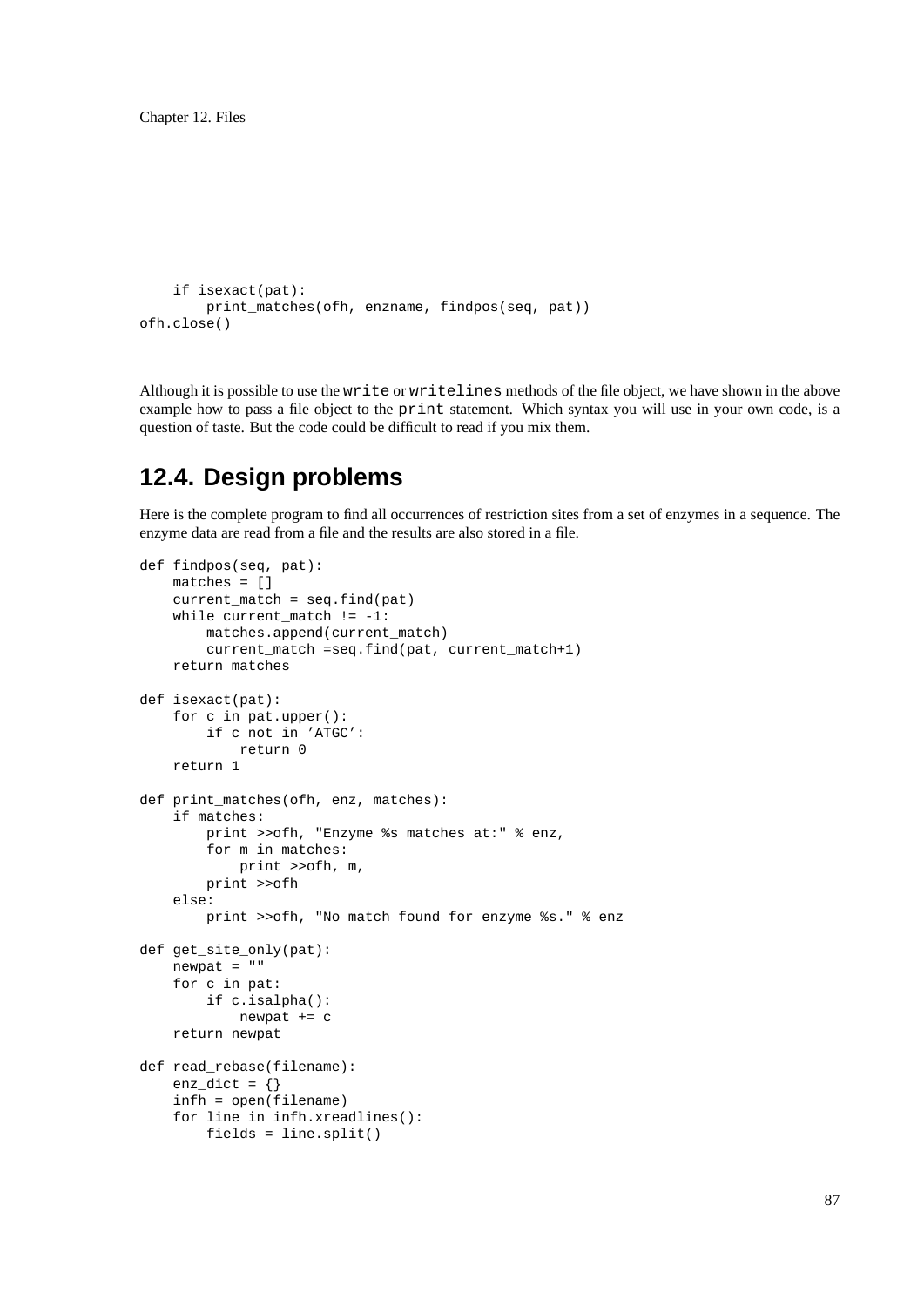```
if isexact(pat):
       print_matches(ofh, enzname, findpos(seq, pat))
ofh.close()
```
Although it is possible to use the write or writelines methods of the file object, we have shown in the above example how to pass a file object to the print statement. Which syntax you will use in your own code, is a question of taste. But the code could be difficult to read if you mix them.

## **12.4. Design problems**

Here is the complete program to find all occurrences of restriction sites from a set of enzymes in a sequence. The enzyme data are read from a file and the results are also stored in a file.

```
def findpos(seq, pat):
    matches = []
    current_match = seq.find(pat)
    while current_match != -1:
        matches.append(current_match)
        current_match =seq.find(pat, current_match+1)
    return matches
def isexact(pat):
    for c in pat.upper():
        if c not in 'ATGC':
            return 0
    return 1
def print_matches(ofh, enz, matches):
    if matches:
        print >>ofh, "Enzyme %s matches at:" % enz,
        for m in matches:
            print >>ofh, m,
       print >>ofh
    else:
        print >>ofh, "No match found for enzyme %s." % enz
def get_site_only(pat):
    newpat = ""for c in pat:
        if c.isalpha():
           newpat += c
    return newpat
def read_rebase(filename):
    enz\_dict = \{\}infh = open(filename)
    for line in infh.xreadlines():
        fields = line.split()
```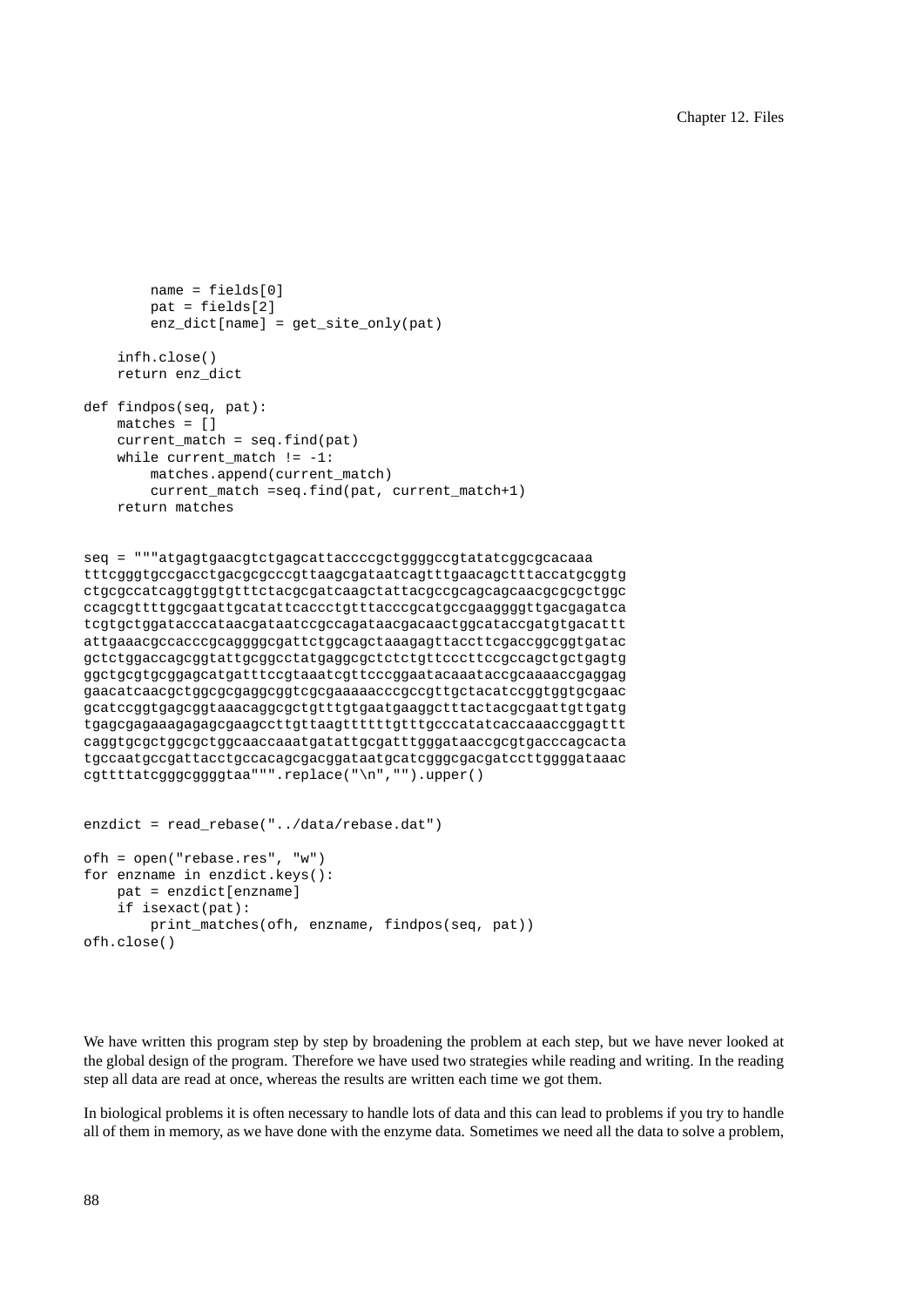```
name = fields[0]
        pat = fields[2]
        enz_dict[name] = get_site_only(pat)
    infh.close()
    return enz_dict
def findpos(seq, pat):
   matches = []
    current_match = seq.find(pat)
    while current match != -1:
        matches.append(current_match)
        current_match =seq.find(pat, current_match+1)
    return matches
```

```
seq = """atgagtgaacgtctgagcattaccccgctggggccgtatatcggcgcacaaa
tttcgggtgccgacctgacgcgcccgttaagcgataatcagtttgaacagctttaccatgcggtg
ctgcgccatcaggtggtgtttctacgcgatcaagctattacgccgcagcagcaacgcgcgctggc
ccagcgttttggcgaattgcatattcaccctgtttacccgcatgccgaaggggttgacgagatca
tcgtgctggatacccataacgataatccgccagataacgacaactggcataccgatgtgacattt
attgaaacgccacccgcaggggcgattctggcagctaaagagttaccttcgaccggcggtgatac
gctctggaccagcggtattgcggcctatgaggcgctctctgttcccttccgccagctgctgagtg
ggctgcgtgcggagcatgatttccgtaaatcgttcccggaatacaaataccgcaaaaccgaggag
gaacatcaacgctggcgcgaggcggtcgcgaaaaacccgccgttgctacatccggtggtgcgaac
gcatccggtgagcggtaaacaggcgctgtttgtgaatgaaggctttactacgcgaattgttgatg
tgagcgagaaagagagcgaagccttgttaagttttttgtttgcccatatcaccaaaccggagttt
caggtgcgctggcgctggcaaccaaatgatattgcgatttgggataaccgcgtgacccagcacta
tgccaatgccgattacctgccacagcgacggataatgcatcgggcgacgatccttggggataaac
cgttttatcgggcggggtaa""".replace("\n","").upper()
```

```
enzdict = read_rebase("../data/rebase.dat")
ofh = open("rebase.res", "w")
for enzname in enzdict.keys():
   pat = enzdict[enzname]
    if isexact(pat):
       print_matches(ofh, enzname, findpos(seq, pat))
ofh.close()
```
We have written this program step by step by broadening the problem at each step, but we have never looked at the global design of the program. Therefore we have used two strategies while reading and writing. In the reading step all data are read at once, whereas the results are written each time we got them.

In biological problems it is often necessary to handle lots of data and this can lead to problems if you try to handle all of them in memory, as we have done with the enzyme data. Sometimes we need all the data to solve a problem,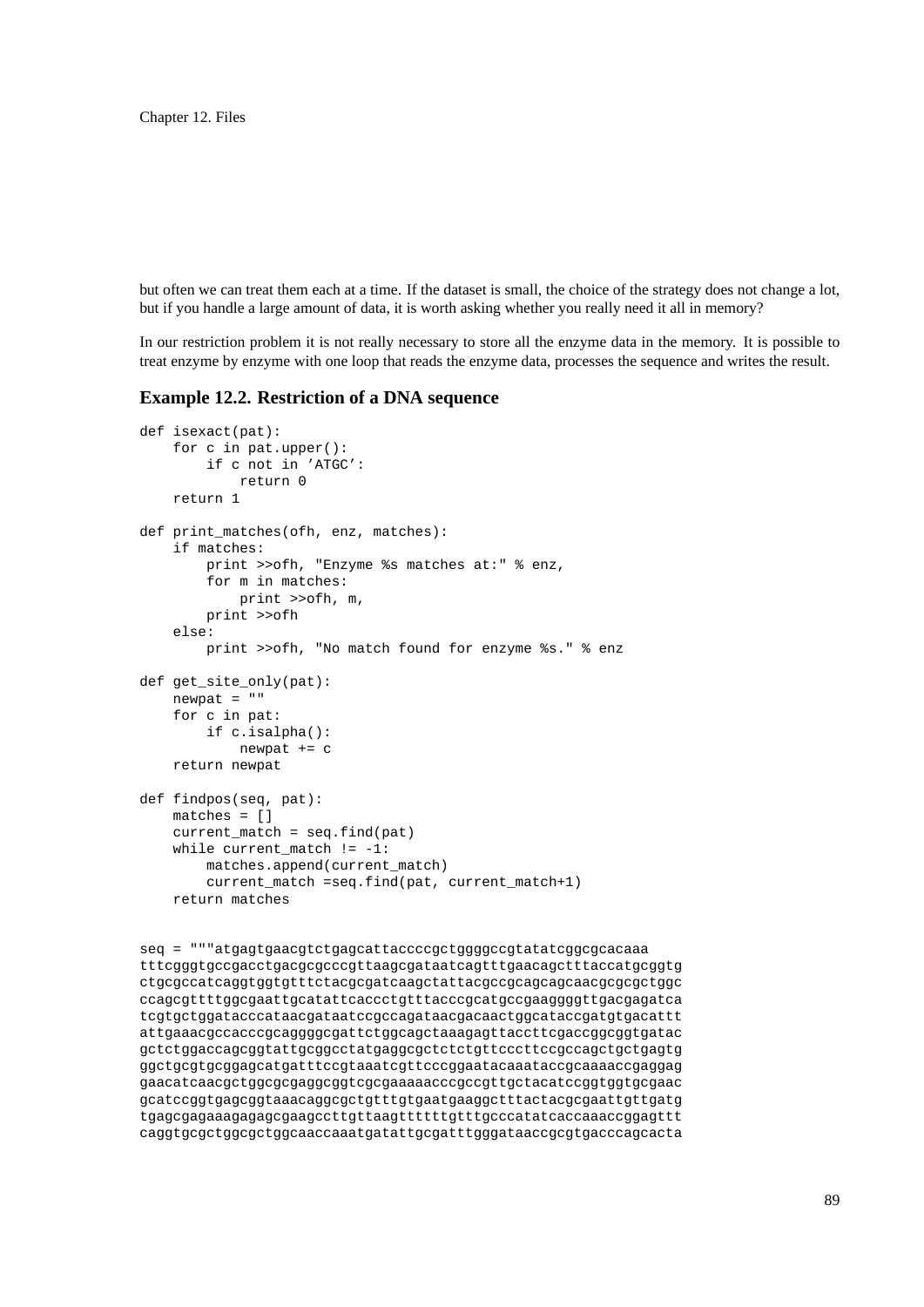but often we can treat them each at a time. If the dataset is small, the choice of the strategy does not change a lot, but if you handle a large amount of data, it is worth asking whether you really need it all in memory?

In our restriction problem it is not really necessary to store all the enzyme data in the memory. It is possible to treat enzyme by enzyme with one loop that reads the enzyme data, processes the sequence and writes the result.

### <span id="page-102-0"></span>**Example 12.2. Restriction of a DNA sequence**

```
def isexact(pat):
    for c in pat.upper():
        if c not in 'ATGC':
            return 0
    return 1
def print_matches(ofh, enz, matches):
    if matches:
        print >>ofh, "Enzyme %s matches at:" % enz,
        for m in matches:
           print >>ofh, m,
        print >>ofh
    else:
        print >>ofh, "No match found for enzyme %s." % enz
def get_site_only(pat):
    newpat = ""
    for c in pat:
        if c.isalpha():
           newpat += c
    return newpat
def findpos(seq, pat):
    matches = []
    current match = seq.find(path)while current_match != -1:
        matches.append(current_match)
        current_match =seq.find(pat, current_match+1)
    return matches
```

```
seq = """atgagtgaacgtctgagcattaccccgctggggccgtatatcggcgcacaaa
tttcgggtgccgacctgacgcgcccgttaagcgataatcagtttgaacagctttaccatgcggtg
ctgcgccatcaggtggtgtttctacgcgatcaagctattacgccgcagcagcaacgcgcgctggc
ccagcgttttggcgaattgcatattcaccctgtttacccgcatgccgaaggggttgacgagatca
tcgtgctggatacccataacgataatccgccagataacgacaactggcataccgatgtgacattt
attgaaacgccacccgcaggggcgattctggcagctaaagagttaccttcgaccggcggtgatac
gctctggaccagcggtattgcggcctatgaggcgctctctgttcccttccgccagctgctgagtg
ggctgcgtgcggagcatgatttccgtaaatcgttcccggaatacaaataccgcaaaaccgaggag
gaacatcaacgctggcgcgaggcggtcgcgaaaaacccgccgttgctacatccggtggtgcgaac
gcatccggtgagcggtaaacaggcgctgtttgtgaatgaaggctttactacgcgaattgttgatg
tgagcgagaaagagagcgaagccttgttaagttttttgtttgcccatatcaccaaaccggagttt
caggtgcgctggcgctggcaaccaaatgatattgcgatttgggataaccgcgtgacccagcacta
```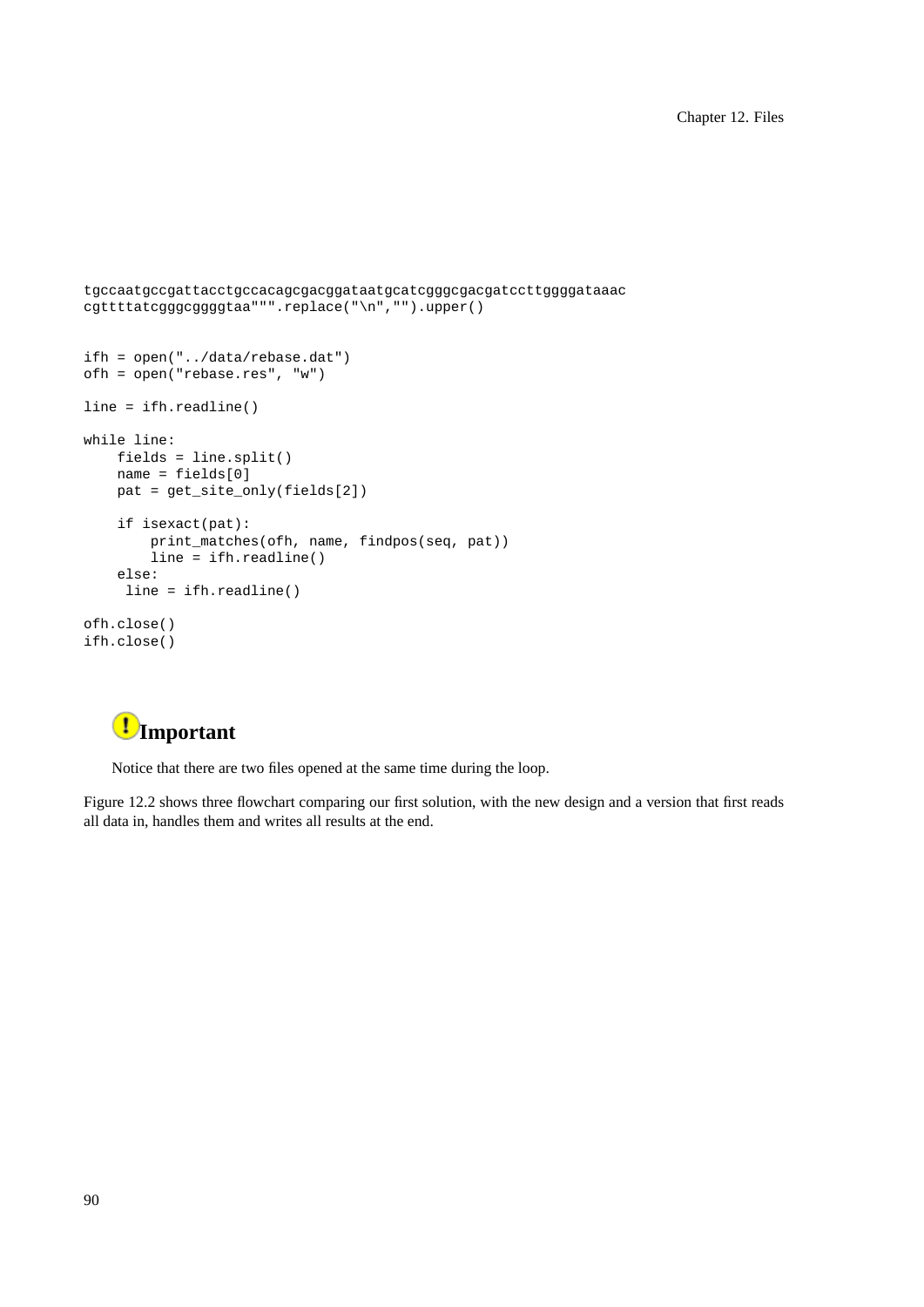```
tgccaatgccgattacctgccacagcgacggataatgcatcgggcgacgatccttggggataaac
cgttttatcgggcggggtaa""".replace("\n","").upper()
ifh = open("../data/rebase.dat")
ofh = open("rebase.res", "w")
line = ifh.readline()
while line:
   fields = line.split()
   name = fields[0]
   pat = get_site_only(fields[2])
   if isexact(pat):
       print_matches(ofh, name, findpos(seq, pat))
       line = ifh.readline()
    else:
    line = ifh.readline()
ofh.close()
ifh.close()
```
# **Important**

Notice that there are two files opened at the same time during the loop.

[Figure 12.2](#page-104-0) shows three flowchart comparing our first solution, with the new design and a version that first reads all data in, handles them and writes all results at the end.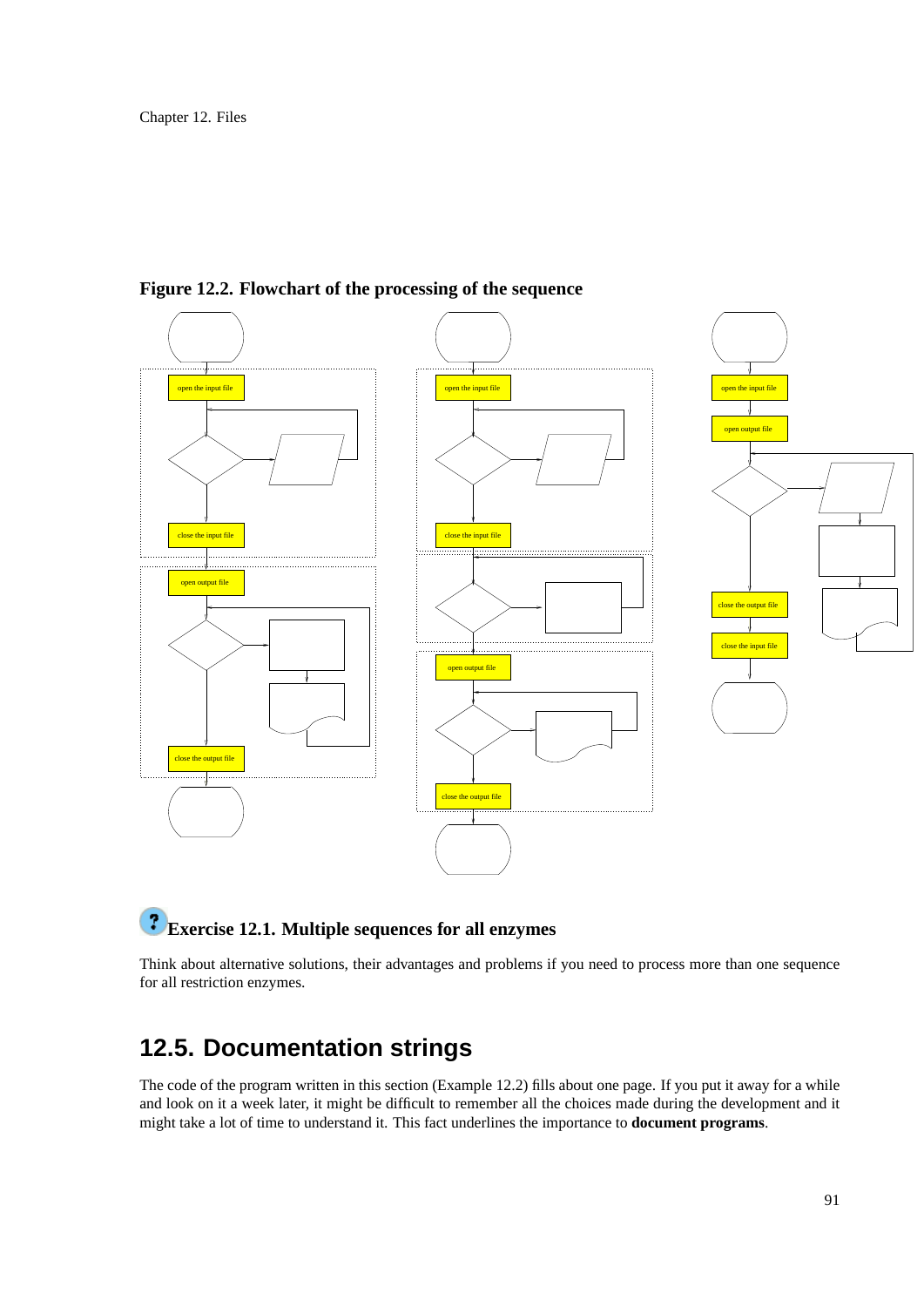

<span id="page-104-0"></span>**Figure 12.2. Flowchart of the processing of the sequence**

# **Exercise 12.1. Multiple sequences for all enzymes**

Think about alternative solutions, their advantages and problems if you need to process more than one sequence for all restriction enzymes.

# **12.5. Documentation strings**

The code of the program written in this section [\(Example 12.2\)](#page-102-0) fills about one page. If you put it away for a while and look on it a week later, it might be difficult to remember all the choices made during the development and it might take a lot of time to understand it. This fact underlines the importance to **document programs**.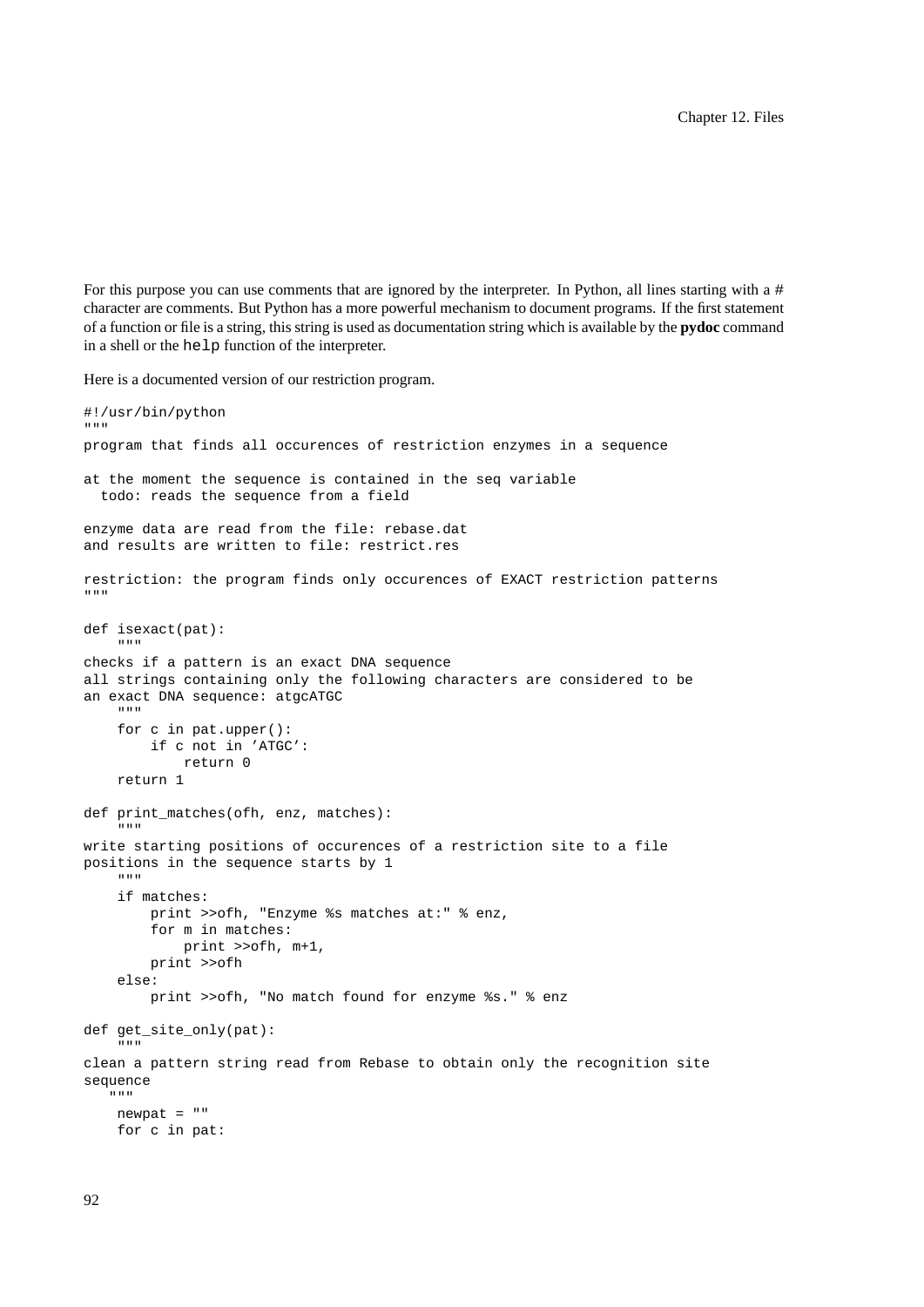For this purpose you can use comments that are ignored by the interpreter. In Python, all lines starting with a  $#$ character are comments. But Python has a more powerful mechanism to document programs. If the first statement of a function or file is a string, this string is used as documentation string which is available by the **pydoc** command in a shell or the help function of the interpreter.

Here is a documented version of our restriction program.

```
#!/usr/bin/python
"""
program that finds all occurences of restriction enzymes in a sequence
at the moment the sequence is contained in the seq variable
  todo: reads the sequence from a field
enzyme data are read from the file: rebase.dat
and results are written to file: restrict.res
restriction: the program finds only occurences of EXACT restriction patterns
"""
def isexact(pat):
    """
checks if a pattern is an exact DNA sequence
all strings containing only the following characters are considered to be
an exact DNA sequence: atgcATGC
    "" ""
    for c in pat.upper():
        if c not in 'ATGC':
            return 0
    return 1
def print_matches(ofh, enz, matches):
    """
write starting positions of occurences of a restriction site to a file
positions in the sequence starts by 1
    """
    if matches:
        print >>ofh, "Enzyme %s matches at:" % enz,
        for m in matches:
           print >>ofh, m+1,
       print >>ofh
    else:
       print >>ofh, "No match found for enzyme %s." % enz
def get_site_only(pat):
    """
clean a pattern string read from Rebase to obtain only the recognition site
sequence
   \cdots "
   newpat = ""
    for c in pat:
```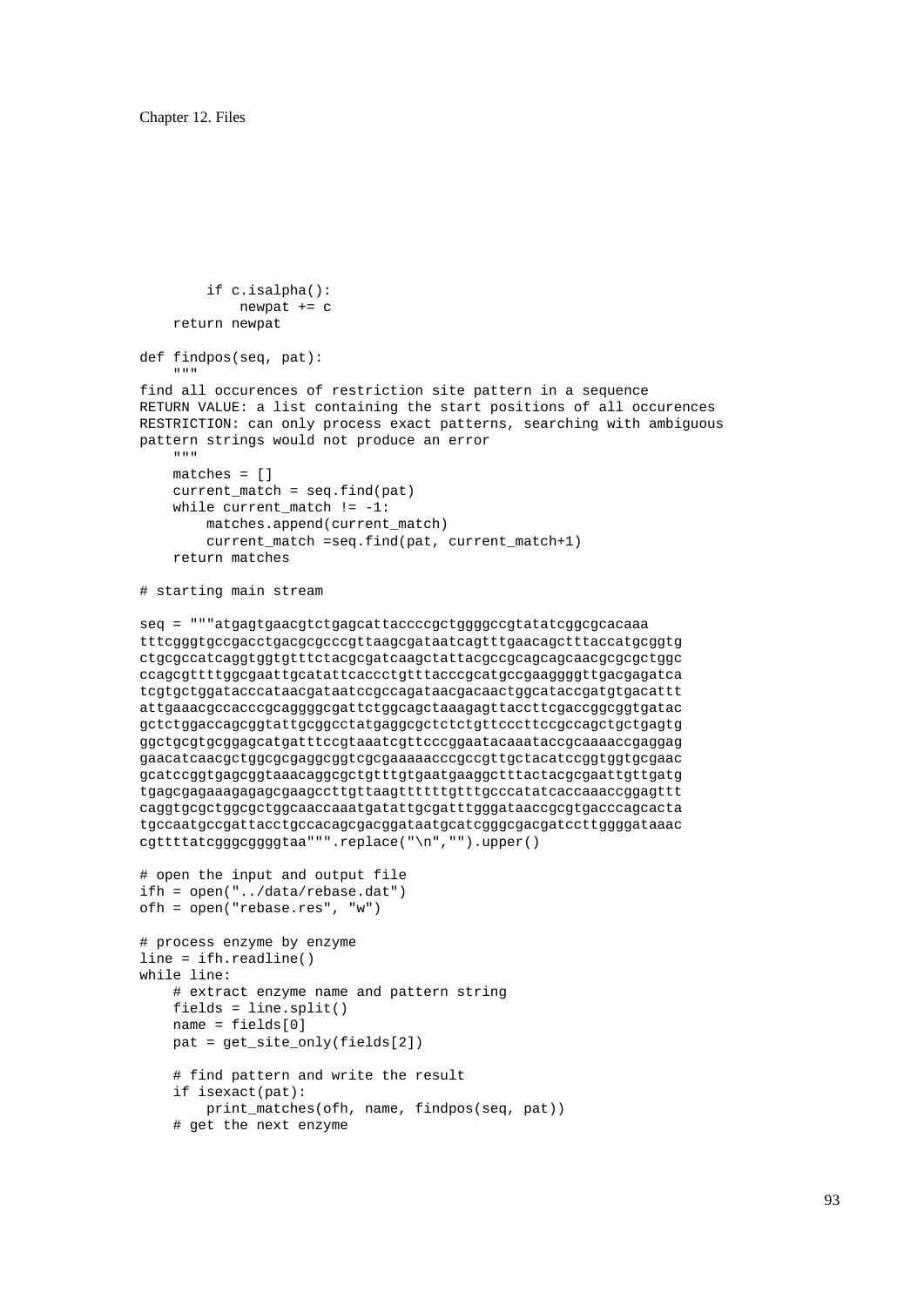```
if c.isalpha():
           newpat += c
    return newpat
def findpos(seq, pat):
    """
find all occurences of restriction site pattern in a sequence
RETURN VALUE: a list containing the start positions of all occurences
RESTRICTION: can only process exact patterns, searching with ambiguous
pattern strings would not produce an error
    "" ""
   matches = []current_match = seq.find(pat)
    while current_match != -1:
        matches.append(current_match)
        current_match =seq.find(pat, current_match+1)
    return matches
# starting main stream
seq = """atgagtgaacgtctgagcattaccccgctggggccgtatatcggcgcacaaa
tttcgggtgccgacctgacgcgcccgttaagcgataatcagtttgaacagctttaccatgcggtg
ctgcgccatcaggtggtgtttctacgcgatcaagctattacgccgcagcagcaacgcgcgctggc
ccagcgttttggcgaattgcatattcaccctgtttacccgcatgccgaaggggttgacgagatca
tcgtgctggatacccataacgataatccgccagataacgacaactggcataccgatgtgacattt
attgaaacgccacccgcaggggcgattctggcagctaaagagttaccttcgaccggcggtgatac
gctctggaccagcggtattgcggcctatgaggcgctctctgttcccttccgccagctgctgagtg
ggctgcgtgcggagcatgatttccgtaaatcgttcccggaatacaaataccgcaaaaccgaggag
gaacatcaacgctggcgcgaggcggtcgcgaaaaacccgccgttgctacatccggtggtgcgaac
gcatccggtgagcggtaaacaggcgctgtttgtgaatgaaggctttactacgcgaattgttgatg
tgagcgagaaagagagcgaagccttgttaagttttttgtttgcccatatcaccaaaccggagttt
caggtgcgctggcgctggcaaccaaatgatattgcgatttgggataaccgcgtgacccagcacta
tgccaatgccgattacctgccacagcgacggataatgcatcgggcgacgatccttggggataaac
cgttttatcgggcggggtaa""".replace("\n","").upper()
# open the input and output file
ifh = open("../data/rebase.dat")
ofh = open("rebase.res", "w")
# process enzyme by enzyme
line = ifh.readline()
while line:
    # extract enzyme name and pattern string
    fields = line.split()
   name = fields[0]pat = get_site_only(fields[2])
    # find pattern and write the result
    if isexact(pat):
       print_matches(ofh, name, findpos(seq, pat))
    # get the next enzyme
```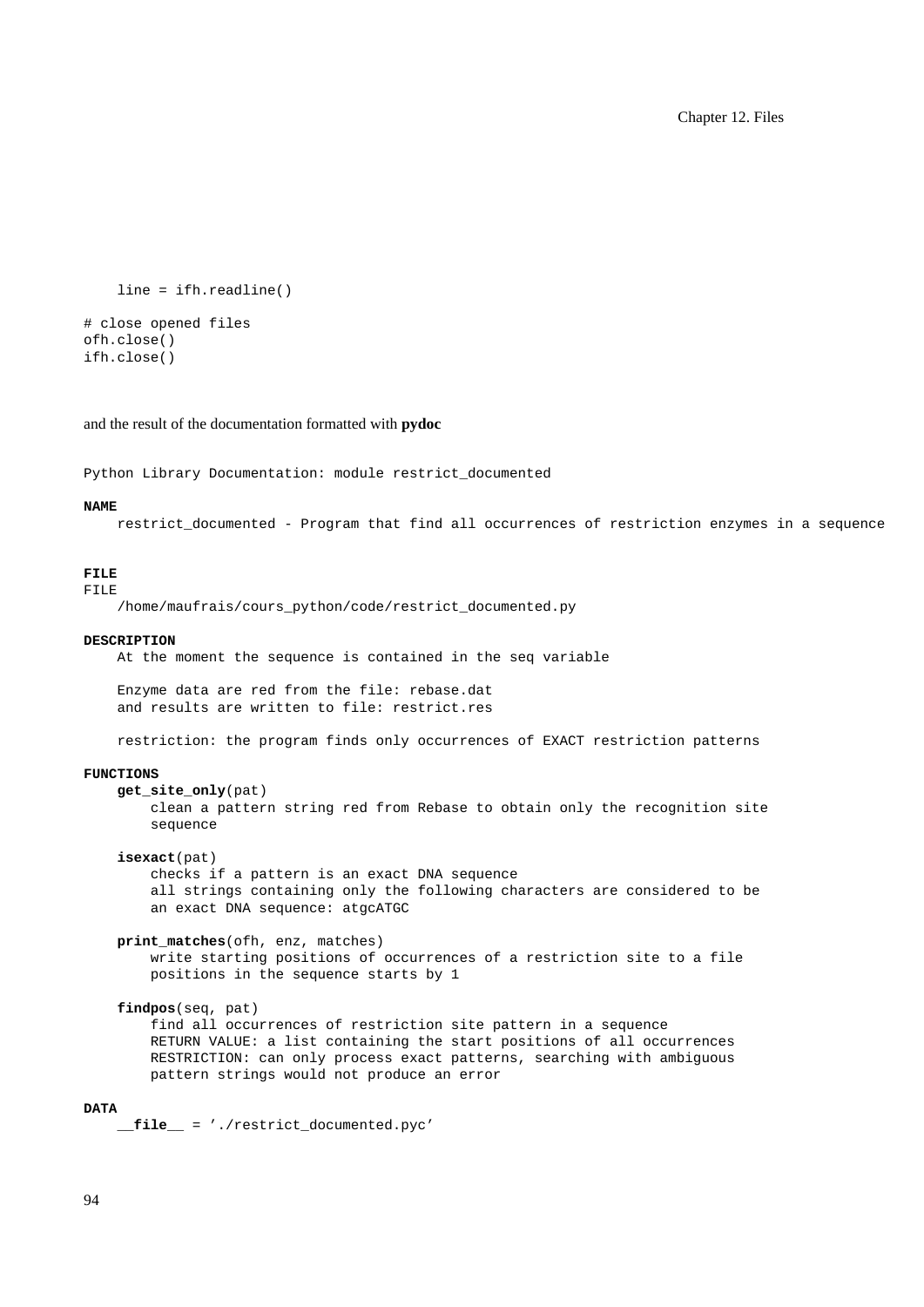Chapter 12. Files

line = ifh.readline()

# close opened files ofh.close() ifh.close()

#### and the result of the documentation formatted with **pydoc**

Python Library Documentation: module restrict\_documented

#### **NAME**

restrict\_documented - Program that find all occurrences of restriction enzymes in a sequence

#### **FILE**

#### FILE

/home/maufrais/cours\_python/code/restrict\_documented.py

#### **DESCRIPTION**

At the moment the sequence is contained in the seq variable

Enzyme data are red from the file: rebase.dat and results are written to file: restrict.res

restriction: the program finds only occurrences of EXACT restriction patterns

#### **FUNCTIONS**

**get\_site\_only**(pat)

clean a pattern string red from Rebase to obtain only the recognition site sequence

#### **isexact**(pat)

checks if a pattern is an exact DNA sequence all strings containing only the following characters are considered to be an exact DNA sequence: atgcATGC

#### **print\_matches**(ofh, enz, matches)

write starting positions of occurrences of a restriction site to a file positions in the sequence starts by 1

#### **findpos**(seq, pat)

find all occurrences of restriction site pattern in a sequence RETURN VALUE: a list containing the start positions of all occurrences RESTRICTION: can only process exact patterns, searching with ambiguous pattern strings would not produce an error

#### **DATA**

**\_\_file\_\_** = './restrict\_documented.pyc'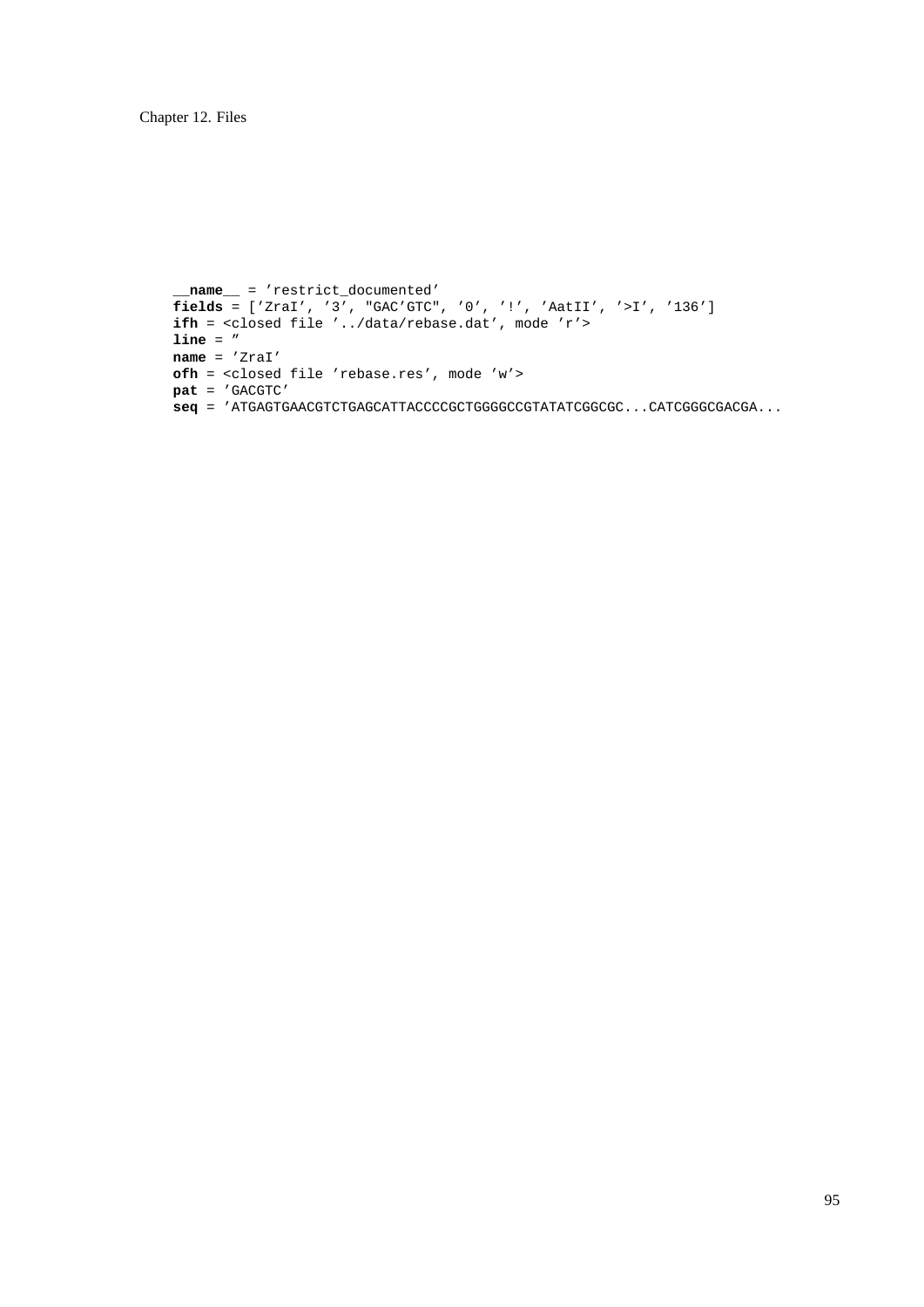Chapter 12. Files

```
__name__ = 'restrict_documented'
fields = ['ZraI', '3', "GAC'GTC", '0', '!', 'AatII', '>I', '136']
ifh = <closed file '../data/rebase.dat', mode 'r'>
line = "
name = 'ZraI'
ofh = <closed file 'rebase.res', mode 'w'>
pat = 'GACGTC'
seq = 'ATGAGTGAACGTCTGAGCATTACCCCGCTGGGGCCGTATATCGGCGC...CATCGGGCGACGA...
```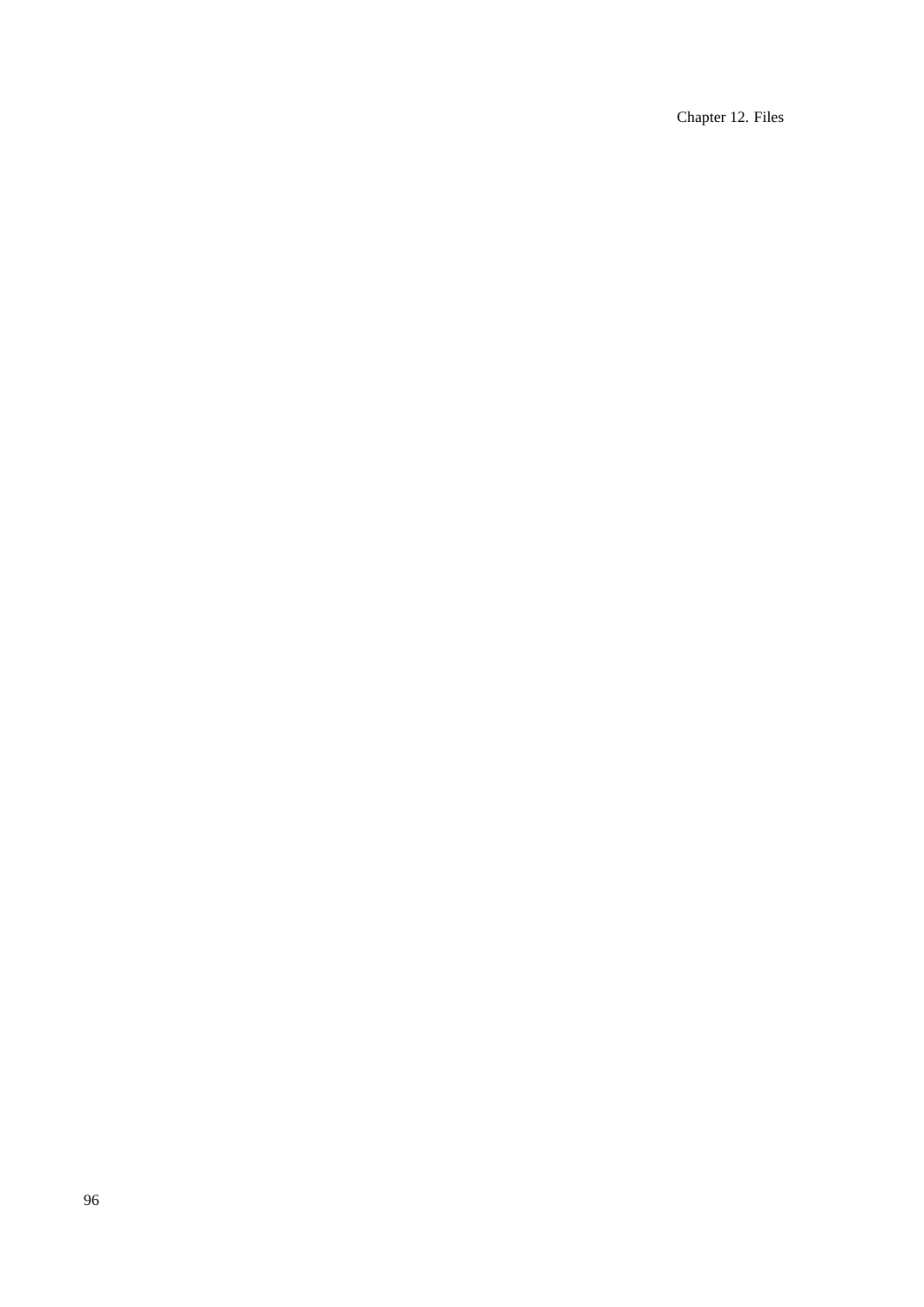Chapter 12. Files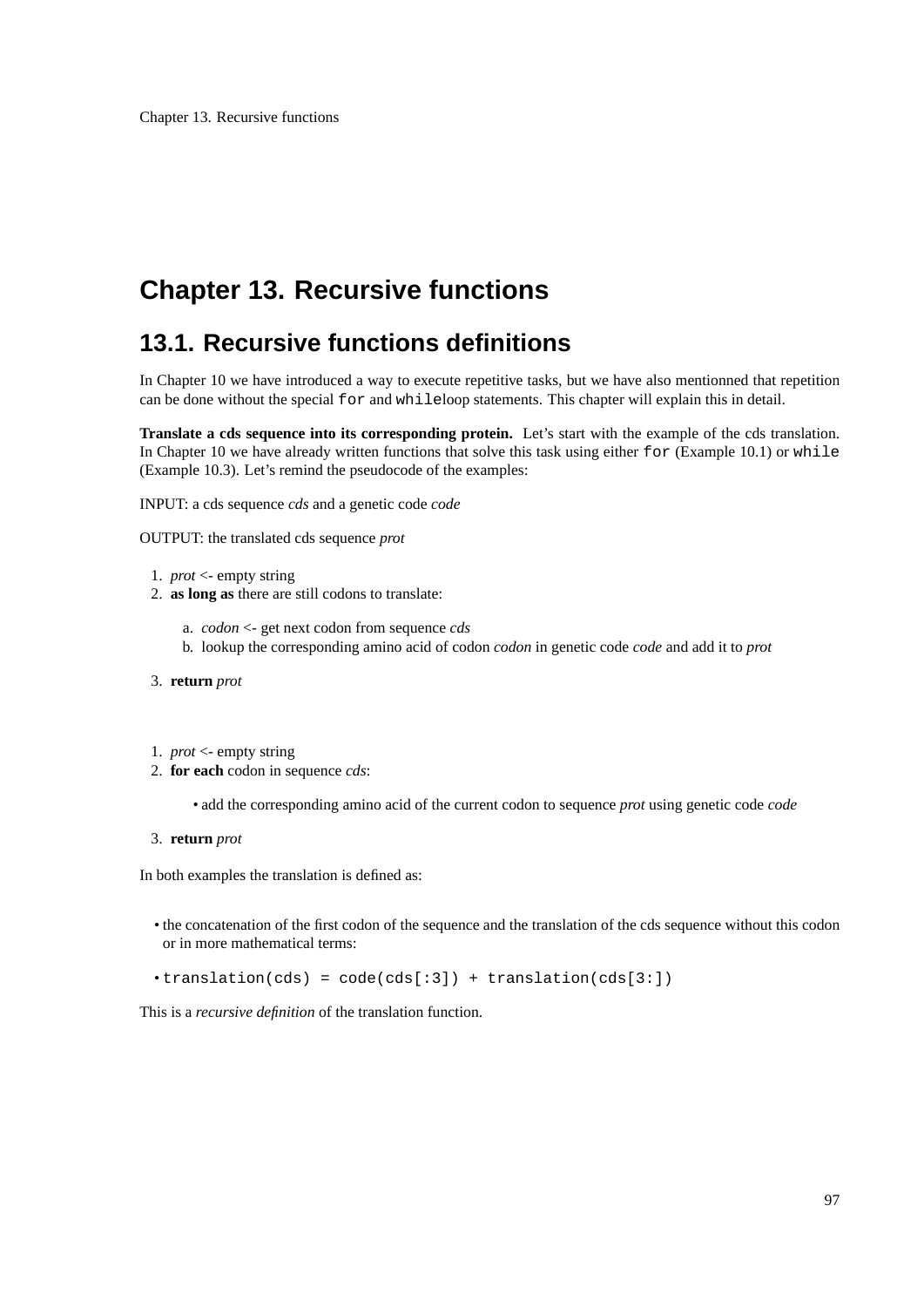### <span id="page-110-0"></span>**13.1. Recursive functions definitions**

In [Chapter 10](#page-72-0) we have introduced a way to execute repetitive tasks, but we have also mentionned that repetition can be done without the special for and whileloop statements. This chapter will explain this in detail.

**Translate a cds sequence into its corresponding protein.** Let's start with the example of the cds translation. In [Chapter 10](#page-72-0) we have already written functions that solve this task using either for [\(Example 10.1\)](#page-76-0) or while [\(Example 10.3\)](#page-78-0). Let's remind the pseudocode of the examples:

INPUT: a cds sequence *cds* and a genetic code *code*

OUTPUT: the translated cds sequence *prot*

- 1. *prot* <- empty string
- 2. **as long as** there are still codons to translate:
	- a. *codon* <- get next codon from sequence *cds*
	- b. lookup the corresponding amino acid of codon *codon* in genetic code *code* and add it to *prot*
- 3. **return** *prot*
- 1. *prot* <- empty string
- 2. **for each** codon in sequence *cds*:

• add the corresponding amino acid of the current codon to sequence *prot* using genetic code *code*

3. **return** *prot*

In both examples the translation is defined as:

- the concatenation of the first codon of the sequence and the translation of the cds sequence without this codon or in more mathematical terms:
- translation(cds) = code(cds[:3]) + translation(cds[3:])

This is a *recursive definition* of the translation function.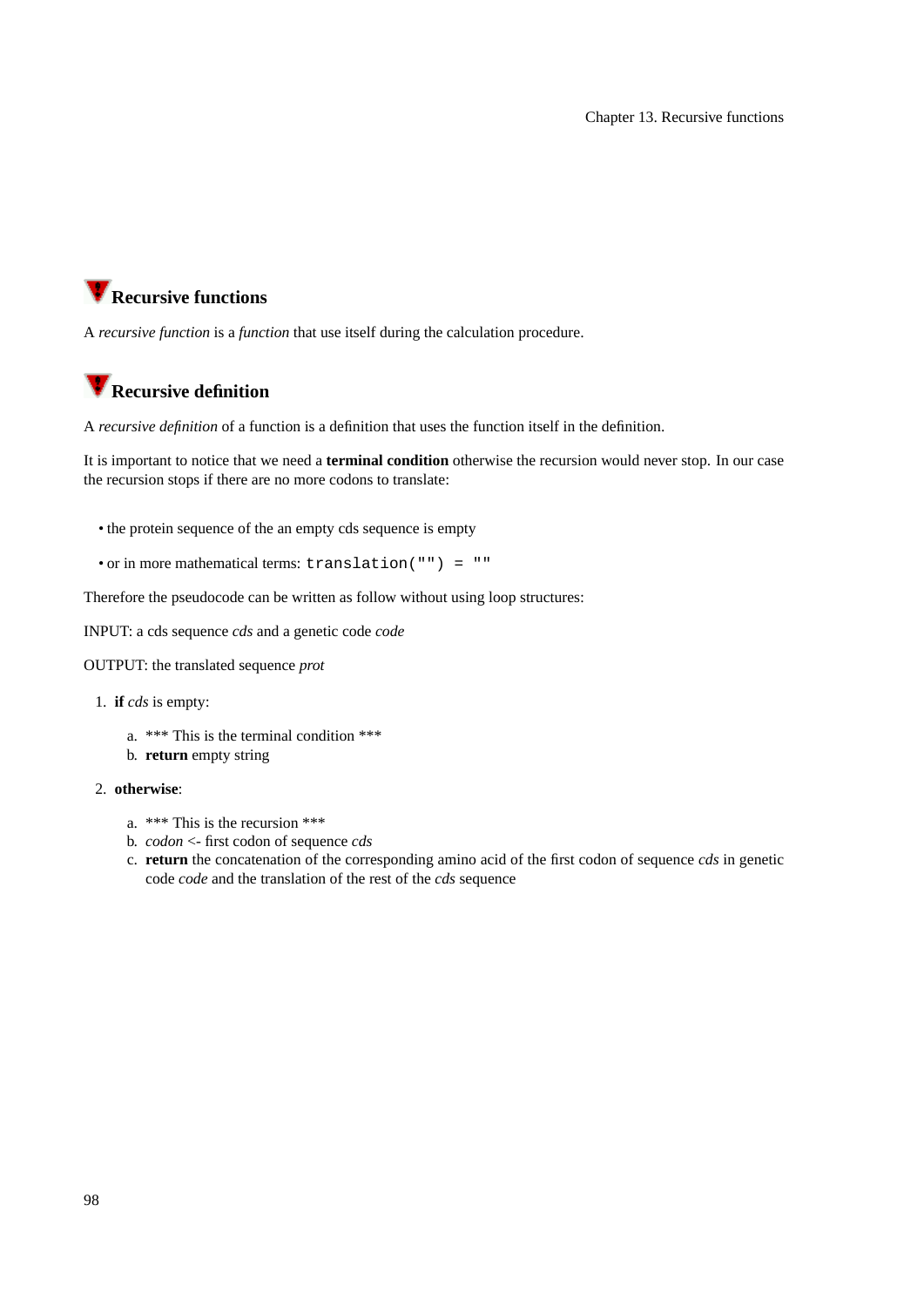

A *recursive function* is a *function* that use itself during the calculation procedure.

# **Recursive definition**

A *recursive definition* of a function is a definition that uses the function itself in the definition.

It is important to notice that we need a **terminal condition** otherwise the recursion would never stop. In our case the recursion stops if there are no more codons to translate:

- the protein sequence of the an empty cds sequence is empty
- or in more mathematical terms: translation("") = ""

Therefore the pseudocode can be written as follow without using loop structures:

INPUT: a cds sequence *cds* and a genetic code *code*

OUTPUT: the translated sequence *prot*

#### 1. **if** *cds* is empty:

- a. \*\*\* This is the terminal condition \*\*\*
- b. **return** empty string
- 2. **otherwise**:
	- a. \*\*\* This is the recursion \*\*\*
	- b. *codon* <- first codon of sequence *cds*
	- c. **return** the concatenation of the corresponding amino acid of the first codon of sequence *cds* in genetic code *code* and the translation of the rest of the *cds* sequence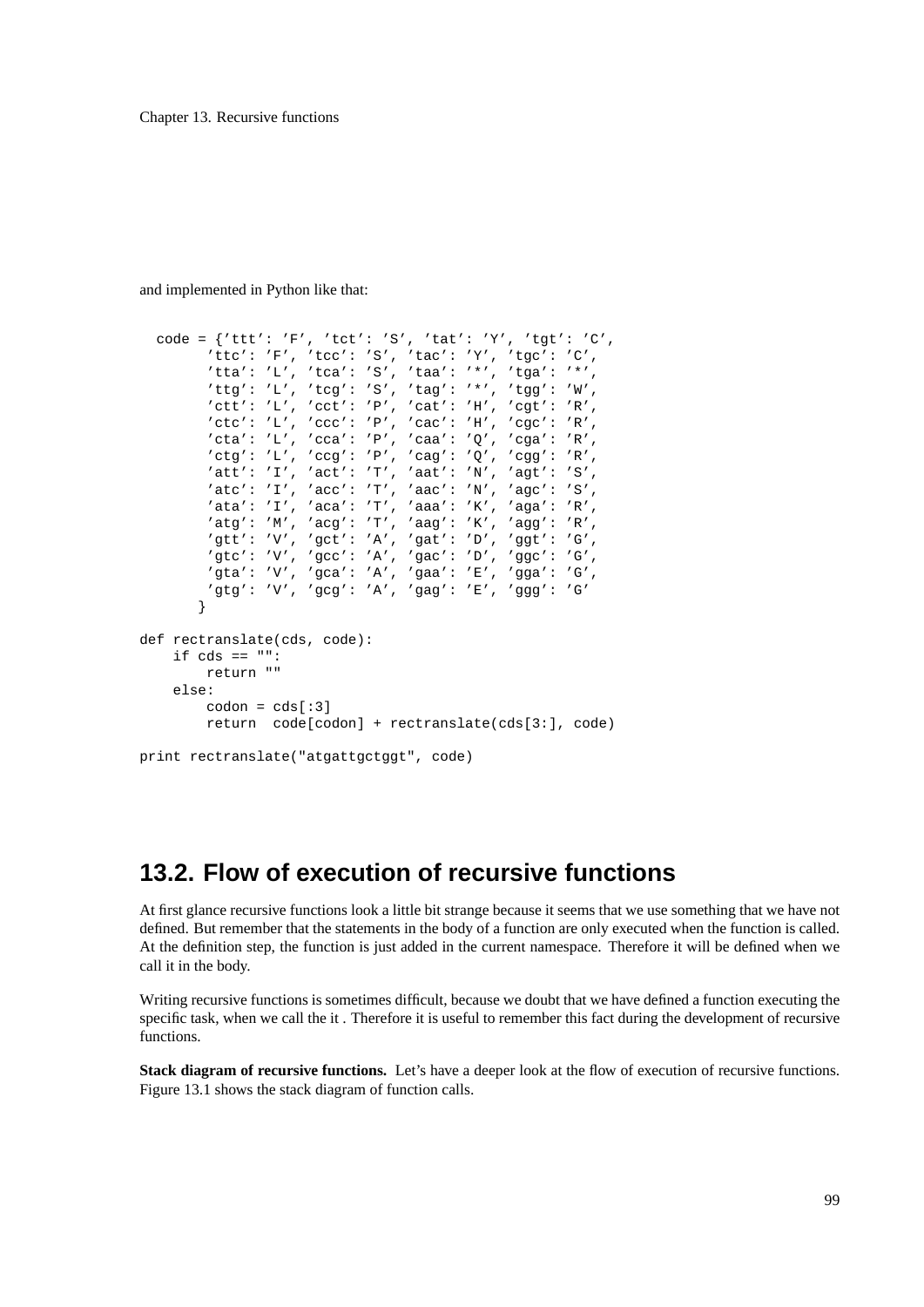#### and implemented in Python like that:

```
code = \{'tttt'': 'F', 'tct': 'S', 'tat': 'Y', 'tqt': 'C','ttc': 'F', 'tcc': 'S', 'tac': 'Y', 'tgc': 'C',
        'tta': 'L', 'tca': 'S', 'taa': '*', 'tga': '*',
        'ttg': 'L', 'tcg': 'S', 'tag': '*', 'tgg': 'W',
        'ctt': 'L', 'cct': 'P', 'cat': 'H', 'cgt': 'R',
        'ctc': 'L', 'ccc': 'P', 'cac': 'H', 'cgc': 'R',
        'cta': 'L', 'cca': 'P', 'caa': 'Q', 'cga': 'R',
        'ctg': 'L', 'ccg': 'P', 'cag': 'Q', 'cgg': 'R',
        'att': 'I', 'act': 'T', 'aat': 'N', 'agt': 'S',
        'atc': 'I', 'acc': 'T', 'aac': 'N', 'agc': 'S',
        'ata': 'I', 'aca': 'T', 'aaa': 'K', 'aga': 'R',
        'atg': 'M', 'acg': 'T', 'aag': 'K', 'agg': 'R',
        'gtt': 'V', 'gct': 'A', 'gat': 'D', 'ggt': 'G',
        'gtc': 'V', 'gcc': 'A', 'gac': 'D', 'ggc': 'G',
        'gta': 'V', 'gca': 'A', 'gaa': 'E', 'gga': 'G',
        'gtg': 'V', 'gcg': 'A', 'gag': 'E', 'ggg': 'G'
       }
def rectranslate(cds, code):
   if cds == "":return ""
    else:
       codon = cds[:3]return code[codon] + rectranslate(cds[3:], code)
print rectranslate("atgattgctggt", code)
```
## **13.2. Flow of execution of recursive functions**

At first glance recursive functions look a little bit strange because it seems that we use something that we have not defined. But remember that the statements in the body of a function are only executed when the function is called. At the definition step, the function is just added in the current namespace. Therefore it will be defined when we call it in the body.

Writing recursive functions is sometimes difficult, because we doubt that we have defined a function executing the specific task, when we call the it . Therefore it is useful to remember this fact during the development of recursive functions.

**Stack diagram of recursive functions.** Let's have a deeper look at the flow of execution of recursive functions. [Figure 13.1](#page-113-0) shows the stack diagram of function calls.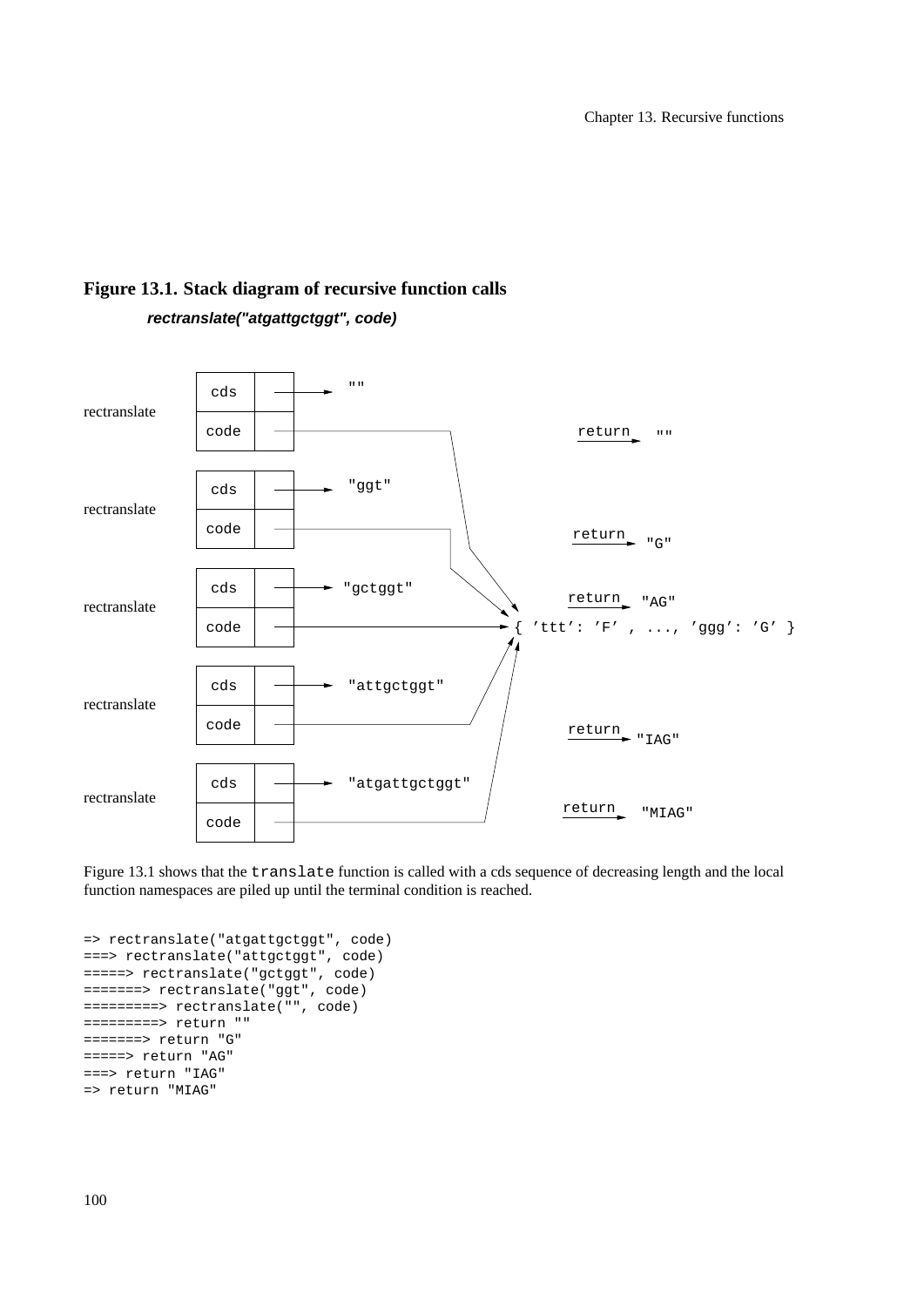### <span id="page-113-0"></span>**Figure 13.1. Stack diagram of recursive function calls rectranslate("atgattgctggt", code)**



[Figure 13.1](#page-113-0) shows that the translate function is called with a cds sequence of decreasing length and the local function namespaces are piled up until the terminal condition is reached.

```
=> rectranslate("atgattgctggt", code)
===> rectranslate("attgctggt", code)
=====> rectranslate("gctggt", code)
=======> rectranslate("ggt", code)
=========> rectranslate("", code)
=========> return ""
=======> return "G"
=====> return "AG"
===> return "IAG"
=> return "MIAG"
```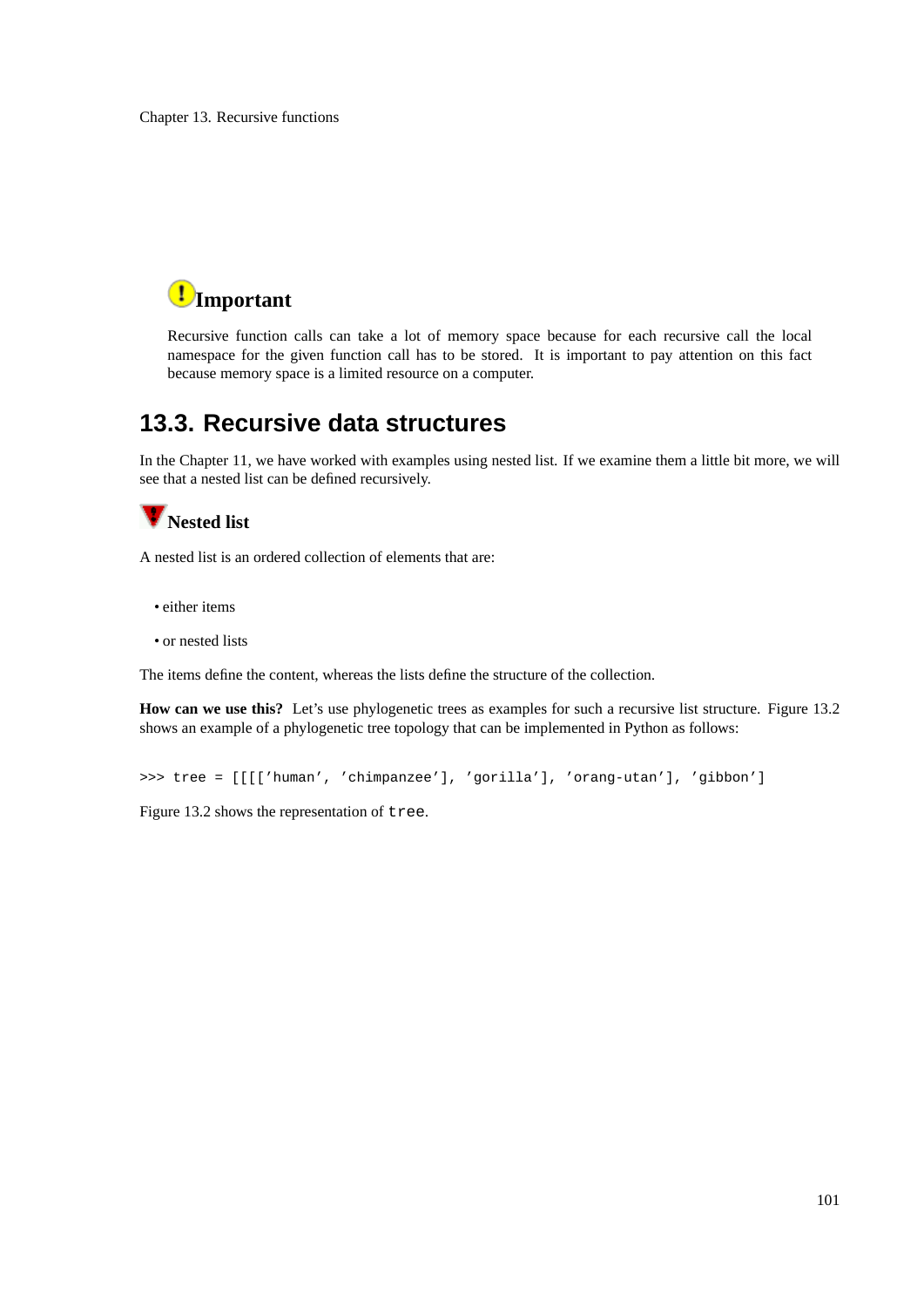# **Important**

Recursive function calls can take a lot of memory space because for each recursive call the local namespace for the given function call has to be stored. It is important to pay attention on this fact because memory space is a limited resource on a computer.

### **13.3. Recursive data structures**

In the [Chapter 11,](#page-84-0) we have worked with examples using nested list. If we examine them a little bit more, we will see that a nested list can be defined recursively.

## **Nested list**

A nested list is an ordered collection of elements that are:

- either items
- or nested lists

The items define the content, whereas the lists define the structure of the collection.

**How can we use this?** Let's use phylogenetic trees as examples for such a recursive list structure. [Figure 13.2](#page-114-0) shows an example of a phylogenetic tree topology that can be implemented in Python as follows:

>>> tree = [[[['human', 'chimpanzee'], 'gorilla'], 'orang-utan'], 'gibbon']

<span id="page-114-0"></span>[Figure 13.2](#page-114-0) shows the representation of tree.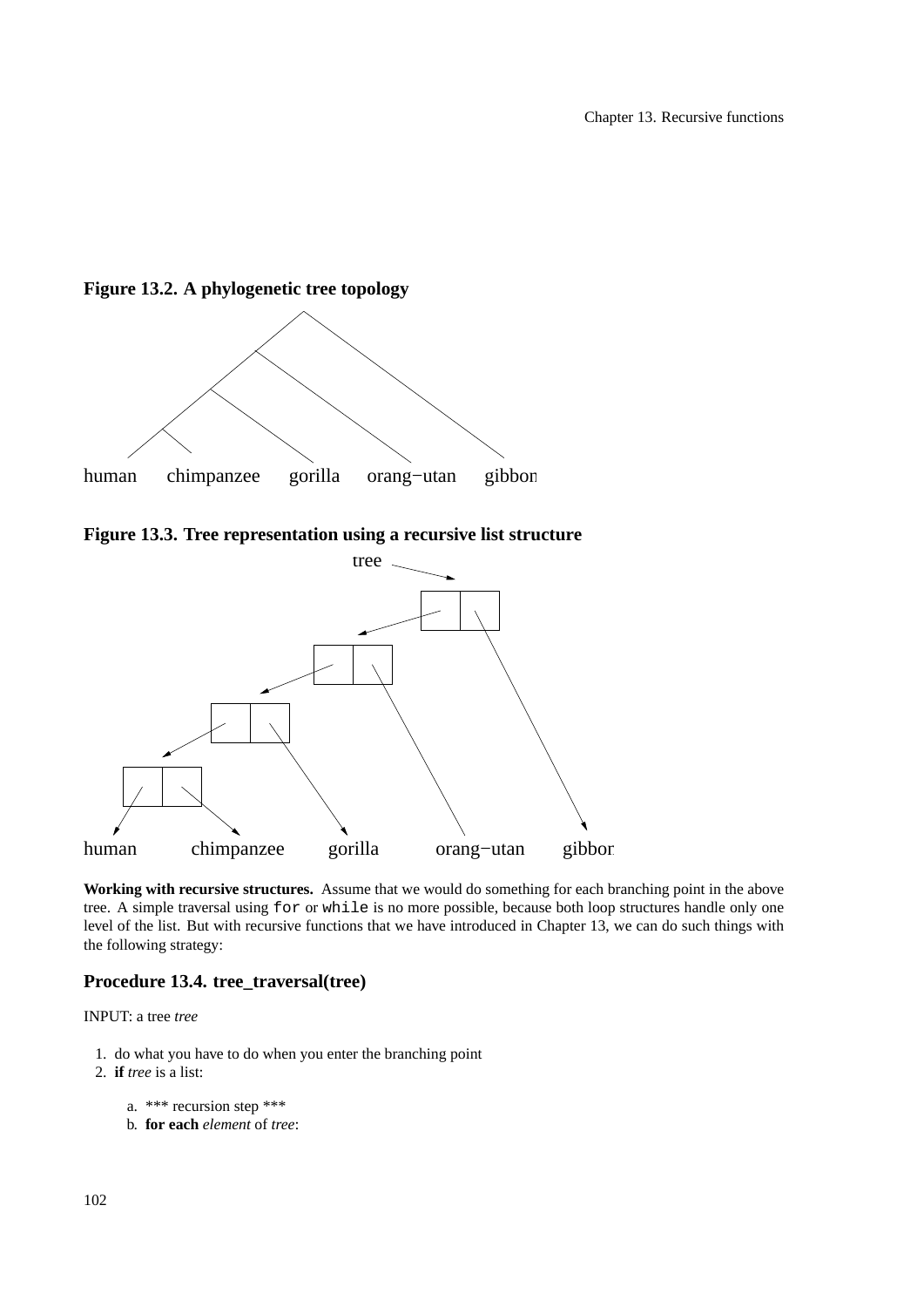

### **Figure 13.2. A phylogenetic tree topology**





**Working with recursive structures.** Assume that we would do something for each branching point in the above tree. A simple traversal using for or while is no more possible, because both loop structures handle only one level of the list. But with recursive functions that we have introduced in [Chapter 13,](#page-110-0) we can do such things with the following strategy:

#### **Procedure 13.4. tree\_traversal(tree)**

INPUT: a tree *tree*

- 1. do what you have to do when you enter the branching point
- 2. **if** *tree* is a list:

```
a. *** recursion step ***
```
b. **for each** *element* of *tree*: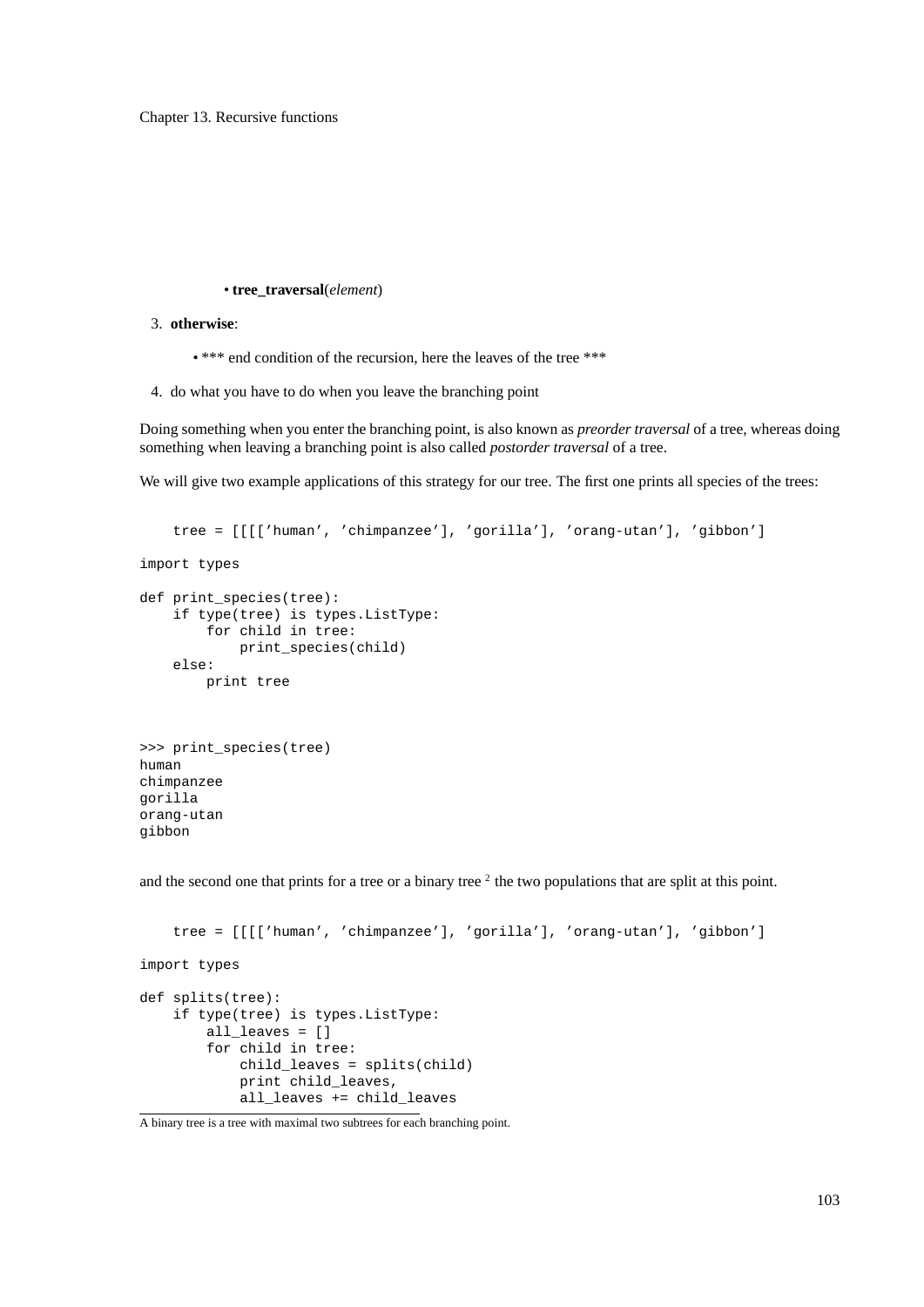#### • **tree\_traversal**(*element*)

3. **otherwise**:

- \*\*\* end condition of the recursion, here the leaves of the tree \*\*\*
- 4. do what you have to do when you leave the branching point

Doing something when you enter the branching point, is also known as *preorder traversal* of a tree, whereas doing something when leaving a branching point is also called *postorder traversal* of a tree.

We will give two example applications of this strategy for our tree. The first one prints all species of the trees:

```
tree = [[[['human', 'chimpanzee'], 'gorilla'], 'orang-utan'], 'gibbon']
import types
def print_species(tree):
    if type(tree) is types.ListType:
        for child in tree:
           print_species(child)
    else:
       print tree
>>> print_species(tree)
human
chimpanzee
gorilla
orang-utan
gibbon
```
and the second one that prints for a tree or a binary tree  $2$  the two populations that are split at this point.

```
tree = [[[['human', 'chimpanzee'], 'gorilla'], 'orang-utan'], 'gibbon']
import types
def splits(tree):
    if type(tree) is types.ListType:
        all_leaves = []
        for child in tree:
            child_leaves = splits(child)
            print child_leaves,
            all_leaves += child_leaves
```

```
A binary tree is a tree with maximal two subtrees for each branching point.
```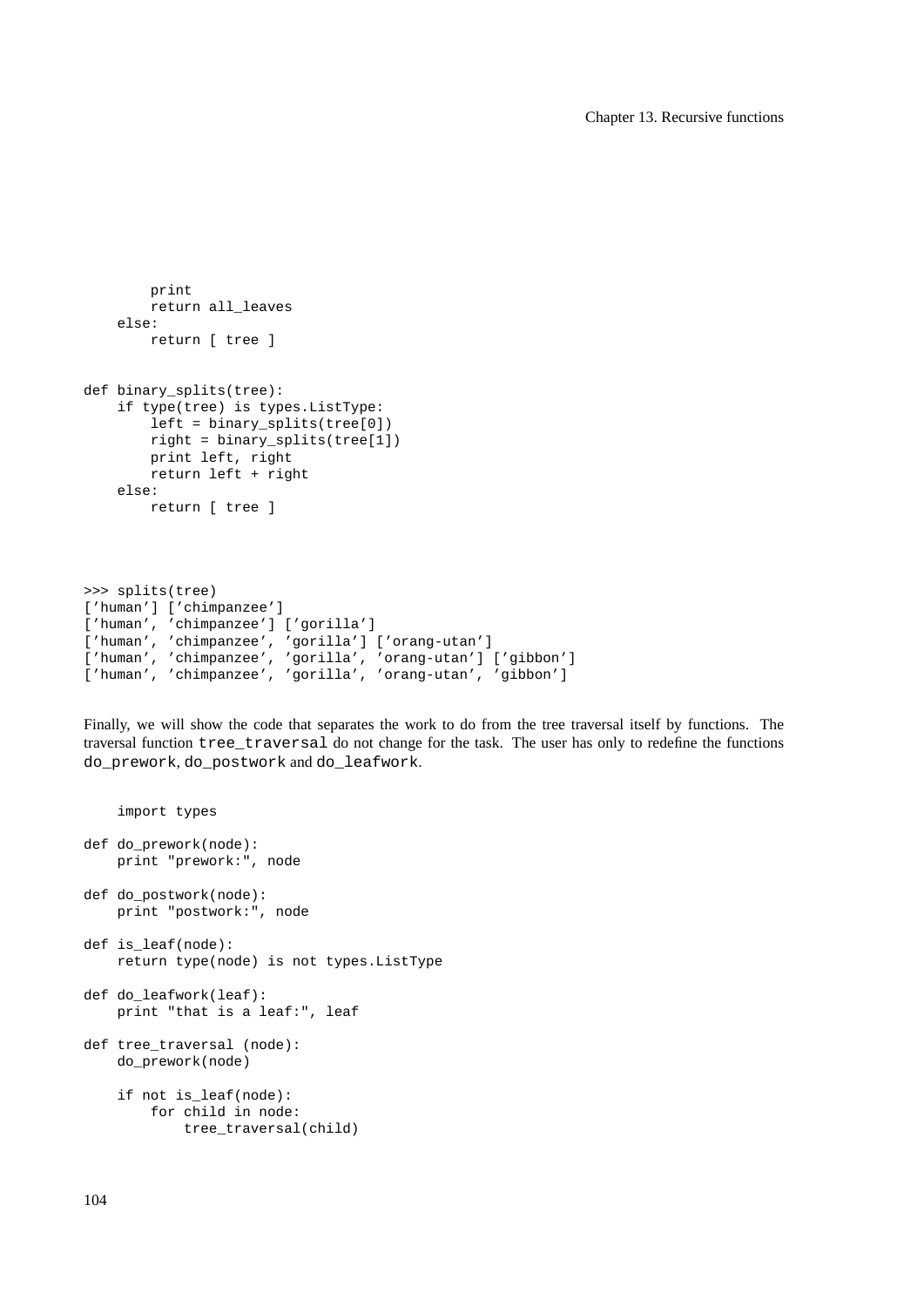```
print
        return all_leaves
    else:
        return [ tree ]
def binary_splits(tree):
    if type(tree) is types.ListType:
        left = binary_splits(tree[0])
        right = binary_splits(tree[1])
       print left, right
       return left + right
    else:
       return [ tree ]
```

```
>>> splits(tree)
['human'] ['chimpanzee']
['human', 'chimpanzee'] ['gorilla']
['human', 'chimpanzee', 'gorilla'] ['orang-utan']
['human', 'chimpanzee', 'gorilla', 'orang-utan'] ['gibbon']
['human', 'chimpanzee', 'gorilla', 'orang-utan', 'gibbon']
```
Finally, we will show the code that separates the work to do from the tree traversal itself by functions. The traversal function tree\_traversal do not change for the task. The user has only to redefine the functions do\_prework, do\_postwork and do\_leafwork.

```
import types
def do_prework(node):
    print "prework:", node
def do_postwork(node):
   print "postwork:", node
def is leaf(node):
    return type(node) is not types.ListType
def do_leafwork(leaf):
   print "that is a leaf:", leaf
def tree_traversal (node):
    do_prework(node)
    if not is_leaf(node):
       for child in node:
            tree_traversal(child)
```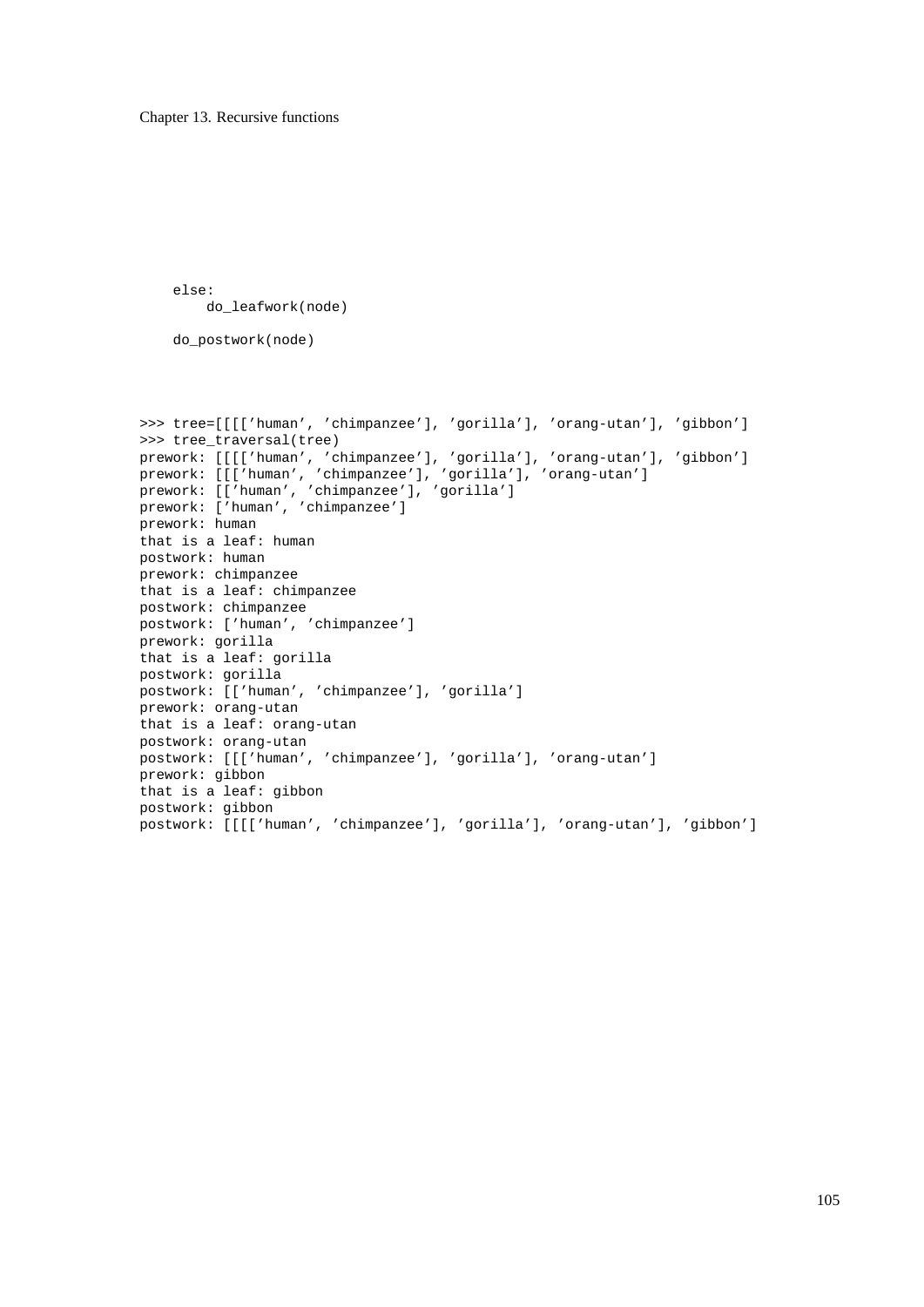```
else:
    do_leafwork(node)
```

```
do_postwork(node)
```

```
>>> tree=[[[['human', 'chimpanzee'], 'gorilla'], 'orang-utan'], 'gibbon']
>>> tree_traversal(tree)
prework: [[[['human', 'chimpanzee'], 'gorilla'], 'orang-utan'], 'gibbon']
prework: [[['human', 'chimpanzee'], 'gorilla'], 'orang-utan']
prework: [['human', 'chimpanzee'], 'gorilla']
prework: ['human', 'chimpanzee']
prework: human
that is a leaf: human
postwork: human
prework: chimpanzee
that is a leaf: chimpanzee
postwork: chimpanzee
postwork: ['human', 'chimpanzee']
prework: gorilla
that is a leaf: gorilla
postwork: gorilla
postwork: [['human', 'chimpanzee'], 'gorilla']
prework: orang-utan
that is a leaf: orang-utan
postwork: orang-utan
postwork: [[['human', 'chimpanzee'], 'gorilla'], 'orang-utan']
prework: gibbon
that is a leaf: gibbon
postwork: gibbon
postwork: [[[['human', 'chimpanzee'], 'gorilla'], 'orang-utan'], 'gibbon']
```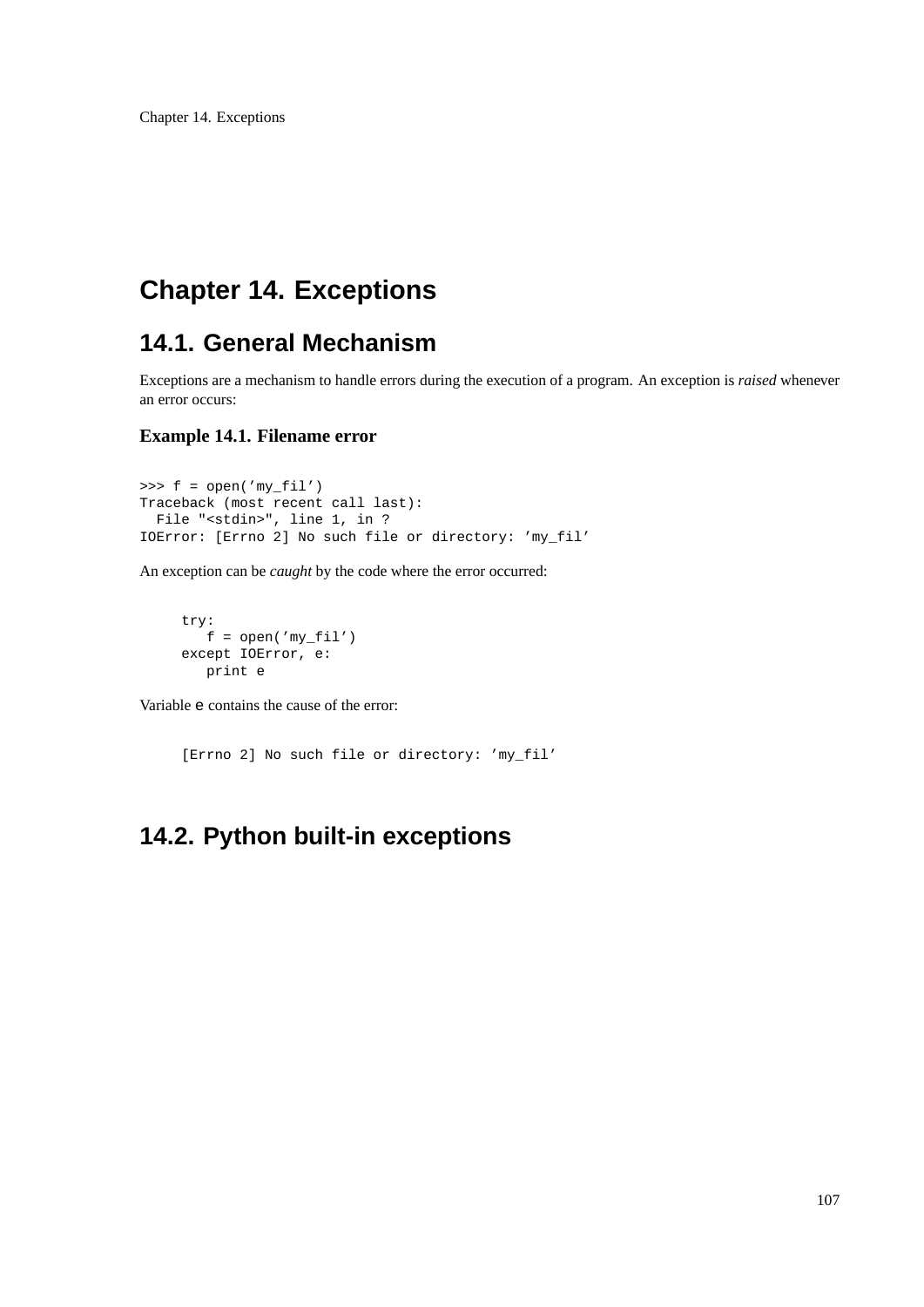Chapter 14. Exceptions

# **Chapter 14. Exceptions**

# **14.1. General Mechanism**

Exceptions are a mechanism to handle errors during the execution of a program. An exception is *raised* whenever an error occurs:

#### **Example 14.1. Filename error**

```
>>> f = open('my_fil')Traceback (most recent call last):
 File "<stdin>", line 1, in ?
IOError: [Errno 2] No such file or directory: 'my_fil'
```
An exception can be *caught* by the code where the error occurred:

try:  $f = open('my_fil')$ except IOError, e: print e

Variable e contains the cause of the error:

[Errno 2] No such file or directory: 'my\_fil'

## **14.2. Python built-in exceptions**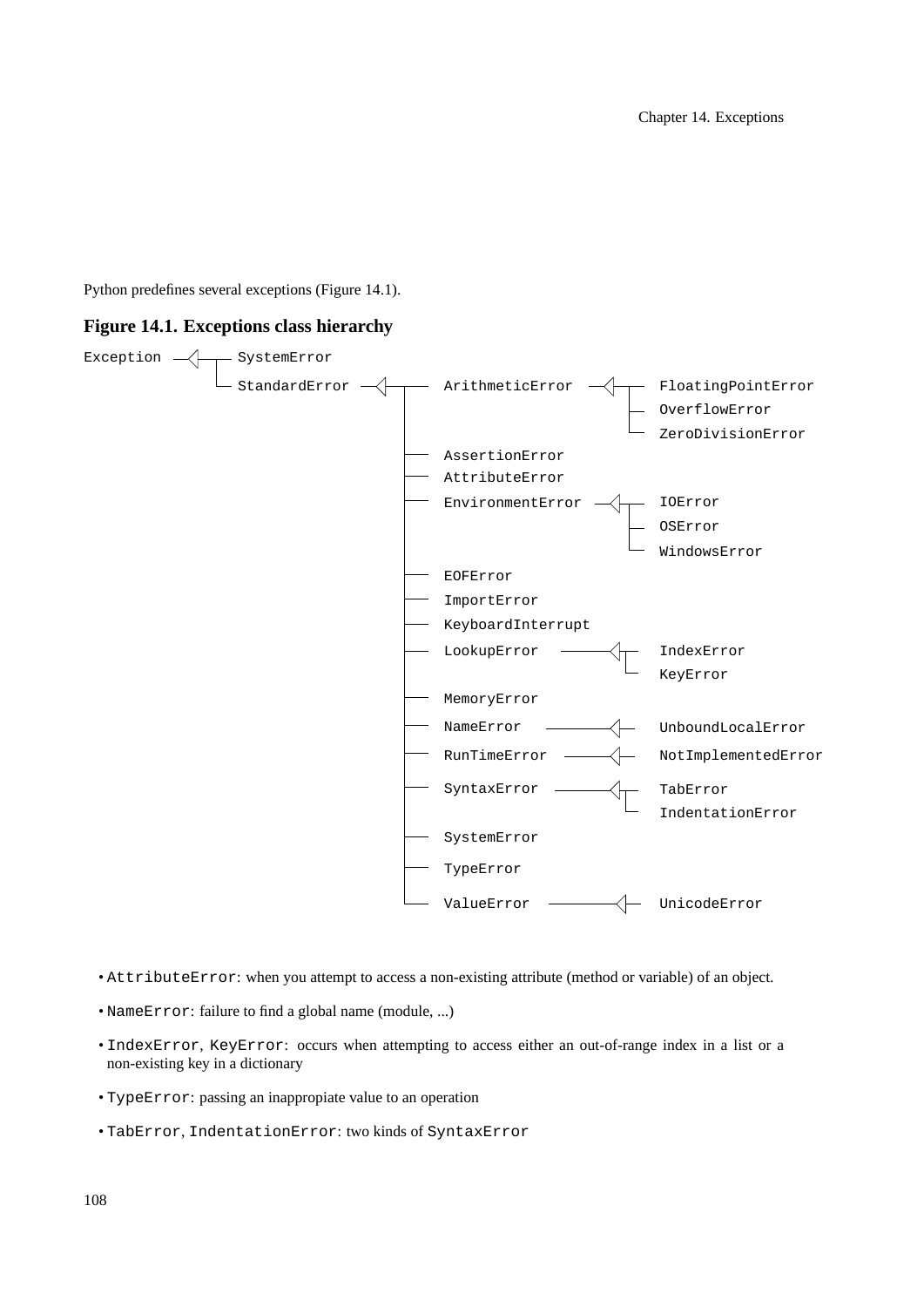<span id="page-121-0"></span>Python predefines several exceptions [\(Figure 14.1\)](#page-121-0).

#### **Figure 14.1. Exceptions class hierarchy**



- AttributeError: when you attempt to access a non-existing attribute (method or variable) of an object.
- NameError: failure to find a global name (module, ...)
- IndexError, KeyError: occurs when attempting to access either an out-of-range index in a list or a non-existing key in a dictionary
- TypeError: passing an inappropiate value to an operation
- TabError, IndentationError: two kinds of SyntaxError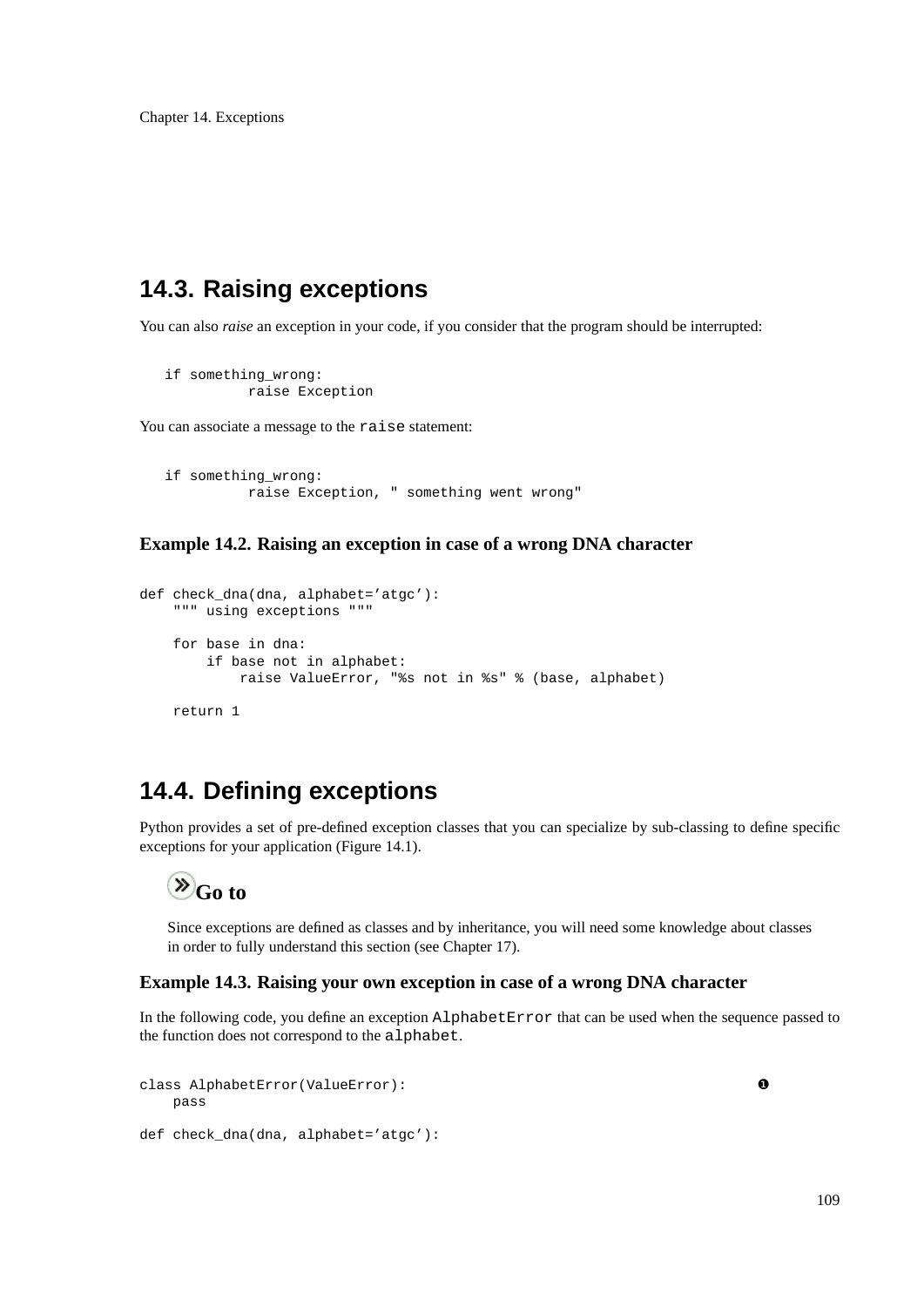Chapter 14. Exceptions

### **14.3. Raising exceptions**

You can also *raise* an exception in your code, if you consider that the program should be interrupted:

```
if something_wrong:
         raise Exception
```
You can associate a message to the raise statement:

```
if something_wrong:
         raise Exception, " something went wrong"
```
#### **Example 14.2. Raising an exception in case of a wrong DNA character**

```
def check_dna(dna, alphabet='atgc'):
    """ using exceptions """
   for base in dna:
        if base not in alphabet:
           raise ValueError, "%s not in %s" % (base, alphabet)
   return 1
```
## **14.4. Defining exceptions**

Python provides a set of pre-defined exception classes that you can specialize by sub-classing to define specific exceptions for your application [\(Figure 14.1\)](#page-121-0).

# $\otimes$ <sub>Go</sub> to

Since exceptions are defined as classes and by inheritance, you will need some knowledge about classes in order to fully understand this section (see [Chapter 17\)](#page-148-0).

### **Example 14.3. Raising your own exception in case of a wrong DNA character**

In the following code, you define an exception AlphabetError that can be used when the sequence passed to the function does not correspond to the alphabet.

```
class AlphabetError(ValueError): ❶
  pass
def check_dna(dna, alphabet='atgc'):
```
109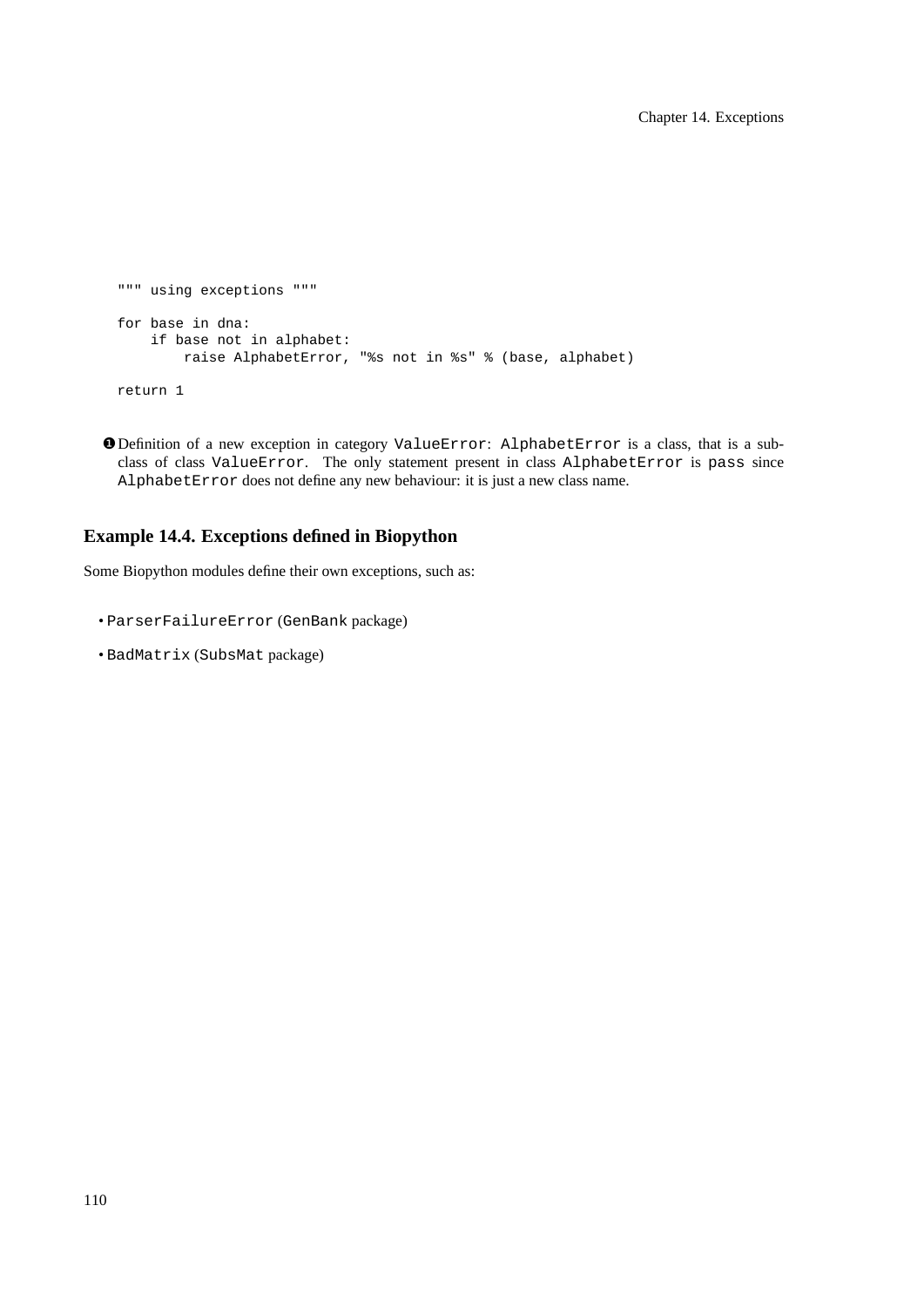```
""" using exceptions """
for base in dna:
    if base not in alphabet:
       raise AlphabetError, "%s not in %s" % (base, alphabet)
return 1
```
❶ Definition of a new exception in category ValueError: AlphabetError is a class, that is a subclass of class ValueError. The only statement present in class AlphabetError is pass since AlphabetError does not define any new behaviour: it is just a new class name.

### **Example 14.4. Exceptions defined in Biopython**

Some Biopython modules define their own exceptions, such as:

- ParserFailureError (GenBank package)
- BadMatrix (SubsMat package)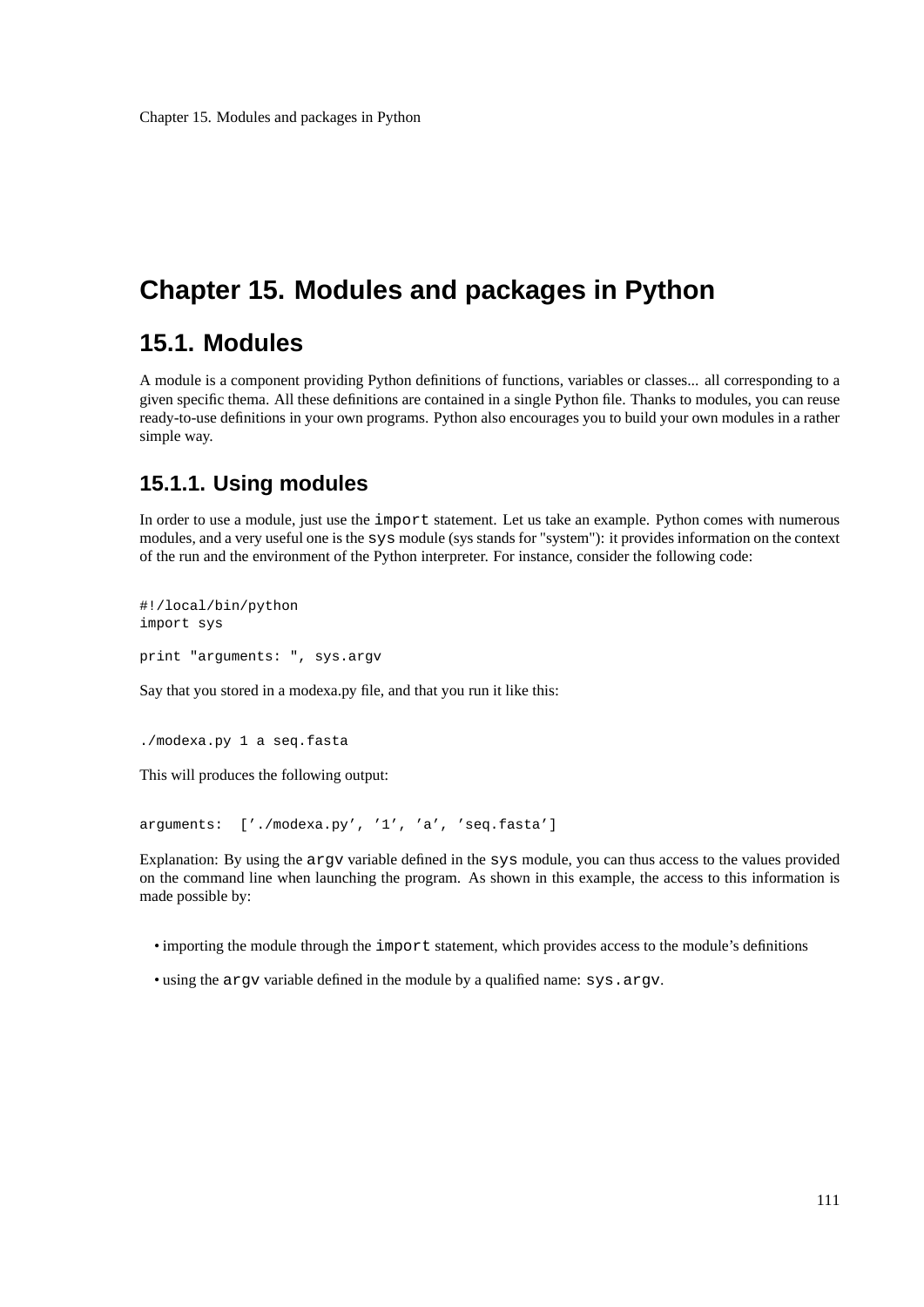# **Chapter 15. Modules and packages in Python**

### **15.1. Modules**

A module is a component providing Python definitions of functions, variables or classes... all corresponding to a given specific thema. All these definitions are contained in a single Python file. Thanks to modules, you can reuse ready-to-use definitions in your own programs. Python also encourages you to build your own modules in a rather simple way.

### **15.1.1. Using modules**

In order to use a module, just use the import statement. Let us take an example. Python comes with numerous modules, and a very useful one is the sys module (sys stands for "system"): it provides information on the context of the run and the environment of the Python interpreter. For instance, consider the following code:

#!/local/bin/python import sys print "arguments: ", sys.argv

Say that you stored in a modexa.py file, and that you run it like this:

./modexa.py 1 a seq.fasta

This will produces the following output:

arguments: ['./modexa.py', '1', 'a', 'seq.fasta']

Explanation: By using the argv variable defined in the sys module, you can thus access to the values provided on the command line when launching the program. As shown in this example, the access to this information is made possible by:

- importing the module through the import statement, which provides access to the module's definitions
- using the argy variable defined in the module by a qualified name: sys.argy.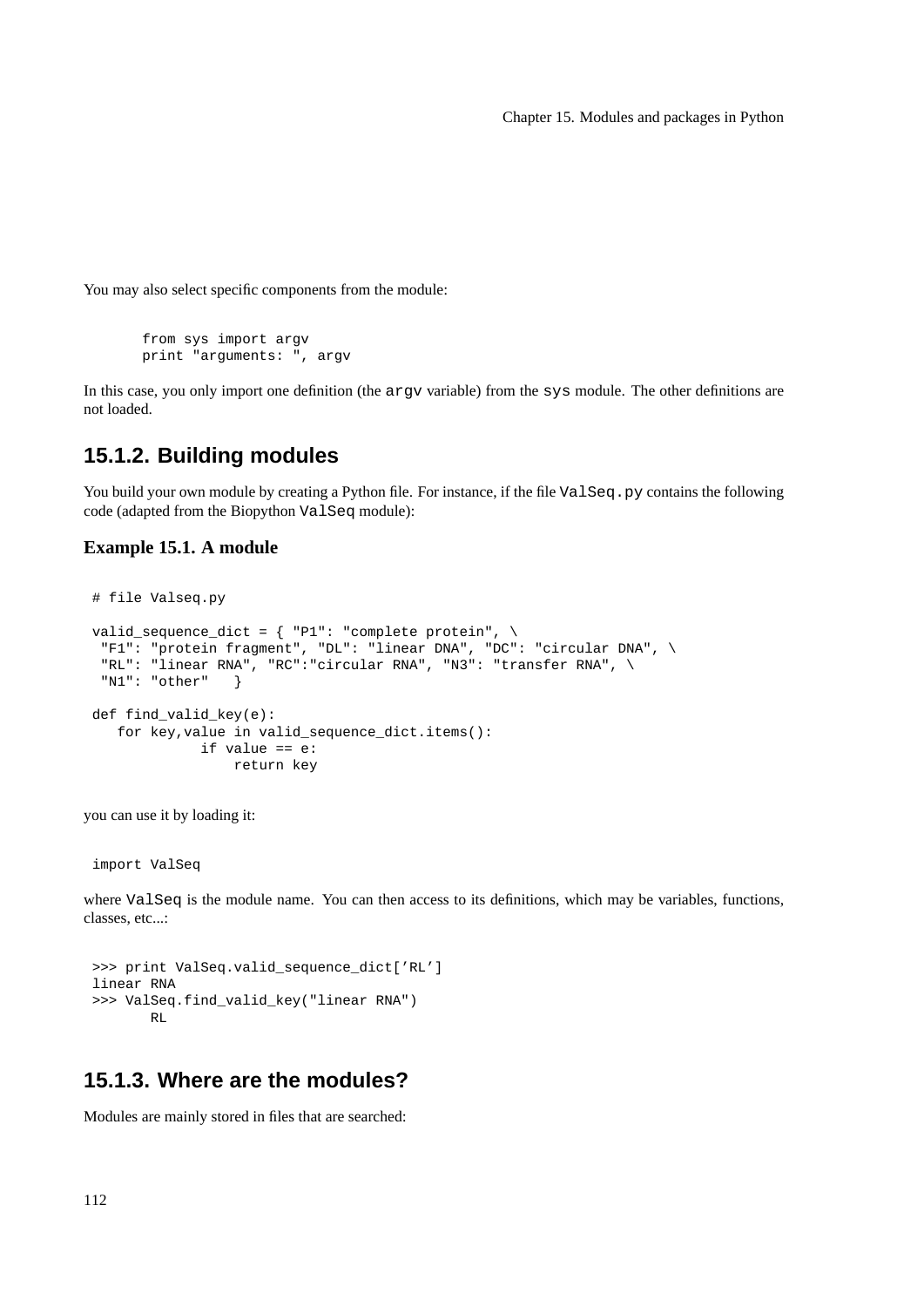You may also select specific components from the module:

```
from sys import argv
print "arguments: ", argv
```
In this case, you only import one definition (the argv variable) from the sys module. The other definitions are not loaded.

### **15.1.2. Building modules**

You build your own module by creating a Python file. For instance, if the file ValSeq. py contains the following code (adapted from the Biopython ValSeq module):

#### **Example 15.1. A module**

```
# file Valseq.py
valid_sequence_dict = \{ "P1": "complete protein", \setminus"F1": "protein fragment", "DL": "linear DNA", "DC": "circular DNA", \
 "RL": "linear RNA", "RC":"circular RNA", "N3": "transfer RNA", \
 "N1": "other" }
def find valid key(e):
   for key,value in valid_sequence_dict.items():
             if value == e:
                 return key
```
you can use it by loading it:

import ValSeq

where ValSeq is the module name. You can then access to its definitions, which may be variables, functions, classes, etc...:

```
>>> print ValSeq.valid sequence dict['RL']
linear RNA
>>> ValSeq.find_valid_key("linear RNA")
       RT.
```
### **15.1.3. Where are the modules?**

Modules are mainly stored in files that are searched: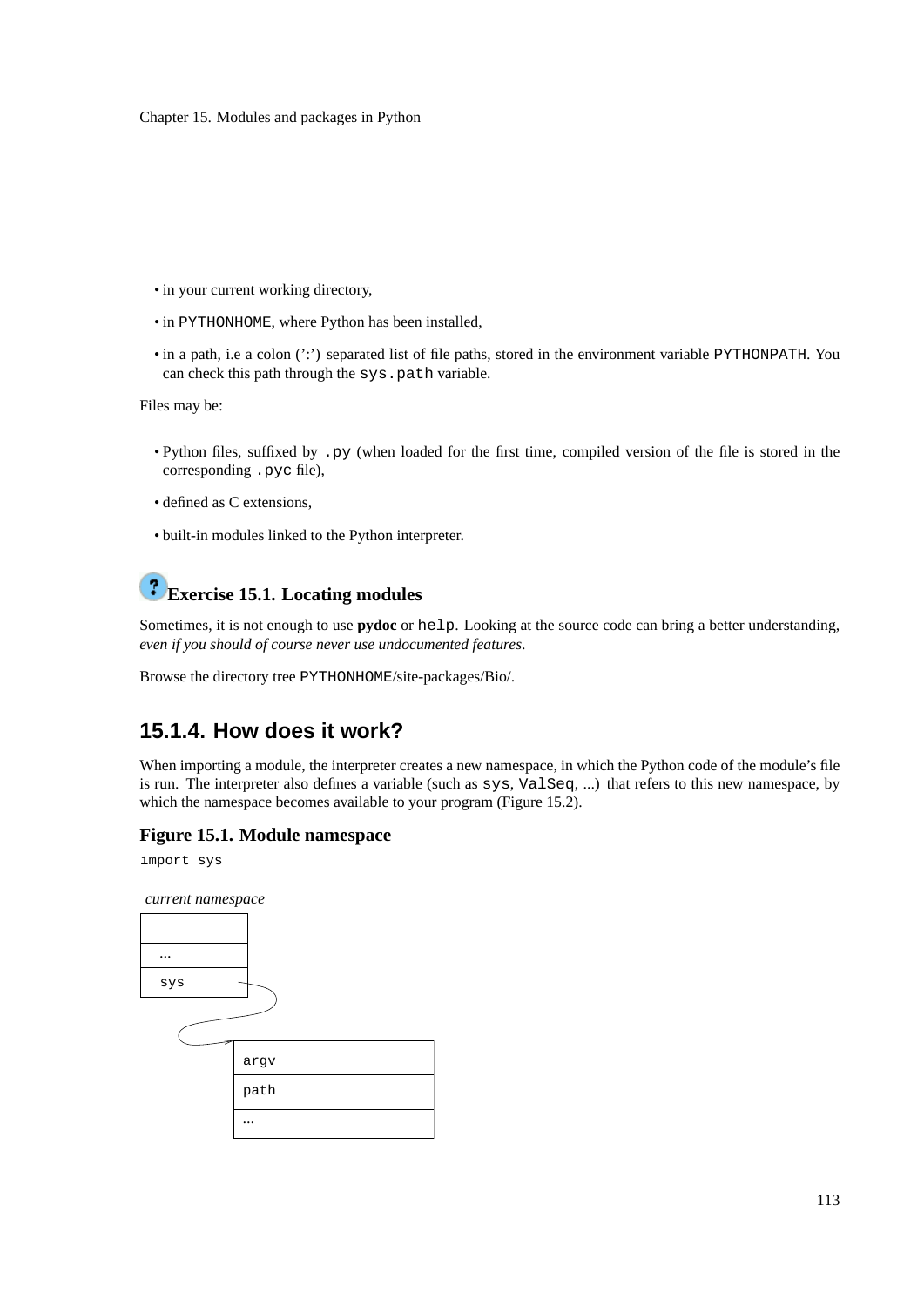- in your current working directory,
- in PYTHONHOME, where Python has been installed,
- in a path, i.e a colon (':') separated list of file paths, stored in the environment variable PYTHONPATH. You can check this path through the sys.path variable.

Files may be:

- Python files, suffixed by .py (when loaded for the first time, compiled version of the file is stored in the corresponding .pyc file),
- defined as C extensions,
- built-in modules linked to the Python interpreter.

# **Exercise 15.1. Locating modules**

Sometimes, it is not enough to use **pydoc** or help. Looking at the source code can bring a better understanding, *even if you should of course never use undocumented features*.

Browse the directory tree PYTHONHOME/site-packages/Bio/.

### **15.1.4. How does it work?**

When importing a module, the interpreter creates a new namespace, in which the Python code of the module's file is run. The interpreter also defines a variable (such as sys, ValSeq, ...) that refers to this new namespace, by which the namespace becomes available to your program [\(Figure 15.2\)](#page-127-0).

#### **Figure 15.1. Module namespace**

import sys

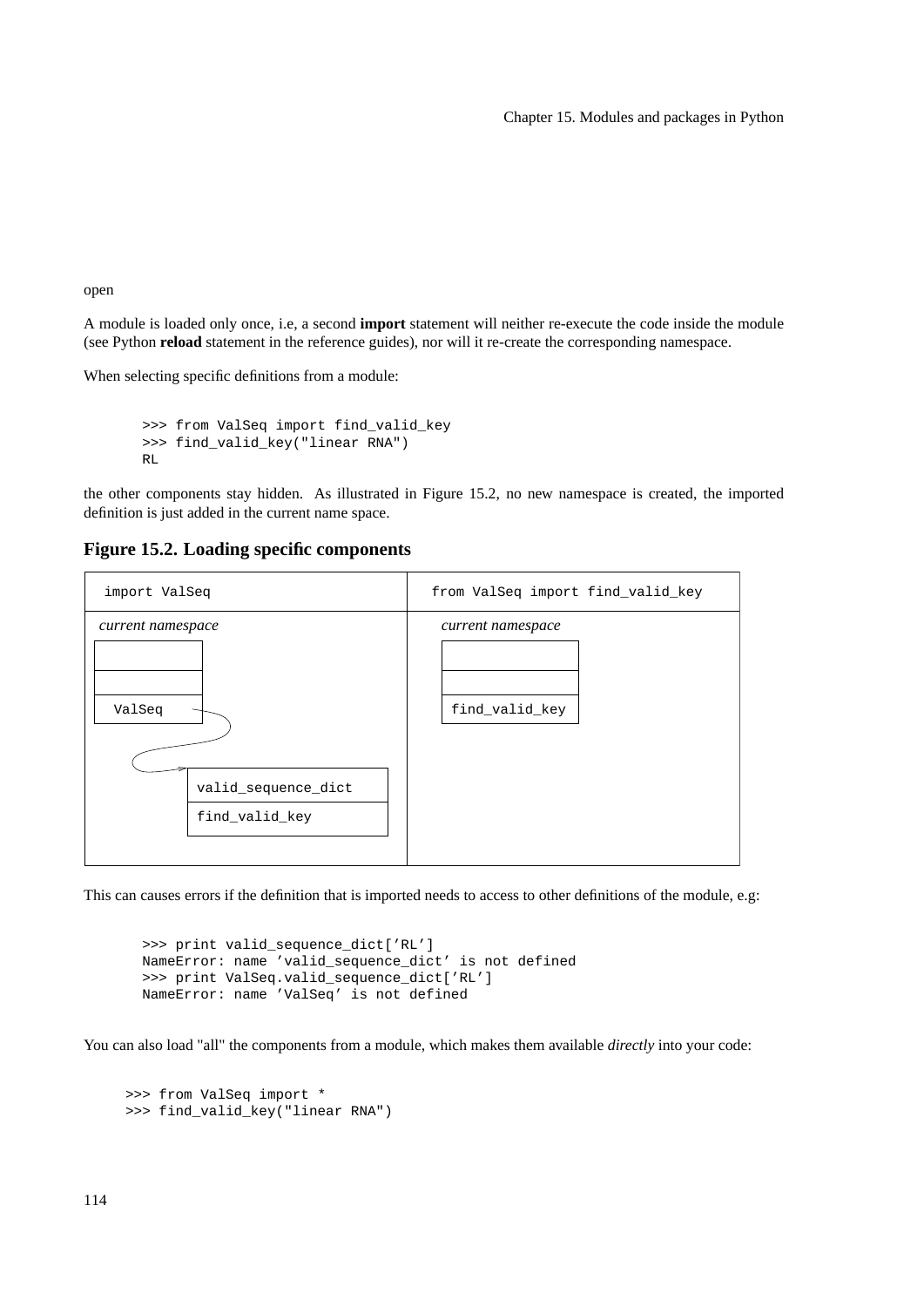open

A module is loaded only once, i.e, a second **import** statement will neither re-execute the code inside the module (see Python **reload** statement in the reference guides), nor will it re-create the corresponding namespace.

When selecting specific definitions from a module:

```
>>> from ValSeq import find_valid_key
>>> find_valid_key("linear RNA")
RL
```
the other components stay hidden. As illustrated in [Figure 15.2,](#page-127-0) no new namespace is created, the imported definition is just added in the current name space.

<span id="page-127-0"></span>



This can causes errors if the definition that is imported needs to access to other definitions of the module, e.g:

```
>>> print valid_sequence_dict['RL']
NameError: name 'valid_sequence_dict' is not defined
>>> print ValSeq.valid_sequence_dict['RL']
NameError: name 'ValSeq' is not defined
```
You can also load "all" the components from a module, which makes them available *directly* into your code:

```
>>> from ValSeq import *
>>> find_valid_key("linear RNA")
```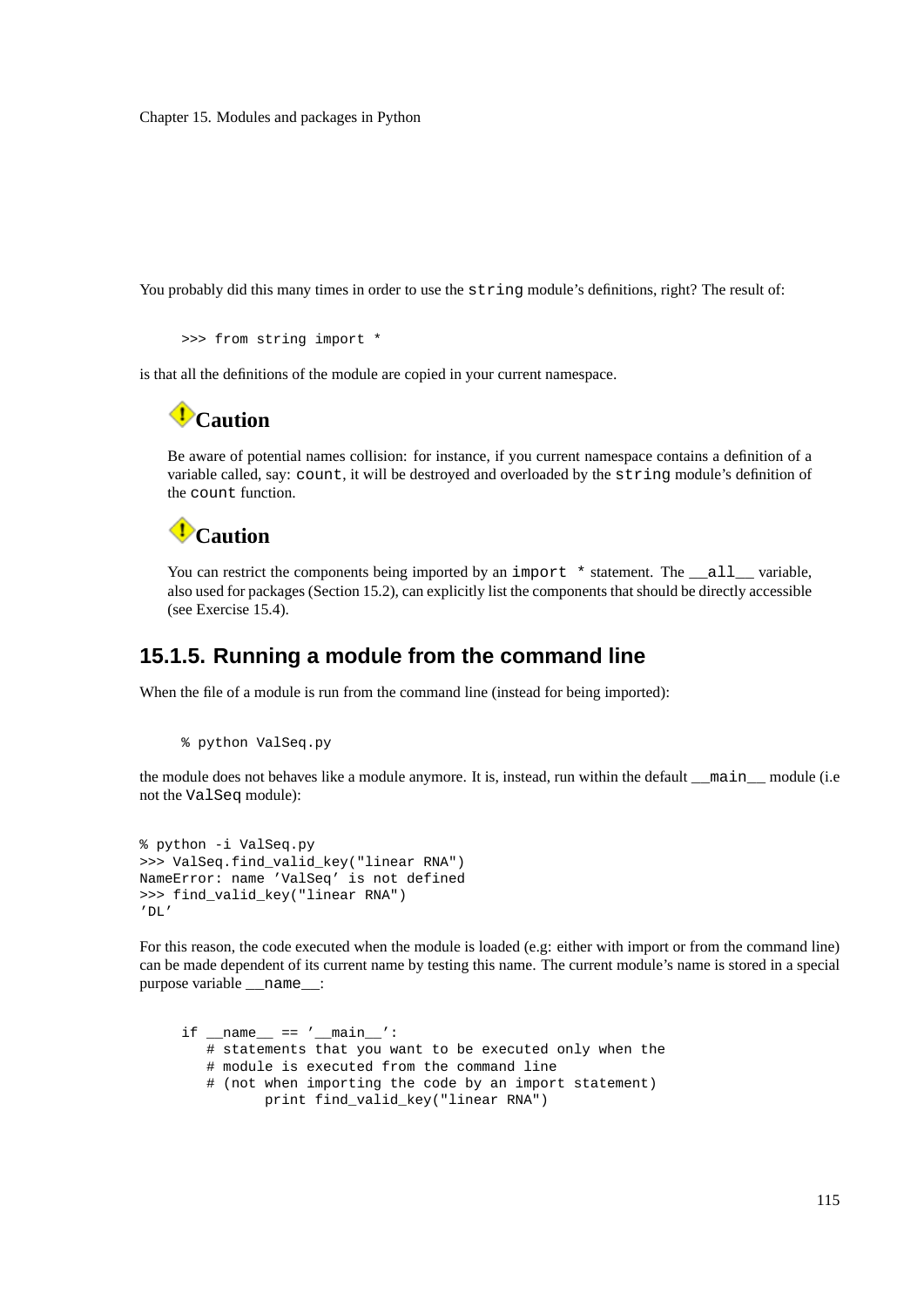Chapter 15. Modules and packages in Python

You probably did this many times in order to use the string module's definitions, right? The result of:

```
>>> from string import *
```
is that all the definitions of the module are copied in your current namespace.

# **Caution**

Be aware of potential names collision: for instance, if you current namespace contains a definition of a variable called, say: count, it will be destroyed and overloaded by the string module's definition of the count function.

# **Caution**

You can restrict the components being imported by an import  $*$  statement. The  $all$  variable, also used for packages [\(Section 15.2\)](#page-129-0), can explicitly list the components that should be directly accessible (see [Exercise 15.4\)](#page-130-0).

### **15.1.5. Running a module from the command line**

When the file of a module is run from the command line (instead for being imported):

```
% python ValSeq.py
```
the module does not behaves like a module anymore. It is, instead, run within the default \_\_main\_\_ module (i.e not the ValSeq module):

```
% python -i ValSeq.py
>>> ValSeq.find_valid_key("linear RNA")
NameError: name 'ValSeq' is not defined
>>> find_valid_key("linear RNA")
'DL'
```
For this reason, the code executed when the module is loaded (e.g: either with import or from the command line) can be made dependent of its current name by testing this name. The current module's name is stored in a special purpose variable \_\_name\_\_:

```
if __name__ == '__main__':# statements that you want to be executed only when the
  # module is executed from the command line
  # (not when importing the code by an import statement)
         print find_valid_key("linear RNA")
```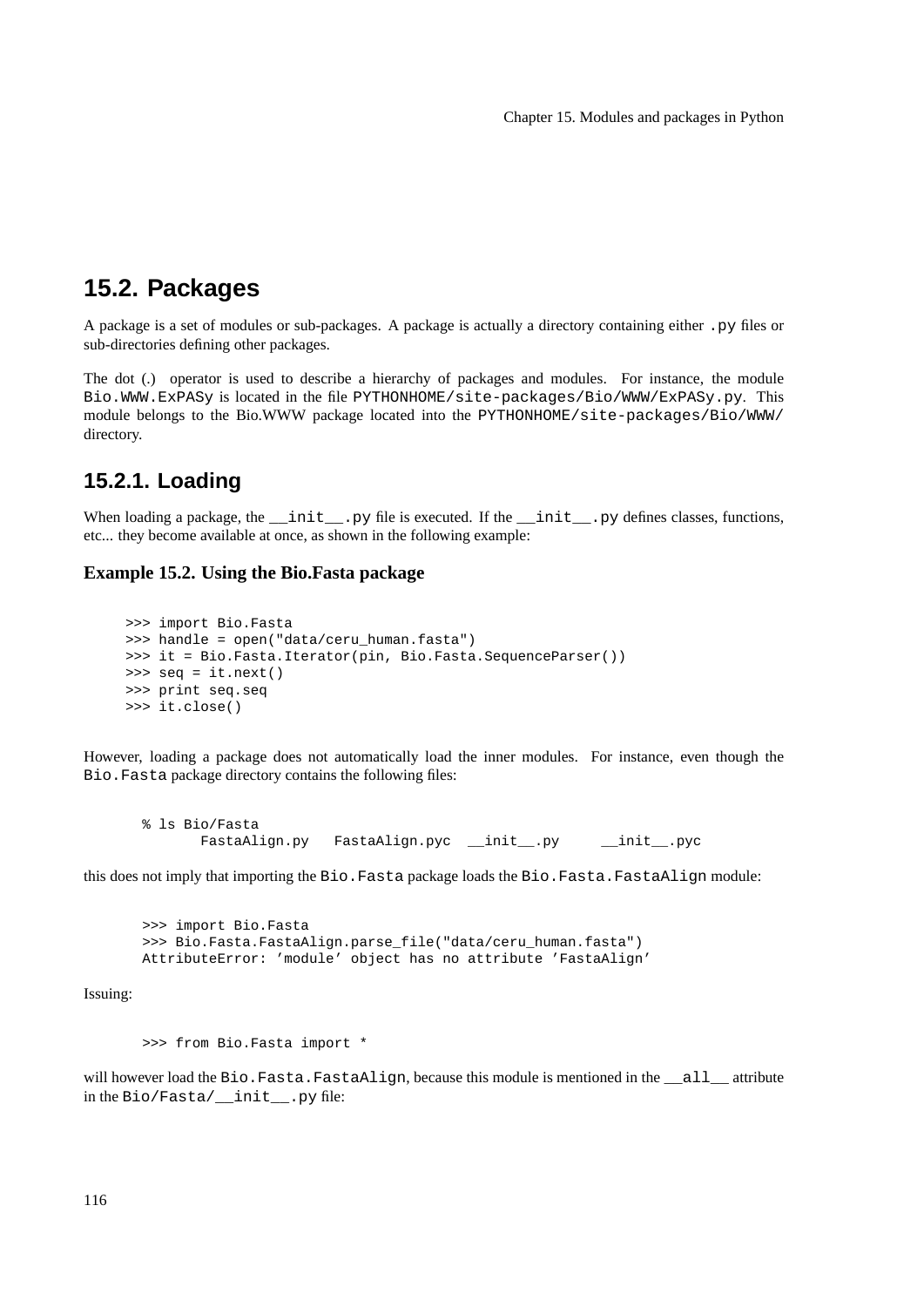### <span id="page-129-0"></span>**15.2. Packages**

A package is a set of modules or sub-packages. A package is actually a directory containing either .py files or sub-directories defining other packages.

The dot (.) operator is used to describe a hierarchy of packages and modules. For instance, the module Bio.WWW.ExPASy is located in the file PYTHONHOME/site-packages/Bio/WWW/ExPASy.py. This module belongs to the Bio.WWW package located into the PYTHONHOME/site-packages/Bio/WWW/ directory.

### **15.2.1. Loading**

When loading a package, the  $\__init\__$ . py file is executed. If the  $\__init\__$ . py defines classes, functions, etc... they become available at once, as shown in the following example:

#### **Example 15.2. Using the Bio.Fasta package**

```
>>> import Bio.Fasta
>>> handle = open("data/ceru_human.fasta")
>>> it = Bio.Fasta.Iterator(pin, Bio.Fasta.SequenceParser())
>>> seq = it.next()
>>> print seq.seq
>>> it.close()
```
However, loading a package does not automatically load the inner modules. For instance, even though the Bio.Fasta package directory contains the following files:

```
% ls Bio/Fasta
      FastaAlign.py FastaAlign.pyc __init__.py __init__.pyc
```
this does not imply that importing the Bio.Fasta package loads the Bio.Fasta.FastaAlign module:

```
>>> import Bio.Fasta
>>> Bio.Fasta.FastaAlign.parse_file("data/ceru_human.fasta")
AttributeError: 'module' object has no attribute 'FastaAlign'
```
Issuing:

```
>>> from Bio.Fasta import *
```
will however load the Bio.Fasta.FastaAlign, because this module is mentioned in the \_\_all\_\_ attribute in the Bio/Fasta/\_\_init\_\_.py file: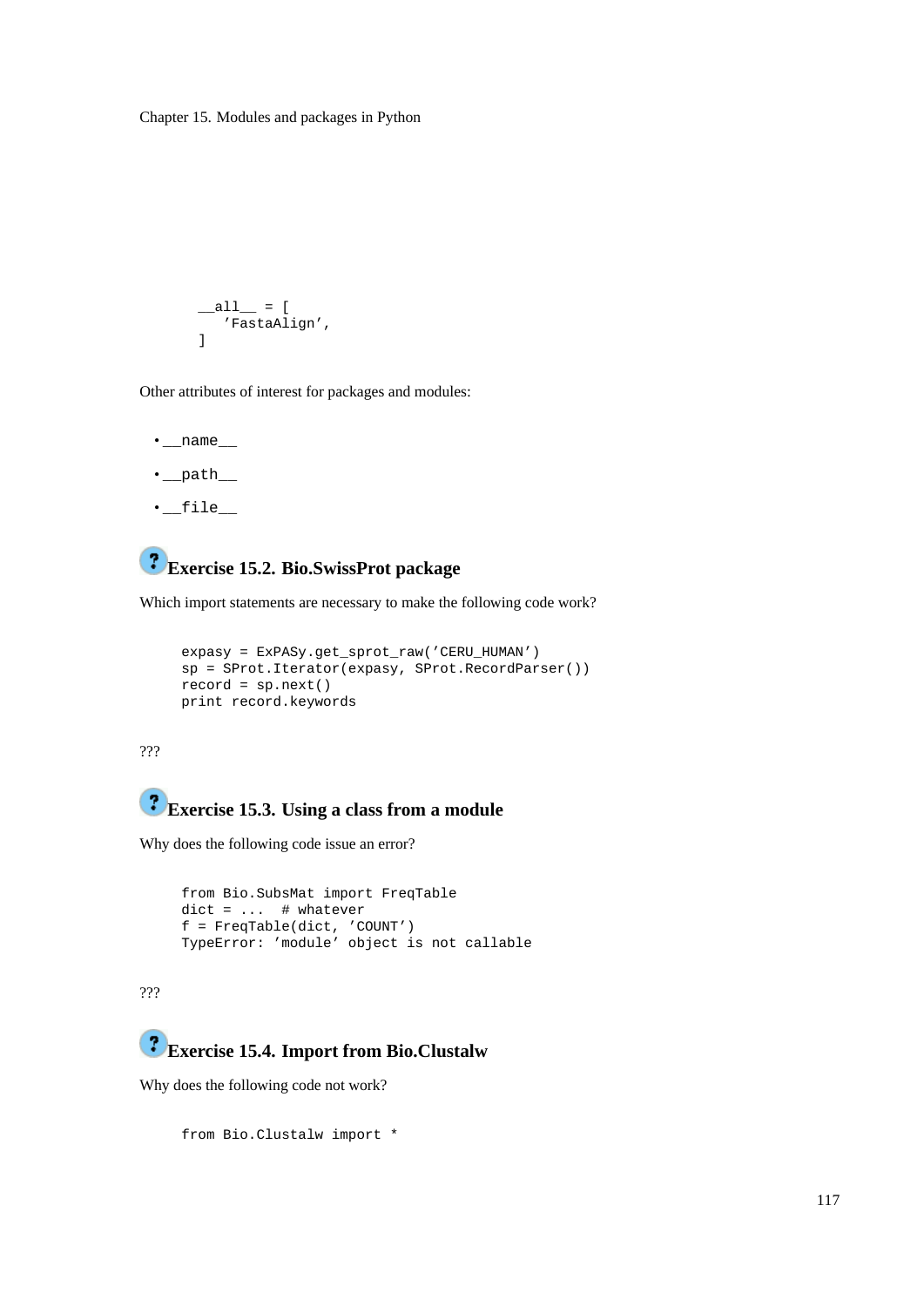```
\_all = [
  'FastaAlign',
]
```
Other attributes of interest for packages and modules:

```
\bullet __name__
```

```
• __path___
```

```
\cdot __file__
```
# **Exercise 15.2. Bio.SwissProt package**

Which import statements are necessary to make the following code work?

```
expasy = ExPASy.get_sprot_raw('CERU_HUMAN')
sp = SProt.Iterator(expasy, SProt.RecordParser())
record = sp.next()
print record.keywords
```
???

# **Exercise 15.3. Using a class from a module**

Why does the following code issue an error?

```
from Bio.SubsMat import FreqTable
dict = ... # whatever
f = FreqTable(dict, 'COUNT')
TypeError: 'module' object is not callable
```
???

<span id="page-130-0"></span>**Exercise 15.4. Import from Bio.Clustalw**

Why does the following code not work?

from Bio.Clustalw import \*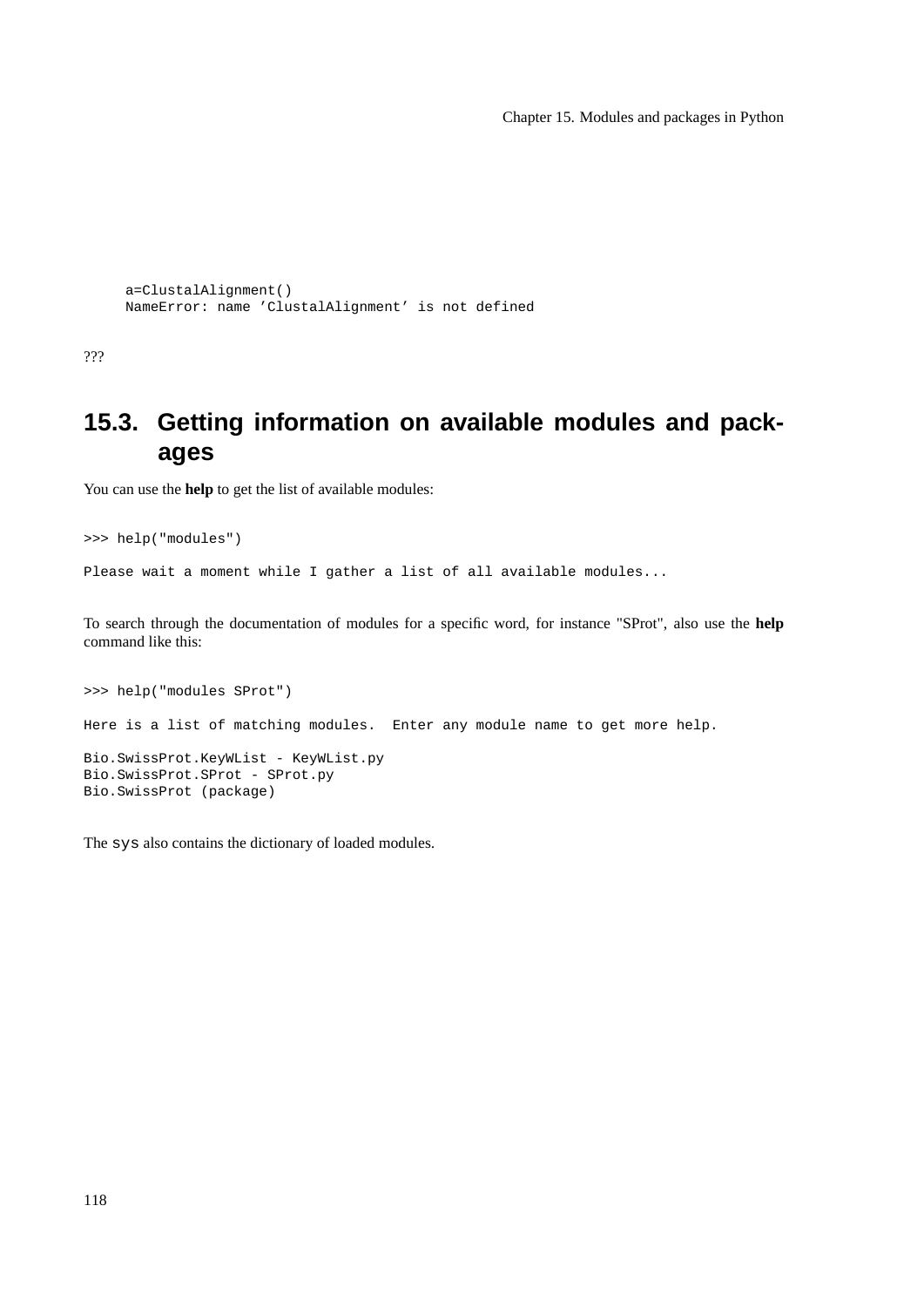```
a=ClustalAlignment()
NameError: name 'ClustalAlignment' is not defined
```
???

# **15.3. Getting information on available modules and packages**

You can use the **help** to get the list of available modules:

```
>>> help("modules")
Please wait a moment while I gather a list of all available modules...
```
To search through the documentation of modules for a specific word, for instance "SProt", also use the **help** command like this:

```
>>> help("modules SProt")
Here is a list of matching modules. Enter any module name to get more help.
Bio.SwissProt.KeyWList - KeyWList.py
Bio.SwissProt.SProt - SProt.py
Bio.SwissProt (package)
```
The sys also contains the dictionary of loaded modules.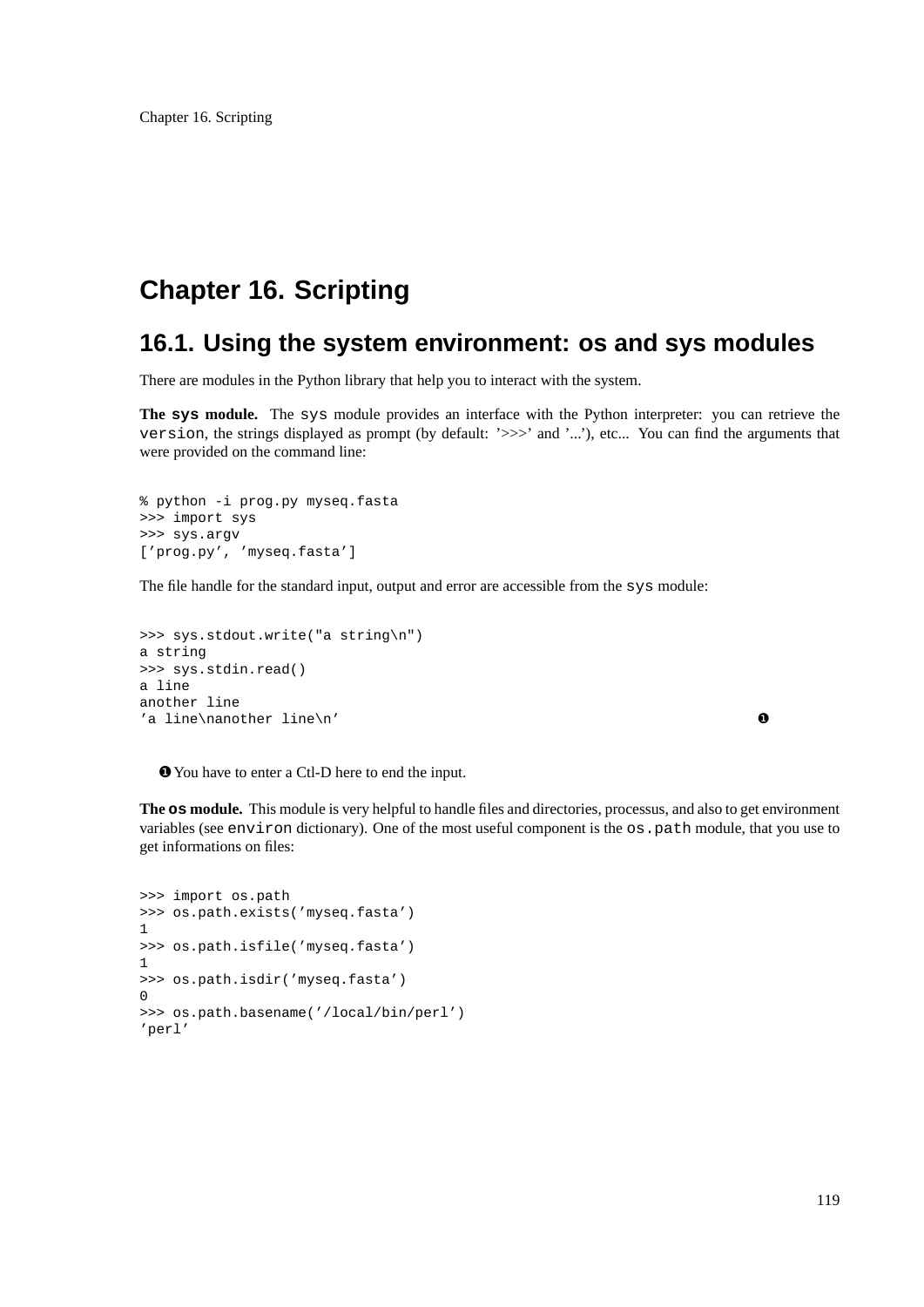# **Chapter 16. Scripting**

### **16.1. Using the system environment: os and sys modules**

There are modules in the Python library that help you to interact with the system.

**The sys module.** The sys module provides an interface with the Python interpreter: you can retrieve the version, the strings displayed as prompt (by default: '>>>' and '...'), etc... You can find the arguments that were provided on the command line:

```
% python -i prog.py myseq.fasta
>>> import sys
>>> sys.argv
['prog.py', 'myseq.fasta']
```
The file handle for the standard input, output and error are accessible from the sys module:

```
>>> sys.stdout.write("a string\n")
a string
>>> sys.stdin.read()
a line
another line
'a line\nanother line\n'                         0
```
❶ You have to enter a Ctl-D here to end the input.

**The os module.** This module is very helpful to handle files and directories, processus, and also to get environment variables (see environ dictionary). One of the most useful component is the os.path module, that you use to get informations on files:

```
>>> import os.path
>>> os.path.exists('myseq.fasta')
1
>>> os.path.isfile('myseq.fasta')
1
>>> os.path.isdir('myseq.fasta')
\Omega>>> os.path.basename('/local/bin/perl')
'perl'
```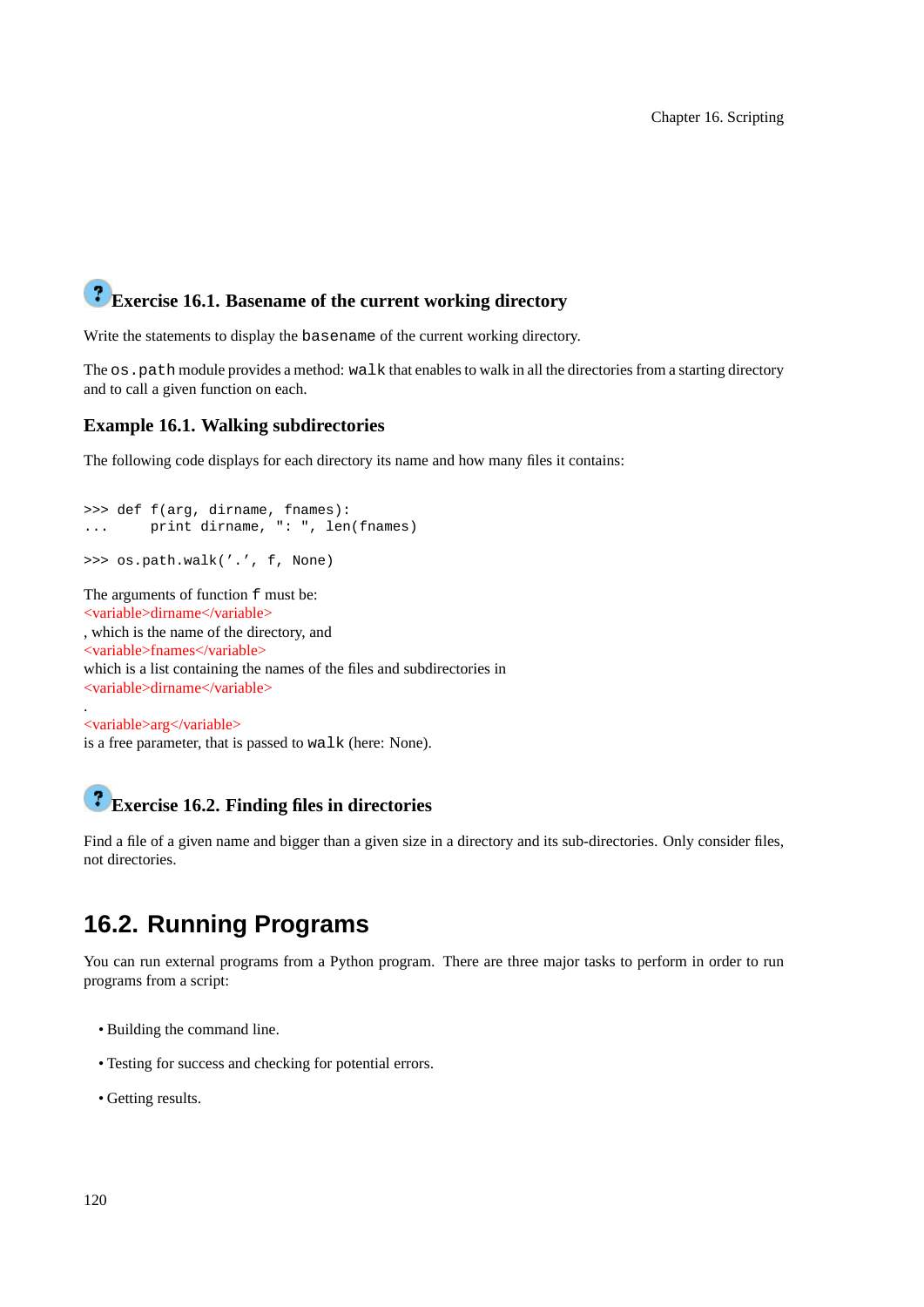# **Exercise 16.1. Basename of the current working directory**

Write the statements to display the basename of the current working directory.

The  $\circ$ s. path module provides a method: walk that enables to walk in all the directories from a starting directory and to call a given function on each.

#### **Example 16.1. Walking subdirectories**

The following code displays for each directory its name and how many files it contains:

```
>>> def f(arg, dirname, fnames):
... print dirname, ": ", len(fnames)
```
>>> os.path.walk('.', f, None)

The arguments of function  $f$  must be: <variable>dirname</variable> , which is the name of the directory, and <variable>fnames</variable> which is a list containing the names of the files and subdirectories in <variable>dirname</variable>

<variable>arg</variable> is a free parameter, that is passed to walk (here: None).

# **Exercise 16.2. Finding files in directories**

Find a file of a given name and bigger than a given size in a directory and its sub-directories. Only consider files, not directories.

## **16.2. Running Programs**

You can run external programs from a Python program. There are three major tasks to perform in order to run programs from a script:

- Building the command line.
- Testing for success and checking for potential errors.
- Getting results.

.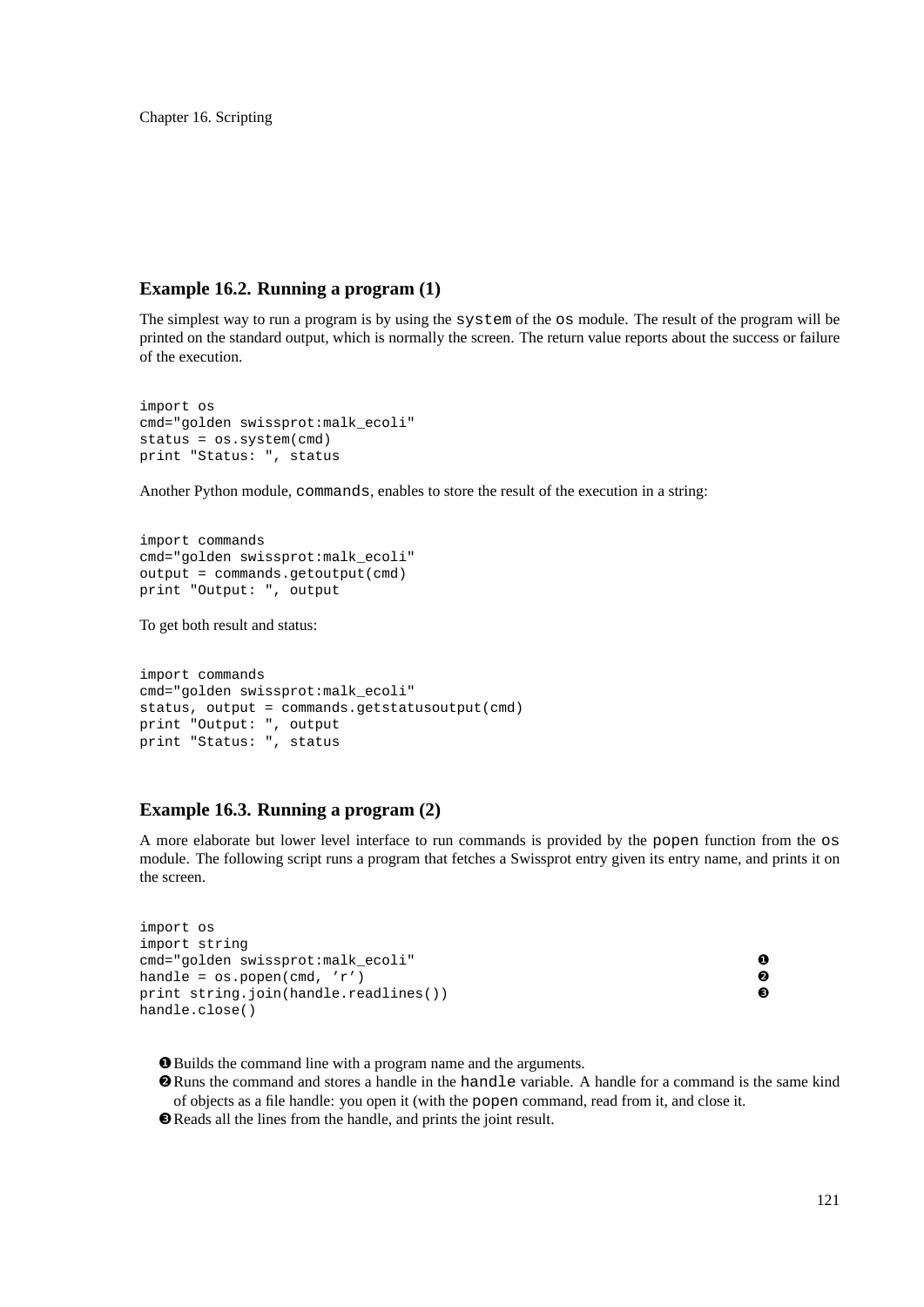Chapter 16. Scripting

#### **Example 16.2. Running a program (1)**

The simplest way to run a program is by using the system of the os module. The result of the program will be printed on the standard output, which is normally the screen. The return value reports about the success or failure of the execution.

```
import os
cmd="golden swissprot:malk_ecoli"
status = os.system(cmd)
print "Status: ", status
```
Another Python module, commands, enables to store the result of the execution in a string:

```
import commands
cmd="golden swissprot:malk_ecoli"
output = commands.getoutput(cmd)
print "Output: ", output
```
To get both result and status:

```
import commands
cmd="golden swissprot:malk_ecoli"
status, output = commands.getstatusoutput(cmd)
print "Output: ", output
print "Status: ", status
```
### **Example 16.3. Running a program (2)**

A more elaborate but lower level interface to run commands is provided by the popen function from the os module. The following script runs a program that fetches a Swissprot entry given its entry name, and prints it on the screen.

| import os                             |   |
|---------------------------------------|---|
| import string                         |   |
| cmd="golden swissprot:malk ecoli"     | 0 |
| handle = $os.popen(cmd, 'r')$         | ❷ |
| print string.join(handle.readlines()) | ❸ |
| handle.close()                        |   |

❶ Builds the command line with a program name and the arguments.

- ❷ Runs the command and stores a handle in the handle variable. A handle for a command is the same kind of objects as a file handle: you open it (with the popen command, read from it, and close it.
- ❸ Reads all the lines from the handle, and prints the joint result.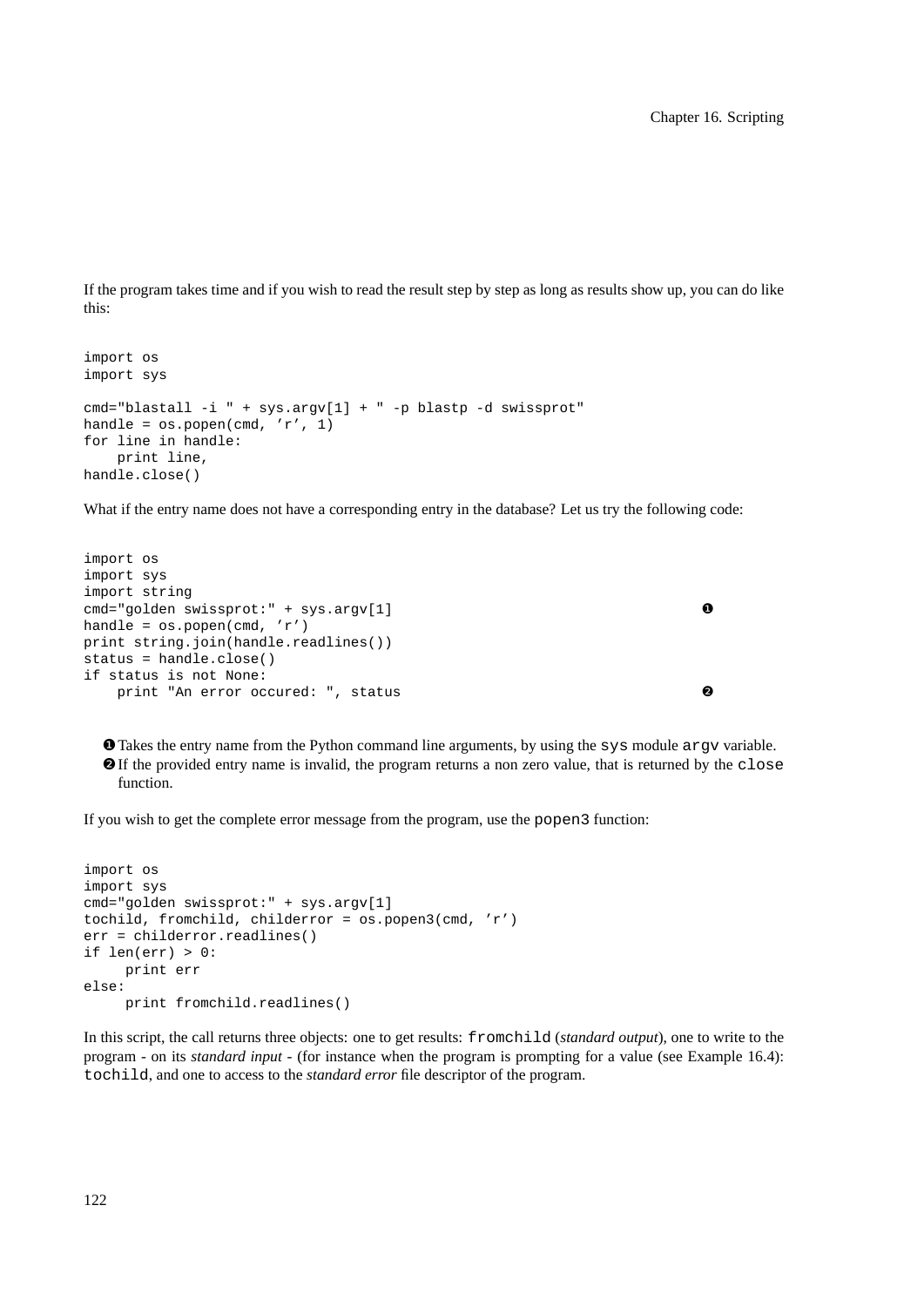If the program takes time and if you wish to read the result step by step as long as results show up, you can do like this:

```
import os
import sys
cmd="blastall -i " + sys.argv[1] + " -p blastp -d swissprot"
handle = os.popen(cmd, 'r', 1)
for line in handle:
   print line,
handle.close()
```
What if the entry name does not have a corresponding entry in the database? Let us try the following code:

```
import os
import sys
import string
cmd="golden swissprot:" + sys.argv[1] 0
handle = os.popen(cmd, 'r')
print string.join(handle.readlines())
status = handle.close()
if status is not None:
  print "An error occured: ", status ❷
```
❶ Takes the entry name from the Python command line arguments, by using the sys module argv variable. ❷ If the provided entry name is invalid, the program returns a non zero value, that is returned by the close function.

If you wish to get the complete error message from the program, use the popen3 function:

```
import os
import sys
cmd="golden swissprot:" + sys.argv[1]
tochild, fromchild, childerror = os.popen3(cmd, 'r')
err = childerror.readlines()
if len(err) > 0:
    print err
else:
     print fromchild.readlines()
```
<span id="page-135-0"></span>In this script, the call returns three objects: one to get results: fromchild (*standard output*), one to write to the program - on its *standard input* - (for instance when the program is prompting for a value (see [Example 16.4\)](#page-135-0): tochild, and one to access to the *standard error* file descriptor of the program.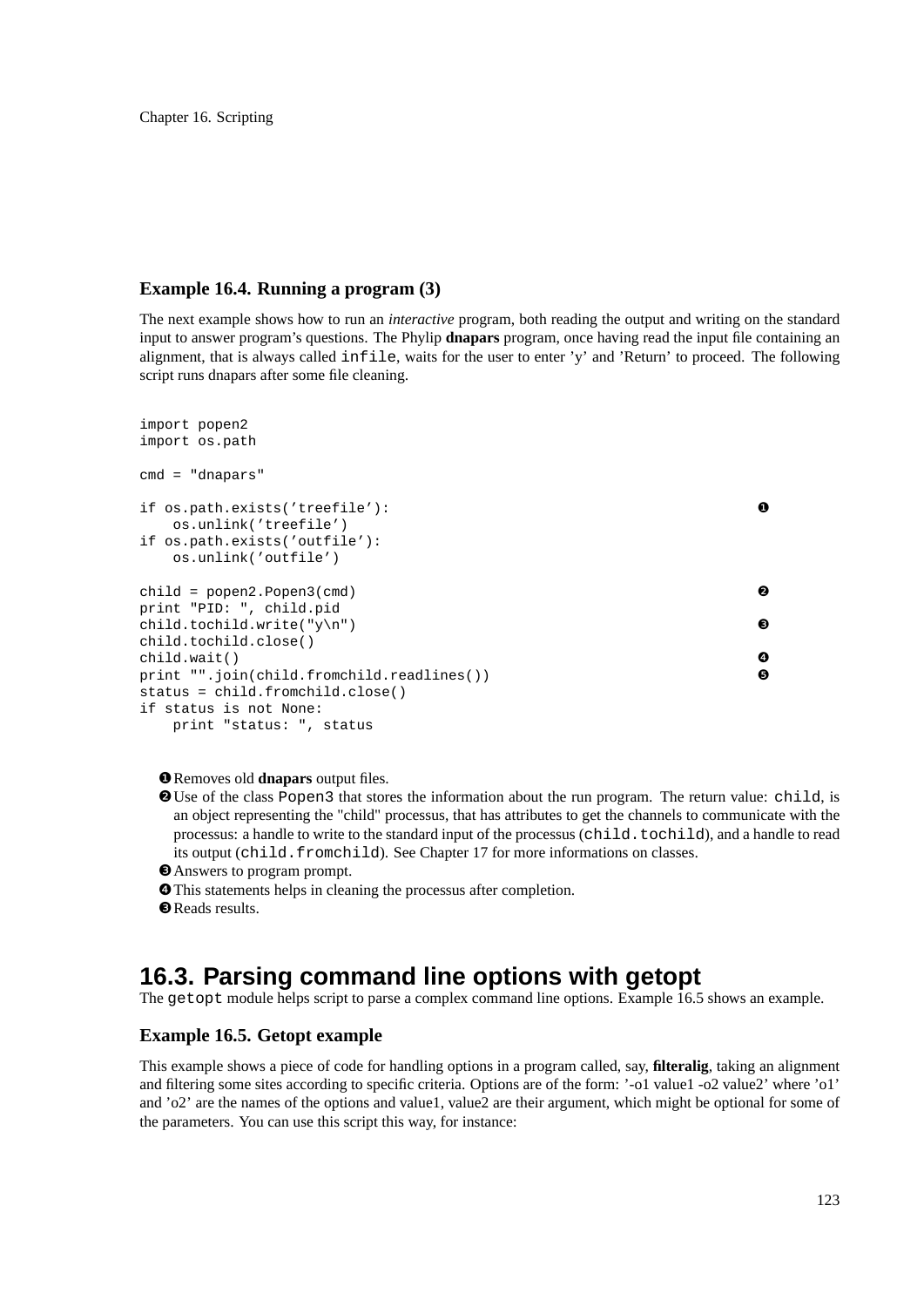#### **Example 16.4. Running a program (3)**

The next example shows how to run an *interactive* program, both reading the output and writing on the standard input to answer program's questions. The Phylip **dnapars** program, once having read the input file containing an alignment, that is always called infile, waits for the user to enter 'y' and 'Return' to proceed. The following script runs dnapars after some file cleaning.

```
import popen2
import os.path
cmd = "dnapars"
if os.path.exists('treefile'): ❶
  os.unlink('treefile')
if os.path.exists('outfile'):
  os.unlink('outfile')
child = popen2.Popen3(cmd) ❷
print "PID: ", child.pid
child.tochild.write("y\n") ❸
child.tochild.close()
child.wait() O
print "".join(child.fromchild.readlines()) ❺
status = child.fromchild.close()
if status is not None:
  print "status: ", status
```
❶ Removes old **dnapars** output files.

- ❷ Use of the class Popen3 that stores the information about the run program. The return value: child, is an object representing the "child" processus, that has attributes to get the channels to communicate with the processus: a handle to write to the standard input of the processus (child.tochild), and a handle to read its output (child.fromchild). See [Chapter 17](#page-148-0) for more informations on classes.
- ❸ Answers to program prompt.
- ❹ This statements helps in cleaning the processus after completion.
- ❸ Reads results.

### **16.3. Parsing command line options with getopt**

<span id="page-136-0"></span>The getopt module helps script to parse a complex command line options. [Example 16.5](#page-136-0) shows an example.

#### **Example 16.5. Getopt example**

This example shows a piece of code for handling options in a program called, say, **filteralig**, taking an alignment and filtering some sites according to specific criteria. Options are of the form: '-o1 value1 -o2 value2' where 'o1' and 'o2' are the names of the options and value1, value2 are their argument, which might be optional for some of the parameters. You can use this script this way, for instance: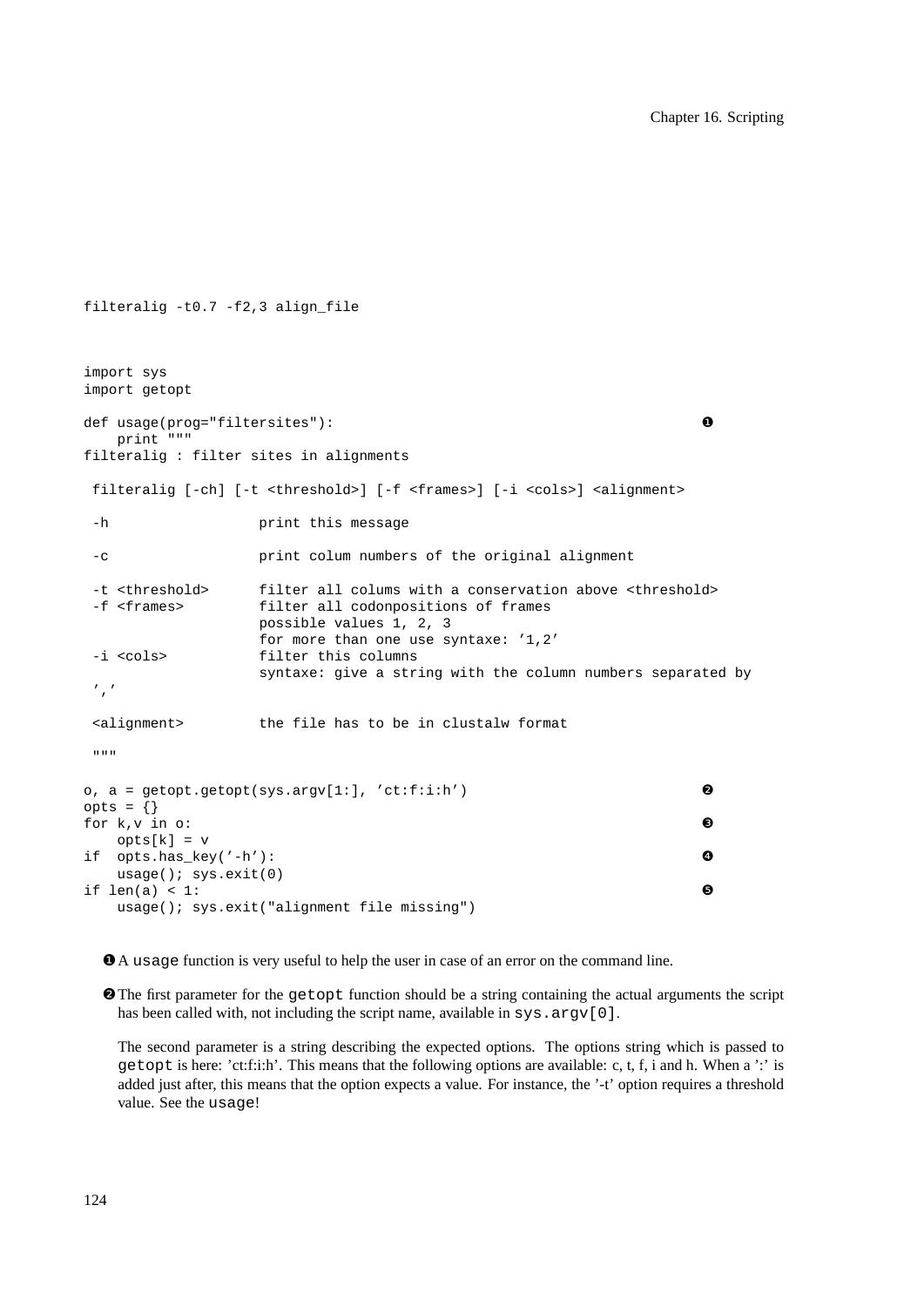```
import sys
import getopt
def usage(prog="filtersites"): ❶
  print """
filteralig : filter sites in alignments
filteralig [-ch] [-t <threshold>] [-f <frames>] [-i <cols>] <alignment>
-h print this message
-c print colum numbers of the original alignment
-t <threshold> filter all colums with a conservation above <threshold>
-f <frames> filter all codonpositions of frames
                possible values 1, 2, 3
                for more than one use syntaxe: '1,2'
-i <cols> filter this columns
               syntaxe: give a string with the column numbers separated by
\mathcal{L}<sub>i</sub>\mathcal{L}<alignment> the file has to be in clustalw format
.<br>" " "
o, a = getopt.getopt(sys.argv[1:], 'ct:f:i:h') <br>
\bulletopts = \{\}for k,v in o: ❸
  opts[k] = vif opts.has_key('-h'): \bulletusage(); sys.exit(0)
if len(a) < 1: \qquad \qquad \bulletusage(); sys.exit("alignment file missing")
```
filteralig -t0.7 -f2,3 align\_file

❶ A usage function is very useful to help the user in case of an error on the command line.

❷ The first parameter for the getopt function should be a string containing the actual arguments the script has been called with, not including the script name, available in sys.argv[0].

The second parameter is a string describing the expected options. The options string which is passed to getopt is here: 'ct:f:i:h'. This means that the following options are available: c, t, f, i and h. When a ':' is added just after, this means that the option expects a value. For instance, the '-t' option requires a threshold value. See the usage!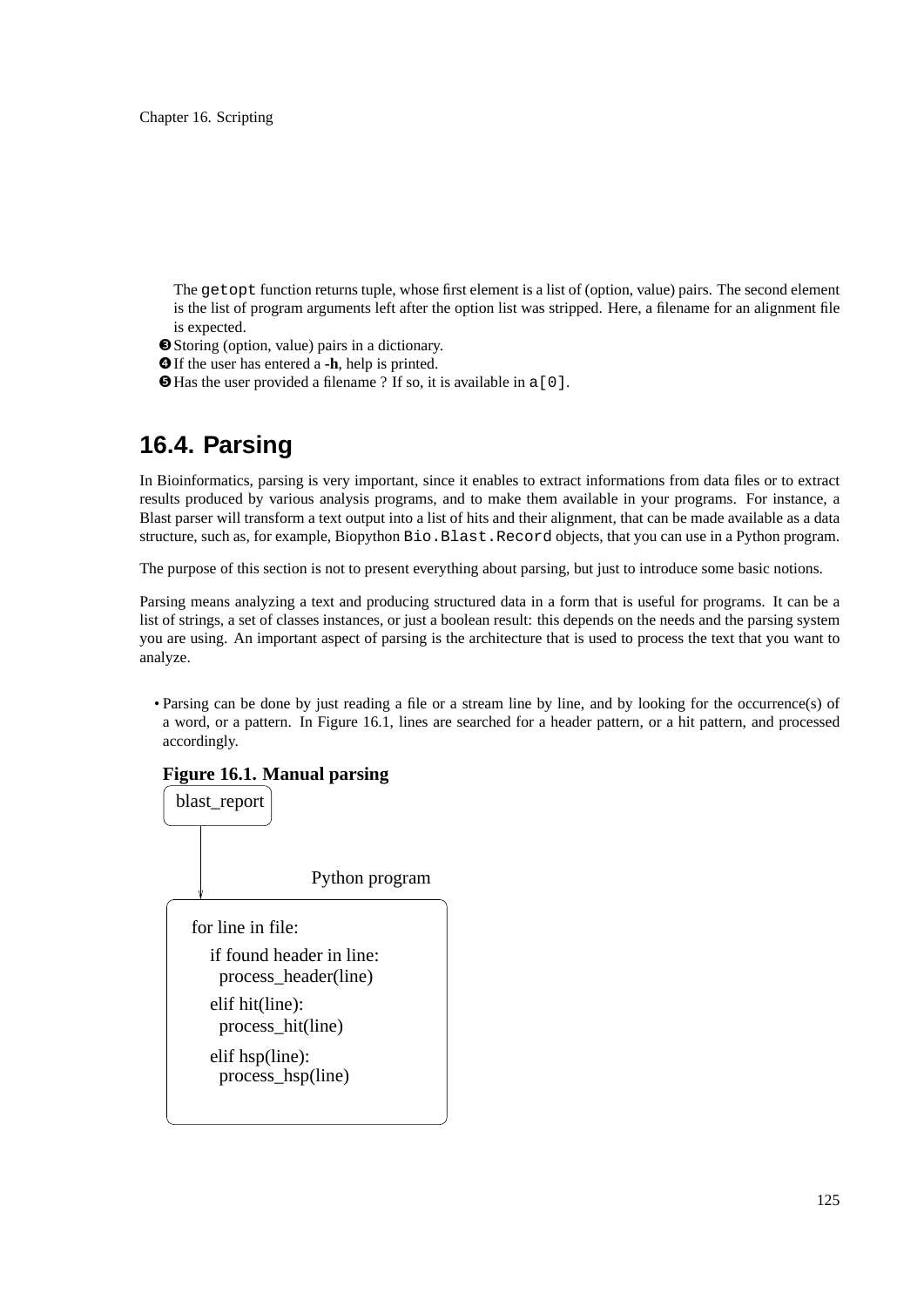The getopt function returns tuple, whose first element is a list of (option, value) pairs. The second element is the list of program arguments left after the option list was stripped. Here, a filename for an alignment file is expected.

❸ Storing (option, value) pairs in a dictionary.

❹ If the user has entered a **-h**, help is printed.

❺ Has the user provided a filename ? If so, it is available in a[0].

## **16.4. Parsing**

In Bioinformatics, parsing is very important, since it enables to extract informations from data files or to extract results produced by various analysis programs, and to make them available in your programs. For instance, a Blast parser will transform a text output into a list of hits and their alignment, that can be made available as a data structure, such as, for example, Biopython Bio.Blast.Record objects, that you can use in a Python program.

The purpose of this section is not to present everything about parsing, but just to introduce some basic notions.

Parsing means analyzing a text and producing structured data in a form that is useful for programs. It can be a list of strings, a set of classes instances, or just a boolean result: this depends on the needs and the parsing system you are using. An important aspect of parsing is the architecture that is used to process the text that you want to analyze.

• Parsing can be done by just reading a file or a stream line by line, and by looking for the occurrence(s) of a word, or a pattern. In [Figure 16.1,](#page-138-0) lines are searched for a header pattern, or a hit pattern, and processed accordingly.



#### <span id="page-138-0"></span>**Figure 16.1. Manual parsing**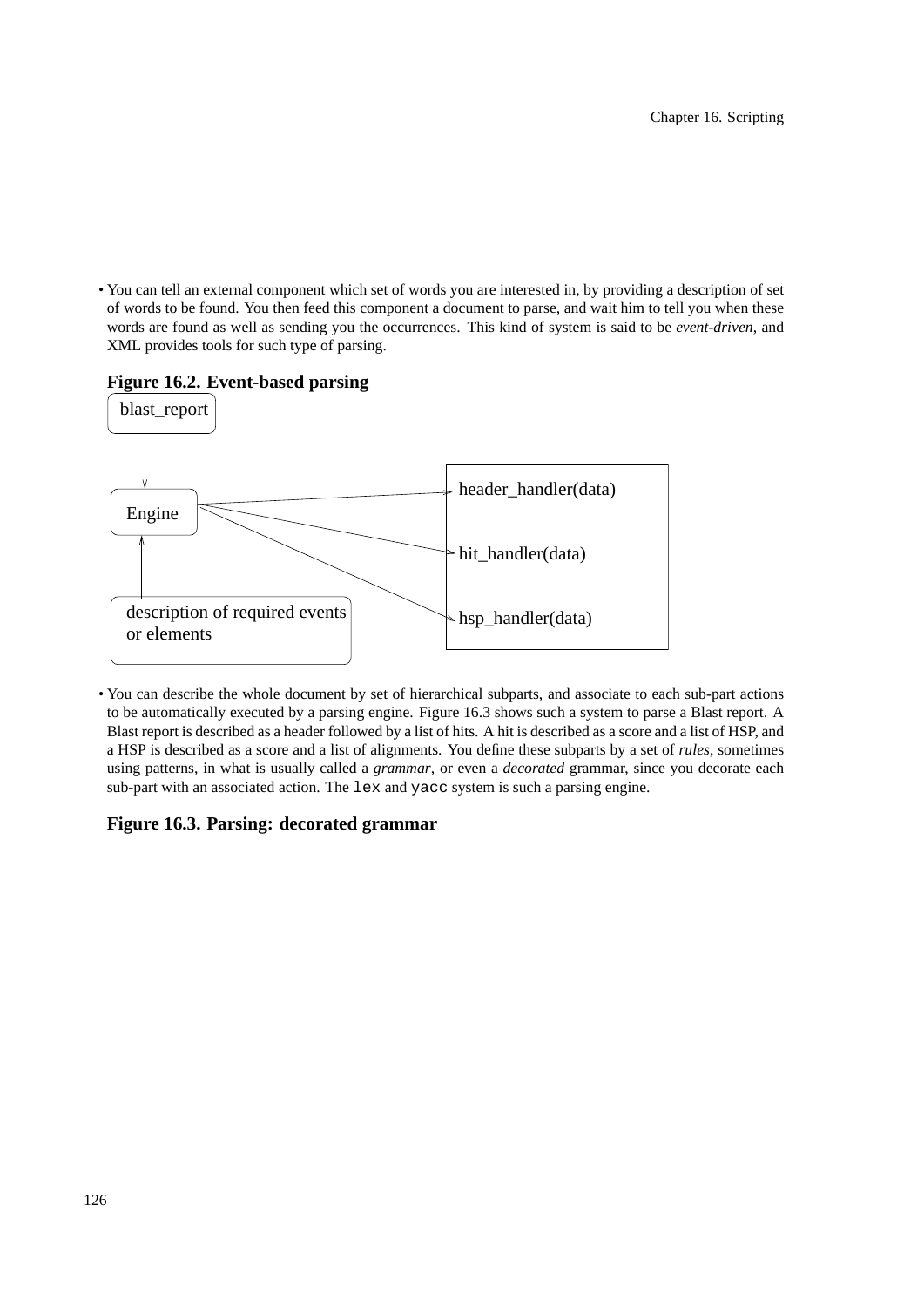• You can tell an external component which set of words you are interested in, by providing a description of set of words to be found. You then feed this component a document to parse, and wait him to tell you when these words are found as well as sending you the occurrences. This kind of system is said to be *event-driven*, and XML provides tools for such type of parsing.



### **Figure 16.2. Event-based parsing**

• You can describe the whole document by set of hierarchical subparts, and associate to each sub-part actions to be automatically executed by a parsing engine. [Figure 16.3](#page-139-0) shows such a system to parse a Blast report. A Blast report is described as a header followed by a list of hits. A hit is described as a score and a list of HSP, and a HSP is described as a score and a list of alignments. You define these subparts by a set of *rules*, sometimes using patterns, in what is usually called a *grammar*, or even a *decorated* grammar, since you decorate each sub-part with an associated action. The lex and yacc system is such a parsing engine.

### <span id="page-139-0"></span>**Figure 16.3. Parsing: decorated grammar**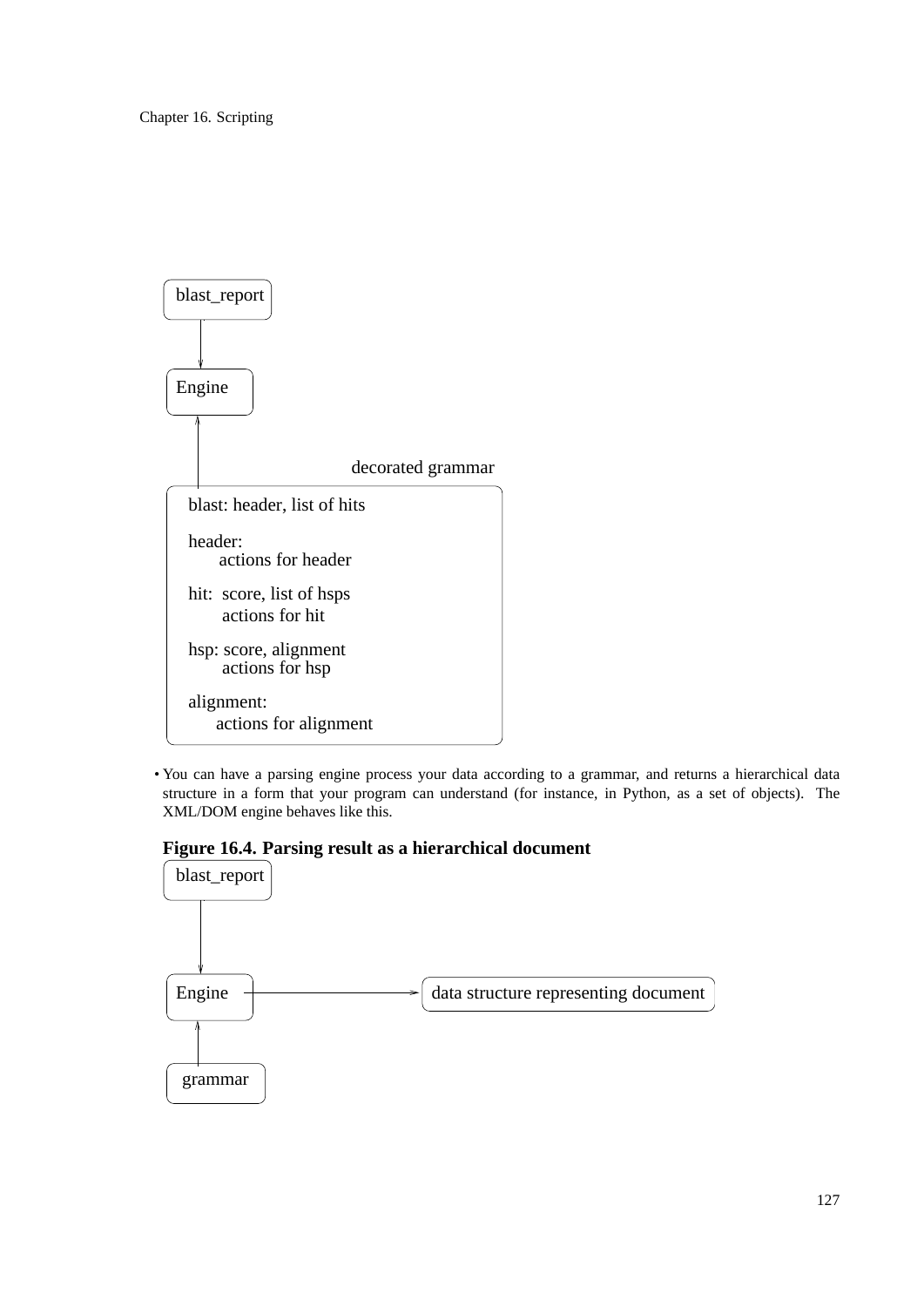

• You can have a parsing engine process your data according to a grammar, and returns a hierarchical data structure in a form that your program can understand (for instance, in Python, as a set of objects). The XML/DOM engine behaves like this.



**Figure 16.4. Parsing result as a hierarchical document**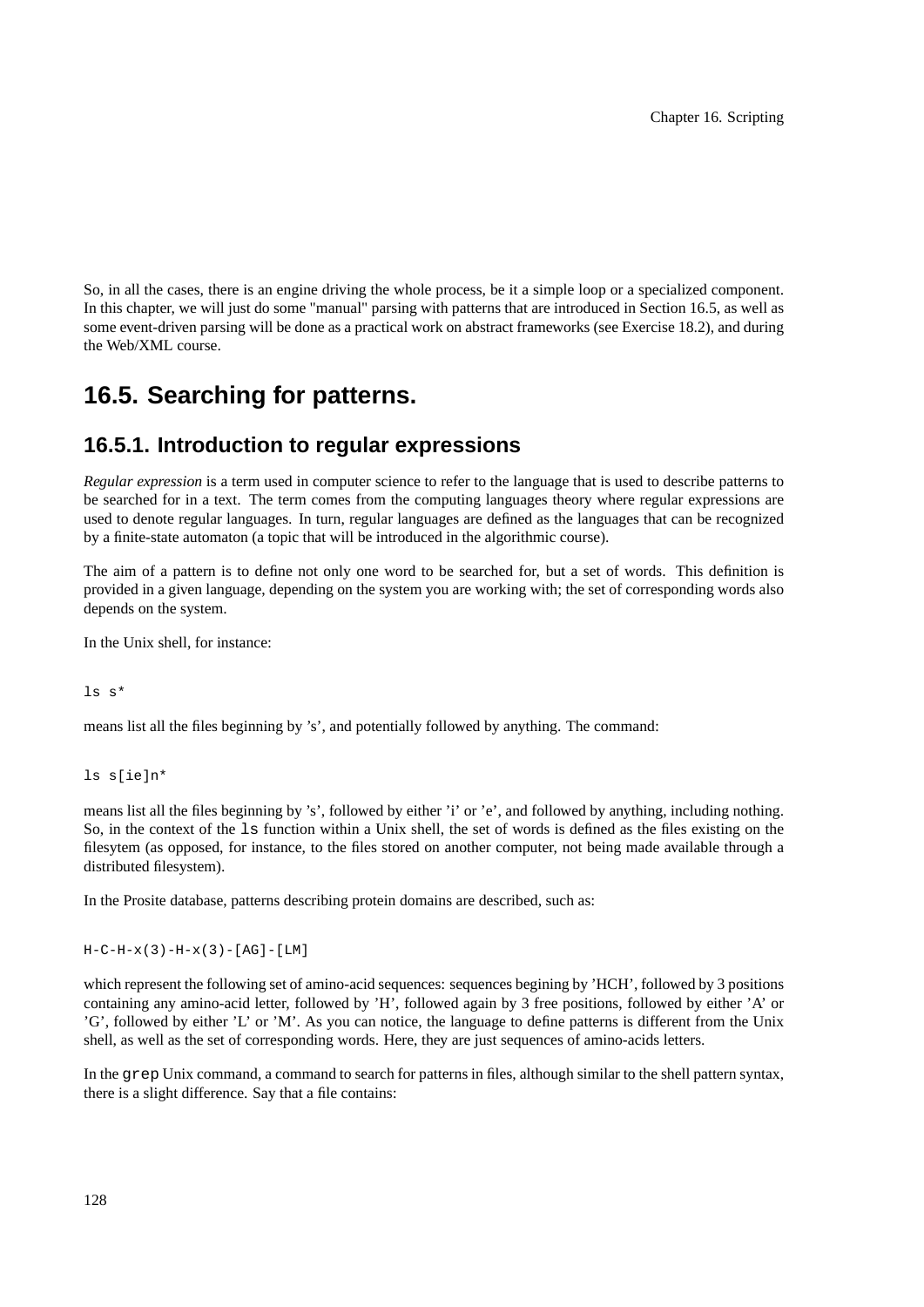So, in all the cases, there is an engine driving the whole process, be it a simple loop or a specialized component. In this chapter, we will just do some "manual" parsing with patterns that are introduced in [Section 16.5,](#page-141-0) as well as some event-driven parsing will be done as a practical work on abstract frameworks (see [Exercise 18.2\)](#page-186-0), and during the Web/XML course.

## <span id="page-141-0"></span>**16.5. Searching for patterns.**

### **16.5.1. Introduction to regular expressions**

*Regular expression* is a term used in computer science to refer to the language that is used to describe patterns to be searched for in a text. The term comes from the computing languages theory where regular expressions are used to denote regular languages. In turn, regular languages are defined as the languages that can be recognized by a finite-state automaton (a topic that will be introduced in the algorithmic course).

The aim of a pattern is to define not only one word to be searched for, but a set of words. This definition is provided in a given language, depending on the system you are working with; the set of corresponding words also depends on the system.

In the Unix shell, for instance:

ls s\*

means list all the files beginning by 's', and potentially followed by anything. The command:

ls s[ie]n\*

means list all the files beginning by 's', followed by either 'i' or 'e', and followed by anything, including nothing. So, in the context of the ls function within a Unix shell, the set of words is defined as the files existing on the filesytem (as opposed, for instance, to the files stored on another computer, not being made available through a distributed filesystem).

In the Prosite database, patterns describing protein domains are described, such as:

 $H-C-H-x(3)-H-x(3)-[AG]-[LM]$ 

which represent the following set of amino-acid sequences: sequences begining by 'HCH', followed by 3 positions containing any amino-acid letter, followed by 'H', followed again by 3 free positions, followed by either 'A' or 'G', followed by either 'L' or 'M'. As you can notice, the language to define patterns is different from the Unix shell, as well as the set of corresponding words. Here, they are just sequences of amino-acids letters.

In the grep Unix command, a command to search for patterns in files, although similar to the shell pattern syntax, there is a slight difference. Say that a file contains: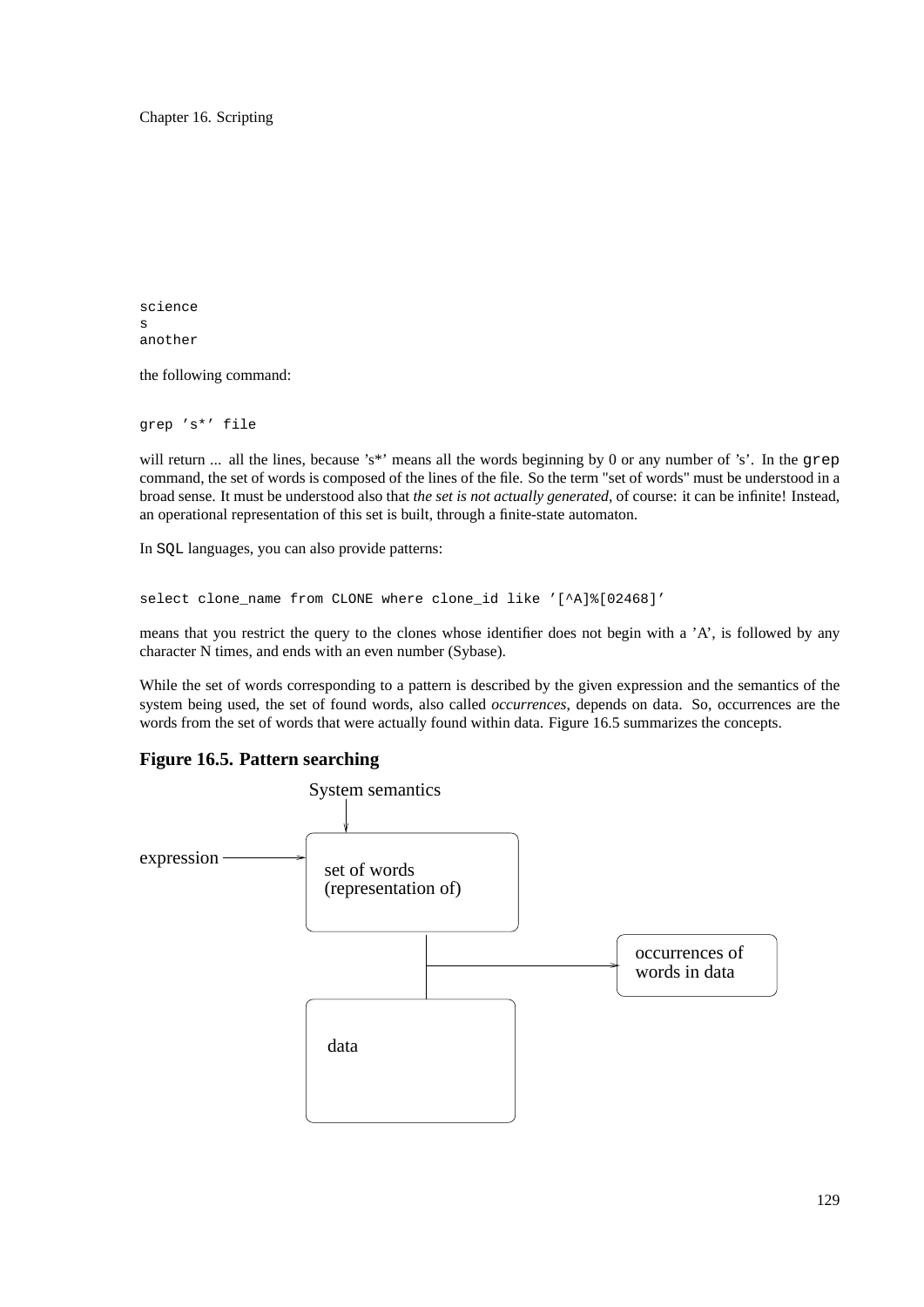```
science
s
another
```
the following command:

grep 's\*' file

will return ... all the lines, because 's\*' means all the words beginning by 0 or any number of 's'. In the grep command, the set of words is composed of the lines of the file. So the term "set of words" must be understood in a broad sense. It must be understood also that *the set is not actually generated*, of course: it can be infinite! Instead, an operational representation of this set is built, through a finite-state automaton.

In SQL languages, you can also provide patterns:

select clone\_name from CLONE where clone\_id like '[^A]%[02468]'

means that you restrict the query to the clones whose identifier does not begin with a 'A', is followed by any character N times, and ends with an even number (Sybase).

While the set of words corresponding to a pattern is described by the given expression and the semantics of the system being used, the set of found words, also called *occurrences*, depends on data. So, occurrences are the words from the set of words that were actually found within data. [Figure 16.5](#page-142-0) summarizes the concepts.

#### <span id="page-142-0"></span>**Figure 16.5. Pattern searching**

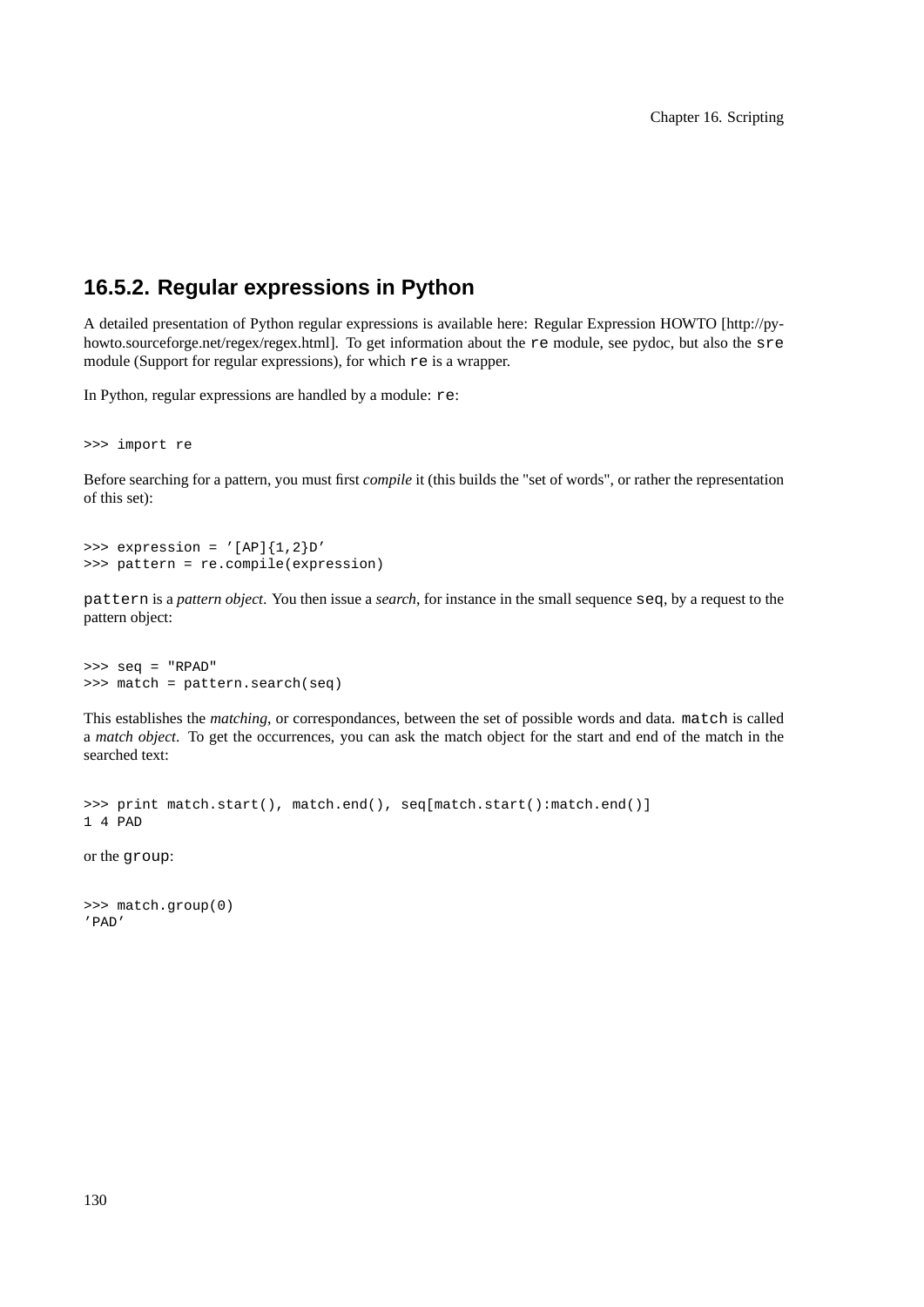### **16.5.2. Regular expressions in Python**

A detailed presentation of Python regular expressions is available here: [Regular Expression HOWTO](http://py-howto.sourceforge.net/regex/regex.html) [http://pyhowto.sourceforge.net/regex/regex.html]. To get information about the re module, see pydoc, but also the sre module (Support for regular expressions), for which re is a wrapper.

In Python, regular expressions are handled by a module: re:

>>> import re

Before searching for a pattern, you must first *compile* it (this builds the "set of words", or rather the representation of this set):

```
>>> expression = '[AP]{1,2}D'
>>> pattern = re.compile(expression)
```
pattern is a *pattern object*. You then issue a *search*, for instance in the small sequence seq, by a request to the pattern object:

```
>>> seq = "RPAD"
>>> match = pattern.search(seq)
```
This establishes the *matching*, or correspondances, between the set of possible words and data. match is called a *match object*. To get the occurrences, you can ask the match object for the start and end of the match in the searched text:

```
>>> print match.start(), match.end(), seq[match.start():match.end()]
1 4 PAD
```
or the group:

```
>>> match.group(0)
'PAD'
```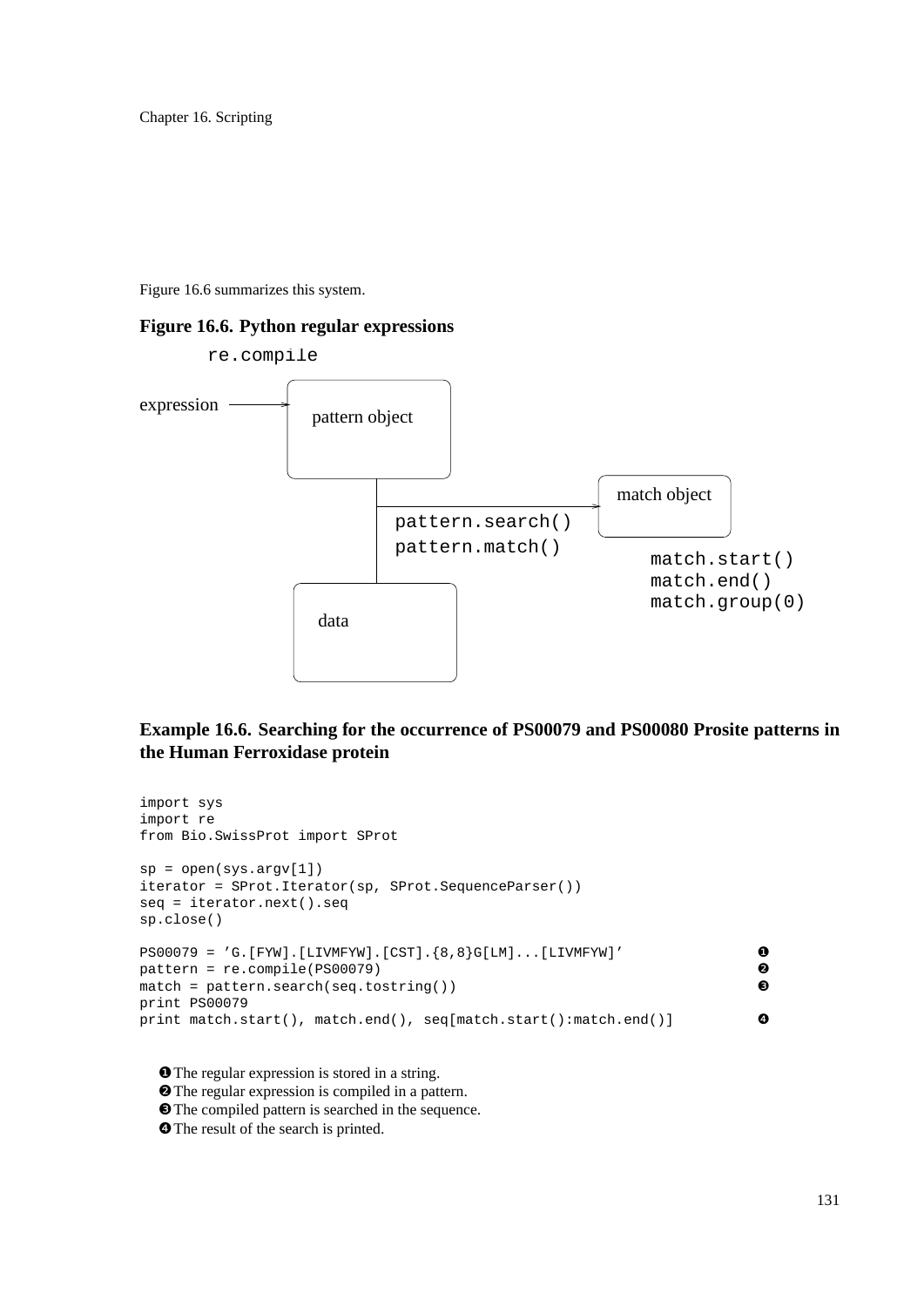Chapter 16. Scripting

<span id="page-144-0"></span>[Figure 16.6](#page-144-0) summarizes this system.

#### **Figure 16.6. Python regular expressions**



**Example 16.6. Searching for the occurrence of PS00079 and PS00080 Prosite patterns in the Human Ferroxidase protein**

```
import sys
import re
from Bio.SwissProt import SProt
sp = open(sys.argv[1])iterator = SProt.Iterator(sp, SProt.SequenceParser())
seq = iterator.next().seq
sp.close()
PS00079 = 'G.[FYW].[LIVMFYW].[CST].{8,8}G[LM]...[LIVMFYW]' ❶
pattern = re.compile(PS00079) ❷
match = pattern.search(seq.tostring()) ❸
print PS00079
print match.start(), match.end(), seq[match.start():match.end()] \qquad \qquad \bullet
```
- ❶ The regular expression is stored in a string.
- ❷ The regular expression is compiled in a pattern.
- ❸ The compiled pattern is searched in the sequence.
- ❹ The result of the search is printed.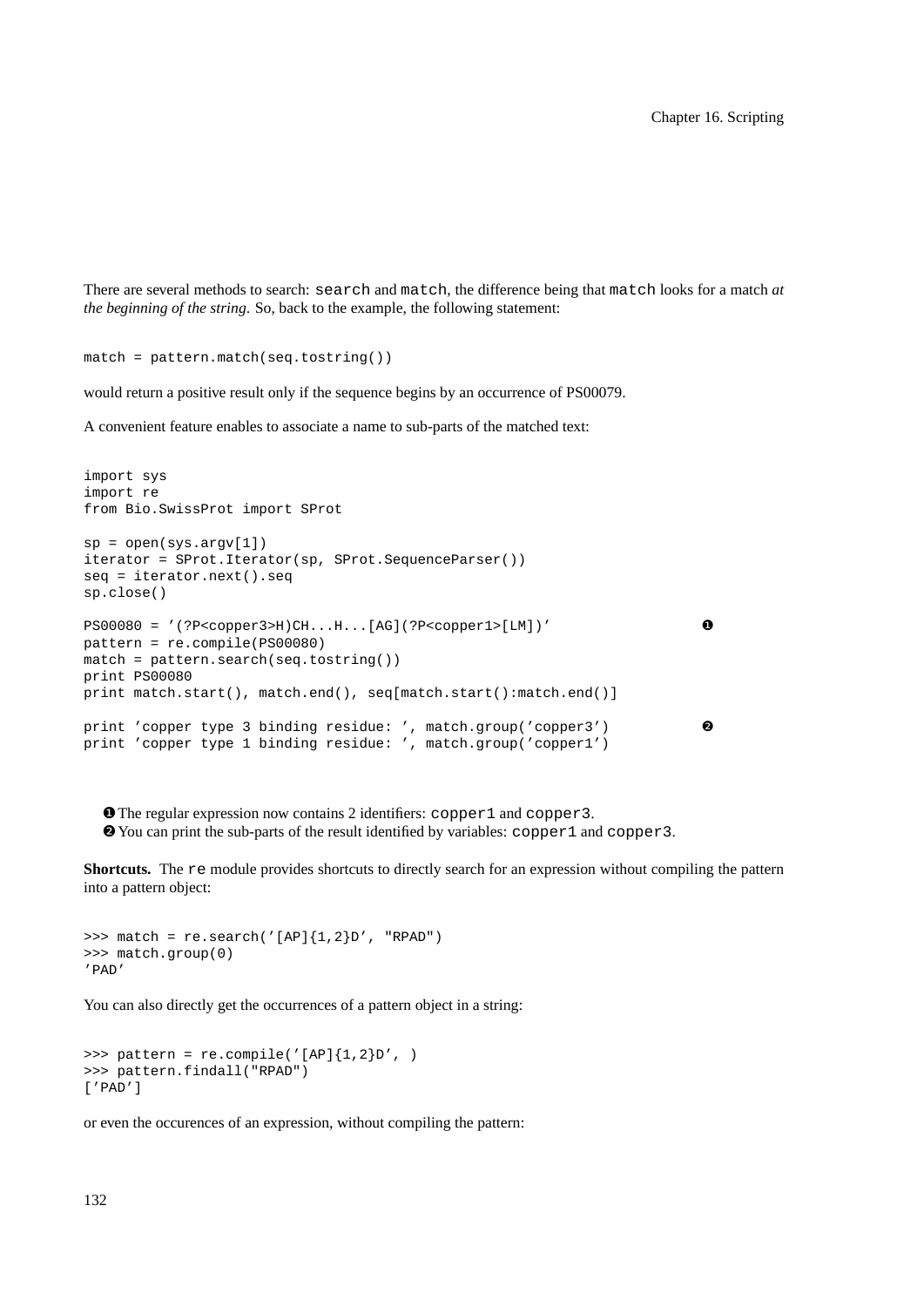There are several methods to search: search and match, the difference being that match looks for a match *at the beginning of the string*. So, back to the example, the following statement:

match = pattern.match(seq.tostring())

would return a positive result only if the sequence begins by an occurrence of PS00079.

A convenient feature enables to associate a name to sub-parts of the matched text:

```
import sys
import re
from Bio.SwissProt import SProt
sp = open(sys.argv[1])iterator = SProt.Iterator(sp, SProt.SequenceParser())
seq = iterator.next().seq
sp.close()
PS00080 = '(?P<copper3>H)CH...H...[AG](?P<copper1>[LM])' \bulletpattern = re.compile(PS00080)
match = pattern.search(seq.tostring())
print PS00080
print match.start(), match.end(), seq[match.start():match.end()]
print 'copper type 3 binding residue: ', match.group('copper3') ❷
print 'copper type 1 binding residue: ', match.group('copper1')
```
❶ The regular expression now contains 2 identifiers: copper1 and copper3. ❷ You can print the sub-parts of the result identified by variables: copper1 and copper3.

**Shortcuts.** The re module provides shortcuts to directly search for an expression without compiling the pattern into a pattern object:

```
>>> match = re.search('[AP]\{1,2\}D', "RPAD")
>>> match.group(0)
'PAD'
```
You can also directly get the occurrences of a pattern object in a string:

```
>>> pattern = re.compile('[AP]{1,2}D',)
>>> pattern.findall("RPAD")
['PAD']
```
or even the occurences of an expression, without compiling the pattern: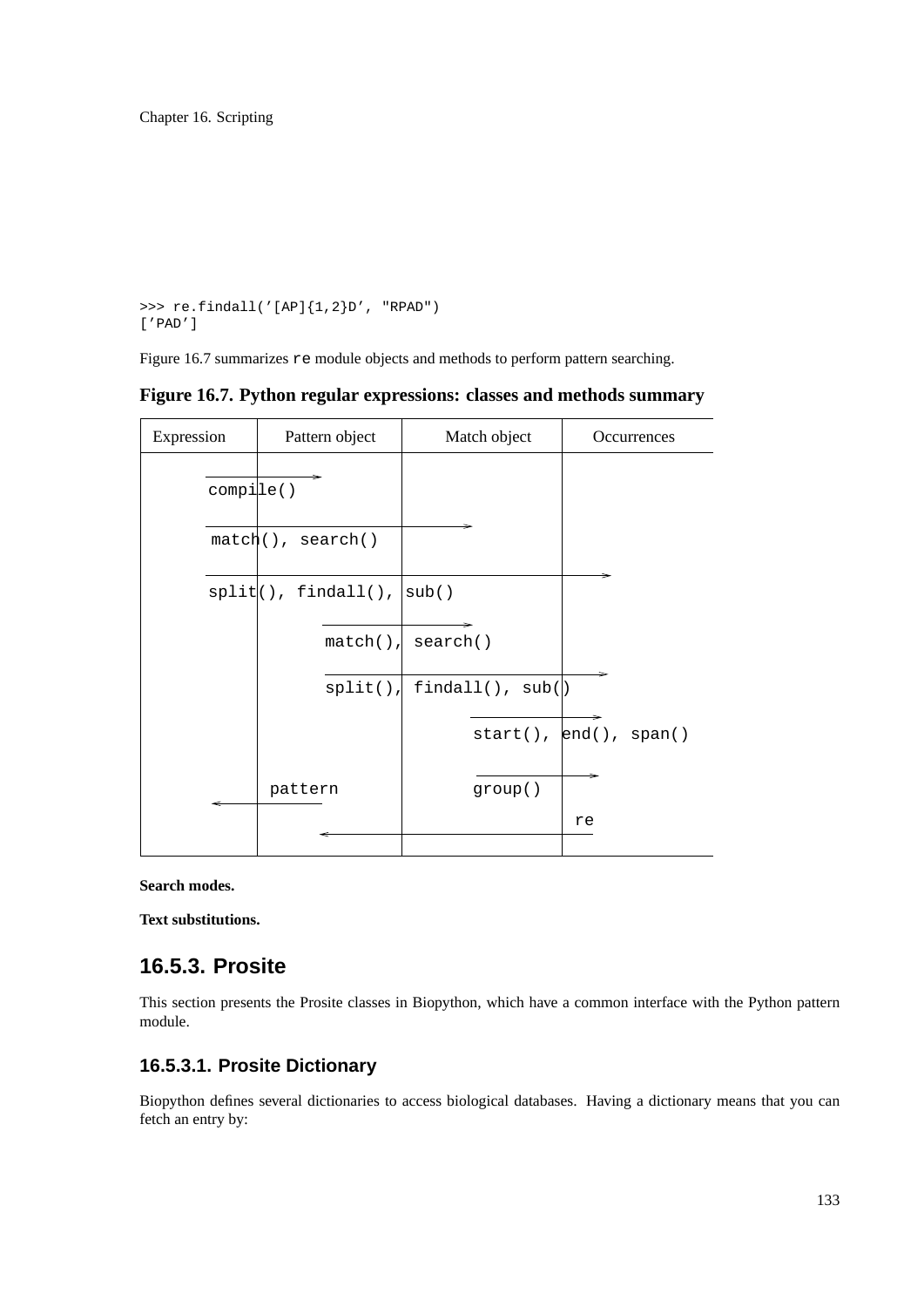```
>>> re.findall('[AP]{1,2}D', "RPAD")
['PAD']
```
<span id="page-146-0"></span>[Figure 16.7](#page-146-0) summarizes re module objects and methods to perform pattern searching.

| Expression | Pattern object                 | Match object                      | Occurrences                    |
|------------|--------------------------------|-----------------------------------|--------------------------------|
| compile()  |                                |                                   |                                |
|            | $match()$ , search $()$        |                                   |                                |
|            | $split()$ , findall(), $sub()$ |                                   |                                |
|            |                                | $match()$ , search $()$           |                                |
|            |                                | $split()$ , $findall()$ , $sub()$ |                                |
|            |                                |                                   | $start()$ , $end()$ , $span()$ |
|            | pattern                        | group()                           |                                |
|            |                                |                                   | re                             |

**Figure 16.7. Python regular expressions: classes and methods summary**

**Search modes.**

**Text substitutions.**

## **16.5.3. Prosite**

This section presents the Prosite classes in Biopython, which have a common interface with the Python pattern module.

#### **16.5.3.1. Prosite Dictionary**

Biopython defines several dictionaries to access biological databases. Having a dictionary means that you can fetch an entry by: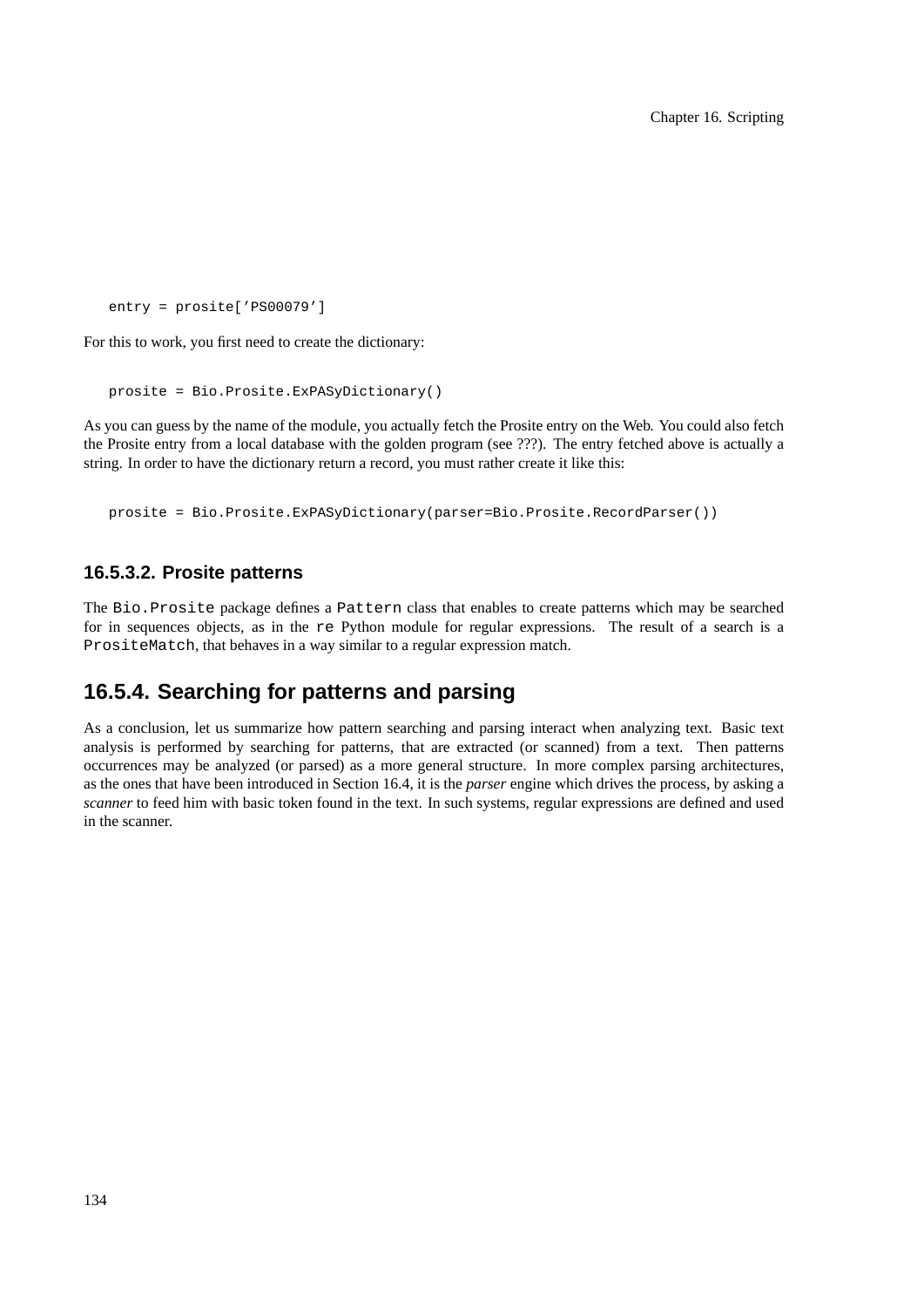```
entry = prosite['PS00079']
```
For this to work, you first need to create the dictionary:

```
prosite = Bio.Prosite.ExPASyDictionary()
```
As you can guess by the name of the module, you actually fetch the Prosite entry on the Web. You could also fetch the Prosite entry from a local database with the golden program (see ???). The entry fetched above is actually a string. In order to have the dictionary return a record, you must rather create it like this:

prosite = Bio.Prosite.ExPASyDictionary(parser=Bio.Prosite.RecordParser())

#### **16.5.3.2. Prosite patterns**

The Bio. Prosite package defines a Pattern class that enables to create patterns which may be searched for in sequences objects, as in the re Python module for regular expressions. The result of a search is a PrositeMatch, that behaves in a way similar to a regular expression match.

## **16.5.4. Searching for patterns and parsing**

As a conclusion, let us summarize how pattern searching and parsing interact when analyzing text. Basic text analysis is performed by searching for patterns, that are extracted (or scanned) from a text. Then patterns occurrences may be analyzed (or parsed) as a more general structure. In more complex parsing architectures, as the ones that have been introduced in [Section 16.4,](#page-138-0) it is the *parser* engine which drives the process, by asking a *scanner* to feed him with basic token found in the text. In such systems, regular expressions are defined and used in the scanner.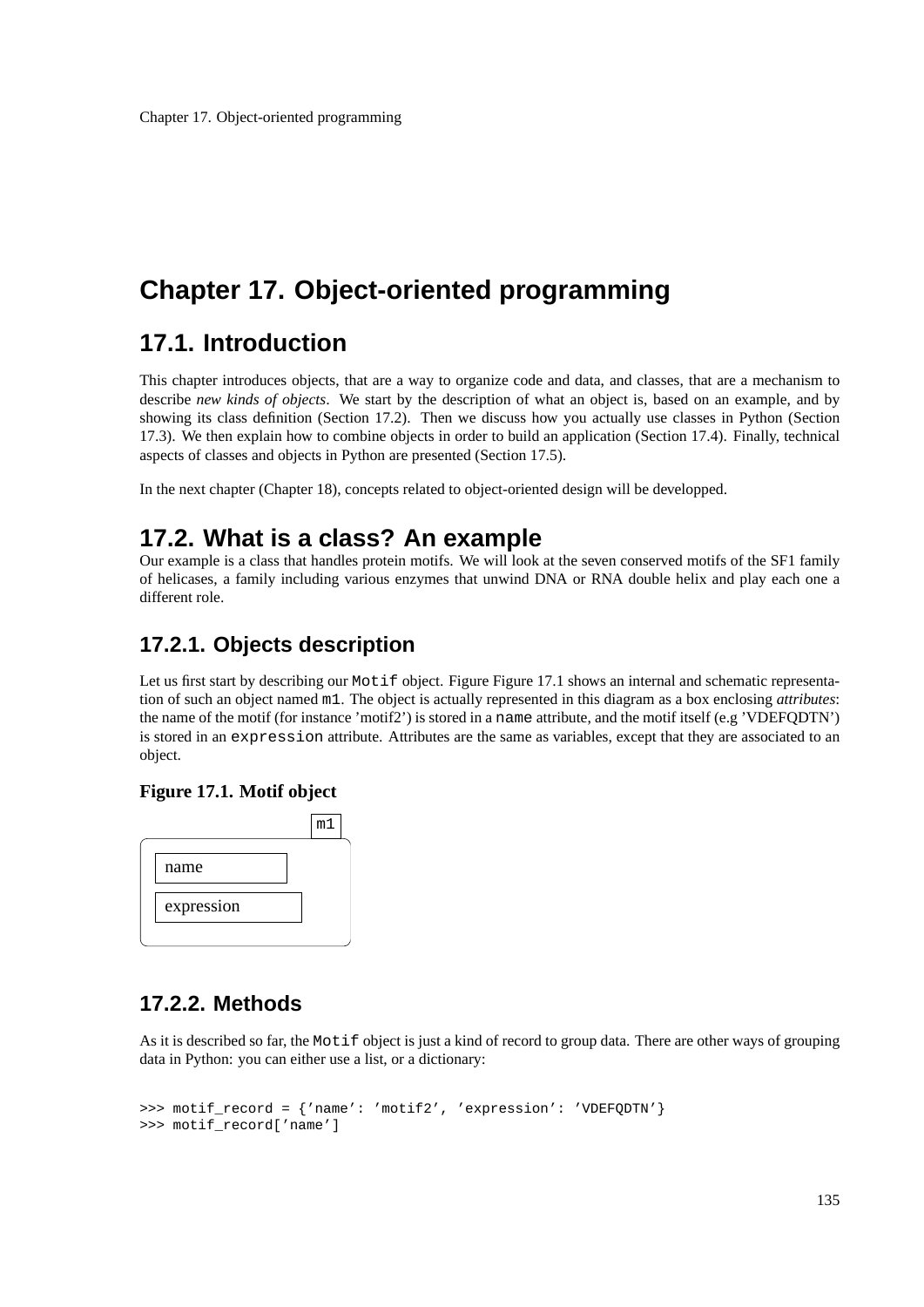# <span id="page-148-2"></span>**Chapter 17. Object-oriented programming**

## **17.1. Introduction**

This chapter introduces objects, that are a way to organize code and data, and classes, that are a mechanism to describe *new kinds of objects*. We start by the description of what an object is, based on an example, and by showing its class definition [\(Section 17.2\)](#page-148-0). Then we discuss how you actually use classes in Python [\(Section](#page-151-0) [17.3\)](#page-151-0). We then explain how to combine objects in order to build an application [\(Section 17.4\)](#page-153-0). Finally, technical aspects of classes and objects in Python are presented [\(Section 17.5\)](#page-157-0).

<span id="page-148-0"></span>In the next chapter [\(Chapter 18\)](#page-166-0), concepts related to object-oriented design will be developped.

# **17.2. What is a class? An example**

Our example is a class that handles protein motifs. We will look at the seven conserved motifs of the SF1 family of helicases, a family including various enzymes that unwind DNA or RNA double helix and play each one a different role.

## **17.2.1. Objects description**

Let us first start by describing our Motif object. Figure [Figure 17.1](#page-148-1) shows an internal and schematic representation of such an object named m1. The object is actually represented in this diagram as a box enclosing *attributes*: the name of the motif (for instance 'motif2') is stored in a name attribute, and the motif itself (e.g 'VDEFQDTN') is stored in an expression attribute. Attributes are the same as variables, except that they are associated to an object.

#### <span id="page-148-1"></span>**Figure 17.1. Motif object**



### **17.2.2. Methods**

As it is described so far, the Motif object is just a kind of record to group data. There are other ways of grouping data in Python: you can either use a list, or a dictionary:

```
>>> motif_record = {'name': 'motif2', 'expression': 'VDEFQDTN'}
>>> motif_record['name']
```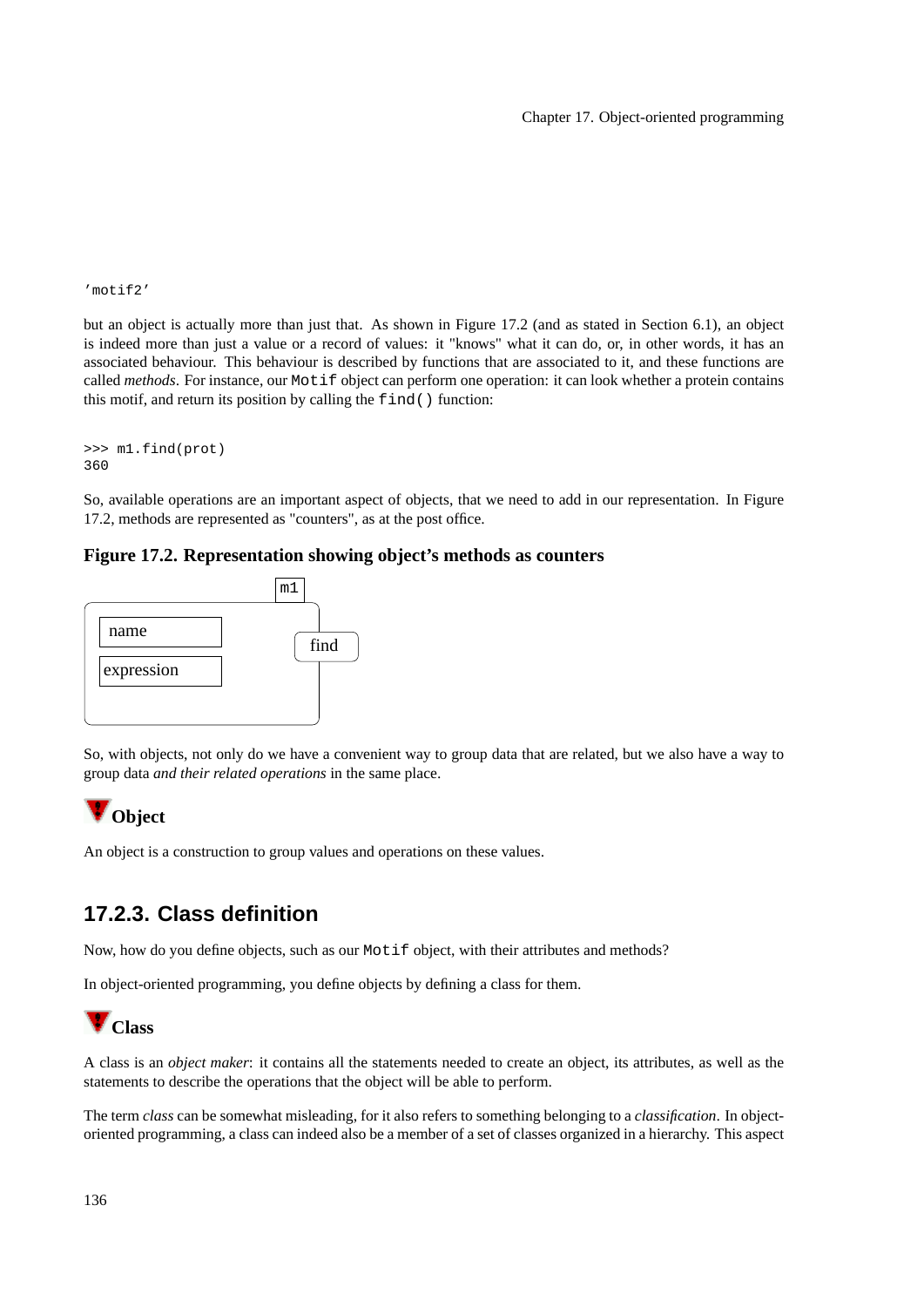#### $'m$ otif2'

but an object is actually more than just that. As shown in [Figure 17.2](#page-149-0) (and as stated in [Section 6.1\)](#page-44-0), an object is indeed more than just a value or a record of values: it "knows" what it can do, or, in other words, it has an associated behaviour. This behaviour is described by functions that are associated to it, and these functions are called *methods*. For instance, our Motif object can perform one operation: it can look whether a protein contains this motif, and return its position by calling the find() function:

```
>>> m1.find(prot)
360
```
So, available operations are an important aspect of objects, that we need to add in our representation. In [Figure](#page-149-0) [17.2,](#page-149-0) methods are represented as "counters", as at the post office.

#### <span id="page-149-0"></span>**Figure 17.2. Representation showing object's methods as counters**



So, with objects, not only do we have a convenient way to group data that are related, but we also have a way to group data *and their related operations* in the same place.

## **Object**

An object is a construction to group values and operations on these values.

## **17.2.3. Class definition**

Now, how do you define objects, such as our Motif object, with their attributes and methods?

In object-oriented programming, you define objects by defining a class for them.



A class is an *object maker*: it contains all the statements needed to create an object, its attributes, as well as the statements to describe the operations that the object will be able to perform.

The term *class* can be somewhat misleading, for it also refers to something belonging to a *classification*. In objectoriented programming, a class can indeed also be a member of a set of classes organized in a hierarchy. This aspect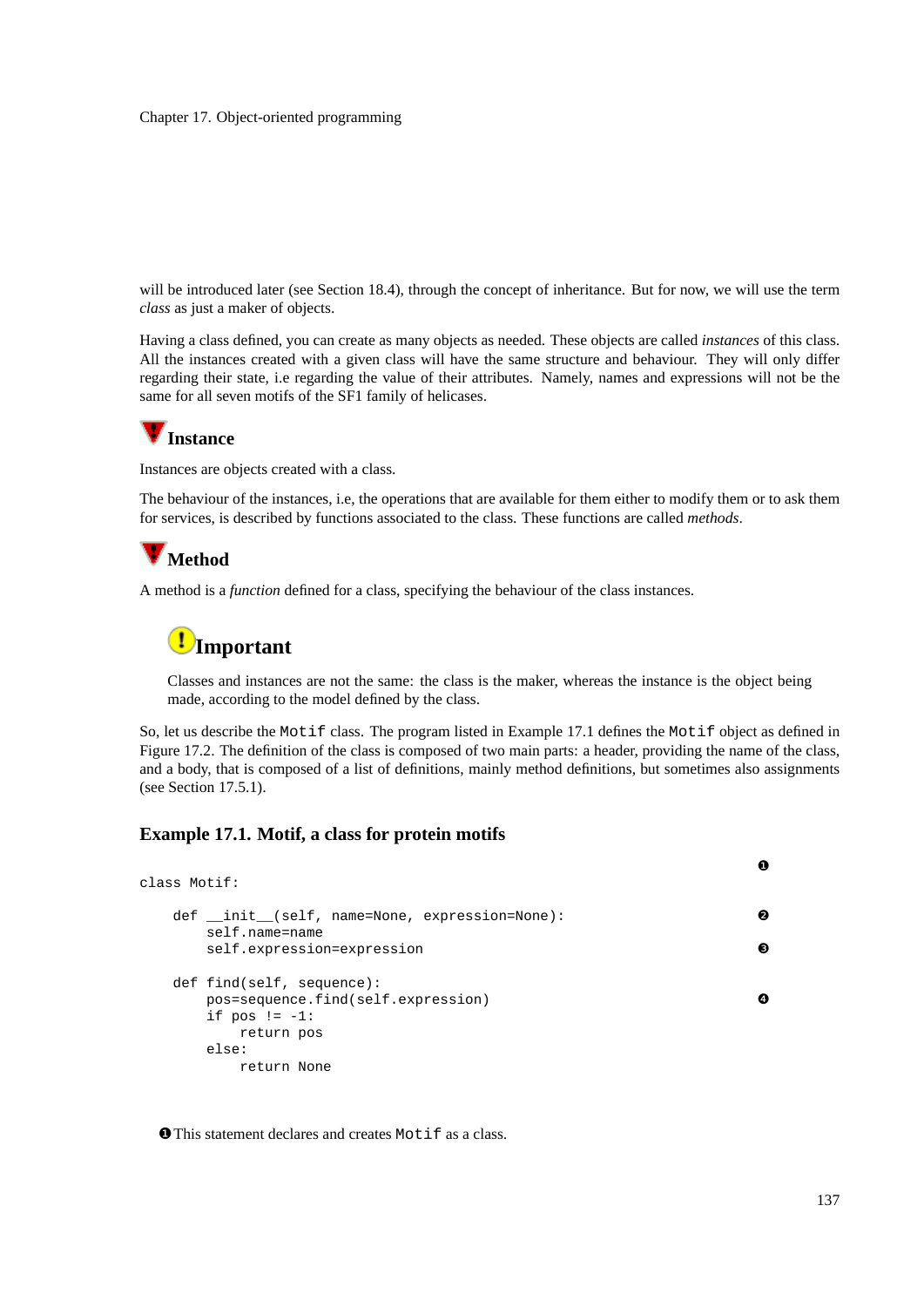will be introduced later (see [Section 18.4\)](#page-176-0), through the concept of inheritance. But for now, we will use the term *class* as just a maker of objects.

Having a class defined, you can create as many objects as needed. These objects are called *instances* of this class. All the instances created with a given class will have the same structure and behaviour. They will only differ regarding their state, i.e regarding the value of their attributes. Namely, names and expressions will not be the same for all seven motifs of the SF1 family of helicases.

## **Instance**

Instances are objects created with a class.

The behaviour of the instances, i.e, the operations that are available for them either to modify them or to ask them for services, is described by functions associated to the class. These functions are called *methods*.

# **Method**

A method is a *function* defined for a class, specifying the behaviour of the class instances.

# **Important**

Classes and instances are not the same: the class is the maker, whereas the instance is the object being made, according to the model defined by the class.

So, let us describe the Motif class. The program listed in [Example 17.1](#page-150-0) defines the Motif object as defined in [Figure 17.2.](#page-149-0) The definition of the class is composed of two main parts: a header, providing the name of the class, and a body, that is composed of a list of definitions, mainly method definitions, but sometimes also assignments (see [Section 17.5.1\)](#page-157-1).

#### <span id="page-150-0"></span>**Example 17.1. Motif, a class for protein motifs**

| class Motif:                                                                                      |   |
|---------------------------------------------------------------------------------------------------|---|
| def __init (self, name=None, expression=None):<br>self.name=name                                  | ℯ |
| self.expression=expression                                                                        | ൫ |
| def find(self, sequence):<br>pos=sequence.find(self.expression)<br>if $pos != -1$ :<br>return pos | A |
| else:<br>return None                                                                              |   |

❶ This statement declares and creates Motif as a class.

**。**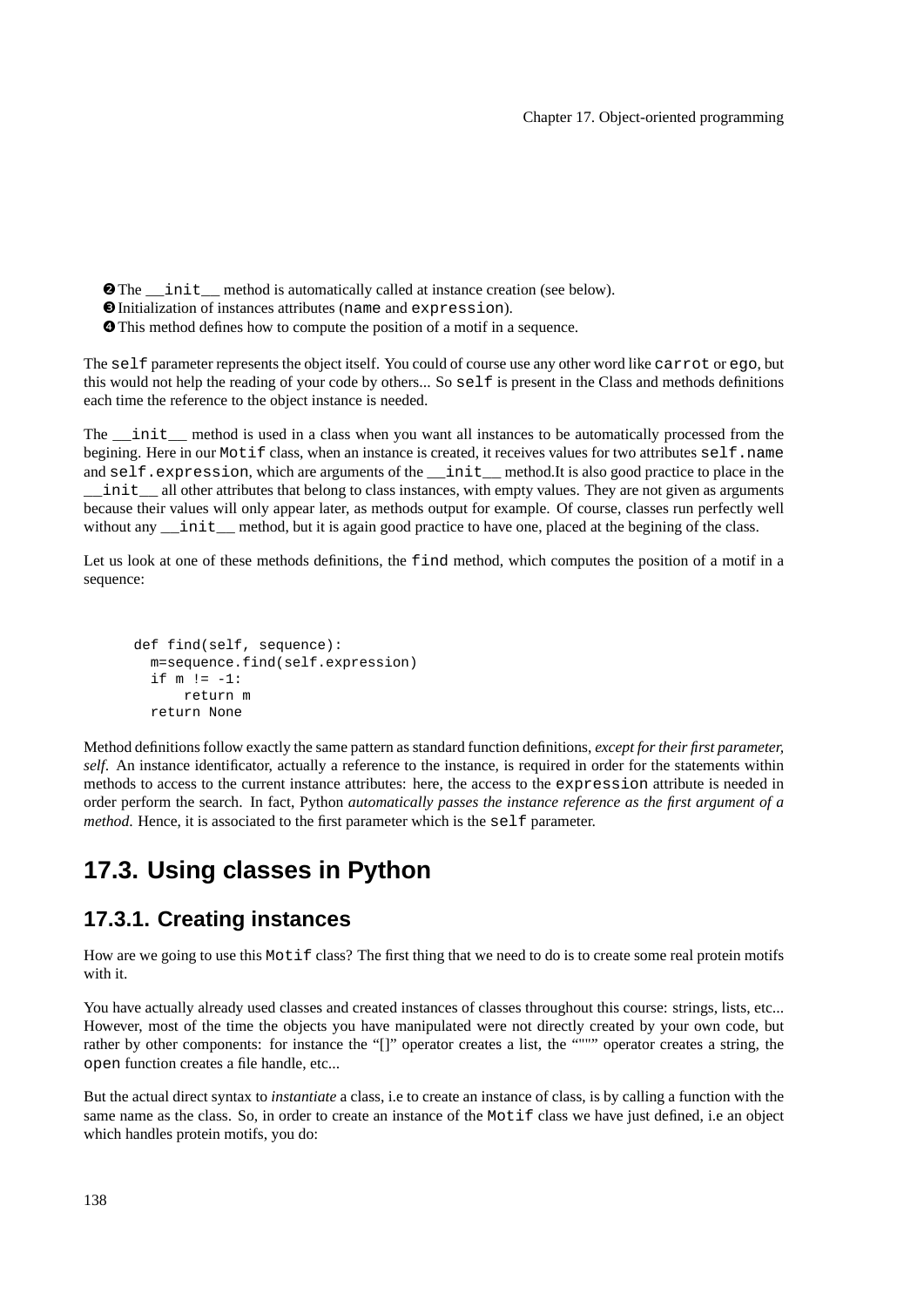- ❷ The \_\_init\_\_ method is automatically called at instance creation (see below).
- ❸ Initialization of instances attributes (name and expression).
- ❹ This method defines how to compute the position of a motif in a sequence.

The self parameter represents the object itself. You could of course use any other word like carrot or ego, but this would not help the reading of your code by others... So self is present in the Class and methods definitions each time the reference to the object instance is needed.

init method is used in a class when you want all instances to be automatically processed from the begining. Here in our Motif class, when an instance is created, it receives values for two attributes self.name and self.expression, which are arguments of the \_\_init\_ method.It is also good practice to place in the \_\_init\_\_ all other attributes that belong to class instances, with empty values. They are not given as arguments because their values will only appear later, as methods output for example. Of course, classes run perfectly well without any \_\_init\_ method, but it is again good practice to have one, placed at the begining of the class.

Let us look at one of these methods definitions, the find method, which computes the position of a motif in a sequence:

```
def find(self, sequence):
  m=sequence.find(self.expression)
  if m != -1:
     return m
  return None
```
Method definitions follow exactly the same pattern as standard function definitions, *except for their first parameter, self*. An instance identificator, actually a reference to the instance, is required in order for the statements within methods to access to the current instance attributes: here, the access to the expression attribute is needed in order perform the search. In fact, Python *automatically passes the instance reference as the first argument of a method*. Hence, it is associated to the first parameter which is the self parameter.

# <span id="page-151-0"></span>**17.3. Using classes in Python**

#### **17.3.1. Creating instances**

How are we going to use this Motif class? The first thing that we need to do is to create some real protein motifs with it.

You have actually already used classes and created instances of classes throughout this course: strings, lists, etc... However, most of the time the objects you have manipulated were not directly created by your own code, but rather by other components: for instance the "[]" operator creates a list, the """" operator creates a string, the open function creates a file handle, etc...

But the actual direct syntax to *instantiate* a class, i.e to create an instance of class, is by calling a function with the same name as the class. So, in order to create an instance of the Motif class we have just defined, i.e an object which handles protein motifs, you do: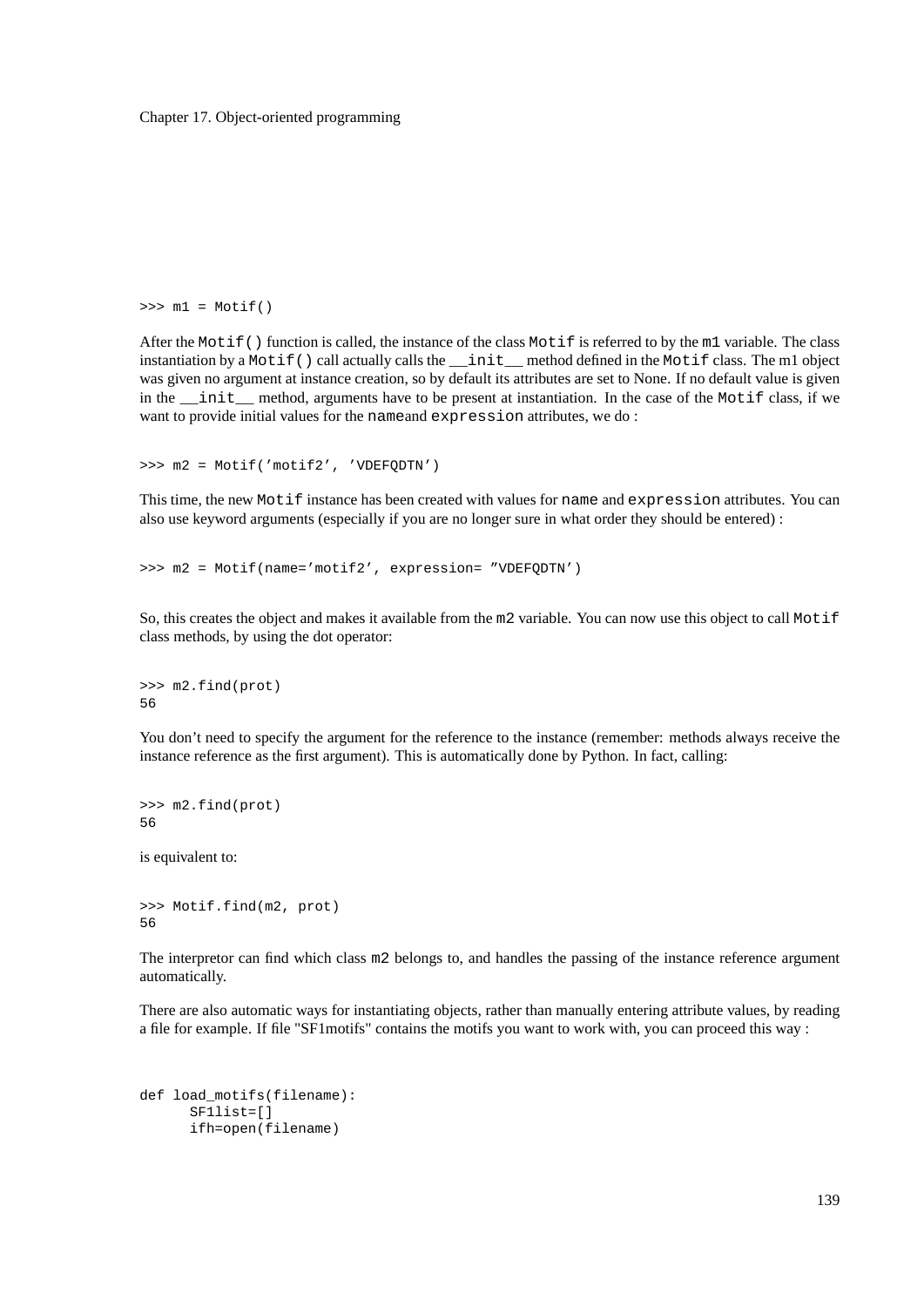#### Chapter 17. Object-oriented programming

```
>>> m1 = Motif()
```
After the Motif() function is called, the instance of the class Motif is referred to by the m1 variable. The class instantiation by a Motif() call actually calls the \_\_init\_\_ method defined in the Motif class. The m1 object was given no argument at instance creation, so by default its attributes are set to None. If no default value is given in the \_\_init\_\_ method, arguments have to be present at instantiation. In the case of the Motif class, if we want to provide initial values for the nameand expression attributes, we do :

```
>>> m2 = Motif('motif2', 'VDEFQDTN')
```
This time, the new Motif instance has been created with values for name and expression attributes. You can also use keyword arguments (especially if you are no longer sure in what order they should be entered) :

```
>>> m2 = Motif(name='motif2', expression= "VDEFQDTN')
```
So, this creates the object and makes it available from the m2 variable. You can now use this object to call Motif class methods, by using the dot operator:

```
>>> m2.find(prot)
56
```
You don't need to specify the argument for the reference to the instance (remember: methods always receive the instance reference as the first argument). This is automatically done by Python. In fact, calling:

```
>>> m2.find(prot)
56
```
is equivalent to:

```
>>> Motif.find(m2, prot)
56
```
The interpretor can find which class m2 belongs to, and handles the passing of the instance reference argument automatically.

There are also automatic ways for instantiating objects, rather than manually entering attribute values, by reading a file for example. If file "SF1motifs" contains the motifs you want to work with, you can proceed this way :

```
def load_motifs(filename):
      SF1list=[]
      ifh=open(filename)
```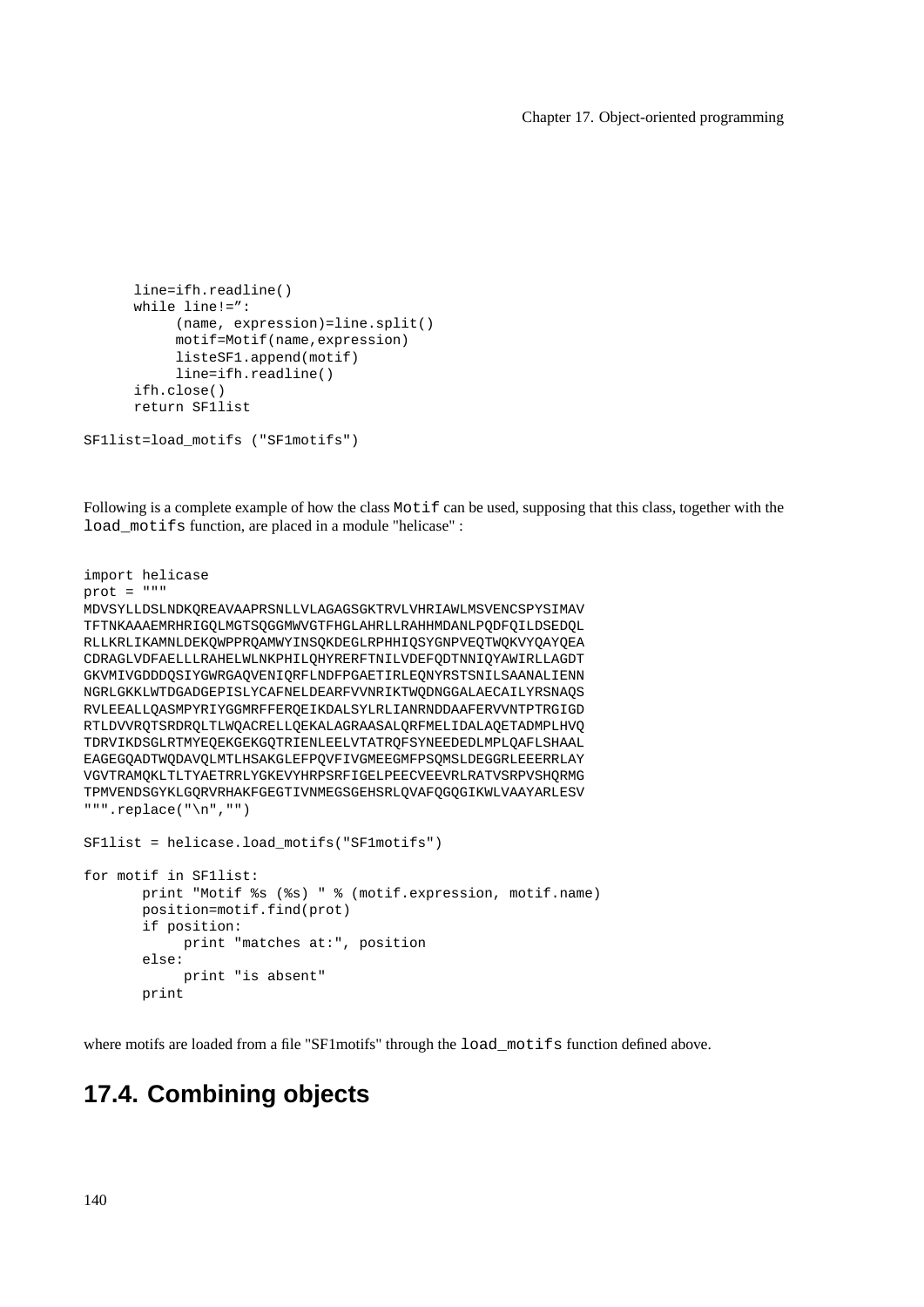```
line=ifh.readline()
      while line!=":
           (name, expression)=line.split()
           motif=Motif(name,expression)
           listeSF1.append(motif)
           line=ifh.readline()
      ifh.close()
      return SF1list
SF1list=load_motifs ("SF1motifs")
```
Following is a complete example of how the class Motif can be used, supposing that this class, together with the load motifs function, are placed in a module "helicase" :

```
import helicase
prot = """MDVSYLLDSLNDKQREAVAAPRSNLLVLAGAGSGKTRVLVHRIAWLMSVENCSPYSIMAV
TFTNKAAAEMRHRIGQLMGTSQGGMWVGTFHGLAHRLLRAHHMDANLPQDFQILDSEDQL
RLLKRLIKAMNLDEKQWPPRQAMWYINSQKDEGLRPHHIQSYGNPVEQTWQKVYQAYQEA
CDRAGLVDFAELLLRAHELWLNKPHILQHYRERFTNILVDEFQDTNNIQYAWIRLLAGDT
GKVMIVGDDDQSIYGWRGAQVENIQRFLNDFPGAETIRLEQNYRSTSNILSAANALIENN
NGRLGKKLWTDGADGEPISLYCAFNELDEARFVVNRIKTWQDNGGALAECAILYRSNAQS
RVLEEALLQASMPYRIYGGMRFFERQEIKDALSYLRLIANRNDDAAFERVVNTPTRGIGD
RTLDVVRQTSRDRQLTLWQACRELLQEKALAGRAASALQRFMELIDALAQETADMPLHVQ
TDRVIKDSGLRTMYEQEKGEKGQTRIENLEELVTATRQFSYNEEDEDLMPLQAFLSHAAL
EAGEGQADTWQDAVQLMTLHSAKGLEFPQVFIVGMEEGMFPSQMSLDEGGRLEEERRLAY
VGVTRAMQKLTLTYAETRRLYGKEVYHRPSRFIGELPEECVEEVRLRATVSRPVSHQRMG
TPMVENDSGYKLGQRVRHAKFGEGTIVNMEGSGEHSRLQVAFQGQGIKWLVAAYARLESV
""".replace("\n","")
SF1list = helicase.load_motifs("SF1motifs")
for motif in SF1list:
      print "Motif %s (%s) " % (motif.expression, motif.name)
      position=motif.find(prot)
      if position:
           print "matches at:", position
      else:
           print "is absent"
      print
```
<span id="page-153-0"></span>where motifs are loaded from a file "SF1motifs" through the load\_motifs function defined above.

# **17.4. Combining objects**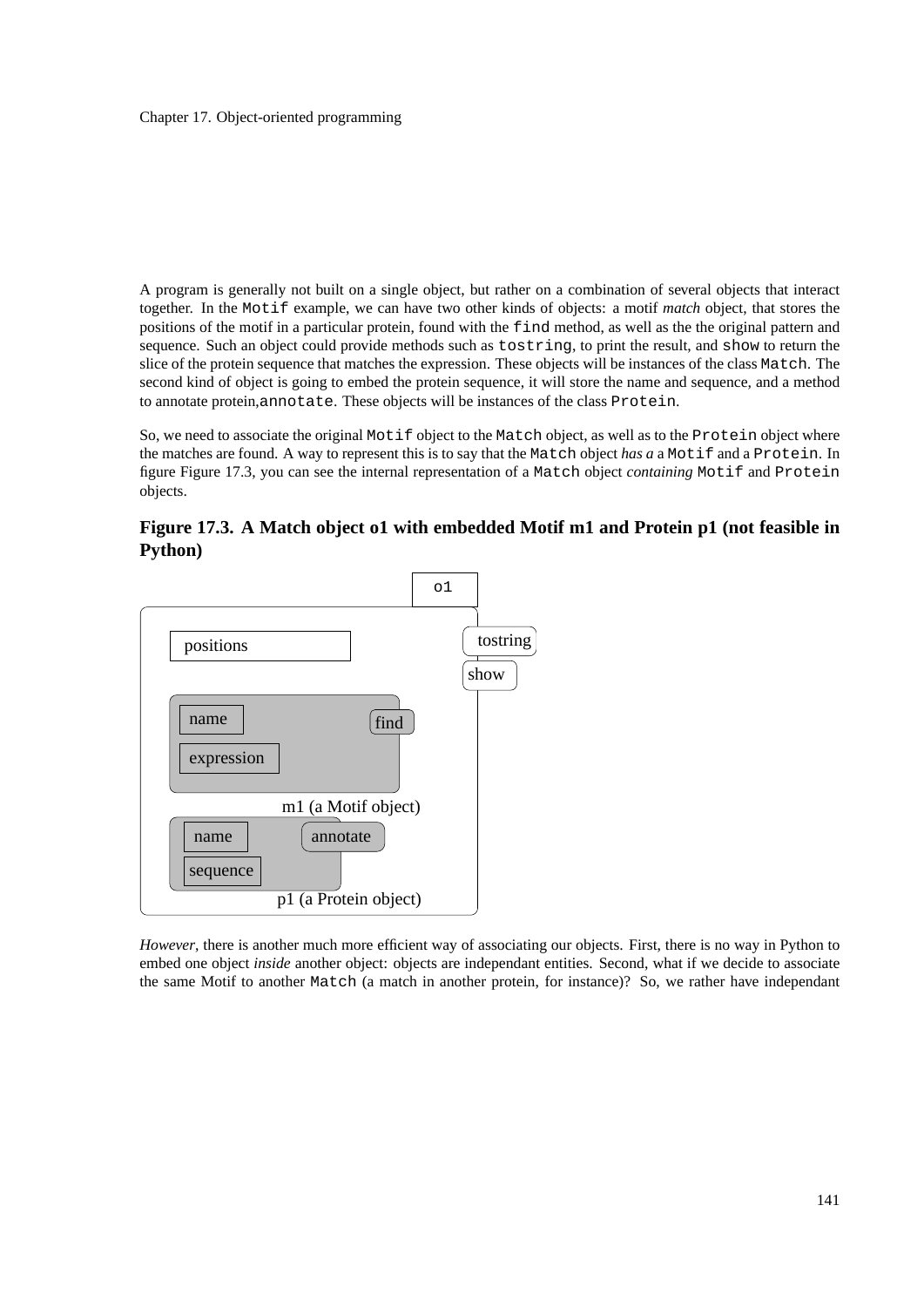A program is generally not built on a single object, but rather on a combination of several objects that interact together. In the Motif example, we can have two other kinds of objects: a motif *match* object, that stores the positions of the motif in a particular protein, found with the find method, as well as the the original pattern and sequence. Such an object could provide methods such as tostring, to print the result, and show to return the slice of the protein sequence that matches the expression. These objects will be instances of the class Match. The second kind of object is going to embed the protein sequence, it will store the name and sequence, and a method to annotate protein,annotate. These objects will be instances of the class Protein.

So, we need to associate the original Motif object to the Match object, as well as to the Protein object where the matches are found. A way to represent this is to say that the Match object *has a* a Motif and a Protein. In figure [Figure 17.3,](#page-154-0) you can see the internal representation of a Match object *containing* Motif and Protein objects.

<span id="page-154-0"></span>



*However*, there is another much more efficient way of associating our objects. First, there is no way in Python to embed one object *inside* another object: objects are independant entities. Second, what if we decide to associate the same Motif to another Match (a match in another protein, for instance)? So, we rather have independant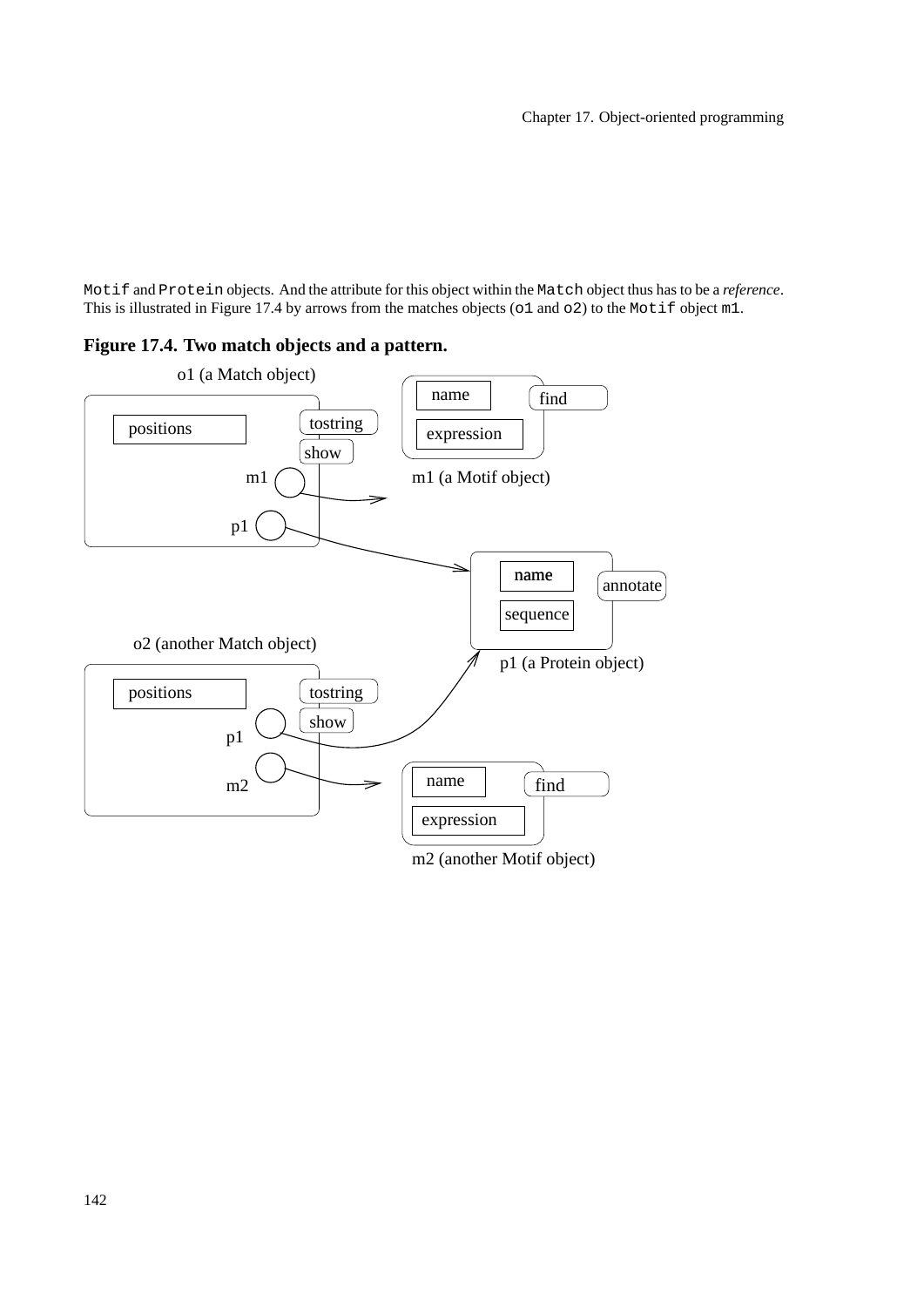Motif and Protein objects. And the attribute for this object within the Match object thus has to be a *reference*. This is illustrated in [Figure 17.4](#page-155-0) by arrows from the matches objects (o1 and o2) to the Motif object m1.



## <span id="page-155-0"></span>**Figure 17.4. Two match objects and a pattern.**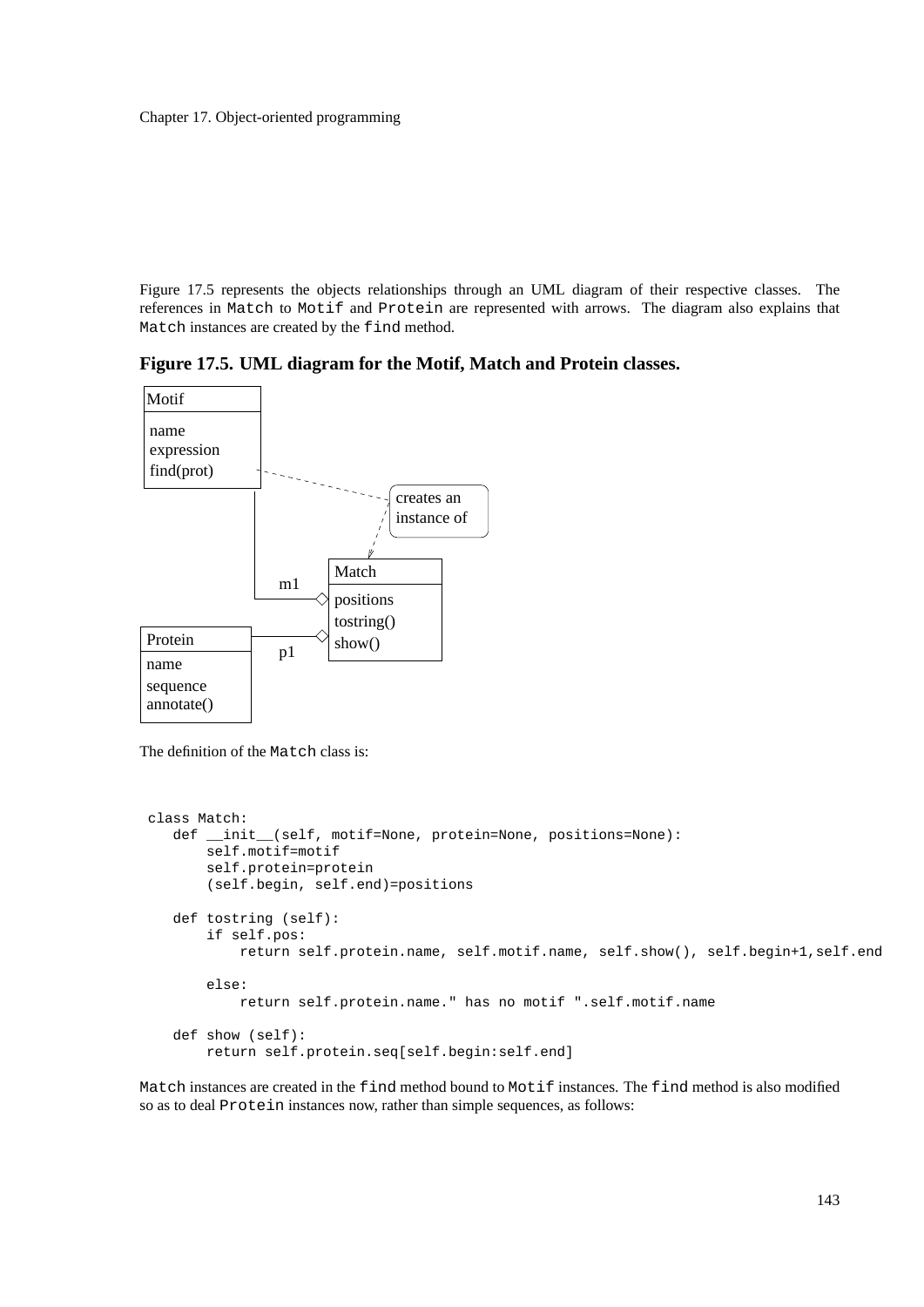[Figure 17.5](#page-156-0) represents the objects relationships through an UML diagram of their respective classes. The references in Match to Motif and Protein are represented with arrows. The diagram also explains that Match instances are created by the find method.



<span id="page-156-0"></span>**Figure 17.5. UML diagram for the Motif, Match and Protein classes.**

The definition of the Match class is:

```
class Match:
  def __init__(self, motif=None, protein=None, positions=None):
       self.motif=motif
       self.protein=protein
       (self.begin, self.end)=positions
   def tostring (self):
       if self.pos:
           return self.protein.name, self.motif.name, self.show(), self.begin+1,self.end
       else:
           return self.protein.name." has no motif ".self.motif.name
   def show (self):
       return self.protein.seq[self.begin:self.end]
```
Match instances are created in the find method bound to Motif instances. The find method is also modified so as to deal Protein instances now, rather than simple sequences, as follows: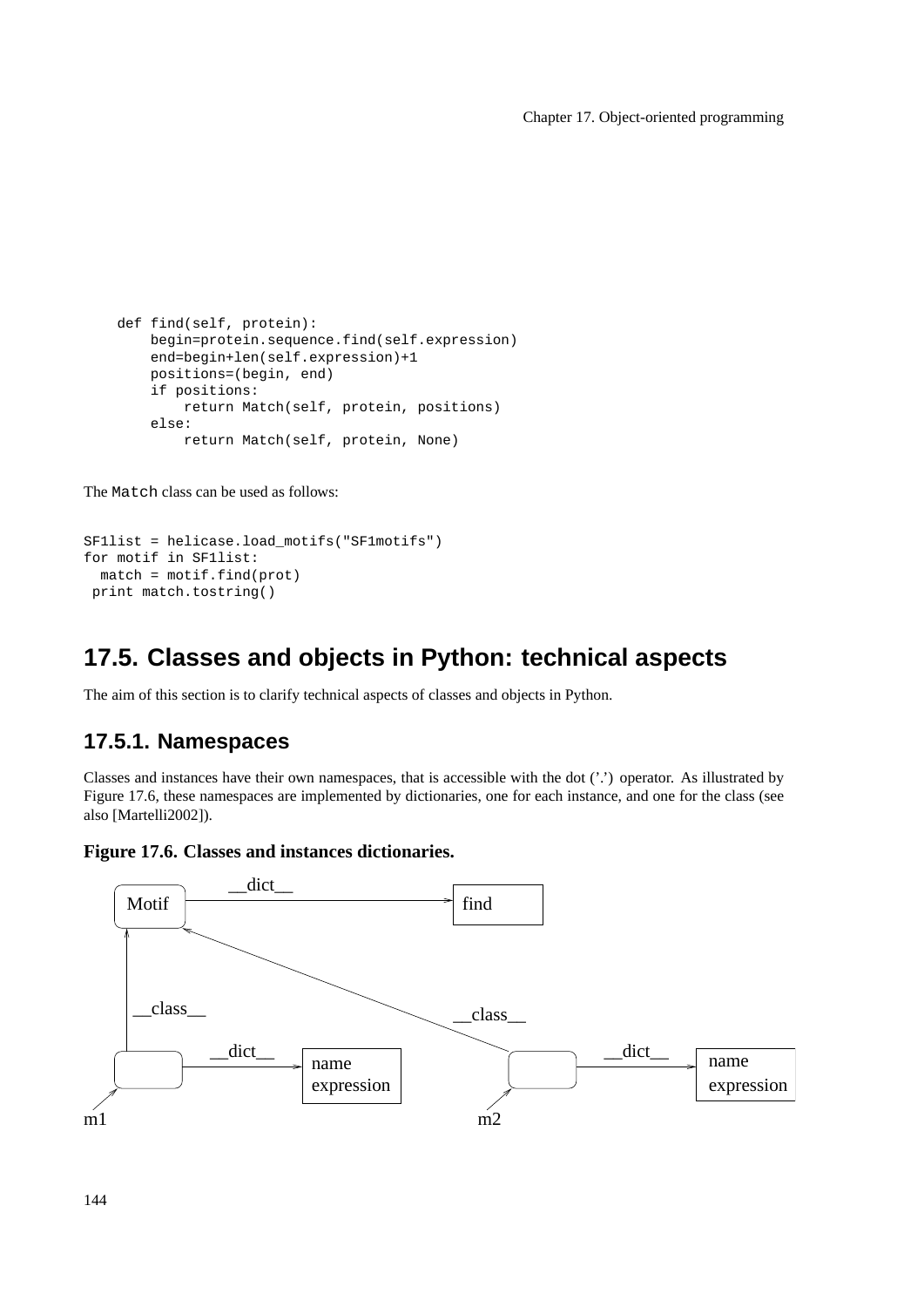```
def find(self, protein):
    begin=protein.sequence.find(self.expression)
    end=begin+len(self.expression)+1
    positions=(begin, end)
    if positions:
        return Match(self, protein, positions)
    else:
        return Match(self, protein, None)
```
The Match class can be used as follows:

```
SF1list = helicase.load_motifs("SF1motifs")
for motif in SF1list:
 match = motif.find(prot)print match.tostring()
```
# <span id="page-157-0"></span>**17.5. Classes and objects in Python: technical aspects**

<span id="page-157-1"></span>The aim of this section is to clarify technical aspects of classes and objects in Python.

## **17.5.1. Namespaces**

Classes and instances have their own namespaces, that is accessible with the dot ('.') operator. As illustrated by [Figure 17.6,](#page-157-2) these namespaces are implemented by dictionaries, one for each instance, and one for the class (see also [Martelli2002]).

<span id="page-157-2"></span>

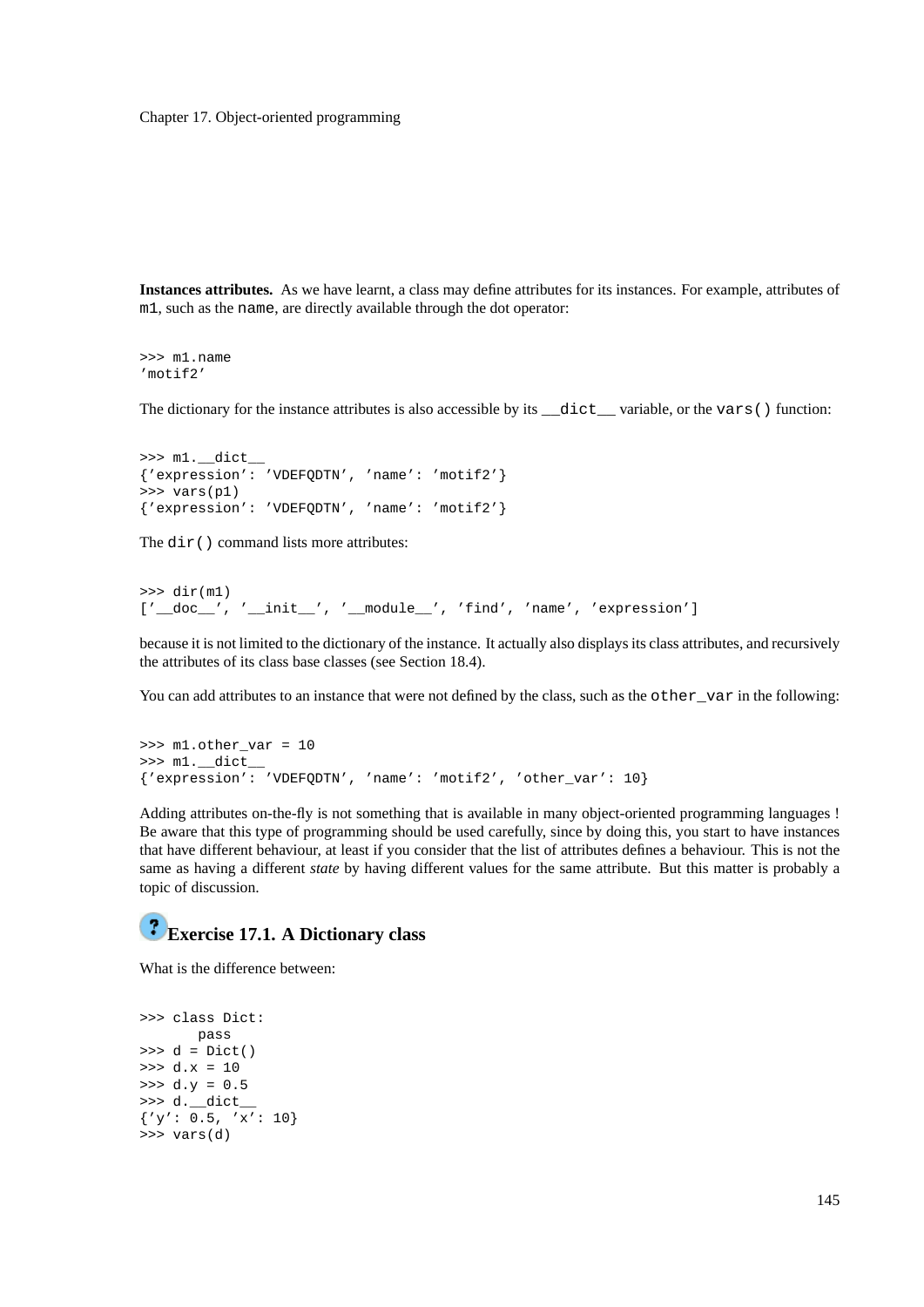**Instances attributes.** As we have learnt, a class may define attributes for its instances. For example, attributes of m1, such as the name, are directly available through the dot operator:

>>> m1.name 'motif2'

The dictionary for the instance attributes is also accessible by its \_\_dict\_\_ variable, or the vars() function:

```
>>> m1.__dict__
{'expression': 'VDEFQDTN', 'name': 'motif2'}
>>> vars(p1)
{'expression': 'VDEFQDTN', 'name': 'motif2'}
```
The dir() command lists more attributes:

```
\gg dir(m1)
['_doc__', '_init__', '_module__', 'find', 'name', 'expression']
```
because it is not limited to the dictionary of the instance. It actually also displays its class attributes, and recursively the attributes of its class base classes (see [Section 18.4\)](#page-176-0).

You can add attributes to an instance that were not defined by the class, such as the other var in the following:

```
>>> m1.other_var = 10
>>> m1. dict
{'expression': 'VDEFQDTN', 'name': 'motif2', 'other_var': 10}
```
Adding attributes on-the-fly is not something that is available in many object-oriented programming languages ! Be aware that this type of programming should be used carefully, since by doing this, you start to have instances that have different behaviour, at least if you consider that the list of attributes defines a behaviour. This is not the same as having a different *state* by having different values for the same attribute. But this matter is probably a topic of discussion.

# **Exercise 17.1. A Dictionary class**

What is the difference between:

```
>>> class Dict:
       pass
\Rightarrow > d = Dict()
>>> d.x = 10
\text{>>} d.y = 0.5>>> d.__dict__
{y': 0.5, 'x': 10}>>> vars(d)
```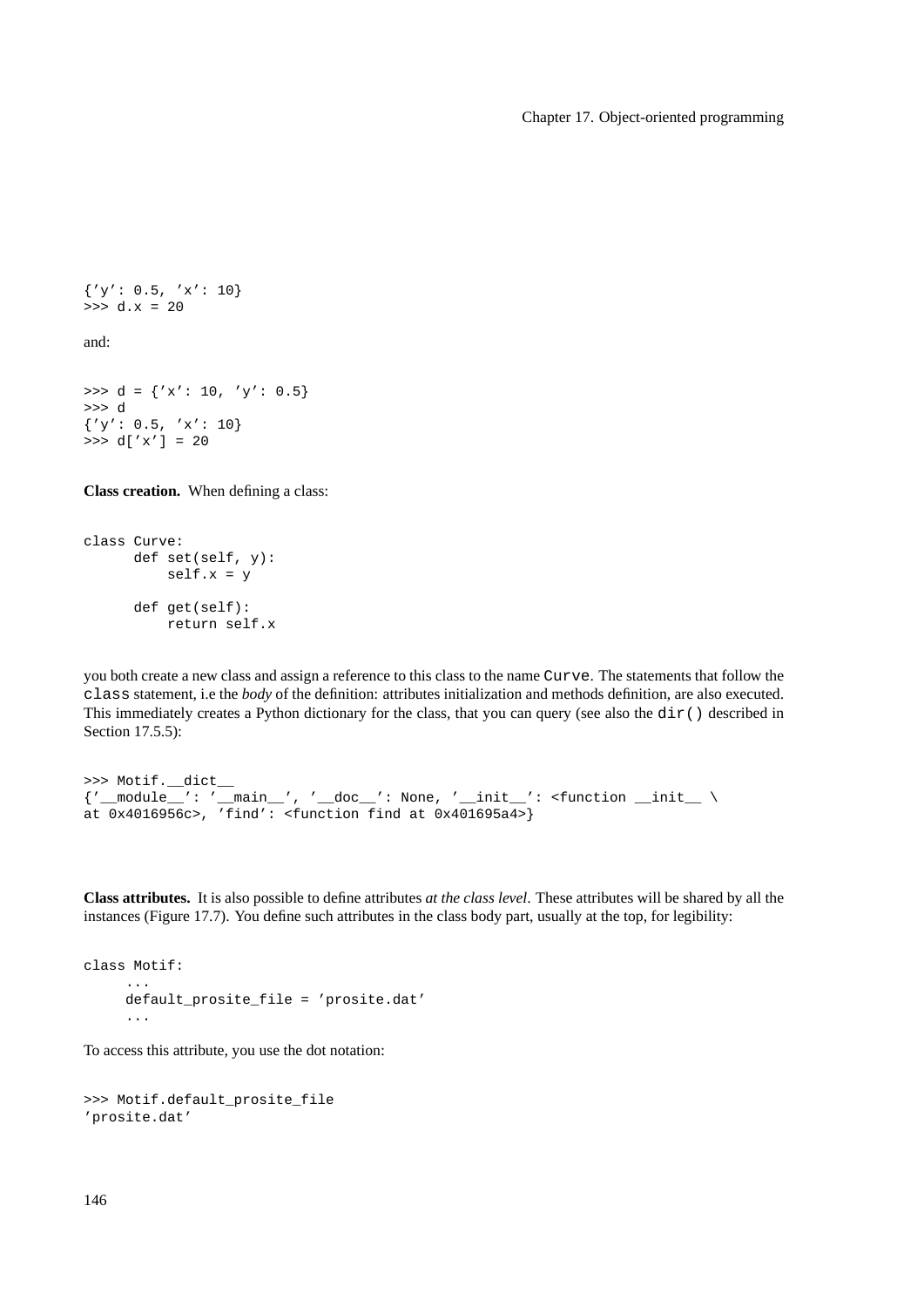```
\{y': 0.5, y': 10\}>>> d.x = 20
and:
>>> d = \{ 'x' : 10, 'y' : 0.5 \}>>> d
{y': 0.5, 'x': 10}>>> d['x'] = 20
```
**Class creation.** When defining a class:

```
class Curve:
     def set(self, y):
         self.x = ydef get(self):
         return self.x
```
you both create a new class and assign a reference to this class to the name Curve. The statements that follow the class statement, i.e the *body* of the definition: attributes initialization and methods definition, are also executed. This immediately creates a Python dictionary for the class, that you can query (see also the  $\text{dir}()$  described in [Section 17.5.5\)](#page-163-0):

```
>>> Motif.__dict__
{\n \{\n \quad {\rm module \quad': \quad {\rm'} \quad main \quad', \quad {\rm' \quad doc \quad': \; None, \quad ' \quad init \quad': \; {\rm'function \quad init \quad \setminus \quad \quad \quad \quad \quad \quad }at 0x4016956c>, 'find': <function find at 0x401695a4>}
```
**Class attributes.** It is also possible to define attributes *at the class level*. These attributes will be shared by all the instances [\(Figure 17.7\)](#page-160-0). You define such attributes in the class body part, usually at the top, for legibility:

```
class Motif:
     ...
     default_prosite_file = 'prosite.dat'
     ...
```
To access this attribute, you use the dot notation:

```
>>> Motif.default_prosite_file
'prosite.dat'
```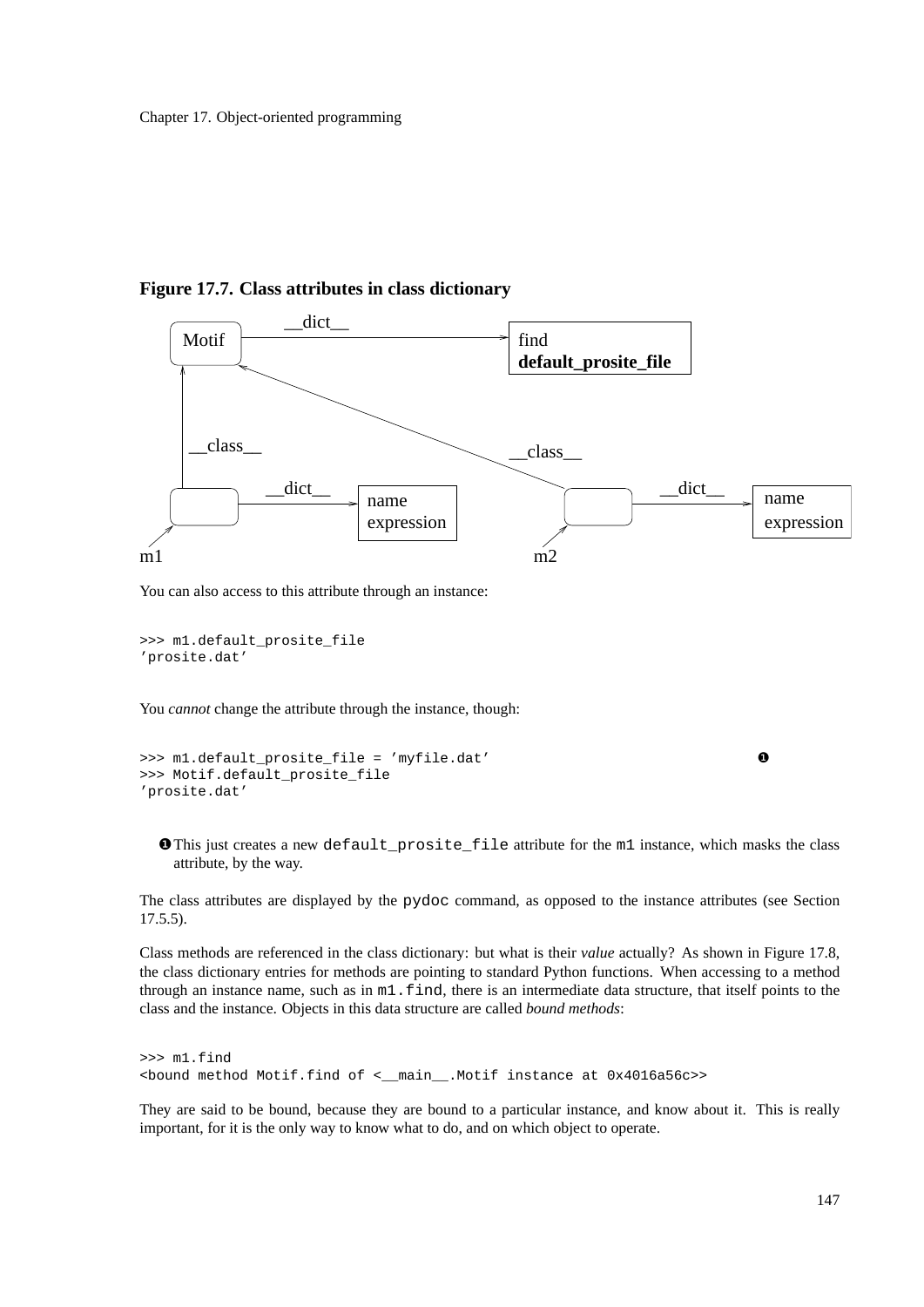Chapter 17. Object-oriented programming



<span id="page-160-0"></span>**Figure 17.7. Class attributes in class dictionary**

You can also access to this attribute through an instance:

```
>>> m1.default_prosite_file
'prosite.dat'
```
You *cannot* change the attribute through the instance, though:

```
>>> m1. default prosite file = 'myfile.dat' \bullet>>> Motif.default prosite file
'prosite.dat'
```
**O** This just creates a new default prosite file attribute for the m1 instance, which masks the class attribute, by the way.

The class attributes are displayed by the pydoc command, as opposed to the instance attributes (see [Section](#page-163-0) [17.5.5\)](#page-163-0).

Class methods are referenced in the class dictionary: but what is their *value* actually? As shown in [Figure 17.8,](#page-160-1) the class dictionary entries for methods are pointing to standard Python functions. When accessing to a method through an instance name, such as in  $m1$ . find, there is an intermediate data structure, that itself points to the class and the instance. Objects in this data structure are called *bound methods*:

>>> m1.find <bound method Motif.find of <\_\_main\_\_.Motif instance at 0x4016a56c>>

<span id="page-160-1"></span>They are said to be bound, because they are bound to a particular instance, and know about it. This is really important, for it is the only way to know what to do, and on which object to operate.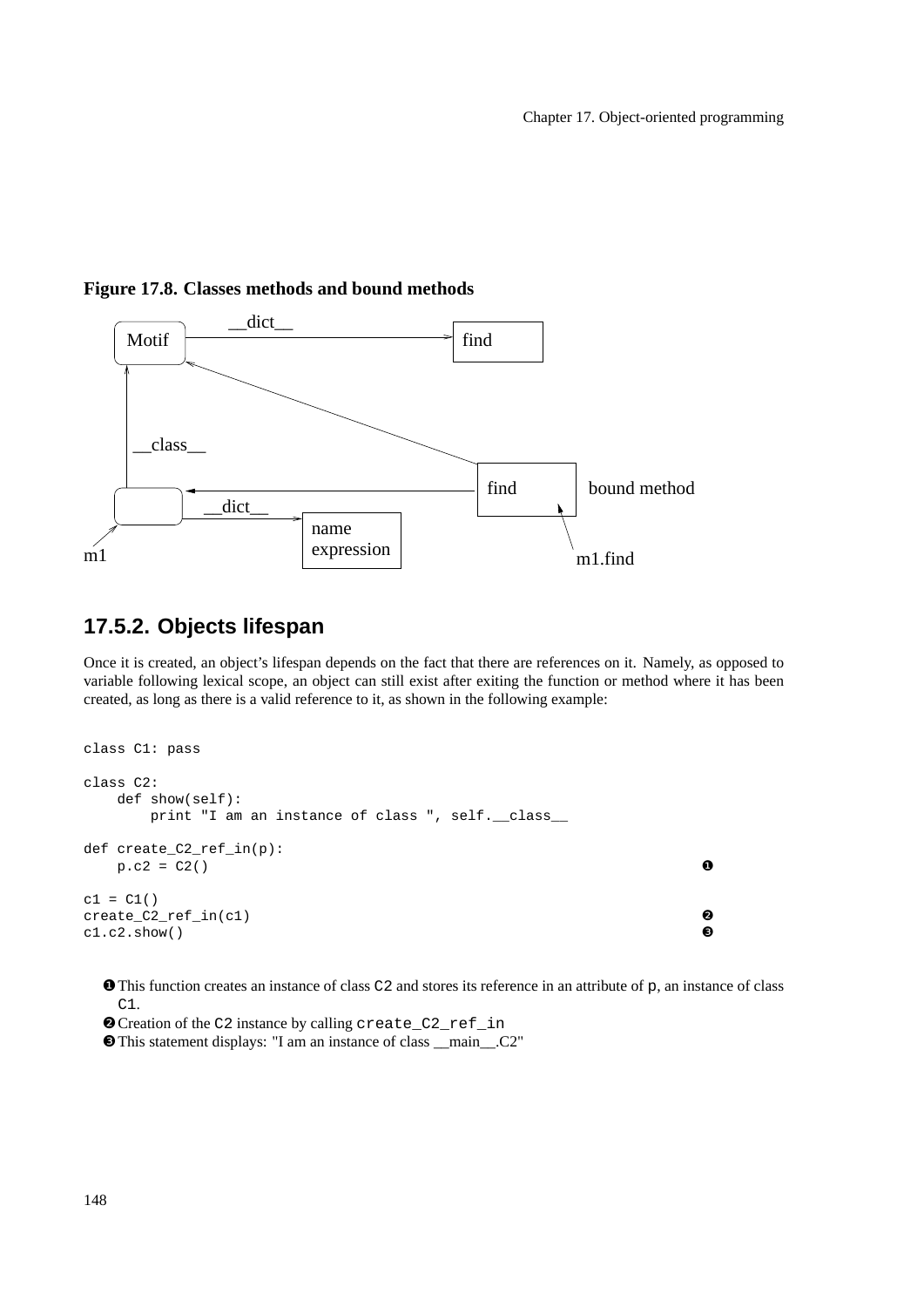

#### **Figure 17.8. Classes methods and bound methods**

## **17.5.2. Objects lifespan**

Once it is created, an object's lifespan depends on the fact that there are references on it. Namely, as opposed to variable following lexical scope, an object can still exist after exiting the function or method where it has been created, as long as there is a valid reference to it, as shown in the following example:

```
class C1: pass
class C2:
 def show(self):
    print "I am an instance of class ", self. __class__
def create_C2_ref_in(p):
 p.c2 = C2() ❶
c1 = c1()create_C2_ref_in(c1) ❷
c1.c2.show() ❸
```
❶ This function creates an instance of class C2 and stores its reference in an attribute of p, an instance of class C1.

❷ Creation of the C2 instance by calling create\_C2\_ref\_in

❸ This statement displays: "I am an instance of class \_\_main\_\_.C2"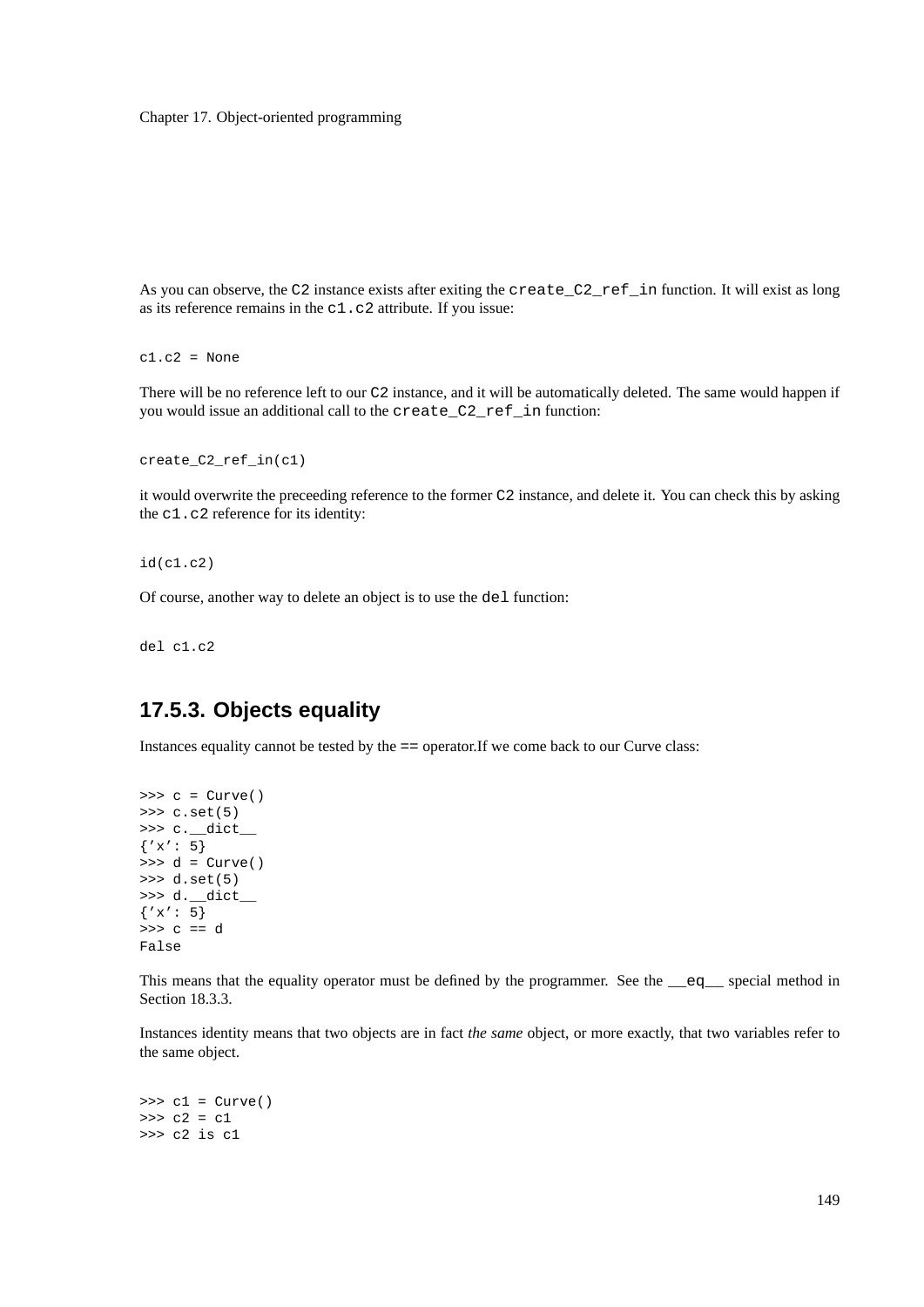Chapter 17. Object-oriented programming

As you can observe, the C2 instance exists after exiting the create\_C2\_ref\_in function. It will exist as long as its reference remains in the c1.c2 attribute. If you issue:

 $c1.c2 = None$ 

There will be no reference left to our C2 instance, and it will be automatically deleted. The same would happen if you would issue an additional call to the create\_C2\_ref\_in function:

create\_C2\_ref\_in(c1)

it would overwrite the preceeding reference to the former C2 instance, and delete it. You can check this by asking the c1.c2 reference for its identity:

id(c1.c2)

Of course, another way to delete an object is to use the del function:

del c1.c2

## **17.5.3. Objects equality**

Instances equality cannot be tested by the == operator.If we come back to our Curve class:

```
\Rightarrow > c = Curve()
>>> c.set(5)>>> c.__dict__
\{x': 5\}\Rightarrow d = Curve()
>>> d.set(5)
>>> d.__dict__
\{x': 5\}\Rightarrow >>> c == d
False
```
This means that the equality operator must be defined by the programmer. See the equal method in [Section 18.3.3.](#page-176-1)

Instances identity means that two objects are in fact *the same* object, or more exactly, that two variables refer to the same object.

```
\Rightarrow \geq \leq \leq \leq \leq \leq \leq \leq \leq \leq \leq \leq \leq \leq \leq \leq \leq \leq \leq \leq \leq \leq \leq \leq \leq \leq \leq \leq \leq \leq \leq \leq \leq \leq \leq \leq 
>> c2 = c1>>> c2 is c1
```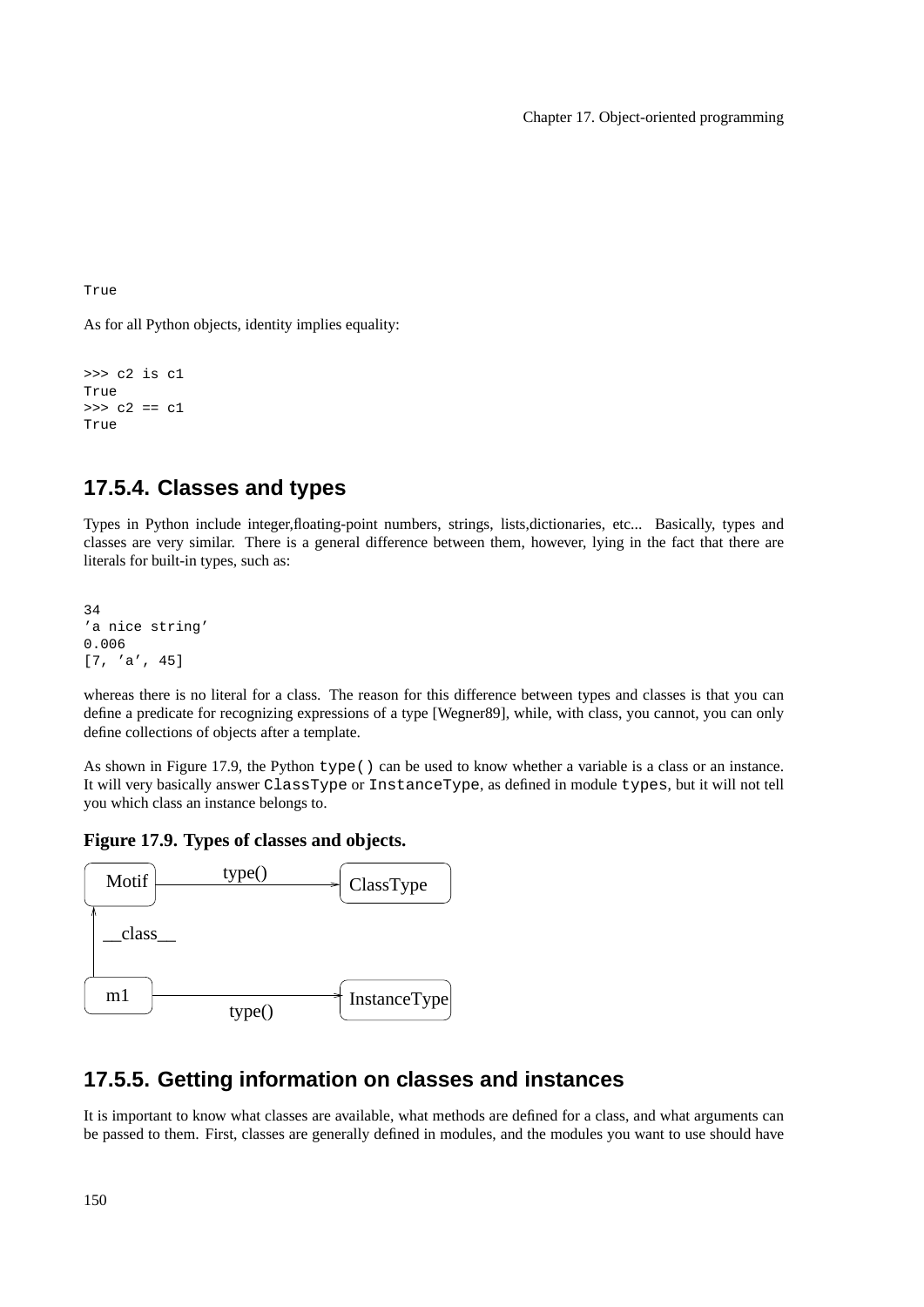Chapter 17. Object-oriented programming

True

As for all Python objects, identity implies equality:

```
>>> c2 is c1
True
>>> c2 == c1True
```
## **17.5.4. Classes and types**

Types in Python include integer,floating-point numbers, strings, lists,dictionaries, etc... Basically, types and classes are very similar. There is a general difference between them, however, lying in the fact that there are literals for built-in types, such as:

34 'a nice string' 0.006 [7, 'a', 45]

whereas there is no literal for a class. The reason for this difference between types and classes is that you can define a predicate for recognizing expressions of a type [Wegner89], while, with class, you cannot, you can only define collections of objects after a template.

As shown in [Figure 17.9,](#page-163-1) the Python type() can be used to know whether a variable is a class or an instance. It will very basically answer ClassType or InstanceType, as defined in module types, but it will not tell you which class an instance belongs to.

<span id="page-163-1"></span>



#### <span id="page-163-0"></span>**17.5.5. Getting information on classes and instances**

It is important to know what classes are available, what methods are defined for a class, and what arguments can be passed to them. First, classes are generally defined in modules, and the modules you want to use should have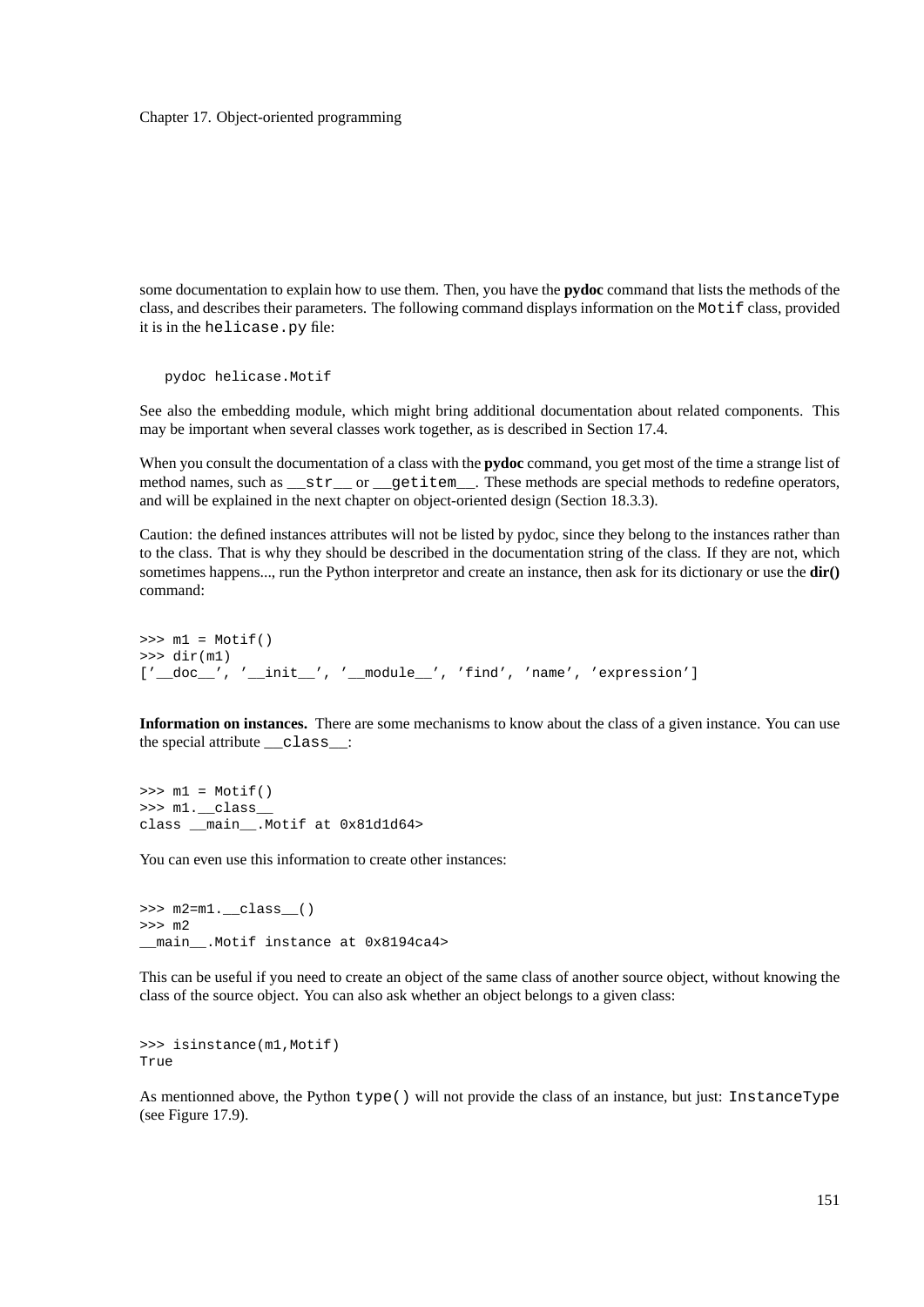some documentation to explain how to use them. Then, you have the **pydoc** command that lists the methods of the class, and describes their parameters. The following command displays information on the Motif class, provided it is in the helicase.py file:

pydoc helicase.Motif

See also the embedding module, which might bring additional documentation about related components. This may be important when several classes work together, as is described in [Section 17.4.](#page-153-0)

When you consult the documentation of a class with the **pydoc** command, you get most of the time a strange list of method names, such as  $\text{__str}\_\text{__}$  or  $\text{__getitem}\_\text{__}$ . These methods are special methods to redefine operators, and will be explained in the next chapter on object-oriented design [\(Section 18.3.3\)](#page-176-1).

Caution: the defined instances attributes will not be listed by pydoc, since they belong to the instances rather than to the class. That is why they should be described in the documentation string of the class. If they are not, which sometimes happens..., run the Python interpretor and create an instance, then ask for its dictionary or use the **dir()** command:

```
\Rightarrow \Rightarrow m1 = Motif()\gg dir(m1)
[ '\_doc_{'}, '\_init_{'}, '\_module_{'}, 'find', 'name', 'expression']
```
**Information on instances.** There are some mechanisms to know about the class of a given instance. You can use the special attribute \_\_class\_\_:

```
\Rightarrow \Rightarrow m1 = Motif()>>> m1.__class_
class __main__.Motif at 0x81d1d64>
```
You can even use this information to create other instances:

>>> m2=m1.\_\_class\_\_() >>> m2 \_\_main\_\_.Motif instance at 0x8194ca4>

This can be useful if you need to create an object of the same class of another source object, without knowing the class of the source object. You can also ask whether an object belongs to a given class:

```
>>> isinstance(m1,Motif)
True
```
As mentionned above, the Python type() will not provide the class of an instance, but just: InstanceType (see [Figure 17.9\)](#page-163-1).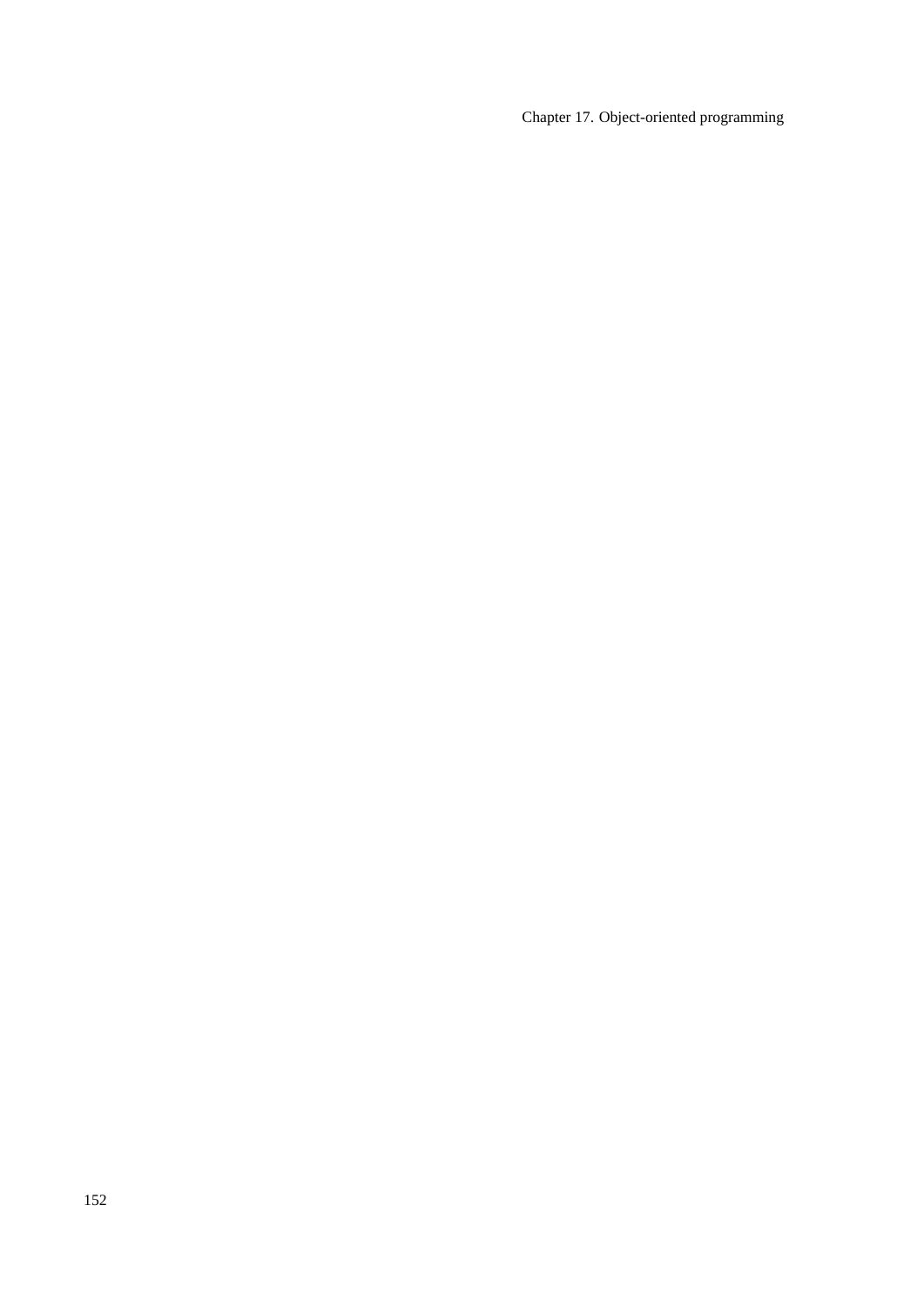Chapter 17. Object-oriented programming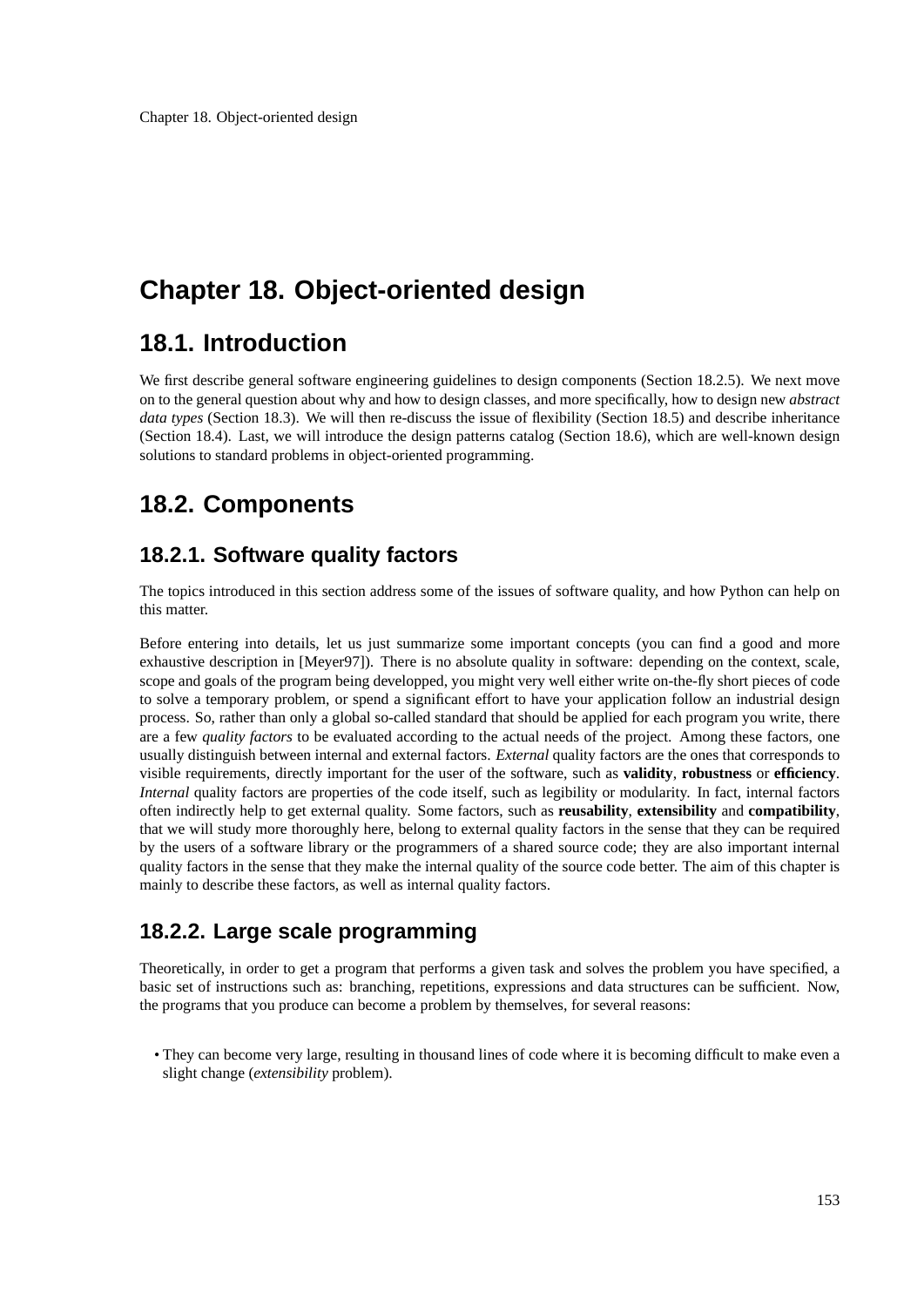# <span id="page-166-0"></span>**Chapter 18. Object-oriented design**

## **18.1. Introduction**

We first describe general software engineering guidelines to design components [\(Section 18.2.5\)](#page-169-0). We next move on to the general question about why and how to design classes, and more specifically, how to design new *abstract data types* [\(Section 18.3\)](#page-170-0). We will then re-discuss the issue of flexibility [\(Section 18.5\)](#page-187-0) and describe inheritance [\(Section 18.4\)](#page-176-0). Last, we will introduce the design patterns catalog [\(Section 18.6\)](#page-189-0), which are well-known design solutions to standard problems in object-oriented programming.

# <span id="page-166-1"></span>**18.2. Components**

## **18.2.1. Software quality factors**

The topics introduced in this section address some of the issues of software quality, and how Python can help on this matter.

Before entering into details, let us just summarize some important concepts (you can find a good and more exhaustive description in [Meyer97]). There is no absolute quality in software: depending on the context, scale, scope and goals of the program being developped, you might very well either write on-the-fly short pieces of code to solve a temporary problem, or spend a significant effort to have your application follow an industrial design process. So, rather than only a global so-called standard that should be applied for each program you write, there are a few *quality factors* to be evaluated according to the actual needs of the project. Among these factors, one usually distinguish between internal and external factors. *External* quality factors are the ones that corresponds to visible requirements, directly important for the user of the software, such as **validity**, **robustness** or **efficiency**. *Internal* quality factors are properties of the code itself, such as legibility or modularity. In fact, internal factors often indirectly help to get external quality. Some factors, such as **reusability**, **extensibility** and **compatibility**, that we will study more thoroughly here, belong to external quality factors in the sense that they can be required by the users of a software library or the programmers of a shared source code; they are also important internal quality factors in the sense that they make the internal quality of the source code better. The aim of this chapter is mainly to describe these factors, as well as internal quality factors.

## **18.2.2. Large scale programming**

Theoretically, in order to get a program that performs a given task and solves the problem you have specified, a basic set of instructions such as: branching, repetitions, expressions and data structures can be sufficient. Now, the programs that you produce can become a problem by themselves, for several reasons:

• They can become very large, resulting in thousand lines of code where it is becoming difficult to make even a slight change (*extensibility* problem).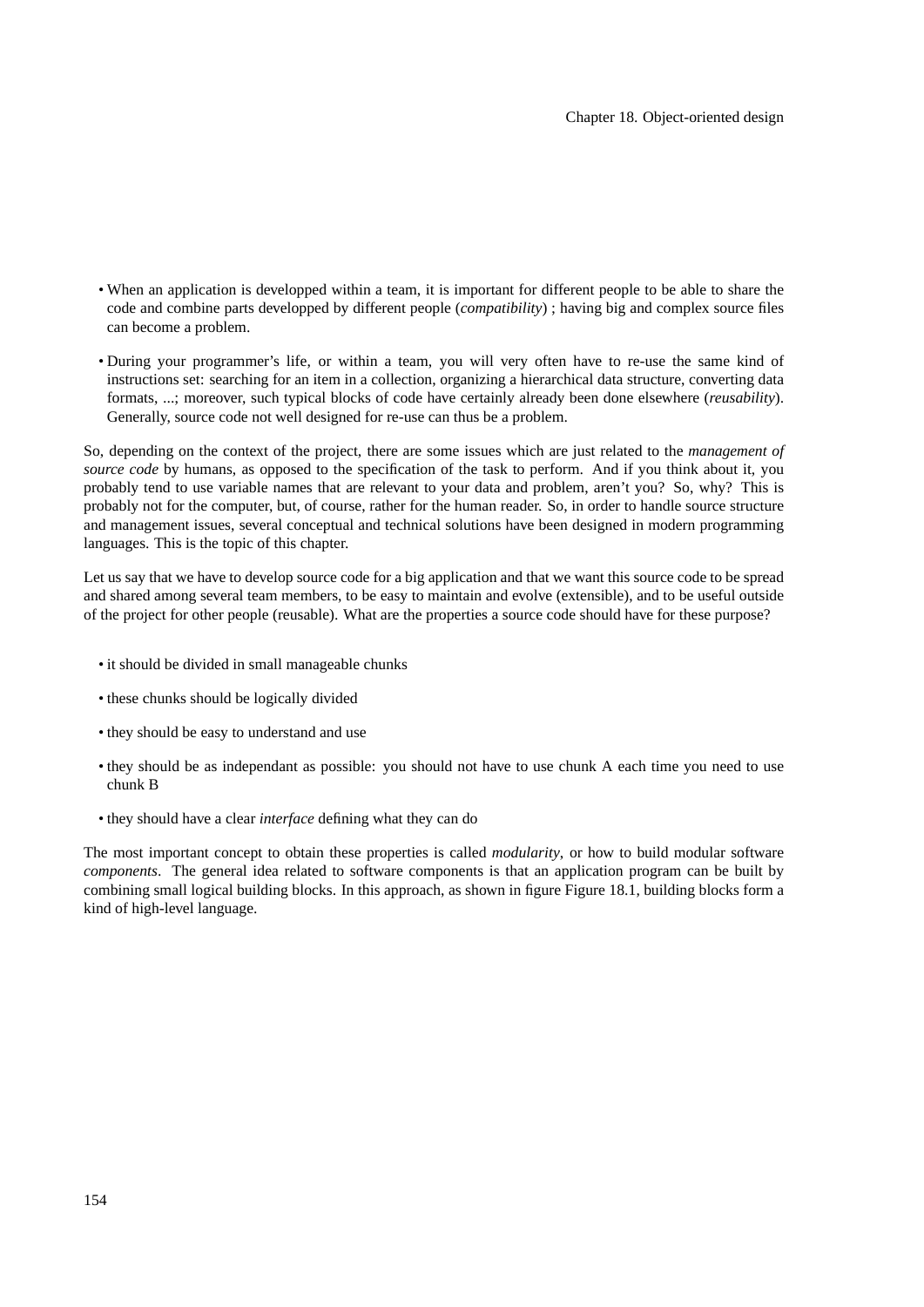- When an application is developped within a team, it is important for different people to be able to share the code and combine parts developped by different people (*compatibility*) ; having big and complex source files can become a problem.
- During your programmer's life, or within a team, you will very often have to re-use the same kind of instructions set: searching for an item in a collection, organizing a hierarchical data structure, converting data formats, ...; moreover, such typical blocks of code have certainly already been done elsewhere (*reusability*). Generally, source code not well designed for re-use can thus be a problem.

So, depending on the context of the project, there are some issues which are just related to the *management of source code* by humans, as opposed to the specification of the task to perform. And if you think about it, you probably tend to use variable names that are relevant to your data and problem, aren't you? So, why? This is probably not for the computer, but, of course, rather for the human reader. So, in order to handle source structure and management issues, several conceptual and technical solutions have been designed in modern programming languages. This is the topic of this chapter.

Let us say that we have to develop source code for a big application and that we want this source code to be spread and shared among several team members, to be easy to maintain and evolve (extensible), and to be useful outside of the project for other people (reusable). What are the properties a source code should have for these purpose?

- it should be divided in small manageable chunks
- these chunks should be logically divided
- they should be easy to understand and use
- they should be as independant as possible: you should not have to use chunk A each time you need to use chunk B
- they should have a clear *interface* defining what they can do

<span id="page-167-0"></span>The most important concept to obtain these properties is called *modularity*, or how to build modular software *components*. The general idea related to software components is that an application program can be built by combining small logical building blocks. In this approach, as shown in figure [Figure 18.1,](#page-167-0) building blocks form a kind of high-level language.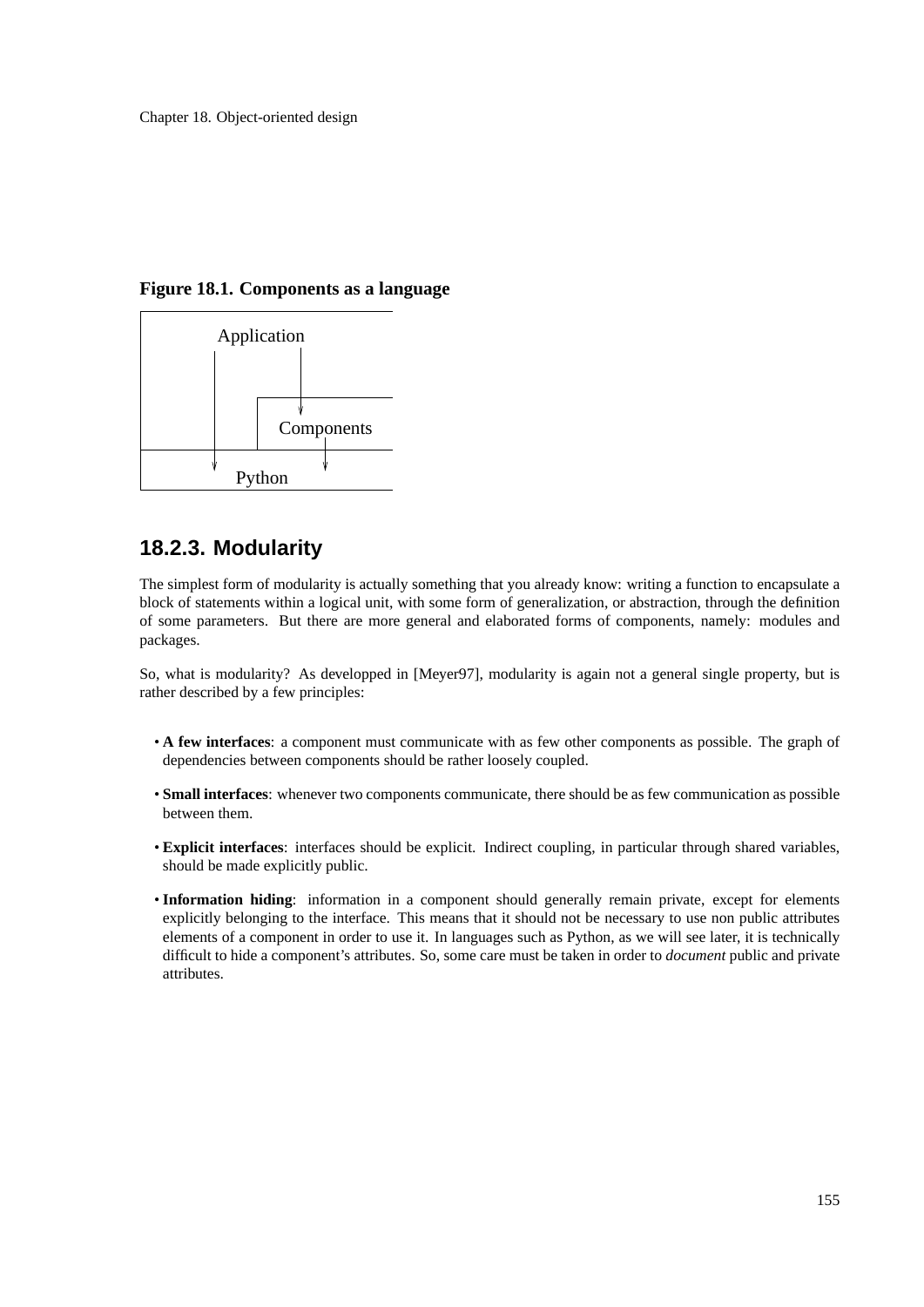**Figure 18.1. Components as a language**



#### **18.2.3. Modularity**

The simplest form of modularity is actually something that you already know: writing a function to encapsulate a block of statements within a logical unit, with some form of generalization, or abstraction, through the definition of some parameters. But there are more general and elaborated forms of components, namely: modules and packages.

So, what is modularity? As developped in [Meyer97], modularity is again not a general single property, but is rather described by a few principles:

- **A few interfaces**: a component must communicate with as few other components as possible. The graph of dependencies between components should be rather loosely coupled.
- **Small interfaces**: whenever two components communicate, there should be as few communication as possible between them.
- **Explicit interfaces**: interfaces should be explicit. Indirect coupling, in particular through shared variables, should be made explicitly public.
- **Information hiding**: information in a component should generally remain private, except for elements explicitly belonging to the interface. This means that it should not be necessary to use non public attributes elements of a component in order to use it. In languages such as Python, as we will see later, it is technically difficult to hide a component's attributes. So, some care must be taken in order to *document* public and private attributes.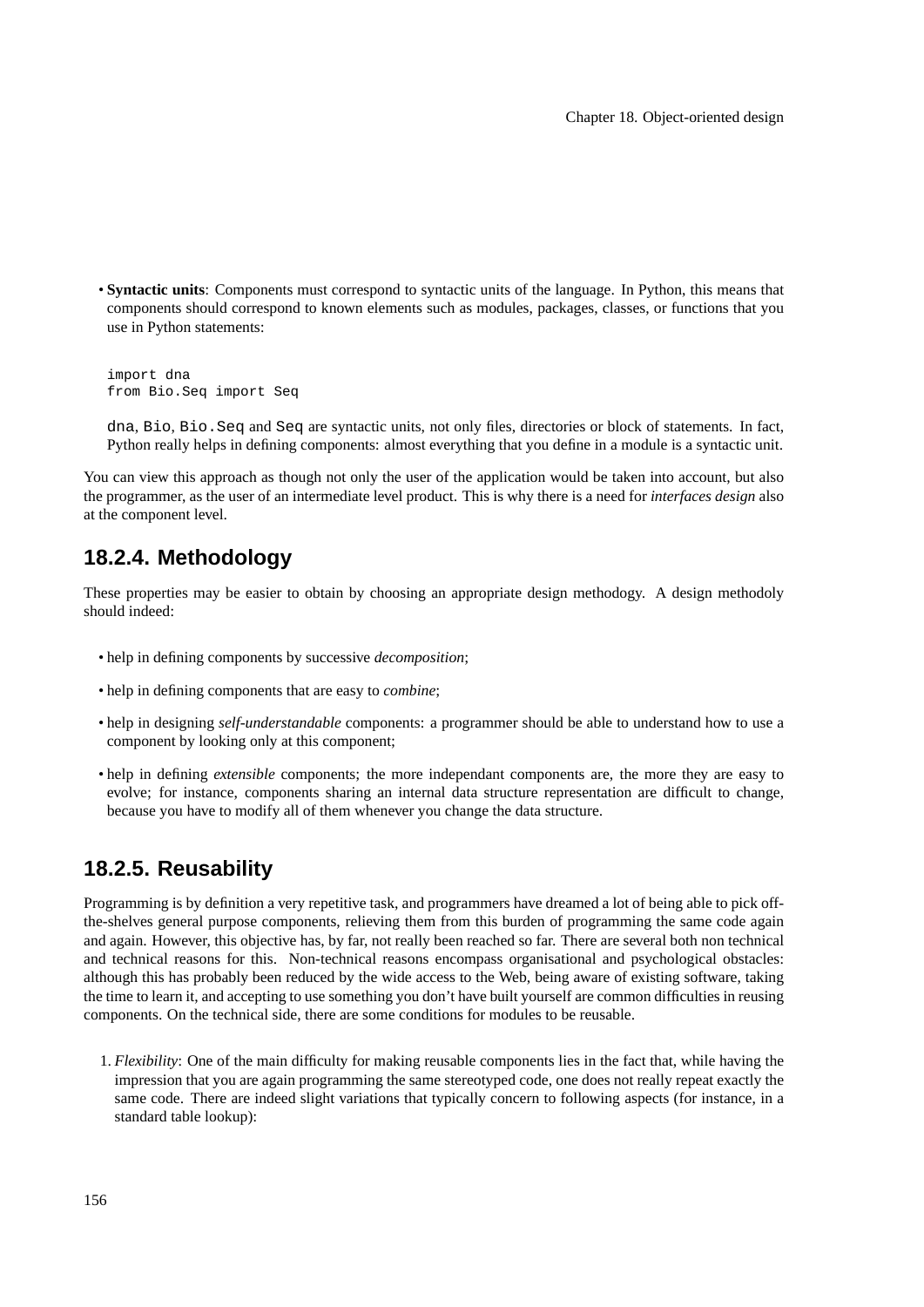• **Syntactic units**: Components must correspond to syntactic units of the language. In Python, this means that components should correspond to known elements such as modules, packages, classes, or functions that you use in Python statements:

import dna from Bio.Seq import Seq

dna, Bio, Bio. Seq and Seq are syntactic units, not only files, directories or block of statements. In fact, Python really helps in defining components: almost everything that you define in a module is a syntactic unit.

You can view this approach as though not only the user of the application would be taken into account, but also the programmer, as the user of an intermediate level product. This is why there is a need for *interfaces design* also at the component level.

## **18.2.4. Methodology**

These properties may be easier to obtain by choosing an appropriate design methodogy. A design methodoly should indeed:

- help in defining components by successive *decomposition*;
- help in defining components that are easy to *combine*;
- help in designing *self-understandable* components: a programmer should be able to understand how to use a component by looking only at this component;
- help in defining *extensible* components; the more independant components are, the more they are easy to evolve; for instance, components sharing an internal data structure representation are difficult to change, because you have to modify all of them whenever you change the data structure.

## <span id="page-169-0"></span>**18.2.5. Reusability**

Programming is by definition a very repetitive task, and programmers have dreamed a lot of being able to pick offthe-shelves general purpose components, relieving them from this burden of programming the same code again and again. However, this objective has, by far, not really been reached so far. There are several both non technical and technical reasons for this. Non-technical reasons encompass organisational and psychological obstacles: although this has probably been reduced by the wide access to the Web, being aware of existing software, taking the time to learn it, and accepting to use something you don't have built yourself are common difficulties in reusing components. On the technical side, there are some conditions for modules to be reusable.

1. *Flexibility*: One of the main difficulty for making reusable components lies in the fact that, while having the impression that you are again programming the same stereotyped code, one does not really repeat exactly the same code. There are indeed slight variations that typically concern to following aspects (for instance, in a standard table lookup):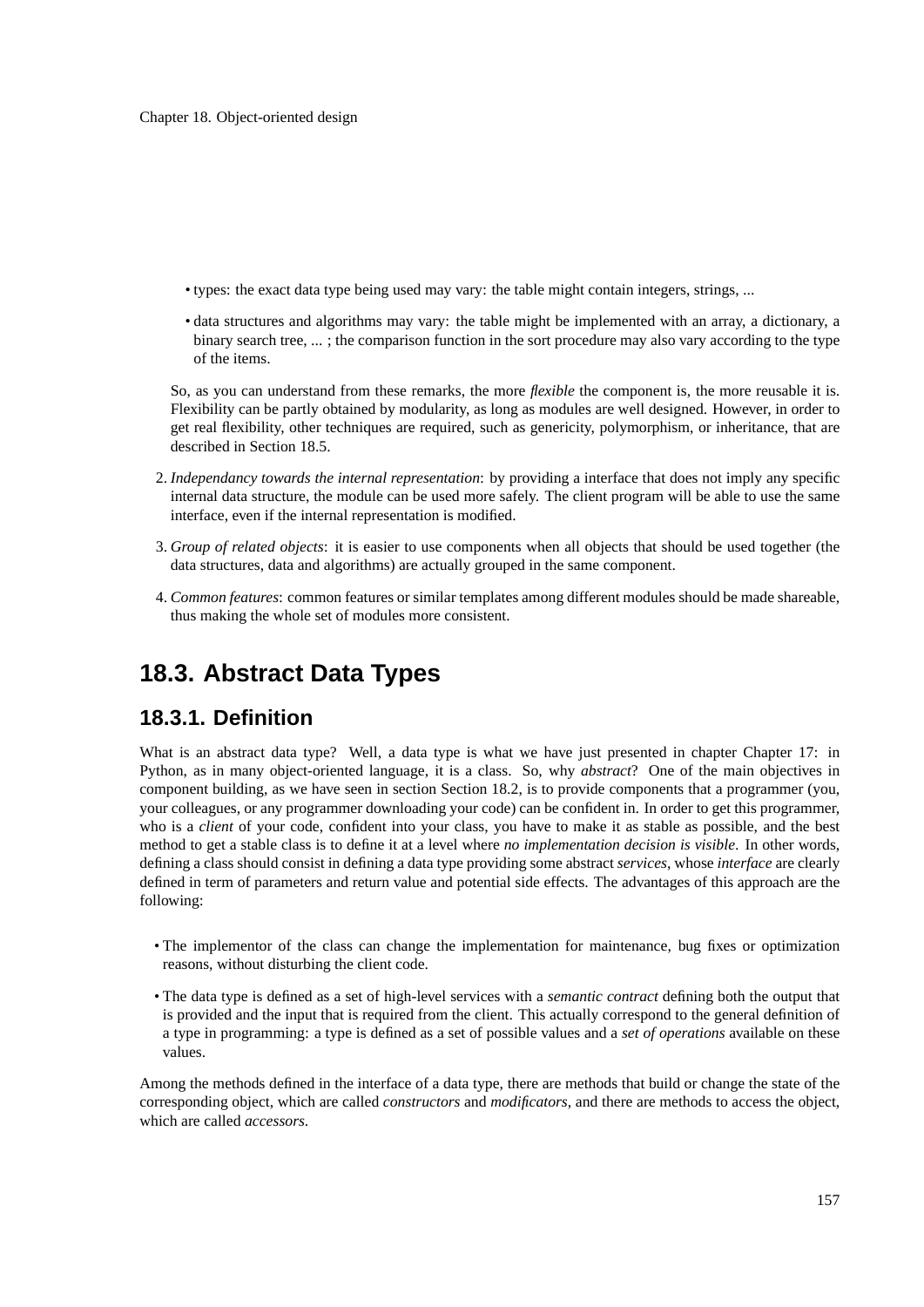- types: the exact data type being used may vary: the table might contain integers, strings, ...
- data structures and algorithms may vary: the table might be implemented with an array, a dictionary, a binary search tree, ... ; the comparison function in the sort procedure may also vary according to the type of the items.

So, as you can understand from these remarks, the more *flexible* the component is, the more reusable it is. Flexibility can be partly obtained by modularity, as long as modules are well designed. However, in order to get real flexibility, other techniques are required, such as genericity, polymorphism, or inheritance, that are described in [Section 18.5.](#page-187-0)

- 2. *Independancy towards the internal representation*: by providing a interface that does not imply any specific internal data structure, the module can be used more safely. The client program will be able to use the same interface, even if the internal representation is modified.
- 3. *Group of related objects*: it is easier to use components when all objects that should be used together (the data structures, data and algorithms) are actually grouped in the same component.
- 4. *Common features*: common features or similar templates among different modules should be made shareable, thus making the whole set of modules more consistent.

# <span id="page-170-0"></span>**18.3. Abstract Data Types**

## **18.3.1. Definition**

What is an abstract data type? Well, a data type is what we have just presented in chapter [Chapter 17:](#page-148-2) in Python, as in many object-oriented language, it is a class. So, why *abstract*? One of the main objectives in component building, as we have seen in section [Section 18.2,](#page-166-1) is to provide components that a programmer (you, your colleagues, or any programmer downloading your code) can be confident in. In order to get this programmer, who is a *client* of your code, confident into your class, you have to make it as stable as possible, and the best method to get a stable class is to define it at a level where *no implementation decision is visible*. In other words, defining a class should consist in defining a data type providing some abstract *services*, whose *interface* are clearly defined in term of parameters and return value and potential side effects. The advantages of this approach are the following:

- The implementor of the class can change the implementation for maintenance, bug fixes or optimization reasons, without disturbing the client code.
- The data type is defined as a set of high-level services with a *semantic contract* defining both the output that is provided and the input that is required from the client. This actually correspond to the general definition of a type in programming: a type is defined as a set of possible values and a *set of operations* available on these values.

Among the methods defined in the interface of a data type, there are methods that build or change the state of the corresponding object, which are called *constructors* and *modificators*, and there are methods to access the object, which are called *accessors*.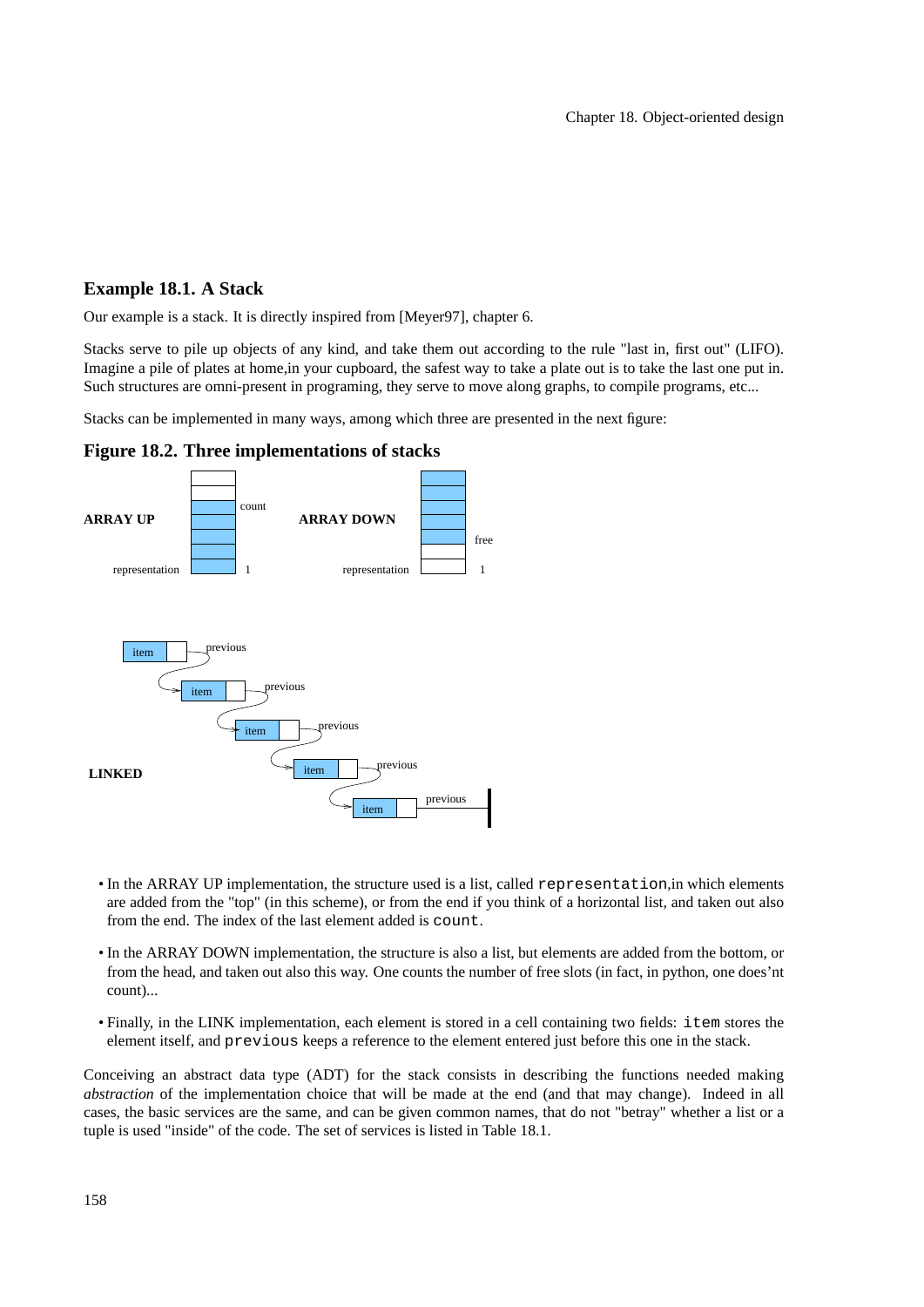#### **Example 18.1. A Stack**

Our example is a stack. It is directly inspired from [Meyer97], chapter 6.

Stacks serve to pile up objects of any kind, and take them out according to the rule "last in, first out" (LIFO). Imagine a pile of plates at home,in your cupboard, the safest way to take a plate out is to take the last one put in. Such structures are omni-present in programing, they serve to move along graphs, to compile programs, etc...

Stacks can be implemented in many ways, among which three are presented in the next figure:

**Figure 18.2. Three implementations of stacks**



- In the ARRAY UP implementation, the structure used is a list, called representation,in which elements are added from the "top" (in this scheme), or from the end if you think of a horizontal list, and taken out also from the end. The index of the last element added is count.
- In the ARRAY DOWN implementation, the structure is also a list, but elements are added from the bottom, or from the head, and taken out also this way. One counts the number of free slots (in fact, in python, one does'nt count)...
- Finally, in the LINK implementation, each element is stored in a cell containing two fields: item stores the element itself, and previous keeps a reference to the element entered just before this one in the stack.

<span id="page-171-0"></span>Conceiving an abstract data type (ADT) for the stack consists in describing the functions needed making *abstraction* of the implementation choice that will be made at the end (and that may change). Indeed in all cases, the basic services are the same, and can be given common names, that do not "betray" whether a list or a tuple is used "inside" of the code. The set of services is listed in [Table 18.1.](#page-171-0)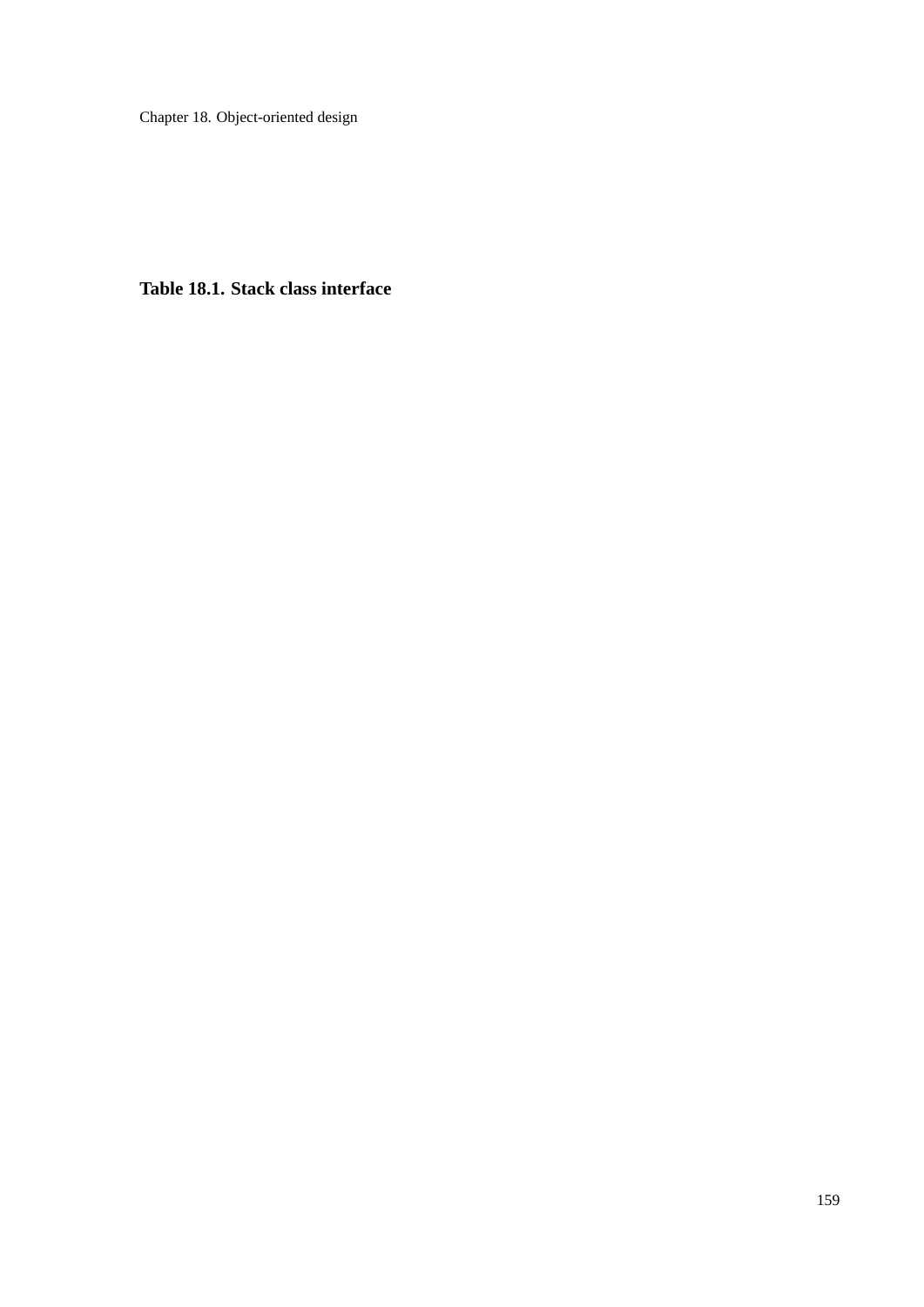Chapter 18. Object-oriented design

**Table 18.1. Stack class interface**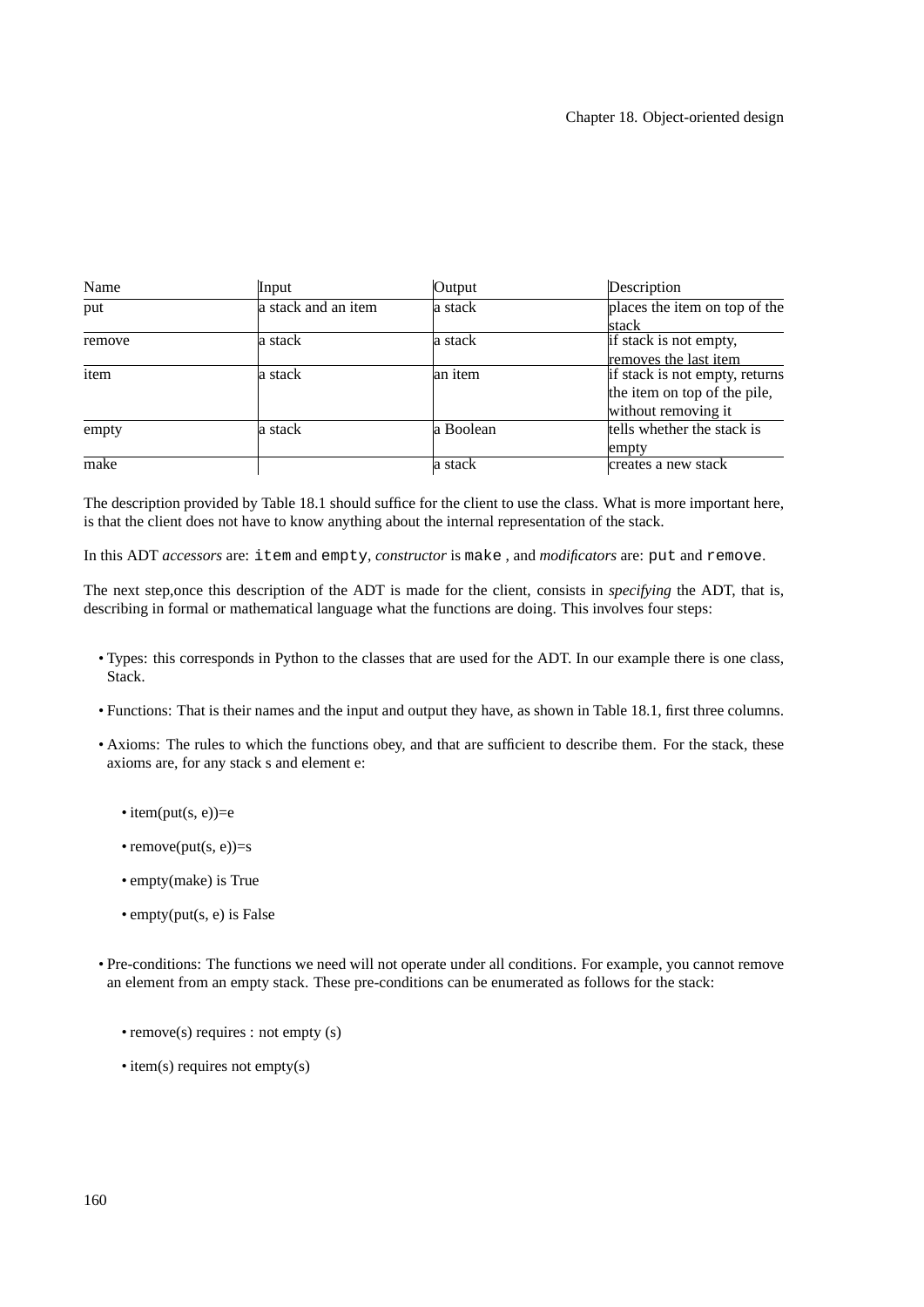| Name   | Input               | Output     | Description                    |
|--------|---------------------|------------|--------------------------------|
| put    | a stack and an item | a stack    | places the item on top of the  |
|        |                     |            | stack                          |
| remove | la stack            | la stack   | if stack is not empty,         |
|        |                     |            | removes the last item          |
| item   | a stack             | an item    | if stack is not empty, returns |
|        |                     |            | the item on top of the pile,   |
|        |                     |            | without removing it            |
| empty  | la stack            | la Boolean | tells whether the stack is     |
|        |                     |            | empty                          |
| make   |                     | a stack    | creates a new stack            |

The description provided by [Table 18.1](#page-171-0) should suffice for the client to use the class. What is more important here, is that the client does not have to know anything about the internal representation of the stack.

In this ADT *accessors* are: item and empty, *constructor* is make , and *modificators* are: put and remove.

The next step,once this description of the ADT is made for the client, consists in *specifying* the ADT, that is, describing in formal or mathematical language what the functions are doing. This involves four steps:

- Types: this corresponds in Python to the classes that are used for the ADT. In our example there is one class, Stack.
- Functions: That is their names and the input and output they have, as shown in [Table 18.1,](#page-171-0) first three columns.
- Axioms: The rules to which the functions obey, and that are sufficient to describe them. For the stack, these axioms are, for any stack s and element e:
	- item(put(s, e))=e
	- remove(put(s, e))=s
	- empty(make) is True
	- empty(put(s, e) is False
- Pre-conditions: The functions we need will not operate under all conditions. For example, you cannot remove an element from an empty stack. These pre-conditions can be enumerated as follows for the stack:
	- remove(s) requires : not empty (s)
	- $\bullet$  item(s) requires not empty(s)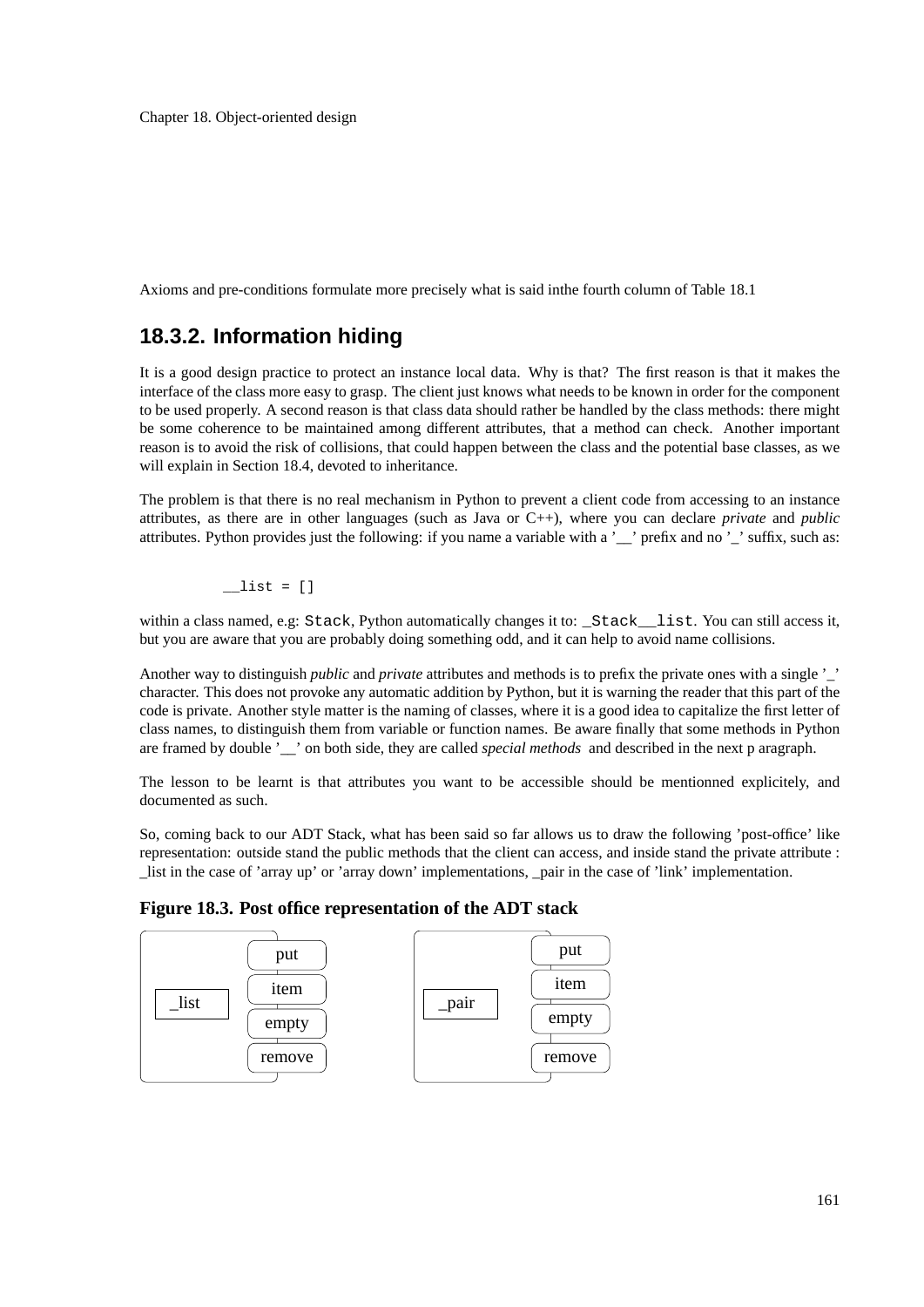Axioms and pre-conditions formulate more precisely what is said inthe fourth column of [Table 18.1](#page-171-0)

## **18.3.2. Information hiding**

It is a good design practice to protect an instance local data. Why is that? The first reason is that it makes the interface of the class more easy to grasp. The client just knows what needs to be known in order for the component to be used properly. A second reason is that class data should rather be handled by the class methods: there might be some coherence to be maintained among different attributes, that a method can check. Another important reason is to avoid the risk of collisions, that could happen between the class and the potential base classes, as we will explain in [Section 18.4,](#page-176-0) devoted to inheritance.

The problem is that there is no real mechanism in Python to prevent a client code from accessing to an instance attributes, as there are in other languages (such as Java or C++), where you can declare *private* and *public* attributes. Python provides just the following: if you name a variable with a '\_\_' prefix and no '\_' suffix, such as:

 $_$  list =  $[]$ 

within a class named, e.g: Stack, Python automatically changes it to: Stack list. You can still access it, but you are aware that you are probably doing something odd, and it can help to avoid name collisions.

Another way to distinguish *public* and *private* attributes and methods is to prefix the private ones with a single '\_' character. This does not provoke any automatic addition by Python, but it is warning the reader that this part of the code is private. Another style matter is the naming of classes, where it is a good idea to capitalize the first letter of class names, to distinguish them from variable or function names. Be aware finally that some methods in Python are framed by double '\_\_' on both side, they are called *special methods* and described in the next p aragraph.

The lesson to be learnt is that attributes you want to be accessible should be mentionned explicitely, and documented as such.

So, coming back to our ADT Stack, what has been said so far allows us to draw the following 'post-office' like representation: outside stand the public methods that the client can access, and inside stand the private attribute : \_list in the case of 'array up' or 'array down' implementations, \_pair in the case of 'link' implementation.

**Figure 18.3. Post office representation of the ADT stack**

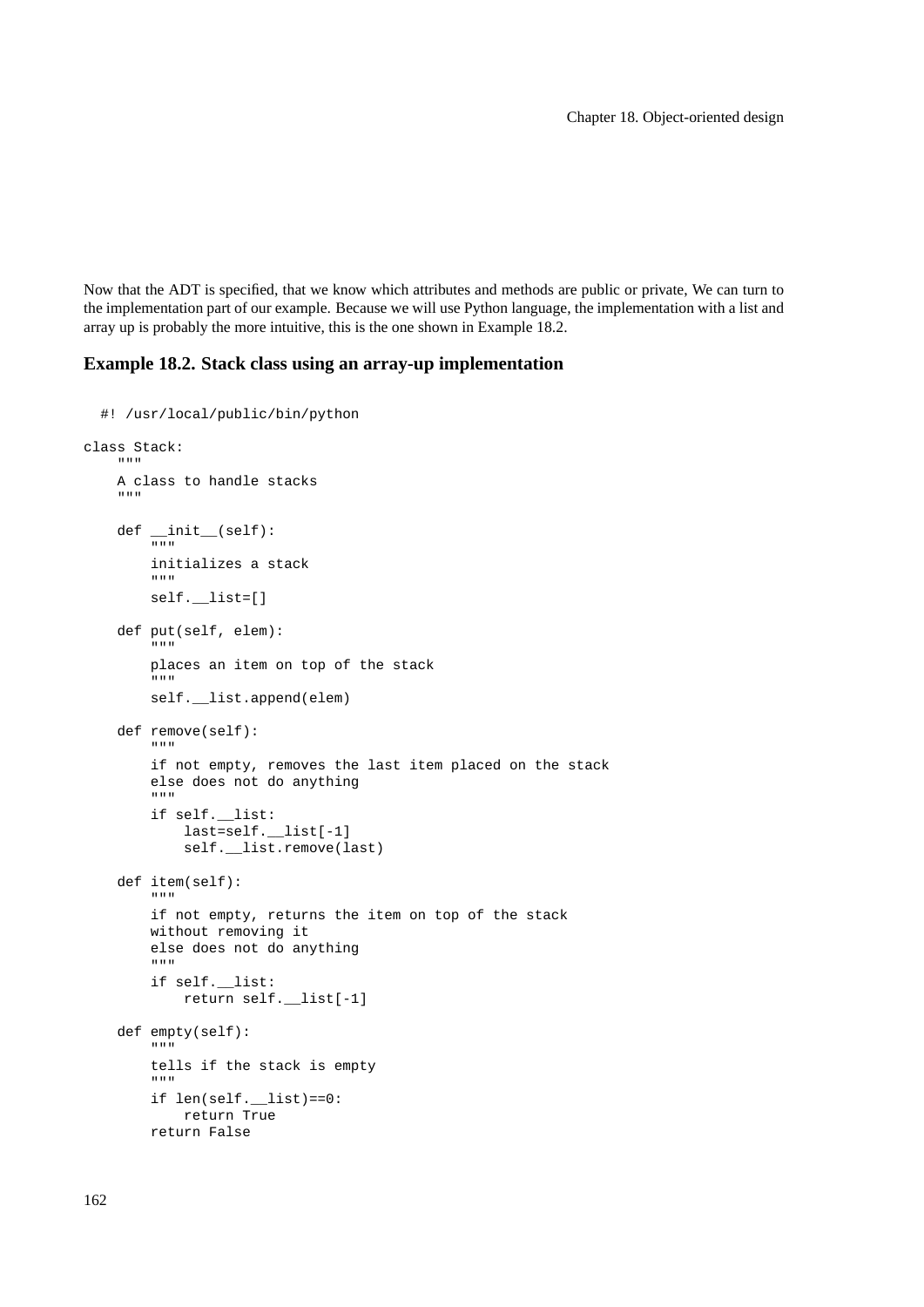Now that the ADT is specified, that we know which attributes and methods are public or private, We can turn to the implementation part of our example. Because we will use Python language, the implementation with a list and array up is probably the more intuitive, this is the one shown in [Example 18.2.](#page-175-0)

#### <span id="page-175-0"></span>**Example 18.2. Stack class using an array-up implementation**

```
#! /usr/local/public/bin/python
class Stack:
    """
    A class to handle stacks
    "" "
    def __init__(self):
        """
        initializes a stack
        """
        self.__list=[]
    def put(self, elem):
        ^{\rm m} "" ^{\rm m}places an item on top of the stack
        """
        self.__list.append(elem)
    def remove(self):
        """
        if not empty, removes the last item placed on the stack
        else does not do anything
        "" "
        if self.__list:
            last=self.__list[-1]
            self.__list.remove(last)
    def item(self):
        """
        if not empty, returns the item on top of the stack
        without removing it
        else does not do anything
        """
        if self.__list:
            return self.__list[-1]
    def empty(self):
        """
        tells if the stack is empty
        """
        if len(self.__list)==0:
            return True
        return False
```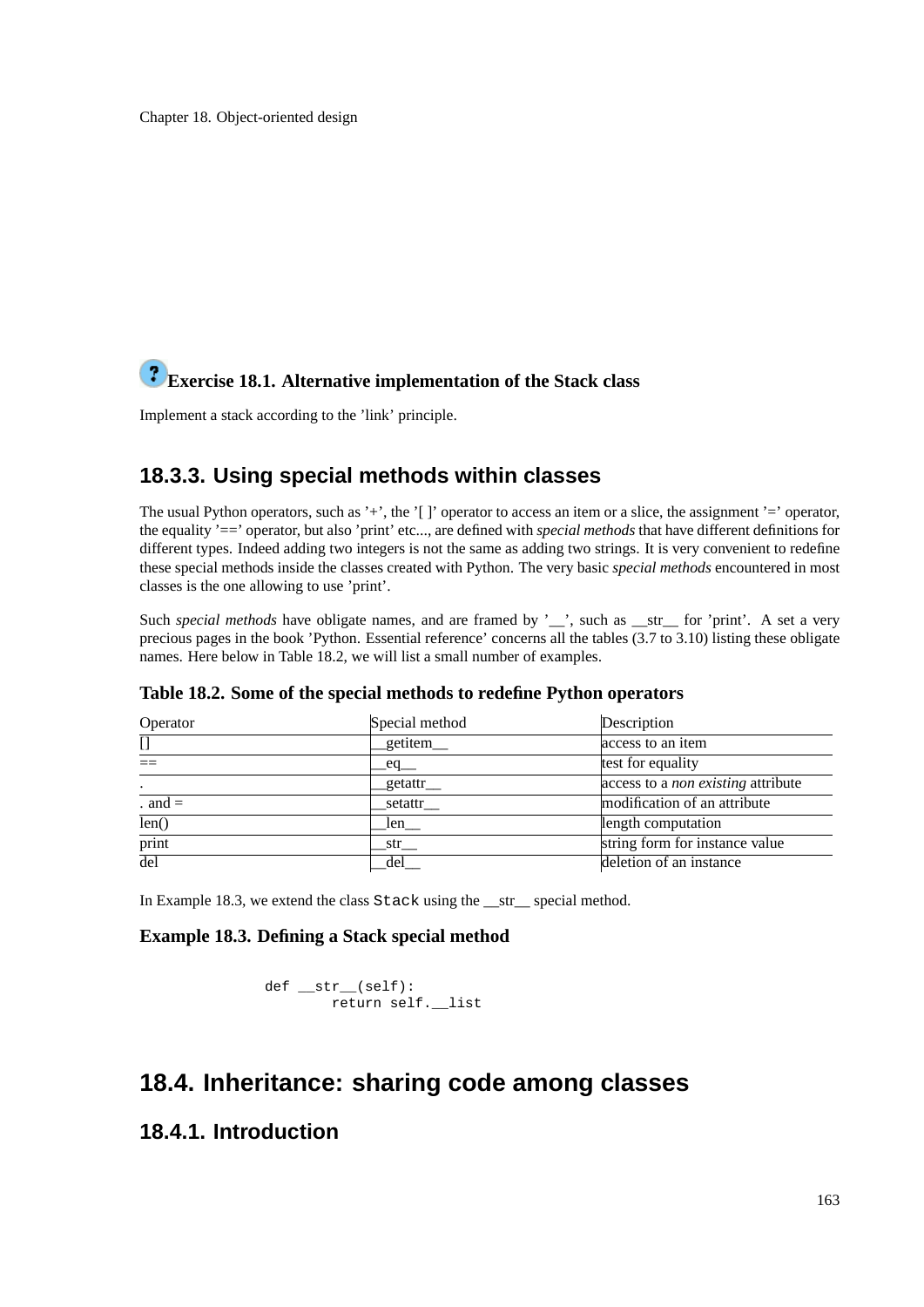# **Exercise 18.1. Alternative implementation of the Stack class**

Implement a stack according to the 'link' principle.

# <span id="page-176-1"></span>**18.3.3. Using special methods within classes**

The usual Python operators, such as '+', the '[]' operator to access an item or a slice, the assignment '=' operator, the equality '==' operator, but also 'print' etc..., are defined with *special methods* that have different definitions for different types. Indeed adding two integers is not the same as adding two strings. It is very convenient to redefine these special methods inside the classes created with Python. The very basic *special methods* encountered in most classes is the one allowing to use 'print'.

Such *special methods* have obligate names, and are framed by '\_\_', such as \_\_str\_\_ for 'print'. A set a very precious pages in the book 'Python. Essential reference' concerns all the tables (3.7 to 3.10) listing these obligate names. Here below in [Table 18.2,](#page-176-2) we will list a small number of examples.

| Operator           | Special method    | Description                               |
|--------------------|-------------------|-------------------------------------------|
|                    | _getitem_         | access to an item                         |
|                    | $eq$ <sub>—</sub> | test for equality                         |
|                    | getattr           | access to a <i>non existing</i> attribute |
| . and $=$          | setattr           | modification of an attribute              |
| len()              | len               | length computation                        |
| $\overline{print}$ | str               | string form for instance value            |
| del                | del               | deletion of an instance                   |

#### <span id="page-176-2"></span>**Table 18.2. Some of the special methods to redefine Python operators**

<span id="page-176-3"></span>In [Example 18.3,](#page-176-3) we extend the class Stack using the \_\_str\_\_ special method.

#### **Example 18.3. Defining a Stack special method**

def \_\_str\_\_(self): return self.\_\_list

# <span id="page-176-0"></span>**18.4. Inheritance: sharing code among classes**

## **18.4.1. Introduction**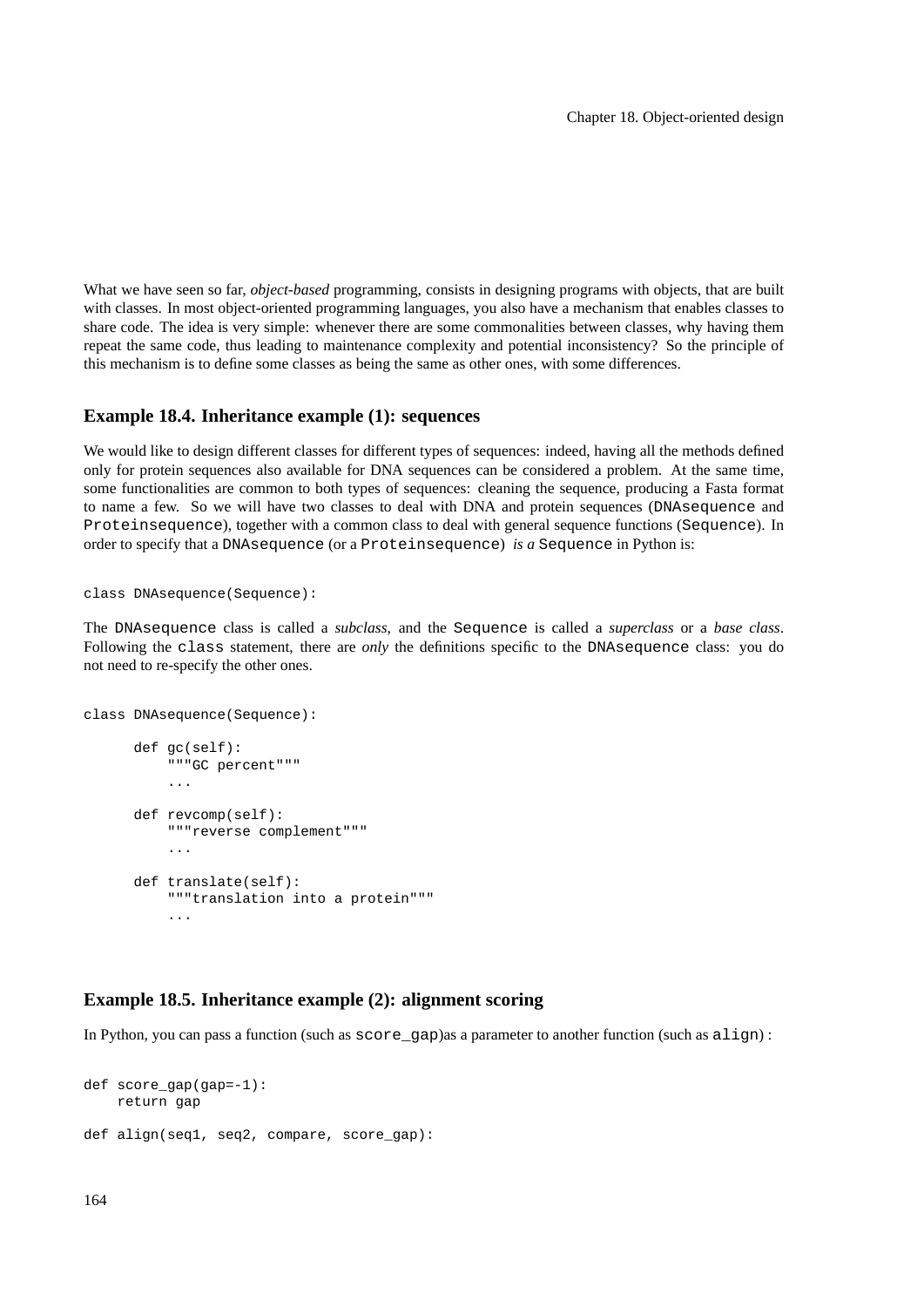What we have seen so far, *object-based* programming, consists in designing programs with objects, that are built with classes. In most object-oriented programming languages, you also have a mechanism that enables classes to share code. The idea is very simple: whenever there are some commonalities between classes, why having them repeat the same code, thus leading to maintenance complexity and potential inconsistency? So the principle of this mechanism is to define some classes as being the same as other ones, with some differences.

#### **Example 18.4. Inheritance example (1): sequences**

We would like to design different classes for different types of sequences: indeed, having all the methods defined only for protein sequences also available for DNA sequences can be considered a problem. At the same time, some functionalities are common to both types of sequences: cleaning the sequence, producing a Fasta format to name a few. So we will have two classes to deal with DNA and protein sequences (DNAsequence and Proteinsequence), together with a common class to deal with general sequence functions (Sequence). In order to specify that a DNAsequence (or a Proteinsequence) *is a* Sequence in Python is:

```
class DNAsequence(Sequence):
```
The DNAsequence class is called a *subclass*, and the Sequence is called a *superclass* or a *base class*. Following the class statement, there are *only* the definitions specific to the DNAsequence class: you do not need to re-specify the other ones.

```
class DNAsequence(Sequence):
      def gc(self):
          """GC percent"""
          ...
      def revcomp(self):
          """reverse complement"""
          ...
      def translate(self):
          """translation into a protein"""
          ...
```
#### **Example 18.5. Inheritance example (2): alignment scoring**

In Python, you can pass a function (such as score\_gap)as a parameter to another function (such as align) :

```
def score qap(qap=-1):
   return gap
def align(seq1, seq2, compare, score_gap):
```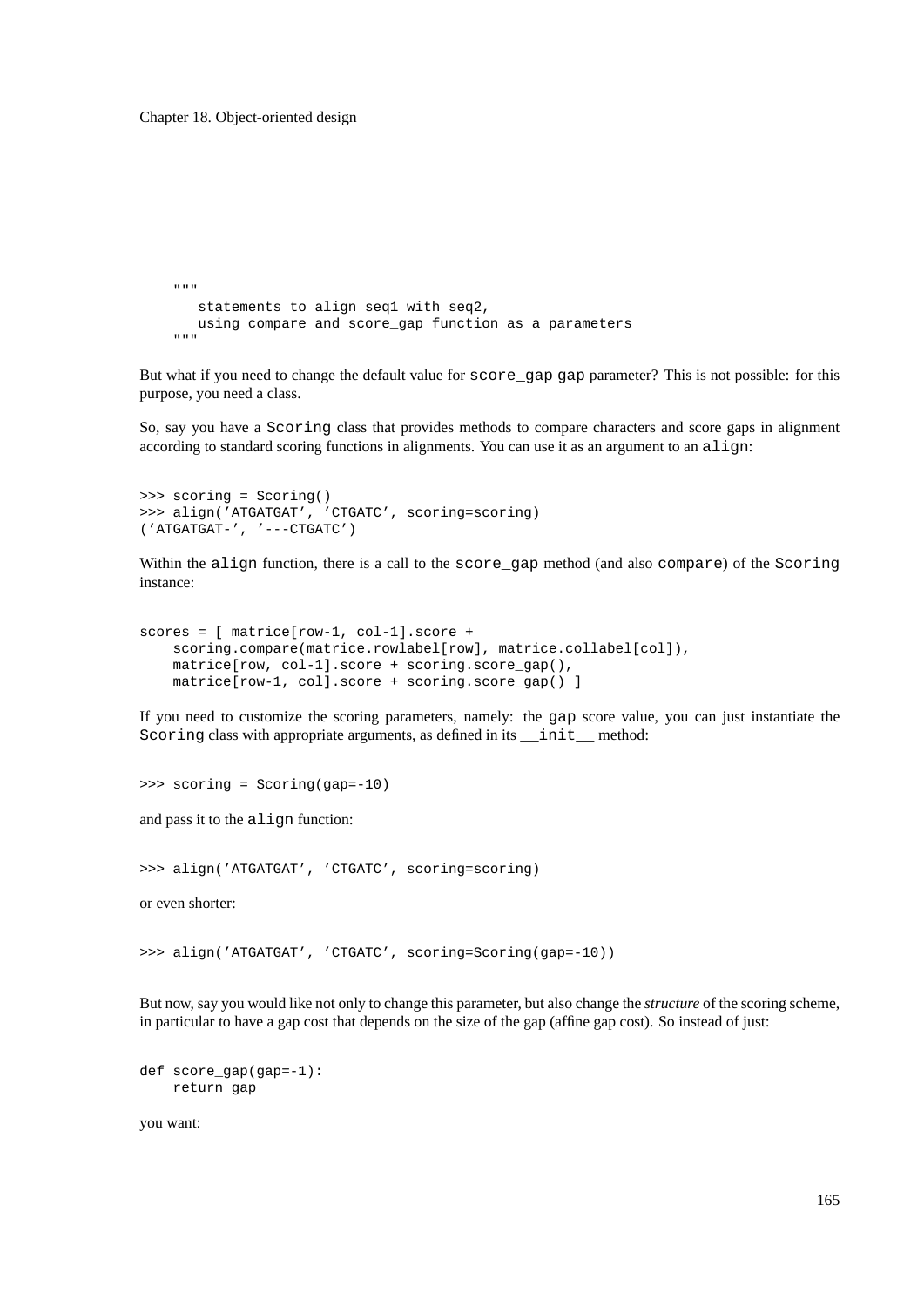```
"" "
  statements to align seq1 with seq2,
  using compare and score_gap function as a parameters
"""
```
But what if you need to change the default value for score\_gap gap parameter? This is not possible: for this purpose, you need a class.

So, say you have a Scoring class that provides methods to compare characters and score gaps in alignment according to standard scoring functions in alignments. You can use it as an argument to an align:

```
>>> scoring = Scoring()
>>> align('ATGATGAT', 'CTGATC', scoring=scoring)
( ' ATGATGAT- ' , \quad ' ---{\tt CTGATC} ' )
```
Within the align function, there is a call to the score\_gap method (and also compare) of the Scoring instance:

```
scores = [ matrice[row-1, col-1].score +
   scoring.compare(matrice.rowlabel[row], matrice.collabel[col]),
   matrice[row, col-1].score + scoring.score_gap(),
   matrice[row-1, col].score + scoring.score_gap() ]
```
If you need to customize the scoring parameters, namely: the gap score value, you can just instantiate the Scoring class with appropriate arguments, as defined in its *\_\_init \_\_* method:

```
>>> scoring = Scoring(gap=-10)
```
and pass it to the align function:

>>> align('ATGATGAT', 'CTGATC', scoring=scoring)

or even shorter:

>>> align('ATGATGAT', 'CTGATC', scoring=Scoring(gap=-10))

But now, say you would like not only to change this parameter, but also change the *structure* of the scoring scheme, in particular to have a gap cost that depends on the size of the gap (affine gap cost). So instead of just:

```
def score_gap(gap=-1):
    return gap
```
you want: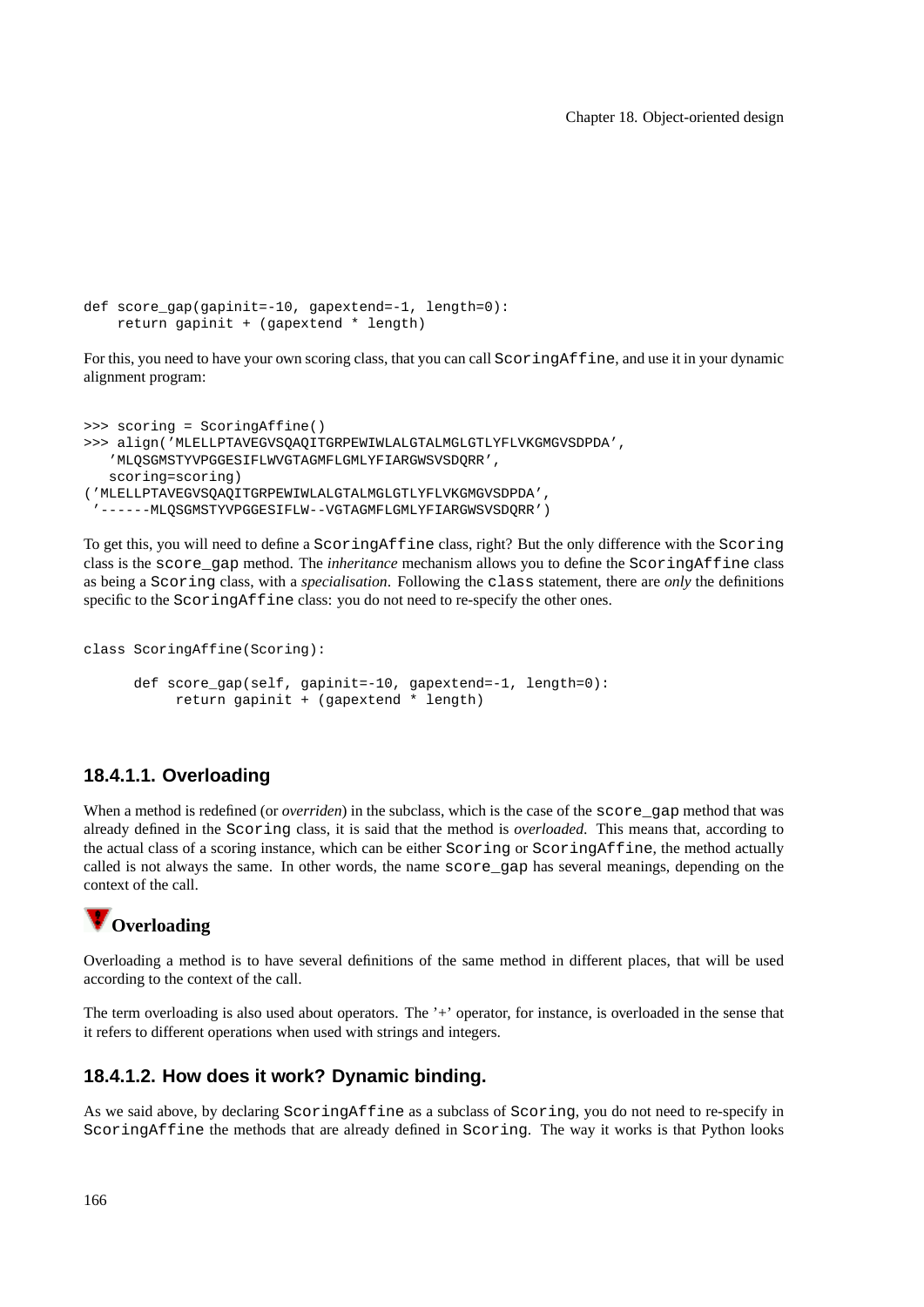```
def score_gap(gapinit=-10, gapextend=-1, length=0):
    return gapinit + (gapextend * length)
```
For this, you need to have your own scoring class, that you can call ScoringAffine, and use it in your dynamic alignment program:

```
>>> scoring = ScoringAffine()
>>> align('MLELLPTAVEGVSQAQITGRPEWIWLALGTALMGLGTLYFLVKGMGVSDPDA',
   'MLQSGMSTYVPGGESIFLWVGTAGMFLGMLYFIARGWSVSDQRR',
  scoring=scoring)
('MLELLPTAVEGVSQAQITGRPEWIWLALGTALMGLGTLYFLVKGMGVSDPDA',
 '------MLQSGMSTYVPGGESIFLW--VGTAGMFLGMLYFIARGWSVSDQRR')
```
To get this, you will need to define a ScoringAffine class, right? But the only difference with the Scoring class is the score\_gap method. The *inheritance* mechanism allows you to define the ScoringAffine class as being a Scoring class, with a *specialisation*. Following the class statement, there are *only* the definitions specific to the ScoringAffine class: you do not need to re-specify the other ones.

```
class ScoringAffine(Scoring):
      def score_gap(self, gapinit=-10, gapextend=-1, length=0):
           return gapinit + (gapextend * length)
```
#### **18.4.1.1. Overloading**

When a method is redefined (or *overriden*) in the subclass, which is the case of the score gap method that was already defined in the Scoring class, it is said that the method is *overloaded*. This means that, according to the actual class of a scoring instance, which can be either Scoring or ScoringAffine, the method actually called is not always the same. In other words, the name score\_gap has several meanings, depending on the context of the call.

# **Overloading**

Overloading a method is to have several definitions of the same method in different places, that will be used according to the context of the call.

The term overloading is also used about operators. The '+' operator, for instance, is overloaded in the sense that it refers to different operations when used with strings and integers.

#### **18.4.1.2. How does it work? Dynamic binding.**

As we said above, by declaring ScoringAffine as a subclass of Scoring, you do not need to re-specify in ScoringAffine the methods that are already defined in Scoring. The way it works is that Python looks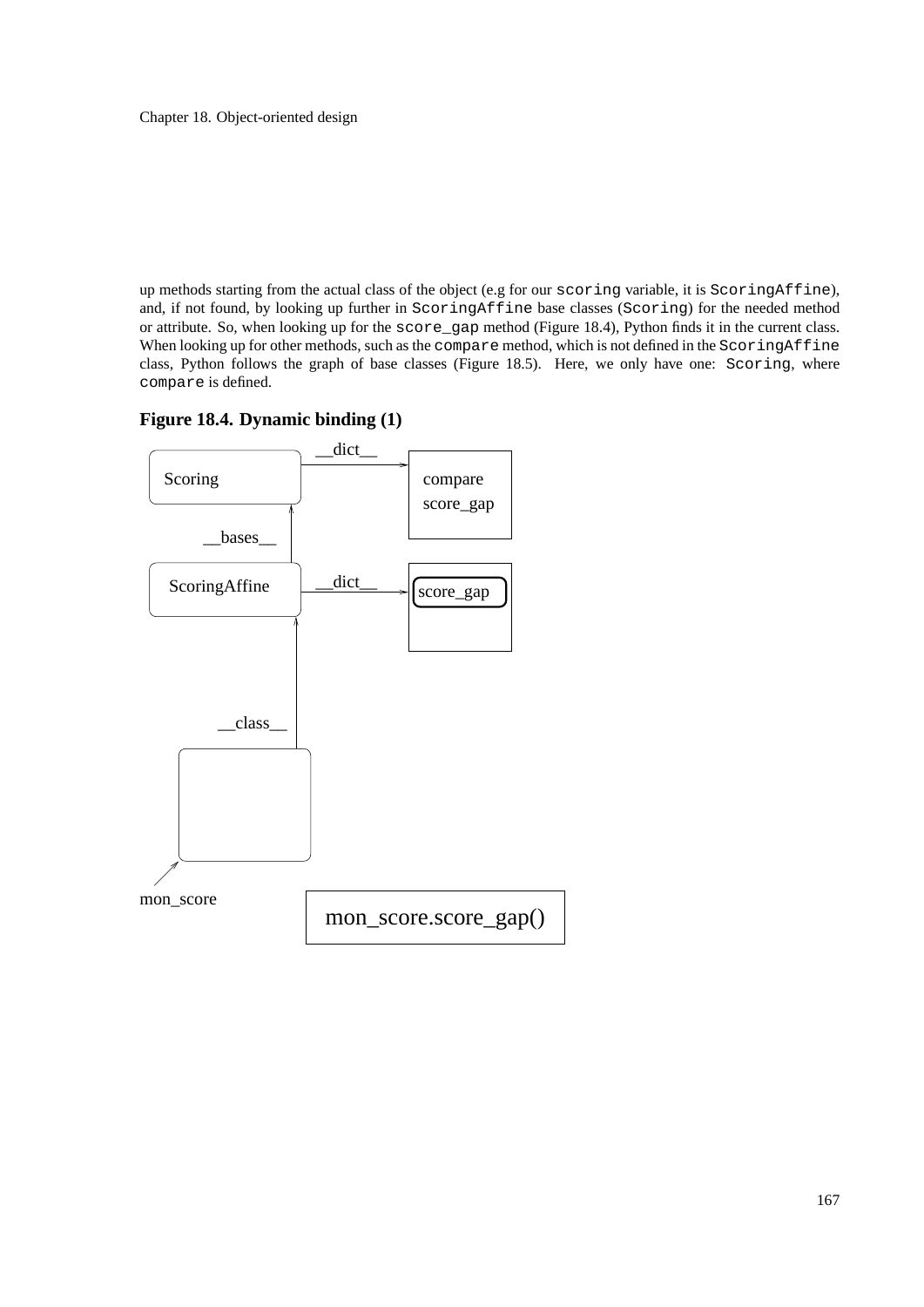up methods starting from the actual class of the object (e.g for our scoring variable, it is ScoringAffine), and, if not found, by looking up further in ScoringAffine base classes (Scoring) for the needed method or attribute. So, when looking up for the score\_gap method [\(Figure 18.4\)](#page-180-0), Python finds it in the current class. When looking up for other methods, such as the compare method, which is not defined in the ScoringAffine class, Python follows the graph of base classes [\(Figure 18.5\)](#page-181-0). Here, we only have one: Scoring, where compare is defined.



### <span id="page-180-0"></span>**Figure 18.4. Dynamic binding (1)**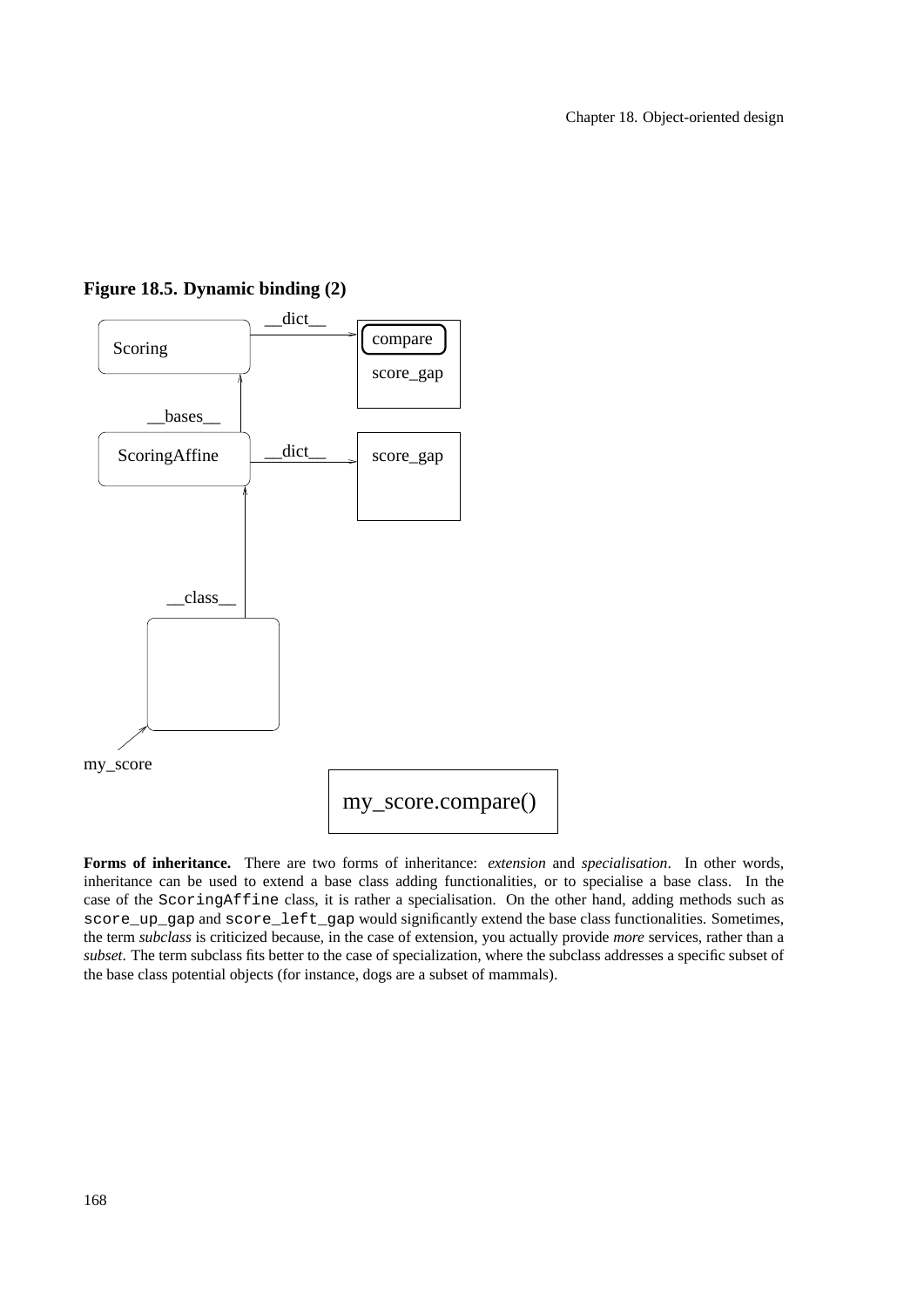

<span id="page-181-0"></span>**Figure 18.5. Dynamic binding (2)**

**Forms of inheritance.** There are two forms of inheritance: *extension* and *specialisation*. In other words, inheritance can be used to extend a base class adding functionalities, or to specialise a base class. In the case of the ScoringAffine class, it is rather a specialisation. On the other hand, adding methods such as score\_up\_gap and score\_left\_gap would significantly extend the base class functionalities. Sometimes, the term *subclass* is criticized because, in the case of extension, you actually provide *more* services, rather than a *subset*. The term subclass fits better to the case of specialization, where the subclass addresses a specific subset of the base class potential objects (for instance, dogs are a subset of mammals).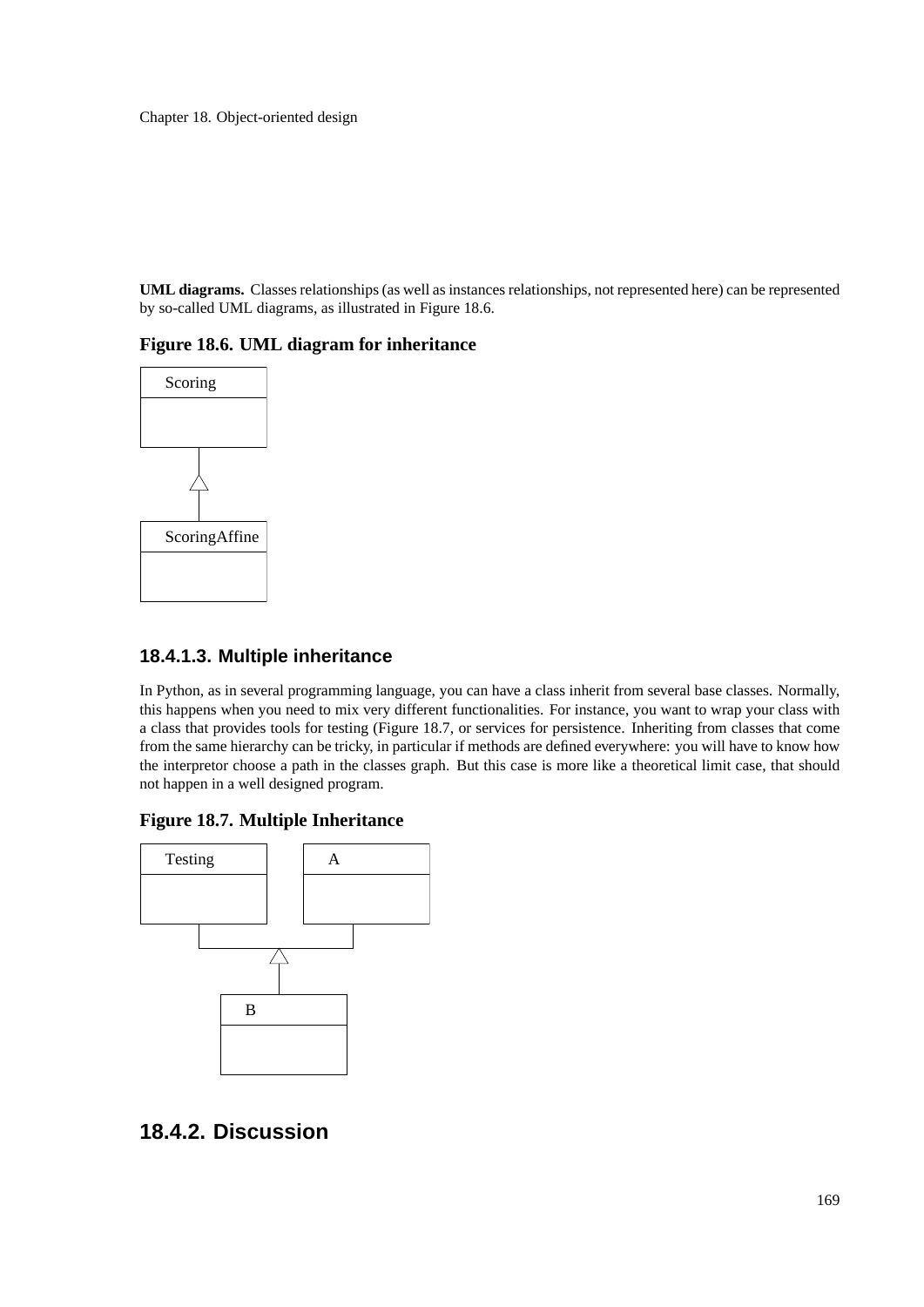**UML diagrams.** Classes relationships (as well as instances relationships, not represented here) can be represented by so-called UML diagrams, as illustrated in [Figure 18.6.](#page-182-0)

### <span id="page-182-0"></span>**Figure 18.6. UML diagram for inheritance**



### **18.4.1.3. Multiple inheritance**

In Python, as in several programming language, you can have a class inherit from several base classes. Normally, this happens when you need to mix very different functionalities. For instance, you want to wrap your class with a class that provides tools for testing [\(Figure 18.7,](#page-182-1) or services for persistence. Inheriting from classes that come from the same hierarchy can be tricky, in particular if methods are defined everywhere: you will have to know how the interpretor choose a path in the classes graph. But this case is more like a theoretical limit case, that should not happen in a well designed program.

<span id="page-182-1"></span>**Figure 18.7. Multiple Inheritance**



## <span id="page-182-2"></span>**18.4.2. Discussion**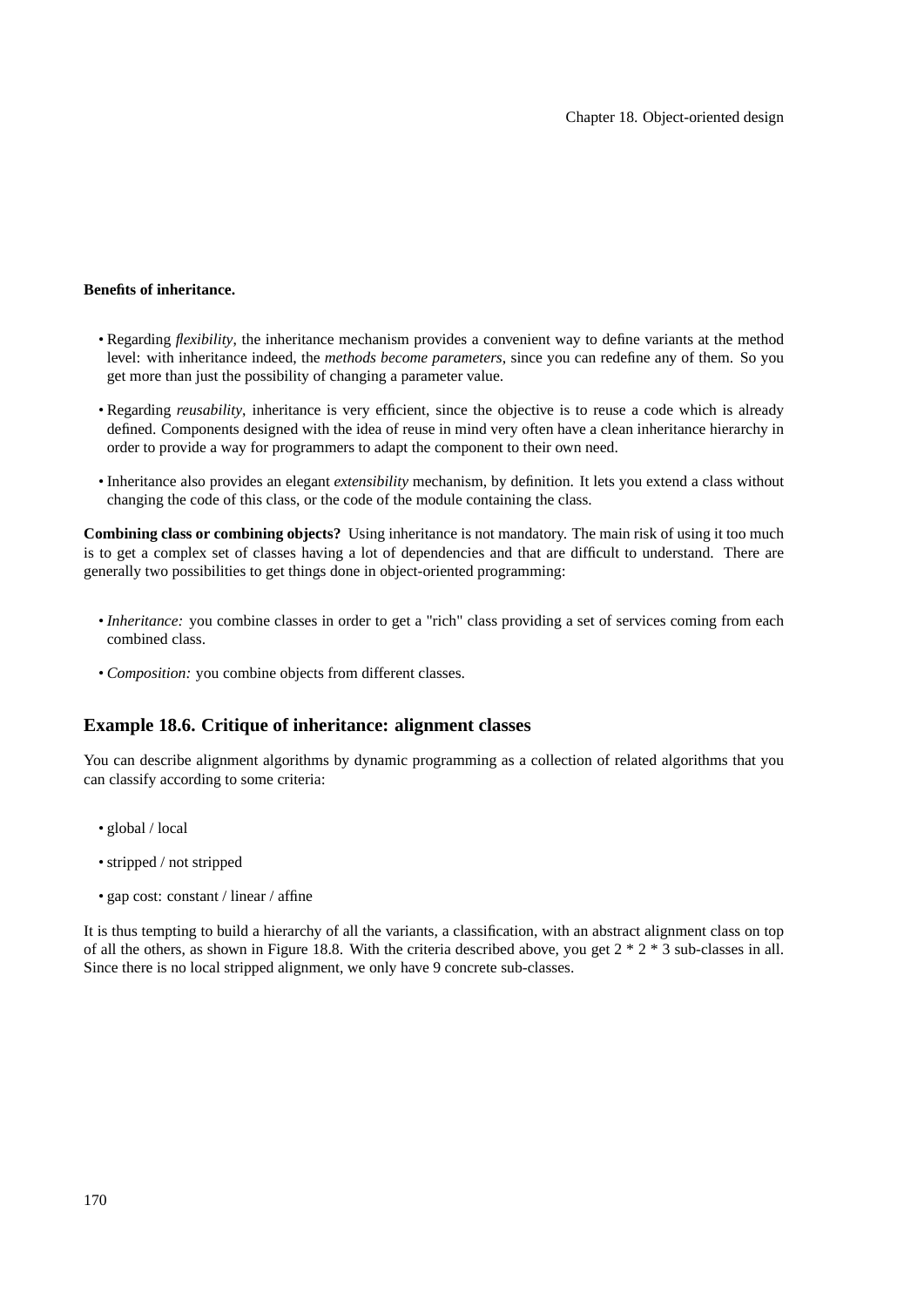#### **Benefits of inheritance.**

- Regarding *flexibility*, the inheritance mechanism provides a convenient way to define variants at the method level: with inheritance indeed, the *methods become parameters*, since you can redefine any of them. So you get more than just the possibility of changing a parameter value.
- Regarding *reusability*, inheritance is very efficient, since the objective is to reuse a code which is already defined. Components designed with the idea of reuse in mind very often have a clean inheritance hierarchy in order to provide a way for programmers to adapt the component to their own need.
- Inheritance also provides an elegant *extensibility* mechanism, by definition. It lets you extend a class without changing the code of this class, or the code of the module containing the class.

**Combining class or combining objects?** Using inheritance is not mandatory. The main risk of using it too much is to get a complex set of classes having a lot of dependencies and that are difficult to understand. There are generally two possibilities to get things done in object-oriented programming:

- *Inheritance:* you combine classes in order to get a "rich" class providing a set of services coming from each combined class.
- *Composition:* you combine objects from different classes.

#### <span id="page-183-1"></span>**Example 18.6. Critique of inheritance: alignment classes**

You can describe alignment algorithms by dynamic programming as a collection of related algorithms that you can classify according to some criteria:

- global / local
- stripped / not stripped
- gap cost: constant / linear / affine

<span id="page-183-0"></span>It is thus tempting to build a hierarchy of all the variants, a classification, with an abstract alignment class on top of all the others, as shown in [Figure 18.8.](#page-183-0) With the criteria described above, you get  $2 * 2 * 3$  sub-classes in all. Since there is no local stripped alignment, we only have 9 concrete sub-classes.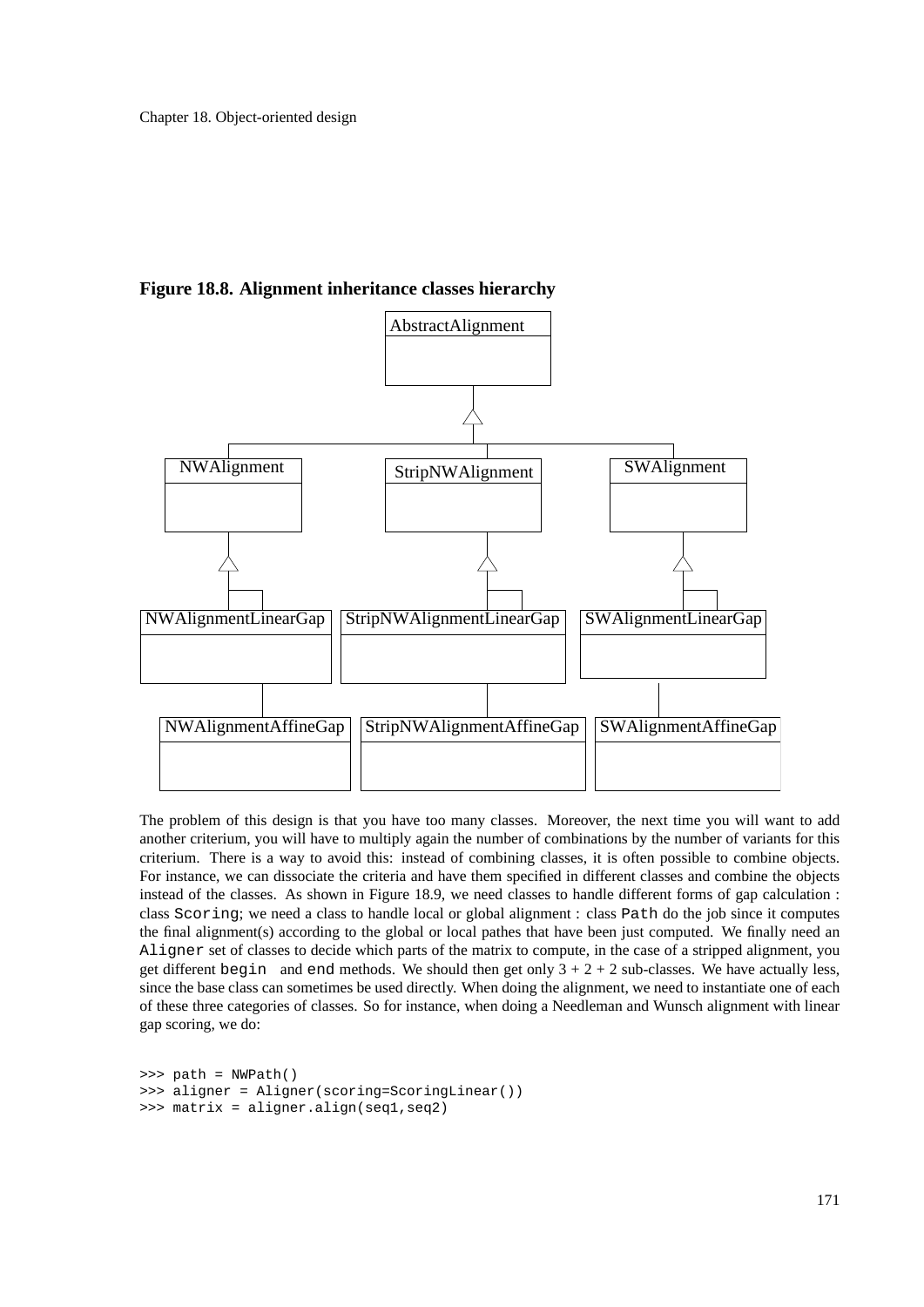Chapter 18. Object-oriented design

**Figure 18.8. Alignment inheritance classes hierarchy**



The problem of this design is that you have too many classes. Moreover, the next time you will want to add another criterium, you will have to multiply again the number of combinations by the number of variants for this criterium. There is a way to avoid this: instead of combining classes, it is often possible to combine objects. For instance, we can dissociate the criteria and have them specified in different classes and combine the objects instead of the classes. As shown in [Figure 18.9,](#page-185-0) we need classes to handle different forms of gap calculation : class Scoring; we need a class to handle local or global alignment : class Path do the job since it computes the final alignment(s) according to the global or local pathes that have been just computed. We finally need an Aligner set of classes to decide which parts of the matrix to compute, in the case of a stripped alignment, you get different begin and end methods. We should then get only  $3 + 2 + 2$  sub-classes. We have actually less, since the base class can sometimes be used directly. When doing the alignment, we need to instantiate one of each of these three categories of classes. So for instance, when doing a Needleman and Wunsch alignment with linear gap scoring, we do:

```
>>> path = NWPath()
>>> aligner = Aligner(scoring=ScoringLinear())
>>> matrix = aligner.align(seq1,seq2)
```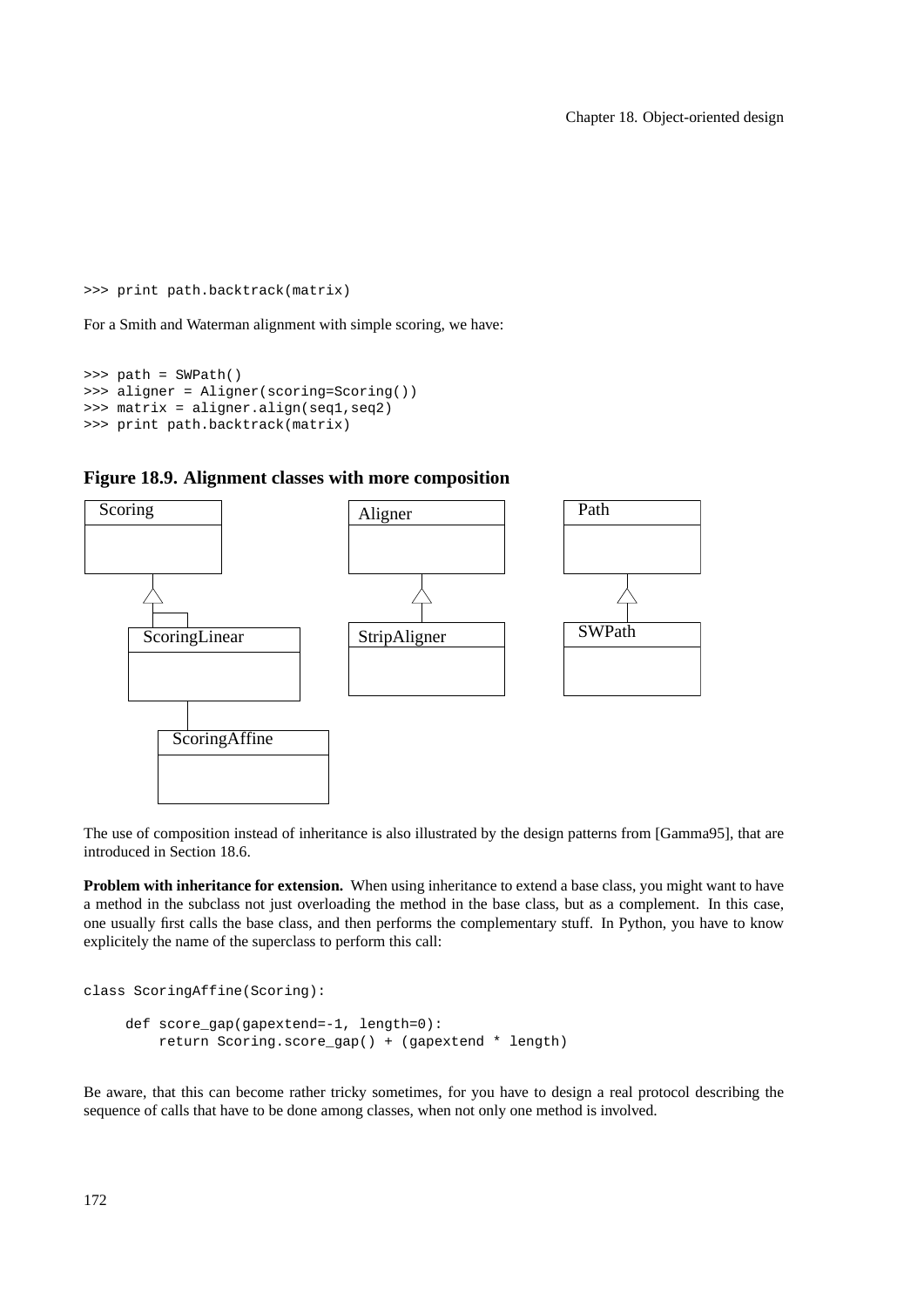```
>>> print path.backtrack(matrix)
```
For a Smith and Waterman alignment with simple scoring, we have:

```
>>> path = SWPath()
>>> aligner = Aligner(scoring=Scoring())
>>> matrix = aligner.align(seq1,seq2)
>>> print path.backtrack(matrix)
```
<span id="page-185-0"></span>



The use of composition instead of inheritance is also illustrated by the design patterns from [Gamma95], that are introduced in [Section 18.6.](#page-189-0)

**Problem with inheritance for extension.** When using inheritance to extend a base class, you might want to have a method in the subclass not just overloading the method in the base class, but as a complement. In this case, one usually first calls the base class, and then performs the complementary stuff. In Python, you have to know explicitely the name of the superclass to perform this call:

```
class ScoringAffine(Scoring):
```

```
def score_gap(gapextend=-1, length=0):
    return Scoring.score_gap() + (gapextend * length)
```
Be aware, that this can become rather tricky sometimes, for you have to design a real protocol describing the sequence of calls that have to be done among classes, when not only one method is involved.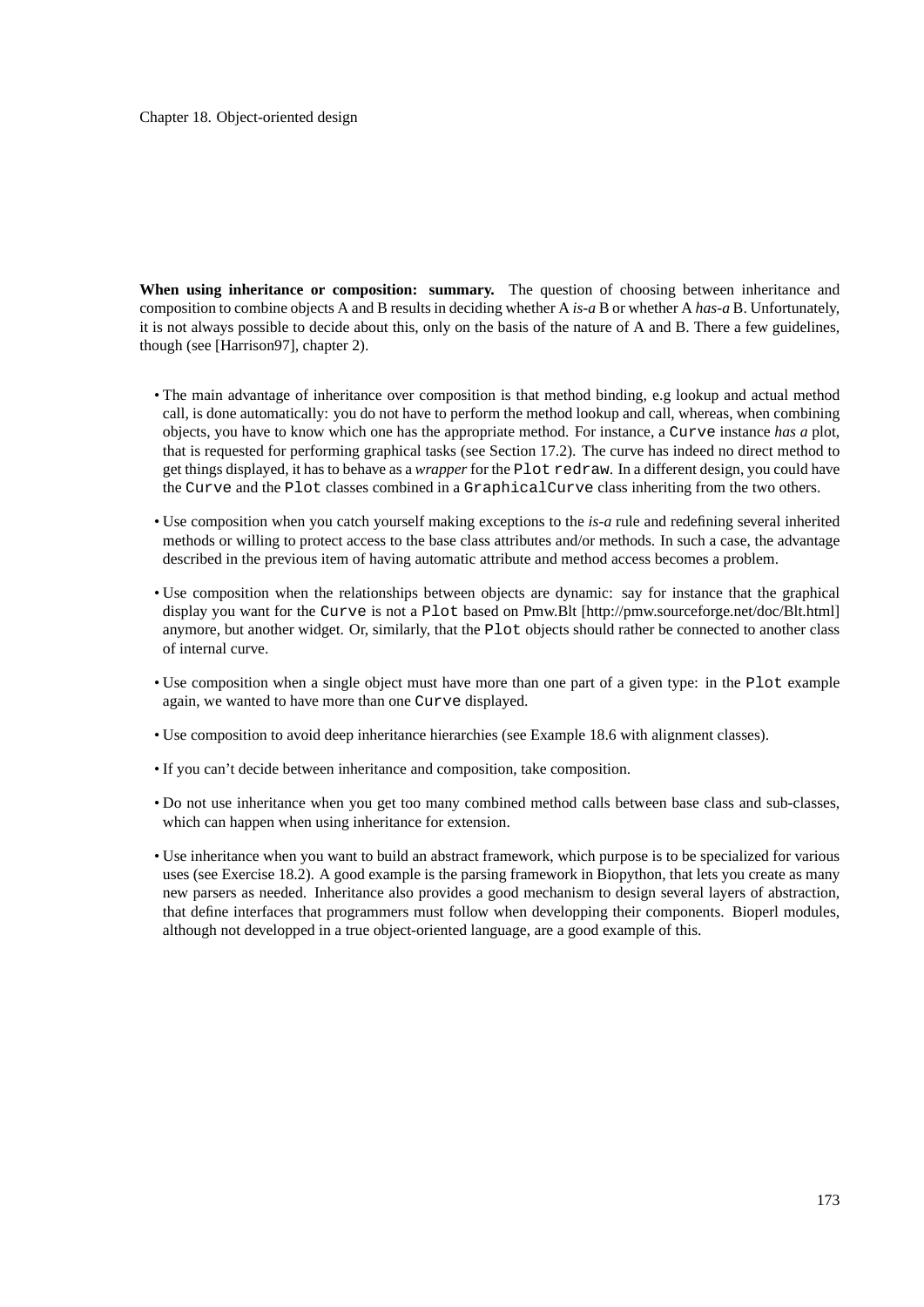**When using inheritance or composition: summary.** The question of choosing between inheritance and composition to combine objects A and B results in deciding whether A *is-a* B or whether A *has-a* B. Unfortunately, it is not always possible to decide about this, only on the basis of the nature of A and B. There a few guidelines, though (see [Harrison97], chapter 2).

- The main advantage of inheritance over composition is that method binding, e.g lookup and actual method call, is done automatically: you do not have to perform the method lookup and call, whereas, when combining objects, you have to know which one has the appropriate method. For instance, a Curve instance *has a* plot, that is requested for performing graphical tasks (see [Section 17.2\)](#page-148-0). The curve has indeed no direct method to get things displayed, it has to behave as a *wrapper* for the Plot redraw. In a different design, you could have the Curve and the Plot classes combined in a GraphicalCurve class inheriting from the two others.
- Use composition when you catch yourself making exceptions to the *is-a* rule and redefining several inherited methods or willing to protect access to the base class attributes and/or methods. In such a case, the advantage described in the previous item of having automatic attribute and method access becomes a problem.
- Use composition when the relationships between objects are dynamic: say for instance that the graphical display you want for the Curve is not a Plot based on [Pmw.Blt](http://pmw.sourceforge.net/doc/Blt.html) [http://pmw.sourceforge.net/doc/Blt.html] anymore, but another widget. Or, similarly, that the Plot objects should rather be connected to another class of internal curve.
- Use composition when a single object must have more than one part of a given type: in the Plot example again, we wanted to have more than one Curve displayed.
- Use composition to avoid deep inheritance hierarchies (see [Example 18.6](#page-183-1) with alignment classes).
- If you can't decide between inheritance and composition, take composition.
- Do not use inheritance when you get too many combined method calls between base class and sub-classes, which can happen when using inheritance for extension.
- <span id="page-186-0"></span>• Use inheritance when you want to build an abstract framework, which purpose is to be specialized for various uses (see [Exercise 18.2\)](#page-186-0). A good example is the parsing framework in Biopython, that lets you create as many new parsers as needed. Inheritance also provides a good mechanism to design several layers of abstraction, that define interfaces that programmers must follow when developping their components. Bioperl modules, although not developped in a true object-oriented language, are a good example of this.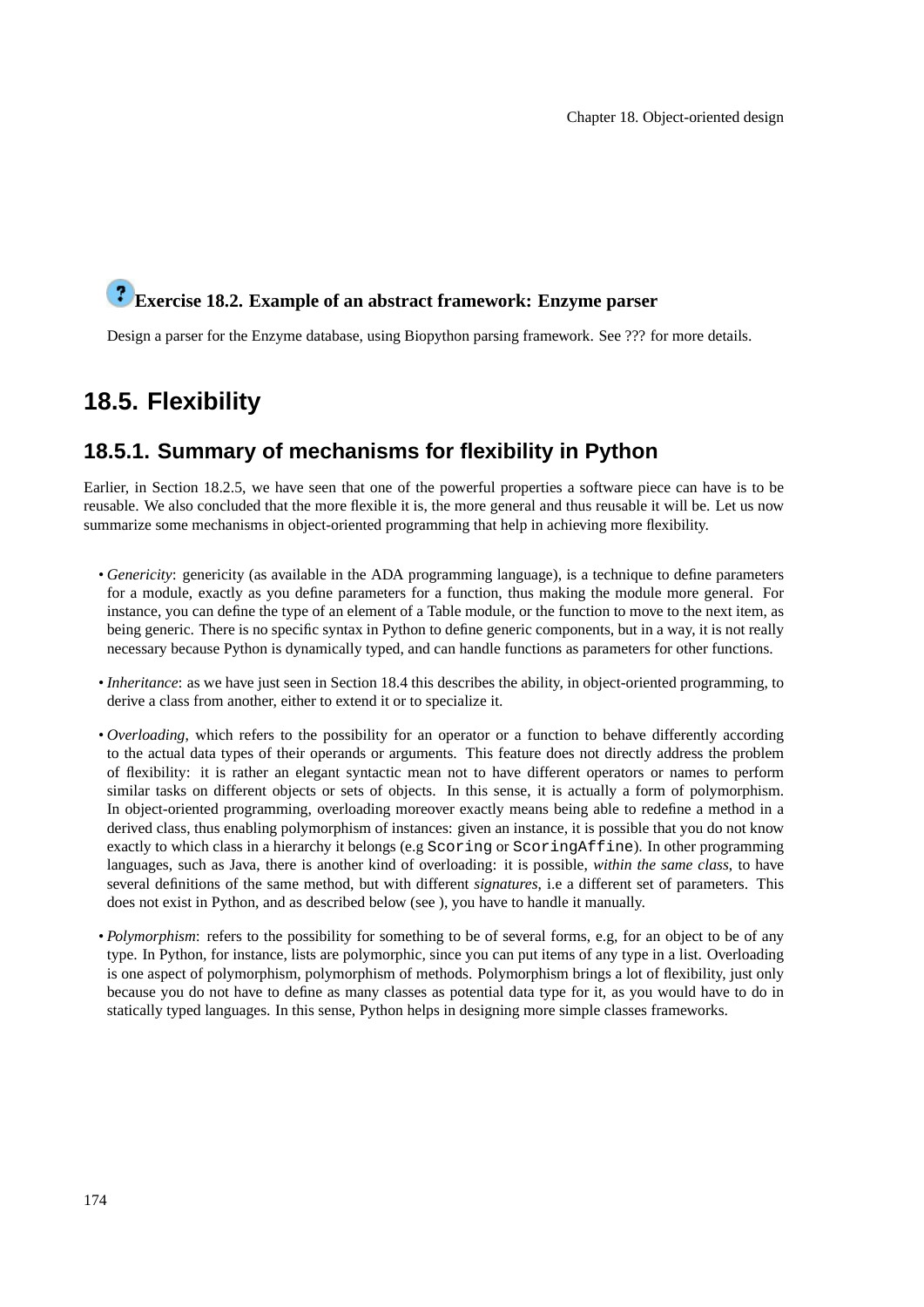# **Exercise 18.2. Example of an abstract framework: Enzyme parser**

Design a parser for the Enzyme database, using Biopython parsing framework. See ??? for more details.

# **18.5. Flexibility**

### **18.5.1. Summary of mechanisms for flexibility in Python**

Earlier, in [Section 18.2.5,](#page-169-0) we have seen that one of the powerful properties a software piece can have is to be reusable. We also concluded that the more flexible it is, the more general and thus reusable it will be. Let us now summarize some mechanisms in object-oriented programming that help in achieving more flexibility.

- *Genericity*: genericity (as available in the ADA programming language), is a technique to define parameters for a module, exactly as you define parameters for a function, thus making the module more general. For instance, you can define the type of an element of a Table module, or the function to move to the next item, as being generic. There is no specific syntax in Python to define generic components, but in a way, it is not really necessary because Python is dynamically typed, and can handle functions as parameters for other functions.
- *Inheritance*: as we have just seen in [Section 18.4](#page-176-0) this describes the ability, in object-oriented programming, to derive a class from another, either to extend it or to specialize it.
- *Overloading*, which refers to the possibility for an operator or a function to behave differently according to the actual data types of their operands or arguments. This feature does not directly address the problem of flexibility: it is rather an elegant syntactic mean not to have different operators or names to perform similar tasks on different objects or sets of objects. In this sense, it is actually a form of polymorphism. In object-oriented programming, overloading moreover exactly means being able to redefine a method in a derived class, thus enabling polymorphism of instances: given an instance, it is possible that you do not know exactly to which class in a hierarchy it belongs (e.g Scoring or ScoringAffine). In other programming languages, such as Java, there is another kind of overloading: it is possible, *within the same class*, to have several definitions of the same method, but with different *signatures*, i.e a different set of parameters. This does not exist in Python, and as described below (see ), you have to handle it manually.
- *Polymorphism*: refers to the possibility for something to be of several forms, e.g, for an object to be of any type. In Python, for instance, lists are polymorphic, since you can put items of any type in a list. Overloading is one aspect of polymorphism, polymorphism of methods. Polymorphism brings a lot of flexibility, just only because you do not have to define as many classes as potential data type for it, as you would have to do in statically typed languages. In this sense, Python helps in designing more simple classes frameworks.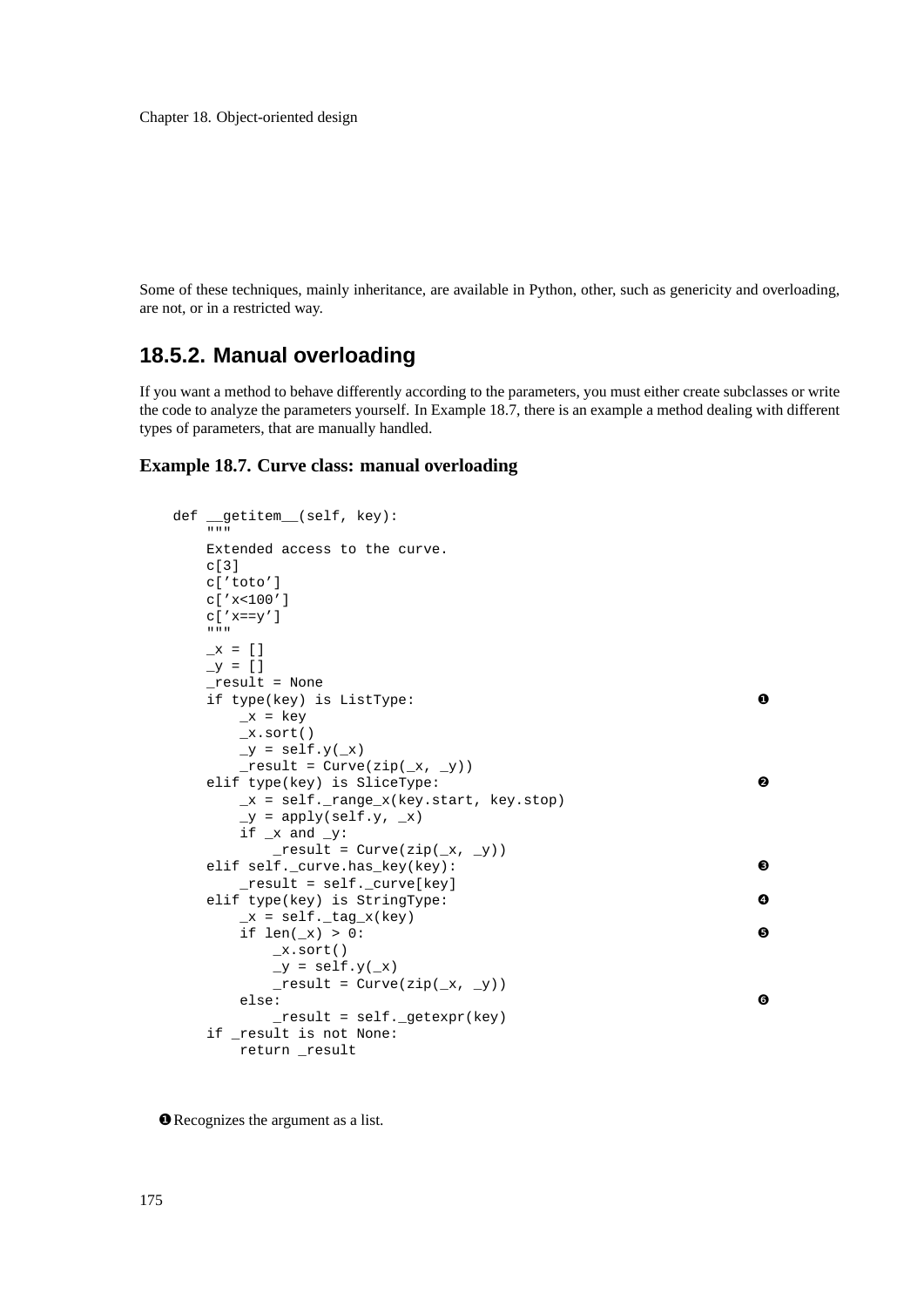Some of these techniques, mainly inheritance, are available in Python, other, such as genericity and overloading, are not, or in a restricted way.

### **18.5.2. Manual overloading**

If you want a method to behave differently according to the parameters, you must either create subclasses or write the code to analyze the parameters yourself. In [Example 18.7,](#page-188-0) there is an example a method dealing with different types of parameters, that are manually handled.

### <span id="page-188-0"></span>**Example 18.7. Curve class: manual overloading**

```
def __getitem__(self, key):
   """
  Extended access to the curve.
  c[3]
  c['toto']
  c['x<100']
  c['x==y']
   \mathbf{u} "" \mathbf{u}\mathbf{x} = [ ]-y = [ ]_result = None
   if type(key) is ListType: ❶
     x = key_x.sort()
      _y = self.y(\_x)_rresult = Curve(zip(_x, y))
   elif type(key) is SliceType: ❷
      _x = self._range_x(key.start, key.stop)
      _y = apply(self.y, x)if _x and _y:
         _rresult = Curve(zip(_x, _y))
   elif self._curve.has_key(key): ❸
      _result = self._curve[key]
   elif type(key) is StringType: \bullet_x = self.__tag_x(key)if len(\_ x) > 0: 6
         _x.sort()
         _y = self.y(\_x)_rresult = Curve(zip(_x, _y))
      else: \qquad \qquad \bullet_result = self._getexpr(key)
   if _result is not None:
      return _result
```
❶ Recognizes the argument as a list.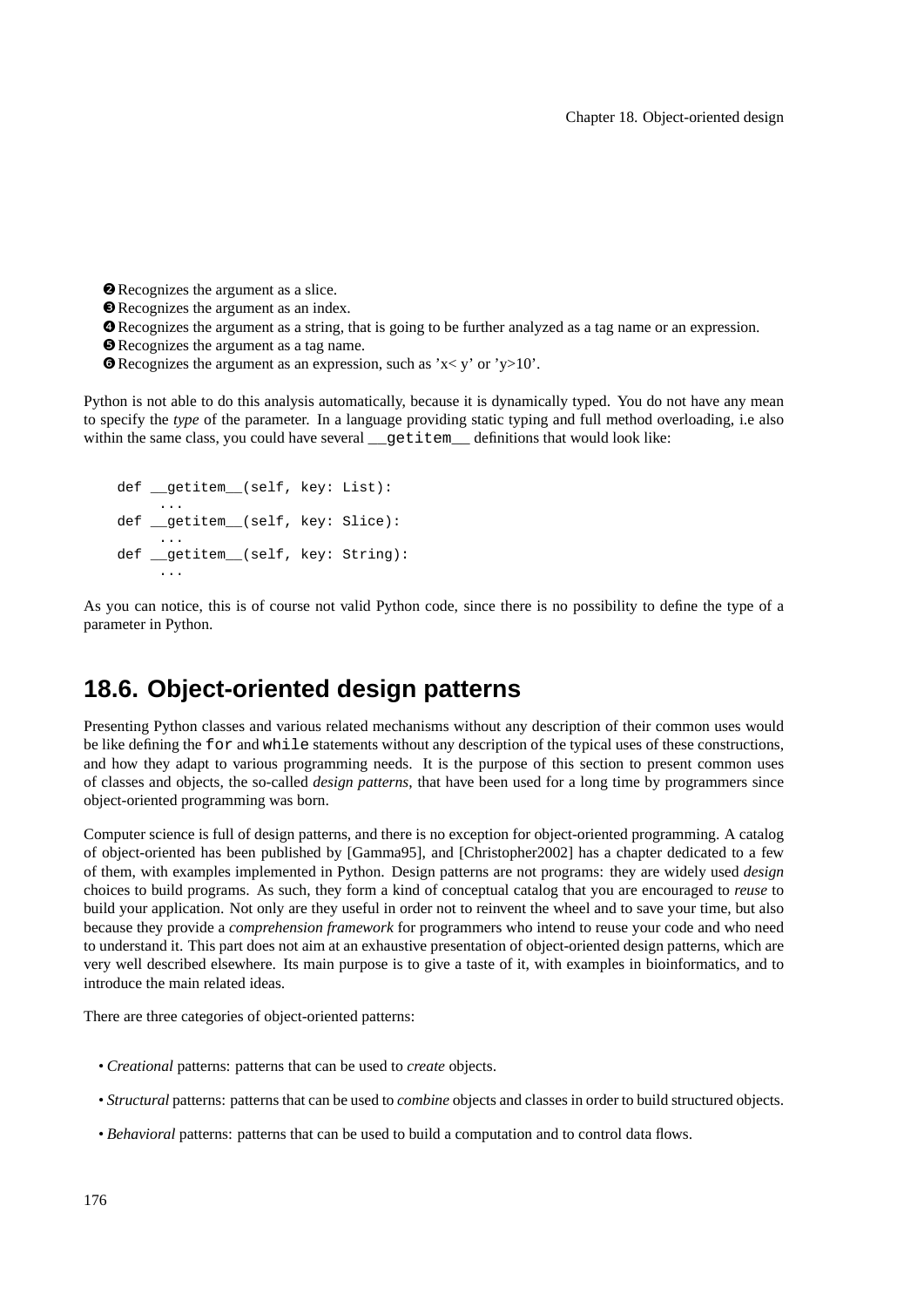- ❷ Recognizes the argument as a slice.
- ❸ Recognizes the argument as an index.
- ❹ Recognizes the argument as a string, that is going to be further analyzed as a tag name or an expression.
- ❺ Recognizes the argument as a tag name.
- $\bullet$  Recognizes the argument as an expression, such as 'x< y' or 'y>10'.

Python is not able to do this analysis automatically, because it is dynamically typed. You do not have any mean to specify the *type* of the parameter. In a language providing static typing and full method overloading, i.e also within the same class, you could have several \_\_getitem\_\_ definitions that would look like:

```
def qetitem (self, key: List):
     ...
def __getitem__(self, key: Slice):
     ...
def _getitem_(self, key: String):
     ...
```
As you can notice, this is of course not valid Python code, since there is no possibility to define the type of a parameter in Python.

## <span id="page-189-0"></span>**18.6. Object-oriented design patterns**

Presenting Python classes and various related mechanisms without any description of their common uses would be like defining the for and while statements without any description of the typical uses of these constructions, and how they adapt to various programming needs. It is the purpose of this section to present common uses of classes and objects, the so-called *design patterns*, that have been used for a long time by programmers since object-oriented programming was born.

Computer science is full of design patterns, and there is no exception for object-oriented programming. A catalog of object-oriented has been published by [Gamma95], and [Christopher2002] has a chapter dedicated to a few of them, with examples implemented in Python. Design patterns are not programs: they are widely used *design* choices to build programs. As such, they form a kind of conceptual catalog that you are encouraged to *reuse* to build your application. Not only are they useful in order not to reinvent the wheel and to save your time, but also because they provide a *comprehension framework* for programmers who intend to reuse your code and who need to understand it. This part does not aim at an exhaustive presentation of object-oriented design patterns, which are very well described elsewhere. Its main purpose is to give a taste of it, with examples in bioinformatics, and to introduce the main related ideas.

There are three categories of object-oriented patterns:

- *Creational* patterns: patterns that can be used to *create* objects.
- *Structural* patterns: patterns that can be used to *combine* objects and classes in order to build structured objects.
- *Behavioral* patterns: patterns that can be used to build a computation and to control data flows.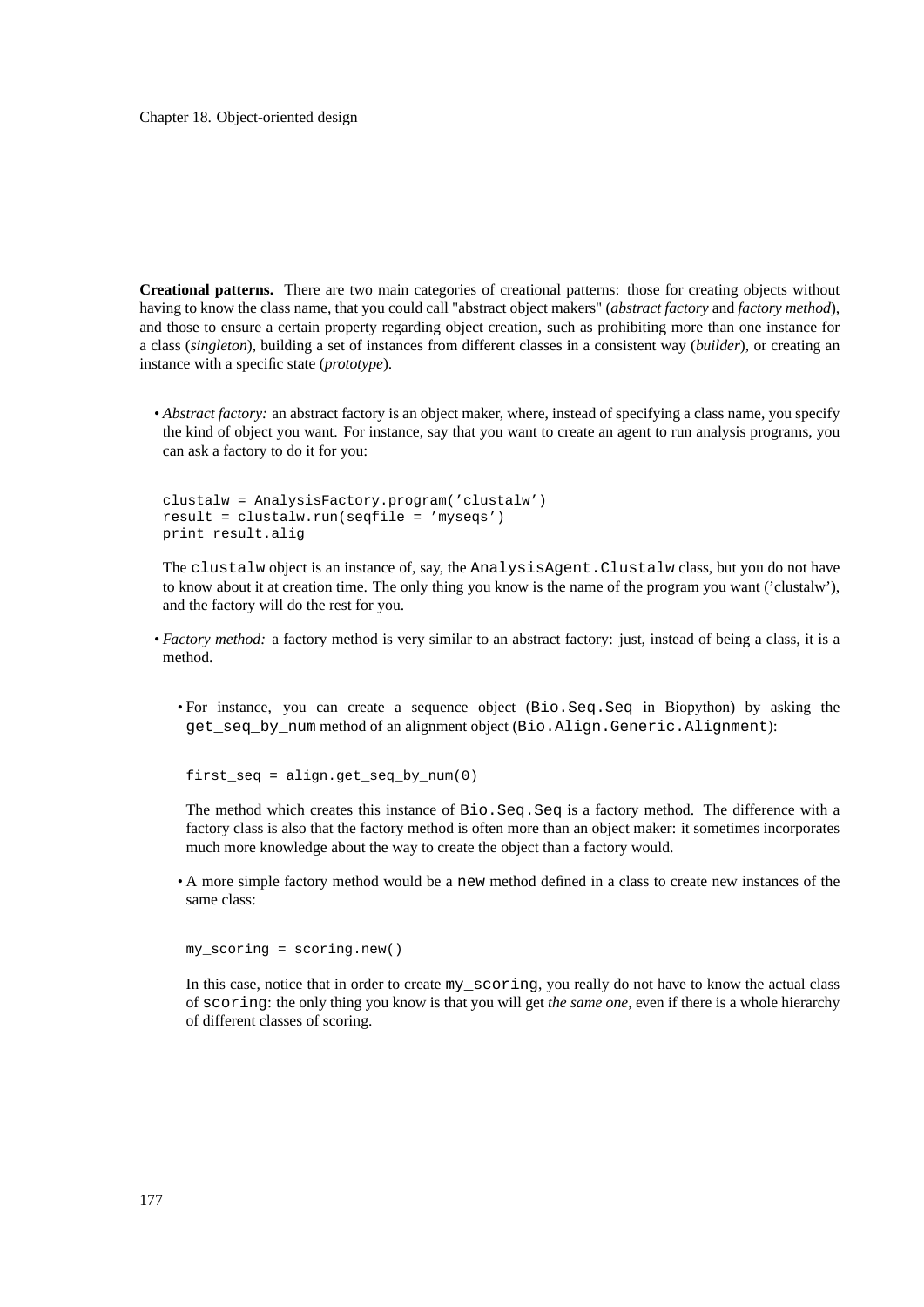**Creational patterns.** There are two main categories of creational patterns: those for creating objects without having to know the class name, that you could call "abstract object makers" (*abstract factory* and *factory method*), and those to ensure a certain property regarding object creation, such as prohibiting more than one instance for a class (*singleton*), building a set of instances from different classes in a consistent way (*builder*), or creating an instance with a specific state (*prototype*).

• *Abstract factory:* an abstract factory is an object maker, where, instead of specifying a class name, you specify the kind of object you want. For instance, say that you want to create an agent to run analysis programs, you can ask a factory to do it for you:

```
clustalw = AnalysisFactory.program('clustalw')
result = clustalw.run(seqfile = 'myseqs')
print result.alig
```
The clustalw object is an instance of, say, the AnalysisAgent.Clustalw class, but you do not have to know about it at creation time. The only thing you know is the name of the program you want ('clustalw'), and the factory will do the rest for you.

- *Factory method:* a factory method is very similar to an abstract factory: just, instead of being a class, it is a method.
	- For instance, you can create a sequence object (Bio.Seq.Seq in Biopython) by asking the get\_seq\_by\_num method of an alignment object (Bio.Align.Generic.Alignment):

first  $seq = align.getseq by num(0)$ 

The method which creates this instance of Bio.Seq.Seq is a factory method. The difference with a factory class is also that the factory method is often more than an object maker: it sometimes incorporates much more knowledge about the way to create the object than a factory would.

• A more simple factory method would be a new method defined in a class to create new instances of the same class:

my\_scoring = scoring.new()

In this case, notice that in order to create my\_scoring, you really do not have to know the actual class of scoring: the only thing you know is that you will get *the same one*, even if there is a whole hierarchy of different classes of scoring.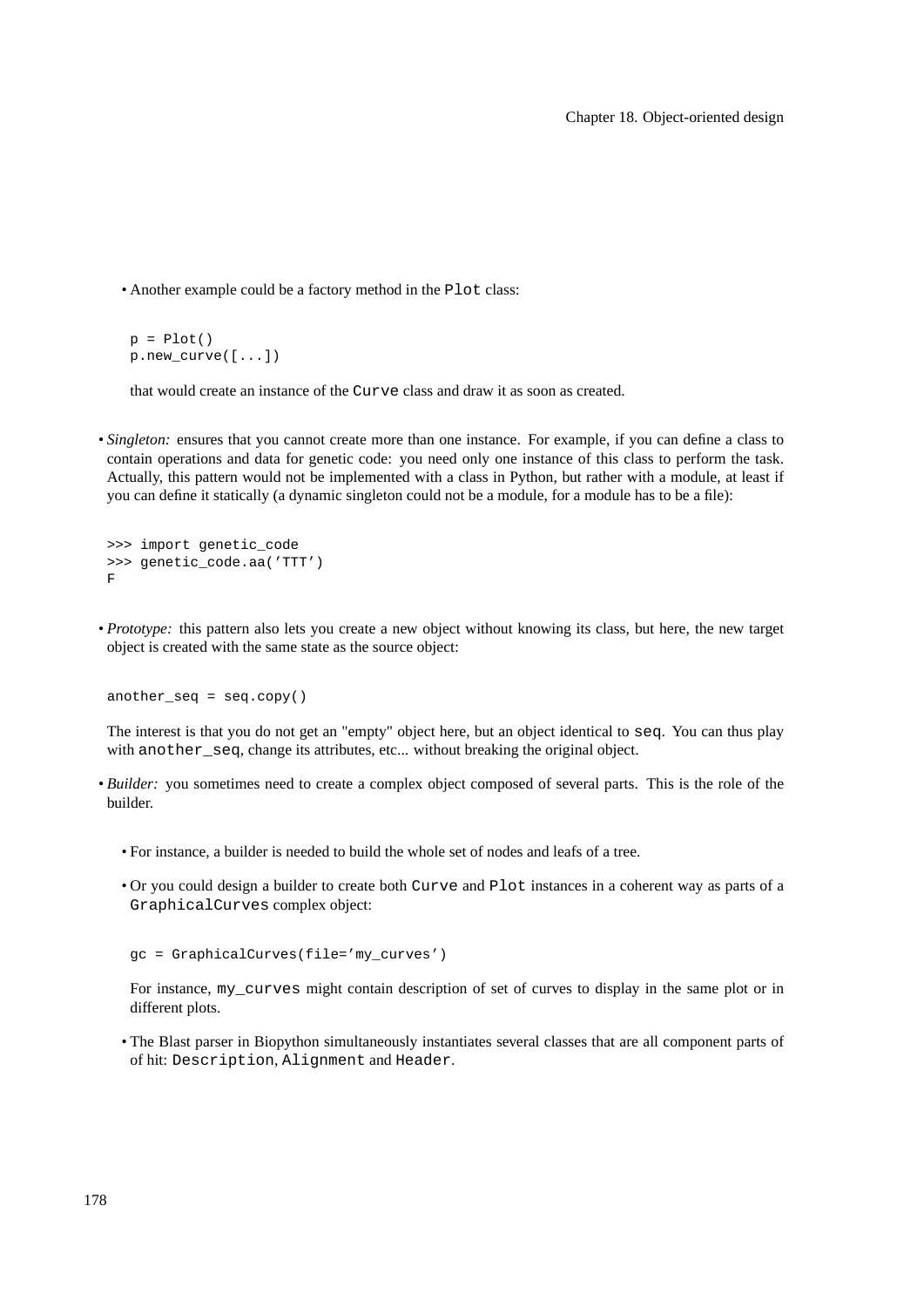• Another example could be a factory method in the Plot class:

```
p = Plot()p.new_curve([...])
```
that would create an instance of the Curve class and draw it as soon as created.

• *Singleton:* ensures that you cannot create more than one instance. For example, if you can define a class to contain operations and data for genetic code: you need only one instance of this class to perform the task. Actually, this pattern would not be implemented with a class in Python, but rather with a module, at least if you can define it statically (a dynamic singleton could not be a module, for a module has to be a file):

```
>>> import genetic_code
>>> genetic_code.aa('TTT')
F
```
• *Prototype:* this pattern also lets you create a new object without knowing its class, but here, the new target object is created with the same state as the source object:

```
another_seq = seq.copy()
```
The interest is that you do not get an "empty" object here, but an object identical to seq. You can thus play with another\_seq, change its attributes, etc... without breaking the original object.

- *Builder:* you sometimes need to create a complex object composed of several parts. This is the role of the builder.
	- For instance, a builder is needed to build the whole set of nodes and leafs of a tree.
	- Or you could design a builder to create both Curve and Plot instances in a coherent way as parts of a GraphicalCurves complex object:

gc = GraphicalCurves(file='my\_curves')

For instance, my\_curves might contain description of set of curves to display in the same plot or in different plots.

• The Blast parser in Biopython simultaneously instantiates several classes that are all component parts of of hit: Description, Alignment and Header.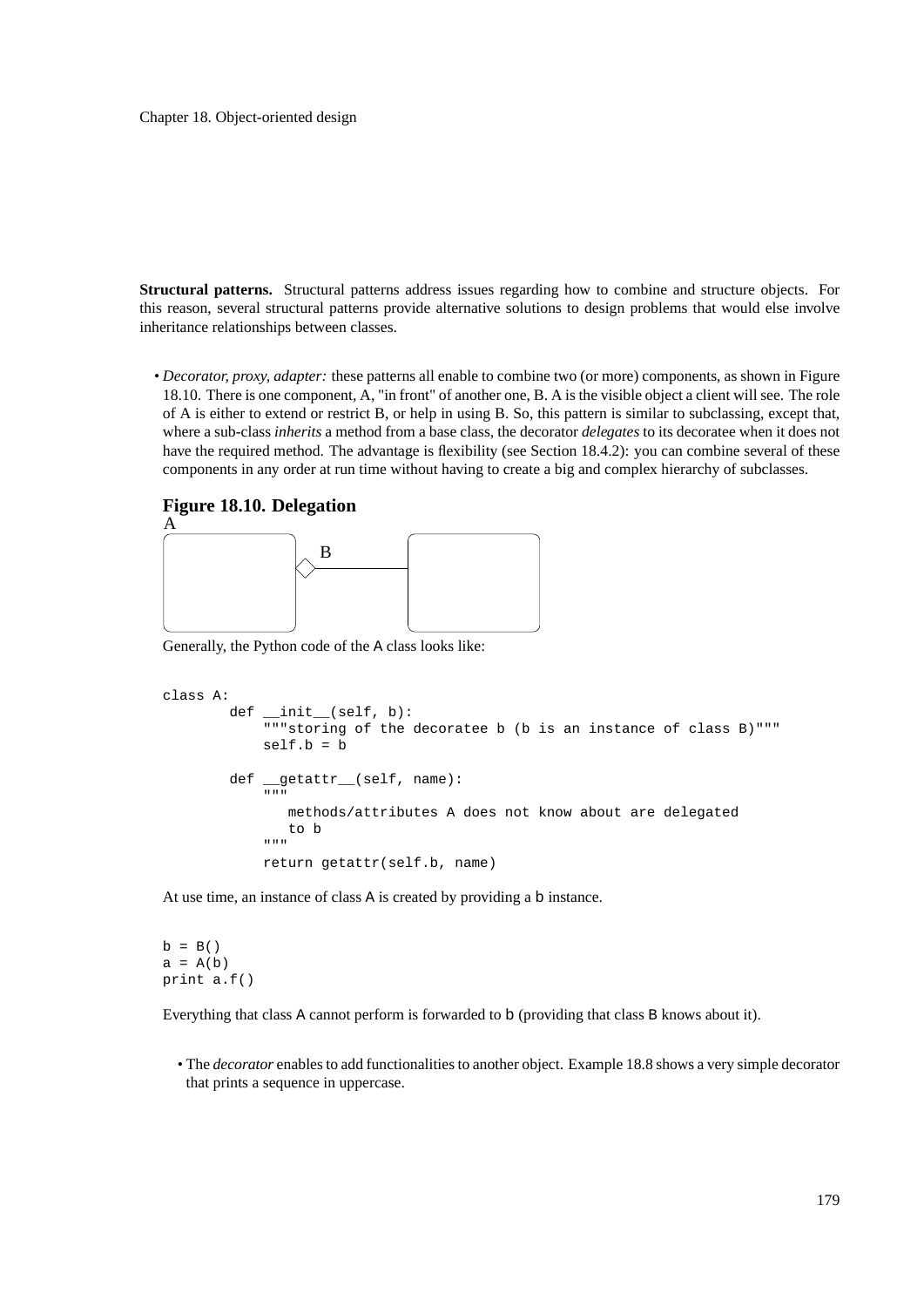**Structural patterns.** Structural patterns address issues regarding how to combine and structure objects. For this reason, several structural patterns provide alternative solutions to design problems that would else involve inheritance relationships between classes.

• *Decorator, proxy, adapter:* these patterns all enable to combine two (or more) components, as shown in [Figure](#page-192-0) [18.10.](#page-192-0) There is one component, A, "in front" of another one, B. A is the visible object a client will see. The role of A is either to extend or restrict B, or help in using B. So, this pattern is similar to subclassing, except that, where a sub-class *inherits* a method from a base class, the decorator *delegates* to its decoratee when it does not have the required method. The advantage is flexibility (see [Section 18.4.2\)](#page-182-2): you can combine several of these components in any order at run time without having to create a big and complex hierarchy of subclasses.

### <span id="page-192-0"></span>**Figure 18.10. Delegation**



Generally, the Python code of the A class looks like:

```
class A:
        def __init__(self, b):
             """storing of the decoratee b (b is an instance of class B)"""
            self.b = b
        def __getattr__(self, name):
             """
               methods/attributes A does not know about are delegated
               t \circ h.<br>" " "
            return getattr(self.b, name)
```
At use time, an instance of class A is created by providing a b instance.

```
h = B()a = A(b)print a.f()
```
Everything that class A cannot perform is forwarded to b (providing that class B knows about it).

<span id="page-192-1"></span>• The *decorator* enables to add functionalities to another object. [Example 18.8](#page-192-1) shows a very simple decorator that prints a sequence in uppercase.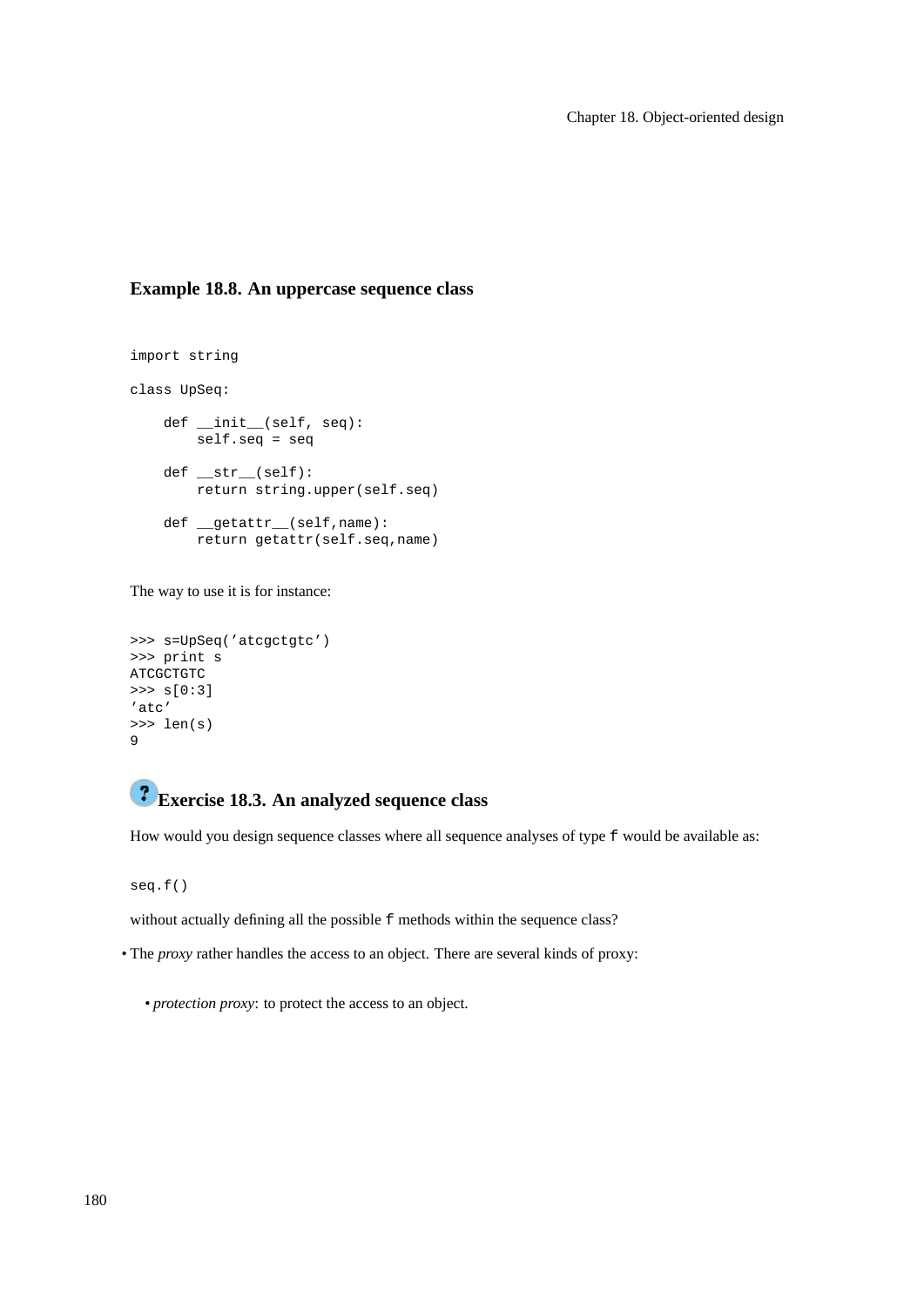### **Example 18.8. An uppercase sequence class**

```
import string
class UpSeq:
   def __init__(self, seq):
       self.seq = seq
   def __str_(self):
       return string.upper(self.seq)
   def getattr (self, name):
       return getattr(self.seq,name)
```
The way to use it is for instance:

```
>>> s=UpSeq('atcgctgtc')
>>> print s
ATCGCTGTC
>>> s[0:3]
'atc'
>>> len(s)
\circ
```
# **Exercise 18.3. An analyzed sequence class**

How would you design sequence classes where all sequence analyses of type f would be available as:

seq.f()

without actually defining all the possible f methods within the sequence class?

• The *proxy* rather handles the access to an object. There are several kinds of proxy:

• *protection proxy*: to protect the access to an object.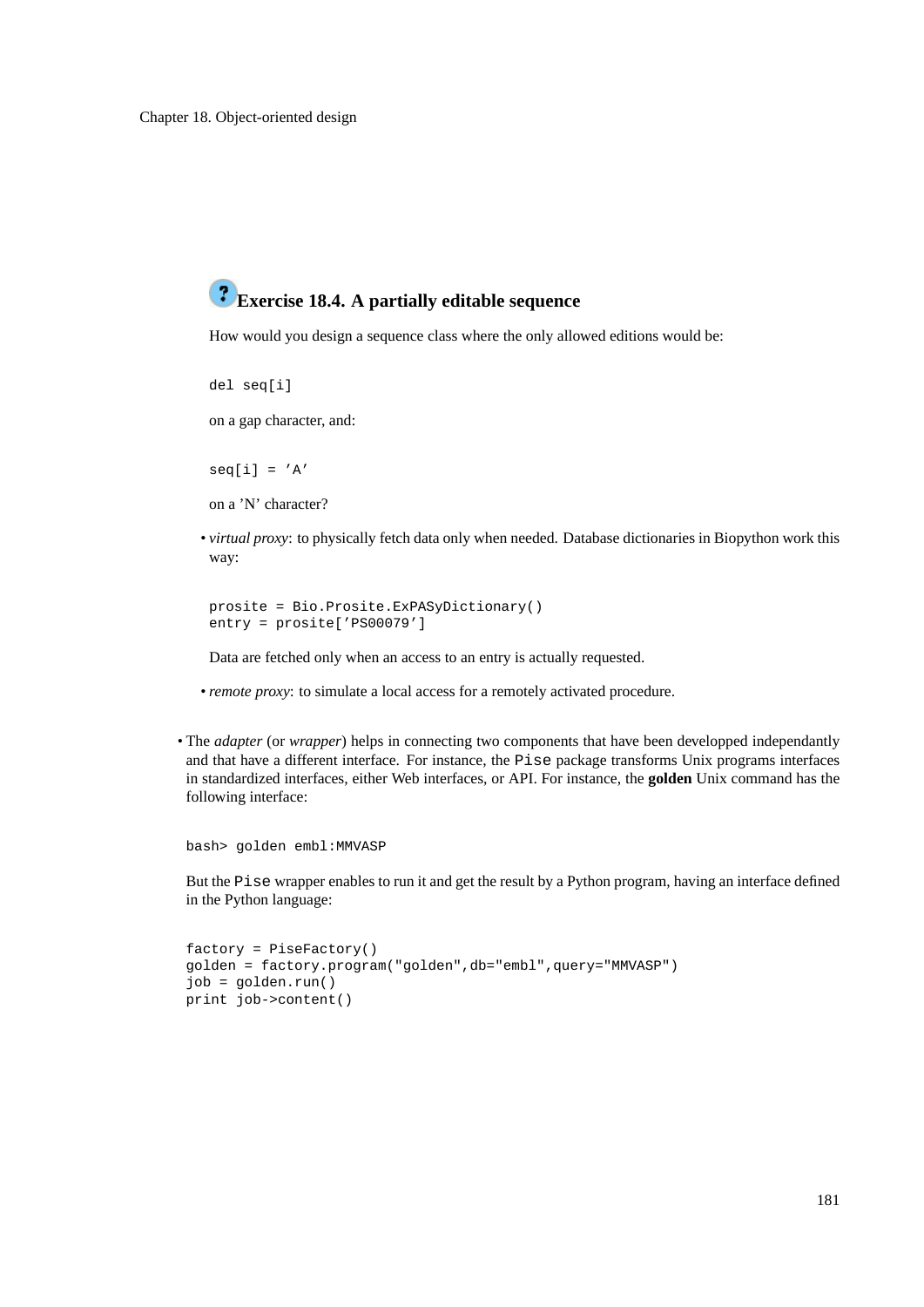# **Exercise 18.4. A partially editable sequence**

How would you design a sequence class where the only allowed editions would be:

del seq[i]

on a gap character, and:

 $seq[i] = 'A'$ 

on a 'N' character?

• *virtual proxy*: to physically fetch data only when needed. Database dictionaries in Biopython work this way:

```
prosite = Bio.Prosite.ExPASyDictionary()
entry = prosite['PS00079']
```
Data are fetched only when an access to an entry is actually requested.

- *remote proxy*: to simulate a local access for a remotely activated procedure.
- The *adapter* (or *wrapper*) helps in connecting two components that have been developped independantly and that have a different interface. For instance, the Pise package transforms Unix programs interfaces in standardized interfaces, either Web interfaces, or API. For instance, the **golden** Unix command has the following interface:

bash> golden embl:MMVASP

But the Pise wrapper enables to run it and get the result by a Python program, having an interface defined in the Python language:

```
factory = PiseFactory()
golden = factory.program("golden",db="embl",query="MMVASP")
job = golden.run()
print job->content()
```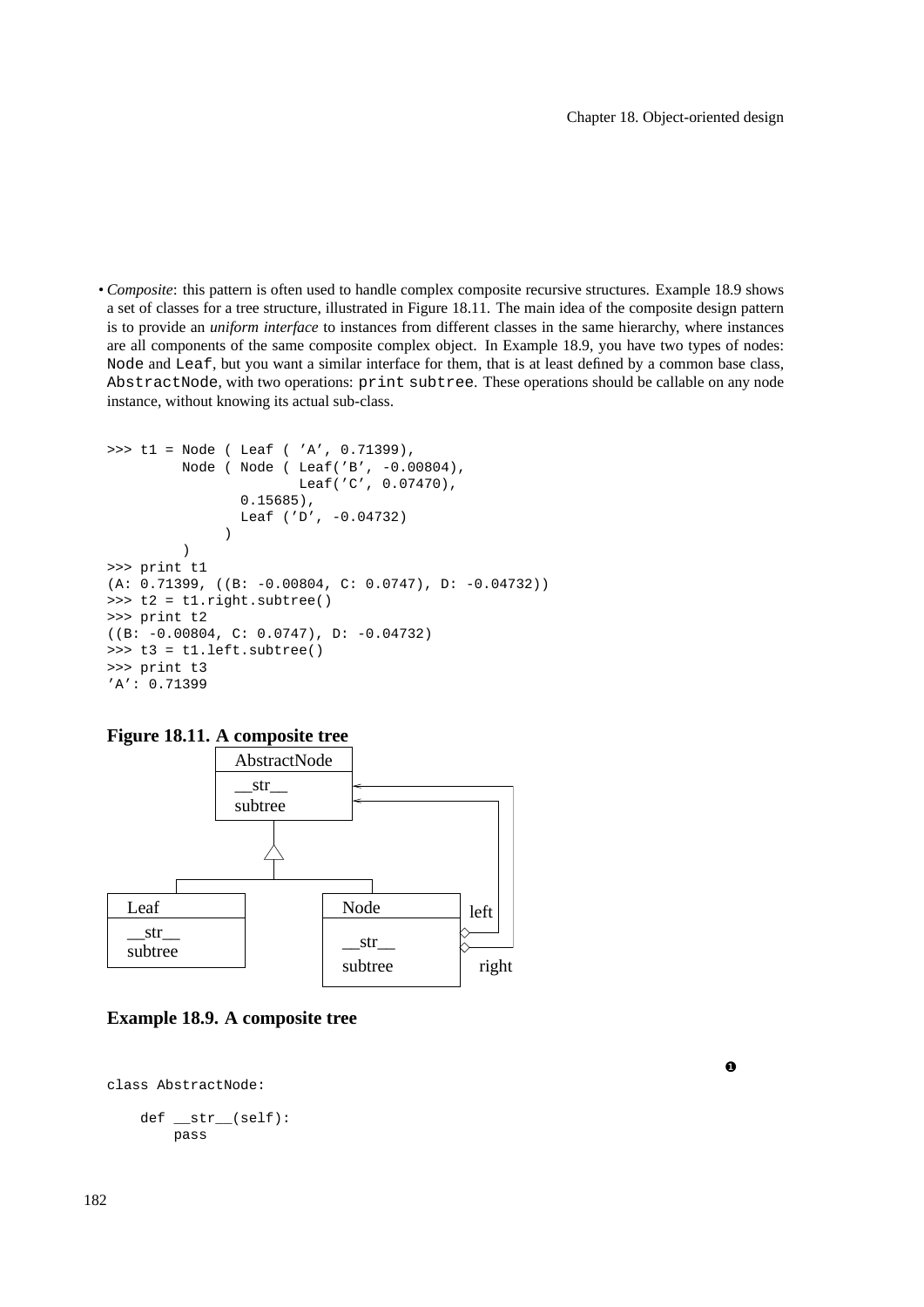• *Composite*: this pattern is often used to handle complex composite recursive structures. [Example 18.9](#page-195-0) shows a set of classes for a tree structure, illustrated in [Figure 18.11.](#page-195-1) The main idea of the composite design pattern is to provide an *uniform interface* to instances from different classes in the same hierarchy, where instances are all components of the same composite complex object. In [Example 18.9,](#page-195-0) you have two types of nodes: Node and Leaf, but you want a similar interface for them, that is at least defined by a common base class, AbstractNode, with two operations: print subtree. These operations should be callable on any node instance, without knowing its actual sub-class.

```
>>> t1 = Node ( Leaf ( 'A', 0.71399),
         Node ( Node ( Leaf('B', -0.00804),
                        Leaf('C', 0.07470),0.15685),
                 Leaf ('D', -0.04732)
               )
         )
>>> print t1
(A: 0.71399, ((B: -0.00804, C: 0.0747), D: -0.04732))>>> t2 = t1.right.subtree()
>>> print t2
((B: -0.00804, C: 0.0747), D: -0.04732)\Rightarrow \frac{1}{3} = t1. left. subtree()
>>> print t3
'A': 0.71399
```
### <span id="page-195-1"></span>**Figure 18.11. A composite tree**



### <span id="page-195-0"></span>**Example 18.9. A composite tree**

```
class AbstractNode:
```

```
def __str__(self):
   pass
```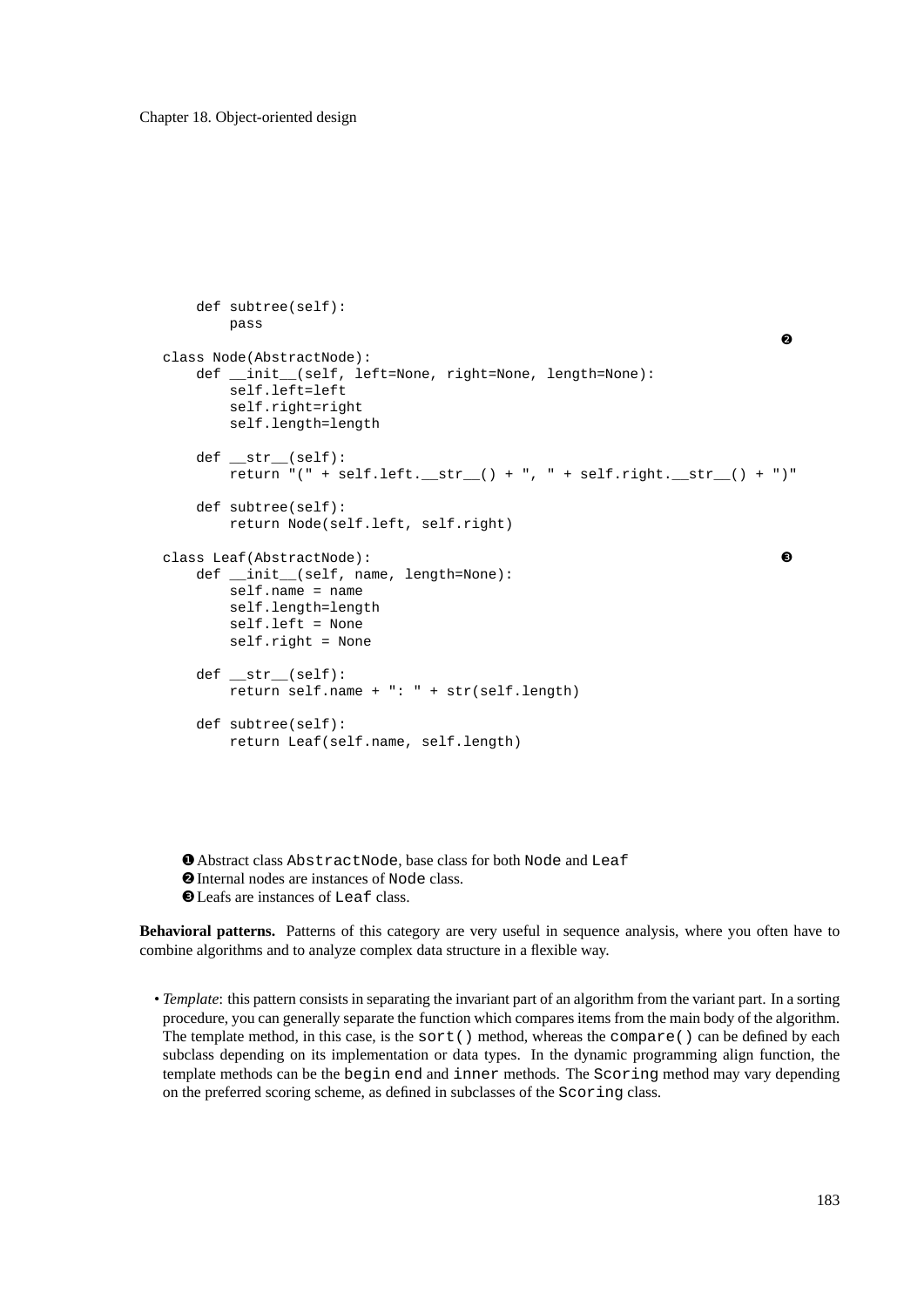```
def subtree(self):
       pass
                                                                     ❷
class Node(AbstractNode):
   def __init__(self, left=None, right=None, length=None):
       self.left=left
       self.right=right
       self.length=length
   def str (self):
       return "(" + self.left.__str__() + ", " + self.right.__str__() + ")"
   def subtree(self):
       return Node(self.left, self.right)
class Leaf(AbstractNode): ❸
   def __init_(self, name, length=None):
       self.name = name
       self.length=length
       self.left = None
       self.right = None
   def ___ str__(self):
       return self.name + ": " + str(self.length)
   def subtree(self):
       return Leaf(self.name, self.length)
```
❶ Abstract class AbstractNode, base class for both Node and Leaf ❷ Internal nodes are instances of Node class. ❸ Leafs are instances of Leaf class.

**Behavioral patterns.** Patterns of this category are very useful in sequence analysis, where you often have to combine algorithms and to analyze complex data structure in a flexible way.

• *Template*: this pattern consists in separating the invariant part of an algorithm from the variant part. In a sorting procedure, you can generally separate the function which compares items from the main body of the algorithm. The template method, in this case, is the sort() method, whereas the compare() can be defined by each subclass depending on its implementation or data types. In the dynamic programming align function, the template methods can be the begin end and inner methods. The Scoring method may vary depending on the preferred scoring scheme, as defined in subclasses of the Scoring class.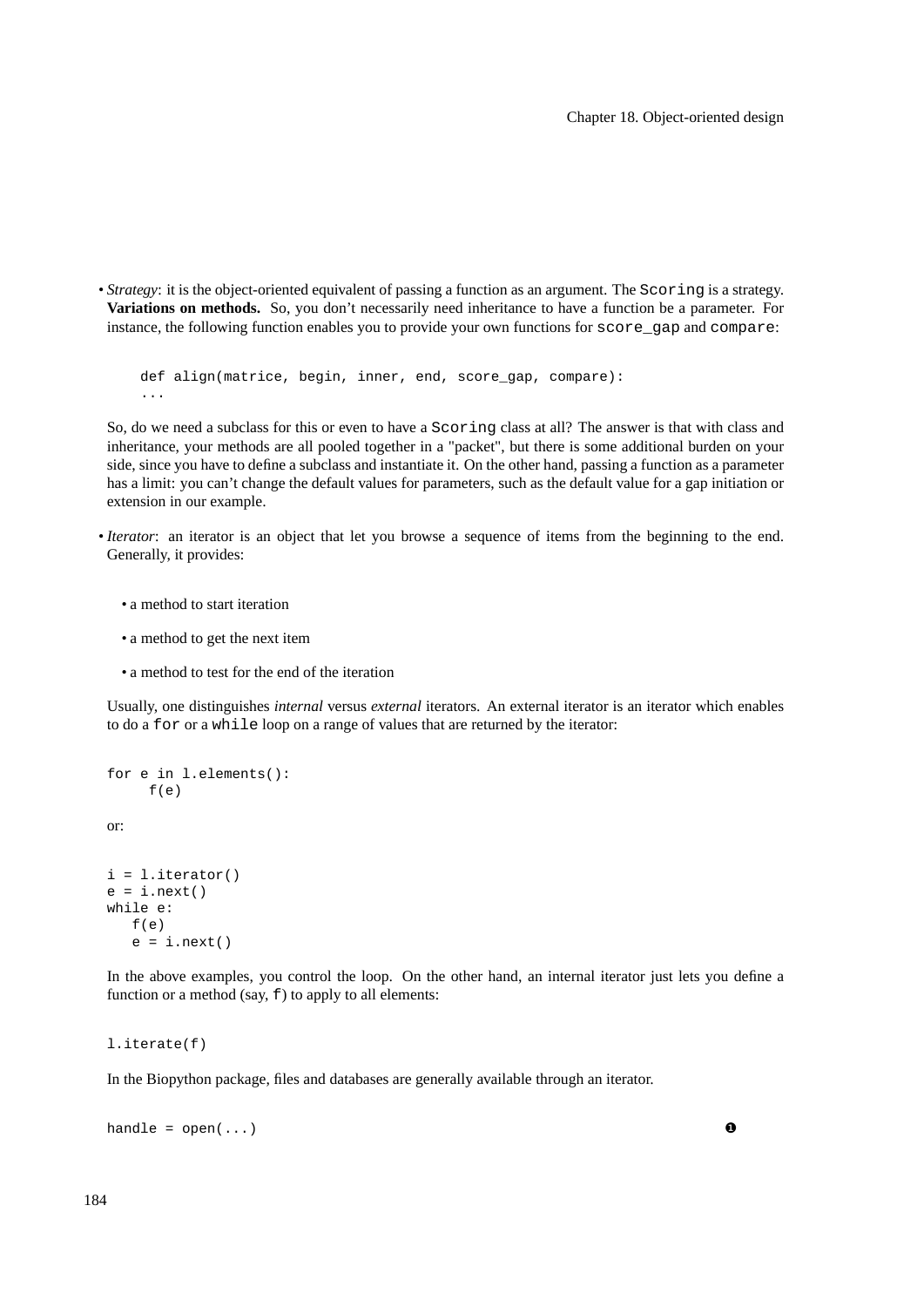• *Strategy*: it is the object-oriented equivalent of passing a function as an argument. The Scoring is a strategy. **Variations on methods.** So, you don't necessarily need inheritance to have a function be a parameter. For instance, the following function enables you to provide your own functions for score\_gap and compare:

```
def align(matrice, begin, inner, end, score_gap, compare):
...
```
So, do we need a subclass for this or even to have a Scoring class at all? The answer is that with class and inheritance, your methods are all pooled together in a "packet", but there is some additional burden on your side, since you have to define a subclass and instantiate it. On the other hand, passing a function as a parameter has a limit: you can't change the default values for parameters, such as the default value for a gap initiation or extension in our example.

- *Iterator*: an iterator is an object that let you browse a sequence of items from the beginning to the end. Generally, it provides:
	- a method to start iteration
	- a method to get the next item
	- a method to test for the end of the iteration

Usually, one distinguishes *internal* versus *external* iterators. An external iterator is an iterator which enables to do a for or a while loop on a range of values that are returned by the iterator:

```
for e in l.elements():
     f(a)or:
i = l.iterator()
e = i.next()while e:
  f(e)
   e = i.next()
```
In the above examples, you control the loop. On the other hand, an internal iterator just lets you define a function or a method (say,  $f$ ) to apply to all elements:

l.iterate(f)

In the Biopython package, files and databases are generally available through an iterator.

 $\mathbf{h}$ andle = open $(\ldots)$  **0**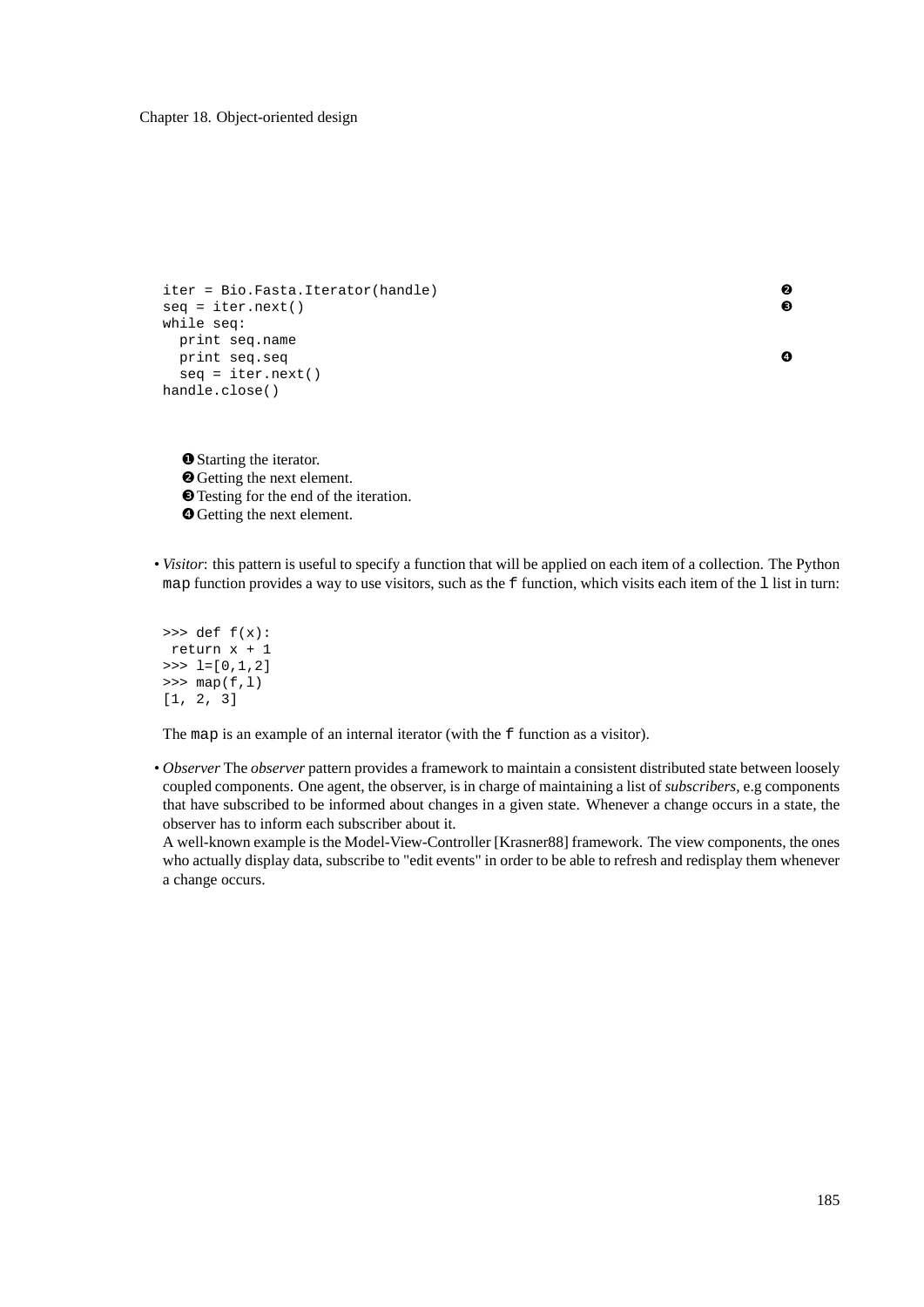```
\begin{array}{lll} \texttt{iter} = \texttt{Bio.Fasta}. \texttt{Iterator}(\texttt{handle}) & \texttt{\textcolor{red} \textbf{8}} \\ \texttt{seq} = \texttt{iter.next}() & \textbf{\textcolor{red} \textbf{0}} \end{array}seq = iter.next()while seq:
  print seq.name
  print seq.seq ❹
   seq = iter.next()
handle.close()
```
 Starting the iterator. Getting the next element. Testing for the end of the iteration. Getting the next element.

• *Visitor*: this pattern is useful to specify a function that will be applied on each item of a collection. The Python map function provides a way to use visitors, such as the  $f$  function, which visits each item of the  $1$  list in turn:

```
\gg def f(x):
return x + 1
>>> l=[0,1,2]
>>> map(f,l)
[1, 2, 3]
```
The map is an example of an internal iterator (with the f function as a visitor).

• *Observer* The *observer* pattern provides a framework to maintain a consistent distributed state between loosely coupled components. One agent, the observer, is in charge of maintaining a list of *subscribers*, e.g components that have subscribed to be informed about changes in a given state. Whenever a change occurs in a state, the observer has to inform each subscriber about it.

A well-known example is the Model-View-Controller [Krasner88] framework. The view components, the ones who actually display data, subscribe to "edit events" in order to be able to refresh and redisplay them whenever a change occurs.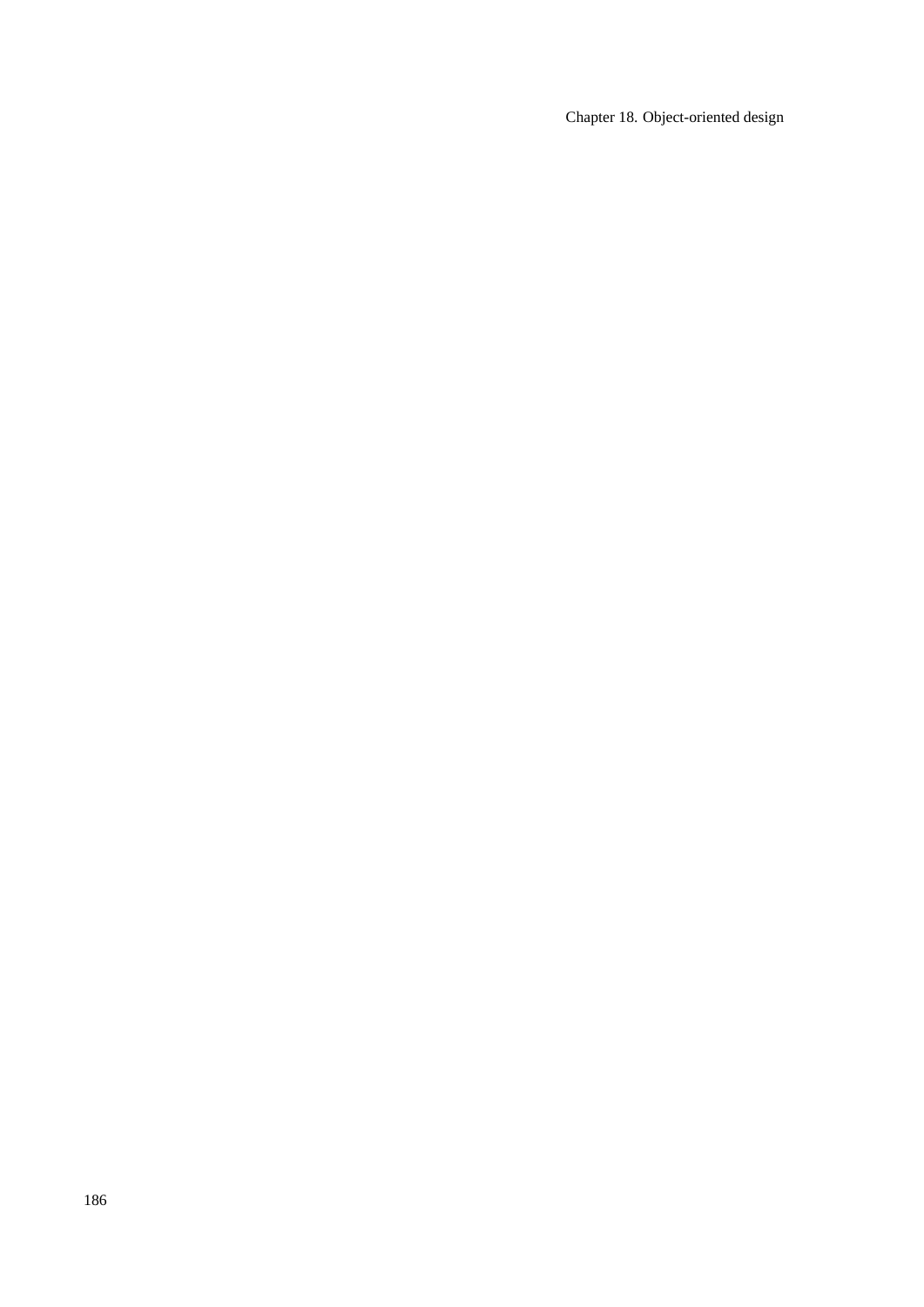Chapter 18. Object-oriented design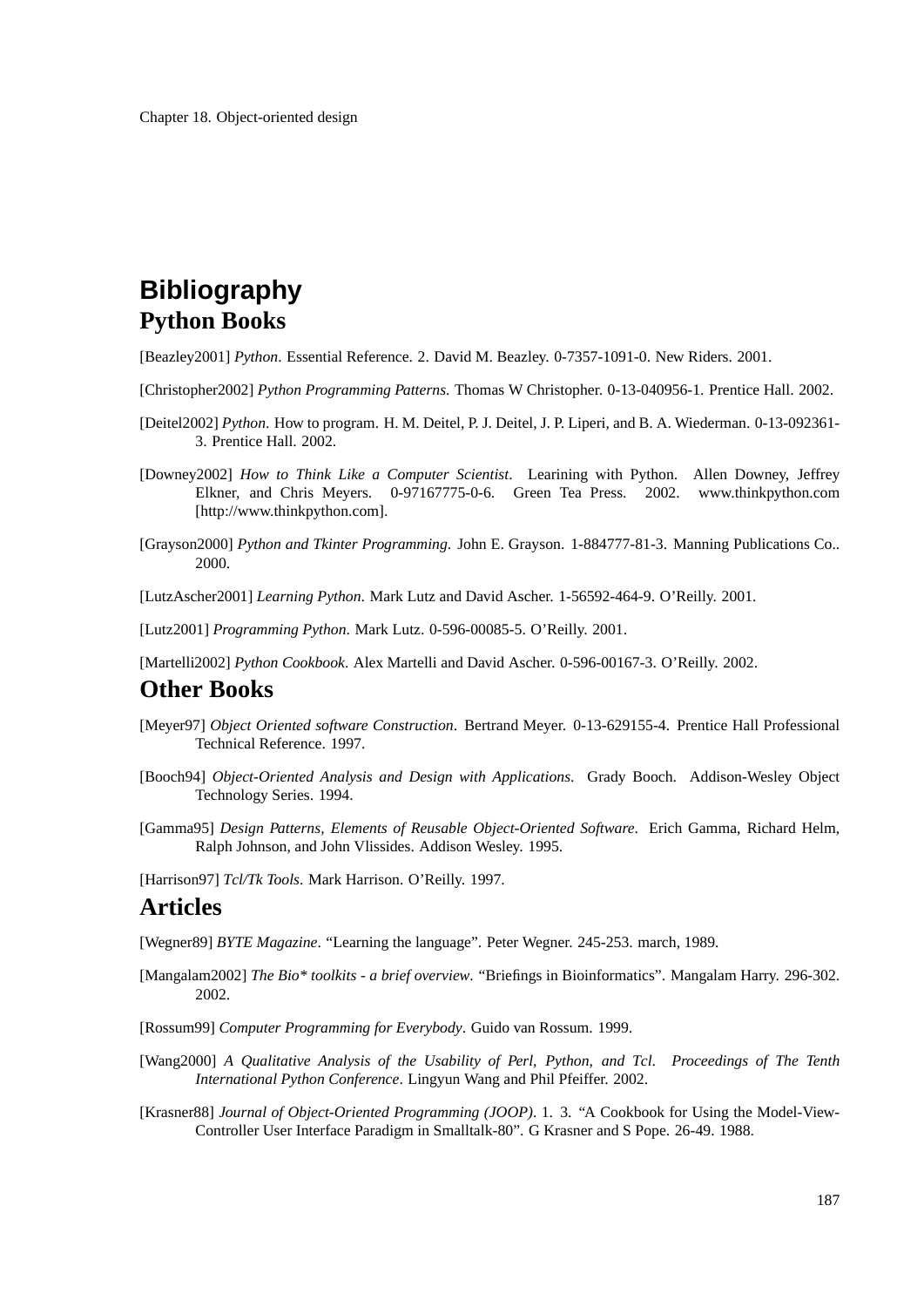# **Bibliography Python Books**

[Beazley2001] *Python*. Essential Reference. 2. David M. Beazley. 0-7357-1091-0. New Riders. 2001.

- [Christopher2002] *Python Programming Patterns*. Thomas W Christopher. 0-13-040956-1. Prentice Hall. 2002.
- [Deitel2002] *Python*. How to program. H. M. Deitel, P. J. Deitel, J. P. Liperi, and B. A. Wiederman. 0-13-092361- 3. Prentice Hall. 2002.
- [Downey2002] *How to Think Like a Computer Scientist*. Learining with Python. Allen Downey, Jeffrey Elkner, and Chris Meyers. 0-97167775-0-6. Green Tea Press. 2002. [www.thinkpython.com](http://www.thinkpython.com) [http://www.thinkpython.com].
- [Grayson2000] *Python and Tkinter Programming*. John E. Grayson. 1-884777-81-3. Manning Publications Co.. 2000.

[LutzAscher2001] *Learning Python*. Mark Lutz and David Ascher. 1-56592-464-9. O'Reilly. 2001.

[Lutz2001] *Programming Python*. Mark Lutz. 0-596-00085-5. O'Reilly. 2001.

[Martelli2002] *Python Cookbook*. Alex Martelli and David Ascher. 0-596-00167-3. O'Reilly. 2002.

## **Other Books**

- [Meyer97] *Object Oriented software Construction*. Bertrand Meyer. 0-13-629155-4. Prentice Hall Professional Technical Reference. 1997.
- [Booch94] *Object-Oriented Analysis and Design with Applications*. Grady Booch. Addison-Wesley Object Technology Series. 1994.
- [Gamma95] *Design Patterns, Elements of Reusable Object-Oriented Software*. Erich Gamma, Richard Helm, Ralph Johnson, and John Vlissides. Addison Wesley. 1995.

[Harrison97] *Tcl/Tk Tools*. Mark Harrison. O'Reilly. 1997.

### **Articles**

[Wegner89] *BYTE Magazine*. "Learning the language". Peter Wegner. 245-253. march, 1989.

- [Mangalam2002] *The Bio\* toolkits a brief overview*. "Briefings in Bioinformatics". Mangalam Harry. 296-302. 2002.
- [Rossum99] *Computer Programming for Everybody*. Guido van Rossum. 1999.
- [Wang2000] *A Qualitative Analysis of the Usability of Perl, Python, and Tcl*. *Proceedings of The Tenth International Python Conference*. Lingyun Wang and Phil Pfeiffer. 2002.
- [Krasner88] *Journal of Object-Oriented Programming (JOOP)*. 1. 3. "A Cookbook for Using the Model-View-Controller User Interface Paradigm in Smalltalk-80". G Krasner and S Pope. 26-49. 1988.